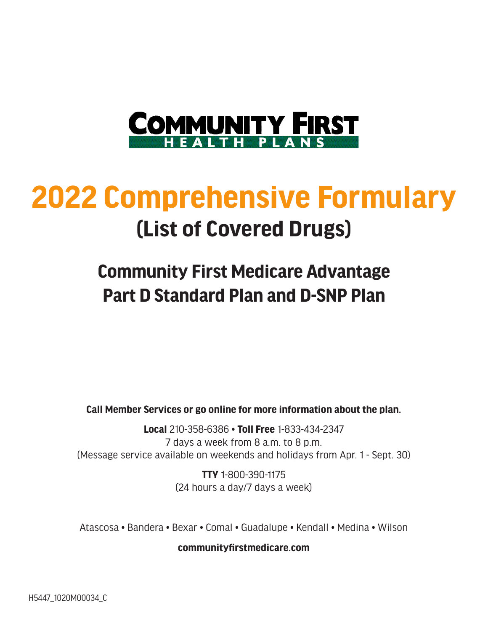

# **2022 Comprehensive Formulary (List of Covered Drugs)**

### **Community First Medicare Advantage Part D Standard Plan and D-SNP Plan**

**Call Member Services or go online for more information about the plan.**

**Local** 210-358-6386 • **Toll Free** 1-833-434-2347 7 days a week from 8 a.m. to 8 p.m. (Message service available on weekends and holidays from Apr. 1 - Sept. 30)

> **TTY** 1-800-390-1175 (24 hours a day/7 days a week)

Atascosa • Bandera • Bexar • Comal • Guadalupe • Kendall • Medina • Wilson

**communityfirstmedicare.com**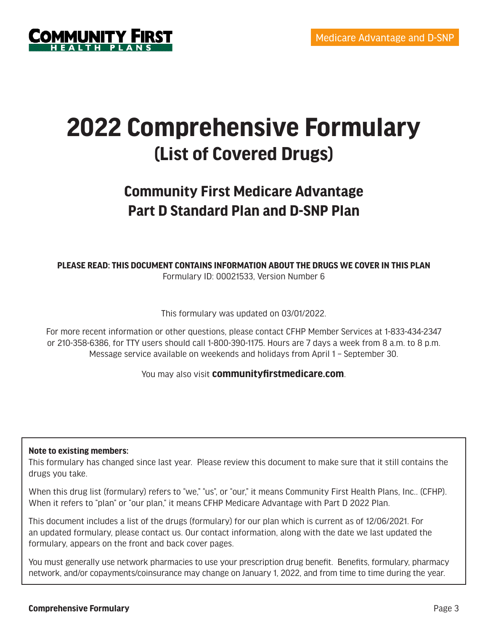

## **2022 Comprehensive Formulary (List of Covered Drugs)**

### **Community First Medicare Advantage Part D Standard Plan and D-SNP Plan**

**PLEASE READ: THIS DOCUMENT CONTAINS INFORMATION ABOUT THE DRUGS WE COVER IN THIS PLAN** Formulary ID: 00021533, Version Number 6

This formulary was updated on 03/01/2022.

For more recent information or other questions, please contact CFHP Member Services at 1-833-434-2347 or 210-358-6386, for TTY users should call 1-800-390-1175. Hours are 7 days a week from 8 a.m. to 8 p.m. Message service available on weekends and holidays from April 1 – September 30.

You may also visit **communityfirstmedicare.com**.

#### **Note to existing members:**

This formulary has changed since last year. Please review this document to make sure that it still contains the drugs you take.

When this drug list (formulary) refers to "we," "us", or "our," it means Community First Health Plans, Inc.. (CFHP). When it refers to "plan" or "our plan," it means CFHP Medicare Advantage with Part D 2022 Plan.

This document includes a list of the drugs (formulary) for our plan which is current as of 12/06/2021. For an updated formulary, please contact us. Our contact information, along with the date we last updated the formulary, appears on the front and back cover pages.

You must generally use network pharmacies to use your prescription drug benefit. Benefits, formulary, pharmacy network, and/or copayments/coinsurance may change on January 1, 2022, and from time to time during the year.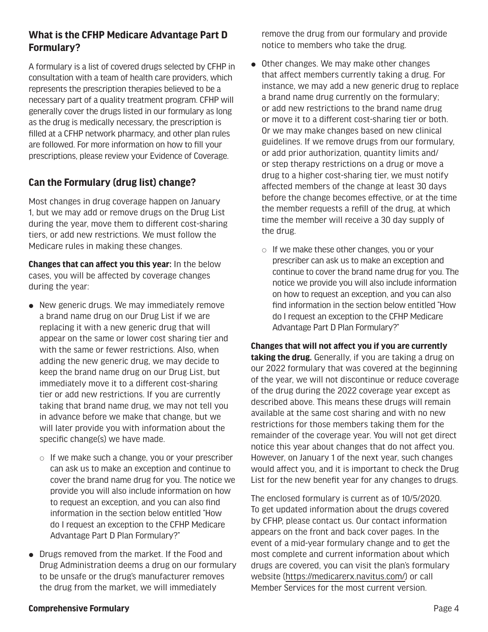#### **What is the CFHP Medicare Advantage Part D Formulary?**

A formulary is a list of covered drugs selected by CFHP in consultation with a team of health care providers, which represents the prescription therapies believed to be a necessary part of a quality treatment program. CFHP will generally cover the drugs listed in our formulary as long as the drug is medically necessary, the prescription is filled at a CFHP network pharmacy, and other plan rules are followed. For more information on how to fill your prescriptions, please review your Evidence of Coverage.

#### **Can the Formulary (drug list) change?**

Most changes in drug coverage happen on January 1, but we may add or remove drugs on the Drug List during the year, move them to different cost-sharing tiers, or add new restrictions. We must follow the Medicare rules in making these changes.

**Changes that can affect you this year:** In the below cases, you will be affected by coverage changes during the year:

- $\bullet$  New generic drugs. We may immediately remove a brand name drug on our Drug List if we are replacing it with a new generic drug that will appear on the same or lower cost sharing tier and with the same or fewer restrictions. Also, when adding the new generic drug, we may decide to keep the brand name drug on our Drug List, but immediately move it to a different cost-sharing tier or add new restrictions. If you are currently taking that brand name drug, we may not tell you in advance before we make that change, but we will later provide you with information about the specific change(s) we have made.
	- $\circ$  If we make such a change, you or your prescriber can ask us to make an exception and continue to cover the brand name drug for you. The notice we provide you will also include information on how to request an exception, and you can also find information in the section below entitled "How do I request an exception to the CFHP Medicare Advantage Part D Plan Formulary?"
- Drugs removed from the market. If the Food and Drug Administration deems a drug on our formulary to be unsafe or the drug's manufacturer removes the drug from the market, we will immediately

remove the drug from our formulary and provide notice to members who take the drug.

- $\bullet$  Other changes. We may make other changes that affect members currently taking a drug. For instance, we may add a new generic drug to replace a brand name drug currently on the formulary; or add new restrictions to the brand name drug or move it to a different cost-sharing tier or both. Or we may make changes based on new clinical guidelines. If we remove drugs from our formulary, or add prior authorization, quantity limits and/ or step therapy restrictions on a drug or move a drug to a higher cost-sharing tier, we must notify affected members of the change at least 30 days before the change becomes effective, or at the time the member requests a refill of the drug, at which time the member will receive a 30 day supply of the drug.
	- $\circ$  If we make these other changes, you or your prescriber can ask us to make an exception and continue to cover the brand name drug for you. The notice we provide you will also include information on how to request an exception, and you can also find information in the section below entitled "How do I request an exception to the CFHP Medicare Advantage Part D Plan Formulary?"

**Changes that will not affect you if you are currently taking the drug.** Generally, if you are taking a drug on our 2022 formulary that was covered at the beginning of the year, we will not discontinue or reduce coverage of the drug during the 2022 coverage year except as described above. This means these drugs will remain available at the same cost sharing and with no new restrictions for those members taking them for the remainder of the coverage year. You will not get direct notice this year about changes that do not affect you. However, on January 1 of the next year, such changes would affect you, and it is important to check the Drug List for the new benefit year for any changes to drugs.

The enclosed formulary is current as of 10/5/2020. To get updated information about the drugs covered by CFHP, please contact us. Our contact information appears on the front and back cover pages. In the event of a mid-year formulary change and to get the most complete and current information about which drugs are covered, you can visit the plan's formulary website (https://medicarerx.navitus.com/) or call Member Services for the most current version.

#### **Comprehensive Formulary** Page 4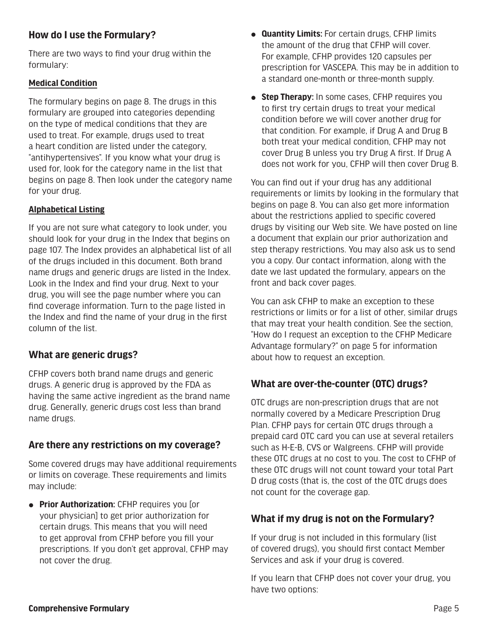#### **How do I use the Formulary?**

There are two ways to find your drug within the formulary:

#### **Medical Condition**

The formulary begins on page 8. The drugs in this formulary are grouped into categories depending on the type of medical conditions that they are used to treat. For example, drugs used to treat a heart condition are listed under the category, "antihypertensives". If you know what your drug is used for, look for the category name in the list that begins on page 8. Then look under the category name for your drug.

#### **Alphabetical Listing**

If you are not sure what category to look under, you should look for your drug in the Index that begins on page 107. The Index provides an alphabetical list of all of the drugs included in this document. Both brand name drugs and generic drugs are listed in the Index. Look in the Index and find your drug. Next to your drug, you will see the page number where you can find coverage information. Turn to the page listed in the Index and find the name of your drug in the first column of the list.

#### **What are generic drugs?**

CFHP covers both brand name drugs and generic drugs. A generic drug is approved by the FDA as having the same active ingredient as the brand name drug. Generally, generic drugs cost less than brand name drugs.

#### **Are there any restrictions on my coverage?**

Some covered drugs may have additional requirements or limits on coverage. These requirements and limits may include:

**• Prior Authorization:** CFHP requires you [or your physician] to get prior authorization for certain drugs. This means that you will need to get approval from CFHP before you fill your prescriptions. If you don't get approval, CFHP may not cover the drug.

- **Quantity Limits:** For certain drugs, CFHP limits the amount of the drug that CFHP will cover. For example, CFHP provides 120 capsules per prescription for VASCEPA. This may be in addition to a standard one-month or three-month supply.
- **Step Therapy:** In some cases, CFHP requires you to first try certain drugs to treat your medical condition before we will cover another drug for that condition. For example, if Drug A and Drug B both treat your medical condition, CFHP may not cover Drug B unless you try Drug A first. If Drug A does not work for you, CFHP will then cover Drug B.

You can find out if your drug has any additional requirements or limits by looking in the formulary that begins on page 8. You can also get more information about the restrictions applied to specific covered drugs by visiting our Web site. We have posted on line a document that explain our prior authorization and step therapy restrictions. You may also ask us to send you a copy. Our contact information, along with the date we last updated the formulary, appears on the front and back cover pages.

You can ask CFHP to make an exception to these restrictions or limits or for a list of other, similar drugs that may treat your health condition. See the section, "How do I request an exception to the CFHP Medicare Advantage formulary?" on page 5 for information about how to request an exception.

#### **What are over-the-counter (OTC) drugs?**

OTC drugs are non-prescription drugs that are not normally covered by a Medicare Prescription Drug Plan. CFHP pays for certain OTC drugs through a prepaid card OTC card you can use at several retailers such as H-E-B, CVS or Walgreens. CFHP will provide these OTC drugs at no cost to you. The cost to CFHP of these OTC drugs will not count toward your total Part D drug costs (that is, the cost of the OTC drugs does not count for the coverage gap.

#### **What if my drug is not on the Formulary?**

If your drug is not included in this formulary (list of covered drugs), you should first contact Member Services and ask if your drug is covered.

If you learn that CFHP does not cover your drug, you have two options: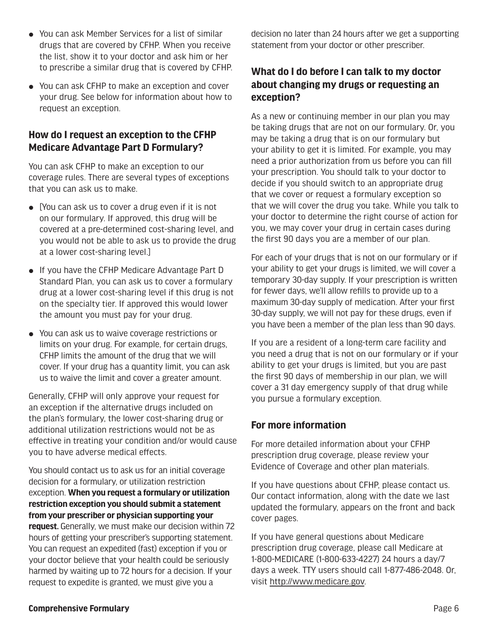- $\bullet$  You can ask Member Services for a list of similar drugs that are covered by CFHP. When you receive the list, show it to your doctor and ask him or her to prescribe a similar drug that is covered by CFHP.
- You can ask CFHP to make an exception and cover your drug. See below for information about how to request an exception.

#### **How do I request an exception to the CFHP Medicare Advantage Part D Formulary?**

You can ask CFHP to make an exception to our coverage rules. There are several types of exceptions that you can ask us to make.

- $\bullet$  [You can ask us to cover a drug even if it is not on our formulary. If approved, this drug will be covered at a pre-determined cost-sharing level, and you would not be able to ask us to provide the drug at a lower cost-sharing level.]
- If you have the CFHP Medicare Advantage Part D Standard Plan, you can ask us to cover a formulary drug at a lower cost-sharing level if this drug is not on the specialty tier. If approved this would lower the amount you must pay for your drug.
- You can ask us to waive coverage restrictions or limits on your drug. For example, for certain drugs, CFHP limits the amount of the drug that we will cover. If your drug has a quantity limit, you can ask us to waive the limit and cover a greater amount.

Generally, CFHP will only approve your request for an exception if the alternative drugs included on the plan's formulary, the lower cost-sharing drug or additional utilization restrictions would not be as effective in treating your condition and/or would cause you to have adverse medical effects.

You should contact us to ask us for an initial coverage decision for a formulary, or utilization restriction exception. **When you request a formulary or utilization restriction exception you should submit a statement from your prescriber or physician supporting your request.** Generally, we must make our decision within 72 hours of getting your prescriber's supporting statement. You can request an expedited (fast) exception if you or your doctor believe that your health could be seriously harmed by waiting up to 72 hours for a decision. If your request to expedite is granted, we must give you a

decision no later than 24 hours after we get a supporting statement from your doctor or other prescriber.

#### **What do I do before I can talk to my doctor about changing my drugs or requesting an exception?**

As a new or continuing member in our plan you may be taking drugs that are not on our formulary. Or, you may be taking a drug that is on our formulary but your ability to get it is limited. For example, you may need a prior authorization from us before you can fill your prescription. You should talk to your doctor to decide if you should switch to an appropriate drug that we cover or request a formulary exception so that we will cover the drug you take. While you talk to your doctor to determine the right course of action for you, we may cover your drug in certain cases during the first 90 days you are a member of our plan.

For each of your drugs that is not on our formulary or if your ability to get your drugs is limited, we will cover a temporary 30-day supply. If your prescription is written for fewer days, we'll allow refills to provide up to a maximum 30-day supply of medication. After your first 30-day supply, we will not pay for these drugs, even if you have been a member of the plan less than 90 days.

If you are a resident of a long-term care facility and you need a drug that is not on our formulary or if your ability to get your drugs is limited, but you are past the first 90 days of membership in our plan, we will cover a 31 day emergency supply of that drug while you pursue a formulary exception.

#### **For more information**

For more detailed information about your CFHP prescription drug coverage, please review your Evidence of Coverage and other plan materials.

If you have questions about CFHP, please contact us. Our contact information, along with the date we last updated the formulary, appears on the front and back cover pages.

If you have general questions about Medicare prescription drug coverage, please call Medicare at 1-800-MEDICARE (1-800-633-4227) 24 hours a day/7 days a week. TTY users should call 1-877-486-2048. Or, visit http://www.medicare.gov.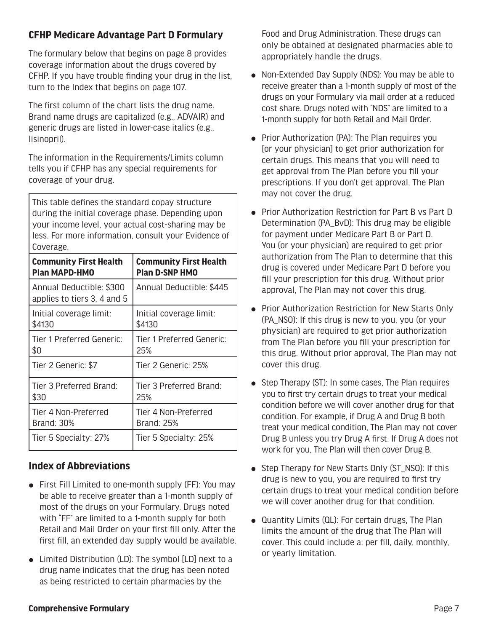#### **CFHP Medicare Advantage Part D Formulary**

The formulary below that begins on page 8 provides coverage information about the drugs covered by CFHP. If you have trouble finding your drug in the list, turn to the Index that begins on page 107.

The first column of the chart lists the drug name. Brand name drugs are capitalized (e.g., ADVAIR) and generic drugs are listed in lower-case italics (e.g., lisinopril).

The information in the Requirements/Limits column tells you if CFHP has any special requirements for coverage of your drug.

This table defines the standard copay structure during the initial coverage phase. Depending upon your income level, your actual cost-sharing may be less. For more information, consult your Evidence of Coverage.

| <b>Community First Health</b>                           | <b>Community First Health</b> |
|---------------------------------------------------------|-------------------------------|
| <b>Plan MAPD-HMO</b>                                    | <b>Plan D-SNP HMO</b>         |
| Annual Deductible: \$300<br>applies to tiers 3, 4 and 5 | Annual Deductible: \$445      |
| Initial coverage limit:                                 | Initial coverage limit:       |
| \$4130                                                  | \$4130                        |
| Tier 1 Preferred Generic:                               | Tier 1 Preferred Generic:     |
| \$0                                                     | 25%                           |
| Tier 2 Generic: \$7                                     | Tier 2 Generic: 25%           |
| Tier 3 Preferred Brand:                                 | Tier 3 Preferred Brand:       |
| \$30                                                    | 25%                           |
| Tier 4 Non-Preferred                                    | Tier 4 Non-Preferred          |
| Brand: 30%                                              | <b>Brand: 25%</b>             |
| Tier 5 Specialty: 27%                                   | Tier 5 Specialty: 25%         |

#### **Index of Abbreviations**

- $\bullet$  First Fill Limited to one-month supply (FF): You may be able to receive greater than a 1-month supply of most of the drugs on your Formulary. Drugs noted with "FF" are limited to a 1-month supply for both Retail and Mail Order on your first fill only. After the first fill, an extended day supply would be available.
- Limited Distribution (LD): The symbol [LD] next to a drug name indicates that the drug has been noted as being restricted to certain pharmacies by the

Food and Drug Administration. These drugs can only be obtained at designated pharmacies able to appropriately handle the drugs.

- Non-Extended Day Supply (NDS): You may be able to receive greater than a 1-month supply of most of the drugs on your Formulary via mail order at a reduced cost share. Drugs noted with "NDS" are limited to a 1-month supply for both Retail and Mail Order.
- Prior Authorization (PA): The Plan requires you [or your physician] to get prior authorization for certain drugs. This means that you will need to get approval from The Plan before you fill your prescriptions. If you don't get approval, The Plan may not cover the drug.
- Prior Authorization Restriction for Part B vs Part D Determination (PA\_BvD): This drug may be eligible for payment under Medicare Part B or Part D. You (or your physician) are required to get prior authorization from The Plan to determine that this drug is covered under Medicare Part D before you fill your prescription for this drug. Without prior approval, The Plan may not cover this drug.
- Prior Authorization Restriction for New Starts Only (PA\_NSO): If this drug is new to you, you (or your physician) are required to get prior authorization from The Plan before you fill your prescription for this drug. Without prior approval, The Plan may not cover this drug.
- $\bullet$  Step Therapy (ST): In some cases, The Plan requires you to first try certain drugs to treat your medical condition before we will cover another drug for that condition. For example, if Drug A and Drug B both treat your medical condition, The Plan may not cover Drug B unless you try Drug A first. If Drug A does not work for you, The Plan will then cover Drug B.
- Step Therapy for New Starts Only (ST\_NSO): If this drug is new to you, you are required to first try certain drugs to treat your medical condition before we will cover another drug for that condition.
- $\bullet$  Quantity Limits (QL): For certain drugs, The Plan limits the amount of the drug that The Plan will cover. This could include a: per fill, daily, monthly, or yearly limitation.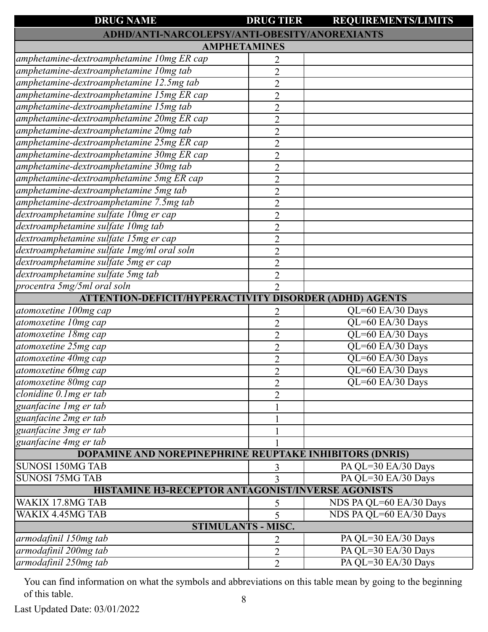| <b>DRUG NAME</b>                                               | <b>DRUG TIER</b>    | <b>REQUIREMENTS/LIMITS</b> |
|----------------------------------------------------------------|---------------------|----------------------------|
| ADHD/ANTI-NARCOLEPSY/ANTI-OBESITY/ANOREXIANTS                  |                     |                            |
| <b>AMPHETAMINES</b>                                            |                     |                            |
| amphetamine-dextroamphetamine 10mg ER cap                      | 2                   |                            |
| amphetamine-dextroamphetamine 10mg tab                         | $\overline{2}$      |                            |
| amphetamine-dextroamphetamine 12.5mg tab                       | $\overline{2}$      |                            |
| amphetamine-dextroamphetamine 15mg ER cap                      | $\overline{2}$      |                            |
| amphetamine-dextroamphetamine 15mg tab                         | $\overline{2}$      |                            |
| amphetamine-dextroamphetamine 20mg ER cap                      | $\overline{2}$      |                            |
| amphetamine-dextroamphetamine 20mg tab                         | $\overline{2}$      |                            |
| amphetamine-dextroamphetamine 25mg ER cap                      | $\overline{2}$      |                            |
| amphetamine-dextroamphetamine 30mg ER cap                      | $\overline{2}$      |                            |
| amphetamine-dextroamphetamine 30mg tab                         | $\overline{2}$      |                            |
| amphetamine-dextroamphetamine 5mg ER cap                       | $\overline{2}$      |                            |
| amphetamine-dextroamphetamine 5mg tab                          | $\overline{2}$      |                            |
| amphetamine-dextroamphetamine 7.5mg tab                        | $\overline{2}$      |                            |
| dextroamphetamine sulfate 10mg er cap                          | $\overline{2}$      |                            |
| dextroamphetamine sulfate 10mg tab                             | $\overline{2}$      |                            |
| dextroamphetamine sulfate 15mg er cap                          | $\overline{2}$      |                            |
| dextroamphetamine sulfate 1mg/ml oral soln                     | $\overline{2}$      |                            |
| dextroamphetamine sulfate 5mg er cap                           | $\overline{2}$      |                            |
| dextroamphetamine sulfate 5mg tab                              | $\overline{2}$      |                            |
| procentra 5mg/5ml oral soln                                    | $\overline{2}$      |                            |
| <b>ATTENTION-DEFICIT/HYPERACTIVITY DISORDER (ADHD) AGENTS</b>  |                     |                            |
| atomoxetine 100mg cap                                          |                     | QL=60 EA/30 Days           |
| atomoxetine 10mg cap                                           | 2<br>$\overline{2}$ | QL=60 EA/30 Days           |
| atomoxetine 18mg cap                                           | $\overline{2}$      | QL=60 EA/30 Days           |
| atomoxetine 25mg cap                                           | $\overline{2}$      | QL=60 EA/30 Days           |
| atomoxetine 40mg cap                                           | $\overline{2}$      | QL=60 EA/30 Days           |
| atomoxetine 60mg cap                                           | $\overline{2}$      | QL=60 EA/30 Days           |
| atomoxetine 80mg cap                                           |                     | QL=60 EA/30 Days           |
| $clonidine$ 0.1 mg er tab                                      | $\overline{2}$      |                            |
| guanfacine 1 mg er tab                                         | $\overline{2}$      |                            |
| guanfacine 2mg er tab                                          |                     |                            |
| guanfacine 3mg er tab                                          |                     |                            |
| guanfacine 4mg er tab                                          |                     |                            |
| <b>DOPAMINE AND NOREPINEPHRINE REUPTAKE INHIBITORS (DNRIS)</b> |                     |                            |
| <b>SUNOSI 150MG TAB</b>                                        |                     | PA QL=30 EA/30 Days        |
| <b>SUNOSI 75MG TAB</b>                                         | 3                   | PA QL=30 EA/30 Days        |
| HISTAMINE H3-RECEPTOR ANTAGONIST/INVERSE AGONISTS              | 3                   |                            |
|                                                                |                     |                            |
| WAKIX 17.8MG TAB                                               | 5                   | NDS PA QL=60 EA/30 Days    |
| WAKIX 4.45MG TAB                                               | 5                   | NDS PA QL=60 EA/30 Days    |
| <b>STIMULANTS - MISC.</b>                                      |                     |                            |
| armodafinil 150mg tab                                          | 2                   | PA QL=30 EA/30 Days        |
| armodafinil 200mg tab                                          | 2                   | PA QL=30 EA/30 Days        |
| armodafinil 250mg tab                                          | $\overline{2}$      | PA QL=30 EA/30 Days        |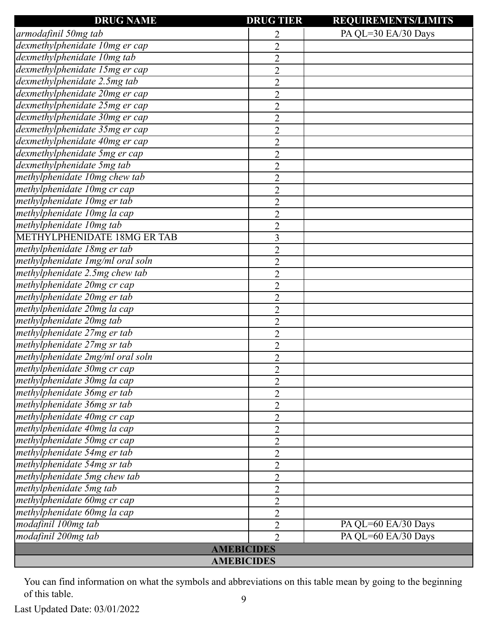| <b>DRUG NAME</b>                 | <b>DRUG TIER</b> | <b>REQUIREMENTS/LIMITS</b> |
|----------------------------------|------------------|----------------------------|
| armodafinil 50mg tab             | 2                | PA QL=30 EA/30 Days        |
| dexmethylphenidate 10mg er cap   | $\overline{2}$   |                            |
| dexmethylphenidate 10mg tab      | $\overline{2}$   |                            |
| dexmethylphenidate 15mg er cap   | $\overline{2}$   |                            |
| dexmethylphenidate 2.5mg tab     | $\overline{2}$   |                            |
| dexmethylphenidate 20mg er cap   | $\overline{2}$   |                            |
| dexmethylphenidate 25mg er cap   | $\overline{2}$   |                            |
| dexmethylphenidate 30mg er cap   | $\overline{2}$   |                            |
| dexmethylphenidate 35mg er cap   | $\overline{2}$   |                            |
| dexmethylphenidate 40mg er cap   | $\overline{2}$   |                            |
| dexmethylphenidate 5mg er cap    | $\overline{2}$   |                            |
| dexmethylphenidate 5mg tab       | $\overline{2}$   |                            |
| methylphenidate 10mg chew tab    | $\overline{2}$   |                            |
| methylphenidate 10mg cr cap      | $\overline{2}$   |                            |
| methylphenidate 10mg er tab      | $\overline{2}$   |                            |
| methylphenidate 10mg la cap      | $\overline{2}$   |                            |
| methylphenidate 10mg tab         | $\overline{2}$   |                            |
| METHYLPHENIDATE 18MG ER TAB      | 3                |                            |
| methylphenidate 18mg er tab      | $\overline{2}$   |                            |
| methylphenidate 1mg/ml oral soln | $\overline{2}$   |                            |
| methylphenidate 2.5mg chew tab   | $\overline{2}$   |                            |
| methylphenidate 20mg cr cap      | $\overline{2}$   |                            |
| methylphenidate 20mg er tab      | $\overline{2}$   |                            |
| methylphenidate 20mg la cap      | $\overline{2}$   |                            |
| methylphenidate 20mg tab         | $\overline{2}$   |                            |
| methylphenidate 27mg er tab      | $\overline{2}$   |                            |
| methylphenidate 27mg sr tab      | $\overline{2}$   |                            |
| methylphenidate 2mg/ml oral soln | $\overline{2}$   |                            |
| methylphenidate 30mg cr cap      | $\overline{2}$   |                            |
| methylphenidate 30mg la cap      | $\overline{2}$   |                            |
| methylphenidate 36mg er tab      | $\overline{2}$   |                            |
| methylphenidate 36mg sr tab      | $\overline{2}$   |                            |
| methylphenidate 40mg cr cap      | $\overline{2}$   |                            |
| methylphenidate 40mg la cap      | $\overline{2}$   |                            |
| methylphenidate 50mg cr cap      | $\overline{2}$   |                            |
| methylphenidate 54mg er tab      | $\overline{2}$   |                            |
| methylphenidate 54mg sr tab      | $\overline{2}$   |                            |
| methylphenidate 5mg chew tab     | $\overline{2}$   |                            |
| methylphenidate 5mg tab          | $\overline{2}$   |                            |
| methylphenidate 60mg cr cap      | $\overline{2}$   |                            |
| methylphenidate 60mg la cap      | $\overline{2}$   |                            |
| modafinil 100mg tab              | $\overline{2}$   | PA QL=60 EA/30 Days        |
| modafinil 200mg tab              | $\overline{2}$   | PA QL=60 EA/30 Days        |
| <b>AMEBICIDES</b>                |                  |                            |
| <b>AMEBICIDES</b>                |                  |                            |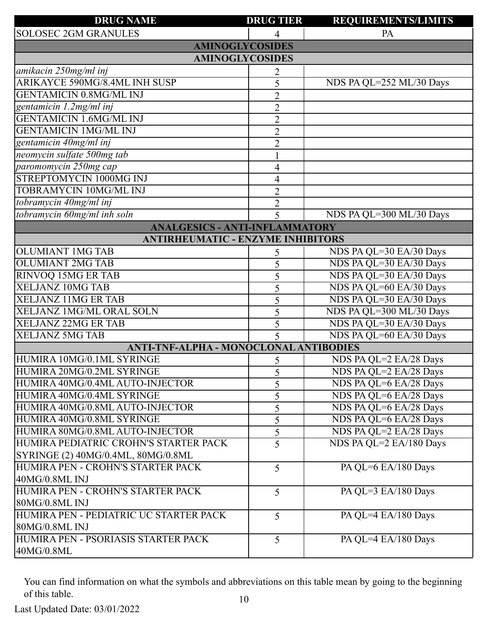| <b>DRUG NAME</b>                         | <b>DRUG TIER</b>        | <b>REQUIREMENTS/LIMITS</b> |
|------------------------------------------|-------------------------|----------------------------|
| <b>SOLOSEC 2GM GRANULES</b>              |                         | PA                         |
| <b>AMINOGLYCOSIDES</b>                   |                         |                            |
| <b>AMINOGLYCOSIDES</b>                   |                         |                            |
| amikacin 250mg/ml inj                    | 2                       |                            |
| ARIKAYCE 590MG/8.4ML INH SUSP            | 5                       | NDS PA QL=252 ML/30 Days   |
| <b>GENTAMICIN 0.8MG/ML INJ</b>           | $\overline{2}$          |                            |
| gentamicin 1.2mg/ml inj                  | $\overline{2}$          |                            |
| <b>GENTAMICIN 1.6MG/ML INJ</b>           | $\overline{2}$          |                            |
| <b>GENTAMICIN 1MG/ML INJ</b>             | $\overline{2}$          |                            |
| gentamicin 40mg/ml inj                   | $\overline{2}$          |                            |
| neomycin sulfate 500mg tab               |                         |                            |
| paromomycin 250mg cap                    | 4                       |                            |
| STREPTOMYCIN 1000MG INJ                  | 4                       |                            |
| <b>TOBRAMYCIN 10MG/ML INJ</b>            | $\overline{2}$          |                            |
| tobramycin 40mg/ml inj                   | $\overline{2}$          |                            |
| tobramycin 60mg/ml inh soln              | 5                       | NDS PA QL=300 ML/30 Days   |
| <b>ANALGESICS - ANTI-INFLAMMATORY</b>    |                         |                            |
| <b>ANTIRHEUMATIC - ENZYME INHIBITORS</b> |                         |                            |
| OLUMIANT 1MG TAB                         | 5                       | NDS PA QL=30 EA/30 Days    |
| <b>OLUMIANT 2MG TAB</b>                  | 5                       | NDS PA QL=30 EA/30 Days    |
| <b>RINVOQ 15MG ER TAB</b>                | 5                       | NDS PA QL=30 EA/30 Days    |
| <b>XELJANZ 10MG TAB</b>                  | 5                       | NDS PA QL=60 EA/30 Days    |
| <b>XELJANZ 11MG ER TAB</b>               | 5                       | NDS PA QL=30 EA/30 Days    |
| XELJANZ 1MG/ML ORAL SOLN                 | 5                       | NDS PA QL=300 ML/30 Days   |
| <b>XELJANZ 22MG ER TAB</b>               | 5                       | NDS PA QL=30 EA/30 Days    |
| <b>XELJANZ 5MG TAB</b>                   | $\overline{\mathbf{5}}$ | NDS PA QL=60 EA/30 Days    |
| ANTI-TNF-ALPHA - MONOCLONAL ANTIBODIES   |                         |                            |
| HUMIRA 10MG/0.1ML SYRINGE                | 5                       | NDS PA QL=2 EA/28 Days     |
| HUMIRA 20MG/0.2ML SYRINGE                | 5                       | NDS PA QL=2 EA/28 Days     |
| HUMIRA 40MG/0.4ML AUTO-INJECTOR          | 5                       | NDS PA QL=6 EA/28 Days     |
| HUMIRA 40MG/0.4ML SYRINGE                | 5                       | NDS PA QL=6 EA/28 Days     |
| HUMIRA 40MG/0.8ML AUTO-INJECTOR          | 5                       | NDS PA QL=6 EA/28 Days     |
| HUMIRA 40MG/0.8ML SYRINGE                | 5                       | NDS PA QL=6 EA/28 Days     |
| HUMIRA 80MG/0.8ML AUTO-INJECTOR          | $\mathfrak{S}$          | NDS PA QL=2 EA/28 Days     |
| HUMIRA PEDIATRIC CROHN'S STARTER PACK    | 5                       | NDS PA QL=2 EA/180 Days    |
| SYRINGE (2) 40MG/0.4ML, 80MG/0.8ML       |                         |                            |
| HUMIRA PEN - CROHN'S STARTER PACK        | 5                       | PA QL=6 EA/180 Days        |
| 40MG/0.8ML INJ                           |                         |                            |
| HUMIRA PEN - CROHN'S STARTER PACK        | 5                       | PA QL=3 EA/180 Days        |
| 80MG/0.8ML INJ                           |                         |                            |
| HUMIRA PEN - PEDIATRIC UC STARTER PACK   | 5                       | PA QL=4 EA/180 Days        |
| 80MG/0.8ML INJ                           |                         |                            |
| HUMIRA PEN - PSORIASIS STARTER PACK      | 5                       | PA QL=4 EA/180 Days        |
| 40MG/0.8ML                               |                         |                            |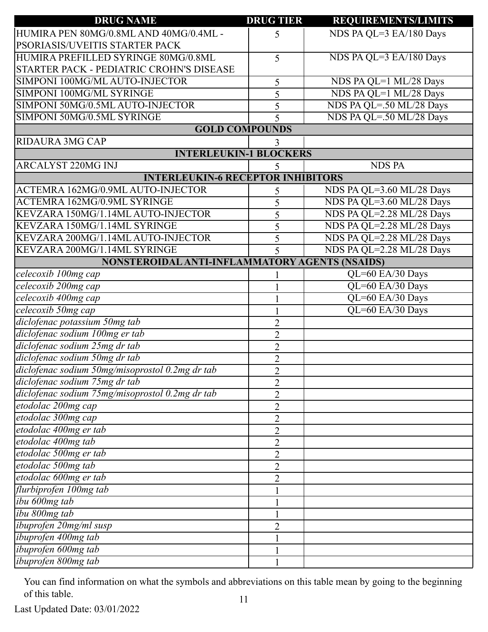| <b>DRUG NAME</b>                                | <b>DRUG TIER</b> | REQUIREMENTS/LIMITS       |
|-------------------------------------------------|------------------|---------------------------|
| HUMIRA PEN 80MG/0.8ML AND 40MG/0.4ML -          | 5                | NDS PA QL=3 EA/180 Days   |
| PSORIASIS/UVEITIS STARTER PACK                  |                  |                           |
| HUMIRA PREFILLED SYRINGE 80MG/0.8ML             | 5                | NDS PA QL=3 EA/180 Days   |
| STARTER PACK - PEDIATRIC CROHN'S DISEASE        |                  |                           |
| SIMPONI 100MG/ML AUTO-INJECTOR                  | 5                | NDS PA QL=1 ML/28 Days    |
| SIMPONI 100MG/ML SYRINGE                        | 5                | NDS PA QL=1 ML/28 Days    |
| SIMPONI 50MG/0.5ML AUTO-INJECTOR                | 5                | NDS PA QL=.50 ML/28 Days  |
| SIMPONI 50MG/0.5ML SYRINGE                      | 5                | NDS PA QL=.50 ML/28 Days  |
| <b>GOLD COMPOUNDS</b>                           |                  |                           |
| <b>RIDAURA 3MG CAP</b>                          | 3                |                           |
| <b>INTERLEUKIN-1 BLOCKERS</b>                   |                  |                           |
| <b>ARCALYST 220MG INJ</b>                       | 5                | <b>NDS PA</b>             |
| <b>INTERLEUKIN-6 RECEPTOR INHIBITORS</b>        |                  |                           |
| ACTEMRA 162MG/0.9ML AUTO-INJECTOR               | 5                | NDS PA QL=3.60 ML/28 Days |
| <b>ACTEMRA 162MG/0.9ML SYRINGE</b>              | 5                | NDS PA QL=3.60 ML/28 Days |
| KEVZARA 150MG/1.14ML AUTO-INJECTOR              | 5                | NDS PA QL=2.28 ML/28 Days |
| KEVZARA 150MG/1.14ML SYRINGE                    | 5                | NDS PA QL=2.28 ML/28 Days |
| KEVZARA 200MG/1.14ML AUTO-INJECTOR              | 5                | NDS PA QL=2.28 ML/28 Days |
| KEVZARA 200MG/1.14ML SYRINGE                    | 5                | NDS PA QL=2.28 ML/28 Days |
| NONSTEROIDAL ANTI-INFLAMMATORY AGENTS (NSAIDS)  |                  |                           |
| celecoxib 100mg cap                             |                  | QL=60 EA/30 Days          |
| celecoxib 200mg cap                             |                  | QL=60 EA/30 Days          |
| celecoxib 400mg cap                             |                  | QL=60 EA/30 Days          |
| celecoxib 50mg cap                              |                  | QL=60 EA/30 Days          |
| diclofenac potassium 50mg tab                   | $\overline{2}$   |                           |
| diclofenac sodium 100mg er tab                  | $\overline{2}$   |                           |
| diclofenac sodium 25mg dr tab                   | $\overline{2}$   |                           |
| diclofenac sodium 50mg dr tab                   | $\overline{2}$   |                           |
| diclofenac sodium 50mg/misoprostol 0.2mg dr tab | $\overline{2}$   |                           |
| diclofenac sodium 75mg dr tab                   | $\overline{2}$   |                           |
| diclofenac sodium 75mg/misoprostol 0.2mg dr tab | $\overline{2}$   |                           |
| etodolac 200mg cap                              | $\overline{2}$   |                           |
| etodolac 300mg cap                              | $\overline{2}$   |                           |
| etodolac 400mg er tab                           | $\overline{2}$   |                           |
| etodolac 400mg tab                              | $\overline{2}$   |                           |
| etodolac 500mg er tab                           | $\overline{2}$   |                           |
| etodolac 500mg tab                              | $\overline{2}$   |                           |
| etodolac 600mg er tab                           | $\overline{2}$   |                           |
| flurbiprofen 100mg tab                          |                  |                           |
| ibu 600mg tab                                   |                  |                           |
| ibu 800mg tab                                   |                  |                           |
| ibuprofen 20mg/ml susp                          | $\overline{2}$   |                           |
| ibuprofen 400mg tab                             |                  |                           |
| ibuprofen 600mg tab                             |                  |                           |
| ibuprofen 800mg tab                             |                  |                           |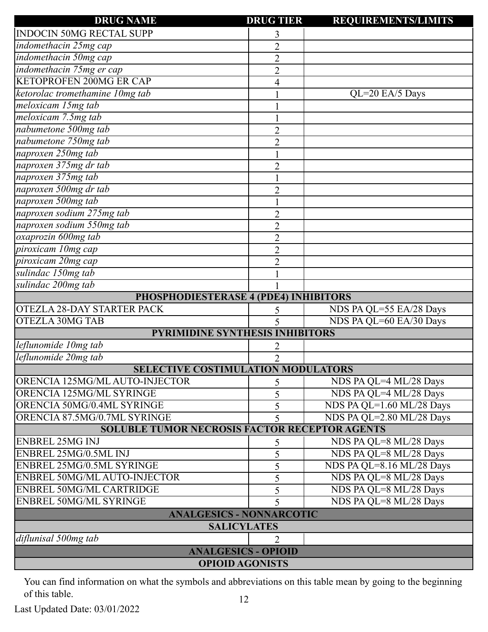| <b>DRUG NAME</b>                                     | <b>DRUG TIER</b>                       | <b>REQUIREMENTS/LIMITS</b> |  |  |
|------------------------------------------------------|----------------------------------------|----------------------------|--|--|
| <b>INDOCIN 50MG RECTAL SUPP</b>                      | 3                                      |                            |  |  |
| indomethacin 25mg cap                                | $\overline{2}$                         |                            |  |  |
| indomethacin 50mg cap                                | $\overline{2}$                         |                            |  |  |
| indomethacin 75mg er cap                             | $\overline{2}$                         |                            |  |  |
| <b>KETOPROFEN 200MG ER CAP</b>                       | 4                                      |                            |  |  |
| ketorolac tromethamine 10mg tab                      |                                        | $QL=20$ EA/5 Days          |  |  |
| meloxicam 15mg tab                                   |                                        |                            |  |  |
| meloxicam 7.5mg tab                                  |                                        |                            |  |  |
| nabumetone 500mg tab                                 | $\overline{2}$                         |                            |  |  |
| nabumetone 750mg tab                                 | $\overline{2}$                         |                            |  |  |
| naproxen 250mg tab                                   |                                        |                            |  |  |
| naproxen 375mg dr tab                                | $\overline{2}$                         |                            |  |  |
| naproxen 375mg tab                                   |                                        |                            |  |  |
| naproxen 500mg dr tab                                | $\overline{2}$                         |                            |  |  |
| naproxen 500mg tab                                   |                                        |                            |  |  |
| naproxen sodium 275mg tab                            | $\overline{2}$                         |                            |  |  |
| naproxen sodium 550mg tab                            | $\overline{2}$                         |                            |  |  |
| oxaprozin 600mg tab                                  | $\overline{2}$                         |                            |  |  |
| piroxicam 10mg cap                                   | $\overline{2}$                         |                            |  |  |
| piroxicam 20mg cap                                   | $\overline{2}$                         |                            |  |  |
| sulindac 150mg tab                                   |                                        |                            |  |  |
| sulindac 200mg tab                                   |                                        |                            |  |  |
| PHOSPHODIESTERASE 4 (PDE4) INHIBITORS                |                                        |                            |  |  |
| <b>OTEZLA 28-DAY STARTER PACK</b>                    | 5                                      | NDS PA QL=55 EA/28 Days    |  |  |
| <b>OTEZLA 30MG TAB</b>                               | 5                                      | NDS PA QL=60 EA/30 Days    |  |  |
|                                                      | <b>PYRIMIDINE SYNTHESIS INHIBITORS</b> |                            |  |  |
| leflunomide 10mg tab                                 |                                        |                            |  |  |
| leflunomide 20mg tab                                 | $\overline{2}$                         |                            |  |  |
| <b>SELECTIVE COSTIMULATION MODULATORS</b>            |                                        |                            |  |  |
| ORENCIA 125MG/ML AUTO-INJECTOR                       | 5                                      | NDS PA QL=4 ML/28 Days     |  |  |
| ORENCIA 125MG/ML SYRINGE                             | 5                                      | NDS PA QL=4 ML/28 Days     |  |  |
| ORENCIA 50MG/0.4ML SYRINGE                           | 5                                      | NDS PA QL=1.60 ML/28 Days  |  |  |
| ORENCIA 87.5MG/0.7ML SYRINGE                         | 5                                      | NDS PA QL=2.80 ML/28 Days  |  |  |
| <b>SOLUBLE TUMOR NECROSIS FACTOR RECEPTOR AGENTS</b> |                                        |                            |  |  |
| <b>ENBREL 25MG INJ</b>                               | 5                                      | NDS PA QL=8 ML/28 Days     |  |  |
| ENBREL 25MG/0.5ML INJ                                | 5                                      | NDS PA QL=8 ML/28 Days     |  |  |
| ENBREL 25MG/0.5ML SYRINGE                            | 5                                      | NDS PA QL=8.16 ML/28 Days  |  |  |
| ENBREL 50MG/ML AUTO-INJECTOR                         | 5                                      | NDS PA QL=8 ML/28 Days     |  |  |
| <b>ENBREL 50MG/ML CARTRIDGE</b>                      | 5                                      | NDS PA QL=8 ML/28 Days     |  |  |
| <b>ENBREL 50MG/ML SYRINGE</b>                        | 5                                      | NDS PA QL=8 ML/28 Days     |  |  |
| <b>ANALGESICS - NONNARCOTIC</b>                      |                                        |                            |  |  |
| <b>SALICYLATES</b>                                   |                                        |                            |  |  |
| diflunisal 500mg tab                                 | $\overline{2}$                         |                            |  |  |
| <b>ANALGESICS - OPIOID</b>                           |                                        |                            |  |  |
| <b>OPIOID AGONISTS</b>                               |                                        |                            |  |  |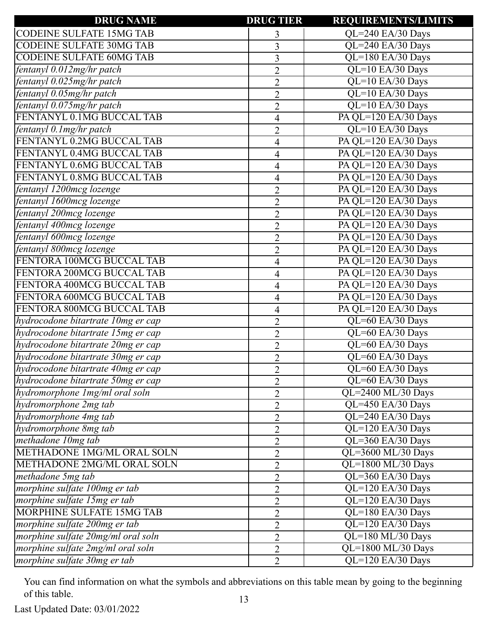| <b>DRUG NAME</b>                   | <b>DRUG TIER</b> | <b>REQUIREMENTS/LIMITS</b> |
|------------------------------------|------------------|----------------------------|
| <b>CODEINE SULFATE 15MG TAB</b>    | 3                | QL=240 EA/30 Days          |
| <b>CODEINE SULFATE 30MG TAB</b>    | 3                | QL=240 EA/30 Days          |
| <b>CODEINE SULFATE 60MG TAB</b>    | 3                | QL=180 EA/30 Days          |
| fentanyl 0.012mg/hr patch          | $\overline{2}$   | QL=10 EA/30 Days           |
| fentanyl 0.025mg/hr patch          | $\overline{2}$   | QL=10 EA/30 Days           |
| fentanyl 0.05mg/hr patch           | $\overline{2}$   | QL=10 EA/30 Days           |
| fentanyl 0.075mg/hr patch          | $\overline{2}$   | QL=10 EA/30 Days           |
| FENTANYL 0.1MG BUCCAL TAB          | 4                | PA QL=120 EA/30 Days       |
| fentanyl 0.1 mg/hr patch           | $\overline{2}$   | QL=10 EA/30 Days           |
| FENTANYL 0.2MG BUCCAL TAB          | 4                | PA QL=120 EA/30 Days       |
| FENTANYL 0.4MG BUCCAL TAB          | 4                | PA QL=120 EA/30 Days       |
| FENTANYL 0.6MG BUCCAL TAB          | 4                | PA QL=120 EA/30 Days       |
| FENTANYL 0.8MG BUCCAL TAB          | 4                | PA QL=120 EA/30 Days       |
| fentanyl 1200mcg lozenge           | $\overline{2}$   | PA QL=120 EA/30 Days       |
| fentanyl 1600mcg lozenge           | $\overline{2}$   | PA QL=120 EA/30 Days       |
| fentanyl 200mcg lozenge            | $\overline{2}$   | PA QL=120 EA/30 Days       |
| fentanyl 400mcg lozenge            | $\overline{2}$   | PA QL=120 EA/30 Days       |
| fentanyl 600mcg lozenge            | $\overline{2}$   | PA QL=120 EA/30 Days       |
| fentanyl 800mcg lozenge            | $\overline{2}$   | PA QL=120 EA/30 Days       |
| FENTORA 100MCG BUCCAL TAB          | 4                | PA QL=120 EA/30 Days       |
| FENTORA 200MCG BUCCAL TAB          | 4                | PA QL=120 EA/30 Days       |
| FENTORA 400MCG BUCCAL TAB          | 4                | PA QL=120 EA/30 Days       |
| FENTORA 600MCG BUCCAL TAB          | 4                | PA QL=120 EA/30 Days       |
| FENTORA 800MCG BUCCAL TAB          | 4                | PA QL=120 EA/30 Days       |
| hydrocodone bitartrate 10mg er cap | $\overline{2}$   | QL=60 EA/30 Days           |
| hydrocodone bitartrate 15mg er cap | $\overline{2}$   | QL=60 EA/30 Days           |
| hydrocodone bitartrate 20mg er cap | $\overline{2}$   | QL=60 EA/30 Days           |
| hydrocodone bitartrate 30mg er cap | $\overline{2}$   | QL=60 EA/30 Days           |
| hydrocodone bitartrate 40mg er cap | $\overline{2}$   | QL=60 EA/30 Days           |
| hydrocodone bitartrate 50mg er cap | $\overline{2}$   | QL=60 EA/30 Days           |
| hydromorphone 1mg/ml oral soln     | $\overline{2}$   | QL=2400 ML/30 Days         |
| hydromorphone 2mg tab              | $\overline{2}$   | QL=450 EA/30 Days          |
| hydromorphone 4mg tab              | $\overline{2}$   | QL=240 EA/30 Days          |
| hydromorphone 8mg tab              | $\overline{2}$   | QL=120 EA/30 Days          |
| methadone 10mg tab                 | $\overline{2}$   | QL=360 EA/30 Days          |
| METHADONE 1MG/ML ORAL SOLN         | $\overline{2}$   | QL=3600 ML/30 Days         |
| METHADONE 2MG/ML ORAL SOLN         | $\overline{2}$   | QL=1800 ML/30 Days         |
| methadone 5mg tab                  | $\overline{2}$   | QL=360 EA/30 Days          |
| morphine sulfate 100mg er tab      | $\overline{2}$   | QL=120 EA/30 Days          |
| morphine sulfate 15mg er tab       | $\overline{2}$   | QL=120 EA/30 Days          |
| <b>MORPHINE SULFATE 15MG TAB</b>   | $\overline{2}$   | QL=180 EA/30 Days          |
| morphine sulfate 200mg er tab      | $\overline{2}$   | QL=120 EA/30 Days          |
| morphine sulfate 20mg/ml oral soln | $\overline{2}$   | QL=180 ML/30 Days          |
| morphine sulfate 2mg/ml oral soln  | $\overline{2}$   | QL=1800 ML/30 Days         |
| morphine sulfate 30mg er tab       | $\overline{2}$   | QL=120 EA/30 Days          |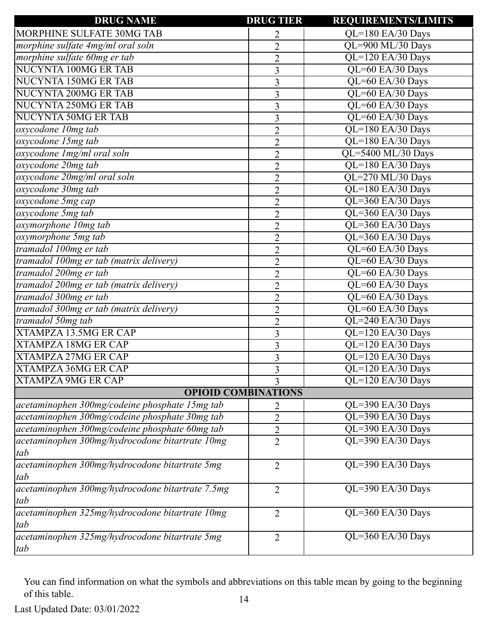| <b>DRUG NAME</b>                                 | <b>DRUG TIER</b>           | <b>REQUIREMENTS/LIMITS</b>      |
|--------------------------------------------------|----------------------------|---------------------------------|
| MORPHINE SULFATE 30MG TAB                        | 2                          | QL=180 EA/30 Days               |
| morphine sulfate 4mg/ml oral soln                | $\overline{2}$             | QL=900 ML/30 Days               |
| morphine sulfate 60mg er tab                     | $\overline{2}$             | QL=120 EA/30 Days               |
| <b>NUCYNTA 100MG ER TAB</b>                      | $\overline{3}$             | QL=60 EA/30 Days                |
| NUCYNTA 150MG ER TAB                             | 3                          | QL=60 EA/30 Days                |
| NUCYNTA 200MG ER TAB                             | $\overline{3}$             | QL=60 EA/30 Days                |
| <b>NUCYNTA 250MG ER TAB</b>                      | $\mathfrak{Z}$             | QL=60 EA/30 Days                |
| <b>NUCYNTA 50MG ER TAB</b>                       | 3                          | QL=60 EA/30 Days                |
| oxycodone 10mg tab                               | $\overline{2}$             | QL=180 EA/30 Days               |
| oxycodone 15mg tab                               | $\overline{2}$             | QL=180 EA/30 Days               |
| oxycodone Img/ml oral soln                       | $\overline{2}$             | QL=5400 ML/30 Days              |
| oxycodone 20mg tab                               | $\overline{2}$             | QL=180 EA/30 Days               |
| oxycodone 20mg/ml oral soln                      | $\overline{2}$             | QL=270 ML/30 Days               |
| oxycodone 30mg tab                               | $\overline{2}$             | QL=180 EA/30 Days               |
| oxycodone 5mg cap                                | $\overline{2}$             | QL=360 EA/30 Days               |
| oxycodone 5mg tab                                | $\overline{2}$             | QL=360 EA/30 Days               |
| oxymorphone 10mg tab                             | $\overline{2}$             | QL=360 EA/30 Days               |
| oxymorphone 5mg tab                              | $\overline{2}$             | QL=360 EA/30 Days               |
| tramadol 100mg er tab                            | $\overline{2}$             | QL=60 EA/30 Days                |
| tramadol 100mg er tab (matrix delivery)          | $\overline{2}$             | QL=60 EA/30 Days                |
| tramadol 200mg er tab                            | $\overline{2}$             | QL=60 EA/30 Days                |
| tramadol 200mg er tab (matrix delivery)          | $\overline{2}$             | QL=60 EA/30 Days                |
| tramadol 300mg er tab                            | $\overline{2}$             | QL=60 EA/30 Days                |
| tramadol 300mg er tab (matrix delivery)          | $\overline{2}$             | QL=60 EA/30 Days                |
| tramadol 50mg tab                                | $\overline{2}$             | QL=240 EA/30 Days               |
| <b>XTAMPZA 13.5MG ER CAP</b>                     | $\overline{3}$             | QL=120 EA/30 Days               |
| <b>XTAMPZA 18MG ER CAP</b>                       | 3                          | QL=120 EA/30 Days               |
| <b>XTAMPZA 27MG ER CAP</b>                       | 3                          | QL=120 EA/30 Days               |
| <b>XTAMPZA 36MG ER CAP</b>                       | 3                          | QL=120 EA/30 Days               |
| <b>XTAMPZA 9MG ER CAP</b>                        | $\overline{3}$             | $\overline{QL}$ =120 EA/30 Days |
|                                                  | <b>OPIOID COMBINATIONS</b> |                                 |
| acetaminophen 300mg/codeine phosphate 15mg tab   | 2                          | QL=390 EA/30 Days               |
| acetaminophen 300mg/codeine phosphate 30mg tab   | $\overline{2}$             | QL=390 EA/30 Days               |
| acetaminophen 300mg/codeine phosphate 60mg tab   | $\overline{2}$             | QL=390 EA/30 Days               |
| acetaminophen 300mg/hydrocodone bitartrate 10mg  | $\overline{2}$             | QL=390 EA/30 Days               |
| tab                                              |                            |                                 |
| acetaminophen 300mg/hydrocodone bitartrate 5mg   | $\overline{2}$             | QL=390 EA/30 Days               |
| tab                                              |                            |                                 |
| acetaminophen 300mg/hydrocodone bitartrate 7.5mg | $\overline{2}$             | QL=390 EA/30 Days               |
| tab                                              |                            |                                 |
| acetaminophen 325mg/hydrocodone bitartrate 10mg  | $\overline{2}$             | QL=360 EA/30 Days               |
| tab                                              |                            |                                 |
| acetaminophen 325mg/hydrocodone bitartrate 5mg   | $\overline{2}$             | QL=360 EA/30 Days               |
| tab                                              |                            |                                 |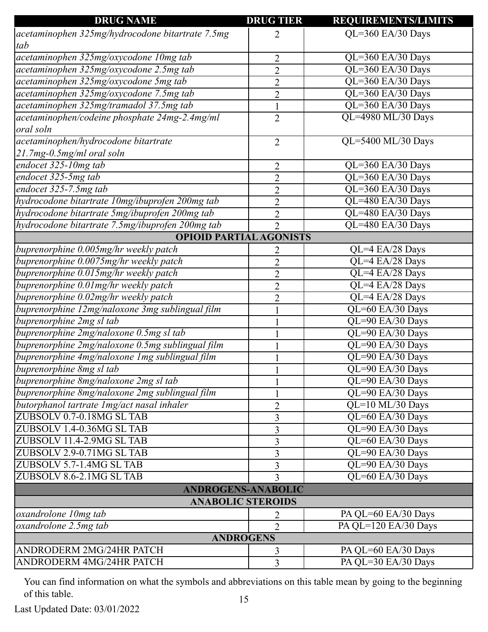| <b>DRUG NAME</b>                                 | <b>DRUG TIER</b>               | <b>REQUIREMENTS/LIMITS</b> |  |
|--------------------------------------------------|--------------------------------|----------------------------|--|
| acetaminophen 325mg/hydrocodone bitartrate 7.5mg | 2                              | QL=360 EA/30 Days          |  |
| tab                                              |                                |                            |  |
| acetaminophen 325mg/oxycodone 10mg tab           | $\overline{2}$                 | QL=360 EA/30 Days          |  |
| acetaminophen 325mg/oxycodone 2.5mg tab          | $\overline{2}$                 | QL=360 EA/30 Days          |  |
| acetaminophen 325mg/oxycodone 5mg tab            | $\overline{2}$                 | QL=360 EA/30 Days          |  |
| acetaminophen 325mg/oxycodone 7.5mg tab          | $\overline{2}$                 | QL=360 EA/30 Days          |  |
| acetaminophen 325mg/tramadol 37.5mg tab          | $\mathbf{1}$                   | QL=360 EA/30 Days          |  |
| acetaminophen/codeine phosphate 24mg-2.4mg/ml    | $\overline{2}$                 | QL=4980 ML/30 Days         |  |
| oral soln                                        |                                |                            |  |
| acetaminophen/hydrocodone bitartrate             | $\overline{2}$                 | QL=5400 ML/30 Days         |  |
| 21.7mg-0.5mg/ml oral soln                        |                                |                            |  |
| endocet 325-10mg tab                             | $\overline{2}$                 | QL=360 EA/30 Days          |  |
| endocet 325-5mg tab                              | $\overline{2}$                 | QL=360 EA/30 Days          |  |
| endocet 325-7.5mg tab                            | $\overline{2}$                 | QL=360 EA/30 Days          |  |
| hydrocodone bitartrate 10mg/ibuprofen 200mg tab  | $\overline{2}$                 | QL=480 EA/30 Days          |  |
| hydrocodone bitartrate 5mg/ibuprofen 200mg tab   | $\overline{2}$                 | QL=480 EA/30 Days          |  |
| hydrocodone bitartrate 7.5mg/ibuprofen 200mg tab | $\overline{2}$                 | QL=480 EA/30 Days          |  |
|                                                  | <b>OPIOID PARTIAL AGONISTS</b> |                            |  |
| buprenorphine 0.005mg/hr weekly patch            | 2                              | $QL=4$ EA/28 Days          |  |
| buprenorphine 0.0075mg/hr weekly patch           | $\overline{2}$                 | QL=4 EA/28 Days            |  |
| buprenorphine 0.015mg/hr weekly patch            | $\overline{2}$                 | QL=4 EA/28 Days            |  |
| buprenorphine 0.01mg/hr weekly patch             | $\overline{2}$                 | QL=4 EA/28 Days            |  |
| buprenorphine 0.02mg/hr weekly patch             | $\overline{2}$                 | QL=4 EA/28 Days            |  |
| buprenorphine 12mg/naloxone 3mg sublingual film  |                                | QL=60 EA/30 Days           |  |
| buprenorphine 2mg sl tab                         | $\mathbf{1}$                   | QL=90 EA/30 Days           |  |
| buprenorphine 2mg/naloxone 0.5mg sl tab          |                                | QL=90 EA/30 Days           |  |
| buprenorphine 2mg/naloxone 0.5mg sublingual film | 1                              |                            |  |
|                                                  |                                | QL=90 EA/30 Days           |  |
| buprenorphine 4mg/naloxone 1mg sublingual film   |                                | QL=90 EA/30 Days           |  |
| buprenorphine 8mg sl tab                         |                                | QL=90 EA/30 Days           |  |
| buprenorphine 8mg/naloxone 2mg sl tab            | $\mathbf{1}$                   | QL=90 EA/30 Days           |  |
| buprenorphine 8mg/naloxone 2mg sublingual film   | 1                              | QL=90 EA/30 Days           |  |
| butorphanol tartrate 1mg/act nasal inhaler       | $\overline{2}$                 | QL=10 ML/30 Days           |  |
| ZUBSOLV 0.7-0.18MG SL TAB                        | 3                              | QL=60 EA/30 Days           |  |
| ZUBSOLV 1.4-0.36MG SL TAB                        | 3                              | QL=90 EA/30 Days           |  |
| ZUBSOLV 11.4-2.9MG SL TAB                        | 3                              | QL=60 EA/30 Days           |  |
| ZUBSOLV 2.9-0.71MG SL TAB                        | 3                              | QL=90 EA/30 Days           |  |
| ZUBSOLV 5.7-1.4MG SL TAB                         | 3                              | QL=90 EA/30 Days           |  |
| ZUBSOLV 8.6-2.1MG SL TAB                         | 3                              | QL=60 EA/30 Days           |  |
|                                                  | <b>ANDROGENS-ANABOLIC</b>      |                            |  |
| <b>ANABOLIC STEROIDS</b>                         |                                |                            |  |
| oxandrolone 10mg tab                             | 2                              | PA QL=60 EA/30 Days        |  |
| oxandrolone 2.5mg tab                            | $\overline{2}$                 | PA QL=120 EA/30 Days       |  |
| <b>ANDROGENS</b>                                 |                                |                            |  |
| ANDRODERM 2MG/24HR PATCH                         | 3                              | PA QL=60 EA/30 Days        |  |
| ANDRODERM 4MG/24HR PATCH                         | $\overline{3}$                 | PA QL=30 EA/30 Days        |  |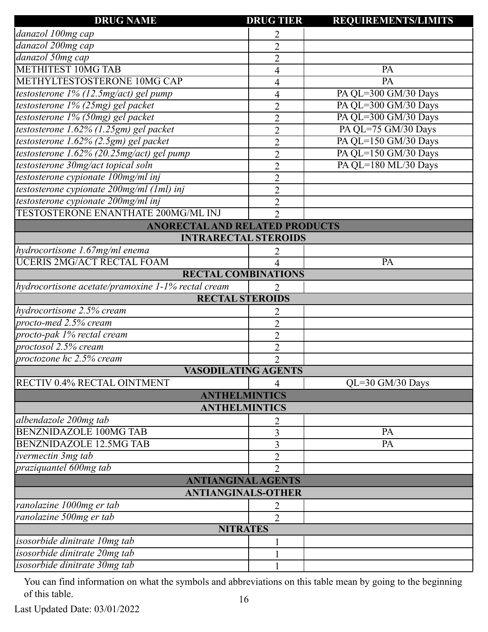| <b>DRUG NAME</b>                                   | <b>DRUG TIER</b>         | <b>REQUIREMENTS/LIMITS</b> |
|----------------------------------------------------|--------------------------|----------------------------|
| danazol 100mg cap                                  | 2                        |                            |
| danazol 200mg cap                                  | $\overline{2}$           |                            |
| danazol 50mg cap                                   | $\overline{c}$           |                            |
| <b>METHITEST 10MG TAB</b>                          | 4                        | PA                         |
| METHYLTESTOSTERONE 10MG CAP                        | 4                        | PA                         |
| testosterone 1% (12.5mg/act) gel pump              | 4                        | PA QL=300 GM/30 Days       |
| testosterone 1% (25mg) gel packet                  | $\overline{2}$           | PA QL=300 GM/30 Days       |
| testosterone 1% (50mg) gel packet                  | $\overline{2}$           | PA QL=300 GM/30 Days       |
| testosterone 1.62% (1.25gm) gel packet             | $\overline{c}$           | PA QL=75 GM/30 Days        |
| testosterone 1.62% (2.5gm) gel packet              | $\overline{2}$           | PA QL=150 GM/30 Days       |
| testosterone 1.62% (20.25mg/act) gel pump          | $\overline{2}$           | PA QL=150 GM/30 Days       |
| testosterone 30mg/act topical soln                 | $\overline{2}$           | PA QL=180 ML/30 Days       |
| testosterone cypionate 100mg/ml inj                | $\overline{2}$           |                            |
| testosterone cypionate 200mg/ml (1ml) inj          | $\overline{2}$           |                            |
| testosterone cypionate 200mg/ml inj                | $\overline{2}$           |                            |
| <b>TESTOSTERONE ENANTHATE 200MG/ML INJ</b>         | $\overline{2}$           |                            |
| <b>ANORECTAL AND RELATED PRODUCTS</b>              |                          |                            |
| <b>INTRARECTAL STEROIDS</b>                        |                          |                            |
| hydrocortisone 1.67mg/ml enema                     | 2                        |                            |
| <b>UCERIS 2MG/ACT RECTAL FOAM</b>                  | $\overline{\mathcal{A}}$ | PA                         |
| <b>RECTAL COMBINATIONS</b>                         |                          |                            |
| hydrocortisone acetate/pramoxine 1-1% rectal cream | 2                        |                            |
| <b>RECTAL STEROIDS</b>                             |                          |                            |
| hydrocortisone 2.5% cream                          | 2                        |                            |
| procto-med 2.5% cream                              | $\overline{2}$           |                            |
| procto-pak 1% rectal cream                         | $\overline{2}$           |                            |
| proctosol 2.5% cream                               | $\overline{2}$           |                            |
| proctozone hc 2.5% cream                           | $\overline{2}$           |                            |
| <b>VASODILATING AGENTS</b>                         |                          |                            |
| <b>RECTIV 0.4% RECTAL OINTMENT</b>                 | 4                        | QL=30 GM/30 Days           |
| <b>ANTHELMINTICS</b>                               |                          |                            |
| <b>ANTHELMINTICS</b>                               |                          |                            |
| albendazole 200mg tab                              |                          |                            |
| <b>BENZNIDAZOLE 100MG TAB</b>                      | 3                        | PA                         |
| <b>BENZNIDAZOLE 12.5MG TAB</b>                     | 3                        | PA                         |
| ivermectin 3mg tab                                 | 2                        |                            |
| praziquantel 600mg tab                             | $\overline{2}$           |                            |
| <b>ANTIANGINAL AGENTS</b>                          |                          |                            |
| <b>ANTIANGINALS-OTHER</b>                          |                          |                            |
| ranolazine 1000mg er tab                           | 2                        |                            |
| ranolazine 500mg er tab                            | $\overline{2}$           |                            |
| <b>NITRATES</b>                                    |                          |                            |
| isosorbide dinitrate 10mg tab                      |                          |                            |
| isosorbide dinitrate 20mg tab                      |                          |                            |
| isosorbide dinitrate 30mg tab                      |                          |                            |

Last Updated Date: 03/01/2022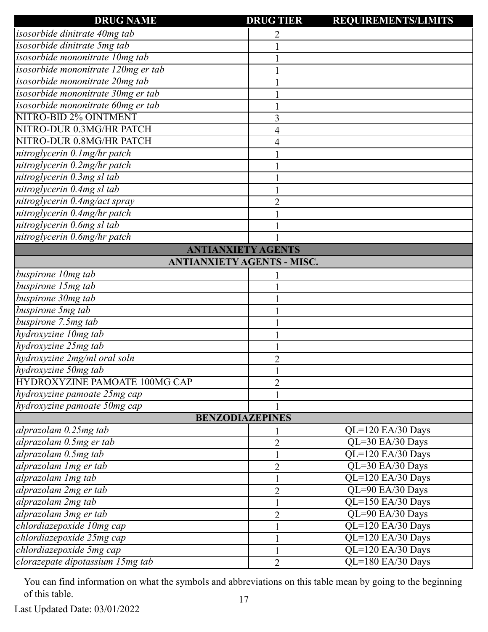| <b>DRUG NAME</b>                    | <b>DRUG TIER</b> | <b>REQUIREMENTS/LIMITS</b> |
|-------------------------------------|------------------|----------------------------|
| isosorbide dinitrate 40mg tab       |                  |                            |
| isosorbide dinitrate 5mg tab        |                  |                            |
| isosorbide mononitrate 10mg tab     |                  |                            |
| isosorbide mononitrate 120mg er tab |                  |                            |
| isosorbide mononitrate 20mg tab     |                  |                            |
| isosorbide mononitrate 30mg er tab  |                  |                            |
| isosorbide mononitrate 60mg er tab  |                  |                            |
| NITRO-BID 2% OINTMENT               | 3                |                            |
| NITRO-DUR 0.3MG/HR PATCH            | 4                |                            |
| NITRO-DUR 0.8MG/HR PATCH            | 4                |                            |
| nitroglycerin 0.1mg/hr patch        |                  |                            |
| nitroglycerin 0.2mg/hr patch        |                  |                            |
| nitroglycerin 0.3mg sl tab          |                  |                            |
| nitroglycerin 0.4mg sl tab          |                  |                            |
| nitroglycerin 0.4mg/act spray       | $\overline{2}$   |                            |
| nitroglycerin 0.4mg/hr patch        |                  |                            |
| nitroglycerin 0.6mg sl tab          |                  |                            |
| nitroglycerin 0.6mg/hr patch        |                  |                            |
| <b>ANTIANXIETY AGENTS</b>           |                  |                            |
| <b>ANTIANXIETY AGENTS - MISC.</b>   |                  |                            |
| buspirone 10mg tab                  |                  |                            |
| buspirone 15mg tab                  |                  |                            |
| buspirone 30mg tab                  |                  |                            |
| buspirone 5mg tab                   |                  |                            |
| buspirone 7.5mg tab                 |                  |                            |
| hydroxyzine 10mg tab                |                  |                            |
| hydroxyzine 25mg tab                |                  |                            |
| hydroxyzine 2mg/ml oral soln        | $\overline{2}$   |                            |
| hydroxyzine 50mg tab                |                  |                            |
| HYDROXYZINE PAMOATE 100MG CAP       | $\overline{2}$   |                            |
| hydroxyzine pamoate 25mg cap        |                  |                            |
| hydroxyzine pamoate 50mg cap        |                  |                            |
| <b>BENZODIAZEPINES</b>              |                  |                            |
| alprazolam 0.25mg tab               |                  | QL=120 EA/30 Days          |
| alprazolam 0.5mg er tab             | $\overline{2}$   | QL=30 EA/30 Days           |
| alprazolam 0.5mg tab                |                  | QL=120 EA/30 Days          |
| alprazolam 1 mg er tab              | $\overline{2}$   | QL=30 EA/30 Days           |
| alprazolam 1 mg tab                 |                  | QL=120 EA/30 Days          |
| alprazolam 2mg er tab               | $\overline{2}$   | QL=90 EA/30 Days           |
| alprazolam 2mg tab                  |                  | QL=150 EA/30 Days          |
| alprazolam 3mg er tab               | $\overline{2}$   | QL=90 EA/30 Days           |
| chlordiazepoxide 10mg cap           |                  | QL=120 EA/30 Days          |
| chlordiazepoxide 25mg cap           |                  | QL=120 EA/30 Days          |
| chlordiazepoxide 5mg cap            | $\mathbf{1}$     | QL=120 EA/30 Days          |
| clorazepate dipotassium 15mg tab    | $\overline{2}$   | QL=180 EA/30 Days          |
|                                     |                  |                            |

Last Updated Date: 03/01/2022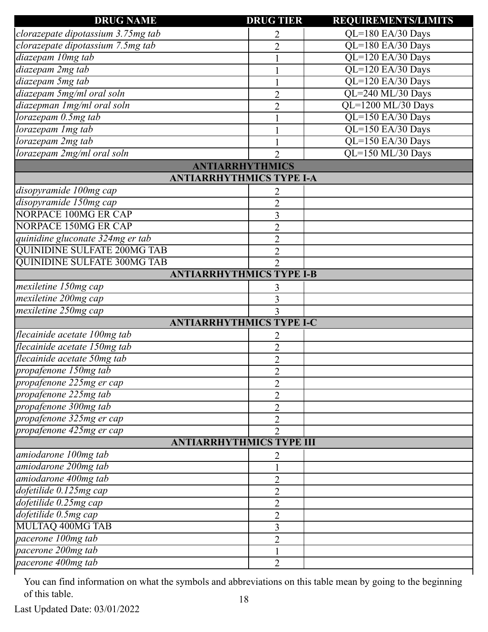| <b>DRUG NAME</b>                   | <b>DRUG TIER</b> | <b>REQUIREMENTS/LIMITS</b> |
|------------------------------------|------------------|----------------------------|
| clorazepate dipotassium 3.75mg tab | 2                | QL=180 EA/30 Days          |
| clorazepate dipotassium 7.5mg tab  | $\overline{2}$   | QL=180 EA/30 Days          |
| diazepam 10mg tab                  |                  | QL=120 EA/30 Days          |
| diazepam 2mg tab                   |                  | QL=120 EA/30 Days          |
| diazepam 5mg tab                   |                  | QL=120 EA/30 Days          |
| diazepam 5mg/ml oral soln          | $\overline{2}$   | QL=240 ML/30 Days          |
| diazepman 1mg/ml oral soln         | $\overline{2}$   | QL=1200 ML/30 Days         |
| lorazepam 0.5mg tab                |                  | QL=150 EA/30 Days          |
| lorazepam 1mg tab                  |                  | QL=150 EA/30 Days          |
| lorazepam 2mg tab                  | $\mathbf{1}$     | QL=150 EA/30 Days          |
| lorazepam 2mg/ml oral soln         | $\overline{2}$   | QL=150 ML/30 Days          |
| <b>ANTIARRHYTHMICS</b>             |                  |                            |
| <b>ANTIARRHYTHMICS TYPE I-A</b>    |                  |                            |
| disopyramide 100mg cap             |                  |                            |
| disopyramide 150mg cap             | $\overline{2}$   |                            |
| NORPACE 100MG ER CAP               | 3                |                            |
| NORPACE 150MG ER CAP               | $\overline{2}$   |                            |
| quinidine gluconate 324mg er tab   | $\overline{2}$   |                            |
| <b>QUINIDINE SULFATE 200MG TAB</b> | $\overline{2}$   |                            |
| <b>QUINIDINE SULFATE 300MG TAB</b> | $\overline{2}$   |                            |
| <b>ANTIARRHYTHMICS TYPE I-B</b>    |                  |                            |
| mexiletine 150mg cap               | 3                |                            |
| mexiletine 200mg cap               | 3                |                            |
| mexiletine 250mg cap               | $\overline{3}$   |                            |
| <b>ANTIARRHYTHMICS TYPE I-C</b>    |                  |                            |
| flecainide acetate 100mg tab       |                  |                            |
| flecainide acetate 150mg tab       | $\overline{2}$   |                            |
| flecainide acetate 50mg tab        | $\overline{2}$   |                            |
| propafenone 150mg tab              | $\overline{2}$   |                            |
| propafenone 225mg er cap           | $\overline{2}$   |                            |
| propafenone 225mg tab              | $\overline{2}$   |                            |
| propafenone 300mg tab              | $\overline{2}$   |                            |
| propafenone 325mg er cap           | $\overline{2}$   |                            |
| propafenone 425mg er cap           | $\overline{2}$   |                            |
| <b>ANTIARRHYTHMICS TYPE III</b>    |                  |                            |
| amiodarone 100mg tab               |                  |                            |
| amiodarone 200mg tab               |                  |                            |
| amiodarone 400mg tab               | $\overline{2}$   |                            |
| dofetilide 0.125mg cap             | $\overline{2}$   |                            |
| dofetilide 0.25mg cap              | $\overline{2}$   |                            |
| dofetilide 0.5mg cap               | $\overline{2}$   |                            |
| MULTAQ 400MG TAB                   | 3                |                            |
| pacerone 100mg tab                 | $\overline{2}$   |                            |
| pacerone 200mg tab                 |                  |                            |
| pacerone 400mg tab                 | $\overline{2}$   |                            |
|                                    |                  |                            |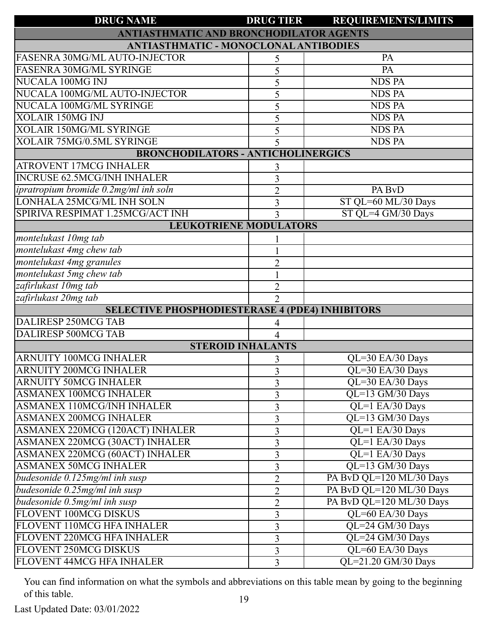| <b>DRUG NAME</b>                                       | <b>DRUG TIER</b>         | <b>REQUIREMENTS/LIMITS</b> |
|--------------------------------------------------------|--------------------------|----------------------------|
| <b>ANTIASTHMATIC AND BRONCHODILATOR AGENTS</b>         |                          |                            |
| <b>ANTIASTHMATIC - MONOCLONAL ANTIBODIES</b>           |                          |                            |
| FASENRA 30MG/ML AUTO-INJECTOR                          | 5                        | PA                         |
| <b>FASENRA 30MG/ML SYRINGE</b>                         | 5                        | $\overline{PA}$            |
| NUCALA 100MG INJ                                       | 5                        | <b>NDS PA</b>              |
| NUCALA 100MG/ML AUTO-INJECTOR                          | 5                        | <b>NDS PA</b>              |
| NUCALA 100MG/ML SYRINGE                                | 5                        | <b>NDS PA</b>              |
| <b>XOLAIR 150MG INJ</b>                                | 5                        | <b>NDS PA</b>              |
| <b>XOLAIR 150MG/ML SYRINGE</b>                         | 5                        | <b>NDS PA</b>              |
| XOLAIR 75MG/0.5ML SYRINGE                              | 5                        | <b>NDS PA</b>              |
| <b>BRONCHODILATORS - ANTICHOLINERGICS</b>              |                          |                            |
| <b>ATROVENT 17MCG INHALER</b>                          | 3                        |                            |
| <b>INCRUSE 62.5MCG/INH INHALER</b>                     | 3                        |                            |
| ipratropium bromide 0.2mg/ml inh soln                  | $\overline{2}$           | PA BvD                     |
| LONHALA 25MCG/ML INH SOLN                              | 3                        | ST QL=60 ML/30 Days        |
| SPIRIVA RESPIMAT 1.25MCG/ACT INH                       | 3                        | ST QL=4 GM/30 Days         |
| <b>LEUKOTRIENE MODULATORS</b>                          |                          |                            |
| montelukast 10mg tab                                   |                          |                            |
| montelukast 4mg chew tab                               |                          |                            |
| montelukast 4mg granules                               | $\overline{2}$           |                            |
| montelukast 5mg chew tab                               |                          |                            |
| zafirlukast 10mg tab                                   | $\overline{2}$           |                            |
| zafirlukast 20mg tab                                   | $\overline{2}$           |                            |
| <b>SELECTIVE PHOSPHODIESTERASE 4 (PDE4) INHIBITORS</b> |                          |                            |
| DALIRESP 250MCG TAB                                    | 4                        |                            |
| <b>DALIRESP 500MCG TAB</b>                             |                          |                            |
|                                                        | <b>STEROID INHALANTS</b> |                            |
| ARNUITY 100MCG INHALER                                 | 3                        | $QL=30$ EA/30 Days         |
| <b>ARNUITY 200MCG INHALER</b>                          | $\overline{3}$           | QL=30 EA/30 Days           |
| <b>ARNUITY 50MCG INHALER</b>                           | 3                        | QL=30 EA/30 Days           |
| <b>ASMANEX 100MCG INHALER</b>                          | 3                        | QL=13 GM/30 Days           |
| <b>ASMANEX 110MCG/INH INHALER</b>                      | $\overline{3}$           | QL=1 EA/30 Days            |
| <b>ASMANEX 200MCG INHALER</b>                          | $\overline{3}$           | QL=13 GM/30 Days           |
| ASMANEX 220MCG (120ACT) INHALER                        | 3                        | QL=1 EA/30 Days            |
| ASMANEX 220MCG (30ACT) INHALER                         | $\overline{3}$           | QL=1 EA/30 Days            |
| ASMANEX 220MCG (60ACT) INHALER                         | $\overline{3}$           | QL=1 EA/30 Days            |
| <b>ASMANEX 50MCG INHALER</b>                           | 3                        | QL=13 GM/30 Days           |
| budesonide 0.125mg/ml inh susp                         | $\overline{2}$           | PA BvD QL=120 ML/30 Days   |
| budesonide 0.25mg/ml inh susp                          | $\overline{2}$           | PA BvD QL=120 ML/30 Days   |
| budesonide 0.5mg/ml inh susp                           | $\overline{2}$           | PA BvD QL=120 ML/30 Days   |
| FLOVENT 100MCG DISKUS                                  | $\overline{3}$           | QL=60 EA/30 Days           |
| FLOVENT 110MCG HFA INHALER                             | 3                        | QL=24 GM/30 Days           |
| FLOVENT 220MCG HFA INHALER                             | $\overline{3}$           | QL=24 GM/30 Days           |
| FLOVENT 250MCG DISKUS                                  | $\overline{3}$           | QL=60 EA/30 Days           |
| FLOVENT 44MCG HFA INHALER                              | 3                        | QL=21.20 GM/30 Days        |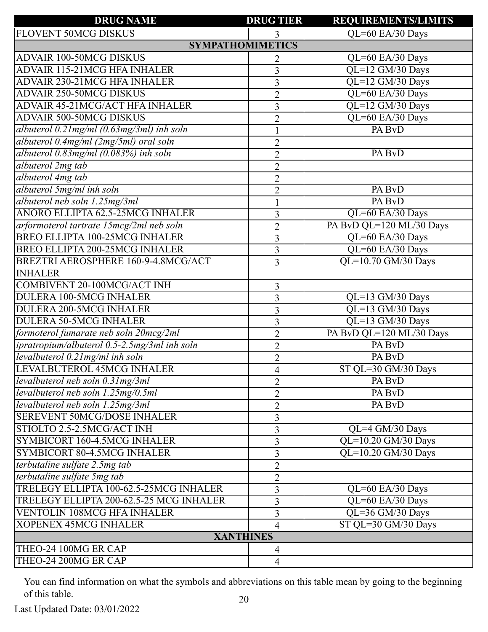| <b>DRUG NAME</b>                                | <b>DRUG TIER</b>        | <b>REQUIREMENTS/LIMITS</b>                   |  |
|-------------------------------------------------|-------------------------|----------------------------------------------|--|
| FLOVENT 50MCG DISKUS                            |                         | QL=60 EA/30 Days                             |  |
|                                                 | <b>SYMPATHOMIMETICS</b> |                                              |  |
| <b>ADVAIR 100-50MCG DISKUS</b>                  | 2                       | QL=60 EA/30 Days                             |  |
| <b>ADVAIR 115-21MCG HFA INHALER</b>             | $\overline{3}$          | QL=12 GM/30 Days                             |  |
| ADVAIR 230-21MCG HFA INHALER                    | 3                       | QL=12 GM/30 Days                             |  |
| <b>ADVAIR 250-50MCG DISKUS</b>                  | $\overline{2}$          | QL=60 EA/30 Days                             |  |
| ADVAIR 45-21MCG/ACT HFA INHALER                 | 3                       | QL=12 GM/30 Days                             |  |
| <b>ADVAIR 500-50MCG DISKUS</b>                  | $\overline{2}$          | QL=60 EA/30 Days                             |  |
| albuterol $0.21$ mg/ml $(0.63$ mg/3ml) inh soln | 1                       | PA BvD                                       |  |
| albuterol 0.4mg/ml (2mg/5ml) oral soln          | $\overline{2}$          |                                              |  |
| albuterol 0.83mg/ml (0.083%) inh soln           | $\overline{2}$          | PA BvD                                       |  |
| albuterol 2mg tab                               | $\overline{2}$          |                                              |  |
| albuterol 4mg tab                               | $\overline{2}$          |                                              |  |
| albuterol 5mg/ml inh soln                       | $\overline{2}$          | PA BvD                                       |  |
| albuterol neb soln 1.25mg/3ml                   |                         | PA BvD                                       |  |
| ANORO ELLIPTA 62.5-25MCG INHALER                | 3                       | QL=60 EA/30 Days                             |  |
| arformoterol tartrate 15mcg/2ml neb soln        | $\overline{2}$          | PA BvD QL=120 ML/30 Days                     |  |
| BREO ELLIPTA 100-25MCG INHALER                  | $\overline{3}$          | QL=60 EA/30 Days                             |  |
| <b>BREO ELLIPTA 200-25MCG INHALER</b>           | 3                       | QL=60 EA/30 Days                             |  |
| BREZTRI AEROSPHERE 160-9-4.8MCG/ACT             | 3                       | QL=10.70 GM/30 Days                          |  |
| <b>INHALER</b>                                  |                         |                                              |  |
| <b>COMBIVENT 20-100MCG/ACT INH</b>              |                         |                                              |  |
| DULERA 100-5MCG INHALER                         | 3                       | QL=13 GM/30 Days                             |  |
| <b>DULERA 200-5MCG INHALER</b>                  | 3                       | QL=13 GM/30 Days                             |  |
| <b>DULERA 50-5MCG INHALER</b>                   | 3                       |                                              |  |
|                                                 | 3                       | QL=13 GM/30 Days<br>PA BvD QL=120 ML/30 Days |  |
| formoterol fumarate neb soln 20mcg/2ml          | $\overline{2}$          |                                              |  |
| ipratropium/albuterol 0.5-2.5mg/3ml inh soln    | $\overline{2}$          | PA BvD                                       |  |
| levalbuterol 0.21mg/ml inh soln                 | $\overline{2}$          | PA BvD                                       |  |
| LEVALBUTEROL 45MCG INHALER                      | $\overline{4}$          | ST QL=30 GM/30 Days                          |  |
| levalbuterol neb soln 0.31mg/3ml                | $\overline{2}$          | PA BvD                                       |  |
| levalbuterol neb soln 1.25mg/0.5ml              | $\overline{2}$          | PA BvD                                       |  |
| levalbuterol neb soln 1.25mg/3ml                | $\overline{2}$          | PA BvD                                       |  |
| <b>SEREVENT 50MCG/DOSE INHALER</b>              | 3                       |                                              |  |
| STIOLTO 2.5-2.5MCG/ACT INH                      | 3                       | QL=4 GM/30 Days                              |  |
| SYMBICORT 160-4.5MCG INHALER                    | 3                       | QL=10.20 GM/30 Days                          |  |
| SYMBICORT 80-4.5MCG INHALER                     | 3                       | QL=10.20 GM/30 Days                          |  |
| terbutaline sulfate 2.5mg tab                   | $\overline{2}$          |                                              |  |
| terbutaline sulfate 5mg tab                     | $\overline{2}$          |                                              |  |
| TRELEGY ELLIPTA 100-62.5-25MCG INHALER          | 3                       | $QL=60$ EA/30 Days                           |  |
| TRELEGY ELLIPTA 200-62.5-25 MCG INHALER         | 3                       | QL=60 EA/30 Days                             |  |
| <b>VENTOLIN 108MCG HFA INHALER</b>              | 3                       | QL=36 GM/30 Days                             |  |
| <b>XOPENEX 45MCG INHALER</b>                    | 4                       | ST QL=30 GM/30 Days                          |  |
| <b>XANTHINES</b>                                |                         |                                              |  |
| THEO-24 100MG ER CAP                            | $\overline{4}$          |                                              |  |
| THEO-24 200MG ER CAP                            | 4                       |                                              |  |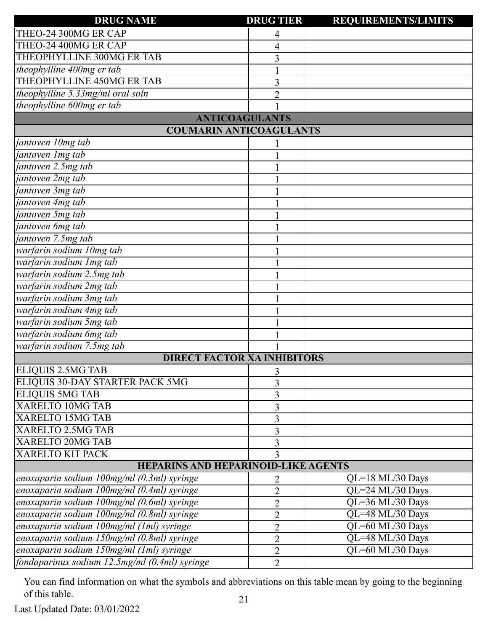| <b>DRUG NAME</b>                              | <b>DRUG TIER</b> | <b>REQUIREMENTS/LIMITS</b> |  |
|-----------------------------------------------|------------------|----------------------------|--|
| THEO-24 300MG ER CAP                          | 4                |                            |  |
| THEO-24 400MG ER CAP                          | 4                |                            |  |
| THEOPHYLLINE 300MG ER TAB                     | 3                |                            |  |
| theophylline 400mg er tab                     |                  |                            |  |
| THEOPHYLLINE 450MG ER TAB                     | 3                |                            |  |
| theophylline 5.33mg/ml oral soln              | $\overline{2}$   |                            |  |
| theophylline 600mg er tab                     |                  |                            |  |
| <b>ANTICOAGULANTS</b>                         |                  |                            |  |
| <b>COUMARIN ANTICOAGULANTS</b>                |                  |                            |  |
| jantoven 10mg tab                             |                  |                            |  |
| jantoven 1mg tab                              |                  |                            |  |
| jantoven 2.5mg tab                            |                  |                            |  |
| jantoven 2mg tab                              |                  |                            |  |
| jantoven 3mg tab                              |                  |                            |  |
| jantoven 4mg tab                              |                  |                            |  |
| jantoven 5mg tab                              |                  |                            |  |
| jantoven 6mg tab                              |                  |                            |  |
| jantoven 7.5mg tab                            |                  |                            |  |
| warfarin sodium 10mg tab                      |                  |                            |  |
| warfarin sodium 1mg tab                       |                  |                            |  |
| warfarin sodium 2.5mg tab                     |                  |                            |  |
| warfarin sodium 2mg tab                       |                  |                            |  |
| warfarin sodium 3mg tab                       |                  |                            |  |
| warfarin sodium 4mg tab                       |                  |                            |  |
| warfarin sodium 5mg tab                       |                  |                            |  |
| warfarin sodium 6mg tab                       |                  |                            |  |
| warfarin sodium 7.5mg tab                     |                  |                            |  |
| <b>DIRECT FACTOR XA INHIBITORS</b>            |                  |                            |  |
| ELIQUIS 2.5MG TAB                             | 3                |                            |  |
| ELIQUIS 30-DAY STARTER PACK 5MG               | 3                |                            |  |
| <b>ELIQUIS 5MG TAB</b>                        | 3                |                            |  |
| <b>XARELTO 10MG TAB</b>                       | 3                |                            |  |
| <b>XARELTO 15MG TAB</b>                       | 3                |                            |  |
| <b>XARELTO 2.5MG TAB</b>                      | 3                |                            |  |
| <b>XARELTO 20MG TAB</b>                       | 3                |                            |  |
| <b>XARELTO KIT PACK</b>                       | 3                |                            |  |
| <b>HEPARINS AND HEPARINOID-LIKE AGENTS</b>    |                  |                            |  |
| enoxaparin sodium 100mg/ml (0.3ml) syringe    | 2                | $QL=18$ ML/30 Days         |  |
| enoxaparin sodium 100mg/ml (0.4ml) syringe    | $\overline{2}$   | QL=24 ML/30 Days           |  |
| enoxaparin sodium 100mg/ml (0.6ml) syringe    | $\overline{2}$   | QL=36 ML/30 Days           |  |
| enoxaparin sodium 100mg/ml (0.8ml) syringe    | $\overline{2}$   | QL=48 ML/30 Days           |  |
| enoxaparin sodium 100mg/ml (1ml) syringe      | $\overline{2}$   | QL=60 ML/30 Days           |  |
| enoxaparin sodium 150mg/ml (0.8ml) syringe    | $\overline{2}$   | QL=48 ML/30 Days           |  |
| enoxaparin sodium 150mg/ml (1ml) syringe      | $\overline{2}$   | QL=60 ML/30 Days           |  |
| fondaparinux sodium 12.5mg/ml (0.4ml) syringe | $\overline{2}$   |                            |  |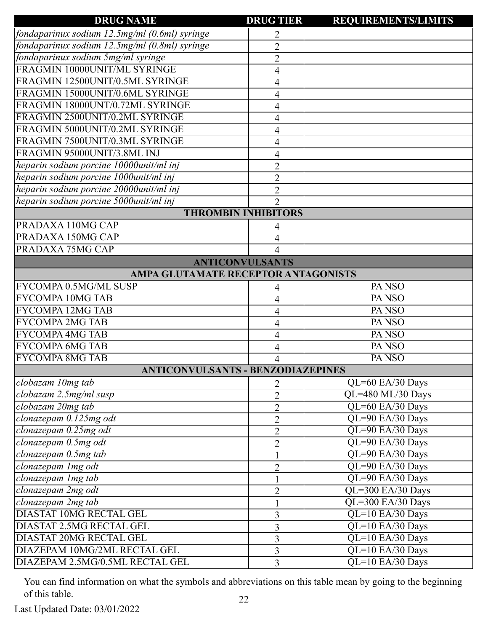| <b>DRUG NAME</b>                              | <b>DRUG TIER</b>           | <b>REQUIREMENTS/LIMITS</b>    |
|-----------------------------------------------|----------------------------|-------------------------------|
| fondaparinux sodium 12.5mg/ml (0.6ml) syringe | 2                          |                               |
| fondaparinux sodium 12.5mg/ml (0.8ml) syringe | $\overline{2}$             |                               |
| fondaparinux sodium 5mg/ml syringe            | $\overline{2}$             |                               |
| FRAGMIN 10000UNIT/ML SYRINGE                  | 4                          |                               |
| FRAGMIN 12500UNIT/0.5ML SYRINGE               | 4                          |                               |
| FRAGMIN 15000UNIT/0.6ML SYRINGE               | 4                          |                               |
| FRAGMIN 18000UNT/0.72ML SYRINGE               | 4                          |                               |
| FRAGMIN 2500UNIT/0.2ML SYRINGE                | 4                          |                               |
| FRAGMIN 5000UNIT/0.2ML SYRINGE                | 4                          |                               |
| FRAGMIN 7500UNIT/0.3ML SYRINGE                | 4                          |                               |
| FRAGMIN 95000UNIT/3.8ML INJ                   | 4                          |                               |
| heparin sodium porcine 10000unit/ml inj       | $\overline{2}$             |                               |
| heparin sodium porcine 1000unit/ml inj        | $\overline{2}$             |                               |
| heparin sodium porcine 20000unit/ml inj       | $\overline{2}$             |                               |
| heparin sodium porcine 5000unit/ml inj        | $\overline{2}$             |                               |
|                                               | <b>THROMBIN INHIBITORS</b> |                               |
| PRADAXA 110MG CAP                             | 4                          |                               |
| PRADAXA 150MG CAP                             | 4                          |                               |
| PRADAXA 75MG CAP                              |                            |                               |
|                                               | <b>ANTICONVULSANTS</b>     |                               |
| AMPA GLUTAMATE RECEPTOR ANTAGONISTS           |                            |                               |
| FYCOMPA 0.5MG/ML SUSP                         |                            | PA <sub>NSO</sub>             |
| <b>FYCOMPA 10MG TAB</b>                       | 4                          | PA <sub>NSO</sub>             |
| <b>FYCOMPA 12MG TAB</b>                       | 4                          | PA <sub>NSO</sub>             |
| <b>FYCOMPA 2MG TAB</b>                        | 4                          | PA <sub>NSO</sub>             |
| <b>FYCOMPA 4MG TAB</b>                        | 4                          | PA <sub>NSO</sub>             |
| <b>FYCOMPA 6MG TAB</b>                        | 4                          | PA <sub>NSO</sub>             |
| <b>FYCOMPA 8MG TAB</b>                        | 4                          | PA <sub>NSO</sub>             |
| <b>ANTICONVULSANTS - BENZODIAZEPINES</b>      |                            |                               |
| clobazam 10mg tab                             | $\overline{2}$             | QL=60 EA/30 Days              |
| clobazam 2.5mg/ml susp                        | $\overline{2}$             | $\overline{QL=480$ ML/30 Days |
| clobazam 20mg tab                             | $\overline{2}$             | QL=60 EA/30 Days              |
| clonazepam 0.125mg odt                        | $\overline{2}$             | QL=90 EA/30 Days              |
| clonazepam 0.25mg odt                         | $\overline{2}$             | QL=90 EA/30 Days              |
| clonazepam 0.5mg odt                          | $\overline{2}$             | QL=90 EA/30 Days              |
| clonazepam 0.5mg tab                          | $\mathbf{1}$               | QL=90 EA/30 Days              |
| clonazepam 1mg odt                            | $\overline{2}$             | QL=90 EA/30 Days              |
| clonazepam Img tab                            |                            | QL=90 EA/30 Days              |
| clonazepam 2mg odt                            | $\overline{2}$             | QL=300 EA/30 Days             |
| clonazepam 2mg tab                            |                            | QL=300 EA/30 Days             |
| <b>DIASTAT 10MG RECTAL GEL</b>                | 3                          | $\overline{QL=}10$ EA/30 Days |
| <b>DIASTAT 2.5MG RECTAL GEL</b>               | 3                          | QL=10 EA/30 Days              |
| <b>DIASTAT 20MG RECTAL GEL</b>                | 3                          | QL=10 EA/30 Days              |
| DIAZEPAM 10MG/2ML RECTAL GEL                  | 3                          | QL=10 EA/30 Days              |
| DIAZEPAM 2.5MG/0.5ML RECTAL GEL               | $\overline{3}$             | QL=10 EA/30 Days              |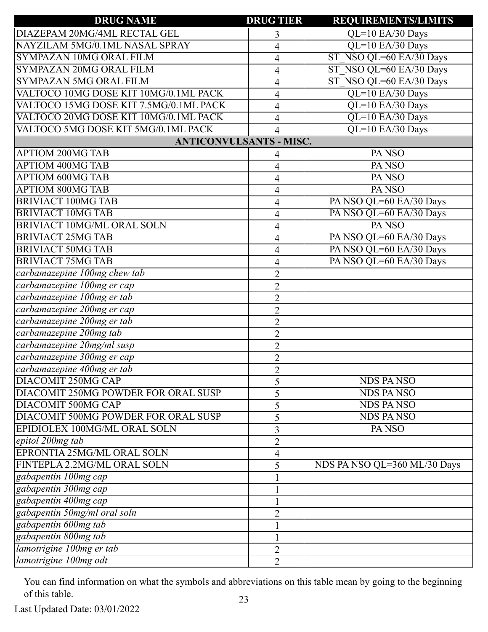| <b>DRUG NAME</b>                       | <b>DRUG TIER</b> | <b>REQUIREMENTS/LIMITS</b>   |
|----------------------------------------|------------------|------------------------------|
| DIAZEPAM 20MG/4ML RECTAL GEL           | 3                | QL=10 EA/30 Days             |
| NAYZILAM 5MG/0.1ML NASAL SPRAY         | 4                | QL=10 EA/30 Days             |
| SYMPAZAN 10MG ORAL FILM                | $\overline{4}$   | ST NSO QL=60 EA/30 Days      |
| SYMPAZAN 20MG ORAL FILM                | $\overline{4}$   | ST NSO QL=60 EA/30 Days      |
| <b>SYMPAZAN 5MG ORAL FILM</b>          | $\overline{4}$   | ST NSO QL=60 EA/30 Days      |
| VALTOCO 10MG DOSE KIT 10MG/0.1ML PACK  | $\overline{4}$   | QL=10 EA/30 Days             |
| VALTOCO 15MG DOSE KIT 7.5MG/0.1ML PACK | $\overline{4}$   | QL=10 EA/30 Days             |
| VALTOCO 20MG DOSE KIT 10MG/0.1ML PACK  | 4                | QL=10 EA/30 Days             |
| VALTOCO 5MG DOSE KIT 5MG/0.1ML PACK    | 4                | QL=10 EA/30 Days             |
| <b>ANTICONVULSANTS - MISC.</b>         |                  |                              |
| <b>APTIOM 200MG TAB</b>                | 4                | PA <sub>NSO</sub>            |
| <b>APTIOM 400MG TAB</b>                | 4                | PA NSO                       |
| <b>APTIOM 600MG TAB</b>                | $\overline{4}$   | PA <sub>NSO</sub>            |
| <b>APTIOM 800MG TAB</b>                | $\overline{4}$   | PA <sub>NSO</sub>            |
| <b>BRIVIACT 100MG TAB</b>              | $\overline{4}$   | PA NSO QL=60 EA/30 Days      |
| <b>BRIVIACT 10MG TAB</b>               | $\overline{4}$   | PA NSO QL=60 EA/30 Days      |
| <b>BRIVIACT 10MG/ML ORAL SOLN</b>      | $\overline{4}$   | PA NSO                       |
| <b>BRIVIACT 25MG TAB</b>               | $\overline{4}$   | PA NSO QL=60 EA/30 Days      |
| <b>BRIVIACT 50MG TAB</b>               | $\overline{4}$   | PA NSO QL=60 EA/30 Days      |
| <b>BRIVIACT 75MG TAB</b>               | $\overline{4}$   | PA NSO QL=60 EA/30 Days      |
| carbamazepine 100mg chew tab           | $\overline{2}$   |                              |
| carbamazepine 100mg er cap             | $\overline{2}$   |                              |
| carbamazepine 100mg er tab             | $\overline{2}$   |                              |
| carbamazepine 200mg er cap             | $\overline{2}$   |                              |
| carbamazepine 200mg er tab             | $\overline{2}$   |                              |
| carbamazepine 200mg tab                | $\overline{2}$   |                              |
| carbamazepine 20mg/ml susp             | $\overline{2}$   |                              |
| carbamazepine 300mg er cap             | $\overline{2}$   |                              |
| carbamazepine 400mg er tab             | $\overline{2}$   |                              |
| <b>DIACOMIT 250MG CAP</b>              | 5                | <b>NDS PANSO</b>             |
| DIACOMIT 250MG POWDER FOR ORAL SUSP    | 5                | <b>NDS PANSO</b>             |
| <b>DIACOMIT 500MG CAP</b>              | 5                | <b>NDS PANSO</b>             |
| DIACOMIT 500MG POWDER FOR ORAL SUSP    | 5                | <b>NDS PANSO</b>             |
| EPIDIOLEX 100MG/ML ORAL SOLN           | 3                | PA <sub>NSO</sub>            |
| epitol 200mg tab                       | $\overline{2}$   |                              |
| EPRONTIA 25MG/ML ORAL SOLN             | $\overline{4}$   |                              |
| FINTEPLA 2.2MG/ML ORAL SOLN            | 5                | NDS PA NSO QL=360 ML/30 Days |
| gabapentin 100mg cap                   |                  |                              |
| gabapentin 300mg cap                   |                  |                              |
| gabapentin 400mg cap                   |                  |                              |
| gabapentin 50mg/ml oral soln           | $\overline{2}$   |                              |
| gabapentin 600mg tab                   |                  |                              |
| gabapentin 800mg tab                   |                  |                              |
| lamotrigine 100mg er tab               | $\overline{2}$   |                              |
| lamotrigine 100mg odt                  | $\overline{2}$   |                              |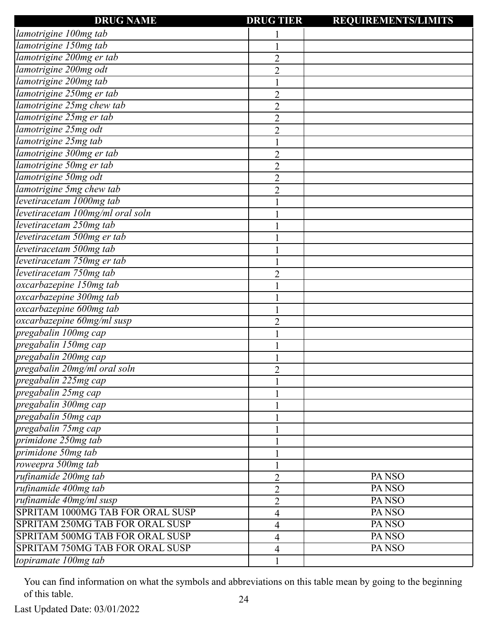| <b>DRUG NAME</b>                 | <b>DRUG TIER</b> | <b>REQUIREMENTS/LIMITS</b> |
|----------------------------------|------------------|----------------------------|
| lamotrigine 100mg tab            |                  |                            |
| lamotrigine 150mg tab            |                  |                            |
| lamotrigine 200mg er tab         | 2                |                            |
| lamotrigine 200mg odt            | $\overline{2}$   |                            |
| lamotrigine 200mg tab            |                  |                            |
| lamotrigine 250mg er tab         | $\overline{2}$   |                            |
| lamotrigine 25mg chew tab        | $\overline{2}$   |                            |
| lamotrigine 25mg er tab          | $\overline{2}$   |                            |
| lamotrigine 25mg odt             | $\overline{2}$   |                            |
| lamotrigine 25mg tab             |                  |                            |
| lamotrigine 300mg er tab         | $\overline{2}$   |                            |
| lamotrigine 50mg er tab          | $\overline{2}$   |                            |
| lamotrigine 50mg odt             | $\overline{2}$   |                            |
| lamotrigine 5mg chew tab         | $\overline{2}$   |                            |
| levetiracetam 1000mg tab         |                  |                            |
| levetiracetam 100mg/ml oral soln |                  |                            |
| levetiracetam 250mg tab          |                  |                            |
| levetiracetam 500mg er tab       |                  |                            |
| levetiracetam 500mg tab          |                  |                            |
| levetiracetam 750mg er tab       |                  |                            |
| levetiracetam 750mg tab          | 2                |                            |
| oxcarbazepine 150mg tab          |                  |                            |
| oxcarbazepine 300mg tab          |                  |                            |
| oxcarbazepine 600mg tab          |                  |                            |
| oxcarbazepine 60mg/ml susp       | 2                |                            |
| pregabalin 100mg cap             |                  |                            |
| pregabalin 150mg cap             |                  |                            |
| pregabalin 200mg cap             |                  |                            |
| pregabalin 20mg/ml oral soln     | 2                |                            |
| pregabalin 225mg cap             |                  |                            |
| pregabalin 25mg cap              |                  |                            |
| pregabalin 300mg cap             |                  |                            |
| pregabalin 50mg cap              |                  |                            |
| pregabalin 75mg cap              |                  |                            |
| primidone 250mg tab              |                  |                            |
| primidone 50mg tab               |                  |                            |
| roweepra 500mg tab               |                  |                            |
| rufinamide 200mg tab             | $\overline{2}$   | PA <sub>NSO</sub>          |
| rufinamide 400mg tab             | $\overline{2}$   | PA <sub>NSO</sub>          |
| rufinamide 40mg/ml susp          | $\overline{2}$   | PA <sub>NSO</sub>          |
| SPRITAM 1000MG TAB FOR ORAL SUSP | 4                | PA <sub>NSO</sub>          |
| SPRITAM 250MG TAB FOR ORAL SUSP  | 4                | PA <sub>NSO</sub>          |
| SPRITAM 500MG TAB FOR ORAL SUSP  | 4                | PANSO                      |
| SPRITAM 750MG TAB FOR ORAL SUSP  | 4                | PA <sub>NSO</sub>          |
| topiramate 100mg tab             |                  |                            |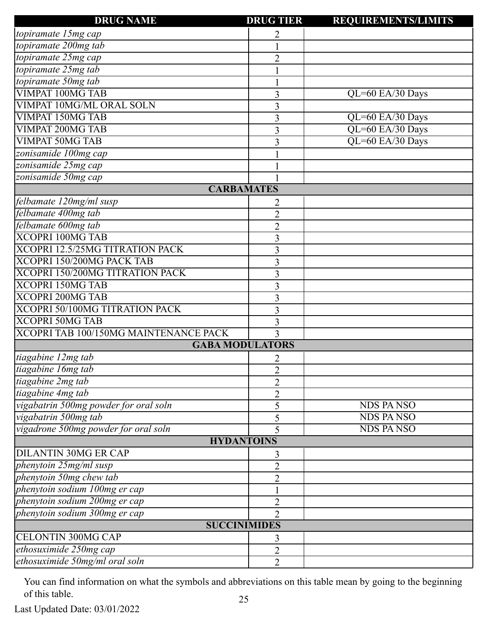| <b>DRUG NAME</b>                      | <b>DRUG TIER</b>       | <b>REQUIREMENTS/LIMITS</b> |
|---------------------------------------|------------------------|----------------------------|
| topiramate 15mg cap                   | 2                      |                            |
| topiramate 200mg tab                  |                        |                            |
| topiramate 25mg cap                   | $\overline{2}$         |                            |
| topiramate 25mg tab                   |                        |                            |
| topiramate 50mg tab                   |                        |                            |
| <b>VIMPAT 100MG TAB</b>               | 3                      | $QL=60$ EA/30 Days         |
| VIMPAT 10MG/ML ORAL SOLN              | 3                      |                            |
| <b>VIMPAT 150MG TAB</b>               | 3                      | QL=60 EA/30 Days           |
| <b>VIMPAT 200MG TAB</b>               | 3                      | QL=60 EA/30 Days           |
| <b>VIMPAT 50MG TAB</b>                | 3                      | QL=60 EA/30 Days           |
| zonisamide 100mg cap                  |                        |                            |
| zonisamide 25mg cap                   |                        |                            |
| zonisamide 50mg cap                   |                        |                            |
|                                       | <b>CARBAMATES</b>      |                            |
| felbamate 120mg/ml susp               | 2                      |                            |
| felbamate 400mg tab                   | $\overline{2}$         |                            |
| felbamate 600mg tab                   | $\overline{2}$         |                            |
| <b>XCOPRI 100MG TAB</b>               | 3                      |                            |
| XCOPRI 12.5/25MG TITRATION PACK       | 3                      |                            |
| XCOPRI 150/200MG PACK TAB             | 3                      |                            |
| XCOPRI 150/200MG TITRATION PACK       | 3                      |                            |
| <b>XCOPRI 150MG TAB</b>               | 3                      |                            |
| <b>XCOPRI 200MG TAB</b>               | 3                      |                            |
| XCOPRI 50/100MG TITRATION PACK        | 3                      |                            |
| <b>XCOPRI 50MG TAB</b>                | 3                      |                            |
| XCOPRI TAB 100/150MG MAINTENANCE PACK | 3                      |                            |
|                                       | <b>GABA MODULATORS</b> |                            |
| tiagabine 12mg tab                    | 2                      |                            |
| tiagabine 16mg tab                    | $\mathfrak{D}$         |                            |
| tiagabine 2mg tab                     | $\overline{2}$         |                            |
| tiagabine 4mg tab                     | $\overline{2}$         |                            |
| vigabatrin 500mg powder for oral soln | 5                      | <b>NDS PANSO</b>           |
| vigabatrin 500mg tab                  | 5                      | <b>NDS PANSO</b>           |
| vigadrone 500mg powder for oral soln  | 5                      | <b>NDS PANSO</b>           |
|                                       | <b>HYDANTOINS</b>      |                            |
| <b>DILANTIN 30MG ER CAP</b>           | 3                      |                            |
| phenytoin 25mg/ml susp                | $\overline{2}$         |                            |
| phenytoin 50mg chew tab               | $\overline{2}$         |                            |
| phenytoin sodium 100mg er cap         |                        |                            |
| phenytoin sodium 200mg er cap         | $\overline{2}$         |                            |
| phenytoin sodium 300mg er cap         | $\overline{2}$         |                            |
|                                       | <b>SUCCINIMIDES</b>    |                            |
| <b>CELONTIN 300MG CAP</b>             | 3                      |                            |
| ethosuximide 250mg cap                | $\overline{2}$         |                            |
| ethosuximide 50mg/ml oral soln        | $\overline{2}$         |                            |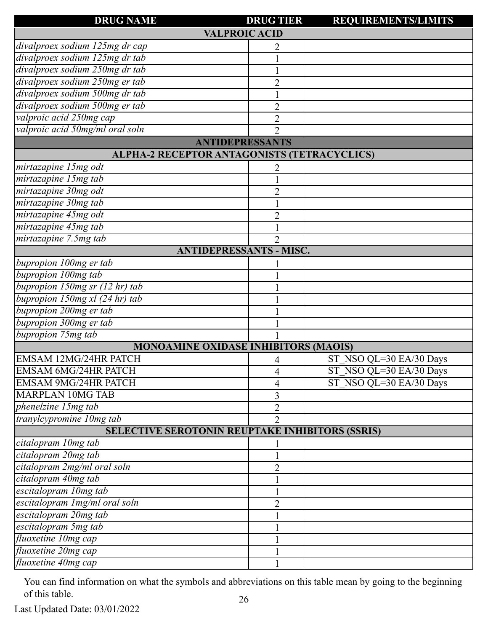| <b>DRUG NAME</b>                                       | <b>DRUG TIER</b> | <b>REQUIREMENTS/LIMITS</b> |
|--------------------------------------------------------|------------------|----------------------------|
| <b>VALPROIC ACID</b>                                   |                  |                            |
| divalproex sodium 125mg dr cap                         | 2                |                            |
| divalproex sodium 125mg dr tab                         |                  |                            |
| divalproex sodium 250mg dr tab                         |                  |                            |
| divalproex sodium 250mg er tab                         | $\overline{2}$   |                            |
| divalproex sodium 500mg dr tab                         |                  |                            |
| divalproex sodium 500mg er tab                         | 2                |                            |
| valproic acid 250mg cap                                | $\overline{c}$   |                            |
| valproic acid 50mg/ml oral soln                        | $\overline{2}$   |                            |
| <b>ANTIDEPRESSANTS</b>                                 |                  |                            |
| ALPHA-2 RECEPTOR ANTAGONISTS (TETRACYCLICS)            |                  |                            |
| mirtazapine 15mg odt                                   |                  |                            |
| mirtazapine 15mg tab                                   |                  |                            |
| mirtazapine 30mg odt                                   | $\overline{2}$   |                            |
| mirtazapine 30mg tab                                   |                  |                            |
| mirtazapine 45mg odt                                   | $\overline{2}$   |                            |
| mirtazapine 45mg tab                                   |                  |                            |
| mirtazapine 7.5mg tab                                  | 2                |                            |
| <b>ANTIDEPRESSANTS - MISC.</b>                         |                  |                            |
| bupropion 100mg er tab                                 |                  |                            |
| bupropion 100mg tab                                    |                  |                            |
| bupropion 150mg sr (12 hr) tab                         |                  |                            |
| bupropion 150mg xl (24 hr) tab                         |                  |                            |
| bupropion 200mg er tab                                 |                  |                            |
| bupropion 300mg er tab                                 |                  |                            |
| bupropion 75mg tab                                     |                  |                            |
| <b>MONOAMINE OXIDASE INHIBITORS (MAOIS)</b>            |                  |                            |
| EMSAM 12MG/24HR PATCH                                  | 4                | ST NSO QL=30 EA/30 Days    |
| <b>EMSAM 6MG/24HR PATCH</b>                            | 4                | ST NSO QL=30 EA/30 Days    |
| <b>EMSAM 9MG/24HR PATCH</b>                            | 4                | ST NSO QL=30 EA/30 Days    |
| <b>MARPLAN 10MG TAB</b>                                | 3                |                            |
| phenelzine 15mg tab                                    | 2                |                            |
| tranylcypromine 10mg tab                               | $\overline{2}$   |                            |
| <b>SELECTIVE SEROTONIN REUPTAKE INHIBITORS (SSRIS)</b> |                  |                            |
| citalopram 10mg tab                                    |                  |                            |
| citalopram 20mg tab                                    |                  |                            |
| citalopram 2mg/ml oral soln                            | $\overline{2}$   |                            |
| citalopram 40mg tab                                    |                  |                            |
| escitalopram 10mg tab                                  |                  |                            |
| escitalopram 1mg/ml oral soln                          | 2                |                            |
| escitalopram 20mg tab                                  |                  |                            |
| escitalopram 5mg tab                                   |                  |                            |
| fluoxetine 10mg cap                                    |                  |                            |
| fluoxetine 20mg cap                                    |                  |                            |
| fluoxetine 40mg cap                                    |                  |                            |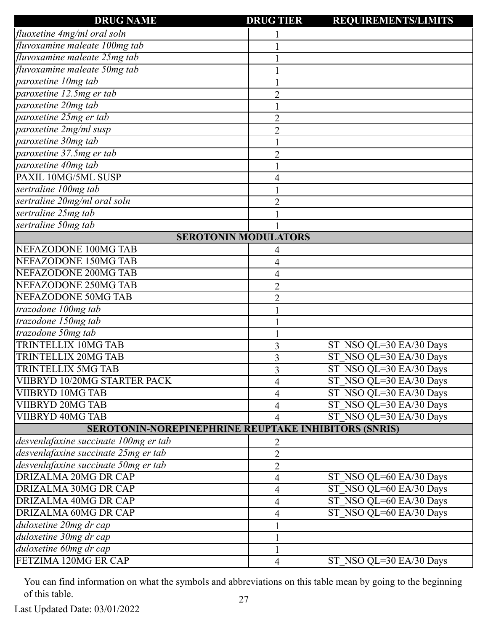| fluoxetine 4mg/ml oral soln<br>fluvoxamine maleate 100mg tab<br>fluvoxamine maleate 25mg tab<br>fluvoxamine maleate 50mg tab<br>paroxetine 10mg tab<br>paroxetine 12.5mg er tab<br>$\overline{2}$<br>paroxetine 20mg tab<br>paroxetine 25mg er tab<br>$\overline{2}$<br>paroxetine 2mg/ml susp<br>$\overline{2}$<br>paroxetine 30mg tab |
|-----------------------------------------------------------------------------------------------------------------------------------------------------------------------------------------------------------------------------------------------------------------------------------------------------------------------------------------|
|                                                                                                                                                                                                                                                                                                                                         |
|                                                                                                                                                                                                                                                                                                                                         |
|                                                                                                                                                                                                                                                                                                                                         |
|                                                                                                                                                                                                                                                                                                                                         |
|                                                                                                                                                                                                                                                                                                                                         |
|                                                                                                                                                                                                                                                                                                                                         |
|                                                                                                                                                                                                                                                                                                                                         |
|                                                                                                                                                                                                                                                                                                                                         |
|                                                                                                                                                                                                                                                                                                                                         |
|                                                                                                                                                                                                                                                                                                                                         |
| paroxetine 37.5mg er tab<br>$\overline{2}$                                                                                                                                                                                                                                                                                              |
| paroxetine 40mg tab                                                                                                                                                                                                                                                                                                                     |
| PAXIL 10MG/5ML SUSP<br>4                                                                                                                                                                                                                                                                                                                |
| sertraline 100mg tab                                                                                                                                                                                                                                                                                                                    |
| sertraline 20mg/ml oral soln<br>$\overline{2}$                                                                                                                                                                                                                                                                                          |
| sertraline 25mg tab                                                                                                                                                                                                                                                                                                                     |
| sertraline 50mg tab                                                                                                                                                                                                                                                                                                                     |
| <b>SEROTONIN MODULATORS</b>                                                                                                                                                                                                                                                                                                             |
| NEFAZODONE 100MG TAB<br>4                                                                                                                                                                                                                                                                                                               |
| NEFAZODONE 150MG TAB<br>4                                                                                                                                                                                                                                                                                                               |
| NEFAZODONE 200MG TAB<br>4                                                                                                                                                                                                                                                                                                               |
| NEFAZODONE 250MG TAB<br>$\overline{2}$                                                                                                                                                                                                                                                                                                  |
| <b>NEFAZODONE 50MG TAB</b><br>2                                                                                                                                                                                                                                                                                                         |
| trazodone 100mg tab                                                                                                                                                                                                                                                                                                                     |
| trazodone 150mg tab                                                                                                                                                                                                                                                                                                                     |
| trazodone 50mg tab                                                                                                                                                                                                                                                                                                                      |
| <b>TRINTELLIX 10MG TAB</b><br>ST NSO QL=30 EA/30 Days<br>3                                                                                                                                                                                                                                                                              |
| ST NSO QL=30 EA/30 Days<br>TRINTELLIX 20MG TAB<br>3                                                                                                                                                                                                                                                                                     |
| ST_NSO QL=30 EA/30 Days<br><b>TRINTELLIX 5MG TAB</b><br>3                                                                                                                                                                                                                                                                               |
| VIIBRYD 10/20MG STARTER PACK<br>ST NSO QL=30 EA/30 Days<br>4                                                                                                                                                                                                                                                                            |
| ST NSO QL=30 EA/30 Days<br>VIIBRYD 10MG TAB<br>4                                                                                                                                                                                                                                                                                        |
| ST NSO QL=30 EA/30 Days<br><b>VIIBRYD 20MG TAB</b><br>4                                                                                                                                                                                                                                                                                 |
| ST NSO QL=30 EA/30 Days<br><b>VIIBRYD 40MG TAB</b><br>4                                                                                                                                                                                                                                                                                 |
| <b>SEROTONIN-NOREPINEPHRINE REUPTAKE INHIBITORS (SNRIS)</b>                                                                                                                                                                                                                                                                             |
| desvenlafaxine succinate 100mg er tab<br>2                                                                                                                                                                                                                                                                                              |
| desvenlafaxine succinate 25mg er tab<br>$\overline{2}$                                                                                                                                                                                                                                                                                  |
| desvenlafaxine succinate 50mg er tab<br>$\overline{2}$                                                                                                                                                                                                                                                                                  |
| <b>DRIZALMA 20MG DR CAP</b><br>ST NSO QL=60 EA/30 Days<br>4                                                                                                                                                                                                                                                                             |
| DRIZALMA 30MG DR CAP<br>ST NSO QL=60 EA/30 Days<br>4                                                                                                                                                                                                                                                                                    |
| ST NSO QL=60 EA/30 Days<br>DRIZALMA 40MG DR CAP<br>4                                                                                                                                                                                                                                                                                    |
| ST NSO QL=60 EA/30 Days<br>DRIZALMA 60MG DR CAP<br>4                                                                                                                                                                                                                                                                                    |
| duloxetine 20mg dr cap                                                                                                                                                                                                                                                                                                                  |
| duloxetine 30mg dr cap                                                                                                                                                                                                                                                                                                                  |
| duloxetine 60mg dr cap                                                                                                                                                                                                                                                                                                                  |
| FETZIMA 120MG ER CAP<br>ST NSO QL=30 EA/30 Days<br>$\overline{4}$                                                                                                                                                                                                                                                                       |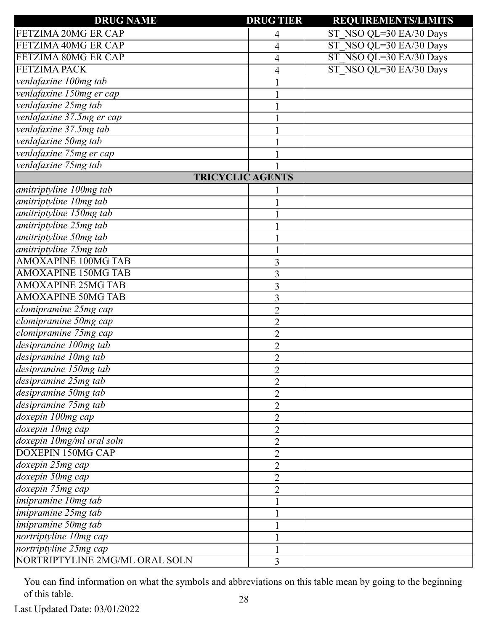| <b>DRUG NAME</b>               | <b>DRUG TIER</b> | <b>REQUIREMENTS/LIMITS</b> |
|--------------------------------|------------------|----------------------------|
| FETZIMA 20MG ER CAP            | 4                | ST NSO QL=30 EA/30 Days    |
| FETZIMA 40MG ER CAP            | 4                | ST NSO QL=30 EA/30 Days    |
| FETZIMA 80MG ER CAP            | 4                | ST NSO QL=30 EA/30 Days    |
| <b>FETZIMA PACK</b>            | 4                | ST NSO QL=30 EA/30 Days    |
| venlafaxine 100mg tab          |                  |                            |
| venlafaxine 150mg er cap       |                  |                            |
| venlafaxine 25mg tab           |                  |                            |
| venlafaxine 37.5mg er cap      |                  |                            |
| venlafaxine 37.5mg tab         |                  |                            |
| venlafaxine 50mg tab           |                  |                            |
| venlafaxine 75mg er cap        |                  |                            |
| venlafaxine 75mg tab           |                  |                            |
| <b>TRICYCLIC AGENTS</b>        |                  |                            |
| amitriptyline 100mg tab        |                  |                            |
| amitriptyline 10mg tab         |                  |                            |
| amitriptyline 150mg tab        |                  |                            |
| amitriptyline 25mg tab         |                  |                            |
| amitriptyline 50mg tab         |                  |                            |
| amitriptyline 75mg tab         |                  |                            |
| <b>AMOXAPINE 100MG TAB</b>     | 3                |                            |
| <b>AMOXAPINE 150MG TAB</b>     | 3                |                            |
| <b>AMOXAPINE 25MG TAB</b>      | 3                |                            |
| <b>AMOXAPINE 50MG TAB</b>      | 3                |                            |
| clomipramine 25mg cap          | $\overline{2}$   |                            |
| clomipramine 50mg cap          | $\overline{2}$   |                            |
| clomipramine 75mg cap          | $\overline{2}$   |                            |
| desipramine 100mg tab          | $\overline{2}$   |                            |
| desipramine 10mg tab           | $\overline{2}$   |                            |
| desipramine 150mg tab          | $\overline{2}$   |                            |
| desipramine 25mg tab           | $\overline{2}$   |                            |
| desipramine 50mg tab           | 2                |                            |
| desipramine 75mg tab           | $\overline{2}$   |                            |
| doxepin 100mg cap              | $\overline{2}$   |                            |
| doxepin 10mg cap               | $\overline{2}$   |                            |
| doxepin 10mg/ml oral soln      | 2                |                            |
| <b>DOXEPIN 150MG CAP</b>       | $\overline{2}$   |                            |
| doxepin 25mg cap               | $\overline{2}$   |                            |
| doxepin 50mg cap               | $\overline{2}$   |                            |
| doxepin 75mg cap               | $\overline{2}$   |                            |
| imipramine 10mg tab            |                  |                            |
| imipramine 25mg tab            |                  |                            |
| imipramine 50mg tab            |                  |                            |
| nortriptyline 10mg cap         |                  |                            |
| nortriptyline 25mg cap         |                  |                            |
| NORTRIPTYLINE 2MG/ML ORAL SOLN | 3                |                            |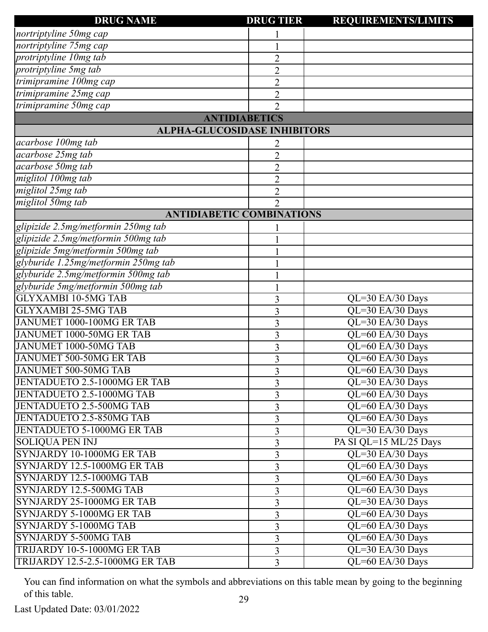| <b>DRUG NAME</b>                       | <b>DRUG TIER</b> | <b>REQUIREMENTS/LIMITS</b>            |
|----------------------------------------|------------------|---------------------------------------|
| nortriptyline 50mg cap                 |                  |                                       |
| nortriptyline 75mg cap                 |                  |                                       |
| protriptyline 10mg tab                 | $\overline{2}$   |                                       |
| protriptyline 5mg tab                  | $\overline{2}$   |                                       |
| trimipramine 100mg cap                 | $\overline{2}$   |                                       |
| trimipramine 25mg cap                  | $\overline{2}$   |                                       |
| trimipramine 50mg cap                  | $\overline{2}$   |                                       |
| <b>ANTIDIABETICS</b>                   |                  |                                       |
| <b>ALPHA-GLUCOSIDASE INHIBITORS</b>    |                  |                                       |
| acarbose 100mg tab                     | 2                |                                       |
| acarbose 25mg tab                      | $\overline{2}$   |                                       |
| acarbose 50mg tab                      | $\overline{2}$   |                                       |
| miglitol 100mg tab                     | $\overline{2}$   |                                       |
| miglitol 25mg tab                      | $\overline{2}$   |                                       |
| miglitol 50mg tab                      | $\overline{2}$   |                                       |
| <b>ANTIDIABETIC COMBINATIONS</b>       |                  |                                       |
| glipizide 2.5mg/metformin 250mg tab    |                  |                                       |
| glipizide 2.5mg/metformin 500mg tab    |                  |                                       |
| glipizide 5mg/metformin 500mg tab      |                  |                                       |
| glyburide 1.25mg/metformin 250mg tab   |                  |                                       |
| glyburide 2.5mg/metformin 500mg tab    |                  |                                       |
| glyburide 5mg/metformin 500mg tab      |                  |                                       |
| <b>GLYXAMBI 10-5MG TAB</b>             | 3                | QL=30 EA/30 Days                      |
| <b>GLYXAMBI 25-5MG TAB</b>             | 3                | QL=30 EA/30 Days                      |
| JANUMET 1000-100MG ER TAB              | 3                | QL=30 EA/30 Days                      |
| JANUMET 1000-50MG ER TAB               | 3                | QL=60 EA/30 Days                      |
| JANUMET 1000-50MG TAB                  | 3                | QL=60 EA/30 Days                      |
| JANUMET 500-50MG ER TAB                | 3                | QL=60 EA/30 Days                      |
| JANUMET 500-50MG TAB                   | 3                | QL=60 EA/30 Days                      |
| JENTADUETO 2.5-1000MG ER TAB           | 3                | QL=30 EA/30 Days                      |
| JENTADUETO 2.5-1000MG TAB              | 3                | QL=60 EA/30 Days                      |
| JENTADUETO 2.5-500MG TAB               | 3                | QL=60 EA/30 Days                      |
| <b>JENTADUETO 2.5-850MG TAB</b>        | 3                | QL=60 EA/30 Days                      |
| JENTADUETO 5-1000MG ER TAB             | 3                | QL=30 EA/30 Days                      |
| <b>SOLIOUA PEN INJ</b>                 | 3                | PA SI QL=15 ML/25 Days                |
| SYNJARDY 10-1000MG ER TAB              | 3                | QL=30 EA/30 Days                      |
| SYNJARDY 12.5-1000MG ER TAB            | 3                | QL=60 EA/30 Days                      |
| SYNJARDY 12.5-1000MG TAB               | 3                | QL=60 EA/30 Days                      |
| SYNJARDY 12.5-500MG TAB                | 3                | QL=60 EA/30 Days                      |
| SYNJARDY 25-1000MG ER TAB              | 3                | QL=30 EA/30 Days                      |
| SYNJARDY 5-1000MG ER TAB               | 3                | QL=60 EA/30 Days                      |
| SYNJARDY 5-1000MG TAB                  | 3                | $\overline{\text{QL}}$ =60 EA/30 Days |
| SYNJARDY 5-500MG TAB                   | 3                | QL=60 EA/30 Days                      |
| TRIJARDY 10-5-1000MG ER TAB            | 3                | QL=30 EA/30 Days                      |
| <b>TRIJARDY 12.5-2.5-1000MG ER TAB</b> | 3                | QL=60 EA/30 Days                      |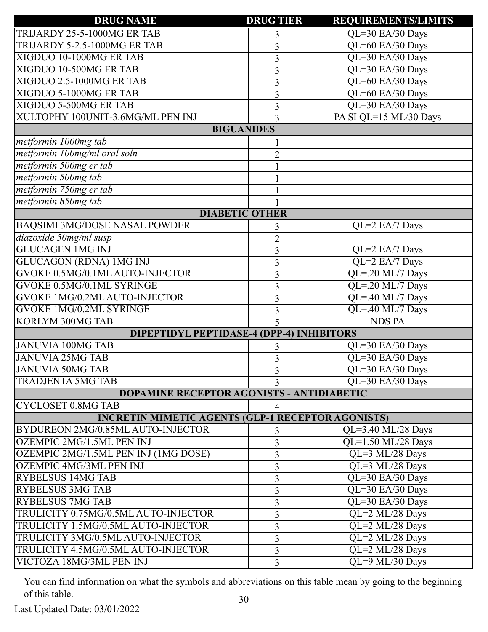| <b>DRUG NAME</b>                                         | <b>DRUG TIER</b> | <b>REQUIREMENTS/LIMITS</b>               |
|----------------------------------------------------------|------------------|------------------------------------------|
| TRIJARDY 25-5-1000MG ER TAB                              | 3                | QL=30 EA/30 Days                         |
| TRIJARDY 5-2.5-1000MG ER TAB                             | 3                | QL=60 EA/30 Days                         |
| XIGDUO 10-1000MG ER TAB                                  | 3                | QL=30 EA/30 Days                         |
| XIGDUO 10-500MG ER TAB                                   | 3                | QL=30 EA/30 Days                         |
| XIGDUO 2.5-1000MG ER TAB                                 | $\overline{3}$   | QL=60 EA/30 Days                         |
| XIGDUO 5-1000MG ER TAB                                   | 3                | QL=60 EA/30 Days                         |
| XIGDUO 5-500MG ER TAB                                    | 3                | QL=30 EA/30 Days                         |
| XULTOPHY 100UNIT-3.6MG/ML PEN INJ                        | 3                | PA SI QL=15 ML/30 Days                   |
| <b>BIGUANIDES</b>                                        |                  |                                          |
| metformin 1000mg tab                                     |                  |                                          |
| metformin 100mg/ml oral soln                             | $\overline{2}$   |                                          |
| metformin 500mg er tab                                   |                  |                                          |
| metformin 500mg tab                                      |                  |                                          |
| metformin 750mg er tab                                   |                  |                                          |
| metformin 850mg tab                                      |                  |                                          |
| <b>DIABETIC OTHER</b>                                    |                  |                                          |
| <b>BAQSIMI 3MG/DOSE NASAL POWDER</b>                     | 3                | $QL=2$ EA/7 Days                         |
| diazoxide 50mg/ml susp                                   | $\overline{2}$   |                                          |
| <b>GLUCAGEN 1MG INJ</b>                                  | 3                | QL=2 EA/7 Days                           |
| <b>GLUCAGON (RDNA) 1MG INJ</b>                           | 3                | QL=2 EA/7 Days                           |
| <b>GVOKE 0.5MG/0.1ML AUTO-INJECTOR</b>                   | 3                | QL=.20 ML/7 Days                         |
| <b>GVOKE 0.5MG/0.1ML SYRINGE</b>                         | 3                | QL=.20 ML/7 Days                         |
| <b>GVOKE 1MG/0.2ML AUTO-INJECTOR</b>                     | 3                | QL=.40 ML/7 Days                         |
| <b>GVOKE 1MG/0.2ML SYRINGE</b>                           | 3                | QL=.40 ML/7 Days                         |
| KORLYM 300MG TAB                                         | 5                | <b>NDS PA</b>                            |
| <b>DIPEPTIDYL PEPTIDASE-4 (DPP-4) INHIBITORS</b>         |                  |                                          |
| <b>JANUVIA 100MG TAB</b>                                 | 3                | QL=30 EA/30 Days                         |
| <b>JANUVIA 25MG TAB</b>                                  | 3                | QL=30 EA/30 Days                         |
| <b>JANUVIA 50MG TAB</b>                                  | 3                | QL=30 EA/30 Days                         |
| <b>TRADJENTA 5MG TAB</b>                                 | 3                | QL=30 EA/30 Days                         |
| <b>DOPAMINE RECEPTOR AGONISTS - ANTIDIABETIC</b>         |                  |                                          |
| <b>CYCLOSET 0.8MG TAB</b>                                | 4                |                                          |
| <b>INCRETIN MIMETIC AGENTS (GLP-1 RECEPTOR AGONISTS)</b> |                  |                                          |
| BYDUREON 2MG/0.85ML AUTO-INJECTOR                        | 3                | QL=3.40 ML/28 Days                       |
| OZEMPIC 2MG/1.5ML PEN INJ                                | 3                | $\overline{\text{QL=1.50\,ML/28\,Days}}$ |
| OZEMPIC 2MG/1.5ML PEN INJ (1MG DOSE)                     | 3                | QL=3 ML/28 Days                          |
| <b>OZEMPIC 4MG/3ML PEN INJ</b>                           | 3                | QL=3 ML/28 Days                          |
| <b>RYBELSUS 14MG TAB</b>                                 | 3                | QL=30 EA/30 Days                         |
| <b>RYBELSUS 3MG TAB</b>                                  | 3                | QL=30 EA/30 Days                         |
| <b>RYBELSUS 7MG TAB</b>                                  | 3                | QL=30 EA/30 Days                         |
| TRULICITY 0.75MG/0.5ML AUTO-INJECTOR                     | 3                | QL=2 ML/28 Days                          |
| TRULICITY 1.5MG/0.5ML AUTO-INJECTOR                      | 3                | QL=2 ML/28 Days                          |
| TRULICITY 3MG/0.5ML AUTO-INJECTOR                        | 3                | QL=2 ML/28 Days                          |
| TRULICITY 4.5MG/0.5ML AUTO-INJECTOR                      | 3                | QL=2 ML/28 Days                          |
| VICTOZA 18MG/3ML PEN INJ                                 | 3                | QL=9 ML/30 Days                          |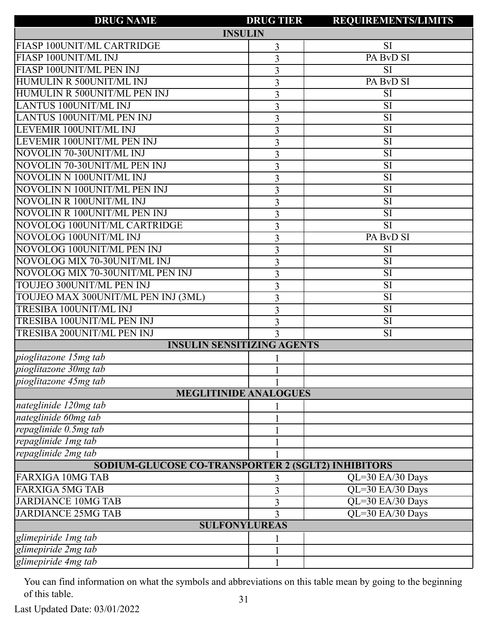| <b>DRUG NAME</b>                                          | <b>DRUG TIER</b> | <b>REQUIREMENTS/LIMITS</b> |  |
|-----------------------------------------------------------|------------------|----------------------------|--|
| <b>INSULIN</b>                                            |                  |                            |  |
| FIASP 100UNIT/ML CARTRIDGE                                | 3                | <b>SI</b>                  |  |
| FIASP 100UNIT/ML INJ                                      | 3                | PA BvD SI                  |  |
| FIASP 100UNIT/ML PEN INJ                                  | 3                | $\overline{SI}$            |  |
| HUMULIN R 500UNIT/ML INJ                                  | 3                | PA BvD SI                  |  |
| HUMULIN R 500UNIT/ML PEN INJ                              | 3                | $\overline{\mathrm{SI}}$   |  |
| <b>LANTUS 100UNIT/ML INJ</b>                              | 3                | SI                         |  |
| LANTUS 100UNIT/ML PEN INJ                                 | 3                | $\overline{SI}$            |  |
| LEVEMIR 100UNIT/ML INJ                                    | 3                | SI                         |  |
| LEVEMIR 100UNIT/ML PEN INJ                                | 3                | $\overline{\mathrm{SI}}$   |  |
| NOVOLIN 70-30UNIT/ML INJ                                  | 3                | SI                         |  |
| NOVOLIN 70-30UNIT/ML PEN INJ                              | 3                | $\overline{SI}$            |  |
| NOVOLIN N 100UNIT/ML INJ                                  | 3                | SI                         |  |
| NOVOLIN N 100UNIT/ML PEN INJ                              | 3                | $\overline{\mathrm{SI}}$   |  |
| NOVOLIN R 100UNIT/ML INJ                                  | 3                | SI                         |  |
| NOVOLIN R 100UNIT/ML PEN INJ                              | 3                | $\overline{SI}$            |  |
| NOVOLOG 100UNIT/ML CARTRIDGE                              | 3                | SI                         |  |
| NOVOLOG 100UNIT/ML INJ                                    | 3                | PA BvD SI                  |  |
| NOVOLOG 100UNIT/ML PEN INJ                                | 3                | SI                         |  |
| NOVOLOG MIX 70-30UNIT/ML INJ                              | 3                | $\overline{SI}$            |  |
| NOVOLOG MIX 70-30UNIT/ML PEN INJ                          | 3                | SI                         |  |
| TOUJEO 300UNIT/ML PEN INJ                                 | 3                | $\overline{\mathrm{SI}}$   |  |
| TOUJEO MAX 300UNIT/ML PEN INJ (3ML)                       | 3                | SI                         |  |
| <b>TRESIBA 100UNIT/ML INJ</b>                             | 3                | $\overline{SI}$            |  |
| <b>TRESIBA 100UNIT/ML PEN INJ</b>                         | 3                | SI                         |  |
| <b>TRESIBA 200UNIT/ML PEN INJ</b>                         | 3                | $\overline{\mathrm{SI}}$   |  |
| <b>INSULIN SENSITIZING AGENTS</b>                         |                  |                            |  |
| pioglitazone 15mg tab                                     |                  |                            |  |
| pioglitazone 30mg tab                                     |                  |                            |  |
| pioglitazone 45mg tab                                     |                  |                            |  |
| <b>MEGLITINIDE ANALOGUES</b>                              |                  |                            |  |
| nateglinide 120mg tab                                     |                  |                            |  |
| nateglinide 60mg tab                                      |                  |                            |  |
| repaglinide 0.5mg tab                                     |                  |                            |  |
| repaglinide Img tab                                       |                  |                            |  |
| repaglinide 2mg tab                                       |                  |                            |  |
| <b>SODIUM-GLUCOSE CO-TRANSPORTER 2 (SGLT2) INHIBITORS</b> |                  |                            |  |
| <b>FARXIGA 10MG TAB</b>                                   | 3                | QL=30 EA/30 Days           |  |
| <b>FARXIGA 5MG TAB</b>                                    | 3                | QL=30 EA/30 Days           |  |
| <b>JARDIANCE 10MG TAB</b>                                 | 3                | QL=30 EA/30 Days           |  |
| <b>JARDIANCE 25MG TAB</b>                                 | 3                | QL=30 EA/30 Days           |  |
| <b>SULFONYLUREAS</b>                                      |                  |                            |  |
| glimepiride 1 mg tab                                      |                  |                            |  |
| glimepiride 2mg tab                                       |                  |                            |  |
| glimepiride 4mg tab                                       |                  |                            |  |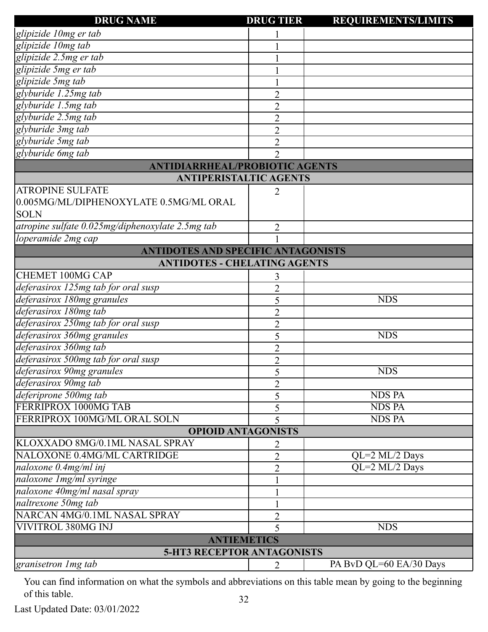| <b>DRUG NAME</b>                                 | <b>DRUG TIER</b> | <b>REQUIREMENTS/LIMITS</b> |
|--------------------------------------------------|------------------|----------------------------|
| glipizide 10mg er tab                            |                  |                            |
| glipizide 10mg tab                               |                  |                            |
| glipizide 2.5mg er tab                           |                  |                            |
| glipizide 5mg er tab                             |                  |                            |
| glipizide 5mg tab                                |                  |                            |
| glyburide 1.25mg tab                             | $\overline{2}$   |                            |
| glyburide 1.5mg tab                              | $\overline{2}$   |                            |
| glyburide 2.5mg tab                              | $\overline{2}$   |                            |
| glyburide 3mg tab                                | $\overline{2}$   |                            |
| glyburide 5mg tab                                | $\overline{2}$   |                            |
| glyburide 6mg tab                                | $\overline{2}$   |                            |
| <b>ANTIDIARRHEAL/PROBIOTIC AGENTS</b>            |                  |                            |
| <b>ANTIPERISTALTIC AGENTS</b>                    |                  |                            |
| <b>ATROPINE SULFATE</b>                          |                  |                            |
| 0.005MG/ML/DIPHENOXYLATE 0.5MG/ML ORAL           |                  |                            |
| <b>SOLN</b>                                      |                  |                            |
| atropine sulfate 0.025mg/diphenoxylate 2.5mg tab | 2                |                            |
| loperamide 2mg cap                               |                  |                            |
| ANTIDOTES AND SPECIFIC ANTAGONISTS               |                  |                            |
| <b>ANTIDOTES - CHELATING AGENTS</b>              |                  |                            |
| <b>CHEMET 100MG CAP</b>                          | 3                |                            |
| deferasirox 125mg tab for oral susp              | $\overline{2}$   |                            |
| deferasirox 180mg granules                       | 5                | <b>NDS</b>                 |
| deferasirox 180mg tab                            | $\overline{2}$   |                            |
| deferasirox 250mg tab for oral susp              | $\overline{2}$   |                            |
| deferasirox 360mg granules                       | 5                | <b>NDS</b>                 |
| deferasirox 360mg tab                            | $\overline{2}$   |                            |
| deferasirox 500mg tab for oral susp              | $\overline{2}$   |                            |
| deferasirox 90mg granules                        | 5                | <b>NDS</b>                 |
| deferasirox 90mg tab                             | $\overline{2}$   |                            |
| deferiprone 500mg tab                            | 5                | <b>NDS PA</b>              |
| FERRIPROX 1000MG TAB                             | 5                | <b>NDS PA</b>              |
| FERRIPROX 100MG/ML ORAL SOLN                     | 5                | <b>NDS PA</b>              |
| <b>OPIOID ANTAGONISTS</b>                        |                  |                            |
| KLOXXADO 8MG/0.1ML NASAL SPRAY                   | $\overline{2}$   |                            |
| NALOXONE 0.4MG/ML CARTRIDGE                      | $\overline{2}$   | QL=2 ML/2 Days             |
| naloxone 0.4mg/ml inj                            | $\overline{2}$   | QL=2 ML/2 Days             |
| naloxone 1mg/ml syringe                          |                  |                            |
| naloxone 40mg/ml nasal spray                     |                  |                            |
| naltrexone 50mg tab                              |                  |                            |
| NARCAN 4MG/0.1ML NASAL SPRAY                     | $\overline{2}$   |                            |
| VIVITROL 380MG INJ                               | 5                | <b>NDS</b>                 |
| <b>ANTIEMETICS</b>                               |                  |                            |
| <b>5-HT3 RECEPTOR ANTAGONISTS</b>                |                  |                            |
| granisetron 1 mg tab                             | 2                | PA BvD QL=60 EA/30 Days    |
|                                                  |                  |                            |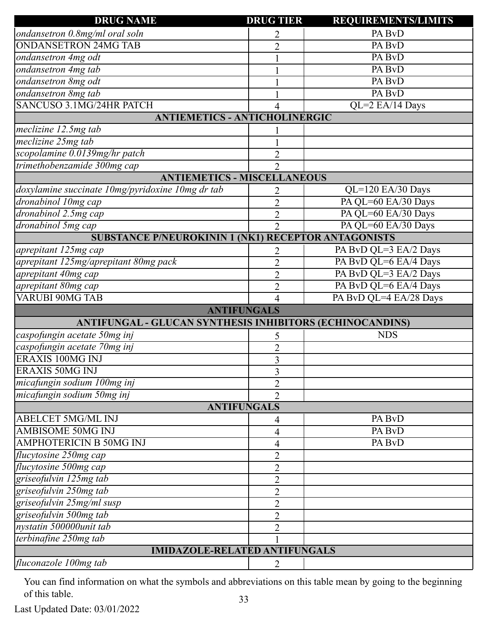| <b>DRUG NAME</b>                                           | <b>DRUG TIER</b> | <b>REQUIREMENTS/LIMITS</b> |  |
|------------------------------------------------------------|------------------|----------------------------|--|
| ondansetron 0.8mg/ml oral soln                             | 2                | PA BvD                     |  |
| <b>ONDANSETRON 24MG TAB</b>                                | $\overline{2}$   | PA BvD                     |  |
| ondansetron 4mg odt                                        |                  | PA BvD                     |  |
| ondansetron 4mg tab                                        |                  | PA BvD                     |  |
| ondansetron 8mg odt                                        |                  | PA BvD                     |  |
| ondansetron 8mg tab                                        |                  | PA BvD                     |  |
| SANCUSO 3.1MG/24HR PATCH                                   | 4                | QL=2 EA/14 Days            |  |
| <b>ANTIEMETICS - ANTICHOLINERGIC</b>                       |                  |                            |  |
| meclizine 12.5mg tab                                       |                  |                            |  |
| meclizine 25mg tab                                         |                  |                            |  |
| scopolamine 0.0139mg/hr patch                              | $\overline{2}$   |                            |  |
| trimethobenzamide 300mg cap                                | $\overline{2}$   |                            |  |
| <b>ANTIEMETICS - MISCELLANEOUS</b>                         |                  |                            |  |
| doxylamine succinate 10mg/pyridoxine 10mg dr tab           | 2                | QL=120 EA/30 Days          |  |
| dronabinol 10mg cap                                        | $\overline{2}$   | PA QL=60 EA/30 Days        |  |
| dronabinol 2.5mg cap                                       | $\overline{2}$   | PA QL=60 EA/30 Days        |  |
| dronabinol 5mg cap                                         | $\overline{2}$   | PA QL=60 EA/30 Days        |  |
| <b>SUBSTANCE P/NEUROKININ 1 (NK1) RECEPTOR ANTAGONISTS</b> |                  |                            |  |
| aprepitant 125mg cap                                       | 2                | PA BvD QL=3 EA/2 Days      |  |
| aprepitant 125mg/aprepitant 80mg pack                      | $\overline{2}$   | PA BvD QL=6 EA/4 Days      |  |
| aprepitant 40mg cap                                        | $\overline{2}$   | PA BvD QL=3 EA/2 Days      |  |
| aprepitant 80mg cap                                        | $\overline{2}$   | PA BvD QL=6 EA/4 Days      |  |
| <b>VARUBI 90MG TAB</b>                                     | 4                | PA BvD QL=4 EA/28 Days     |  |
| <b>ANTIFUNGALS</b>                                         |                  |                            |  |
| ANTIFUNGAL - GLUCAN SYNTHESIS INHIBITORS (ECHINOCANDINS)   |                  |                            |  |
| caspofungin acetate 50mg inj                               | 5                | <b>NDS</b>                 |  |
| caspofungin acetate 70mg inj                               | $\overline{2}$   |                            |  |
| <b>ERAXIS 100MG INJ</b>                                    | 3                |                            |  |
| <b>ERAXIS 50MG INJ</b>                                     | 3                |                            |  |
| micafungin sodium 100mg inj                                | $\overline{2}$   |                            |  |
| micafungin sodium 50mg inj                                 | $\overline{2}$   |                            |  |
| <b>ANTIFUNGALS</b>                                         |                  |                            |  |
| <b>ABELCET 5MG/ML INJ</b>                                  | 4                | PA BvD                     |  |
| <b>AMBISOME 50MG INJ</b>                                   | 4                | PA BvD                     |  |
| <b>AMPHOTERICIN B 50MG INJ</b>                             | 4                | PA BvD                     |  |
| flucytosine 250mg cap                                      | $\overline{2}$   |                            |  |
| flucytosine 500mg cap                                      | $\overline{2}$   |                            |  |
| griseofulvin 125mg tab                                     | $\overline{2}$   |                            |  |
| griseofulvin 250mg tab                                     | $\overline{2}$   |                            |  |
| griseofulvin 25mg/ml susp                                  | $\overline{2}$   |                            |  |
| griseofulvin 500mg tab                                     | $\overline{2}$   |                            |  |
| nystatin 500000unit tab                                    | $\overline{2}$   |                            |  |
| terbinafine 250mg tab                                      |                  |                            |  |
| <b>IMIDAZOLE-RELATED ANTIFUNGALS</b>                       |                  |                            |  |
| fluconazole 100mg tab                                      | $\overline{2}$   |                            |  |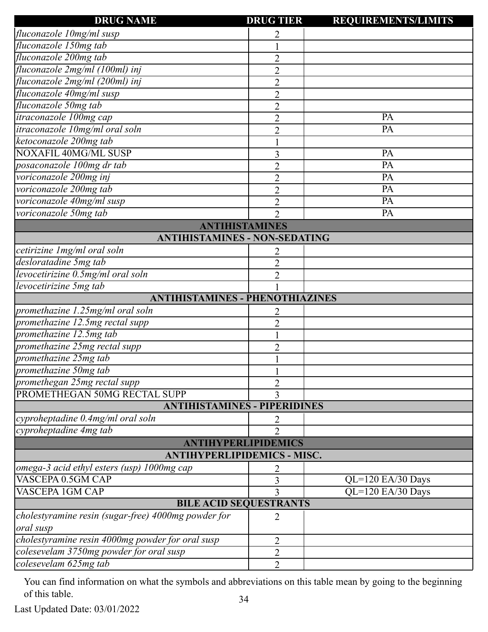| <b>DRUG NAME</b>                                    | <b>DRUG TIER</b> | <b>REQUIREMENTS/LIMITS</b> |  |
|-----------------------------------------------------|------------------|----------------------------|--|
| fluconazole 10mg/ml susp                            | 2                |                            |  |
| fluconazole 150mg tab                               |                  |                            |  |
| fluconazole 200mg tab                               | $\overline{2}$   |                            |  |
| fluconazole 2mg/ml (100ml) inj                      | $\overline{2}$   |                            |  |
| fluconazole 2mg/ml (200ml) inj                      | $\overline{2}$   |                            |  |
| fluconazole 40mg/ml susp                            | $\overline{2}$   |                            |  |
| fluconazole 50mg tab                                | $\overline{2}$   |                            |  |
| itraconazole 100mg cap                              | $\overline{2}$   | PA                         |  |
| itraconazole 10mg/ml oral soln                      | $\overline{2}$   | PA                         |  |
| ketoconazole 200mg tab                              |                  |                            |  |
| <b>NOXAFIL 40MG/ML SUSP</b>                         | 3                | PA                         |  |
| posaconazole 100mg dr tab                           | $\overline{2}$   | PA                         |  |
| voriconazole 200mg inj                              | $\overline{2}$   | PA                         |  |
| voriconazole 200mg tab                              | $\overline{2}$   | PA                         |  |
| voriconazole 40mg/ml susp                           | $\overline{2}$   | PA                         |  |
| voriconazole 50mg tab                               | $\overline{2}$   | PA                         |  |
| <b>ANTIHISTAMINES</b>                               |                  |                            |  |
| <b>ANTIHISTAMINES - NON-SEDATING</b>                |                  |                            |  |
| cetirizine 1 mg/ml oral soln                        | 2                |                            |  |
| desloratadine 5mg tab                               | $\overline{2}$   |                            |  |
| levocetirizine 0.5mg/ml oral soln                   | $\overline{2}$   |                            |  |
| levocetirizine 5mg tab                              |                  |                            |  |
| <b>ANTIHISTAMINES - PHENOTHIAZINES</b>              |                  |                            |  |
| promethazine 1.25mg/ml oral soln                    | 2                |                            |  |
| promethazine 12.5mg rectal supp                     | $\overline{2}$   |                            |  |
| promethazine 12.5mg tab                             |                  |                            |  |
| promethazine 25mg rectal supp                       | 2                |                            |  |
| promethazine 25mg tab                               |                  |                            |  |
| promethazine 50mg tab                               |                  |                            |  |
| promethegan 25mg rectal supp                        | $\overline{2}$   |                            |  |
| PROMETHEGAN 50MG RECTAL SUPP                        | 3                |                            |  |
| <b>ANTIHISTAMINES - PIPERIDINES</b>                 |                  |                            |  |
| cyproheptadine 0.4mg/ml oral soln                   | 2                |                            |  |
| cyproheptadine 4mg tab                              | $\overline{2}$   |                            |  |
| <b>ANTIHYPERLIPIDEMICS</b>                          |                  |                            |  |
| <b>ANTIHYPERLIPIDEMICS - MISC.</b>                  |                  |                            |  |
| omega-3 acid ethyl esters (usp) 1000mg cap          |                  |                            |  |
| VASCEPA 0.5GM CAP                                   | 3                | $QL=120$ EA/30 Days        |  |
| <b>VASCEPA 1GM CAP</b>                              | 3                | QL=120 EA/30 Days          |  |
| <b>BILE ACID SEQUESTRANTS</b>                       |                  |                            |  |
| cholestyramine resin (sugar-free) 4000mg powder for | 2                |                            |  |
| oral susp                                           |                  |                            |  |
| cholestyramine resin 4000mg powder for oral susp    | 2                |                            |  |
| colesevelam 3750mg powder for oral susp             | 2                |                            |  |
| colesevelam 625mg tab                               | $\overline{2}$   |                            |  |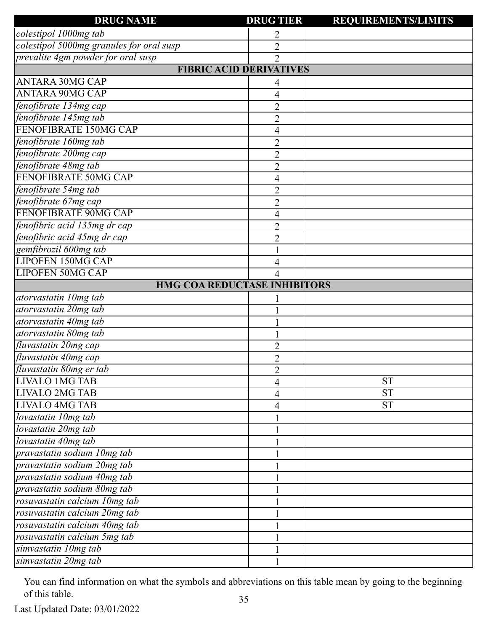| <b>DRUG NAME</b>                         | <b>DRUG TIER</b> | <b>REQUIREMENTS/LIMITS</b> |
|------------------------------------------|------------------|----------------------------|
| colestipol 1000mg tab                    | 2                |                            |
| colestipol 5000mg granules for oral susp | $\overline{2}$   |                            |
| prevalite 4gm powder for oral susp       | $\overline{2}$   |                            |
| <b>FIBRIC ACID DERIVATIVES</b>           |                  |                            |
| <b>ANTARA 30MG CAP</b>                   | 4                |                            |
| <b>ANTARA 90MG CAP</b>                   | 4                |                            |
| fenofibrate 134mg cap                    | $\overline{c}$   |                            |
| fenofibrate 145mg tab                    | $\overline{c}$   |                            |
| FENOFIBRATE 150MG CAP                    | 4                |                            |
| fenofibrate 160mg tab                    | $\overline{2}$   |                            |
| fenofibrate 200mg cap                    | $\overline{2}$   |                            |
| fenofibrate 48mg tab                     | $\overline{c}$   |                            |
| FENOFIBRATE 50MG CAP                     | $\overline{4}$   |                            |
| fenofibrate 54mg tab                     | $\overline{2}$   |                            |
| fenofibrate 67mg cap                     | $\overline{c}$   |                            |
| FENOFIBRATE 90MG CAP                     | 4                |                            |
| fenofibric acid 135mg dr cap             | $\overline{2}$   |                            |
| fenofibric acid 45mg dr cap              | $\overline{2}$   |                            |
| gemfibrozil 600mg tab                    |                  |                            |
| <b>LIPOFEN 150MG CAP</b>                 |                  |                            |
| <b>LIPOFEN 50MG CAP</b>                  |                  |                            |
| <b>HMG COA REDUCTASE INHIBITORS</b>      |                  |                            |
| atorvastatin 10mg tab                    |                  |                            |
| atorvastatin 20mg tab                    |                  |                            |
| atorvastatin 40mg tab                    |                  |                            |
| atorvastatin 80mg tab                    |                  |                            |
| fluvastatin 20mg cap                     | 2                |                            |
| fluvastatin 40mg cap                     | $\overline{2}$   |                            |
| fluvastatin 80mg er tab                  | $\overline{2}$   |                            |
| <b>LIVALO 1MG TAB</b>                    | 4                | <b>ST</b>                  |
| <b>LIVALO 2MG TAB</b>                    | 4                | <b>ST</b>                  |
| <b>LIVALO 4MG TAB</b>                    | 4                | <b>ST</b>                  |
| lovastatin 10mg tab                      |                  |                            |
| lovastatin 20mg tab                      |                  |                            |
| lovastatin 40mg tab                      |                  |                            |
| pravastatin sodium 10mg tab              |                  |                            |
| pravastatin sodium 20mg tab              |                  |                            |
| pravastatin sodium 40mg tab              |                  |                            |
| pravastatin sodium 80mg tab              |                  |                            |
| rosuvastatin calcium 10mg tab            |                  |                            |
| rosuvastatin calcium 20mg tab            |                  |                            |
| rosuvastatin calcium 40mg tab            |                  |                            |
| rosuvastatin calcium 5mg tab             |                  |                            |
| simvastatin 10mg tab                     |                  |                            |
| simvastatin 20mg tab                     |                  |                            |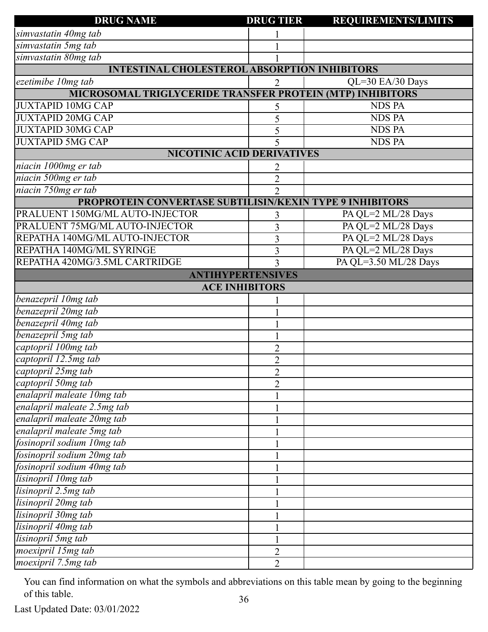| <b>DRUG NAME</b>                                                 | <b>DRUG TIER</b> | <b>REQUIREMENTS/LIMITS</b> |
|------------------------------------------------------------------|------------------|----------------------------|
| simvastatin 40mg tab                                             |                  |                            |
| simvastatin 5mg tab                                              |                  |                            |
| simvastatin 80mg tab                                             |                  |                            |
| <b>INTESTINAL CHOLESTEROL ABSORPTION INHIBITORS</b>              |                  |                            |
| ezetimibe 10mg tab                                               | $\overline{2}$   | QL=30 EA/30 Days           |
| <b>MICROSOMAL TRIGLYCERIDE TRANSFER PROTEIN (MTP) INHIBITORS</b> |                  |                            |
| <b>JUXTAPID 10MG CAP</b>                                         | 5                | <b>NDS PA</b>              |
| <b>JUXTAPID 20MG CAP</b>                                         | 5                | <b>NDS PA</b>              |
| <b>JUXTAPID 30MG CAP</b>                                         | 5                | <b>NDS PA</b>              |
| <b>JUXTAPID 5MG CAP</b>                                          | 5                | <b>NDS PA</b>              |
| <b>NICOTINIC ACID DERIVATIVES</b>                                |                  |                            |
| niacin 1000mg er tab                                             |                  |                            |
| niacin 500mg er tab                                              | $\overline{2}$   |                            |
| niacin 750mg er tab                                              | $\overline{2}$   |                            |
| PROPROTEIN CONVERTASE SUBTILISIN/KEXIN TYPE 9 INHIBITORS         |                  |                            |
| PRALUENT 150MG/ML AUTO-INJECTOR                                  | 3                | PA QL=2 ML/28 Days         |
| PRALUENT 75MG/ML AUTO-INJECTOR                                   | $\overline{3}$   | PA QL=2 ML/28 Days         |
| REPATHA 140MG/ML AUTO-INJECTOR                                   | 3                | PA QL=2 ML/28 Days         |
| REPATHA 140MG/ML SYRINGE                                         | $\overline{3}$   | PA QL=2 ML/28 Days         |
| REPATHA 420MG/3.5ML CARTRIDGE                                    | 3                | PA QL=3.50 ML/28 Days      |
| <b>ANTIHYPERTENSIVES</b>                                         |                  |                            |
| <b>ACE INHIBITORS</b>                                            |                  |                            |
| benazepril 10mg tab                                              |                  |                            |
| benazepril 20mg tab                                              |                  |                            |
| benazepril 40mg tab                                              |                  |                            |
| benazepril 5mg tab                                               |                  |                            |
| captopril 100mg tab                                              | $\overline{2}$   |                            |
| captopril 12.5mg tab                                             | $\overline{2}$   |                            |
| captopril 25mg tab                                               | $\sim$           |                            |
| captopril 50mg tab                                               | $\overline{2}$   |                            |
| enalapril maleate 10mg tab                                       |                  |                            |
| enalapril maleate 2.5mg tab                                      |                  |                            |
| enalapril maleate 20mg tab                                       |                  |                            |
| enalapril maleate 5mg tab                                        |                  |                            |
| fosinopril sodium 10mg tab                                       |                  |                            |
| fosinopril sodium 20mg tab                                       |                  |                            |
| fosinopril sodium 40mg tab                                       |                  |                            |
| lisinopril 10mg tab                                              |                  |                            |
| lisinopril 2.5mg tab                                             |                  |                            |
| lisinopril 20mg tab                                              |                  |                            |
| lisinopril 30mg tab                                              |                  |                            |
| lisinopril 40mg tab                                              |                  |                            |
| lisinopril 5mg tab                                               |                  |                            |
| moexipril 15mg tab                                               | $\overline{2}$   |                            |
| moexipril 7.5mg tab                                              | $\overline{2}$   |                            |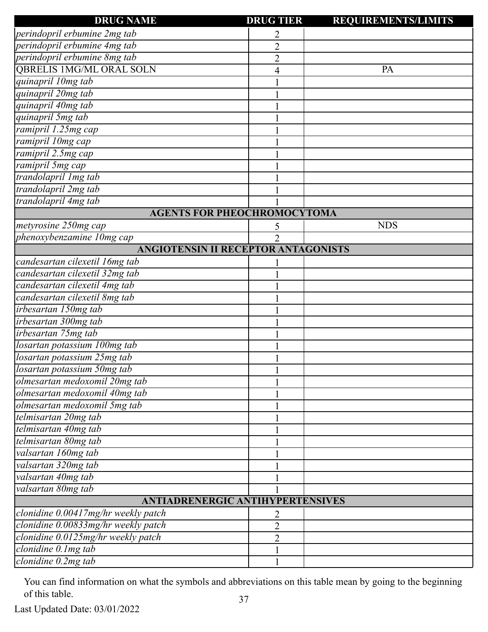| <b>DRUG NAME</b>                           | <b>DRUG TIER</b> | <b>REQUIREMENTS/LIMITS</b> |
|--------------------------------------------|------------------|----------------------------|
| perindopril erbumine 2mg tab               | 2                |                            |
| perindopril erbumine 4mg tab               | $\overline{2}$   |                            |
| perindopril erbumine 8mg tab               | $\overline{c}$   |                            |
| <b>QBRELIS 1MG/ML ORAL SOLN</b>            | 4                | PA                         |
| quinapril 10mg tab                         |                  |                            |
| quinapril 20mg tab                         |                  |                            |
| quinapril 40mg tab                         |                  |                            |
| quinapril 5mg tab                          |                  |                            |
| ramipril 1.25mg cap                        |                  |                            |
| ramipril 10mg cap                          |                  |                            |
| ramipril 2.5mg cap                         |                  |                            |
| ramipril 5mg cap                           |                  |                            |
| trandolapril Img tab                       |                  |                            |
| trandolapril 2mg tab                       |                  |                            |
| trandolapril 4mg tab                       |                  |                            |
| <b>AGENTS FOR PHEOCHROMOCYTOMA</b>         |                  |                            |
| metyrosine 250mg cap                       | 5                | <b>NDS</b>                 |
| phenoxybenzamine 10mg cap                  | $\overline{2}$   |                            |
| <b>ANGIOTENSIN II RECEPTOR ANTAGONISTS</b> |                  |                            |
| candesartan cilexetil 16mg tab             |                  |                            |
| candesartan cilexetil 32mg tab             |                  |                            |
| candesartan cilexetil 4mg tab              |                  |                            |
| candesartan cilexetil 8mg tab              |                  |                            |
| irbesartan 150mg tab                       |                  |                            |
| irbesartan 300mg tab                       |                  |                            |
| irbesartan 75mg tab                        |                  |                            |
| losartan potassium 100mg tab               |                  |                            |
| losartan potassium 25mg tab                |                  |                            |
| losartan potassium 50mg tab                |                  |                            |
| olmesartan medoxomil 20mg tab              |                  |                            |
| olmesartan medoxomil 40mg tab              |                  |                            |
| olmesartan medoxomil 5mg tab               |                  |                            |
| telmisartan 20mg tab                       |                  |                            |
| telmisartan 40mg tab                       |                  |                            |
| telmisartan 80mg tab                       |                  |                            |
| valsartan 160mg tab                        |                  |                            |
| valsartan 320mg tab                        |                  |                            |
| valsartan 40mg tab                         |                  |                            |
| valsartan 80mg tab                         |                  |                            |
| <b>ANTIADRENERGIC ANTIHYPERTENSIVES</b>    |                  |                            |
| clonidine 0.00417mg/hr weekly patch        | 2                |                            |
| clonidine 0.00833mg/hr weekly patch        | $\overline{2}$   |                            |
| clonidine 0.0125mg/hr weekly patch         | $\overline{2}$   |                            |
| clonidine 0.1mg tab                        |                  |                            |
| $clonidine$ 0.2mg tab                      |                  |                            |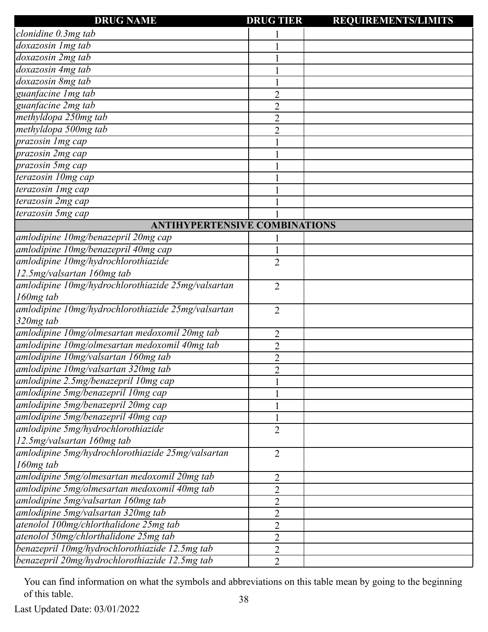| <b>DRUG NAME</b>                                   | <b>DRUG TIER</b> | <b>REQUIREMENTS/LIMITS</b> |
|----------------------------------------------------|------------------|----------------------------|
| clonidine 0.3mg tab                                |                  |                            |
| doxazosin 1mg tab                                  |                  |                            |
| doxazosin 2mg tab                                  |                  |                            |
| doxazosin 4mg tab                                  |                  |                            |
| doxazosin 8mg tab                                  |                  |                            |
| guanfacine Img tab                                 | $\overline{2}$   |                            |
| guanfacine 2mg tab                                 | $\overline{2}$   |                            |
| methyldopa 250mg tab                               | $\overline{2}$   |                            |
| methyldopa 500mg tab                               | $\overline{2}$   |                            |
| prazosin 1mg cap                                   |                  |                            |
| prazosin 2mg cap                                   |                  |                            |
| prazosin 5mg cap                                   |                  |                            |
| terazosin 10mg cap                                 |                  |                            |
| terazosin 1mg cap                                  |                  |                            |
| terazosin 2mg cap                                  |                  |                            |
| terazosin 5mg cap                                  |                  |                            |
| <b>ANTIHYPERTENSIVE COMBINATIONS</b>               |                  |                            |
| amlodipine 10mg/benazepril 20mg cap                |                  |                            |
| amlodipine 10mg/benazepril 40mg cap                |                  |                            |
| amlodipine 10mg/hydrochlorothiazide                | $\overline{2}$   |                            |
| 12.5mg/valsartan 160mg tab                         |                  |                            |
| amlodipine 10mg/hydrochlorothiazide 25mg/valsartan | $\overline{2}$   |                            |
| 160mg tab                                          |                  |                            |
| amlodipine 10mg/hydrochlorothiazide 25mg/valsartan | $\overline{2}$   |                            |
| 320mg tab                                          |                  |                            |
| amlodipine 10mg/olmesartan medoxomil 20mg tab      | $\overline{2}$   |                            |
| amlodipine 10mg/olmesartan medoxomil 40mg tab      | $\overline{2}$   |                            |
| amlodipine 10mg/valsartan 160mg tab                | $\overline{c}$   |                            |
| amlodipine 10mg/valsartan 320mg tab                | $\overline{2}$   |                            |
| amlodipine 2.5mg/benazepril 10mg cap               | $\mathbf{1}$     |                            |
| amlodipine 5mg/benazepril 10mg cap                 |                  |                            |
| amlodipine 5mg/benazepril 20mg cap                 | $\mathbf{1}$     |                            |
| amlodipine 5mg/benazepril 40mg cap                 |                  |                            |
| amlodipine 5mg/hydrochlorothiazide                 | $\overline{2}$   |                            |
| 12.5mg/valsartan 160mg tab                         |                  |                            |
| amlodipine 5mg/hydrochlorothiazide 25mg/valsartan  | $\overline{2}$   |                            |
| 160mg tab                                          |                  |                            |
| amlodipine 5mg/olmesartan medoxomil 20mg tab       | 2                |                            |
| amlodipine 5mg/olmesartan medoxomil 40mg tab       | $\overline{2}$   |                            |
| amlodipine 5mg/valsartan 160mg tab                 | $\overline{2}$   |                            |
| amlodipine 5mg/valsartan 320mg tab                 | $\overline{2}$   |                            |
| atenolol 100mg/chlorthalidone 25mg tab             | $\overline{2}$   |                            |
| atenolol 50mg/chlorthalidone 25mg tab              | $\overline{2}$   |                            |
| benazepril 10mg/hydrochlorothiazide 12.5mg tab     | $\overline{2}$   |                            |
| benazepril 20mg/hydrochlorothiazide 12.5mg tab     | $\overline{2}$   |                            |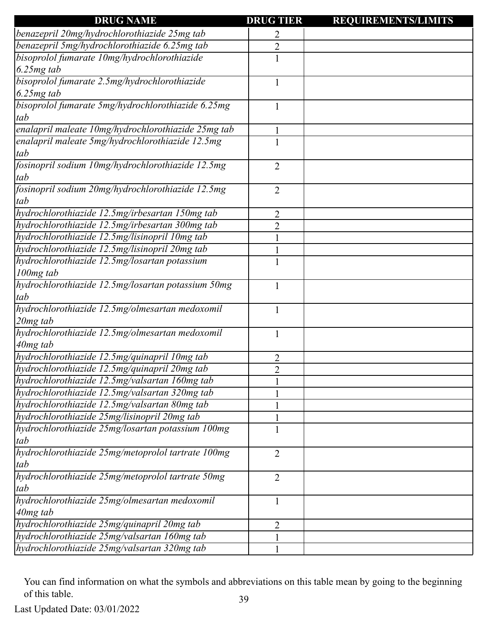| <b>DRUG NAME</b>                                    | <b>DRUG TIER</b> | <b>REQUIREMENTS/LIMITS</b> |
|-----------------------------------------------------|------------------|----------------------------|
| benazepril 20mg/hydrochlorothiazide 25mg tab        | 2                |                            |
| benazepril 5mg/hydrochlorothiazide 6.25mg tab       | $\overline{2}$   |                            |
| bisoprolol fumarate 10mg/hydrochlorothiazide        |                  |                            |
| $6.25mg$ tab                                        |                  |                            |
| bisoprolol fumarate 2.5mg/hydrochlorothiazide       |                  |                            |
| $6.25mg$ tab                                        |                  |                            |
| bisoprolol fumarate 5mg/hydrochlorothiazide 6.25mg  |                  |                            |
| tab                                                 |                  |                            |
| enalapril maleate 10mg/hydrochlorothiazide 25mg tab |                  |                            |
| enalapril maleate 5mg/hydrochlorothiazide 12.5mg    |                  |                            |
| tab                                                 |                  |                            |
| fosinopril sodium 10mg/hydrochlorothiazide 12.5mg   | $\overline{2}$   |                            |
| tab                                                 |                  |                            |
| fosinopril sodium 20mg/hydrochlorothiazide 12.5mg   | $\overline{2}$   |                            |
| tab                                                 |                  |                            |
| hydrochlorothiazide 12.5mg/irbesartan 150mg tab     | 2                |                            |
| hydrochlorothiazide 12.5mg/irbesartan 300mg tab     | $\overline{2}$   |                            |
| hydrochlorothiazide 12.5mg/lisinopril 10mg tab      |                  |                            |
| hydrochlorothiazide 12.5mg/lisinopril 20mg tab      |                  |                            |
| hydrochlorothiazide 12.5mg/losartan potassium       |                  |                            |
| 100mg tab                                           |                  |                            |
| hydrochlorothiazide 12.5mg/losartan potassium 50mg  |                  |                            |
| tab                                                 |                  |                            |
| hydrochlorothiazide 12.5mg/olmesartan medoxomil     | 1                |                            |
| $20mg$ tab                                          |                  |                            |
| hydrochlorothiazide 12.5mg/olmesartan medoxomil     | 1                |                            |
| 40mg tab                                            |                  |                            |
| hydrochlorothiazide 12.5mg/quinapril 10mg tab       | $\overline{2}$   |                            |
| hydrochlorothiazide 12.5mg/quinapril 20mg tab       | $\overline{2}$   |                            |
| hydrochlorothiazide 12.5mg/valsartan 160mg tab      |                  |                            |
| hydrochlorothiazide 12.5mg/valsartan 320mg tab      |                  |                            |
| hydrochlorothiazide 12.5mg/valsartan 80mg tab       |                  |                            |
| hydrochlorothiazide 25mg/lisinopril 20mg tab        |                  |                            |
| hydrochlorothiazide 25mg/losartan potassium 100mg   |                  |                            |
| tab                                                 |                  |                            |
| hydrochlorothiazide 25mg/metoprolol tartrate 100mg  | $\overline{2}$   |                            |
| tab                                                 |                  |                            |
| hydrochlorothiazide 25mg/metoprolol tartrate 50mg   | 2                |                            |
| tab                                                 |                  |                            |
| hydrochlorothiazide 25mg/olmesartan medoxomil       | 1                |                            |
| $40mg$ tab                                          |                  |                            |
| hydrochlorothiazide 25mg/quinapril 20mg tab         | 2                |                            |
| hydrochlorothiazide 25mg/valsartan 160mg tab        |                  |                            |
| hydrochlorothiazide 25mg/valsartan 320mg tab        |                  |                            |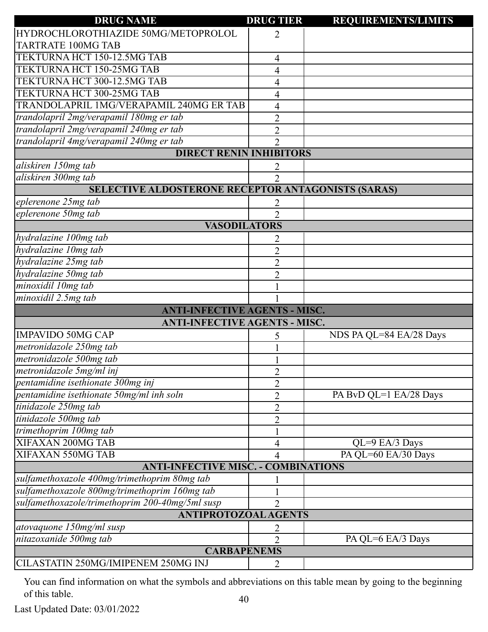| <b>DRUG NAME</b>                                   | <b>DRUG TIER</b> | <b>REQUIREMENTS/LIMITS</b> |
|----------------------------------------------------|------------------|----------------------------|
| HYDROCHLOROTHIAZIDE 50MG/METOPROLOL                | 2                |                            |
| <b>TARTRATE 100MG TAB</b>                          |                  |                            |
| TEKTURNA HCT 150-12.5MG TAB                        | 4                |                            |
| TEKTURNA HCT 150-25MG TAB                          | 4                |                            |
| TEKTURNA HCT 300-12.5MG TAB                        | 4                |                            |
| TEKTURNA HCT 300-25MG TAB                          | 4                |                            |
| TRANDOLAPRIL 1MG/VERAPAMIL 240MG ER TAB            | 4                |                            |
| trandolapril 2mg/verapamil 180mg er tab            | $\overline{2}$   |                            |
| trandolapril 2mg/verapamil 240mg er tab            | $\overline{2}$   |                            |
| trandolapril 4mg/verapamil 240mg er tab            | $\overline{2}$   |                            |
| <b>DIRECT RENIN INHIBITORS</b>                     |                  |                            |
| aliskiren 150mg tab                                | 2                |                            |
| aliskiren 300mg tab                                | $\overline{2}$   |                            |
| SELECTIVE ALDOSTERONE RECEPTOR ANTAGONISTS (SARAS) |                  |                            |
| eplerenone 25mg tab                                |                  |                            |
| eplerenone 50mg tab                                | $\overline{2}$   |                            |
| <b>VASODILATORS</b>                                |                  |                            |
| hydralazine 100mg tab                              | 2                |                            |
| hydralazine 10mg tab                               | $\overline{2}$   |                            |
| hydralazine 25mg tab                               | $\overline{2}$   |                            |
| hydralazine 50mg tab                               | $\overline{2}$   |                            |
| minoxidil 10mg tab                                 |                  |                            |
| minoxidil 2.5mg tab                                |                  |                            |
| <b>ANTI-INFECTIVE AGENTS - MISC.</b>               |                  |                            |
| <b>ANTI-INFECTIVE AGENTS - MISC.</b>               |                  |                            |
| <b>IMPAVIDO 50MG CAP</b>                           | 5                | NDS PA QL=84 EA/28 Days    |
| metronidazole 250mg tab                            |                  |                            |
| metronidazole 500mg tab                            |                  |                            |
| metronidazole 5mg/ml inj                           | $\overline{2}$   |                            |
| pentamidine isethionate 300mg inj                  | $\overline{c}$   |                            |
| pentamidine isethionate 50mg/ml inh soln           | $\overline{2}$   | PA BvD QL=1 EA/28 Days     |
| tinidazole 250mg tab                               | $\overline{2}$   |                            |
| tinidazole 500mg tab                               | $\overline{2}$   |                            |
| trimethoprim 100mg tab                             |                  |                            |
| XIFAXAN 200MG TAB                                  | 4                | $QL=9$ EA/3 Days           |
| XIFAXAN 550MG TAB                                  | 4                | PA QL=60 EA/30 Days        |
| <b>ANTI-INFECTIVE MISC. - COMBINATIONS</b>         |                  |                            |
| sulfamethoxazole 400mg/trimethoprim 80mg tab       |                  |                            |
| sulfamethoxazole 800mg/trimethoprim 160mg tab      |                  |                            |
| sulfamethoxazole/trimethoprim 200-40mg/5ml susp    | $\overline{2}$   |                            |
| <b>ANTIPROTOZOAL AGENTS</b>                        |                  |                            |
| atovaquone 150mg/ml susp                           | $\overline{c}$   |                            |
| nitazoxanide 500mg tab                             | $\overline{2}$   | PA QL=6 EA/3 Days          |
| <b>CARBAPENEMS</b>                                 |                  |                            |
| CILASTATIN 250MG/IMIPENEM 250MG INJ                | 2                |                            |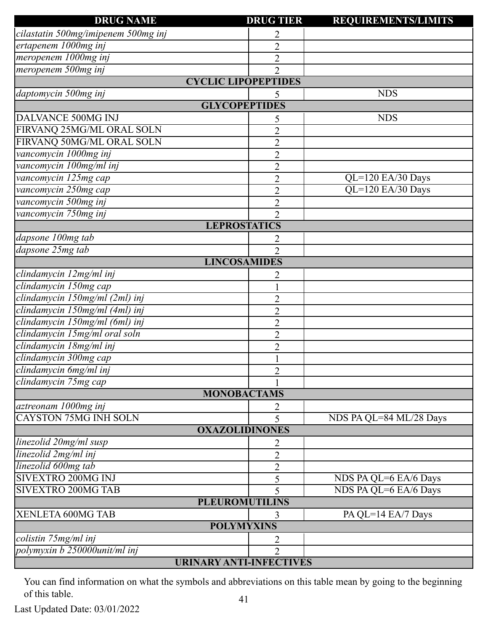| <b>DRUG NAME</b>                    | <b>DRUG TIER</b>               | <b>REQUIREMENTS/LIMITS</b> |
|-------------------------------------|--------------------------------|----------------------------|
| cilastatin 500mg/imipenem 500mg inj | 2                              |                            |
| ertapenem 1000mg inj                | $\overline{2}$                 |                            |
| meropenem 1000mg inj                | $\overline{2}$                 |                            |
| meropenem 500mg inj                 | $\mathfrak{D}$                 |                            |
|                                     | <b>CYCLIC LIPOPEPTIDES</b>     |                            |
| daptomycin 500mg inj                | 5                              | <b>NDS</b>                 |
|                                     | <b>GLYCOPEPTIDES</b>           |                            |
| DALVANCE 500MG INJ                  | 5                              | <b>NDS</b>                 |
| FIRVANQ 25MG/ML ORAL SOLN           | $\overline{2}$                 |                            |
| FIRVANQ 50MG/ML ORAL SOLN           | $\overline{2}$                 |                            |
| vancomycin 1000mg inj               | $\overline{2}$                 |                            |
| vancomycin 100mg/ml inj             | $\overline{2}$                 |                            |
| vancomycin 125mg cap                | $\overline{2}$                 | $QL=120$ EA/30 Days        |
| vancomycin 250mg cap                | $\overline{c}$                 | QL=120 EA/30 Days          |
| vancomycin 500mg inj                | $\overline{2}$                 |                            |
| vancomycin 750mg inj                | $\overline{2}$                 |                            |
|                                     | <b>LEPROSTATICS</b>            |                            |
| dapsone 100mg tab                   | 2                              |                            |
| dapsone 25mg tab                    | $\overline{2}$                 |                            |
|                                     | <b>LINCOSAMIDES</b>            |                            |
| clindamycin 12mg/ml inj             | 2                              |                            |
| clindamycin 150mg cap               |                                |                            |
| clindamycin 150mg/ml (2ml) inj      | $\overline{2}$                 |                            |
| clindamycin 150mg/ml (4ml) inj      | $\overline{2}$                 |                            |
| clindamycin 150mg/ml (6ml) inj      | $\overline{2}$                 |                            |
| clindamycin 15mg/ml oral soln       | $\overline{2}$                 |                            |
| clindamycin 18mg/ml inj             | $\overline{2}$                 |                            |
| clindamycin 300mg cap               |                                |                            |
| clindamycin 6mg/ml inj              | $\overline{2}$                 |                            |
| clindamycin 75mg cap                |                                |                            |
|                                     | <b>MONOBACTAMS</b>             |                            |
| aztreonam 1000mg inj                | 2                              |                            |
| <b>CAYSTON 75MG INH SOLN</b>        | 5                              | NDS PA QL=84 ML/28 Days    |
|                                     | <b>OXAZOLIDINONES</b>          |                            |
| linezolid 20mg/ml susp              | 2                              |                            |
| linezolid 2mg/ml inj                | $\overline{2}$                 |                            |
| linezolid 600mg tab                 | $\overline{2}$                 |                            |
| <b>SIVEXTRO 200MG INJ</b>           | 5                              | NDS PA QL=6 EA/6 Days      |
| <b>SIVEXTRO 200MG TAB</b>           | 5                              | NDS PA QL=6 EA/6 Days      |
|                                     | <b>PLEUROMUTILINS</b>          |                            |
| XENLETA 600MG TAB                   | 3                              | PA QL=14 EA/7 Days         |
|                                     | <b>POLYMYXINS</b>              |                            |
| colistin 75mg/ml inj                | 2                              |                            |
| polymyxin b 250000unit/ml inj       | $\overline{2}$                 |                            |
|                                     | <b>URINARY ANTI-INFECTIVES</b> |                            |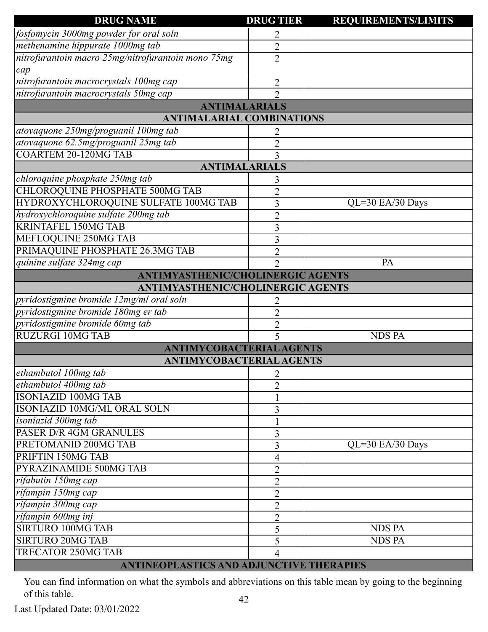| <b>DRUG NAME</b>                                   | <b>DRUG TIER</b>            | <b>REQUIREMENTS/LIMITS</b> |
|----------------------------------------------------|-----------------------------|----------------------------|
| fosfomycin 3000mg powder for oral soln             | 2                           |                            |
| methenamine hippurate 1000mg tab                   | $\overline{2}$              |                            |
| nitrofurantoin macro 25mg/nitrofurantoin mono 75mg | $\overline{2}$              |                            |
| cap                                                |                             |                            |
| nitrofurantoin macrocrystals 100mg cap             | $\overline{2}$              |                            |
| nitrofurantoin macrocrystals 50mg cap              | $\overline{2}$              |                            |
|                                                    | <b>ANTIMALARIALS</b>        |                            |
| <b>ANTIMALARIAL COMBINATIONS</b>                   |                             |                            |
| atovaquone 250mg/proguanil 100mg tab               | 2                           |                            |
| atovaquone 62.5mg/proguanil 25mg tab               | $\overline{2}$              |                            |
| <b>COARTEM 20-120MG TAB</b>                        | 3                           |                            |
| <b>ANTIMALARIALS</b>                               |                             |                            |
| chloroquine phosphate 250mg tab                    | 3                           |                            |
| <b>CHLOROQUINE PHOSPHATE 500MG TAB</b>             | $\overline{2}$              |                            |
| HYDROXYCHLOROQUINE SULFATE 100MG TAB               | 3                           | QL=30 EA/30 Days           |
| hydroxychloroquine sulfate 200mg tab               | $\overline{2}$              |                            |
| <b>KRINTAFEL 150MG TAB</b>                         | 3                           |                            |
| MEFLOQUINE 250MG TAB                               | 3                           |                            |
| PRIMAQUINE PHOSPHATE 26.3MG TAB                    | 2                           |                            |
| quinine sulfate 324mg cap                          | $\mathcal{D}_{\mathcal{L}}$ | PA                         |
| ANTIMYASTHENIC/CHOLINERGIC AGENTS                  |                             |                            |
| <b>ANTIMYASTHENIC/CHOLINERGIC AGENTS</b>           |                             |                            |
| pyridostigmine bromide 12mg/ml oral soln           | 2                           |                            |
| pyridostigmine bromide 180mg er tab                | $\overline{2}$              |                            |
| pyridostigmine bromide 60mg tab                    | $\overline{2}$              |                            |
| <b>RUZURGI 10MG TAB</b>                            | 5                           | <b>NDS PA</b>              |
| <b>ANTIMYCOBACTERIAL AGENTS</b>                    |                             |                            |
| <b>ANTIMYCOBACTERIAL AGENTS</b>                    |                             |                            |
| ethambutol 100mg tab                               | 2                           |                            |
| ethambutol 400mg tab                               | $\overline{2}$              |                            |
| <b>ISONIAZID 100MG TAB</b>                         |                             |                            |
| <b>ISONIAZID 10MG/ML ORAL SOLN</b>                 | 3                           |                            |
| isoniazid 300mg tab                                |                             |                            |
| <b>PASER D/R 4GM GRANULES</b>                      | 3                           |                            |
| PRETOMANID 200MG TAB                               | 3                           | QL=30 EA/30 Days           |
| PRIFTIN 150MG TAB                                  | 4                           |                            |
| PYRAZINAMIDE 500MG TAB                             | $\overline{2}$              |                            |
| rifabutin 150mg cap                                | $\overline{2}$              |                            |
| rifampin 150mg cap                                 | $\overline{2}$              |                            |
| rifampin 300mg cap                                 | 2                           |                            |
| rifampin 600mg inj                                 | $\overline{2}$              |                            |
| <b>SIRTURO 100MG TAB</b>                           | 5                           | <b>NDS PA</b>              |
| <b>SIRTURO 20MG TAB</b>                            | 5                           | <b>NDS PA</b>              |
| <b>TRECATOR 250MG TAB</b>                          | 4                           |                            |
| ANTINEOPLASTICS AND ADJUNCTIVE THERAPIES           |                             |                            |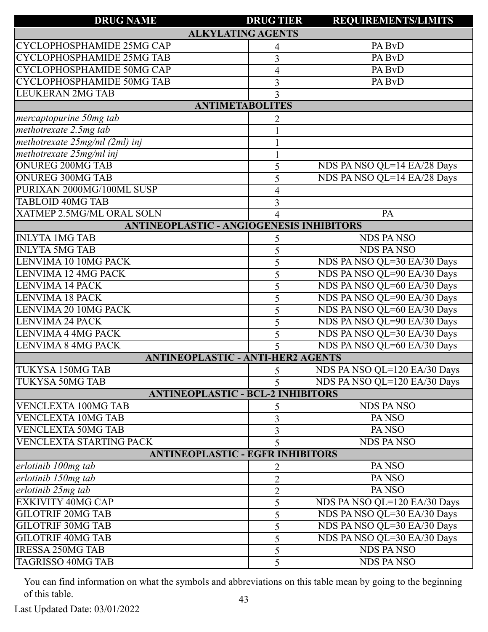| <b>REQUIREMENTS/LIMITS</b><br><b>ALKYLATING AGENTS</b><br>CYCLOPHOSPHAMIDE 25MG CAP<br>PA BvD<br>CYCLOPHOSPHAMIDE 25MG TAB<br>PA BvD<br>3<br>CYCLOPHOSPHAMIDE 50MG CAP<br>PA BvD<br>4<br><b>CYCLOPHOSPHAMIDE 50MG TAB</b><br>PA BvD<br>3 |  |
|------------------------------------------------------------------------------------------------------------------------------------------------------------------------------------------------------------------------------------------|--|
|                                                                                                                                                                                                                                          |  |
|                                                                                                                                                                                                                                          |  |
|                                                                                                                                                                                                                                          |  |
|                                                                                                                                                                                                                                          |  |
|                                                                                                                                                                                                                                          |  |
| <b>LEUKERAN 2MG TAB</b><br>3                                                                                                                                                                                                             |  |
| <b>ANTIMETABOLITES</b>                                                                                                                                                                                                                   |  |
| mercaptopurine 50mg tab<br>2                                                                                                                                                                                                             |  |
| methotrexate 2.5mg tab                                                                                                                                                                                                                   |  |
| methotrexate 25mg/ml (2ml) inj                                                                                                                                                                                                           |  |
| methotrexate 25mg/ml inj                                                                                                                                                                                                                 |  |
| <b>ONUREG 200MG TAB</b><br>NDS PA NSO QL=14 EA/28 Days<br>5                                                                                                                                                                              |  |
| <b>ONUREG 300MG TAB</b><br>NDS PA NSO QL=14 EA/28 Days<br>5                                                                                                                                                                              |  |
| PURIXAN 2000MG/100ML SUSP<br>4                                                                                                                                                                                                           |  |
| <b>TABLOID 40MG TAB</b><br>$\overline{3}$                                                                                                                                                                                                |  |
| <b>XATMEP 2.5MG/ML ORAL SOLN</b><br>PA                                                                                                                                                                                                   |  |
| <b>ANTINEOPLASTIC - ANGIOGENESIS INHIBITORS</b>                                                                                                                                                                                          |  |
| <b>INLYTA 1MG TAB</b><br><b>NDS PANSO</b><br>5                                                                                                                                                                                           |  |
| <b>INLYTA 5MG TAB</b><br><b>NDS PANSO</b><br>5                                                                                                                                                                                           |  |
| LENVIMA 10 10MG PACK<br>NDS PA NSO QL=30 EA/30 Days<br>5                                                                                                                                                                                 |  |
| NDS PA NSO QL=90 EA/30 Days<br><b>LENVIMA 12 4MG PACK</b><br>5                                                                                                                                                                           |  |
| NDS PA NSO QL=60 EA/30 Days<br><b>LENVIMA 14 PACK</b><br>5                                                                                                                                                                               |  |
| NDS PA NSO QL=90 EA/30 Days<br><b>LENVIMA 18 PACK</b><br>5                                                                                                                                                                               |  |
| NDS PA NSO QL=60 EA/30 Days<br>LENVIMA 20 10MG PACK<br>5                                                                                                                                                                                 |  |
| <b>LENVIMA 24 PACK</b><br>NDS PA NSO QL=90 EA/30 Days<br>5                                                                                                                                                                               |  |
| NDS PA NSO QL=30 EA/30 Days<br>LENVIMA 4 4MG PACK<br>5                                                                                                                                                                                   |  |
| NDS PA NSO QL=60 EA/30 Days<br><b>LENVIMA 8 4MG PACK</b><br>5                                                                                                                                                                            |  |
| <b>ANTINEOPLASTIC - ANTI-HER2 AGENTS</b>                                                                                                                                                                                                 |  |
| <b>TUKYSA 150MG TAB</b><br>NDS PA NSO QL=120 EA/30 Days<br>5 <sup>5</sup>                                                                                                                                                                |  |
| <b>TUKYSA 50MG TAB</b><br>NDS PA NSO QL=120 EA/30 Days                                                                                                                                                                                   |  |
| <b>ANTINEOPLASTIC - BCL-2 INHIBITORS</b>                                                                                                                                                                                                 |  |
| <b>NDS PANSO</b><br><b>VENCLEXTA 100MG TAB</b><br>5                                                                                                                                                                                      |  |
| <b>VENCLEXTA 10MG TAB</b><br>PANSO<br>3                                                                                                                                                                                                  |  |
| <b>VENCLEXTA 50MG TAB</b><br>PA <sub>NSO</sub><br>3                                                                                                                                                                                      |  |
| <b>VENCLEXTA STARTING PACK</b><br><b>NDS PANSO</b><br>5                                                                                                                                                                                  |  |
| <b>ANTINEOPLASTIC - EGFR INHIBITORS</b>                                                                                                                                                                                                  |  |
| PA <sub>NSO</sub><br>erlotinib 100mg tab<br>2                                                                                                                                                                                            |  |
| erlotinib 150mg tab<br>PA <sub>NSO</sub><br>$\overline{2}$                                                                                                                                                                               |  |
| erlotinib 25mg tab<br>PA <sub>NSO</sub><br>$\overline{2}$                                                                                                                                                                                |  |
| <b>EXKIVITY 40MG CAP</b><br>NDS PA NSO QL=120 EA/30 Days<br>5                                                                                                                                                                            |  |
| <b>GILOTRIF 20MG TAB</b><br>NDS PA NSO QL=30 EA/30 Days<br>5                                                                                                                                                                             |  |
| <b>GILOTRIF 30MG TAB</b><br>NDS PA NSO QL=30 EA/30 Days<br>5                                                                                                                                                                             |  |
| <b>GILOTRIF 40MG TAB</b><br>NDS PA NSO QL=30 EA/30 Days<br>5                                                                                                                                                                             |  |
| <b>IRESSA 250MG TAB</b><br><b>NDS PANSO</b><br>5                                                                                                                                                                                         |  |
| <b>TAGRISSO 40MG TAB</b><br><b>NDS PANSO</b><br>5                                                                                                                                                                                        |  |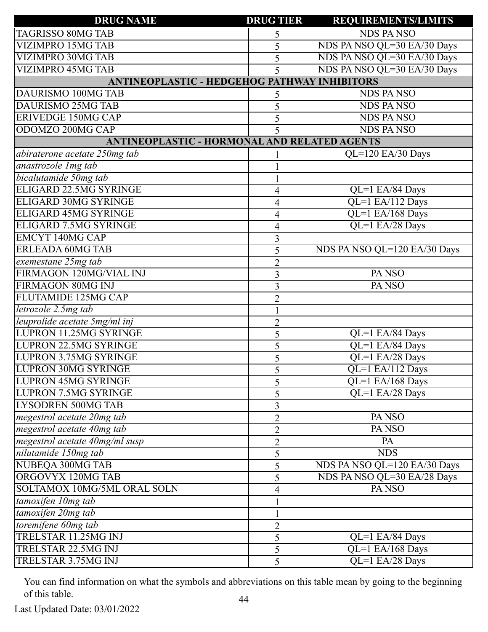| <b>DRUG NAME</b>                                    | <b>DRUG TIER</b> | <b>REQUIREMENTS/LIMITS</b>   |
|-----------------------------------------------------|------------------|------------------------------|
| <b>TAGRISSO 80MG TAB</b>                            | 5                | <b>NDS PANSO</b>             |
| <b>VIZIMPRO 15MG TAB</b>                            | 5                | NDS PA NSO QL=30 EA/30 Days  |
| VIZIMPRO 30MG TAB                                   | 5                | NDS PA NSO QL=30 EA/30 Days  |
| <b>VIZIMPRO 45MG TAB</b>                            | 5                | NDS PA NSO QL=30 EA/30 Days  |
| <b>ANTINEOPLASTIC - HEDGEHOG PATHWAY INHIBITORS</b> |                  |                              |
| DAURISMO 100MG TAB                                  | 5                | <b>NDS PANSO</b>             |
| <b>DAURISMO 25MG TAB</b>                            | 5                | <b>NDS PANSO</b>             |
| <b>ERIVEDGE 150MG CAP</b>                           | 5                | <b>NDS PANSO</b>             |
| ODOMZO 200MG CAP                                    |                  | <b>NDS PANSO</b>             |
| <b>ANTINEOPLASTIC - HORMONAL AND RELATED AGENTS</b> |                  |                              |
| abiraterone acetate 250mg tab                       |                  | $QL=120$ EA/30 Days          |
| anastrozole 1mg tab                                 |                  |                              |
| bicalutamide 50mg tab                               |                  |                              |
| ELIGARD 22.5MG SYRINGE                              | 4                | QL=1 EA/84 Days              |
| <b>ELIGARD 30MG SYRINGE</b>                         | 4                | QL=1 EA/112 Days             |
| <b>ELIGARD 45MG SYRINGE</b>                         | 4                | QL=1 EA/168 Days             |
| <b>ELIGARD 7.5MG SYRINGE</b>                        | 4                | QL=1 EA/28 Days              |
| <b>EMCYT 140MG CAP</b>                              | 3                |                              |
| <b>ERLEADA 60MG TAB</b>                             | 5                | NDS PA NSO QL=120 EA/30 Days |
| exemestane 25mg tab                                 | $\overline{2}$   |                              |
| FIRMAGON 120MG/VIAL INJ                             | 3                | PA <sub>NSO</sub>            |
| <b>FIRMAGON 80MG INJ</b>                            | 3                | PA <sub>NSO</sub>            |
| FLUTAMIDE 125MG CAP                                 | $\overline{2}$   |                              |
| letrozole 2.5mg tab                                 |                  |                              |
| leuprolide acetate 5mg/ml inj                       | $\overline{2}$   |                              |
| <b>LUPRON 11.25MG SYRINGE</b>                       | 5                | QL=1 EA/84 Days              |
| LUPRON 22.5MG SYRINGE                               | 5                | QL=1 EA/84 Days              |
| <b>LUPRON 3.75MG SYRINGE</b>                        | 5                | QL=1 EA/28 Days              |
| <b>LUPRON 30MG SYRINGE</b>                          | 5                | QL=1 EA/112 Days             |
| <b>LUPRON 45MG SYRINGE</b>                          | 5                | $QL=1$ EA/168 Days           |
| <b>LUPRON 7.5MG SYRINGE</b>                         | 5                | QL=1 EA/28 Days              |
| <b>LYSODREN 500MG TAB</b>                           | 3                |                              |
| megestrol acetate 20mg tab                          | $\overline{2}$   | PA <sub>NSO</sub>            |
| megestrol acetate 40mg tab                          | $\overline{2}$   | PA <sub>NSO</sub>            |
| megestrol acetate 40mg/ml susp                      | $\overline{2}$   | PA                           |
| nilutamide 150mg tab                                | 5                | <b>NDS</b>                   |
| NUBEQA 300MG TAB                                    | 5                | NDS PA NSO QL=120 EA/30 Days |
| ORGOVYX 120MG TAB                                   | 5                | NDS PA NSO QL=30 EA/28 Days  |
| SOLTAMOX 10MG/5ML ORAL SOLN                         | 4                | PA NSO                       |
| tamoxifen 10mg tab                                  |                  |                              |
| tamoxifen 20mg tab                                  |                  |                              |
| toremifene 60mg tab                                 | $\overline{2}$   |                              |
| TRELSTAR 11.25MG INJ                                | 5                | $QL=1$ EA/84 Days            |
| TRELSTAR 22.5MG INJ                                 | 5                | $QL=1$ EA/168 Days           |
| TRELSTAR 3.75MG INJ                                 | 5                | QL=1 EA/28 Days              |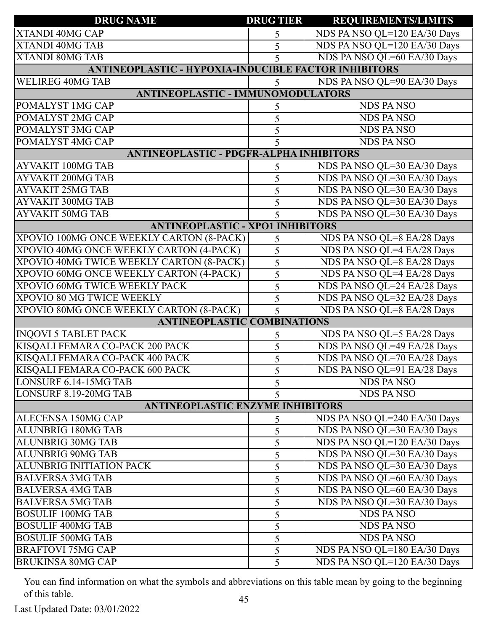| <b>DRUG NAME</b>                                            | <b>DRUG TIER</b>         | <b>REQUIREMENTS/LIMITS</b>   |
|-------------------------------------------------------------|--------------------------|------------------------------|
| <b>XTANDI 40MG CAP</b>                                      | 5                        | NDS PA NSO QL=120 EA/30 Days |
| <b>XTANDI 40MG TAB</b>                                      | 5                        | NDS PA NSO QL=120 EA/30 Days |
| <b>XTANDI 80MG TAB</b>                                      | 5                        | NDS PA NSO QL=60 EA/30 Days  |
| <b>ANTINEOPLASTIC - HYPOXIA-INDUCIBLE FACTOR INHIBITORS</b> |                          |                              |
| <b>WELIREG 40MG TAB</b>                                     | 5                        | NDS PA NSO QL=90 EA/30 Days  |
| <b>ANTINEOPLASTIC - IMMUNOMODULATORS</b>                    |                          |                              |
| POMALYST 1MG CAP                                            | 5                        | <b>NDS PANSO</b>             |
| POMALYST 2MG CAP                                            | 5                        | <b>NDS PANSO</b>             |
| POMALYST 3MG CAP                                            | 5                        | <b>NDS PANSO</b>             |
| POMALYST <sub>4MG</sub> CAP                                 |                          | <b>NDS PANSO</b>             |
| <b>ANTINEOPLASTIC - PDGFR-ALPHA INHIBITORS</b>              |                          |                              |
| <b>AYVAKIT 100MG TAB</b>                                    | 5                        | NDS PA NSO QL=30 EA/30 Days  |
| <b>AYVAKIT 200MG TAB</b>                                    | 5                        | NDS PA NSO QL=30 EA/30 Days  |
| <b>AYVAKIT 25MG TAB</b>                                     | 5                        | NDS PA NSO QL=30 EA/30 Days  |
| <b>AYVAKIT 300MG TAB</b>                                    | 5                        | NDS PA NSO QL=30 EA/30 Days  |
| <b>AYVAKIT 50MG TAB</b>                                     | $\overline{\mathcal{L}}$ | NDS PA NSO QL=30 EA/30 Days  |
| <b>ANTINEOPLASTIC - XPO1 INHIBITORS</b>                     |                          |                              |
| XPOVIO 100MG ONCE WEEKLY CARTON (8-PACK)                    | 5                        | NDS PA NSO QL=8 EA/28 Days   |
| XPOVIO 40MG ONCE WEEKLY CARTON (4-PACK)                     | 5                        | NDS PA NSO QL=4 EA/28 Days   |
| XPOVIO 40MG TWICE WEEKLY CARTON (8-PACK)                    | 5                        | NDS PA NSO QL=8 EA/28 Days   |
| XPOVIO 60MG ONCE WEEKLY CARTON (4-PACK)                     | 5                        | NDS PA NSO QL=4 EA/28 Days   |
| <b>XPOVIO 60MG TWICE WEEKLY PACK</b>                        | 5                        | NDS PA NSO QL=24 EA/28 Days  |
| XPOVIO 80 MG TWICE WEEKLY                                   | 5                        | NDS PA NSO QL=32 EA/28 Days  |
| XPOVIO 80MG ONCE WEEKLY CARTON (8-PACK)                     | $\overline{\mathcal{L}}$ | NDS PA NSO QL=8 EA/28 Days   |
| <b>ANTINEOPLASTIC COMBINATIONS</b>                          |                          |                              |
| <b>INQOVI 5 TABLET PACK</b>                                 | 5                        | NDS PA NSO QL=5 EA/28 Days   |
| KISQALI FEMARA CO-PACK 200 PACK                             | 5                        | NDS PA NSO QL=49 EA/28 Days  |
| KISQALI FEMARA CO-PACK 400 PACK                             | 5                        | NDS PA NSO QL=70 EA/28 Days  |
| KISQALI FEMARA CO-PACK 600 PACK                             | 5                        | NDS PA NSO QL=91 EA/28 Days  |
| LONSURF 6.14-15MG TAB                                       | 5                        | <b>NDS PANSO</b>             |
| <b>LONSURF 8.19-20MG TAB</b>                                | 5                        | <b>NDS PANSO</b>             |
| <b>ANTINEOPLASTIC ENZYME INHIBITORS</b>                     |                          |                              |
| ALECENSA 150MG CAP                                          | 5                        | NDS PA NSO QL=240 EA/30 Days |
| <b>ALUNBRIG 180MG TAB</b>                                   | 5                        | NDS PA NSO QL=30 EA/30 Days  |
| <b>ALUNBRIG 30MG TAB</b>                                    | 5                        | NDS PA NSO QL=120 EA/30 Days |
| <b>ALUNBRIG 90MG TAB</b>                                    | 5                        | NDS PA NSO QL=30 EA/30 Days  |
| ALUNBRIG INITIATION PACK                                    | 5                        | NDS PA NSO QL=30 EA/30 Days  |
| <b>BALVERSA 3MG TAB</b>                                     | 5                        | NDS PA NSO QL=60 EA/30 Days  |
| <b>BALVERSA 4MG TAB</b>                                     | 5                        | NDS PA NSO QL=60 EA/30 Days  |
| <b>BALVERSA 5MG TAB</b>                                     | 5                        | NDS PA NSO QL=30 EA/30 Days  |
| <b>BOSULIF 100MG TAB</b>                                    | 5                        | <b>NDS PANSO</b>             |
| <b>BOSULIF 400MG TAB</b>                                    | 5                        | <b>NDS PANSO</b>             |
| <b>BOSULIF 500MG TAB</b>                                    | 5                        | <b>NDS PANSO</b>             |
| <b>BRAFTOVI 75MG CAP</b>                                    | 5                        | NDS PA NSO QL=180 EA/30 Days |
| <b>BRUKINSA 80MG CAP</b>                                    | 5                        | NDS PA NSO QL=120 EA/30 Days |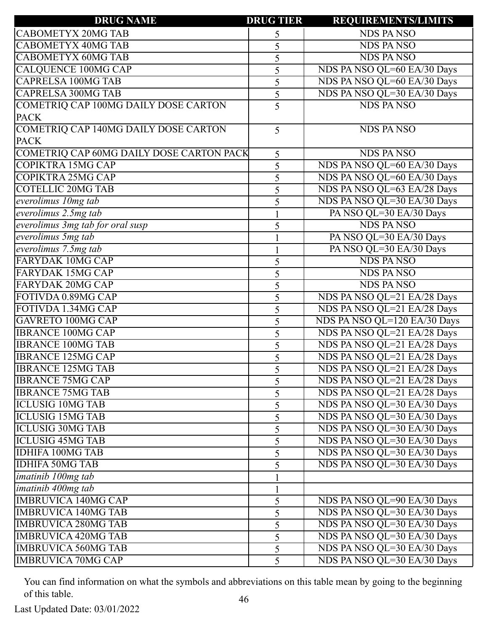| <b>DRUG NAME</b>                              | <b>DRUG TIER</b> | <b>REQUIREMENTS/LIMITS</b>   |
|-----------------------------------------------|------------------|------------------------------|
| <b>CABOMETYX 20MG TAB</b>                     | 5                | <b>NDS PANSO</b>             |
| <b>CABOMETYX 40MG TAB</b>                     | 5                | <b>NDS PANSO</b>             |
| <b>CABOMETYX 60MG TAB</b>                     | 5                | <b>NDS PANSO</b>             |
| <b>CALQUENCE 100MG CAP</b>                    | 5                | NDS PA NSO QL=60 EA/30 Days  |
| <b>CAPRELSA 100MG TAB</b>                     | 5                | NDS PA NSO QL=60 EA/30 Days  |
| <b>CAPRELSA 300MG TAB</b>                     | 5                | NDS PA NSO QL=30 EA/30 Days  |
| COMETRIQ CAP 100MG DAILY DOSE CARTON          | 5                | <b>NDS PANSO</b>             |
| <b>PACK</b>                                   |                  |                              |
| COMETRIQ CAP 140MG DAILY DOSE CARTON          | 5                | <b>NDS PANSO</b>             |
| <b>PACK</b>                                   |                  |                              |
| COMETRIQ CAP 60MG DAILY DOSE CARTON PACK      | 5                | <b>NDS PANSO</b>             |
| COPIKTRA 15MG CAP                             | 5                | NDS PA NSO QL=60 EA/30 Days  |
| COPIKTRA 25MG CAP                             | 5                | NDS PA NSO QL=60 EA/30 Days  |
| <b>COTELLIC 20MG TAB</b>                      | 5                | NDS PA NSO QL=63 EA/28 Days  |
| everolimus 10mg tab                           | 5                | NDS PA NSO QL=30 EA/30 Days  |
| $\sqrt{e}$ everolimus 2.5 $\overline{mg}$ tab |                  | PA NSO QL=30 EA/30 Days      |
| everolimus 3mg tab for oral susp              | 5                | <b>NDS PANSO</b>             |
| everolimus 5mg tab                            |                  | PA NSO QL=30 EA/30 Days      |
| everolimus 7.5mg tab                          |                  | PA NSO QL=30 EA/30 Days      |
| <b>FARYDAK 10MG CAP</b>                       | 5                | <b>NDS PANSO</b>             |
| <b>FARYDAK 15MG CAP</b>                       | 5                | <b>NDS PANSO</b>             |
| <b>FARYDAK 20MG CAP</b>                       | 5                | <b>NDS PANSO</b>             |
| FOTIVDA 0.89MG CAP                            | 5                | NDS PA NSO QL=21 EA/28 Days  |
| FOTIVDA 1.34MG CAP                            | 5                | NDS PA NSO QL=21 EA/28 Days  |
| GAVRETO 100MG CAP                             | 5                | NDS PA NSO QL=120 EA/30 Days |
| <b>IBRANCE 100MG CAP</b>                      | 5                | NDS PA NSO QL=21 EA/28 Days  |
| <b>IBRANCE 100MG TAB</b>                      | 5                | NDS PA NSO QL=21 EA/28 Days  |
| <b>IBRANCE 125MG CAP</b>                      | 5                | NDS PA NSO QL=21 EA/28 Days  |
| <b>IBRANCE 125MG TAB</b>                      | 5                | NDS PA NSO QL=21 EA/28 Days  |
| <b>IBRANCE 75MG CAP</b>                       | 5                | NDS PA NSO QL=21 EA/28 Days  |
| <b>IBRANCE 75MG TAB</b>                       | 5                | NDS PA NSO QL=21 EA/28 Days  |
| <b>ICLUSIG 10MG TAB</b>                       | 5                | NDS PA NSO QL=30 EA/30 Days  |
| <b>ICLUSIG 15MG TAB</b>                       | 5                | NDS PA NSO QL=30 EA/30 Days  |
| <b>ICLUSIG 30MG TAB</b>                       | 5                | NDS PA NSO QL=30 EA/30 Days  |
| <b>ICLUSIG 45MG TAB</b>                       | 5                | NDS PA NSO QL=30 EA/30 Days  |
| <b>IDHIFA 100MG TAB</b>                       | 5                | NDS PA NSO QL=30 EA/30 Days  |
| <b>IDHIFA 50MG TAB</b>                        | 5                | NDS PA NSO QL=30 EA/30 Days  |
| imatinib 100mg tab                            |                  |                              |
| imatinib 400mg tab                            | 1                |                              |
| <b>IMBRUVICA 140MG CAP</b>                    | 5                | NDS PA NSO QL=90 EA/30 Days  |
| <b>IMBRUVICA 140MG TAB</b>                    | 5                | NDS PA NSO QL=30 EA/30 Days  |
| <b>IMBRUVICA 280MG TAB</b>                    | 5                | NDS PA NSO QL=30 EA/30 Days  |
| <b>IMBRUVICA 420MG TAB</b>                    | 5                | NDS PA NSO QL=30 EA/30 Days  |
| <b>IMBRUVICA 560MG TAB</b>                    | 5                | NDS PA NSO QL=30 EA/30 Days  |
| <b>IMBRUVICA 70MG CAP</b>                     | 5                | NDS PA NSO QL=30 EA/30 Days  |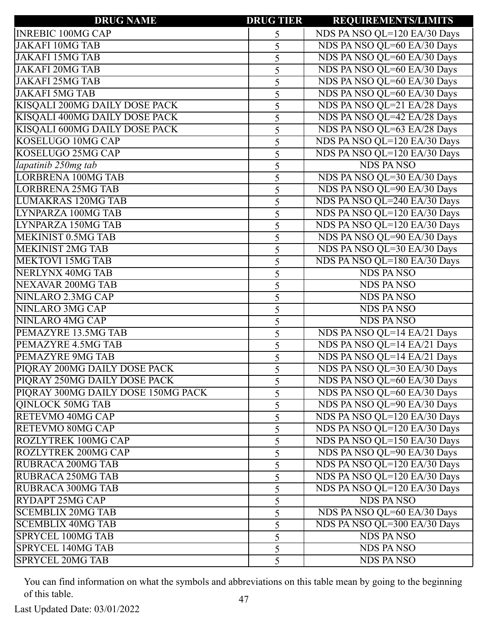| <b>DRUG NAME</b>                   | <b>DRUG TIER</b> | <b>REQUIREMENTS/LIMITS</b>   |
|------------------------------------|------------------|------------------------------|
| <b>INREBIC 100MG CAP</b>           | 5                | NDS PA NSO QL=120 EA/30 Days |
| <b>JAKAFI 10MG TAB</b>             | 5                | NDS PA NSO QL=60 EA/30 Days  |
| <b>JAKAFI 15MG TAB</b>             | 5                | NDS PA NSO QL=60 EA/30 Days  |
| <b>JAKAFI 20MG TAB</b>             | 5                | NDS PA NSO QL=60 EA/30 Days  |
| <b>JAKAFI 25MG TAB</b>             | 5                | NDS PA NSO QL=60 EA/30 Days  |
| <b>JAKAFI 5MG TAB</b>              | 5                | NDS PA NSO QL=60 EA/30 Days  |
| KISQALI 200MG DAILY DOSE PACK      | 5                | NDS PA NSO QL=21 EA/28 Days  |
| KISQALI 400MG DAILY DOSE PACK      | 5                | NDS PA NSO QL=42 EA/28 Days  |
| KISQALI 600MG DAILY DOSE PACK      | 5                | NDS PA NSO QL=63 EA/28 Days  |
| <b>KOSELUGO 10MG CAP</b>           | 5                | NDS PA NSO QL=120 EA/30 Days |
| <b>KOSELUGO 25MG CAP</b>           | 5                | NDS PA NSO QL=120 EA/30 Days |
| lapatinib 250mg tab                | 5                | <b>NDS PANSO</b>             |
| <b>LORBRENA 100MG TAB</b>          | 5                | NDS PA NSO QL=30 EA/30 Days  |
| <b>LORBRENA 25MG TAB</b>           | 5                | NDS PA NSO QL=90 EA/30 Days  |
| <b>LUMAKRAS 120MG TAB</b>          | 5                | NDS PA NSO QL=240 EA/30 Days |
| LYNPARZA 100MG TAB                 | 5                | NDS PA NSO QL=120 EA/30 Days |
| LYNPARZA 150MG TAB                 | 5                | NDS PA NSO QL=120 EA/30 Days |
| <b>MEKINIST 0.5MG TAB</b>          | 5                | NDS PA NSO QL=90 EA/30 Days  |
| <b>MEKINIST 2MG TAB</b>            | 5                | NDS PA NSO QL=30 EA/30 Days  |
| <b>MEKTOVI 15MG TAB</b>            | 5                | NDS PA NSO QL=180 EA/30 Days |
| <b>NERLYNX 40MG TAB</b>            | 5                | <b>NDS PANSO</b>             |
| <b>NEXAVAR 200MG TAB</b>           | 5                | <b>NDS PANSO</b>             |
| NINLARO 2.3MG CAP                  | 5                | <b>NDS PANSO</b>             |
| <b>NINLARO 3MG CAP</b>             | 5                | <b>NDS PANSO</b>             |
| <b>NINLARO 4MG CAP</b>             | 5                | <b>NDS PANSO</b>             |
| PEMAZYRE 13.5MG TAB                | 5                | NDS PA NSO QL=14 EA/21 Days  |
| PEMAZYRE 4.5MG TAB                 | 5                | NDS PA NSO QL=14 EA/21 Days  |
| <b>PEMAZYRE 9MG TAB</b>            | 5                | NDS PA NSO QL=14 EA/21 Days  |
| PIQRAY 200MG DAILY DOSE PACK       |                  | NDS PA NSO QL=30 EA/30 Days  |
| PIQRAY 250MG DAILY DOSE PACK       | 5                | NDS PA NSO QL=60 EA/30 Days  |
| PIQRAY 300MG DAILY DOSE 150MG PACK | 5                | NDS PA NSO QL=60 EA/30 Days  |
| <b>QINLOCK 50MG TAB</b>            | 5                | NDS PA NSO QL=90 EA/30 Days  |
| <b>RETEVMO 40MG CAP</b>            | 5                | NDS PA NSO QL=120 EA/30 Days |
| <b>RETEVMO 80MG CAP</b>            | 5                | NDS PA NSO QL=120 EA/30 Days |
| <b>ROZLYTREK 100MG CAP</b>         | 5                | NDS PA NSO QL=150 EA/30 Days |
| <b>ROZLYTREK 200MG CAP</b>         | 5                | NDS PA NSO QL=90 EA/30 Days  |
| <b>RUBRACA 200MG TAB</b>           | 5                | NDS PA NSO QL=120 EA/30 Days |
| <b>RUBRACA 250MG TAB</b>           | 5                | NDS PA NSO QL=120 EA/30 Days |
| <b>RUBRACA 300MG TAB</b>           | 5                | NDS PA NSO QL=120 EA/30 Days |
| RYDAPT 25MG CAP                    | 5                | <b>NDS PANSO</b>             |
| <b>SCEMBLIX 20MG TAB</b>           | 5                | NDS PA NSO QL=60 EA/30 Days  |
| <b>SCEMBLIX 40MG TAB</b>           | 5                | NDS PA NSO QL=300 EA/30 Days |
| <b>SPRYCEL 100MG TAB</b>           | 5                | <b>NDS PANSO</b>             |
| SPRYCEL 140MG TAB                  | 5                | <b>NDS PANSO</b>             |
| <b>SPRYCEL 20MG TAB</b>            | 5                | <b>NDS PANSO</b>             |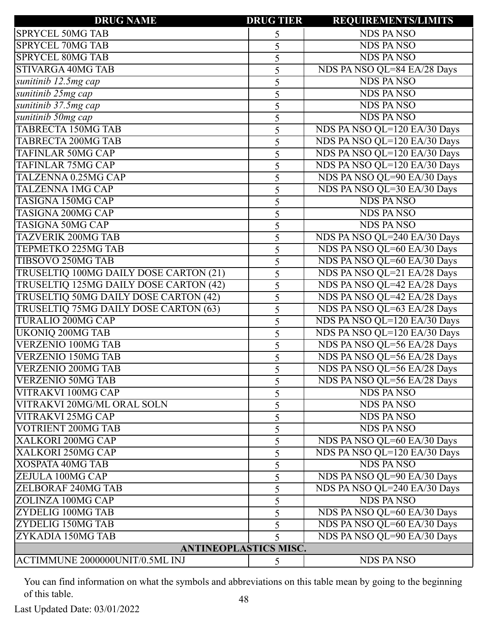| <b>DRUG NAME</b>                       | <b>DRUG TIER</b> | <b>REQUIREMENTS/LIMITS</b>   |
|----------------------------------------|------------------|------------------------------|
| <b>SPRYCEL 50MG TAB</b>                | 5                | <b>NDS PANSO</b>             |
| <b>SPRYCEL 70MG TAB</b>                | 5                | <b>NDS PANSO</b>             |
| <b>SPRYCEL 80MG TAB</b>                | 5                | <b>NDS PANSO</b>             |
| <b>STIVARGA 40MG TAB</b>               | 5                | NDS PA NSO QL=84 EA/28 Days  |
| sunitinib 12.5mg cap                   | 5                | <b>NDS PANSO</b>             |
| sunitinib 25mg cap                     | 5                | <b>NDS PANSO</b>             |
| sunitinib 37.5mg cap                   | 5                | <b>NDS PANSO</b>             |
| sunitinib 50mg cap                     | 5                | <b>NDS PANSO</b>             |
| <b>TABRECTA 150MG TAB</b>              | 5                | NDS PA NSO QL=120 EA/30 Days |
| <b>TABRECTA 200MG TAB</b>              | 5                | NDS PA NSO QL=120 EA/30 Days |
| <b>TAFINLAR 50MG CAP</b>               | 5                | NDS PA NSO QL=120 EA/30 Days |
| <b>TAFINLAR 75MG CAP</b>               | 5                | NDS PA NSO QL=120 EA/30 Days |
| TALZENNA 0.25MG CAP                    | 5                | NDS PA NSO QL=90 EA/30 Days  |
| <b>TALZENNA 1MG CAP</b>                | 5                | NDS PA NSO QL=30 EA/30 Days  |
| <b>TASIGNA 150MG CAP</b>               | 5                | <b>NDS PANSO</b>             |
| <b>TASIGNA 200MG CAP</b>               | 5                | <b>NDS PANSO</b>             |
| <b>TASIGNA 50MG CAP</b>                | 5                | <b>NDS PANSO</b>             |
| <b>TAZVERIK 200MG TAB</b>              | 5                | NDS PA NSO QL=240 EA/30 Days |
| <b>TEPMETKO 225MG TAB</b>              | 5                | NDS PA NSO QL=60 EA/30 Days  |
| TIBSOVO 250MG TAB                      | 5                | NDS PA NSO QL=60 EA/30 Days  |
| TRUSELTIQ 100MG DAILY DOSE CARTON (21) | 5                | NDS PA NSO QL=21 EA/28 Days  |
| TRUSELTIQ 125MG DAILY DOSE CARTON (42) | 5                | NDS PA NSO QL=42 EA/28 Days  |
| TRUSELTIQ 50MG DAILY DOSE CARTON (42)  | 5                | NDS PA NSO QL=42 EA/28 Days  |
| TRUSELTIQ 75MG DAILY DOSE CARTON (63)  | 5                | NDS PA NSO QL=63 EA/28 Days  |
| <b>TURALIO 200MG CAP</b>               | 5                | NDS PA NSO QL=120 EA/30 Days |
| <b>UKONIQ 200MG TAB</b>                | 5                | NDS PA NSO QL=120 EA/30 Days |
| <b>VERZENIO 100MG TAB</b>              | 5                | NDS PA NSO QL=56 EA/28 Days  |
| <b>VERZENIO 150MG TAB</b>              | 5                | NDS PA NSO QL=56 EA/28 Days  |
| <b>VERZENIO 200MG TAB</b>              |                  | NDS PA NSO QL=56 EA/28 Days  |
| <b>VERZENIO 50MG TAB</b>               | 5                | NDS PA NSO QL=56 EA/28 Days  |
| VITRAKVI 100MG CAP                     | 5                | <b>NDS PANSO</b>             |
| <b>VITRAKVI 20MG/ML ORAL SOLN</b>      | 5                | <b>NDS PANSO</b>             |
| <b>VITRAKVI 25MG CAP</b>               | 5                | <b>NDS PANSO</b>             |
| <b>VOTRIENT 200MG TAB</b>              | 5                | <b>NDS PANSO</b>             |
| XALKORI 200MG CAP                      | 5                | NDS PA NSO QL=60 EA/30 Days  |
| XALKORI 250MG CAP                      | 5                | NDS PA NSO QL=120 EA/30 Days |
| <b>XOSPATA 40MG TAB</b>                | 5                | <b>NDS PANSO</b>             |
| ZEJULA 100MG CAP                       | 5                | NDS PA NSO QL=90 EA/30 Days  |
| <b>ZELBORAF 240MG TAB</b>              | 5                | NDS PA NSO QL=240 EA/30 Days |
| ZOLINZA 100MG CAP                      | 5                | <b>NDS PANSO</b>             |
| ZYDELIG 100MG TAB                      | 5                | NDS PA NSO QL=60 EA/30 Days  |
| ZYDELIG 150MG TAB                      | 5                | NDS PA NSO QL=60 EA/30 Days  |
| ZYKADIA 150MG TAB                      | 5                | NDS PA NSO QL=90 EA/30 Days  |
| <b>ANTINEOPLASTICS MISC.</b>           |                  |                              |
| ACTIMMUNE 2000000UNIT/0.5ML INJ        | 5                | <b>NDS PANSO</b>             |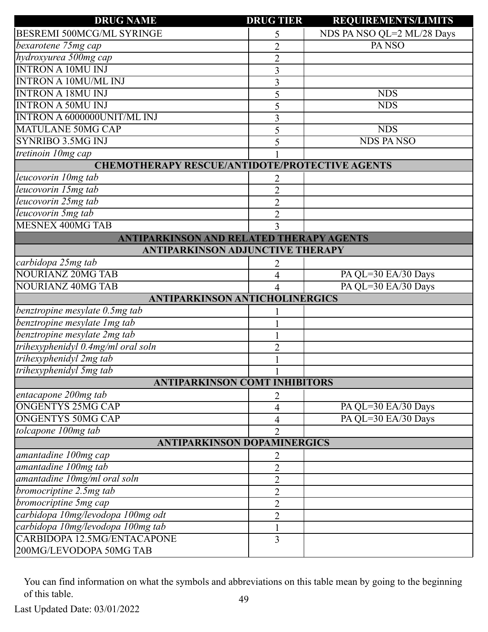| <b>DRUG NAME</b>                                      | <b>DRUG TIER</b> | <b>REQUIREMENTS/LIMITS</b> |  |
|-------------------------------------------------------|------------------|----------------------------|--|
| <b>BESREMI 500MCG/ML SYRINGE</b>                      | 5                | NDS PA NSO QL=2 ML/28 Days |  |
| bexarotene 75mg cap                                   | $\overline{2}$   | PA <sub>NSO</sub>          |  |
| hydroxyurea 500mg cap                                 | $\overline{2}$   |                            |  |
| <b>INTRON A 10MU INJ</b>                              | 3                |                            |  |
| <b>INTRON A 10MU/ML INJ</b>                           | 3                |                            |  |
| <b>INTRON A 18MU INJ</b>                              | 5                | <b>NDS</b>                 |  |
| <b>INTRON A 50MU INJ</b>                              | 5                | <b>NDS</b>                 |  |
| INTRON A 6000000UNIT/ML INJ                           | 3                |                            |  |
| <b>MATULANE 50MG CAP</b>                              | 5                | <b>NDS</b>                 |  |
| SYNRIBO 3.5MG INJ                                     | 5                | <b>NDS PANSO</b>           |  |
| tretinoin 10mg cap                                    |                  |                            |  |
| <b>CHEMOTHERAPY RESCUE/ANTIDOTE/PROTECTIVE AGENTS</b> |                  |                            |  |
| leucovorin 10mg tab                                   | 2                |                            |  |
| leucovorin 15mg tab                                   | $\overline{2}$   |                            |  |
| leucovorin 25mg tab                                   | $\overline{2}$   |                            |  |
| leucovorin 5mg tab                                    | $\overline{2}$   |                            |  |
| <b>MESNEX 400MG TAB</b>                               | 3                |                            |  |
| <b>ANTIPARKINSON AND RELATED THERAPY AGENTS</b>       |                  |                            |  |
| <b>ANTIPARKINSON ADJUNCTIVE THERAPY</b>               |                  |                            |  |
| carbidopa 25mg tab                                    | 2                |                            |  |
| <b>NOURIANZ 20MG TAB</b>                              | 4                | PA QL=30 EA/30 Days        |  |
| <b>NOURIANZ 40MG TAB</b>                              | 4                | PA QL=30 EA/30 Days        |  |
| <b>ANTIPARKINSON ANTICHOLINERGICS</b>                 |                  |                            |  |
| benztropine mesylate 0.5mg tab                        |                  |                            |  |
| benztropine mesylate 1mg tab                          |                  |                            |  |
| benztropine mesylate 2mg tab                          |                  |                            |  |
| trihexyphenidyl 0.4mg/ml oral soln                    | $\overline{2}$   |                            |  |
| trihexyphenidyl 2mg tab                               |                  |                            |  |
| trihexyphenidyl 5mg tab                               | 1                |                            |  |
| <b>ANTIPARKINSON COMT INHIBITORS</b>                  |                  |                            |  |
| entacapone 200mg tab                                  | 2                |                            |  |
| <b>ONGENTYS 25MG CAP</b>                              | 4                | PA QL=30 EA/30 Days        |  |
| ONGENTYS 50MG CAP                                     | 4                | PA QL=30 EA/30 Days        |  |
| tolcapone 100mg tab                                   | $\overline{2}$   |                            |  |
| <b>ANTIPARKINSON DOPAMINERGICS</b>                    |                  |                            |  |
| amantadine 100mg cap                                  | 2                |                            |  |
| amantadine 100mg tab                                  | $\overline{2}$   |                            |  |
| amantadine 10mg/ml oral soln                          | $\overline{2}$   |                            |  |
| bromocriptine 2.5mg tab                               | $\overline{2}$   |                            |  |
| bromocriptine 5mg cap                                 | $\overline{2}$   |                            |  |
| carbidopa 10mg/levodopa 100mg odt                     | $\overline{2}$   |                            |  |
| carbidopa 10mg/levodopa 100mg tab                     |                  |                            |  |
| CARBIDOPA 12.5MG/ENTACAPONE                           | $\overline{3}$   |                            |  |
| 200MG/LEVODOPA 50MG TAB                               |                  |                            |  |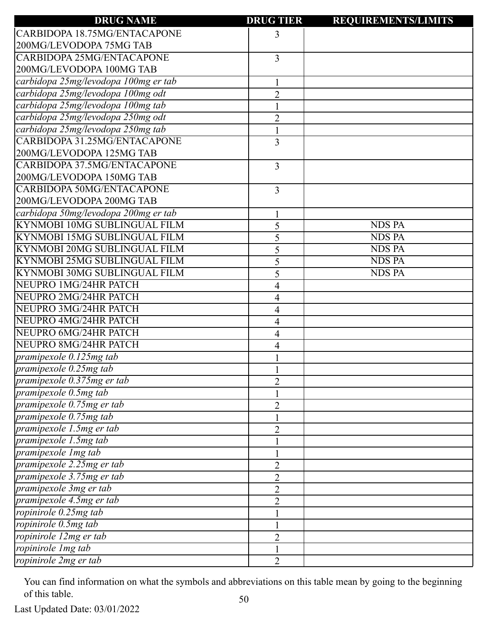| <b>DRUG NAME</b>                     | <b>DRUG TIER</b> | <b>REQUIREMENTS/LIMITS</b> |
|--------------------------------------|------------------|----------------------------|
| CARBIDOPA 18.75MG/ENTACAPONE         | 3                |                            |
| 200MG/LEVODOPA 75MG TAB              |                  |                            |
| <b>CARBIDOPA 25MG/ENTACAPONE</b>     | 3                |                            |
| 200MG/LEVODOPA 100MG TAB             |                  |                            |
| carbidopa 25mg/levodopa 100mg er tab |                  |                            |
| carbidopa 25mg/levodopa 100mg odt    | $\overline{2}$   |                            |
| carbidopa 25mg/levodopa 100mg tab    |                  |                            |
| carbidopa 25mg/levodopa 250mg odt    | $\overline{2}$   |                            |
| carbidopa 25mg/levodopa 250mg tab    |                  |                            |
| CARBIDOPA 31.25MG/ENTACAPONE         | 3                |                            |
| 200MG/LEVODOPA 125MG TAB             |                  |                            |
| CARBIDOPA 37.5MG/ENTACAPONE          | 3                |                            |
| 200MG/LEVODOPA 150MG TAB             |                  |                            |
| <b>CARBIDOPA 50MG/ENTACAPONE</b>     | 3                |                            |
| 200MG/LEVODOPA 200MG TAB             |                  |                            |
| carbidopa 50mg/levodopa 200mg er tab |                  |                            |
| <b>KYNMOBI 10MG SUBLINGUAL FILM</b>  | 5                | <b>NDS PA</b>              |
| <b>KYNMOBI 15MG SUBLINGUAL FILM</b>  | 5                | <b>NDS PA</b>              |
| KYNMOBI 20MG SUBLINGUAL FILM         | 5                | <b>NDS PA</b>              |
| KYNMOBI 25MG SUBLINGUAL FILM         | 5                | <b>NDS PA</b>              |
| KYNMOBI 30MG SUBLINGUAL FILM         | 5                | <b>NDS PA</b>              |
| NEUPRO 1MG/24HR PATCH                | 4                |                            |
| NEUPRO 2MG/24HR PATCH                | 4                |                            |
| NEUPRO 3MG/24HR PATCH                | 4                |                            |
| NEUPRO 4MG/24HR PATCH                | 4                |                            |
| NEUPRO 6MG/24HR PATCH                | 4                |                            |
| NEUPRO 8MG/24HR PATCH                | 4                |                            |
| pramipexole $0.125mg$ tab            |                  |                            |
| pramipexole $0.25$ mg tab            |                  |                            |
| pramipexole 0.375mg er tab           | $\overline{2}$   |                            |
| pramipexole 0.5mg tab                |                  |                            |
| pramipexole 0.75mg er tab            | $\overline{2}$   |                            |
| pramipexole 0.75mg tab               |                  |                            |
| pramipexole 1.5mg er tab             | $\overline{2}$   |                            |
| pramipexole 1.5mg tab                |                  |                            |
| pramipexole 1mg tab                  |                  |                            |
| pramipexole 2.25mg er tab            | $\overline{2}$   |                            |
| pramipexole 3.75mg er tab            | $\overline{2}$   |                            |
| pramipexole 3mg er tab               | $\overline{2}$   |                            |
| pramipexole 4.5mg er tab             | $\overline{2}$   |                            |
| ropinirole 0.25mg tab                |                  |                            |
| ropinirole 0.5mg tab                 |                  |                            |
| ropinirole 12mg er tab               | 2                |                            |
| ropinirole 1mg tab                   |                  |                            |
| ropinirole 2mg er tab                | $\overline{2}$   |                            |
|                                      |                  |                            |

Last Updated Date: 03/01/2022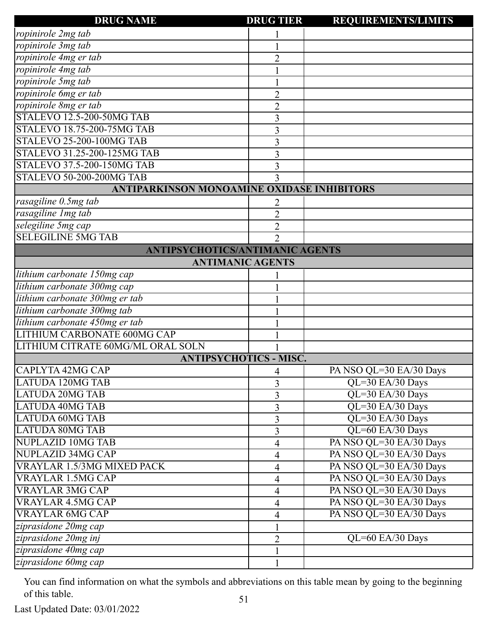| <b>DRUG NAME</b>                                  | <b>DRUG TIER</b>         | <b>REQUIREMENTS/LIMITS</b> |
|---------------------------------------------------|--------------------------|----------------------------|
| ropinirole 2mg tab                                |                          |                            |
| ropinirole 3mg tab                                |                          |                            |
| ropinirole 4mg er tab                             | $\overline{2}$           |                            |
| ropinirole 4mg tab                                |                          |                            |
| ropinirole 5mg tab                                |                          |                            |
| ropinirole 6mg er tab                             | $\overline{2}$           |                            |
| ropinirole 8mg er tab                             | $\overline{2}$           |                            |
| STALEVO 12.5-200-50MG TAB                         | 3                        |                            |
| <b>STALEVO 18.75-200-75MG TAB</b>                 | 3                        |                            |
| STALEVO 25-200-100MG TAB                          | 3                        |                            |
| STALEVO 31.25-200-125MG TAB                       | 3                        |                            |
| STALEVO 37.5-200-150MG TAB                        | 3                        |                            |
| <b>STALEVO 50-200-200MG TAB</b>                   | 3                        |                            |
| <b>ANTIPARKINSON MONOAMINE OXIDASE INHIBITORS</b> |                          |                            |
| rasagiline 0.5mg tab                              |                          |                            |
| rasagiline Img tab                                | $\overline{2}$           |                            |
| selegiline 5mg cap                                | $\overline{2}$           |                            |
| <b>SELEGILINE 5MG TAB</b>                         | $\overline{2}$           |                            |
| <b>ANTIPSYCHOTICS/ANTIMANIC AGENTS</b>            |                          |                            |
| <b>ANTIMANIC AGENTS</b>                           |                          |                            |
| lithium carbonate 150mg cap                       |                          |                            |
| lithium carbonate 300mg cap                       |                          |                            |
| lithium carbonate 300mg er tab                    |                          |                            |
| lithium carbonate 300mg tab                       |                          |                            |
| lithium carbonate 450mg er tab                    |                          |                            |
| LITHIUM CARBONATE 600MG CAP                       |                          |                            |
| LITHIUM CITRATE 60MG/ML ORAL SOLN                 |                          |                            |
| <b>ANTIPSYCHOTICS - MISC.</b>                     |                          |                            |
| ICAPI YTA 42MG CAP                                | 4                        | PA NSO QL=30 EA/30 Days    |
| <b>LATUDA 120MG TAB</b>                           | 3                        | QL=30 EA/30 Days           |
| <b>LATUDA 20MG TAB</b>                            | 3                        | QL=30 EA/30 Days           |
| <b>LATUDA 40MG TAB</b>                            | 3                        | QL=30 EA/30 Days           |
| <b>LATUDA 60MG TAB</b>                            | 3                        | QL=30 EA/30 Days           |
| <b>LATUDA 80MG TAB</b>                            | 3                        | QL=60 EA/30 Days           |
| <b>NUPLAZID 10MG TAB</b>                          | 4                        | PA NSO QL=30 EA/30 Days    |
| NUPLAZID 34MG CAP                                 | $\overline{\mathcal{A}}$ | PA NSO QL=30 EA/30 Days    |
| VRAYLAR 1.5/3MG MIXED PACK                        | 4                        | PA NSO QL=30 EA/30 Days    |
| <b>VRAYLAR 1.5MG CAP</b>                          | 4                        | PA NSO QL=30 EA/30 Days    |
| <b>VRAYLAR 3MG CAP</b>                            | 4                        | PA NSO QL=30 EA/30 Days    |
| <b>VRAYLAR 4.5MG CAP</b>                          | 4                        | PA NSO QL=30 EA/30 Days    |
| <b>VRAYLAR 6MG CAP</b>                            | 4                        | PA NSO QL=30 EA/30 Days    |
| ziprasidone 20mg cap                              |                          |                            |
| ziprasidone 20mg inj                              | $\overline{2}$           | QL=60 EA/30 Days           |
| ziprasidone 40mg cap                              |                          |                            |
| ziprasidone 60mg cap                              | 1                        |                            |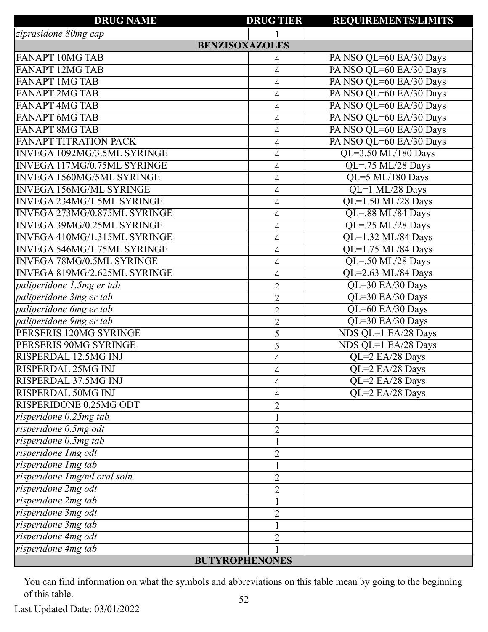| <b>DRUG NAME</b>                    | <b>DRUG TIER</b> | <b>REQUIREMENTS/LIMITS</b>            |  |
|-------------------------------------|------------------|---------------------------------------|--|
| ziprasidone 80mg cap                |                  |                                       |  |
| <b>BENZISOXAZOLES</b>               |                  |                                       |  |
| <b>FANAPT 10MG TAB</b>              | 4                | PA NSO QL=60 EA/30 Days               |  |
| <b>FANAPT 12MG TAB</b>              | 4                | PA NSO QL=60 EA/30 Days               |  |
| <b>FANAPT 1MG TAB</b>               | 4                | PA NSO QL=60 EA/30 Days               |  |
| <b>FANAPT 2MG TAB</b>               | $\overline{4}$   | PA NSO QL=60 EA/30 Days               |  |
| <b>FANAPT 4MG TAB</b>               | 4                | PA NSO QL=60 EA/30 Days               |  |
| <b>FANAPT 6MG TAB</b>               | 4                | PA NSO QL=60 EA/30 Days               |  |
| <b>FANAPT 8MG TAB</b>               | $\overline{4}$   | PA NSO QL=60 EA/30 Days               |  |
| <b>FANAPT TITRATION PACK</b>        | 4                | PA NSO QL=60 EA/30 Days               |  |
| <b>INVEGA 1092MG/3.5ML SYRINGE</b>  | 4                | $QL=3.50$ ML/180 Days                 |  |
| <b>INVEGA 117MG/0.75ML SYRINGE</b>  | 4                | $\overline{\text{QL}$ =.75 ML/28 Days |  |
| <b>INVEGA 1560MG/5ML SYRINGE</b>    | 4                | QL=5 ML/180 Days                      |  |
| <b>INVEGA 156MG/ML SYRINGE</b>      | 4                | QL=1 ML/28 Days                       |  |
| INVEGA 234MG/1.5ML SYRINGE          | 4                | QL=1.50 ML/28 Days                    |  |
| <b>INVEGA 273MG/0.875ML SYRINGE</b> | 4                | QL=.88 ML/84 Days                     |  |
| <b>INVEGA 39MG/0.25ML SYRINGE</b>   | $\overline{4}$   | QL=.25 ML/28 Days                     |  |
| INVEGA 410MG/1.315ML SYRINGE        | 4                | QL=1.32 ML/84 Days                    |  |
| <b>INVEGA 546MG/1.75ML SYRINGE</b>  | $\overline{4}$   | QL=1.75 ML/84 Days                    |  |
| <b>INVEGA 78MG/0.5ML SYRINGE</b>    | 4                | $\overline{QL} = .50$ ML/28 Days      |  |
| INVEGA 819MG/2.625ML SYRINGE        | $\overline{4}$   | QL=2.63 ML/84 Days                    |  |
| paliperidone 1.5mg er tab           | $\overline{2}$   | QL=30 EA/30 Days                      |  |
| paliperidone 3mg er tab             | $\overline{2}$   | QL=30 EA/30 Days                      |  |
| paliperidone 6mg er tab             | $\overline{2}$   | QL=60 EA/30 Days                      |  |
| paliperidone 9mg er tab             | $\overline{2}$   | QL=30 EA/30 Days                      |  |
| PERSERIS 120MG SYRINGE              | 5                | NDS QL=1 EA/28 Days                   |  |
| PERSERIS 90MG SYRINGE               | 5                | NDS QL=1 EA/28 Days                   |  |
| RISPERDAL 12.5MG INJ                | 4                | QL=2 EA/28 Days                       |  |
| <b>RISPERDAL 25MG INJ</b>           | 4                | QL=2 EA/28 Days                       |  |
| <b>RISPERDAL 37.5MG INJ</b>         | 4                | QL=2 EA/28 Days                       |  |
| <b>RISPERDAL 50MG INJ</b>           | 4                | QL=2 EA/28 Days                       |  |
| RISPERIDONE 0.25MG ODT              | $\overline{2}$   |                                       |  |
| $risperidone$ $0.25mg$ tab          |                  |                                       |  |
| risperidone 0.5mg odt               | $\overline{2}$   |                                       |  |
| risperidone 0.5mg tab               |                  |                                       |  |
| risperidone 1mg odt                 | $\overline{2}$   |                                       |  |
| risperidone Img tab                 |                  |                                       |  |
| risperidone Img/ml oral soln        | 2                |                                       |  |
| risperidone 2mg odt                 | $\overline{2}$   |                                       |  |
| risperidone 2mg tab                 |                  |                                       |  |
| risperidone 3mg odt                 | $\overline{2}$   |                                       |  |
| risperidone 3mg tab                 |                  |                                       |  |
| risperidone 4mg odt                 | $\overline{2}$   |                                       |  |
| risperidone 4mg tab                 |                  |                                       |  |
| <b>BUTYROPHENONES</b>               |                  |                                       |  |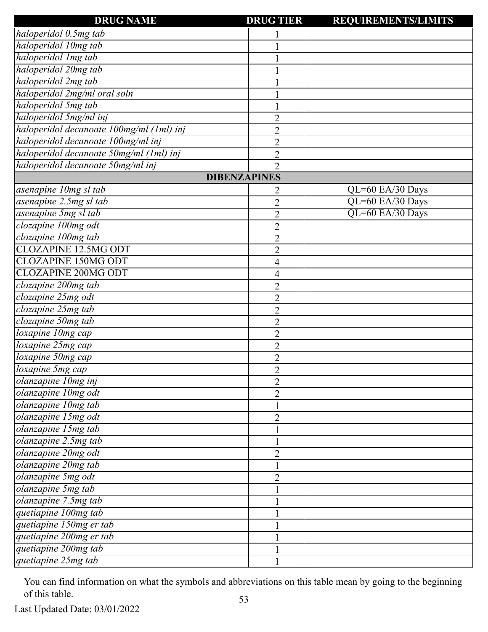| <b>DRUG NAME</b>                         | <b>DRUG TIER</b> | <b>REQUIREMENTS/LIMITS</b> |
|------------------------------------------|------------------|----------------------------|
| haloperidol 0.5mg tab                    |                  |                            |
| haloperidol 10mg tab                     |                  |                            |
| haloperidol Img tab                      |                  |                            |
| haloperidol 20mg tab                     |                  |                            |
| haloperidol 2mg tab                      |                  |                            |
| haloperidol 2mg/ml oral soln             |                  |                            |
| haloperidol 5mg tab                      |                  |                            |
| haloperidol 5mg/ml inj                   | $\overline{2}$   |                            |
| haloperidol decanoate 100mg/ml (1ml) inj | $\overline{2}$   |                            |
| haloperidol decanoate 100mg/ml inj       | $\overline{2}$   |                            |
| haloperidol decanoate 50mg/ml (1ml) inj  | $\overline{2}$   |                            |
| haloperidol decanoate 50mg/ml inj        | $\overline{2}$   |                            |
| <b>DIBENZAPINES</b>                      |                  |                            |
| asenapine 10mg sl tab                    | 2                | QL=60 EA/30 Days           |
| asenapine 2.5mg sl tab                   | $\overline{2}$   | QL=60 EA/30 Days           |
| asenapine 5mg sl tab                     | $\overline{2}$   | QL=60 EA/30 Days           |
| clozapine 100mg odt                      | $\overline{2}$   |                            |
| clozapine 100mg tab                      | $\overline{2}$   |                            |
| <b>CLOZAPINE 12.5MG ODT</b>              | $\overline{2}$   |                            |
| <b>CLOZAPINE 150MG ODT</b>               | 4                |                            |
| <b>CLOZAPINE 200MG ODT</b>               | 4                |                            |
| clozapine 200mg tab                      | $\overline{2}$   |                            |
| clozapine 25mg odt                       | $\overline{2}$   |                            |
| clozapine 25mg tab                       | $\overline{2}$   |                            |
| clozapine 50mg tab                       | $\overline{2}$   |                            |
| loxapine 10mg cap                        | $\overline{2}$   |                            |
| loxapine 25mg cap                        | $\overline{2}$   |                            |
| loxapine 50mg cap                        | $\overline{2}$   |                            |
| loxapine 5mg cap                         | $\overline{2}$   |                            |
| olanzapine 10mg inj                      | $\overline{2}$   |                            |
| olanzapine 10mg odt                      | $\overline{2}$   |                            |
| olanzapine 10mg tab                      | $\mathbf{1}$     |                            |
| olanzapine 15mg odt                      | $\overline{2}$   |                            |
| olanzapine 15mg tab                      |                  |                            |
| olanzapine 2.5mg tab                     |                  |                            |
| olanzapine 20mg odt                      | $\overline{2}$   |                            |
| olanzapine 20mg tab                      |                  |                            |
| olanzapine 5mg odt                       | $\overline{2}$   |                            |
| olanzapine 5mg tab                       |                  |                            |
| olanzapine 7.5mg tab                     |                  |                            |
| quetiapine 100mg tab                     |                  |                            |
| quetiapine 150mg er tab                  |                  |                            |
| quetiapine 200mg er tab                  |                  |                            |
| quetiapine 200mg tab                     |                  |                            |
| quetiapine 25mg tab                      |                  |                            |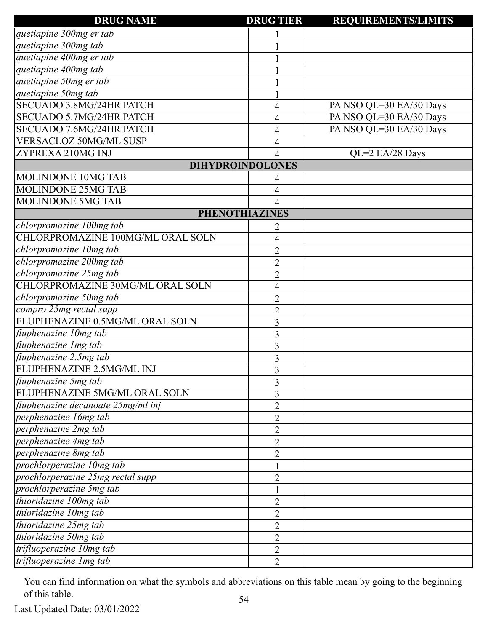| <b>DRUG NAME</b>                                 | <b>DRUG TIER</b>        | <b>REQUIREMENTS/LIMITS</b> |
|--------------------------------------------------|-------------------------|----------------------------|
| quetiapine 300mg er tab                          |                         |                            |
| quetiapine 300mg tab                             |                         |                            |
| quetiapine 400mg er tab                          |                         |                            |
| quetiapine 400mg tab                             |                         |                            |
| $\frac{1}{\text{quetiapine 50mg} \text{er tab}}$ |                         |                            |
| quetiapine 50mg tab                              |                         |                            |
| SECUADO 3.8MG/24HR PATCH                         | 4                       | PA NSO QL=30 EA/30 Days    |
| <b>SECUADO 5.7MG/24HR PATCH</b>                  | 4                       | PA NSO QL=30 EA/30 Days    |
| <b>SECUADO 7.6MG/24HR PATCH</b>                  | 4                       | PA NSO QL=30 EA/30 Days    |
| <b>VERSACLOZ 50MG/ML SUSP</b>                    | 4                       |                            |
| ZYPREXA 210MG INJ                                | 4                       | QL=2 EA/28 Days            |
|                                                  | <b>DIHYDROINDOLONES</b> |                            |
| MOLINDONE 10MG TAB                               | 4                       |                            |
| <b>MOLINDONE 25MG TAB</b>                        | 4                       |                            |
| <b>MOLINDONE 5MG TAB</b>                         | 4                       |                            |
|                                                  | <b>PHENOTHIAZINES</b>   |                            |
| chlorpromazine 100mg tab                         | 2                       |                            |
| CHLORPROMAZINE 100MG/ML ORAL SOLN                | 4                       |                            |
| chlorpromazine 10mg tab                          | $\overline{2}$          |                            |
| chlorpromazine 200mg tab                         | $\overline{2}$          |                            |
| chlorpromazine 25mg tab                          | $\overline{2}$          |                            |
| CHLORPROMAZINE 30MG/ML ORAL SOLN                 | 4                       |                            |
| chlorpromazine 50mg tab                          | $\overline{2}$          |                            |
| compro 25mg rectal supp                          | $\overline{c}$          |                            |
| FLUPHENAZINE 0.5MG/ML ORAL SOLN                  | 3                       |                            |
| fluphenazine 10mg tab                            | 3                       |                            |
| fluphenazine Img tab                             | 3                       |                            |
| fluphenazine 2.5mg tab                           | 3                       |                            |
| FLUPHENAZINE 2.5MG/ML INJ                        | 3                       |                            |
| fluphenazine 5mg tab                             | 3                       |                            |
| FLUPHENAZINE 5MG/ML ORAL SOLN                    | 3                       |                            |
| fluphenazine decanoate 25mg/ml inj               | $\overline{2}$          |                            |
| perphenazine 16mg tab                            | $\overline{2}$          |                            |
| perphenazine 2mg tab                             | $\overline{2}$          |                            |
| perphenazine 4mg tab                             | $\overline{2}$          |                            |
| perphenazine 8mg tab                             | $\overline{2}$          |                            |
| prochlorperazine 10mg tab                        |                         |                            |
| prochlorperazine 25mg rectal supp                | $\overline{2}$          |                            |
| prochlorperazine 5mg tab                         |                         |                            |
| thioridazine 100mg tab                           | $\overline{2}$          |                            |
| thioridazine 10mg tab                            | $\overline{2}$          |                            |
| thioridazine 25mg tab                            | $\overline{2}$          |                            |
| thioridazine 50mg tab                            | $\overline{2}$          |                            |
| trifluoperazine 10mg tab                         | $\overline{2}$          |                            |
| trifluoperazine 1mg tab                          | $\overline{2}$          |                            |
|                                                  |                         |                            |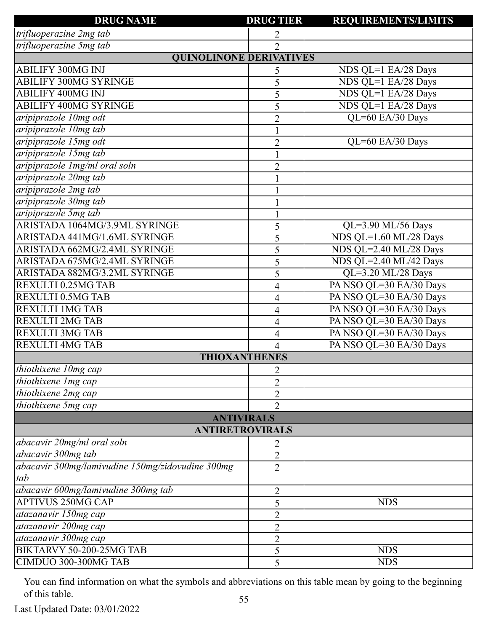| <b>DRUG NAME</b>                                 | <b>DRUG TIER</b>     | <b>REQUIREMENTS/LIMITS</b> |
|--------------------------------------------------|----------------------|----------------------------|
| trifluoperazine 2mg tab                          | 2                    |                            |
| trifluoperazine 5mg tab                          | $\overline{2}$       |                            |
| <b>QUINOLINONE DERIVATIVES</b>                   |                      |                            |
| <b>ABILIFY 300MG INJ</b>                         | 5                    | NDS QL=1 EA/28 Days        |
| <b>ABILIFY 300MG SYRINGE</b>                     | 5                    | NDS QL=1 EA/28 Days        |
| <b>ABILIFY 400MG INJ</b>                         | 5                    | NDS QL=1 EA/28 Days        |
| <b>ABILIFY 400MG SYRINGE</b>                     | 5                    | NDS QL=1 EA/28 Days        |
| aripiprazole 10mg odt                            | $\overline{2}$       | QL=60 EA/30 Days           |
| aripiprazole 10mg tab                            |                      |                            |
| aripiprazole 15mg odt                            | $\overline{2}$       | QL=60 EA/30 Days           |
| aripiprazole 15mg tab                            |                      |                            |
| aripiprazole 1mg/ml oral soln                    | $\overline{2}$       |                            |
| aripiprazole 20mg tab                            |                      |                            |
| aripiprazole 2mg tab                             |                      |                            |
| aripiprazole 30mg tab                            |                      |                            |
| aripiprazole 5mg tab                             |                      |                            |
| ARISTADA 1064MG/3.9ML SYRINGE                    | 5                    | QL=3.90 ML/56 Days         |
| ARISTADA 441MG/1.6ML SYRINGE                     | 5                    | NDS QL=1.60 ML/28 Days     |
| ARISTADA 662MG/2.4ML SYRINGE                     | 5                    | NDS QL=2.40 ML/28 Days     |
| ARISTADA 675MG/2.4ML SYRINGE                     | 5                    | NDS QL=2.40 ML/42 Days     |
| ARISTADA 882MG/3.2ML SYRINGE                     | 5                    | QL=3.20 ML/28 Days         |
| REXULTI 0.25MG TAB                               | 4                    | PA NSO QL=30 EA/30 Days    |
| <b>REXULTI 0.5MG TAB</b>                         | 4                    | PA NSO QL=30 EA/30 Days    |
| <b>REXULTI 1MG TAB</b>                           | 4                    | PA NSO QL=30 EA/30 Days    |
| <b>REXULTI 2MG TAB</b>                           | 4                    | PA NSO QL=30 EA/30 Days    |
| <b>REXULTI 3MG TAB</b>                           | 4                    | PA NSO QL=30 EA/30 Days    |
| <b>REXULTI 4MG TAB</b>                           | 4                    | PA NSO QL=30 EA/30 Days    |
|                                                  | <b>THIOXANTHENES</b> |                            |
| thiothixene 10mg cap                             | 2                    |                            |
| thiothixene 1mg cap                              | $\overline{2}$       |                            |
| thiothixene 2mg cap                              | $\overline{2}$       |                            |
| thiothixene 5mg cap                              | $\overline{2}$       |                            |
|                                                  | <b>ANTIVIRALS</b>    |                            |
| <b>ANTIRETROVIRALS</b>                           |                      |                            |
| abacavir 20mg/ml oral soln                       | 2                    |                            |
| abacavir 300mg tab                               | $\overline{2}$       |                            |
| abacavir 300mg/lamivudine 150mg/zidovudine 300mg | $\overline{2}$       |                            |
| tab                                              |                      |                            |
| abacavir 600mg/lamivudine 300mg tab              | $\overline{2}$       |                            |
| <b>APTIVUS 250MG CAP</b>                         | 5                    | <b>NDS</b>                 |
| atazanavir 150mg cap                             | $\overline{2}$       |                            |
| atazanavir 200mg cap                             | $\overline{2}$       |                            |
| atazanavir 300mg cap                             | $\overline{2}$       |                            |
| BIKTARVY 50-200-25MG TAB                         | 5                    | <b>NDS</b>                 |
| CIMDUO 300-300MG TAB                             | 5                    | <b>NDS</b>                 |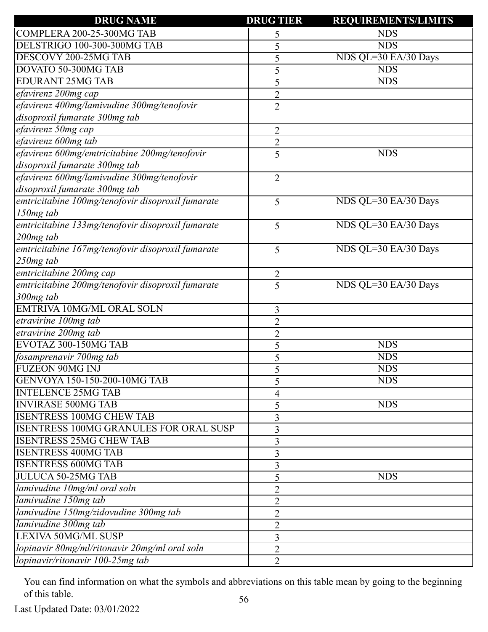| <b>DRUG NAME</b>                                  | <b>DRUG TIER</b> | <b>REQUIREMENTS/LIMITS</b> |
|---------------------------------------------------|------------------|----------------------------|
| COMPLERA 200-25-300MG TAB                         | 5                | <b>NDS</b>                 |
| DELSTRIGO 100-300-300MG TAB                       | 5                | <b>NDS</b>                 |
| DESCOVY 200-25MG TAB                              | 5                | NDS QL=30 EA/30 Days       |
| DOVATO 50-300MG TAB                               | 5                | <b>NDS</b>                 |
| <b>EDURANT 25MG TAB</b>                           | 5                | <b>NDS</b>                 |
| efavirenz 200mg cap                               | $\overline{2}$   |                            |
| efavirenz 400mg/lamivudine 300mg/tenofovir        | $\overline{2}$   |                            |
| disoproxil fumarate 300mg tab                     |                  |                            |
| efavirenz 50mg cap                                | $\overline{2}$   |                            |
| efavirenz 600mg tab                               | $\overline{2}$   |                            |
| efavirenz 600mg/emtricitabine 200mg/tenofovir     | 5                | <b>NDS</b>                 |
| disoproxil fumarate 300mg tab                     |                  |                            |
| efavirenz 600mg/lamivudine 300mg/tenofovir        | $\overline{2}$   |                            |
| disoproxil fumarate 300mg tab                     |                  |                            |
| emtricitabine 100mg/tenofovir disoproxil fumarate | 5                | NDS QL=30 EA/30 Days       |
| 150mg tab                                         |                  |                            |
| emtricitabine 133mg/tenofovir disoproxil fumarate | 5                | NDS QL=30 EA/30 Days       |
| 200mg tab                                         |                  |                            |
| emtricitabine 167mg/tenofovir disoproxil fumarate | 5                | NDS QL=30 EA/30 Days       |
| $250mg$ tab                                       |                  |                            |
| emtricitabine 200mg cap                           | $\overline{2}$   |                            |
| emtricitabine 200mg/tenofovir disoproxil fumarate | $\overline{5}$   | NDS QL=30 EA/30 Days       |
| 300mg tab                                         |                  |                            |
| <b>EMTRIVA 10MG/ML ORAL SOLN</b>                  | 3                |                            |
| etravirine 100mg tab                              | $\overline{2}$   |                            |
| etravirine 200mg tab                              | $\overline{2}$   |                            |
| EVOTAZ 300-150MG TAB                              | 5                | <b>NDS</b>                 |
| fosamprenavir 700mg tab                           | 5                | <b>NDS</b>                 |
| <b>FUZEON 90MG INJ</b>                            | 5                | <b>NDS</b>                 |
| GENVOYA 150-150-200-10MG TAB                      | 5                | <b>NDS</b>                 |
| <b>INTELENCE 25MG TAB</b>                         | 4                |                            |
| <b>INVIRASE 500MG TAB</b>                         | 5                | <b>NDS</b>                 |
| <b>ISENTRESS 100MG CHEW TAB</b>                   | 3                |                            |
| <b>ISENTRESS 100MG GRANULES FOR ORAL SUSP</b>     | 3                |                            |
| <b>ISENTRESS 25MG CHEW TAB</b>                    | 3                |                            |
| <b>ISENTRESS 400MG TAB</b>                        | 3                |                            |
| <b>ISENTRESS 600MG TAB</b>                        | 3                |                            |
| JULUCA 50-25MG TAB                                | 5                | <b>NDS</b>                 |
| lamivudine 10mg/ml oral soln                      | $\overline{2}$   |                            |
| lamivudine 150mg tab                              | $\overline{2}$   |                            |
| lamivudine 150mg/zidovudine 300mg tab             | $\overline{2}$   |                            |
| lamivudine 300mg tab                              | $\overline{2}$   |                            |
| <b>LEXIVA 50MG/ML SUSP</b>                        | 3                |                            |
| lopinavir 80mg/ml/ritonavir 20mg/ml oral soln     | $\overline{2}$   |                            |
| lopinavir/ritonavir 100-25mg tab                  | $\overline{2}$   |                            |
|                                                   |                  |                            |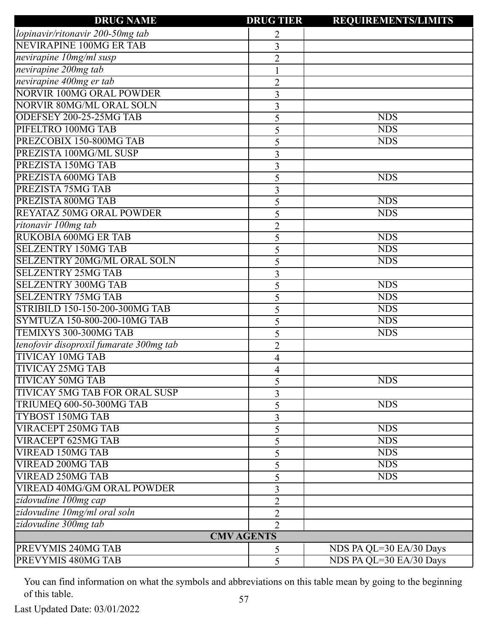| <b>DRUG NAME</b>                        | <b>DRUG TIER</b>  | <b>REQUIREMENTS/LIMITS</b> |
|-----------------------------------------|-------------------|----------------------------|
| lopinavir/ritonavir 200-50mg tab        | 2                 |                            |
| <b>NEVIRAPINE 100MG ER TAB</b>          | 3                 |                            |
| nevirapine 10mg/ml susp                 | $\overline{2}$    |                            |
| nevirapine 200mg tab                    |                   |                            |
| nevirapine 400mg er tab                 | $\overline{c}$    |                            |
| <b>NORVIR 100MG ORAL POWDER</b>         | 3                 |                            |
| <b>NORVIR 80MG/ML ORAL SOLN</b>         | 3                 |                            |
| ODEFSEY 200-25-25MG TAB                 | 5                 | <b>NDS</b>                 |
| PIFELTRO 100MG TAB                      | 5                 | <b>NDS</b>                 |
| PREZCOBIX 150-800MG TAB                 | 5                 | <b>NDS</b>                 |
| PREZISTA 100MG/ML SUSP                  | 3                 |                            |
| PREZISTA 150MG TAB                      | 3                 |                            |
| PREZISTA 600MG TAB                      | 5                 | <b>NDS</b>                 |
| PREZISTA 75MG TAB                       | 3                 |                            |
| PREZISTA 800MG TAB                      | 5                 | <b>NDS</b>                 |
| REYATAZ 50MG ORAL POWDER                | 5                 | <b>NDS</b>                 |
| ritonavir 100mg tab                     | $\overline{2}$    |                            |
| <b>RUKOBIA 600MG ER TAB</b>             | 5                 | <b>NDS</b>                 |
| <b>SELZENTRY 150MG TAB</b>              | 5                 | <b>NDS</b>                 |
| <b>SELZENTRY 20MG/ML ORAL SOLN</b>      | 5                 | <b>NDS</b>                 |
| <b>SELZENTRY 25MG TAB</b>               | 3                 |                            |
| <b>SELZENTRY 300MG TAB</b>              | 5                 | <b>NDS</b>                 |
| <b>SELZENTRY 75MG TAB</b>               | 5                 | <b>NDS</b>                 |
| STRIBILD 150-150-200-300MG TAB          | 5                 | <b>NDS</b>                 |
| SYMTUZA 150-800-200-10MG TAB            | 5                 | <b>NDS</b>                 |
| TEMIXYS 300-300MG TAB                   | 5                 | <b>NDS</b>                 |
| tenofovir disoproxil fumarate 300mg tab | $\overline{2}$    |                            |
| <b>TIVICAY 10MG TAB</b>                 | 4                 |                            |
| <b>TIVICAY 25MG TAB</b>                 | 4                 |                            |
| <b>TIVICAY 50MG TAB</b>                 | 5                 | <b>NDS</b>                 |
| TIVICAY 5MG TAB FOR ORAL SUSP           | 3                 |                            |
| TRIUMEQ 600-50-300MG TAB                | 5                 | <b>NDS</b>                 |
| <b>TYBOST 150MG TAB</b>                 | 3                 |                            |
| VIRACEPT 250MG TAB                      | 5                 | <b>NDS</b>                 |
| <b>VIRACEPT 625MG TAB</b>               | 5                 | <b>NDS</b>                 |
| <b>VIREAD 150MG TAB</b>                 | 5                 | <b>NDS</b>                 |
| <b>VIREAD 200MG TAB</b>                 | 5                 | <b>NDS</b>                 |
| <b>VIREAD 250MG TAB</b>                 | 5                 | <b>NDS</b>                 |
| <b>VIREAD 40MG/GM ORAL POWDER</b>       | 3                 |                            |
| zidovudine 100mg cap                    | $\overline{2}$    |                            |
| zidovudine 10mg/ml oral soln            | $\overline{2}$    |                            |
| zidovudine 300mg tab                    | $\overline{2}$    |                            |
|                                         | <b>CMV AGENTS</b> |                            |
| PREVYMIS 240MG TAB                      | 5                 | NDS PA QL=30 EA/30 Days    |
| PREVYMIS 480MG TAB                      | 5                 | NDS PA QL=30 EA/30 Days    |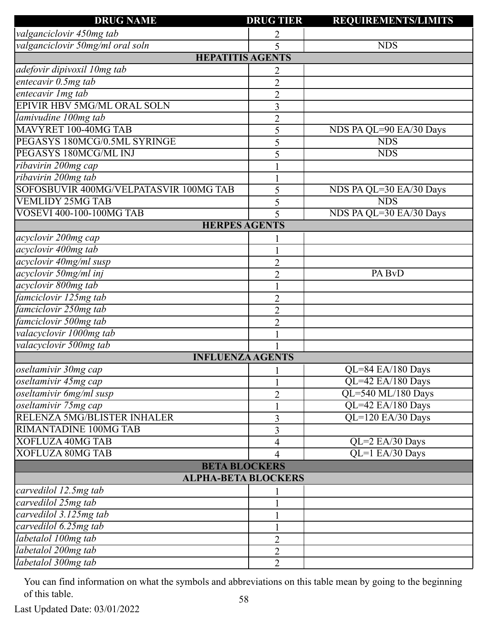| <b>DRUG NAME</b>                       | <b>DRUG TIER</b> | <b>REQUIREMENTS/LIMITS</b> |
|----------------------------------------|------------------|----------------------------|
| valganciclovir 450mg tab               | 2                |                            |
| valganciclovir 50mg/ml oral soln       | 5                | <b>NDS</b>                 |
| <b>HEPATITIS AGENTS</b>                |                  |                            |
| adefovir dipivoxil 10mg tab            | 2                |                            |
| entecavir 0.5mg tab                    | $\overline{2}$   |                            |
| entecavir Img tab                      | $\overline{2}$   |                            |
| EPIVIR HBV 5MG/ML ORAL SOLN            | 3                |                            |
| lamivudine 100mg tab                   | $\overline{2}$   |                            |
| MAVYRET 100-40MG TAB                   | 5                | NDS PA QL=90 EA/30 Days    |
| PEGASYS 180MCG/0.5ML SYRINGE           | 5                | <b>NDS</b>                 |
| PEGASYS 180MCG/ML INJ                  | 5                | <b>NDS</b>                 |
| ribavirin 200mg cap                    |                  |                            |
| ribavirin 200mg tab                    |                  |                            |
| SOFOSBUVIR 400MG/VELPATASVIR 100MG TAB | 5                | NDS PA QL=30 EA/30 Days    |
| <b>VEMLIDY 25MG TAB</b>                | 5                | <b>NDS</b>                 |
| <b>VOSEVI 400-100-100MG TAB</b>        | 5                | NDS PA QL=30 EA/30 Days    |
| <b>HERPES AGENTS</b>                   |                  |                            |
| acyclovir 200mg cap                    |                  |                            |
| acyclovir 400mg tab                    |                  |                            |
| acyclovir 40mg/ml susp                 | $\overline{2}$   |                            |
| acyclovir 50mg/ml inj                  | $\overline{2}$   | PA BvD                     |
| acyclovir 800mg tab                    |                  |                            |
| famciclovir 125mg tab                  | $\overline{2}$   |                            |
| famciclovir 250mg tab                  | $\overline{2}$   |                            |
| famciclovir 500mg tab                  | $\overline{2}$   |                            |
| valacyclovir 1000mg tab                |                  |                            |
| valacyclovir 500mg tab                 |                  |                            |
| <b>INFLUENZA AGENTS</b>                |                  |                            |
| oseltamivir 30mg cap                   |                  | QL=84 EA/180 Days          |
| oseltamivir 45mg cap                   |                  | QL=42 EA/180 Days          |
| oseltamivir 6mg/ml susp                | 2                | QL=540 ML/180 Days         |
| oseltamivir 75mg cap                   |                  | QL=42 EA/180 Days          |
| RELENZA 5MG/BLISTER INHALER            | 3                | QL=120 EA/30 Days          |
| RIMANTADINE 100MG TAB                  | 3                |                            |
| <b>XOFLUZA 40MG TAB</b>                | $\overline{4}$   | QL=2 EA/30 Days            |
| <b>XOFLUZA 80MG TAB</b>                | 4                | QL=1 EA/30 Days            |
| <b>BETA BLOCKERS</b>                   |                  |                            |
| <b>ALPHA-BETA BLOCKERS</b>             |                  |                            |
| carvedilol 12.5mg tab                  |                  |                            |
| carvedilol 25mg tab                    |                  |                            |
| carvedilol 3.125mg tab                 |                  |                            |
| carvedilol 6.25mg tab                  |                  |                            |
| labetalol 100mg tab                    | $\overline{2}$   |                            |
| labetalol 200mg tab                    | $\overline{2}$   |                            |
| labetalol 300mg tab                    | $\overline{2}$   |                            |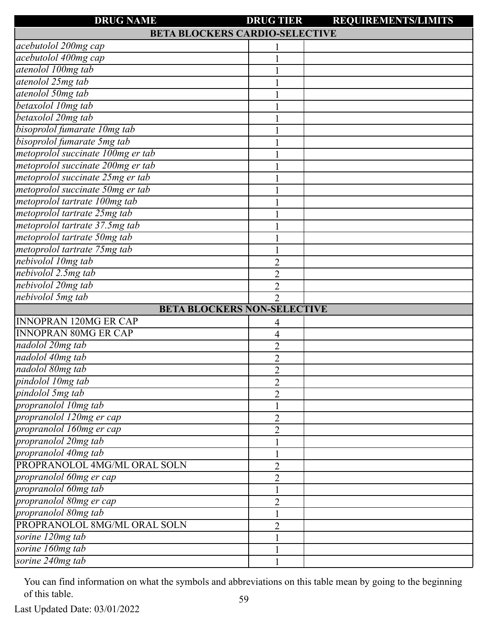| <b>DRUG NAME</b>                      | <b>DRUG TIER</b> | <b>REQUIREMENTS/LIMITS</b> |
|---------------------------------------|------------------|----------------------------|
| <b>BETA BLOCKERS CARDIO-SELECTIVE</b> |                  |                            |
| acebutolol 200mg cap                  |                  |                            |
| acebutolol 400mg cap                  |                  |                            |
| atenolol 100mg tab                    |                  |                            |
| atenolol 25mg tab                     |                  |                            |
| atenolol 50mg tab                     |                  |                            |
| betaxolol 10mg tab                    |                  |                            |
| betaxolol 20mg tab                    |                  |                            |
| bisoprolol fumarate 10mg tab          |                  |                            |
| bisoprolol fumarate 5mg tab           |                  |                            |
| metoprolol succinate 100mg er tab     |                  |                            |
| metoprolol succinate 200mg er tab     |                  |                            |
| metoprolol succinate 25mg er tab      |                  |                            |
| metoprolol succinate 50mg er tab      |                  |                            |
| metoprolol tartrate 100mg tab         |                  |                            |
| metoprolol tartrate 25mg tab          |                  |                            |
| metoprolol tartrate 37.5mg tab        |                  |                            |
| metoprolol tartrate 50mg tab          |                  |                            |
| metoprolol tartrate 75mg tab          |                  |                            |
| nebivolol 10mg tab                    | $\overline{2}$   |                            |
| nebivolol 2.5mg tab                   | $\overline{2}$   |                            |
| nebivolol 20mg tab                    | $\overline{2}$   |                            |
| nebivolol 5mg tab                     | $\overline{2}$   |                            |
| <b>BETA BLOCKERS NON-SELECTIVE</b>    |                  |                            |
| <b>INNOPRAN 120MG ER CAP</b>          | 4                |                            |
| <b>INNOPRAN 80MG ER CAP</b>           | 4                |                            |
| nadolol 20mg tab                      | $\overline{2}$   |                            |
| nadolol 40mg tab                      | $\overline{2}$   |                            |
| nadolol 80mg tab                      | $\overline{2}$   |                            |
| pindolol 10mg tab                     | $\overline{2}$   |                            |
| pindolol 5mg tab                      | $\overline{2}$   |                            |
| propranolol 10mg tab                  |                  |                            |
| propranolol 120mg er cap              | $\overline{2}$   |                            |
| propranolol 160mg er cap              | $\overline{2}$   |                            |
| propranolol 20mg tab                  |                  |                            |
| propranolol 40mg tab                  |                  |                            |
| PROPRANOLOL 4MG/ML ORAL SOLN          | 2                |                            |
| propranolol 60mg er cap               | $\overline{2}$   |                            |
| propranolol 60mg tab                  |                  |                            |
| propranolol 80mg er cap               | $\overline{2}$   |                            |
| propranolol 80mg tab                  |                  |                            |
| PROPRANOLOL 8MG/ML ORAL SOLN          | $\overline{2}$   |                            |
| sorine 120mg tab                      |                  |                            |
| sorine 160mg tab                      |                  |                            |
| sorine 240mg tab                      |                  |                            |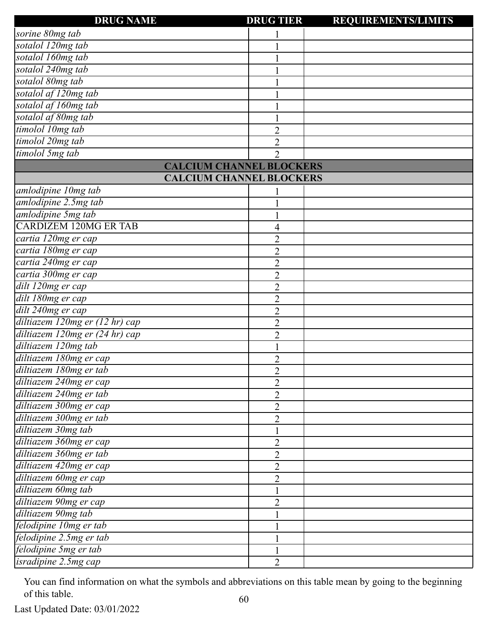| <b>DRUG NAME</b>                | <b>DRUG TIER</b> | <b>REQUIREMENTS/LIMITS</b> |
|---------------------------------|------------------|----------------------------|
| sorine 80mg tab                 |                  |                            |
| sotalol 120mg tab               |                  |                            |
| sotalol 160mg tab               |                  |                            |
| sotalol 240mg tab               |                  |                            |
| sotalol 80mg tab                |                  |                            |
| sotalol af 120mg tab            |                  |                            |
| sotalol af 160mg tab            |                  |                            |
| sotalol af 80mg tab             |                  |                            |
| timolol 10mg tab                | $\overline{c}$   |                            |
| timolol 20mg tab                | $\overline{2}$   |                            |
| timolol 5mg tab                 | $\overline{2}$   |                            |
| <b>CALCIUM CHANNEL BLOCKERS</b> |                  |                            |
| <b>CALCIUM CHANNEL BLOCKERS</b> |                  |                            |
| amlodipine 10mg tab             |                  |                            |
| amlodipine 2.5mg tab            |                  |                            |
| amlodipine 5mg tab              |                  |                            |
| <b>CARDIZEM 120MG ER TAB</b>    | 4                |                            |
| cartia 120mg er cap             | $\overline{2}$   |                            |
| cartia 180mg er cap             | $\overline{2}$   |                            |
| cartia 240mg er cap             | $\overline{2}$   |                            |
| cartia 300mg er cap             | $\overline{2}$   |                            |
| dilt 120mg er cap               | $\overline{2}$   |                            |
| dilt 180mg er cap               | $\overline{2}$   |                            |
| dilt 240mg er cap               | $\overline{2}$   |                            |
| diltiazem 120mg er (12 hr) cap  | $\overline{2}$   |                            |
| diltiazem 120mg er (24 hr) cap  | $\overline{2}$   |                            |
| diltiazem 120mg tab             |                  |                            |
| diltiazem 180mg er cap          | $\overline{2}$   |                            |
| diltiazem 180mg er tab          | $\overline{2}$   |                            |
| diltiazem 240mg er cap          | $\overline{2}$   |                            |
| diltiazem 240mg er tab          | $\overline{2}$   |                            |
| diltiazem 300mg er cap          | $\overline{2}$   |                            |
| diltiazem 300mg er tab          | $\overline{2}$   |                            |
| diltiazem 30mg tab              |                  |                            |
| diltiazem 360mg er cap          | 2                |                            |
| diltiazem 360mg er tab          | $\overline{2}$   |                            |
| diltiazem 420mg er cap          | $\overline{2}$   |                            |
| diltiazem 60mg er cap           | $\overline{2}$   |                            |
| diltiazem 60mg tab              |                  |                            |
| diltiazem 90mg er cap           | $\overline{2}$   |                            |
| diltiazem 90mg tab              |                  |                            |
| felodipine 10mg er tab          |                  |                            |
| felodipine 2.5mg er tab         |                  |                            |
| felodipine 5mg er tab           |                  |                            |
| $is radiine$ $2.5mg$ $cap$      | 2                |                            |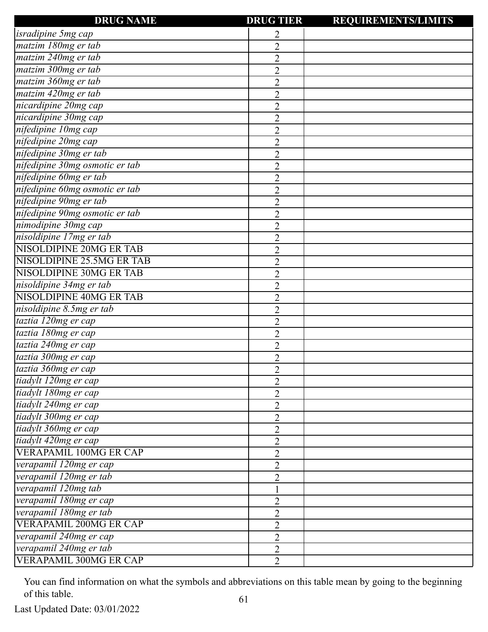| <b>DRUG NAME</b>               | <b>DRUG TIER</b> | <b>REQUIREMENTS/LIMITS</b> |
|--------------------------------|------------------|----------------------------|
| <i>isradipine 5mg cap</i>      | 2                |                            |
| matzim 180mg er tab            | $\overline{2}$   |                            |
| matzim 240mg er tab            | $\overline{2}$   |                            |
| matzim 300mg er tab            | $\overline{2}$   |                            |
| matzim 360mg er tab            | $\overline{2}$   |                            |
| matzim 420mg er tab            | $\overline{2}$   |                            |
| nicardipine 20mg cap           | $\overline{2}$   |                            |
| nicardipine 30mg cap           | $\overline{2}$   |                            |
| nifedipine 10mg cap            | $\overline{2}$   |                            |
| nifedipine 20mg cap            | $\overline{2}$   |                            |
| nifedipine 30mg er tab         | $\overline{2}$   |                            |
| nifedipine 30mg osmotic er tab | $\overline{2}$   |                            |
| nifedipine 60mg er tab         | $\overline{2}$   |                            |
| nifedipine 60mg osmotic er tab | $\overline{2}$   |                            |
| nifedipine 90mg er tab         | $\overline{2}$   |                            |
| nifedipine 90mg osmotic er tab | $\overline{2}$   |                            |
| nimodipine 30mg cap            | $\overline{2}$   |                            |
| nisoldipine 17mg er tab        | $\overline{2}$   |                            |
| <b>NISOLDIPINE 20MG ER TAB</b> | $\overline{2}$   |                            |
| NISOLDIPINE 25.5MG ER TAB      | $\overline{2}$   |                            |
| NISOLDIPINE 30MG ER TAB        | $\overline{2}$   |                            |
| nisoldipine 34mg er tab        | $\overline{2}$   |                            |
| <b>NISOLDIPINE 40MG ER TAB</b> | $\overline{2}$   |                            |
| nisoldipine 8.5mg er tab       | $\overline{2}$   |                            |
| taztia 120mg er cap            | $\overline{2}$   |                            |
| taztia 180mg er cap            | $\overline{2}$   |                            |
| taztia 240mg er cap            | $\overline{2}$   |                            |
| taztia 300mg er cap            | $\overline{2}$   |                            |
| taztia 360mg er cap            | $\overline{2}$   |                            |
| tiadylt 120mg er cap           | $\overline{2}$   |                            |
| tiadylt 180mg er cap           | $\overline{2}$   |                            |
| tiadylt 240mg er cap           | $\overline{2}$   |                            |
| tiadylt 300mg er cap           | $\overline{2}$   |                            |
| tiadylt 360mg er cap           | $\overline{2}$   |                            |
| tiadylt 420mg er cap           | $\overline{2}$   |                            |
| <b>VERAPAMIL 100MG ER CAP</b>  | $\overline{2}$   |                            |
| verapamil 120mg er cap         | $\overline{2}$   |                            |
| verapamil 120mg er tab         | $\overline{2}$   |                            |
| verapamil 120mg tab            |                  |                            |
| verapamil 180mg er cap         | $\overline{2}$   |                            |
| verapamil 180mg er tab         | $\overline{2}$   |                            |
| <b>VERAPAMIL 200MG ER CAP</b>  | $\overline{2}$   |                            |
| verapamil 240mg er cap         | $\overline{2}$   |                            |
| verapamil 240mg er tab         | $\overline{2}$   |                            |
| <b>VERAPAMIL 300MG ER CAP</b>  | $\overline{2}$   |                            |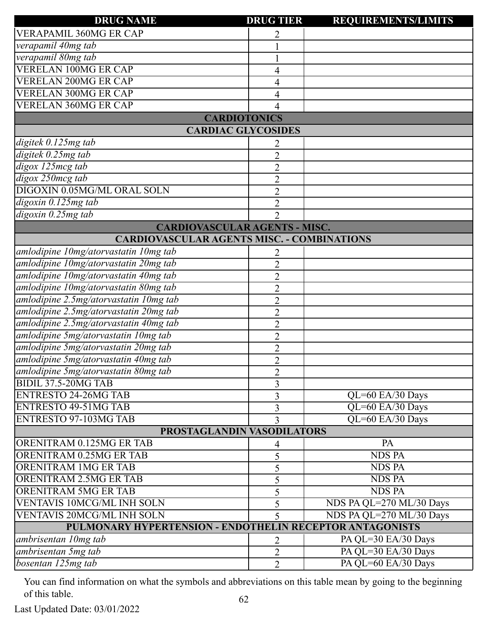| <b>DRUG NAME</b>                                         | <b>DRUG TIER</b> | <b>REQUIREMENTS/LIMITS</b> |
|----------------------------------------------------------|------------------|----------------------------|
| <b>VERAPAMIL 360MG ER CAP</b>                            |                  |                            |
| verapamil 40mg tab                                       |                  |                            |
| verapamil 80mg tab                                       |                  |                            |
| <b>VERELAN 100MG ER CAP</b>                              |                  |                            |
| <b>VERELAN 200MG ER CAP</b>                              | 4                |                            |
| <b>VERELAN 300MG ER CAP</b>                              | 4                |                            |
| <b>VERELAN 360MG ER CAP</b>                              |                  |                            |
| <b>CARDIOTONICS</b>                                      |                  |                            |
| <b>CARDIAC GLYCOSIDES</b>                                |                  |                            |
| digitek 0.125mg tab                                      |                  |                            |
| digitek 0.25mg tab                                       | $\overline{2}$   |                            |
| digox 125mcg tab                                         | $\overline{2}$   |                            |
| digox 250mcg tab                                         | $\overline{2}$   |                            |
| DIGOXIN 0.05MG/ML ORAL SOLN                              | $\overline{2}$   |                            |
| digoxin 0.125mg tab                                      | $\overline{2}$   |                            |
| $digoxin$ 0.25 $mg$ tab                                  | $\overline{2}$   |                            |
| <b>CARDIOVASCULAR AGENTS - MISC.</b>                     |                  |                            |
| <b>CARDIOVASCULAR AGENTS MISC. - COMBINATIONS</b>        |                  |                            |
| amlodipine 10mg/atorvastatin 10mg tab                    | 2                |                            |
| amlodipine 10mg/atorvastatin 20mg tab                    | $\overline{2}$   |                            |
| amlodipine 10mg/atorvastatin 40mg tab                    | $\overline{2}$   |                            |
| amlodipine 10mg/atorvastatin 80mg tab                    | $\overline{2}$   |                            |
| amlodipine 2.5mg/atorvastatin 10mg tab                   | $\overline{2}$   |                            |
| amlodipine 2.5mg/atorvastatin 20mg tab                   | $\overline{2}$   |                            |
| amlodipine 2.5mg/atorvastatin 40mg tab                   | $\overline{2}$   |                            |
| amlodipine 5mg/atorvastatin 10mg tab                     | $\overline{2}$   |                            |
| amlodipine 5mg/atorvastatin 20mg tab                     | $\overline{2}$   |                            |
| amlodipine 5mg/atorvastatin 40mg tab                     | $\overline{2}$   |                            |
| amlodipine 5mg/atorvastatin 80mg tab                     | $\overline{2}$   |                            |
| <b>BIDIL 37.5-20MG TAB</b>                               | 3                |                            |
| <b>ENTRESTO 24-26MG TAB</b>                              | 3                | QL=60 EA/30 Days           |
| <b>ENTRESTO 49-51MG TAB</b>                              | 3                | QL=60 EA/30 Days           |
| <b>ENTRESTO 97-103MG TAB</b>                             | 3                | QL=60 EA/30 Days           |
| PROSTAGLANDIN VASODILATORS                               |                  |                            |
| ORENITRAM 0.125MG ER TAB                                 | 4                | PA                         |
| ORENITRAM 0.25MG ER TAB                                  | 5                | <b>NDS PA</b>              |
| <b>ORENITRAM 1MG ER TAB</b>                              | 5                | <b>NDS PA</b>              |
| ORENITRAM 2.5MG ER TAB                                   | 5                | <b>NDS PA</b>              |
| <b>ORENITRAM 5MG ER TAB</b>                              | 5                | <b>NDS PA</b>              |
| <b>VENTAVIS 10MCG/ML INH SOLN</b>                        | 5                | NDS PA QL=270 ML/30 Days   |
| <b>VENTAVIS 20MCG/ML INH SOLN</b>                        | 5                | NDS PA QL=270 ML/30 Days   |
| PULMONARY HYPERTENSION - ENDOTHELIN RECEPTOR ANTAGONISTS |                  |                            |
| ambrisentan 10mg tab                                     | 2                | PA QL=30 EA/30 Days        |
| ambrisentan 5mg tab                                      | $\overline{2}$   | PA QL=30 EA/30 Days        |
| bosentan 125mg tab                                       | $\overline{2}$   | PA QL=60 EA/30 Days        |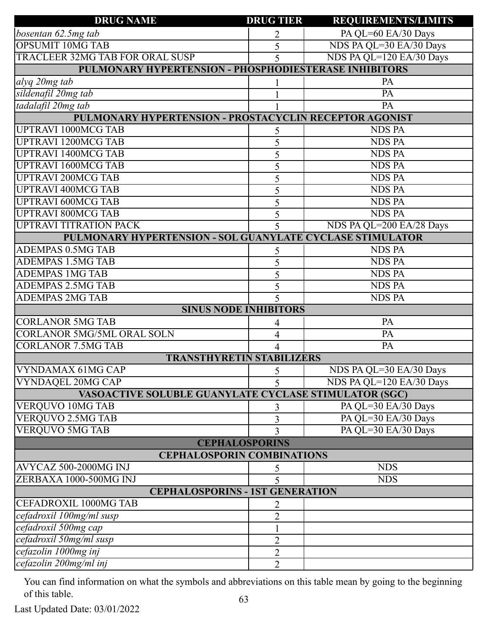| <b>DRUG NAME</b>                                          | <b>DRUG TIER</b> | <b>REQUIREMENTS/LIMITS</b> |
|-----------------------------------------------------------|------------------|----------------------------|
| bosentan 62.5mg tab                                       | 2                | PA QL=60 EA/30 Days        |
| <b>OPSUMIT 10MG TAB</b>                                   | 5                | NDS PA QL=30 EA/30 Days    |
| TRACLEER 32MG TAB FOR ORAL SUSP                           | 5                | NDS PA QL=120 EA/30 Days   |
| PULMONARY HYPERTENSION - PHOSPHODIESTERASE INHIBITORS     |                  |                            |
| alyq 20mg tab                                             |                  | PA                         |
| sildenafil 20mg tab                                       |                  | PA                         |
| tadalafil 20mg tab                                        |                  | PA                         |
| PULMONARY HYPERTENSION - PROSTACYCLIN RECEPTOR AGONIST    |                  |                            |
| <b>UPTRAVI 1000MCG TAB</b>                                | 5                | <b>NDS PA</b>              |
| <b>UPTRAVI 1200MCG TAB</b>                                | 5                | <b>NDS PA</b>              |
| <b>UPTRAVI 1400MCG TAB</b>                                | 5                | <b>NDS PA</b>              |
| <b>UPTRAVI 1600MCG TAB</b>                                | 5                | <b>NDS PA</b>              |
| <b>UPTRAVI 200MCG TAB</b>                                 | 5                | <b>NDS PA</b>              |
| <b>UPTRAVI 400MCG TAB</b>                                 | 5                | <b>NDS PA</b>              |
| <b>UPTRAVI 600MCG TAB</b>                                 | 5                | <b>NDS PA</b>              |
| <b>UPTRAVI 800MCG TAB</b>                                 | 5                | <b>NDS PA</b>              |
| <b>UPTRAVI TITRATION PACK</b>                             | 5                | NDS PA QL=200 EA/28 Days   |
| PULMONARY HYPERTENSION - SOL GUANYLATE CYCLASE STIMULATOR |                  |                            |
| <b>ADEMPAS 0.5MG TAB</b>                                  | 5                | <b>NDS PA</b>              |
| <b>ADEMPAS 1.5MG TAB</b>                                  | 5                | <b>NDS PA</b>              |
| <b>ADEMPAS 1MG TAB</b>                                    | 5                | <b>NDS PA</b>              |
| <b>ADEMPAS 2.5MG TAB</b>                                  | 5                | <b>NDS PA</b>              |
| <b>ADEMPAS 2MG TAB</b>                                    | 5                | <b>NDS PA</b>              |
| <b>SINUS NODE INHIBITORS</b>                              |                  |                            |
| <b>CORLANOR 5MG TAB</b>                                   | 4                | PA                         |
| <b>CORLANOR 5MG/5ML ORAL SOLN</b>                         | 4                | PA                         |
| <b>CORLANOR 7.5MG TAB</b>                                 | 4                | $\overline{PA}$            |
| <b>TRANSTHYRETIN STABILIZERS</b>                          |                  |                            |
| VYNDAMAX 61MG CAP                                         | 5                | NDS PA QL=30 EA/30 Days    |
| <b>VYNDAQEL 20MG CAP</b>                                  |                  | NDS PA QL=120 EA/30 Days   |
| VASOACTIVE SOLUBLE GUANYLATE CYCLASE STIMULATOR (SGC)     |                  |                            |
| VERQUVO 10MG TAB                                          | 3                | PA QL=30 EA/30 Days        |
| <b>VERQUVO 2.5MG TAB</b>                                  | 3                | PA QL=30 EA/30 Days        |
| <b>VERQUVO 5MG TAB</b>                                    | 3                | PA QL=30 EA/30 Days        |
| <b>CEPHALOSPORINS</b>                                     |                  |                            |
| <b>CEPHALOSPORIN COMBINATIONS</b>                         |                  |                            |
| AVYCAZ 500-2000MG INJ                                     | C                | <b>NDS</b>                 |
| ZERBAXA 1000-500MG INJ                                    |                  | <b>NDS</b>                 |
| <b>CEPHALOSPORINS - 1ST GENERATION</b>                    |                  |                            |
| <b>CEFADROXIL 1000MG TAB</b>                              | 2                |                            |
| cefadroxil 100mg/ml susp                                  | $\overline{2}$   |                            |
| cefadroxil 500mg cap                                      | 1                |                            |
| cefadroxil 50mg/ml susp                                   | $\overline{2}$   |                            |
| cefazolin 1000mg inj                                      | $\overline{2}$   |                            |
| cefazolin 200mg/ml inj                                    | $\overline{2}$   |                            |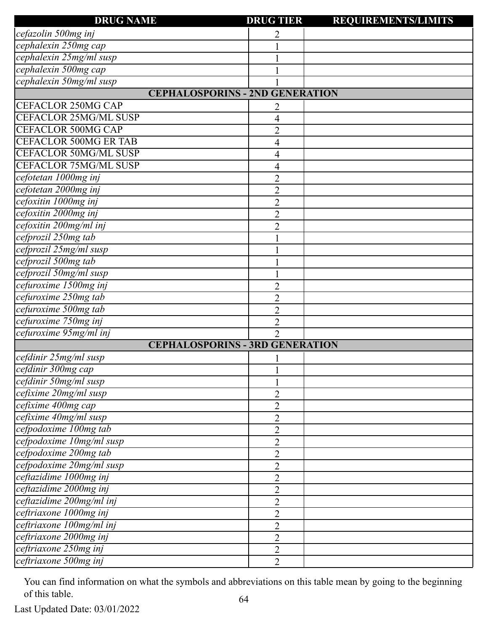| <b>DRUG NAME</b>                       | <b>DRUG TIER</b> | <b>REQUIREMENTS/LIMITS</b> |
|----------------------------------------|------------------|----------------------------|
| cefazolin 500mg inj                    | 2                |                            |
| cephalexin 250mg cap                   |                  |                            |
| cephalexin 25mg/ml susp                |                  |                            |
| cephalexin 500mg cap                   |                  |                            |
| cephalexin 50mg/ml susp                |                  |                            |
| <b>CEPHALOSPORINS - 2ND GENERATION</b> |                  |                            |
| <b>CEFACLOR 250MG CAP</b>              | 2                |                            |
| <b>CEFACLOR 25MG/ML SUSP</b>           | 4                |                            |
| <b>CEFACLOR 500MG CAP</b>              | 2                |                            |
| <b>CEFACLOR 500MG ER TAB</b>           | 4                |                            |
| <b>CEFACLOR 50MG/ML SUSP</b>           | 4                |                            |
| <b>CEFACLOR 75MG/ML SUSP</b>           | 4                |                            |
| cefotetan 1000mg inj                   | $\overline{2}$   |                            |
| cefotetan 2000mg inj                   | $\overline{2}$   |                            |
| cefoxitin 1000mg inj                   | $\overline{c}$   |                            |
| cefoxitin 2000mg inj                   | $\overline{c}$   |                            |
| cefoxitin 200mg/ml inj                 | $\overline{2}$   |                            |
| cefprozil 250mg tab                    |                  |                            |
| cefprozil 25mg/ml susp                 |                  |                            |
| cefprozil 500mg tab                    |                  |                            |
| cefprozil 50mg/ml susp                 |                  |                            |
| cefuroxime 1500mg inj                  | $\overline{2}$   |                            |
| cefuroxime 250mg tab                   | 2                |                            |
| cefuroxime 500mg tab                   | $\overline{2}$   |                            |
| cefuroxime 750mg inj                   | 2                |                            |
| cefuroxime 95mg/ml inj                 | $\overline{2}$   |                            |
| <b>CEPHALOSPORINS - 3RD GENERATION</b> |                  |                            |
| cefdinir 25mg/ml susp                  |                  |                            |
| cefdinir 300mg cap                     |                  |                            |
| cefdinir 50mg/ml susp                  |                  |                            |
| cefixime 20mg/ml susp                  | $\overline{2}$   |                            |
| cefixime 400mg cap                     | $\overline{2}$   |                            |
| cefixime 40mg/ml susp                  | $\overline{2}$   |                            |
| cefpodoxime 100mg tab                  | $\overline{2}$   |                            |
| cefpodoxime 10mg/ml susp               | 2                |                            |
| cefpodoxime 200mg tab                  | $\overline{2}$   |                            |
| cefpodoxime 20mg/ml susp               | 2                |                            |
| ceftazidime 1000mg inj                 | $\overline{2}$   |                            |
| ceftazidime 2000mg inj                 | $\overline{2}$   |                            |
| ceftazidime 200mg/ml inj               | $\overline{2}$   |                            |
| ceftriaxone 1000mg inj                 | $\overline{2}$   |                            |
| ceftriaxone 100mg/ml inj               | $\overline{c}$   |                            |
| ceftriaxone 2000mg inj                 | $\overline{2}$   |                            |
| ceftriaxone 250mg inj                  | $\overline{2}$   |                            |
| ceftriaxone 500mg inj                  | $\overline{2}$   |                            |
|                                        |                  |                            |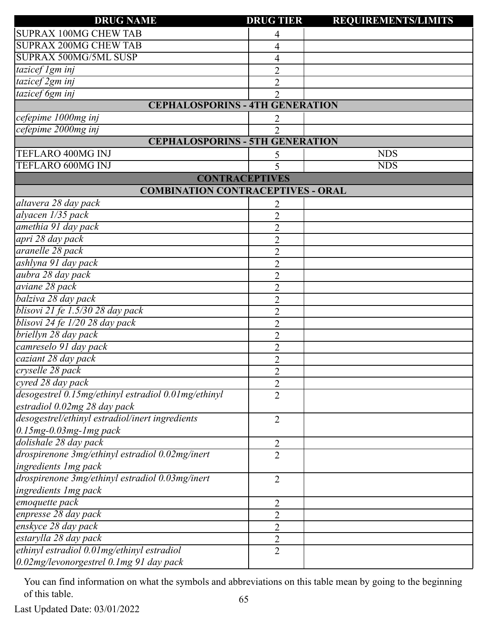| <b>DRUG NAME</b>                                    | <b>DRUG TIER</b> | <b>REQUIREMENTS/LIMITS</b> |
|-----------------------------------------------------|------------------|----------------------------|
| <b>SUPRAX 100MG CHEW TAB</b>                        | 4                |                            |
| <b>SUPRAX 200MG CHEW TAB</b>                        | 4                |                            |
| SUPRAX 500MG/5ML SUSP                               | 4                |                            |
| tazicef 1gm inj                                     | $\overline{2}$   |                            |
| tazicef 2gm inj                                     | $\overline{2}$   |                            |
| tazicef 6gm inj                                     | $\overline{2}$   |                            |
| <b>CEPHALOSPORINS - 4TH GENERATION</b>              |                  |                            |
| cefepime 1000mg inj                                 | 2                |                            |
| cefepime 2000mg inj                                 | $\overline{2}$   |                            |
| <b>CEPHALOSPORINS - 5TH GENERATION</b>              |                  |                            |
| TEFLARO 400MG INJ                                   |                  | <b>NDS</b>                 |
| TEFLARO 600MG INJ                                   | 5                | <b>NDS</b>                 |
| <b>CONTRACEPTIVES</b>                               |                  |                            |
| <b>COMBINATION CONTRACEPTIVES - ORAL</b>            |                  |                            |
| altavera 28 day pack                                | 2                |                            |
| alyacen 1/35 pack                                   | $\overline{2}$   |                            |
| amethia 91 day pack                                 | $\overline{2}$   |                            |
| apri 28 day pack                                    | $\overline{2}$   |                            |
| aranelle 28 pack                                    | $\overline{2}$   |                            |
| ashlyna 91 day pack                                 | $\overline{2}$   |                            |
| aubra 28 day pack                                   | $\overline{2}$   |                            |
| aviane 28 pack                                      | $\overline{2}$   |                            |
| balziva 28 day pack                                 | $\overline{2}$   |                            |
| blisovi 21 fe 1.5/30 28 day pack                    | $\overline{2}$   |                            |
| blisovi 24 fe 1/20 28 day pack                      | $\overline{2}$   |                            |
| briellyn 28 day pack                                | $\overline{2}$   |                            |
| camreselo 91 day pack                               | $\overline{2}$   |                            |
| caziant 28 day pack                                 | $\overline{2}$   |                            |
| cryselle 28 pack                                    | $\overline{2}$   |                            |
| cyred 28 day pack                                   | $\overline{2}$   |                            |
| desogestrel 0.15mg/ethinyl estradiol 0.01mg/ethinyl | $\overline{2}$   |                            |
| estradiol 0.02mg 28 day pack                        |                  |                            |
| desogestrel/ethinyl estradiol/inert ingredients     | 2                |                            |
| $0.15mg - 0.03mg - 1mg$ pack                        |                  |                            |
| dolishale 28 day pack                               | 2                |                            |
| drospirenone 3mg/ethinyl estradiol 0.02mg/inert     | $\overline{2}$   |                            |
| ingredients 1 mg pack                               |                  |                            |
| drospirenone 3mg/ethinyl estradiol 0.03mg/inert     | 2                |                            |
| ingredients 1mg pack                                |                  |                            |
| emoquette pack                                      | $\overline{2}$   |                            |
| enpresse 28 day pack                                | 2                |                            |
| enskyce 28 day pack                                 | $\overline{2}$   |                            |
| estarylla 28 day pack                               | 2                |                            |
| ethinyl estradiol 0.01 mg/ethinyl estradiol         | 2                |                            |
| 0.02mg/levonorgestrel 0.1mg 91 day pack             |                  |                            |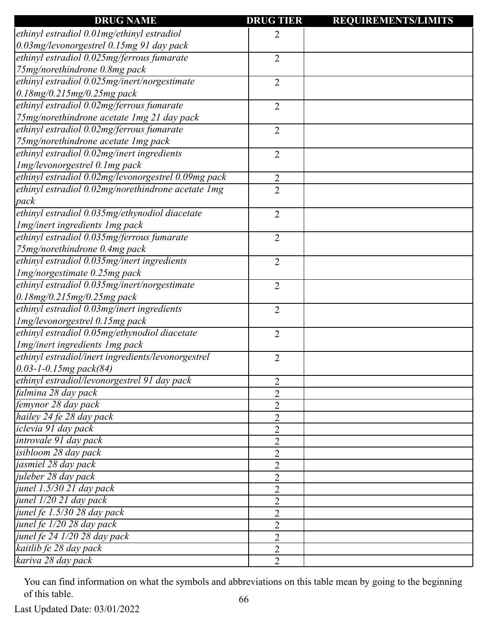| <b>DRUG NAME</b>                                    | <b>DRUG TIER</b> | <b>REQUIREMENTS/LIMITS</b> |
|-----------------------------------------------------|------------------|----------------------------|
| ethinyl estradiol 0.01mg/ethinyl estradiol          | 2                |                            |
| 0.03mg/levonorgestrel 0.15mg 91 day pack            |                  |                            |
| ethinyl estradiol 0.025mg/ferrous fumarate          | $\overline{2}$   |                            |
| 75mg/norethindrone 0.8mg pack                       |                  |                            |
| ethinyl estradiol 0.025mg/inert/norgestimate        | $\overline{2}$   |                            |
| $0.18$ mg/0.215mg/0.25mg pack                       |                  |                            |
| ethinyl estradiol 0.02mg/ferrous fumarate           | $\overline{2}$   |                            |
| 75mg/norethindrone acetate 1mg 21 day pack          |                  |                            |
| ethinyl estradiol 0.02mg/ferrous fumarate           | $\overline{2}$   |                            |
| 75mg/norethindrone acetate 1mg pack                 |                  |                            |
| ethinyl estradiol 0.02mg/inert ingredients          | $\overline{2}$   |                            |
| Img/levonorgestrel 0.1mg pack                       |                  |                            |
| ethinyl estradiol 0.02mg/levonorgestrel 0.09mg pack | $\overline{2}$   |                            |
| ethinyl estradiol 0.02mg/norethindrone acetate 1mg  | $\overline{2}$   |                            |
| pack                                                |                  |                            |
| ethinyl estradiol 0.035mg/ethynodiol diacetate      | $\overline{2}$   |                            |
| Img/inert ingredients Img pack                      |                  |                            |
| ethinyl estradiol 0.035mg/ferrous fumarate          | $\overline{2}$   |                            |
| 75mg/norethindrone 0.4mg pack                       |                  |                            |
| ethinyl estradiol 0.035mg/inert ingredients         | $\overline{2}$   |                            |
| Img/norgestimate 0.25mg pack                        |                  |                            |
| ethinyl estradiol 0.035mg/inert/norgestimate        | $\overline{2}$   |                            |
| $0.18$ mg/0.215mg/0.25mg pack                       |                  |                            |
| ethinyl estradiol 0.03mg/inert ingredients          | $\overline{2}$   |                            |
| Img/levonorgestrel 0.15mg pack                      |                  |                            |
| ethinyl estradiol 0.05mg/ethynodiol diacetate       | $\overline{2}$   |                            |
| Img/inert ingredients Img pack                      |                  |                            |
| ethinyl estradiol/inert ingredients/levonorgestrel  | 2                |                            |
| $[0.03 - 1 - 0.15mg$ pack(84)                       |                  |                            |
| ethinyl estradiol/levonorgestrel 91 day pack        | 2                |                            |
| falmina 28 day pack                                 | $\overline{2}$   |                            |
| femynor 28 day pack                                 | 2                |                            |
| hailey 24 fe 28 day pack                            | $\overline{2}$   |                            |
| iclevia 91 day pack                                 | 2                |                            |
| introvale 91 day pack                               | $\overline{2}$   |                            |
| isibloom 28 day pack                                | $\overline{2}$   |                            |
| jasmiel 28 day pack                                 | $\overline{2}$   |                            |
| juleber 28 day pack                                 | 2                |                            |
| junel 1.5/30 21 day pack                            | $\overline{2}$   |                            |
| junel 1/20 21 day pack                              | $\overline{2}$   |                            |
| junel fe 1.5/30 28 day pack                         | $\overline{2}$   |                            |
| junel fe 1/20 28 day pack                           | 2                |                            |
| junel fe 24 1/20 28 day pack                        | $\overline{2}$   |                            |
| kaitlib fe 28 day pack                              |                  |                            |
|                                                     | $\overline{2}$   |                            |
| kariva 28 day pack                                  | $\overline{2}$   |                            |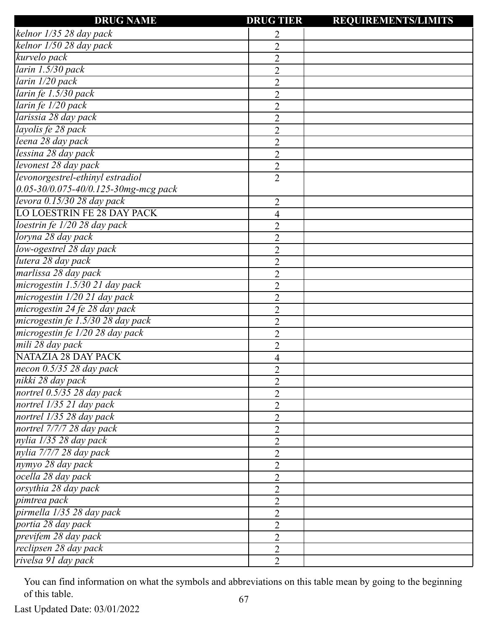| <b>DRUG NAME</b>                        | <b>DRUG TIER</b>            | <b>REQUIREMENTS/LIMITS</b> |
|-----------------------------------------|-----------------------------|----------------------------|
| kelnor 1/35 28 day pack                 | 2                           |                            |
| kelnor 1/50 28 day pack                 | $\overline{2}$              |                            |
| kurvelo pack                            | $\overline{2}$              |                            |
| larin 1.5/30 pack                       | $\overline{2}$              |                            |
| larin 1/20 pack                         | $\overline{2}$              |                            |
| larin fe 1.5/30 pack                    | $\overline{2}$              |                            |
| larin fe 1/20 pack                      | $\overline{2}$              |                            |
| larissia 28 day pack                    | $\overline{2}$              |                            |
| layolis fe 28 pack                      | $\overline{2}$              |                            |
| leena 28 day pack                       | $\overline{2}$              |                            |
| lessina 28 day pack                     | $\overline{2}$              |                            |
| levonest 28 day pack                    | $\overline{2}$              |                            |
| levonorgestrel-ethinyl estradiol        | $\overline{2}$              |                            |
| $0.05$ -30/0.075-40/0.125-30mg-mcg pack |                             |                            |
| levora 0.15/30 28 day pack              | $\overline{2}$              |                            |
| <b>LO LOESTRIN FE 28 DAY PACK</b>       | 4                           |                            |
| loestrin fe 1/20 28 day pack            | $\overline{2}$              |                            |
| loryna 28 day pack                      | $\overline{2}$              |                            |
| low-ogestrel 28 day pack                | $\overline{2}$              |                            |
| lutera 28 day pack                      | $\overline{2}$              |                            |
| marlissa 28 day pack                    | $\overline{2}$              |                            |
| microgestin 1.5/30 21 day pack          | $\overline{2}$              |                            |
| microgestin 1/20 21 day pack            | $\overline{2}$              |                            |
| microgestin 24 fe 28 day pack           | $\overline{2}$              |                            |
| microgestin fe 1.5/30 28 day pack       | $\overline{2}$              |                            |
| microgestin fe 1/20 28 day pack         | $\overline{2}$              |                            |
| mili 28 day pack                        | $\overline{2}$              |                            |
| <b>NATAZIA 28 DAY PACK</b>              | 4                           |                            |
| necon $0.5/35$ 28 day pack              | $\mathcal{D}_{\mathcal{L}}$ |                            |
| nikki 28 day pack                       | $\overline{2}$              |                            |
| nortrel 0.5/35 28 day pack              | $\overline{2}$              |                            |
| nortrel 1/35 21 day pack                | $\overline{2}$              |                            |
| nortrel 1/35 28 day pack                | $\overline{2}$              |                            |
| nortrel 7/7/7 28 day pack               | $\overline{2}$              |                            |
| nylia 1/35 28 day pack                  | $\overline{2}$              |                            |
| nylia 7/7/7 28 day pack                 | $\overline{2}$              |                            |
| nymyo 28 day pack                       | $\overline{2}$              |                            |
| ocella 28 day pack                      | $\overline{2}$              |                            |
| orsythia 28 day pack                    | $\overline{2}$              |                            |
| pimtrea pack                            | $\overline{2}$              |                            |
| pirmella 1/35 28 day pack               | $\overline{2}$              |                            |
| portia 28 day pack                      | $\overline{2}$              |                            |
| previfem 28 day pack                    | $\overline{2}$              |                            |
| reclipsen 28 day pack                   | $\overline{2}$              |                            |
| rivelsa 91 day pack                     | $\overline{2}$              |                            |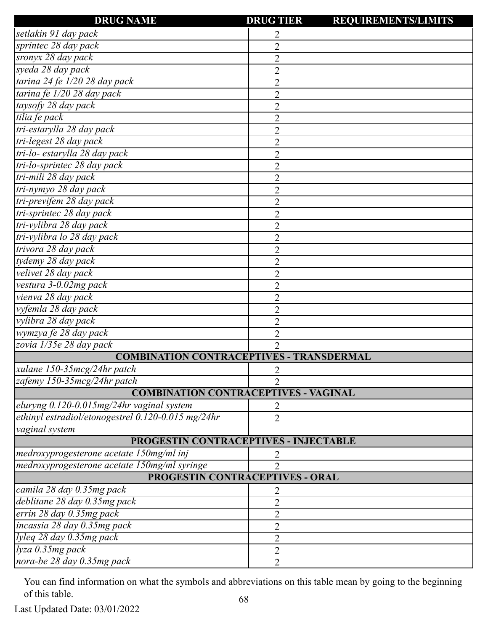| <b>DRUG NAME</b>                                      | <b>DRUG TIER</b> | <b>REQUIREMENTS/LIMITS</b> |
|-------------------------------------------------------|------------------|----------------------------|
| setlakin 91 day pack                                  | 2                |                            |
| sprintec 28 day pack                                  | $\overline{2}$   |                            |
| sronyx 28 day pack                                    | $\overline{2}$   |                            |
| syeda 28 day pack                                     | $\overline{2}$   |                            |
| tarina 24 fe 1/20 28 day pack                         | $\overline{2}$   |                            |
| tarina fe 1/20 28 day pack                            | $\overline{2}$   |                            |
| taysofy 28 day pack                                   | $\overline{2}$   |                            |
| tilia fe pack                                         | $\overline{2}$   |                            |
| tri-estarylla 28 day pack                             | $\overline{2}$   |                            |
| tri-legest 28 day pack                                | $\overline{2}$   |                            |
| tri-lo- estarylla 28 day pack                         | $\overline{2}$   |                            |
| tri-lo-sprintec 28 day pack                           | $\overline{2}$   |                            |
| tri-mili 28 day pack                                  | $\overline{2}$   |                            |
| tri-nymyo 28 day pack                                 | $\overline{2}$   |                            |
| tri-previfem 28 day pack                              | $\overline{2}$   |                            |
| tri-sprintec 28 day pack                              | $\overline{2}$   |                            |
| tri-vylibra 28 day pack                               | $\overline{2}$   |                            |
| tri-vylibra lo 28 day pack                            | $\overline{2}$   |                            |
| trivora 28 day pack                                   | $\overline{2}$   |                            |
| tydemy 28 day pack                                    | $\overline{2}$   |                            |
| velivet 28 day pack                                   | $\overline{2}$   |                            |
| vestura 3-0.02mg pack                                 | $\overline{2}$   |                            |
| vienva 28 day pack                                    | $\overline{2}$   |                            |
| vyfemla 28 day pack                                   | $\overline{2}$   |                            |
| vylibra 28 day pack                                   | $\overline{2}$   |                            |
| wymzya fe 28 day pack                                 | $\overline{2}$   |                            |
| zovia 1/35e 28 day pack                               | $\overline{2}$   |                            |
| <b>COMBINATION CONTRACEPTIVES - TRANSDERMAL</b>       |                  |                            |
| xulane $150-35mcg/24hr$ patch                         | 2                |                            |
| zafemy 150-35mcg/24hr patch                           | $\mathfrak{D}$   |                            |
| <b>COMBINATION CONTRACEPTIVES - VAGINAL</b>           |                  |                            |
| eluryng 0.120-0.015mg/24hr vaginal system             | 2                |                            |
| ethinyl estradiol/etonogestrel $0.120$ -0.015 mg/24hr | $\overline{2}$   |                            |
| vaginal system                                        |                  |                            |
| PROGESTIN CONTRACEPTIVES - INJECTABLE                 |                  |                            |
| medroxyprogesterone acetate 150mg/ml inj              | 2                |                            |
| medroxyprogesterone acetate 150mg/ml syringe          | 2                |                            |
| PROGESTIN CONTRACEPTIVES - ORAL                       |                  |                            |
| camila 28 day 0.35mg pack                             | 2                |                            |
| deblitane 28 day 0.35mg pack                          | $\overline{2}$   |                            |
| errin 28 day 0.35mg pack                              | $\overline{2}$   |                            |
| incassia 28 day 0.35mg pack                           | $\overline{2}$   |                            |
| lyleq 28 day 0.35mg pack                              | $\overline{2}$   |                            |
| lyza 0.35mg pack                                      | $\overline{2}$   |                            |
| nora-be 28 day 0.35mg pack                            | $\overline{2}$   |                            |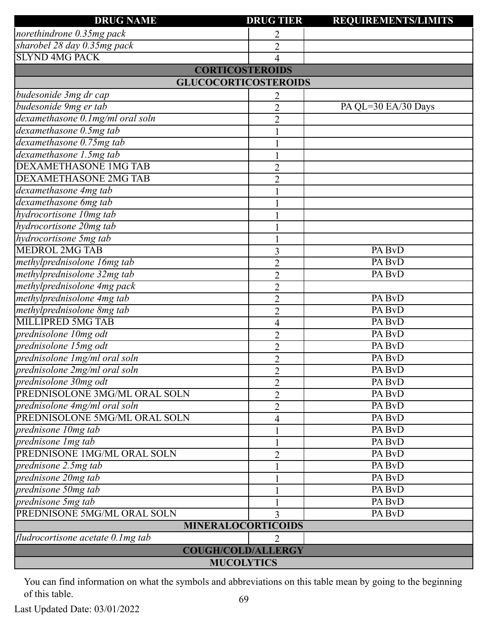| <b>DRUG NAME</b>                     | <b>DRUG TIER</b>            | <b>REQUIREMENTS/LIMITS</b> |  |
|--------------------------------------|-----------------------------|----------------------------|--|
| norethindrone 0.35mg pack            | 2                           |                            |  |
| sharobel 28 day 0.35mg pack          | $\overline{2}$              |                            |  |
| <b>SLYND 4MG PACK</b>                | 4                           |                            |  |
|                                      | <b>CORTICOSTEROIDS</b>      |                            |  |
|                                      | <b>GLUCOCORTICOSTEROIDS</b> |                            |  |
| budesonide 3mg dr cap                | 2                           |                            |  |
| budesonide 9mg er tab                | $\overline{2}$              | PA QL=30 EA/30 Days        |  |
| dexamethasone 0.1mg/ml oral soln     | $\overline{2}$              |                            |  |
| dexamethasone 0.5mg tab              | $\mathbf{1}$                |                            |  |
| dexamethasone 0.75mg tab             |                             |                            |  |
| dexamethasone 1.5mg tab              |                             |                            |  |
| <b>DEXAMETHASONE 1MG TAB</b>         | $\overline{2}$              |                            |  |
| <b>DEXAMETHASONE 2MG TAB</b>         | $\overline{2}$              |                            |  |
| dexamethasone 4mg tab                |                             |                            |  |
| dexamethasone 6mg tab                |                             |                            |  |
| hydrocortisone 10mg tab              |                             |                            |  |
| hydrocortisone 20mg tab              |                             |                            |  |
| hydrocortisone 5mg tab               |                             |                            |  |
| <b>MEDROL 2MG TAB</b>                | 3                           | PA BvD                     |  |
| methylprednisolone 16mg tab          | $\overline{2}$              | PA BvD                     |  |
| methylprednisolone 32mg tab          | $\overline{2}$              | PA BvD                     |  |
| methylprednisolone 4mg pack          | $\overline{2}$              |                            |  |
| methylprednisolone 4mg tab           | $\overline{2}$              | PA BvD                     |  |
| methylprednisolone 8mg tab           | $\overline{2}$              | PA BvD                     |  |
| MILLIPRED 5MG TAB                    | 4                           | PA BvD                     |  |
| prednisolone 10mg odt                | $\overline{2}$              | PA BvD                     |  |
| prednisolone 15mg odt                | $\overline{2}$              | PA BvD                     |  |
| prednisolone 1mg/ml oral soln        | $\overline{2}$              | PA BvD                     |  |
| prednisolone 2mg/ml oral soln        | $\overline{2}$              | PA BvD                     |  |
| prednisolone 30mg odt                | $\overline{2}$              | PA BvD                     |  |
| PREDNISOLONE 3MG/ML ORAL SOLN        | $\overline{2}$              | PA BvD                     |  |
| prednisolone 4mg/ml oral soln        | $\overline{2}$              | PA BvD                     |  |
| PREDNISOLONE 5MG/ML ORAL SOLN        | 4                           | PA BvD                     |  |
| prednisone 10mg tab                  |                             | PA BvD                     |  |
| prednisone 1 mg tab                  |                             | PA BvD                     |  |
| PREDNISONE 1MG/ML ORAL SOLN          | $\overline{2}$              | PA BvD                     |  |
| prednisone 2.5mg tab                 |                             | PA BvD                     |  |
| prednisone 20mg tab                  |                             | PA BvD                     |  |
| prednisone 50mg tab                  |                             | PA BvD                     |  |
| prednisone 5mg tab                   |                             | PA BvD                     |  |
| PREDNISONE 5MG/ML ORAL SOLN          | 3                           | PA BvD                     |  |
|                                      | <b>MINERALOCORTICOIDS</b>   |                            |  |
| fludrocortisone acetate $0.1$ mg tab | $\overline{2}$              |                            |  |
|                                      | <b>COUGH/COLD/ALLERGY</b>   |                            |  |
|                                      | <b>MUCOLYTICS</b>           |                            |  |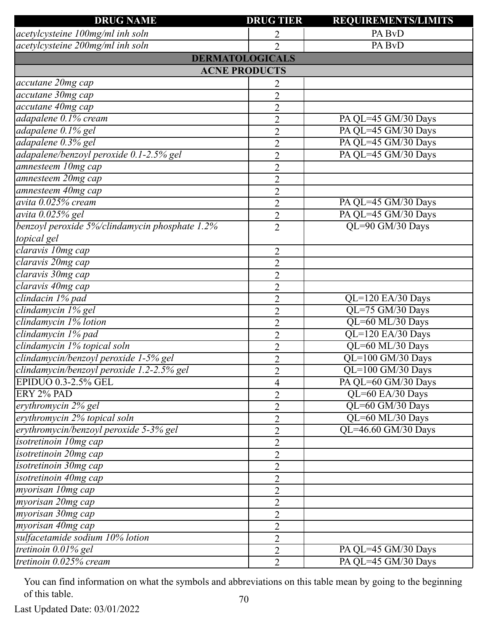| <b>DRUG NAME</b>                               | <b>DRUG TIER</b>       | <b>REQUIREMENTS/LIMITS</b> |
|------------------------------------------------|------------------------|----------------------------|
| acetylcysteine 100mg/ml inh soln               | 2                      | PA BvD                     |
| acetylcysteine 200mg/ml inh soln               | $\overline{2}$         | PA BvD                     |
|                                                | <b>DERMATOLOGICALS</b> |                            |
|                                                | <b>ACNE PRODUCTS</b>   |                            |
| accutane 20mg cap                              | 2                      |                            |
| accutane 30mg cap                              | $\overline{2}$         |                            |
| accutane 40mg cap                              | $\overline{2}$         |                            |
| adapalene 0.1% cream                           | $\overline{2}$         | PA QL=45 GM/30 Days        |
| adapalene 0.1% gel                             | $\overline{2}$         | PA QL=45 GM/30 Days        |
| adapalene 0.3% gel                             | $\overline{2}$         | PA QL=45 GM/30 Days        |
| adapalene/benzoyl peroxide 0.1-2.5% gel        | $\overline{2}$         | PA QL=45 GM/30 Days        |
| amnesteem 10mg cap                             | $\overline{2}$         |                            |
| amnesteem 20mg cap                             | $\overline{2}$         |                            |
| amnesteem 40mg cap                             | $\overline{2}$         |                            |
| avita 0.025% cream                             | $\overline{2}$         | PA QL=45 GM/30 Days        |
| avita 0.025% gel                               | $\overline{2}$         | PA QL=45 GM/30 Days        |
| benzoyl peroxide 5%/clindamycin phosphate 1.2% | $\overline{2}$         | QL=90 GM/30 Days           |
| topical gel                                    |                        |                            |
| claravis 10mg cap                              | $\overline{2}$         |                            |
| claravis 20mg cap                              | $\overline{2}$         |                            |
| claravis 30mg cap                              | $\overline{2}$         |                            |
| claravis 40mg cap                              | $\overline{2}$         |                            |
| clindacin 1% pad                               | $\overline{2}$         | QL=120 EA/30 Days          |
| clindamycin 1% gel                             | $\overline{2}$         | QL=75 GM/30 Days           |
| clindamycin 1% lotion                          | $\overline{2}$         | QL=60 ML/30 Days           |
| clindamycin 1% pad                             | $\overline{2}$         | QL=120 EA/30 Days          |
| clindamycin 1% topical soln                    | $\overline{2}$         | QL=60 ML/30 Days           |
| clindamycin/benzoyl peroxide 1-5% gel          | $\overline{2}$         | QL=100 GM/30 Days          |
| clindamycin/benzoyl peroxide 1.2-2.5% gel      | $\overline{2}$         | QL=100 GM/30 Days          |
| EPIDUO 0.3-2.5% GEL                            | 4                      | PA QL=60 GM/30 Days        |
| ERY 2% PAD                                     | $\overline{2}$         | QL=60 EA/30 Days           |
| erythromycin 2% gel                            | $\overline{2}$         | QL=60 GM/30 Days           |
| erythromycin 2% topical soln                   | $\overline{2}$         | QL=60 ML/30 Days           |
| erythromycin/benzoyl peroxide 5-3% gel         | $\overline{2}$         | QL=46.60 GM/30 Days        |
| isotretinoin 10mg cap                          | $\overline{2}$         |                            |
| isotretinoin 20mg cap                          | $\overline{2}$         |                            |
| isotretinoin 30mg cap                          | $\overline{2}$         |                            |
| isotretinoin 40mg cap                          | $\overline{2}$         |                            |
| myorisan 10mg cap                              | $\overline{2}$         |                            |
| myorisan 20mg cap                              | $\overline{2}$         |                            |
| myorisan 30mg cap                              | $\overline{2}$         |                            |
| myorisan 40mg cap                              | $\overline{2}$         |                            |
| sulfacetamide sodium 10% lotion                | $\overline{2}$         |                            |
| tretinoin $\overline{0.01\%}$ gel              | $\overline{2}$         | PA QL=45 GM/30 Days        |
| tretinoin $0.025\%$ cream                      | $\overline{2}$         | PA QL=45 GM/30 Days        |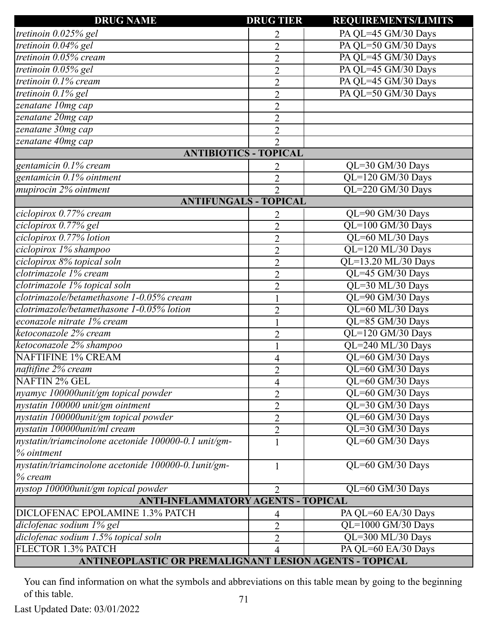| <b>DRUG NAME</b>                                       | <b>DRUG TIER</b> | <b>REQUIREMENTS/LIMITS</b>           |
|--------------------------------------------------------|------------------|--------------------------------------|
| tretinoin 0.025% gel                                   | 2                | PA QL=45 GM/30 Days                  |
| tretinoin 0.04% gel                                    | $\overline{2}$   | PA QL=50 GM/30 Days                  |
| tretinoin 0.05% cream                                  | $\overline{2}$   | PA QL=45 GM/30 Days                  |
| tretinoin 0.05% gel                                    | $\overline{2}$   | PA QL=45 GM/30 Days                  |
| tretinoin $0.1\%$ cream                                | $\overline{2}$   | PA QL=45 GM/30 Days                  |
| tretinoin 0.1% gel                                     | $\overline{2}$   | PA QL=50 GM/30 Days                  |
| zenatane 10mg cap                                      | $\overline{2}$   |                                      |
| zenatane 20mg cap                                      | $\overline{2}$   |                                      |
| zenatane 30mg cap                                      | $\overline{2}$   |                                      |
| zenatane 40mg cap                                      | $\overline{2}$   |                                      |
| <b>ANTIBIOTICS - TOPICAL</b>                           |                  |                                      |
| gentamicin 0.1% cream                                  | 2                | QL=30 GM/30 Days                     |
| gentamicin 0.1% ointment                               | $\overline{2}$   | QL=120 GM/30 Days                    |
| mupirocin 2% ointment                                  | $\overline{2}$   | QL=220 GM/30 Days                    |
| <b>ANTIFUNGALS - TOPICAL</b>                           |                  |                                      |
| ciclopirox 0.77% cream                                 | 2                | QL=90 GM/30 Days                     |
| ciclopirox 0.77% gel                                   | $\overline{2}$   | QL=100 GM/30 Days                    |
| ciclopirox 0.77% lotion                                | $\overline{2}$   | QL=60 ML/30 Days                     |
| ciclopirox 1% shampoo                                  | $\overline{2}$   | QL=120 ML/30 Days                    |
| ciclopirox 8% topical soln                             | $\overline{2}$   | QL=13.20 ML/30 Days                  |
| clotrimazole 1% cream                                  | $\overline{2}$   | QL=45 GM/30 Days                     |
| clotrimazole 1% topical soln                           | $\overline{2}$   | QL=30 ML/30 Days                     |
| clotrimazole/betamethasone 1-0.05% cream               |                  | QL=90 GM/30 Days                     |
| clotrimazole/betamethasone 1-0.05% lotion              |                  | QL=60 ML/30 Days                     |
| econazole nitrate 1% cream                             | $\overline{2}$   | QL=85 GM/30 Days                     |
| ketoconazole 2% cream                                  |                  | QL=120 GM/30 Days                    |
| ketoconazole 2% shampoo                                | $\overline{2}$   | QL=240 ML/30 Days                    |
| <b>NAFTIFINE 1% CREAM</b>                              |                  | QL=60 GM/30 Days                     |
| naftifine 2% cream                                     | $\overline{4}$   |                                      |
| NAFTIN 2% GEL                                          | $\overline{2}$   | QL=60 GM/30 Days<br>QL=60 GM/30 Days |
|                                                        | $\overline{4}$   |                                      |
| nyamyc 100000unit/gm topical powder                    | 2                | QL=60 GM/30 Days                     |
| nystatin 100000 unit/gm ointment                       | $\overline{2}$   | QL=30 GM/30 Days                     |
| nystatin 100000unit/gm topical powder                  | $\overline{2}$   | QL=60 GM/30 Days                     |
| nystatin 100000unit/ml cream                           | $\overline{2}$   | $QL=30$ GM/30 Days                   |
| nystatin/triamcinolone acetonide 100000-0.1 unit/gm-   | 1                | QL=60 GM/30 Days                     |
| % ointment                                             |                  |                                      |
| nystatin/triamcinolone acetonide 100000-0.1unit/gm-    | 1                | QL=60 GM/30 Days                     |
| $%$ cream                                              |                  |                                      |
| nystop 100000unit/gm topical powder                    | 2                | $QL=60$ GM/30 Days                   |
| <b>ANTI-INFLAMMATORY AGENTS - TOPICAL</b>              |                  |                                      |
| DICLOFENAC EPOLAMINE 1.3% PATCH                        | 4                | PA QL=60 EA/30 Days                  |
| diclofenac sodium 1% gel                               | $\overline{2}$   | QL=1000 GM/30 Days                   |
| diclofenac sodium 1.5% topical soln                    | $\overline{2}$   | QL=300 ML/30 Days                    |
| FLECTOR 1.3% PATCH                                     | $\overline{4}$   | PA QL=60 EA/30 Days                  |
| ANTINEOPLASTIC OR PREMALIGNANT LESION AGENTS - TOPICAL |                  |                                      |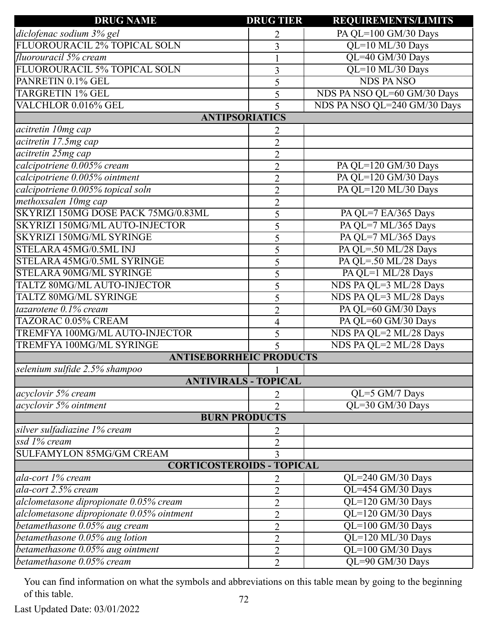| <b>DRUG NAME</b>                          | <b>DRUG TIER</b> | <b>REQUIREMENTS/LIMITS</b>   |
|-------------------------------------------|------------------|------------------------------|
| diclofenac sodium 3% gel                  | 2                | PA QL=100 GM/30 Days         |
| FLUOROURACIL 2% TOPICAL SOLN              | $\overline{3}$   | QL=10 ML/30 Days             |
| fluorouracil 5% cream                     |                  | QL=40 GM/30 Days             |
| FLUOROURACIL 5% TOPICAL SOLN              | 3                | QL=10 ML/30 Days             |
| PANRETIN 0.1% GEL                         | 5                | <b>NDS PANSO</b>             |
| <b>TARGRETIN 1% GEL</b>                   | 5                | NDS PA NSO QL=60 GM/30 Days  |
| VALCHLOR 0.016% GEL                       | 5                | NDS PA NSO QL=240 GM/30 Days |
| <b>ANTIPSORIATICS</b>                     |                  |                              |
| acitretin 10mg cap                        | 2                |                              |
| acitretin 17.5mg cap                      | $\overline{2}$   |                              |
| acitretin 25mg cap                        | $\overline{2}$   |                              |
| calcipotriene 0.005% cream                | $\overline{2}$   | PA QL=120 GM/30 Days         |
| calcipotriene 0.005% ointment             | $\overline{2}$   | PA QL=120 GM/30 Days         |
| calcipotriene 0.005% topical soln         | $\overline{2}$   | PA QL=120 ML/30 Days         |
| methoxsalen 10mg cap                      | $\overline{2}$   |                              |
| SKYRIZI 150MG DOSE PACK 75MG/0.83ML       | 5                | PA QL=7 EA/365 Days          |
| SKYRIZI 150MG/ML AUTO-INJECTOR            | 5                | PA QL=7 ML/365 Days          |
| <b>SKYRIZI 150MG/ML SYRINGE</b>           | 5                | PA QL=7 ML/365 Days          |
| STELARA 45MG/0.5ML INJ                    | 5                | PA QL=.50 ML/28 Days         |
| STELARA 45MG/0.5ML SYRINGE                | 5                | PA QL=.50 ML/28 Days         |
| STELARA 90MG/ML SYRINGE                   | 5                | PA QL=1 ML/28 Days           |
| TALTZ 80MG/ML AUTO-INJECTOR               | 5                | NDS PA QL=3 ML/28 Days       |
| TALTZ 80MG/ML SYRINGE                     | 5                | NDS PA QL=3 ML/28 Days       |
| tazarotene 0.1% cream                     | $\overline{2}$   | PA QL=60 GM/30 Days          |
| TAZORAC 0.05% CREAM                       | $\overline{4}$   | PA QL=60 GM/30 Days          |
| TREMFYA 100MG/ML AUTO-INJECTOR            | 5                | NDS PA QL=2 ML/28 Days       |
| <b>TREMFYA 100MG/ML SYRINGE</b>           | 5                | NDS PA QL=2 ML/28 Days       |
| <b>ANTISEBORRHEIC PRODUCTS</b>            |                  |                              |
| selenium sulfide 2.5% shampoo             |                  |                              |
| <b>ANTIVIRALS - TOPICAL</b>               |                  |                              |
| acyclovir 5% cream                        | 2                | QL=5 GM/7 Days               |
| acyclovir 5% ointment                     | $\overline{2}$   | QL=30 GM/30 Days             |
| <b>BURN PRODUCTS</b>                      |                  |                              |
| silver sulfadiazine 1% cream              | 2                |                              |
| ssd 1% cream                              | $\overline{2}$   |                              |
| <b>SULFAMYLON 85MG/GM CREAM</b>           | 3                |                              |
| <b>CORTICOSTEROIDS - TOPICAL</b>          |                  |                              |
| ala-cort 1% cream                         | 2                | QL=240 GM/30 Days            |
| ala-cort 2.5% cream                       | $\overline{2}$   | QL=454 GM/30 Days            |
| alclometasone dipropionate 0.05% cream    | $\overline{2}$   | QL=120 GM/30 Days            |
| alclometasone dipropionate 0.05% ointment | $\overline{2}$   | QL=120 GM/30 Days            |
| betamethasone 0.05% aug cream             | $\overline{2}$   | QL=100 GM/30 Days            |
| betamethasone 0.05% aug lotion            | $\overline{2}$   | QL=120 ML/30 Days            |
| betamethasone 0.05% aug ointment          | $\overline{2}$   | QL=100 GM/30 Days            |
| betamethasone 0.05% cream                 | $\overline{2}$   | QL=90 GM/30 Days             |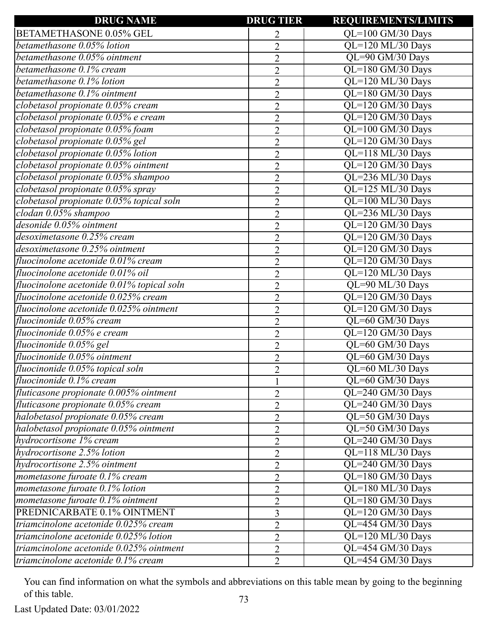| <b>DRUG NAME</b>                                   | <b>DRUG TIER</b> | <b>REQUIREMENTS/LIMITS</b>                    |
|----------------------------------------------------|------------------|-----------------------------------------------|
| <b>BETAMETHASONE 0.05% GEL</b>                     |                  | $QL=100$ GM/30 Days                           |
| betamethasone 0.05% lotion                         | $\overline{2}$   | $QL=120$ ML/30 Days                           |
| betamethasone 0.05% ointment                       | $\overline{2}$   | QL=90 GM/30 Days                              |
| betamethasone 0.1% cream                           | $\overline{2}$   | QL=180 GM/30 Days                             |
| betamethasone 0.1% lotion                          | $\overline{2}$   | QL=120 ML/30 Days                             |
| betamethasone 0.1% ointment                        | $\overline{2}$   | $\overline{QL}$ =180 GM/30 Days               |
| clobetasol propionate 0.05% cream                  | $\overline{2}$   | QL=120 GM/30 Days                             |
| clobetasol propionate 0.05% e cream                | $\overline{2}$   | QL=120 GM/30 Days                             |
| clobetasol propionate 0.05% foam                   | $\overline{2}$   | QL=100 GM/30 Days                             |
| clobetasol propionate 0.05% gel                    | $\overline{2}$   | QL=120 GM/30 Days                             |
| clobetasol propionate 0.05% lotion                 | $\overline{2}$   | QL=118 ML/30 Days                             |
| clobetasol propionate 0.05% ointment               | $\overline{2}$   | QL=120 GM/30 Days                             |
| clobetasol propionate 0.05% shampoo                | $\overline{2}$   | QL=236 ML/30 Days                             |
| clobetasol propionate 0.05% spray                  | $\overline{2}$   | QL=125 ML/30 Days                             |
| clobetasol propionate 0.05% topical soln           | $\overline{2}$   | QL=100 ML/30 Days                             |
| $\overline{clodan 0.05\%}$ shampoo                 | $\overline{2}$   | QL=236 ML/30 Days                             |
| desonide 0.05% ointment                            | $\overline{2}$   | QL=120 GM/30 Days                             |
| desoximetasone 0.25% cream                         | $\overline{2}$   | QL=120 GM/30 Days                             |
| desoximetasone 0.25% ointment                      | $\overline{2}$   | QL=120 GM/30 Days                             |
| fluocinolone acetonide 0.01% cream                 | $\overline{2}$   | QL=120 GM/30 Days                             |
| fluocinolone acetonide 0.01% oil                   | $\overline{2}$   | QL=120 ML/30 Days                             |
| fluocinolone acetonide 0.01% topical soln          | $\overline{2}$   | QL=90 ML/30 Days                              |
| fluocinolone acetonide 0.025% cream                | $\overline{2}$   | QL=120 GM/30 Days                             |
| fluocinolone acetonide 0.025% ointment             | $\overline{2}$   | QL=120 GM/30 Days                             |
| fluocinonide 0.05% cream                           | $\overline{2}$   | QL=60 GM/30 Days                              |
| fluocinonide 0.05% e cream                         | $\overline{2}$   | QL=120 GM/30 Days                             |
| fluocinonide 0.05% gel                             | $\overline{2}$   | QL=60 GM/30 Days                              |
| fluocinonide 0.05% ointment                        | $\overline{2}$   | $\overline{QL=60 \text{ GM}/30 \text{ Days}}$ |
| fluocinonide 0.05% topical soln                    | $\overline{2}$   | QL=60 ML/30 Days                              |
| fluocinonide 0.1% cream                            |                  | QL=60 GM/30 Days                              |
| fluticasone propionate 0.005% ointment             | $\overline{2}$   | QL=240 GM/30 Days                             |
| fluticasone propionate 0.05% cream                 | $\overline{2}$   | QL=240 GM/30 Days                             |
| halobetasol propionate 0.05% cream                 | $\overline{2}$   | QL=50 GM/30 Days                              |
| halobetasol propionate 0.05% ointment              | $\overline{2}$   | QL=50 GM/30 Days                              |
| hydrocortisone 1% cream                            | $\overline{2}$   | QL=240 GM/30 Days                             |
| hydrocortisone 2.5% lotion                         | $\overline{2}$   | QL=118 ML/30 Days                             |
| hydrocortisone 2.5% ointment                       | $\overline{2}$   | QL=240 GM/30 Days                             |
| mometasone furoate 0.1% cream                      | $\overline{2}$   | $QL=180$ GM/30 Days                           |
| mometasone furoate 0.1% lotion                     | $\overline{2}$   | QL=180 ML/30 Days                             |
| mometasone furoate 0.1% ointment                   | $\overline{2}$   | QL=180 GM/30 Days                             |
| PREDNICARBATE 0.1% OINTMENT                        | 3                | QL=120 GM/30 Days                             |
| triamcinolone acetonide $0.02\overline{5\%}$ cream | $\overline{2}$   | QL=454 GM/30 Days                             |
| triamcinolone acetonide 0.025% lotion              | $\overline{2}$   | QL=120 ML/30 Days                             |
| triamcinolone acetonide 0.025% ointment            | $\overline{2}$   | QL=454 GM/30 Days                             |
| triamcinolone acetonide 0.1% cream                 | $\overline{2}$   | QL=454 GM/30 Days                             |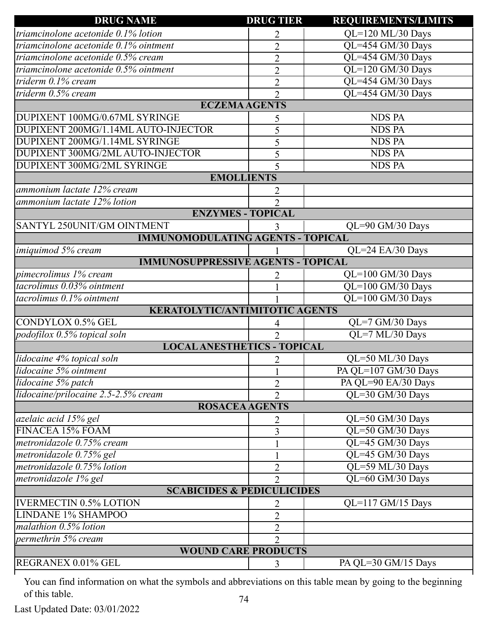| <b>DRUG NAME</b>                          | <b>DRUG TIER</b> | <b>REQUIREMENTS/LIMITS</b> |
|-------------------------------------------|------------------|----------------------------|
| triamcinolone acetonide 0.1% lotion       | 2                | QL=120 ML/30 Days          |
| triamcinolone acetonide 0.1% ointment     | $\overline{2}$   | QL=454 GM/30 Days          |
| triamcinolone acetonide 0.5% cream        | $\overline{2}$   | QL=454 GM/30 Days          |
| triamcinolone acetonide 0.5% ointment     | $\overline{2}$   | QL=120 GM/30 Days          |
| triderm 0.1% cream                        | $\overline{2}$   | QL=454 GM/30 Days          |
| triderm 0.5% cream                        | $\overline{2}$   | QL=454 GM/30 Days          |
| <b>ECZEMA AGENTS</b>                      |                  |                            |
| DUPIXENT 100MG/0.67ML SYRINGE             | 5                | <b>NDS PA</b>              |
| DUPIXENT 200MG/1.14ML AUTO-INJECTOR       | 5                | <b>NDS PA</b>              |
| DUPIXENT 200MG/1.14ML SYRINGE             | 5                | <b>NDS PA</b>              |
| DUPIXENT 300MG/2ML AUTO-INJECTOR          | 5                | <b>NDS PA</b>              |
| DUPIXENT 300MG/2ML SYRINGE                | 5                | <b>NDS PA</b>              |
| <b>EMOLLIENTS</b>                         |                  |                            |
| ammonium lactate 12% cream                | 2                |                            |
| ammonium lactate 12% lotion               | $\mathcal{D}$    |                            |
| <b>ENZYMES - TOPICAL</b>                  |                  |                            |
| SANTYL 250UNIT/GM OINTMENT                |                  | QL=90 GM/30 Days           |
| <b>IMMUNOMODULATING AGENTS - TOPICAL</b>  |                  |                            |
| imiquimod 5% cream                        |                  | QL=24 EA/30 Days           |
| <b>IMMUNOSUPPRESSIVE AGENTS - TOPICAL</b> |                  |                            |
| pimecrolimus 1% cream                     | 2                | QL=100 GM/30 Days          |
| tacrolimus 0.03% ointment                 |                  | QL=100 GM/30 Days          |
| tacrolimus 0.1% ointment                  |                  | $QL=100$ GM/30 Days        |
| <b>KERATOLYTIC/ANTIMITOTIC AGENTS</b>     |                  |                            |
| CONDYLOX 0.5% GEL                         | $\overline{4}$   | QL=7 GM/30 Days            |
| podofilox 0.5% topical soln               | $\overline{2}$   | QL=7 ML/30 Days            |
| <b>LOCAL ANESTHETICS - TOPICAL</b>        |                  |                            |
| lidocaine 4% topical soln                 | 2                | QL=50 ML/30 Days           |
| lidocaine 5% ointment                     |                  | PA QL=107 GM/30 Days       |
| lidocaine 5% patch                        | $\overline{2}$   | PA QL=90 EA/30 Days        |
| lidocaine/prilocaine 2.5-2.5% cream       | $\overline{2}$   | QL=30 GM/30 Days           |
| <b>ROSACEA AGENTS</b>                     |                  |                            |
| azelaic acid 15% gel                      | 2                | QL=50 GM/30 Days           |
| FINACEA 15% FOAM                          | 3                | QL=50 GM/30 Days           |
| metronidazole 0.75% cream                 | 1                | QL=45 GM/30 Days           |
| metronidazole 0.75% gel                   |                  | QL=45 GM/30 Days           |
| metronidazole 0.75% lotion                | $\overline{2}$   | QL=59 ML/30 Days           |
| metronidazole 1% gel                      | $\overline{2}$   | QL=60 GM/30 Days           |
| <b>SCABICIDES &amp; PEDICULICIDES</b>     |                  |                            |
| <b>IVERMECTIN 0.5% LOTION</b>             | 2                | $QL=117$ GM/15 Days        |
| <b>LINDANE 1% SHAMPOO</b>                 | $\overline{2}$   |                            |
| malathion 0.5% lotion                     | $\overline{2}$   |                            |
| permethrin 5% cream                       | $\overline{2}$   |                            |
| <b>WOUND CARE PRODUCTS</b>                |                  |                            |
| REGRANEX 0.01% GEL                        | 3                | PA QL=30 GM/15 Days        |
|                                           |                  |                            |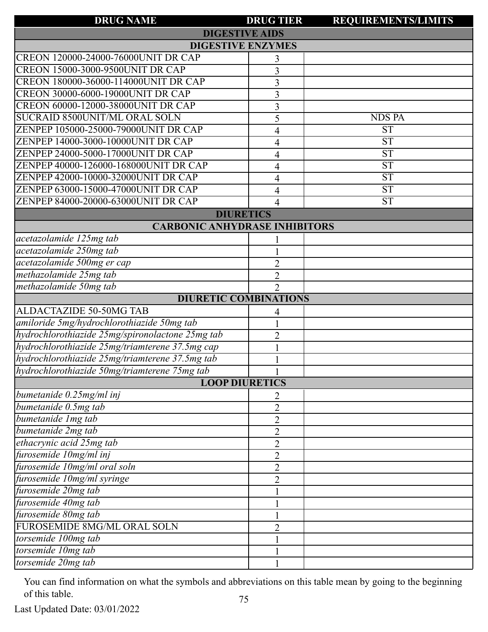| <b>DRUG NAME</b>                                 | <b>DRUG TIER</b> | <b>REQUIREMENTS/LIMITS</b> |
|--------------------------------------------------|------------------|----------------------------|
| <b>DIGESTIVE AIDS</b>                            |                  |                            |
| <b>DIGESTIVE ENZYMES</b>                         |                  |                            |
| CREON 120000-24000-76000UNIT DR CAP              | 3                |                            |
| <b>CREON 15000-3000-9500UNIT DR CAP</b>          | 3                |                            |
| CREON 180000-36000-114000UNIT DR CAP             | 3                |                            |
| <b>CREON 30000-6000-19000UNIT DR CAP</b>         | 3                |                            |
| CREON 60000-12000-38000UNIT DR CAP               | 3                |                            |
| SUCRAID 8500UNIT/ML ORAL SOLN                    | 5                | <b>NDS PA</b>              |
| ZENPEP 105000-25000-79000UNIT DR CAP             | 4                | <b>ST</b>                  |
| ZENPEP 14000-3000-10000UNIT DR CAP               | 4                | <b>ST</b>                  |
| ZENPEP 24000-5000-17000UNIT DR CAP               | 4                | <b>ST</b>                  |
| ZENPEP 40000-126000-168000UNIT DR CAP            | 4                | <b>ST</b>                  |
| ZENPEP 42000-10000-32000UNIT DR CAP              | 4                | <b>ST</b>                  |
| ZENPEP 63000-15000-47000UNIT DR CAP              | 4                | <b>ST</b>                  |
| ZENPEP 84000-20000-63000UNIT DR CAP              | 4                | <b>ST</b>                  |
| <b>DIURETICS</b>                                 |                  |                            |
| <b>CARBONIC ANHYDRASE INHIBITORS</b>             |                  |                            |
| acetazolamide 125mg tab                          |                  |                            |
| acetazolamide 250mg tab                          |                  |                            |
| acetazolamide 500mg er cap                       | $\overline{2}$   |                            |
| methazolamide 25mg tab                           | $\overline{2}$   |                            |
| methazolamide 50mg tab                           | $\overline{2}$   |                            |
| <b>DIURETIC COMBINATIONS</b>                     |                  |                            |
| ALDACTAZIDE 50-50MG TAB                          | 4                |                            |
| amiloride 5mg/hydrochlorothiazide 50mg tab       |                  |                            |
| hydrochlorothiazide 25mg/spironolactone 25mg tab | $\overline{2}$   |                            |
| hydrochlorothiazide 25mg/triamterene 37.5mg cap  |                  |                            |
| hydrochlorothiazide 25mg/triamterene 37.5mg tab  |                  |                            |
| hydrochlorothiazide 50mg/triamterene 75mg tab    | $\mathbf{1}$     |                            |
| <b>LOOP DIURETICS</b>                            |                  |                            |
| bumetanide 0.25mg/ml inj                         | 2                |                            |
| bumetanide 0.5mg tab                             | $\overline{2}$   |                            |
| bumetanide Img tab                               | $\overline{2}$   |                            |
| bumetanide 2mg tab                               | $\overline{2}$   |                            |
| ethacrynic acid 25mg tab                         | $\overline{2}$   |                            |
| furosemide 10mg/ml inj                           | $\overline{2}$   |                            |
| furosemide 10mg/ml oral soln                     | $\overline{2}$   |                            |
| furosemide 10mg/ml syringe                       | $\overline{2}$   |                            |
| furosemide 20mg tab                              |                  |                            |
| furosemide 40mg tab                              |                  |                            |
| furosemide 80mg tab                              |                  |                            |
| FUROSEMIDE 8MG/ML ORAL SOLN                      | $\overline{2}$   |                            |
| torsemide 100mg tab                              |                  |                            |
| torsemide 10mg tab                               |                  |                            |
| torsemide 20mg tab                               |                  |                            |

Last Updated Date: 03/01/2022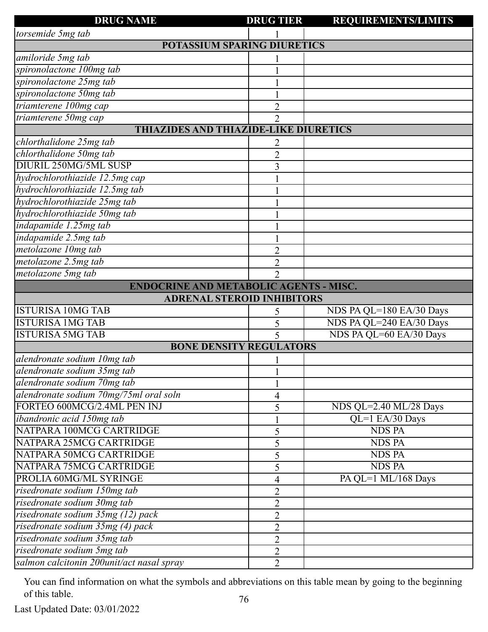| <b>DRUG NAME</b>                             | <b>DRUG TIER</b>                   | <b>REQUIREMENTS/LIMITS</b> |
|----------------------------------------------|------------------------------------|----------------------------|
| torsemide 5mg tab                            |                                    |                            |
|                                              | <b>POTASSIUM SPARING DIURETICS</b> |                            |
| amiloride 5mg tab                            |                                    |                            |
| spironolactone 100mg tab                     |                                    |                            |
| spironolactone 25mg tab                      |                                    |                            |
| spironolactone 50mg tab                      |                                    |                            |
| triamterene 100mg cap                        | $\overline{2}$                     |                            |
| triamterene 50mg cap                         | $\overline{2}$                     |                            |
| <b>THIAZIDES AND THIAZIDE-LIKE DIURETICS</b> |                                    |                            |
| chlorthalidone 25mg tab                      |                                    |                            |
| chlorthalidone 50mg tab                      | $\overline{2}$                     |                            |
| DIURIL 250MG/5ML SUSP                        | 3                                  |                            |
| hydrochlorothiazide 12.5mg cap               |                                    |                            |
| hydrochlorothiazide 12.5mg tab               |                                    |                            |
| hydrochlorothiazide 25mg tab                 |                                    |                            |
| hydrochlorothiazide 50mg tab                 |                                    |                            |
| indapamide 1.25mg tab                        |                                    |                            |
| indapamide 2.5mg tab                         |                                    |                            |
| metolazone 10mg tab                          | $\overline{2}$                     |                            |
| metolazone 2.5mg tab                         | $\overline{2}$                     |                            |
| metolazone 5mg tab                           | $\overline{2}$                     |                            |
| ENDOCRINE AND METABOLIC AGENTS - MISC.       |                                    |                            |
|                                              | <b>ADRENAL STEROID INHIBITORS</b>  |                            |
| <b>ISTURISA 10MG TAB</b>                     | 5                                  | NDS PA QL=180 EA/30 Days   |
| <b>ISTURISA 1MG TAB</b>                      | 5                                  | NDS PA QL=240 EA/30 Days   |
| <b>ISTURISA 5MG TAB</b>                      | 5                                  | NDS PA QL=60 EA/30 Days    |
|                                              | <b>BONE DENSITY REGULATORS</b>     |                            |
| alendronate sodium 10mg tab                  |                                    |                            |
| alendronate sodium 35mg tab                  | $\mathbf{1}$                       |                            |
| alendronate sodium 70mg tab                  |                                    |                            |
| alendronate sodium 70mg/75ml oral soln       | 4                                  |                            |
| FORTEO 600MCG/2.4ML PEN INJ                  | 5                                  | NDS QL=2.40 ML/28 Days     |
| ibandronic acid 150mg tab                    |                                    | QL=1 EA/30 Days            |
| NATPARA 100MCG CARTRIDGE                     | 5                                  | <b>NDS PA</b>              |
| NATPARA 25MCG CARTRIDGE                      | 5                                  | <b>NDS PA</b>              |
| NATPARA 50MCG CARTRIDGE                      | 5                                  | <b>NDS PA</b>              |
| NATPARA 75MCG CARTRIDGE                      | 5                                  | <b>NDS PA</b>              |
| PROLIA 60MG/ML SYRINGE                       | $\overline{\mathcal{A}}$           | PA QL=1 ML/168 Days        |
| risedronate sodium 150mg tab                 | $\overline{2}$                     |                            |
| risedronate sodium 30mg tab                  | $\overline{2}$                     |                            |
| risedronate sodium 35mg (12) pack            | $\overline{2}$                     |                            |
| risedronate sodium 35mg (4) pack             | $\overline{2}$                     |                            |
| risedronate sodium 35mg tab                  | $\overline{2}$                     |                            |
| risedronate sodium 5mg tab                   | $\overline{2}$                     |                            |
| salmon calcitonin 200unit/act nasal spray    | $\overline{2}$                     |                            |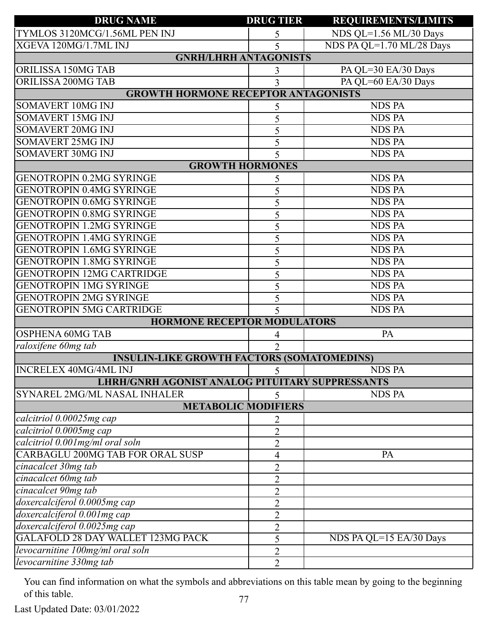| <b>DRUG NAME</b>                                       | <b>DRUG TIER</b>           | <b>REQUIREMENTS/LIMITS</b> |
|--------------------------------------------------------|----------------------------|----------------------------|
| TYMLOS 3120MCG/1.56ML PEN INJ                          | 5                          | NDS QL=1.56 ML/30 Days     |
| XGEVA 120MG/1.7ML INJ                                  | 5                          | NDS PA QL=1.70 ML/28 Days  |
| <b>GNRH/LHRH ANTAGONISTS</b>                           |                            |                            |
| ORILISSA 150MG TAB                                     | 3                          | PA QL=30 EA/30 Days        |
| <b>ORILISSA 200MG TAB</b>                              | 3                          | PA QL=60 EA/30 Days        |
| <b>GROWTH HORMONE RECEPTOR ANTAGONISTS</b>             |                            |                            |
| <b>SOMAVERT 10MG INJ</b>                               | 5                          | <b>NDS PA</b>              |
| <b>SOMAVERT 15MG INJ</b>                               | 5                          | <b>NDS PA</b>              |
| <b>SOMAVERT 20MG INJ</b>                               | 5                          | <b>NDS PA</b>              |
| <b>SOMAVERT 25MG INJ</b>                               | 5                          | <b>NDS PA</b>              |
| <b>SOMAVERT 30MG INJ</b>                               | 5                          | <b>NDS PA</b>              |
|                                                        | <b>GROWTH HORMONES</b>     |                            |
| <b>GENOTROPIN 0.2MG SYRINGE</b>                        | 5                          | <b>NDS PA</b>              |
| <b>GENOTROPIN 0.4MG SYRINGE</b>                        | 5                          | <b>NDS PA</b>              |
| <b>GENOTROPIN 0.6MG SYRINGE</b>                        | 5                          | <b>NDS PA</b>              |
| <b>GENOTROPIN 0.8MG SYRINGE</b>                        | 5                          | <b>NDS PA</b>              |
| <b>GENOTROPIN 1.2MG SYRINGE</b>                        | 5                          | <b>NDS PA</b>              |
| <b>GENOTROPIN 1.4MG SYRINGE</b>                        | 5                          | <b>NDS PA</b>              |
| <b>GENOTROPIN 1.6MG SYRINGE</b>                        | 5                          | <b>NDS PA</b>              |
| <b>GENOTROPIN 1.8MG SYRINGE</b>                        | 5                          | <b>NDS PA</b>              |
| <b>GENOTROPIN 12MG CARTRIDGE</b>                       | 5                          | <b>NDS PA</b>              |
| <b>GENOTROPIN 1MG SYRINGE</b>                          | 5                          | <b>NDS PA</b>              |
| <b>GENOTROPIN 2MG SYRINGE</b>                          | 5                          | <b>NDS PA</b>              |
| <b>GENOTROPIN 5MG CARTRIDGE</b>                        | 5                          | <b>NDS PA</b>              |
| <b>HORMONE RECEPTOR MODULATORS</b>                     |                            |                            |
| <b>OSPHENA 60MG TAB</b>                                | 4                          | PA                         |
| raloxifene 60mg tab                                    | $\overline{2}$             |                            |
| <b>INSULIN-LIKE GROWTH FACTORS (SOMATOMEDINS)</b>      |                            |                            |
| <b>INCRELEX 40MG/4ML INJ</b>                           | 5 <sup>1</sup>             | <b>NDS PA</b>              |
| <b>LHRH/GNRH AGONIST ANALOG PITUITARY SUPPRESSANTS</b> |                            |                            |
| SYNAREL 2MG/ML NASAL INHALER                           | 5                          | <b>NDS PA</b>              |
|                                                        | <b>METABOLIC MODIFIERS</b> |                            |
| calcitriol 0.00025mg cap                               | 2                          |                            |
| calcitriol 0.0005mg cap                                | $\overline{2}$             |                            |
| calcitriol 0.001mg/ml oral soln                        | $\overline{2}$             |                            |
| CARBAGLU 200MG TAB FOR ORAL SUSP                       | 4                          | PA                         |
| cinacalcet 30mg tab                                    | $\overline{2}$             |                            |
| cinacalcet 60mg tab                                    | $\overline{2}$             |                            |
| cinacalcet 90mg tab                                    | $\overline{2}$             |                            |
| doxercalciferol 0.0005mg cap                           | $\overline{2}$             |                            |
| doxercalciferol 0.001mg cap                            | $\overline{2}$             |                            |
| doxercalciferol 0.0025mg cap                           | $\overline{2}$             |                            |
| <b>GALAFOLD 28 DAY WALLET 123MG PACK</b>               | 5                          | NDS PA QL=15 EA/30 Days    |
| levocarnitine 100mg/ml oral soln                       | 2                          |                            |
| levocarnitine 330mg tab                                | $\overline{2}$             |                            |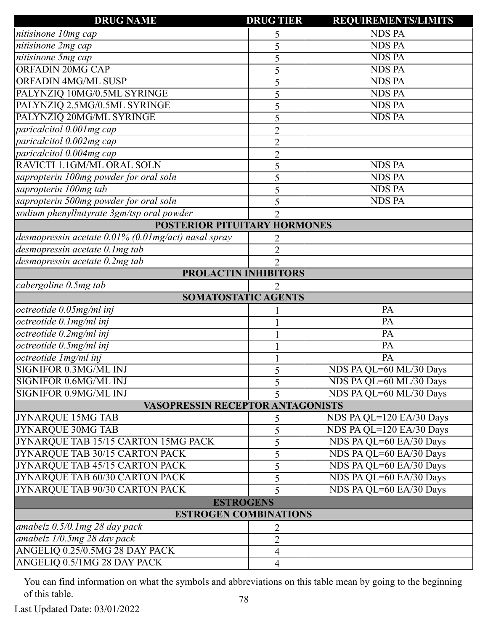| <b>DRUG NAME</b>                                    | <b>DRUG TIER</b>         | <b>REQUIREMENTS/LIMITS</b> |
|-----------------------------------------------------|--------------------------|----------------------------|
| nitisinone 10mg cap                                 | 5                        | <b>NDS PA</b>              |
| nitisinone 2mg cap                                  | 5                        | <b>NDS PA</b>              |
| nitisinone 5mg cap                                  | 5                        | <b>NDS PA</b>              |
| <b>ORFADIN 20MG CAP</b>                             | 5                        | <b>NDS PA</b>              |
| <b>ORFADIN 4MG/ML SUSP</b>                          | 5                        | <b>NDS PA</b>              |
| PALYNZIQ 10MG/0.5ML SYRINGE                         | 5                        | <b>NDS PA</b>              |
| PALYNZIQ 2.5MG/0.5ML SYRINGE                        | 5                        | <b>NDS PA</b>              |
| PALYNZIQ 20MG/ML SYRINGE                            | 5                        | <b>NDS PA</b>              |
| paricalcitol 0.001mg cap                            | $\overline{2}$           |                            |
| paricalcitol 0.002mg cap                            | $\overline{2}$           |                            |
| paricalcitol 0.004mg cap                            | $\overline{2}$           |                            |
| RAVICTI 1.1GM/ML ORAL SOLN                          | 5                        | <b>NDS PA</b>              |
| sapropterin 100mg powder for oral soln              | 5                        | <b>NDS PA</b>              |
| sapropterin 100mg tab                               | 5                        | <b>NDS PA</b>              |
| sapropterin 500mg powder for oral soln              | 5                        | <b>NDS PA</b>              |
| sodium phenylbutyrate 3gm/tsp oral powder           | $\overline{2}$           |                            |
| POSTERIOR PITUITARY HORMONES                        |                          |                            |
| desmopressin acetate 0.01% (0.01mg/act) nasal spray | 2                        |                            |
| desmopressin acetate 0.1mg tab                      | $\overline{2}$           |                            |
| desmopressin acetate 0.2mg tab                      | $\overline{2}$           |                            |
|                                                     | PROLACTIN INHIBITORS     |                            |
| cabergoline 0.5mg tab                               | $\overline{2}$           |                            |
|                                                     | SOMATOSTATIC AGENTS      |                            |
| octreotide 0.05mg/ml inj                            |                          | PA                         |
| octreotide 0.1mg/ml inj                             |                          | PA                         |
| octreotide 0.2mg/ml inj                             |                          | $\overline{PA}$            |
| octreotide 0.5mg/ml inj                             |                          | PA                         |
| octreotide Img/ml inj                               |                          | <b>PA</b>                  |
| SIGNIFOR 0.3MG/ML INJ                               |                          | NDS PA QL=60 ML/30 Days    |
| SIGNIFOR 0.6MG/ML INJ                               | 5                        | NDS PA QL=60 ML/30 Days    |
| SIGNIFOR 0.9MG/ML INJ                               | 5                        | NDS PA QL=60 ML/30 Days    |
| <b>VASOPRESSIN RECEPTOR ANTAGONISTS</b>             |                          |                            |
| <b>JYNARQUE 15MG TAB</b>                            | 5                        | NDS PA QL=120 EA/30 Days   |
| <b>JYNARQUE 30MG TAB</b>                            | 5                        | NDS PA QL=120 EA/30 Days   |
| JYNARQUE TAB 15/15 CARTON 15MG PACK                 | 5                        | NDS PA QL=60 EA/30 Days    |
| JYNARQUE TAB 30/15 CARTON PACK                      | 5                        | NDS PA QL=60 EA/30 Days    |
| JYNARQUE TAB 45/15 CARTON PACK                      | 5                        | NDS PA QL=60 EA/30 Days    |
| JYNARQUE TAB 60/30 CARTON PACK                      | 5                        | NDS PA QL=60 EA/30 Days    |
| JYNARQUE TAB 90/30 CARTON PACK                      | 5                        | NDS PA QL=60 EA/30 Days    |
|                                                     | <b>ESTROGENS</b>         |                            |
| <b>ESTROGEN COMBINATIONS</b>                        |                          |                            |
| amabelz $0.5/0.1$ mg 28 day pack                    | 2                        |                            |
| amabelz 1/0.5mg 28 day pack                         | $\overline{2}$           |                            |
| ANGELIQ 0.25/0.5MG 28 DAY PACK                      |                          |                            |
|                                                     | $\overline{\mathcal{A}}$ |                            |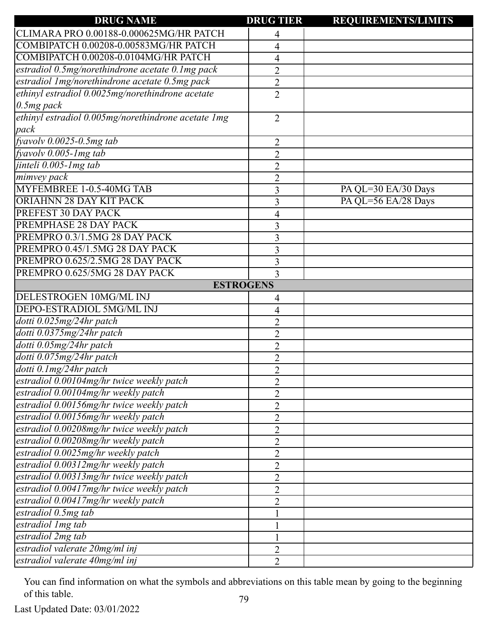| <b>DRUG NAME</b>                                    | <b>DRUG TIER</b> | <b>REQUIREMENTS/LIMITS</b> |
|-----------------------------------------------------|------------------|----------------------------|
| CLIMARA PRO 0.00188-0.000625MG/HR PATCH             | 4                |                            |
| COMBIPATCH 0.00208-0.00583MG/HR PATCH               | 4                |                            |
| COMBIPATCH 0.00208-0.0104MG/HR PATCH                | 4                |                            |
| estradiol 0.5mg/norethindrone acetate 0.1mg pack    | $\overline{2}$   |                            |
| estradiol 1mg/norethindrone acetate 0.5mg pack      | $\overline{2}$   |                            |
| ethinyl estradiol 0.0025mg/norethindrone acetate    | $\overline{2}$   |                            |
| $0.5mg$ pack                                        |                  |                            |
| ethinyl estradiol 0.005mg/norethindrone acetate 1mg | $\overline{2}$   |                            |
| pack                                                |                  |                            |
| $f$ yavolv $0.0025$ -0.5mg tab                      | 2                |                            |
| fyavolv $0.005$ -1mg tab                            | $\overline{2}$   |                            |
| jinteli 0.005-1mg tab                               | $\overline{2}$   |                            |
| mimvey pack                                         | $\overline{c}$   |                            |
| MYFEMBREE 1-0.5-40MG TAB                            | 3                | PA QL=30 EA/30 Days        |
| ORIAHNN 28 DAY KIT PACK                             | 3                | PA QL=56 EA/28 Days        |
| PREFEST 30 DAY PACK                                 | 4                |                            |
| PREMPHASE 28 DAY PACK                               | 3                |                            |
| PREMPRO 0.3/1.5MG 28 DAY PACK                       | 3                |                            |
| PREMPRO 0.45/1.5MG 28 DAY PACK                      | 3                |                            |
| PREMPRO 0.625/2.5MG 28 DAY PACK                     | 3                |                            |
| PREMPRO 0.625/5MG 28 DAY PACK                       | 3                |                            |
|                                                     | <b>ESTROGENS</b> |                            |
| DELESTROGEN 10MG/ML INJ                             | 4                |                            |
| DEPO-ESTRADIOL 5MG/ML INJ                           | 4                |                            |
| dotti 0.025mg/24hr patch                            | $\overline{2}$   |                            |
| dotti 0.0375mg/24hr patch                           | $\overline{2}$   |                            |
| dotti 0.05mg/24hr patch                             | $\overline{2}$   |                            |
| dotti 0.075mg/24hr patch                            | $\overline{2}$   |                            |
| dotti 0.1 mg/24 hr patch                            | $\overline{2}$   |                            |
| estradiol 0.00104mg/hr twice weekly patch           | $\overline{2}$   |                            |
| estradiol 0.00104mg/hr weekly patch                 | $\overline{2}$   |                            |
| estradiol 0.00156mg/hr twice weekly patch           | $\overline{2}$   |                            |
| estradiol 0.00156mg/hr weekly patch                 | $\overline{2}$   |                            |
| estradiol 0.00208mg/hr twice weekly patch           | $\overline{2}$   |                            |
| estradiol 0.00208mg/hr weekly patch                 | $\overline{c}$   |                            |
| estradiol 0.0025mg/hr weekly patch                  | $\overline{2}$   |                            |
| estradiol 0.00312mg/hr weekly patch                 | $\overline{2}$   |                            |
| estradiol 0.00313mg/hr twice weekly patch           | $\overline{2}$   |                            |
| estradiol 0.00417mg/hr twice weekly patch           | $\overline{2}$   |                            |
| estradiol 0.00417mg/hr weekly patch                 | $\overline{2}$   |                            |
| estradiol 0.5mg tab                                 |                  |                            |
| estradiol 1mg tab                                   |                  |                            |
| estradiol 2mg tab                                   |                  |                            |
| estradiol valerate 20mg/ml inj                      |                  |                            |
| estradiol valerate 40mg/ml inj                      | 2                |                            |
|                                                     | $\overline{2}$   |                            |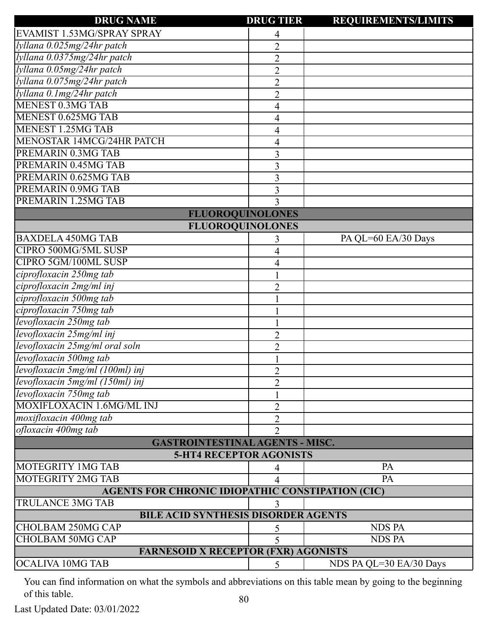| <b>DRUG NAME</b>                                        | <b>DRUG TIER</b> | <b>REQUIREMENTS/LIMITS</b> |
|---------------------------------------------------------|------------------|----------------------------|
| EVAMIST 1.53MG/SPRAY SPRAY                              | 4                |                            |
| lyllana 0.025mg/24hr patch                              | $\overline{2}$   |                            |
| lyllana 0.0375mg/24hr patch                             | $\overline{2}$   |                            |
| lyllana 0.05mg/24hr patch                               | $\overline{2}$   |                            |
| lyllana 0.075mg/24hr patch                              | $\overline{2}$   |                            |
| lyllana 0.1mg/24hr patch                                | $\overline{2}$   |                            |
| <b>MENEST 0.3MG TAB</b>                                 | 4                |                            |
| MENEST 0.625MG TAB                                      | 4                |                            |
| <b>MENEST 1.25MG TAB</b>                                | 4                |                            |
| <b>MENOSTAR 14MCG/24HR PATCH</b>                        | 4                |                            |
| PREMARIN 0.3MG TAB                                      | 3                |                            |
| PREMARIN 0.45MG TAB                                     | 3                |                            |
| PREMARIN 0.625MG TAB                                    | 3                |                            |
| <b>PREMARIN 0.9MG TAB</b>                               | 3                |                            |
| PREMARIN 1.25MG TAB                                     | 3                |                            |
| <b>FLUOROQUINOLONES</b>                                 |                  |                            |
| <b>FLUOROQUINOLONES</b>                                 |                  |                            |
| <b>BAXDELA 450MG TAB</b>                                |                  | PA QL=60 EA/30 Days        |
| CIPRO 500MG/5ML SUSP                                    | 4                |                            |
| CIPRO 5GM/100ML SUSP                                    | 4                |                            |
| ciprofloxacin 250mg tab                                 |                  |                            |
| ciprofloxacin 2mg/ml inj                                | $\overline{2}$   |                            |
| ciprofloxacin 500mg tab                                 |                  |                            |
| ciprofloxacin 750mg tab                                 |                  |                            |
| levofloxacin 250mg tab                                  |                  |                            |
| levofloxacin 25mg/ml inj                                | $\overline{2}$   |                            |
| levofloxacin 25mg/ml oral soln                          | $\overline{2}$   |                            |
| levofloxacin 500mg tab                                  |                  |                            |
| levofloxacin 5mg/ml (100ml) inj                         | $\overline{2}$   |                            |
| levofloxacin 5mg/ml (150ml) inj                         | $\overline{2}$   |                            |
| levofloxacin 750mg tab                                  |                  |                            |
| MOXIFLOXACIN 1.6MG/ML INJ                               | $\overline{2}$   |                            |
| moxifloxacin 400mg tab                                  | 2                |                            |
| ofloxacin 400mg tab                                     | $\overline{2}$   |                            |
| <b>GASTROINTESTINAL AGENTS - MISC.</b>                  |                  |                            |
| <b>5-HT4 RECEPTOR AGONISTS</b>                          |                  |                            |
| MOTEGRITY 1MG TAB                                       | 4                | PA                         |
| <b>MOTEGRITY 2MG TAB</b>                                |                  | PA                         |
| <b>AGENTS FOR CHRONIC IDIOPATHIC CONSTIPATION (CIC)</b> |                  |                            |
| <b>TRULANCE 3MG TAB</b>                                 |                  |                            |
| <b>BILE ACID SYNTHESIS DISORDER AGENTS</b>              |                  |                            |
| <b>CHOLBAM 250MG CAP</b>                                | 5                | <b>NDS PA</b>              |
| <b>CHOLBAM 50MG CAP</b>                                 | 5                | <b>NDS PA</b>              |
| <b>FARNESOID X RECEPTOR (FXR) AGONISTS</b>              |                  |                            |
| <b>OCALIVA 10MG TAB</b>                                 | 5                | NDS PA QL=30 EA/30 Days    |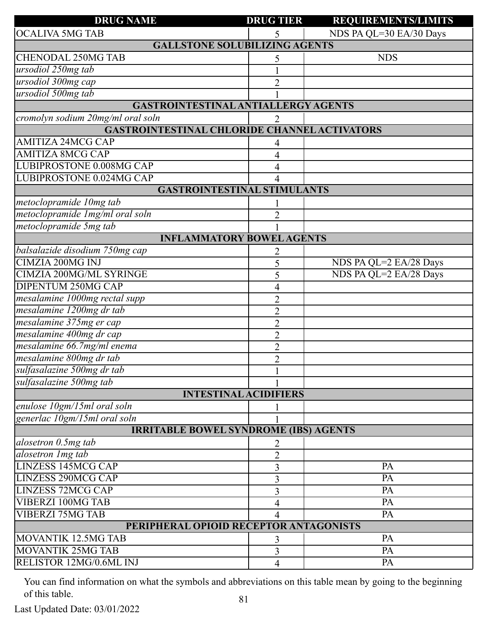| <b>DRUG NAME</b>                                    | <b>DRUG TIER</b> | <b>REQUIREMENTS/LIMITS</b> |
|-----------------------------------------------------|------------------|----------------------------|
| <b>OCALIVA 5MG TAB</b>                              |                  | NDS PA QL=30 EA/30 Days    |
| <b>GALLSTONE SOLUBILIZING AGENTS</b>                |                  |                            |
| <b>CHENODAL 250MG TAB</b>                           | 5                | <b>NDS</b>                 |
| ursodiol 250mg tab                                  |                  |                            |
| ursodiol 300mg cap                                  | 2                |                            |
| ursodiol 500mg tab                                  |                  |                            |
| GASTROINTESTINAL ANTIALLERGY AGENTS                 |                  |                            |
| cromolyn sodium 20mg/ml oral soln                   |                  |                            |
| <b>GASTROINTESTINAL CHLORIDE CHANNEL ACTIVATORS</b> |                  |                            |
| <b>AMITIZA 24MCG CAP</b>                            | 4                |                            |
| <b>AMITIZA 8MCG CAP</b>                             | 4                |                            |
| LUBIPROSTONE 0.008MG CAP                            | 4                |                            |
| <b>LUBIPROSTONE 0.024MG CAP</b>                     | 4                |                            |
| <b>GASTROINTESTINAL STIMULANTS</b>                  |                  |                            |
| metoclopramide 10mg tab                             |                  |                            |
| metoclopramide 1mg/ml oral soln                     | 2                |                            |
| metoclopramide 5mg tab                              |                  |                            |
| <b>INFLAMMATORY BOWEL AGENTS</b>                    |                  |                            |
| balsalazide disodium 750mg cap                      | 2                |                            |
| <b>CIMZIA 200MG INJ</b>                             | 5                | NDS PA QL=2 EA/28 Days     |
| <b>CIMZIA 200MG/ML SYRINGE</b>                      | 5                | NDS PA QL=2 EA/28 Days     |
| <b>DIPENTUM 250MG CAP</b>                           | 4                |                            |
| mesalamine 1000mg rectal supp                       | $\overline{2}$   |                            |
| mesalamine 1200mg dr tab                            | $\overline{2}$   |                            |
| mesalamine 375mg er cap                             | $\overline{2}$   |                            |
| mesalamine 400mg dr cap                             | $\overline{2}$   |                            |
| mesalamine 66.7mg/ml enema                          | $\overline{2}$   |                            |
| mesalamine 800mg dr tab                             | $\overline{2}$   |                            |
| sulfasalazine 500mg dr tab                          | $\mathbf{1}$     |                            |
| sulfasalazine 500mg tab                             |                  |                            |
| <b>INTESTINAL ACIDIFIERS</b>                        |                  |                            |
| enulose 10gm/15ml oral soln                         |                  |                            |
| generlac 10gm/15ml oral soln                        |                  |                            |
| <b>IRRITABLE BOWEL SYNDROME (IBS) AGENTS</b>        |                  |                            |
| alosetron 0.5mg tab                                 | 2                |                            |
| alosetron 1mg tab                                   | $\overline{2}$   |                            |
| <b>LINZESS 145MCG CAP</b>                           | 3                | PA                         |
| <b>LINZESS 290MCG CAP</b>                           | 3                | PA                         |
| <b>LINZESS 72MCG CAP</b>                            | 3                | PA                         |
| <b>VIBERZI 100MG TAB</b>                            | 4                | PA                         |
| <b>VIBERZI 75MG TAB</b>                             | 4                | PA                         |
| PERIPHERAL OPIOID RECEPTOR ANTAGONISTS              |                  |                            |
| MOVANTIK 12.5MG TAB                                 | 3                | PA                         |
| MOVANTIK 25MG TAB                                   | 3                | PA                         |
| RELISTOR 12MG/0.6ML INJ                             | $\overline{4}$   | PA                         |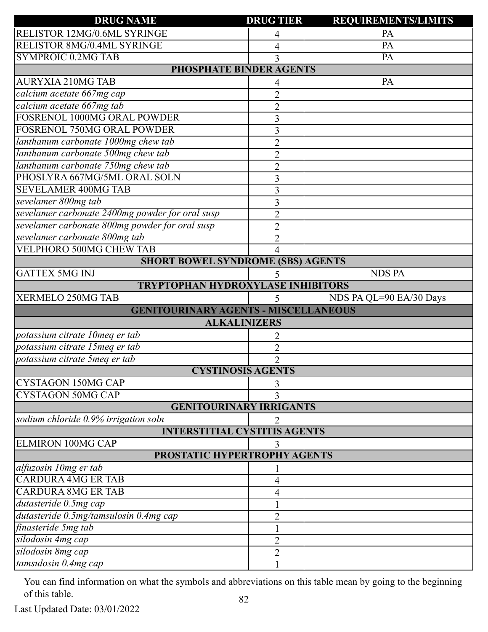| <b>DRUG NAME</b>                                | <b>DRUG TIER</b> | <b>REQUIREMENTS/LIMITS</b> |
|-------------------------------------------------|------------------|----------------------------|
| RELISTOR 12MG/0.6ML SYRINGE                     | 4                | PA                         |
| <b>RELISTOR 8MG/0.4ML SYRINGE</b>               | 4                | PA                         |
| <b>SYMPROIC 0.2MG TAB</b>                       |                  | PA                         |
| PHOSPHATE BINDER AGENTS                         |                  |                            |
| <b>AURYXIA 210MG TAB</b>                        | 4                | PA                         |
| calcium acetate 667mg cap                       | $\overline{2}$   |                            |
| calcium acetate 667mg tab                       | $\overline{2}$   |                            |
| FOSRENOL 1000MG ORAL POWDER                     | 3                |                            |
| <b>FOSRENOL 750MG ORAL POWDER</b>               | 3                |                            |
| lanthanum carbonate 1000mg chew tab             | $\overline{c}$   |                            |
| lanthanum carbonate 500mg chew tab              | $\overline{2}$   |                            |
| lanthanum carbonate 750mg chew tab              | $\overline{2}$   |                            |
| PHOSLYRA 667MG/5ML ORAL SOLN                    | 3                |                            |
| <b>SEVELAMER 400MG TAB</b>                      | 3                |                            |
| sevelamer 800mg tab                             | 3                |                            |
| sevelamer carbonate 2400mg powder for oral susp | $\overline{2}$   |                            |
| sevelamer carbonate 800mg powder for oral susp  | $\overline{2}$   |                            |
| sevelamer carbonate 800mg tab                   | $\overline{2}$   |                            |
| <b>VELPHORO 500MG CHEW TAB</b>                  | 4                |                            |
| <b>SHORT BOWEL SYNDROME (SBS) AGENTS</b>        |                  |                            |
| <b>GATTEX 5MG INJ</b>                           | 5                | <b>NDS PA</b>              |
| <b>TRYPTOPHAN HYDROXYLASE INHIBITORS</b>        |                  |                            |
| XERMELO 250MG TAB                               | 5                | NDS PA QL=90 EA/30 Days    |
| <b>GENITOURINARY AGENTS - MISCELLANEOUS</b>     |                  |                            |
| <b>ALKALINIZERS</b>                             |                  |                            |
| potassium citrate 10meq er tab                  |                  |                            |
| potassium citrate 15meq er tab                  | $\overline{2}$   |                            |
| potassium citrate 5meq er tab                   | $\overline{2}$   |                            |
| <b>CYSTINOSIS AGENTS</b>                        |                  |                            |
| CYSTAGON 150MG CAP                              | 3                |                            |
| <b>CYSTAGON 50MG CAP</b>                        | 3                |                            |
| <b>GENITOURINARY IRRIGANTS</b>                  |                  |                            |
| sodium chloride 0.9% irrigation soln            | 2                |                            |
| <b>INTERSTITIAL CYSTITIS AGENTS</b>             |                  |                            |
| <b>ELMIRON 100MG CAP</b>                        | 3                |                            |
| PROSTATIC HYPERTROPHY AGENTS                    |                  |                            |
| alfuzosin 10mg er tab                           |                  |                            |
| <b>CARDURA 4MG ER TAB</b>                       | 4                |                            |
| <b>CARDURA 8MG ER TAB</b>                       | 4                |                            |
| dutasteride 0.5mg cap                           |                  |                            |
| dutasteride 0.5mg/tamsulosin 0.4mg cap          | $\overline{2}$   |                            |
| finasteride 5mg tab                             |                  |                            |
| silodosin 4mg cap                               | $\overline{2}$   |                            |
| silodosin 8mg cap                               | $\overline{2}$   |                            |
| tamsulosin 0.4mg cap                            |                  |                            |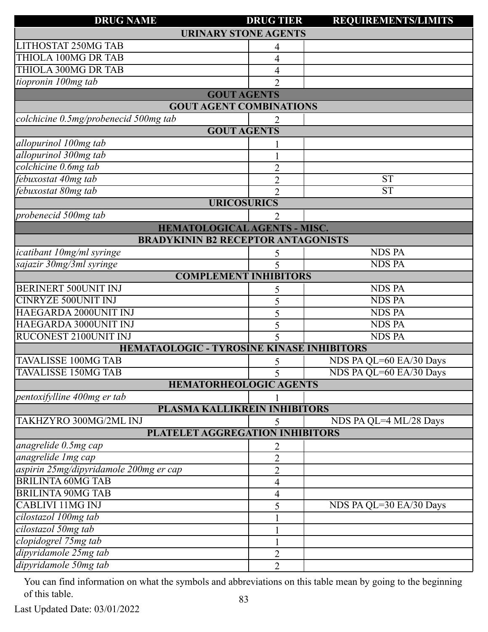| <b>DRUG NAME</b>                                 | <b>DRUG TIER</b>            | <b>REQUIREMENTS/LIMITS</b> |
|--------------------------------------------------|-----------------------------|----------------------------|
| <b>URINARY STONE AGENTS</b>                      |                             |                            |
| LITHOSTAT 250MG TAB                              | 4                           |                            |
| THIOLA 100MG DR TAB                              | 4                           |                            |
| THIOLA 300MG DR TAB                              | 4                           |                            |
| tiopronin 100mg tab                              | $\mathcal{D}_{\mathcal{L}}$ |                            |
| <b>GOUT AGENTS</b>                               |                             |                            |
| <b>GOUT AGENT COMBINATIONS</b>                   |                             |                            |
| colchicine 0.5mg/probenecid 500mg tab            | 2                           |                            |
| <b>GOUT AGENTS</b>                               |                             |                            |
| allopurinol 100mg tab                            |                             |                            |
| allopurinol 300mg tab                            |                             |                            |
| colchicine 0.6mg tab                             | $\overline{2}$              |                            |
| febuxostat 40mg tab                              | $\overline{2}$              | <b>ST</b>                  |
| febuxostat 80mg tab                              | $\overline{2}$              | <b>ST</b>                  |
| <b>URICOSURICS</b>                               |                             |                            |
| probenecid 500mg tab                             | $\overline{2}$              |                            |
| <b>HEMATOLOGICAL AGENTS - MISC.</b>              |                             |                            |
| <b>BRADYKININ B2 RECEPTOR ANTAGONISTS</b>        |                             |                            |
| icatibant 10mg/ml syringe                        | 5                           | <b>NDS PA</b>              |
| sajazir 30mg/3ml syringe                         | 5                           | <b>NDS PA</b>              |
| <b>COMPLEMENT INHIBITORS</b>                     |                             |                            |
| BERINERT 500UNIT INJ                             | 5                           | <b>NDS PA</b>              |
| <b>CINRYZE 500UNIT INJ</b>                       | 5                           | <b>NDS PA</b>              |
| HAEGARDA 2000UNIT INJ                            | 5                           | <b>NDS PA</b>              |
| HAEGARDA 3000UNIT INJ                            | 5                           | <b>NDS PA</b>              |
| RUCONEST 2100UNIT INJ                            | 5                           | <b>NDS PA</b>              |
| <b>HEMATAOLOGIC - TYROSINE KINASE INHIBITORS</b> |                             |                            |
| <b>TAVALISSE 100MG TAB</b>                       | 5                           | NDS PA QL=60 EA/30 Days    |
| <b>TAVALISSE 150MG TAB</b>                       |                             | NDS PA QL=60 EA/30 Days    |
| <b>HEMATORHEOLOGIC AGENTS</b>                    |                             |                            |
| pentoxifylline 400mg er tab                      |                             |                            |
| PLASMA KALLIKREIN INHIBITORS                     |                             |                            |
| TAKHZYRO 300MG/2ML INJ                           | 5                           | NDS PA QL=4 ML/28 Days     |
| PLATELET AGGREGATION INHIBITORS                  |                             |                            |
| anagrelide 0.5mg cap                             | $\overline{2}$              |                            |
| anagrelide Img cap                               | $\overline{2}$              |                            |
| aspirin 25mg/dipyridamole 200mg er cap           | $\overline{2}$              |                            |
| <b>BRILINTA 60MG TAB</b>                         | 4                           |                            |
| <b>BRILINTA 90MG TAB</b>                         | 4                           |                            |
| <b>CABLIVI 11MG INJ</b>                          | 5                           | NDS PA QL=30 EA/30 Days    |
| cilostazol 100mg tab                             |                             |                            |
| cilostazol 50mg tab                              |                             |                            |
| clopidogrel 75mg tab                             |                             |                            |
| dipyridamole 25mg tab                            | $\overline{2}$              |                            |
| dipyridamole 50mg tab                            | $\overline{2}$              |                            |

Last Updated Date: 03/01/2022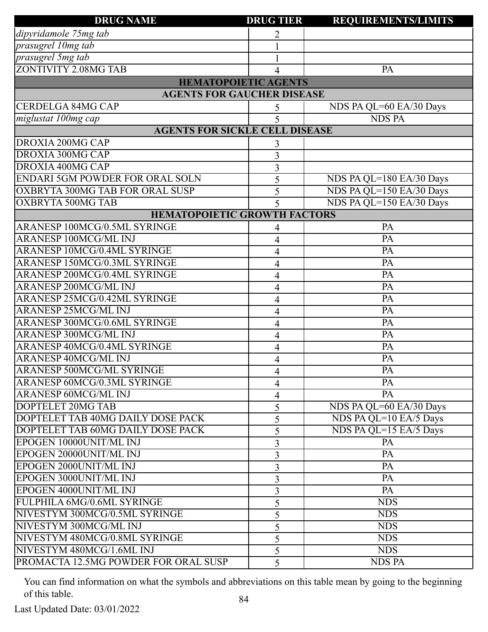| <b>DRUG NAME</b>                       | <b>DRUG TIER</b> | <b>REQUIREMENTS/LIMITS</b> |
|----------------------------------------|------------------|----------------------------|
| dipyridamole 75mg tab                  | 2                |                            |
| prasugrel 10mg tab                     |                  |                            |
| prasugrel 5mg tab                      |                  |                            |
| ZONTIVITY 2.08MG TAB                   | 4                | PA                         |
| <b>HEMATOPOIETIC AGENTS</b>            |                  |                            |
| <b>AGENTS FOR GAUCHER DISEASE</b>      |                  |                            |
| <b>CERDELGA 84MG CAP</b>               | 5                | NDS PA QL=60 EA/30 Days    |
| miglustat 100mg cap                    | 5                | <b>NDS PA</b>              |
| <b>AGENTS FOR SICKLE CELL DISEASE</b>  |                  |                            |
| DROXIA 200MG CAP                       | 3                |                            |
| DROXIA 300MG CAP                       | 3                |                            |
| DROXIA 400MG CAP                       | 3                |                            |
| <b>ENDARI 5GM POWDER FOR ORAL SOLN</b> | 5                | NDS PA QL=180 EA/30 Days   |
| OXBRYTA 300MG TAB FOR ORAL SUSP        | 5                | NDS PA QL=150 EA/30 Days   |
| <b>OXBRYTA 500MG TAB</b>               | 5                | NDS PA QL=150 EA/30 Days   |
| <b>HEMATOPOIETIC GROWTH FACTORS</b>    |                  |                            |
| ARANESP 100MCG/0.5ML SYRINGE           | 4                | PA                         |
| <b>ARANESP 100MCG/ML INJ</b>           | 4                | PA                         |
| <b>ARANESP 10MCG/0.4ML SYRINGE</b>     | 4                | PA                         |
| <b>ARANESP 150MCG/0.3ML SYRINGE</b>    | 4                | PA                         |
| <b>ARANESP 200MCG/0.4ML SYRINGE</b>    | 4                | PA                         |
| <b>ARANESP 200MCG/ML INJ</b>           | 4                | PA                         |
| <b>ARANESP 25MCG/0.42ML SYRINGE</b>    | 4                | PA                         |
| <b>ARANESP 25MCG/ML INJ</b>            | 4                | PA                         |
| <b>ARANESP 300MCG/0.6ML SYRINGE</b>    | 4                | PA                         |
| <b>ARANESP 300MCG/ML INJ</b>           | 4                | PA                         |
| ARANESP 40MCG/0.4ML SYRINGE            | 4                | PA                         |
| <b>ARANESP 40MCG/ML INJ</b>            | 4                | PA                         |
| ARANESP 500MCG/ML SYRINGE              | $\overline{4}$   | PA                         |
| ARANESP 60MCG/0.3ML SYRINGE            | 4                | PA                         |
| <b>ARANESP 60MCG/ML INJ</b>            | 4                | PA                         |
| DOPTELET 20MG TAB                      | 5                | NDS PA QL=60 EA/30 Days    |
| DOPTELET TAB 40MG DAILY DOSE PACK      | 5                | NDS PA QL=10 EA/5 Days     |
| DOPTELET TAB 60MG DAILY DOSE PACK      | 5                | NDS PA QL=15 EA/5 Days     |
| EPOGEN 10000UNIT/ML INJ                | 3                | PA                         |
| EPOGEN 20000UNIT/ML INJ                | 3                | PA                         |
| EPOGEN 2000UNIT/ML INJ                 | 3                | PA                         |
| EPOGEN 3000UNIT/ML INJ                 | 3                | PA                         |
| EPOGEN 4000UNIT/ML INJ                 | 3                | PA                         |
| FULPHILA 6MG/0.6ML SYRINGE             | 5                | <b>NDS</b>                 |
| NIVESTYM 300MCG/0.5ML SYRINGE          | 5                | <b>NDS</b>                 |
| NIVESTYM 300MCG/ML INJ                 | 5                | <b>NDS</b>                 |
| NIVESTYM 480MCG/0.8ML SYRINGE          | 5                | <b>NDS</b>                 |
| NIVESTYM 480MCG/1.6ML INJ              | 5                | <b>NDS</b>                 |
| PROMACTA 12.5MG POWDER FOR ORAL SUSP   | 5                | <b>NDS PA</b>              |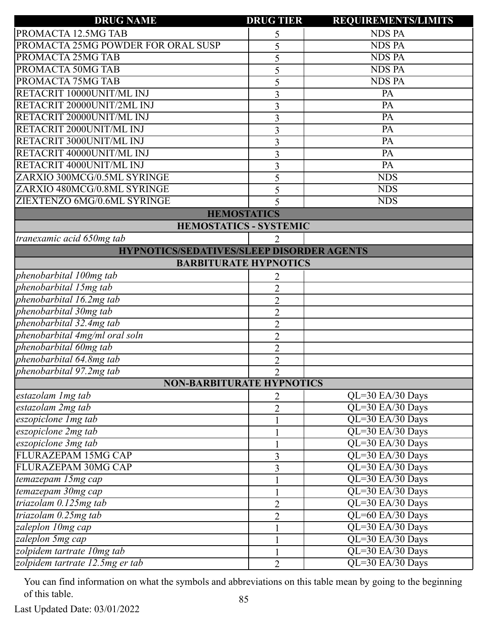| <b>DRUG NAME</b>                                 | <b>DRUG TIER</b>            | <b>REQUIREMENTS/LIMITS</b> |
|--------------------------------------------------|-----------------------------|----------------------------|
| PROMACTA 12.5MG TAB                              | 5                           | <b>NDS PA</b>              |
| PROMACTA 25MG POWDER FOR ORAL SUSP               | 5                           | <b>NDS PA</b>              |
| PROMACTA 25MG TAB                                | 5                           | <b>NDS PA</b>              |
| PROMACTA 50MG TAB                                | 5                           | <b>NDS PA</b>              |
| PROMACTA 75MG TAB                                | 5                           | <b>NDS PA</b>              |
| RETACRIT 10000UNIT/ML INJ                        | 3                           | PA                         |
| RETACRIT 20000UNIT/2ML INJ                       | 3                           | PA                         |
| RETACRIT 20000UNIT/ML INJ                        | 3                           | PA                         |
| RETACRIT 2000UNIT/ML INJ                         | 3                           | PA                         |
| RETACRIT 3000UNIT/ML INJ                         | 3                           | PA                         |
| RETACRIT 40000UNIT/ML INJ                        | 3                           | PA                         |
| RETACRIT 4000UNIT/ML INJ                         | 3                           | PA                         |
| ZARXIO 300MCG/0.5ML SYRINGE                      | 5                           | <b>NDS</b>                 |
| ZARXIO 480MCG/0.8ML SYRINGE                      | 5                           | <b>NDS</b>                 |
| ZIEXTENZO 6MG/0.6ML SYRINGE                      | 5                           | <b>NDS</b>                 |
| <b>HEMOSTATICS</b>                               |                             |                            |
| <b>HEMOSTATICS - SYSTEMIC</b>                    |                             |                            |
| tranexamic acid 650mg tab                        | 2                           |                            |
| <b>HYPNOTICS/SEDATIVES/SLEEP DISORDER AGENTS</b> |                             |                            |
| <b>BARBITURATE HYPNOTICS</b>                     |                             |                            |
| phenobarbital 100mg tab                          | 2                           |                            |
| phenobarbital 15mg tab                           | $\overline{2}$              |                            |
| phenobarbital 16.2mg tab                         | $\overline{2}$              |                            |
| phenobarbital 30mg tab                           | $\overline{2}$              |                            |
| phenobarbital 32.4mg tab                         | $\overline{2}$              |                            |
| phenobarbital 4mg/ml oral soln                   | $\overline{2}$              |                            |
| phenobarbital 60mg tab                           | $\overline{2}$              |                            |
| phenobarbital 64.8mg tab                         | $\overline{2}$              |                            |
| phenobarbital 97.2mg tab                         | $\mathcal{D}_{\mathcal{L}}$ |                            |
| <b>NON-BARBITURATE HYPNOTICS</b>                 |                             |                            |
| estazolam 1mg tab                                | 2                           | QL=30 EA/30 Days           |
| estazolam 2mg tab                                | $\overline{2}$              | QL=30 EA/30 Days           |
| eszopiclone Img tab                              |                             | QL=30 EA/30 Days           |
| eszopiclone 2mg tab                              |                             | QL=30 EA/30 Days           |
| eszopiclone 3mg tab                              | 1                           | QL=30 EA/30 Days           |
| FLURAZEPAM 15MG CAP                              | $\overline{3}$              | QL=30 EA/30 Days           |
| FLURAZEPAM 30MG CAP                              | $\overline{3}$              | QL=30 EA/30 Days           |
| temazepam 15mg cap                               |                             | QL=30 EA/30 Days           |
| temazepam 30mg cap                               | $\mathbf{1}$                | QL=30 EA/30 Days           |
| triazolam 0.125mg tab                            | $\overline{2}$              | QL=30 EA/30 Days           |
| triazolam 0.25mg tab                             | $\overline{2}$              | QL=60 EA/30 Days           |
| zaleplon 10mg cap                                |                             | QL=30 EA/30 Days           |
| zaleplon 5mg cap                                 | $\mathbf{1}$                | QL=30 EA/30 Days           |
| zolpidem tartrate 10mg tab                       |                             | QL=30 EA/30 Days           |
| zolpidem tartrate 12.5mg er tab                  | $\overline{2}$              | QL=30 EA/30 Days           |

Last Updated Date: 03/01/2022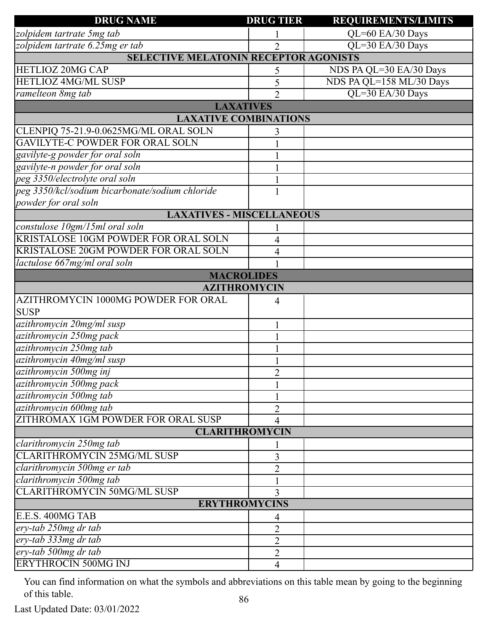| <b>DRUG NAME</b>                                | <b>DRUG TIER</b>             | <b>REQUIREMENTS/LIMITS</b> |
|-------------------------------------------------|------------------------------|----------------------------|
| zolpidem tartrate 5mg tab                       |                              | QL=60 EA/30 Days           |
| zolpidem tartrate 6.25mg er tab                 | $\overline{2}$               | QL=30 EA/30 Days           |
| <b>SELECTIVE MELATONIN RECEPTOR AGONISTS</b>    |                              |                            |
| HETLIOZ 20MG CAP                                | 5                            | NDS PA QL=30 EA/30 Days    |
| HETLIOZ 4MG/ML SUSP                             | 5                            | NDS PA QL=158 ML/30 Days   |
| ramelteon 8mg tab                               | $\overline{2}$               | QL=30 EA/30 Days           |
|                                                 | <b>LAXATIVES</b>             |                            |
|                                                 | <b>LAXATIVE COMBINATIONS</b> |                            |
| CLENPIQ 75-21.9-0.0625MG/ML ORAL SOLN           | 3                            |                            |
| <b>GAVILYTE-C POWDER FOR ORAL SOLN</b>          |                              |                            |
| gavilyte-g powder for oral soln                 |                              |                            |
| gavilyte-n powder for oral soln                 |                              |                            |
| peg 3350/electrolyte oral soln                  |                              |                            |
| peg 3350/kcl/sodium bicarbonate/sodium chloride |                              |                            |
| powder for oral soln                            |                              |                            |
| <b>LAXATIVES - MISCELLANEOUS</b>                |                              |                            |
| constulose 10gm/15ml oral soln                  |                              |                            |
| <b>KRISTALOSE 10GM POWDER FOR ORAL SOLN</b>     | 4                            |                            |
| KRISTALOSE 20GM POWDER FOR ORAL SOLN            | 4                            |                            |
| lactulose 667mg/ml oral soln                    |                              |                            |
|                                                 | <b>MACROLIDES</b>            |                            |
|                                                 | <b>AZITHROMYCIN</b>          |                            |
| AZITHROMYCIN 1000MG POWDER FOR ORAL             | 4                            |                            |
| <b>SUSP</b>                                     |                              |                            |
| azithromycin 20mg/ml susp                       |                              |                            |
| azithromycin 250mg pack                         |                              |                            |
| azithromycin 250mg tab                          |                              |                            |
| azithromycin 40mg/ml susp                       |                              |                            |
| azithromycin 500mg inj                          | $\sim$                       |                            |
| azithromycin 500mg pack                         |                              |                            |
| azithromycin 500mg tab                          |                              |                            |
| azithromycin 600mg tab                          | 2                            |                            |
| ZITHROMAX 1GM POWDER FOR ORAL SUSP              | 4                            |                            |
|                                                 | <b>CLARITHROMYCIN</b>        |                            |
| clarithromycin 250mg tab                        |                              |                            |
| <b>CLARITHROMYCIN 25MG/ML SUSP</b>              | 3                            |                            |
| clarithromycin 500mg er tab                     | $\overline{2}$               |                            |
| clarithromycin 500mg tab                        |                              |                            |
| <b>CLARITHROMYCIN 50MG/ML SUSP</b>              | 3                            |                            |
|                                                 | <b>ERYTHROMYCINS</b>         |                            |
| E.E.S. 400MG TAB                                | 4                            |                            |
| ery-tab 250mg dr tab                            | $\overline{2}$               |                            |
| ery-tab 333mg dr tab                            | 2                            |                            |
| ery-tab 500mg dr tab                            | $\overline{2}$               |                            |
| <b>ERYTHROCIN 500MG INJ</b>                     | 4                            |                            |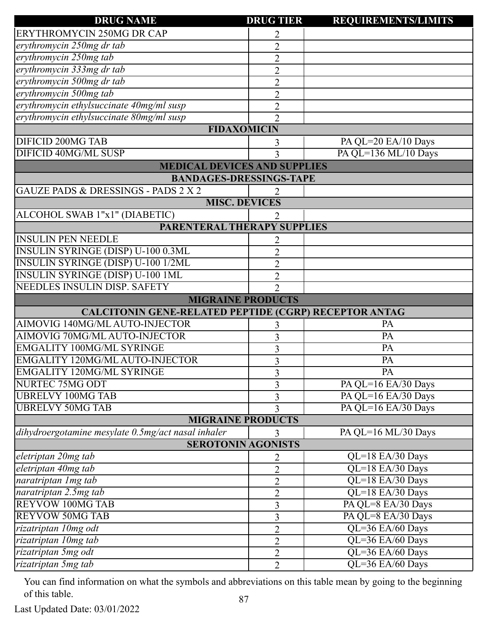| <b>DRUG NAME</b>                                             | <b>DRUG TIER</b>    | <b>REQUIREMENTS/LIMITS</b> |
|--------------------------------------------------------------|---------------------|----------------------------|
| <b>ERYTHROMYCIN 250MG DR CAP</b>                             | 2                   |                            |
| erythromycin 250mg dr tab                                    | $\overline{2}$      |                            |
| erythromycin 250mg tab                                       | $\overline{2}$      |                            |
| erythromycin 333mg dr tab                                    | $\overline{2}$      |                            |
| erythromycin 500mg dr tab                                    | $\overline{2}$      |                            |
| erythromycin 500mg tab                                       | $\overline{2}$      |                            |
| erythromycin ethylsuccinate 40mg/ml susp                     | $\overline{2}$      |                            |
| erythromycin ethylsuccinate 80mg/ml susp                     | $\overline{2}$      |                            |
| <b>FIDAXOMICIN</b>                                           |                     |                            |
| <b>DIFICID 200MG TAB</b>                                     | 3                   | PA QL=20 EA/10 Days        |
| DIFICID 40MG/ML SUSP                                         | 3                   | PA QL=136 ML/10 Days       |
| <b>MEDICAL DEVICES AND SUPPLIES</b>                          |                     |                            |
| <b>BANDAGES-DRESSINGS-TAPE</b>                               |                     |                            |
| <b>GAUZE PADS &amp; DRESSINGS - PADS 2 X 2</b>               |                     |                            |
| <b>MISC. DEVICES</b>                                         |                     |                            |
| ALCOHOL SWAB 1"x1" (DIABETIC)                                |                     |                            |
| <b>PARENTERAL THERAPY SUPPLIES</b>                           |                     |                            |
| <b>INSULIN PEN NEEDLE</b>                                    |                     |                            |
| <b>INSULIN SYRINGE (DISP) U-100 0.3ML</b>                    | $\overline{2}$      |                            |
| <b>INSULIN SYRINGE (DISP) U-100 1/2ML</b>                    | $\overline{2}$      |                            |
| <b>INSULIN SYRINGE (DISP) U-100 1ML</b>                      | $\overline{2}$      |                            |
| NEEDLES INSULIN DISP. SAFETY                                 | $\mathfrak{D}$      |                            |
| <b>MIGRAINE PRODUCTS</b>                                     |                     |                            |
| <b>CALCITONIN GENE-RELATED PEPTIDE (CGRP) RECEPTOR ANTAG</b> |                     |                            |
| AIMOVIG 140MG/ML AUTO-INJECTOR                               | 3                   | PA                         |
| AIMOVIG 70MG/ML AUTO-INJECTOR                                | 3                   | PA                         |
| <b>EMGALITY 100MG/ML SYRINGE</b>                             | 3                   | PA                         |
| EMGALITY 120MG/ML AUTO-INJECTOR                              | 3                   | PA                         |
| <b>EMGALITY 120MG/ML SYRINGE</b>                             | 3                   | PA                         |
| NURTEC 75MG ODT                                              | 3                   | PA QL=16 EA/30 Days        |
| <b>UBRELVY 100MG TAB</b>                                     | 3                   | PA QL=16 EA/30 Days        |
| <b>UBRELVY 50MG TAB</b>                                      | 3                   | PA QL=16 EA/30 Days        |
| <b>MIGRAINE PRODUCTS</b>                                     |                     |                            |
| dihydroergotamine mesylate 0.5mg/act nasal inhaler           | 3                   | PA QL=16 ML/30 Days        |
| <b>SEROTONIN AGONISTS</b>                                    |                     |                            |
| eletriptan 20mg tab                                          | 2                   | $QL=18$ EA/30 Days         |
| eletriptan 40mg tab                                          | $\overline{2}$      | QL=18 EA/30 Days           |
| naratriptan 1 mg tab                                         |                     | QL=18 EA/30 Days           |
|                                                              | $\overline{2}$      |                            |
| naratriptan 2.5mg tab                                        | $\overline{2}$      | QL=18 EA/30 Days           |
| <b>REYVOW 100MG TAB</b>                                      |                     | PA QL=8 EA/30 Days         |
| <b>REYVOW 50MG TAB</b>                                       | 3                   | PA QL=8 EA/30 Days         |
| rizatriptan 10mg odt                                         | 3<br>$\overline{2}$ | QL=36 EA/60 Days           |
| rizatriptan 10mg tab                                         | $\overline{2}$      | QL=36 EA/60 Days           |
| rizatriptan 5mg odt                                          | $\overline{2}$      | QL=36 EA/60 Days           |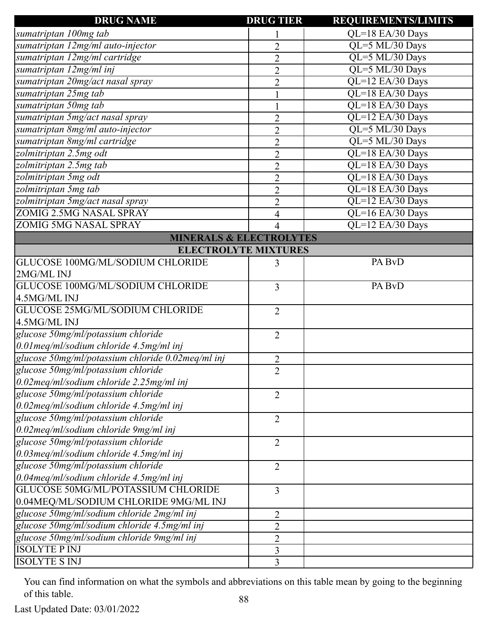| <b>DRUG NAME</b>                                  | <b>DRUG TIER</b> | <b>REQUIREMENTS/LIMITS</b> |
|---------------------------------------------------|------------------|----------------------------|
| sumatriptan 100mg tab                             |                  | QL=18 EA/30 Days           |
| sumatriptan 12mg/ml auto-injector                 | $\overline{2}$   | QL=5 ML/30 Days            |
| sumatriptan 12mg/ml cartridge                     | $\overline{2}$   | QL=5 ML/30 Days            |
| sumatriptan 12mg/ml inj                           | $\overline{2}$   | QL=5 ML/30 Days            |
| sumatriptan 20mg/act nasal spray                  | $\overline{2}$   | QL=12 EA/30 Days           |
| sumatriptan 25mg tab                              |                  | QL=18 EA/30 Days           |
| sumatriptan 50mg tab                              |                  | QL=18 EA/30 Days           |
| sumatriptan 5mg/act nasal spray                   | $\overline{2}$   | QL=12 EA/30 Days           |
| sumatriptan 8mg/ml auto-injector                  | $\overline{2}$   | QL=5 ML/30 Days            |
| sumatriptan 8mg/ml cartridge                      | $\overline{2}$   | QL=5 ML/30 Days            |
| zolmitriptan 2.5mg odt                            | $\overline{2}$   | QL=18 EA/30 Days           |
| zolmitriptan 2.5mg tab                            | $\overline{2}$   | QL=18 EA/30 Days           |
| zolmitriptan 5mg odt                              | $\overline{2}$   | QL=18 EA/30 Days           |
| zolmitriptan 5mg tab                              | $\overline{2}$   | QL=18 EA/30 Days           |
| zolmitriptan 5mg/act nasal spray                  | $\overline{2}$   | QL=12 EA/30 Days           |
| <b>ZOMIG 2.5MG NASAL SPRAY</b>                    | 4                | QL=16 EA/30 Days           |
| <b>ZOMIG 5MG NASAL SPRAY</b>                      | $\overline{4}$   | QL=12 EA/30 Days           |
| <b>MINERALS &amp; ELECTROLYTES</b>                |                  |                            |
| <b>ELECTROLYTE MIXTURES</b>                       |                  |                            |
| GLUCOSE 100MG/ML/SODIUM CHLORIDE                  | 3                | PA BvD                     |
| 2MG/ML INJ                                        |                  |                            |
| GLUCOSE 100MG/ML/SODIUM CHLORIDE                  | 3                | PA BvD                     |
| 4.5MG/ML INJ                                      |                  |                            |
| GLUCOSE 25MG/ML/SODIUM CHLORIDE                   | $\overline{2}$   |                            |
| 4.5MG/ML INJ                                      |                  |                            |
| glucose 50mg/ml/potassium chloride                | $\overline{2}$   |                            |
| $0.01$ meg/ml/sodium chloride 4.5mg/ml inj        |                  |                            |
| glucose 50mg/ml/potassium chloride 0.02meq/ml inj | $\overline{2}$   |                            |
| glucose 50mg/ml/potassium chloride                | $\overline{2}$   |                            |
| $0.02$ meq/ml/sodium chloride 2.25mg/ml inj       |                  |                            |
| glucose 50mg/ml/potassium chloride                | $\overline{2}$   |                            |
| $0.02$ meg/ml/sodium chloride 4.5mg/ml inj        |                  |                            |
| glucose 50mg/ml/potassium chloride                | $\overline{2}$   |                            |
| $0.02$ meg/ml/sodium chloride 9mg/ml inj          |                  |                            |
| glucose 50mg/ml/potassium chloride                | $\overline{2}$   |                            |
| $0.03$ meq/ml/sodium chloride 4.5mg/ml inj        |                  |                            |
| glucose 50mg/ml/potassium chloride                | $\overline{2}$   |                            |
| $0.04$ meg/ml/sodium chloride 4.5mg/ml inj        |                  |                            |
| GLUCOSE 50MG/ML/POTASSIUM CHLORIDE                | 3                |                            |
| 0.04MEQ/ML/SODIUM CHLORIDE 9MG/ML INJ             |                  |                            |
| glucose 50mg/ml/sodium chloride 2mg/ml inj        | 2                |                            |
| glucose 50mg/ml/sodium chloride 4.5mg/ml inj      | $\overline{2}$   |                            |
| glucose 50mg/ml/sodium chloride 9mg/ml inj        | $\overline{2}$   |                            |
| <b>ISOLYTE P INJ</b>                              | 3                |                            |
| <b>ISOLYTE S INJ</b>                              | $\overline{3}$   |                            |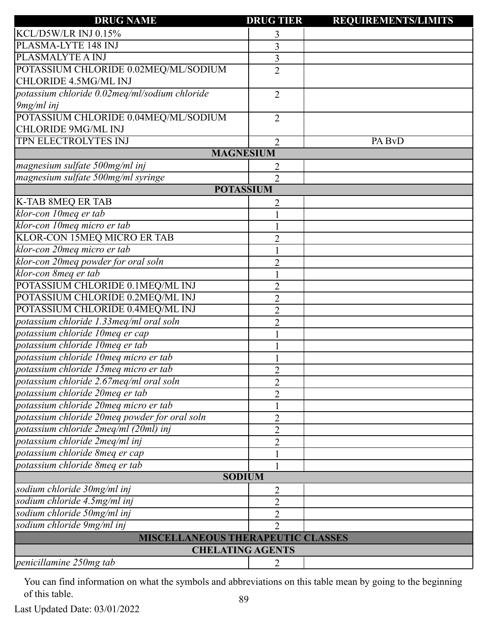| KCL/D5W/LR INJ 0.15%<br>3<br>PLASMA-LYTE 148 INJ<br>$\overline{3}$<br>PLASMALYTE A INJ<br>3<br>POTASSIUM CHLORIDE 0.02MEQ/ML/SODIUM<br>$\overline{2}$<br>CHLORIDE 4.5MG/ML INJ<br>potassium chloride 0.02meq/ml/sodium chloride<br>$\overline{2}$<br>9mg/ml inj<br>POTASSIUM CHLORIDE 0.04MEQ/ML/SODIUM<br>$\overline{2}$<br><b>CHLORIDE 9MG/ML INJ</b><br>TPN ELECTROLYTES INJ<br>PA BvD<br>$\overline{2}$<br><b>MAGNESIUM</b><br>magnesium sulfate 500mg/ml inj<br>2<br>magnesium sulfate 500mg/ml syringe<br>$\overline{2}$<br><b>POTASSIUM</b><br><b>K-TAB 8MEQ ER TAB</b><br>2<br>klor-con 10meq er tab<br>klor-con 10meq micro er tab<br>KLOR-CON 15MEQ MICRO ER TAB<br>$\overline{2}$<br>klor-con 20meq micro er tab<br>klor-con 20meg powder for oral soln<br>$\overline{2}$<br>klor-con 8meq er tab<br>POTASSIUM CHLORIDE 0.1MEQ/ML INJ<br>$\overline{2}$<br>POTASSIUM CHLORIDE 0.2MEQ/ML INJ<br>$\overline{2}$<br>POTASSIUM CHLORIDE 0.4MEQ/ML INJ<br>$\overline{2}$<br>potassium chloride 1.33meq/ml oral soln<br>$\overline{2}$<br>potassium chloride 10meq er cap<br>potassium chloride 10meq er tab<br>potassium chloride 10meq micro er tab<br>$\overline{2}$<br>potassium chloride 2.67meq/ml oral soln<br>$\overline{2}$<br>potassium chloride 20meq er tab<br>$\overline{2}$<br>potassium chloride 20meq micro er tab<br>potassium chloride 20meq powder for oral soln<br>2<br>potassium chloride 2meq/ml (20ml) inj<br>$\overline{2}$<br>potassium chloride 2meq/ml inj<br>$\overline{2}$<br>potassium chloride 8meq er cap<br>potassium chloride 8meq er tab<br><b>SODIUM</b><br>sodium chloride 30mg/ml inj<br>2<br>sodium chloride 4.5mg/ml inj<br>$\overline{2}$<br>sodium chloride 50mg/ml inj<br>$\overline{2}$<br>sodium chloride 9mg/ml inj<br>$\overline{2}$<br>MISCELLANEOUS THERAPEUTIC CLASSES<br><b>CHELATING AGENTS</b><br>penicillamine 250mg tab<br>2 | <b>DRUG NAME</b>                      | <b>DRUG TIER</b> | <b>REQUIREMENTS/LIMITS</b> |
|------------------------------------------------------------------------------------------------------------------------------------------------------------------------------------------------------------------------------------------------------------------------------------------------------------------------------------------------------------------------------------------------------------------------------------------------------------------------------------------------------------------------------------------------------------------------------------------------------------------------------------------------------------------------------------------------------------------------------------------------------------------------------------------------------------------------------------------------------------------------------------------------------------------------------------------------------------------------------------------------------------------------------------------------------------------------------------------------------------------------------------------------------------------------------------------------------------------------------------------------------------------------------------------------------------------------------------------------------------------------------------------------------------------------------------------------------------------------------------------------------------------------------------------------------------------------------------------------------------------------------------------------------------------------------------------------------------------------------------------------------------------------------------------------------------------------------------------------------------------------------------------|---------------------------------------|------------------|----------------------------|
|                                                                                                                                                                                                                                                                                                                                                                                                                                                                                                                                                                                                                                                                                                                                                                                                                                                                                                                                                                                                                                                                                                                                                                                                                                                                                                                                                                                                                                                                                                                                                                                                                                                                                                                                                                                                                                                                                          |                                       |                  |                            |
|                                                                                                                                                                                                                                                                                                                                                                                                                                                                                                                                                                                                                                                                                                                                                                                                                                                                                                                                                                                                                                                                                                                                                                                                                                                                                                                                                                                                                                                                                                                                                                                                                                                                                                                                                                                                                                                                                          |                                       |                  |                            |
|                                                                                                                                                                                                                                                                                                                                                                                                                                                                                                                                                                                                                                                                                                                                                                                                                                                                                                                                                                                                                                                                                                                                                                                                                                                                                                                                                                                                                                                                                                                                                                                                                                                                                                                                                                                                                                                                                          |                                       |                  |                            |
|                                                                                                                                                                                                                                                                                                                                                                                                                                                                                                                                                                                                                                                                                                                                                                                                                                                                                                                                                                                                                                                                                                                                                                                                                                                                                                                                                                                                                                                                                                                                                                                                                                                                                                                                                                                                                                                                                          |                                       |                  |                            |
|                                                                                                                                                                                                                                                                                                                                                                                                                                                                                                                                                                                                                                                                                                                                                                                                                                                                                                                                                                                                                                                                                                                                                                                                                                                                                                                                                                                                                                                                                                                                                                                                                                                                                                                                                                                                                                                                                          |                                       |                  |                            |
|                                                                                                                                                                                                                                                                                                                                                                                                                                                                                                                                                                                                                                                                                                                                                                                                                                                                                                                                                                                                                                                                                                                                                                                                                                                                                                                                                                                                                                                                                                                                                                                                                                                                                                                                                                                                                                                                                          |                                       |                  |                            |
|                                                                                                                                                                                                                                                                                                                                                                                                                                                                                                                                                                                                                                                                                                                                                                                                                                                                                                                                                                                                                                                                                                                                                                                                                                                                                                                                                                                                                                                                                                                                                                                                                                                                                                                                                                                                                                                                                          |                                       |                  |                            |
|                                                                                                                                                                                                                                                                                                                                                                                                                                                                                                                                                                                                                                                                                                                                                                                                                                                                                                                                                                                                                                                                                                                                                                                                                                                                                                                                                                                                                                                                                                                                                                                                                                                                                                                                                                                                                                                                                          |                                       |                  |                            |
|                                                                                                                                                                                                                                                                                                                                                                                                                                                                                                                                                                                                                                                                                                                                                                                                                                                                                                                                                                                                                                                                                                                                                                                                                                                                                                                                                                                                                                                                                                                                                                                                                                                                                                                                                                                                                                                                                          |                                       |                  |                            |
|                                                                                                                                                                                                                                                                                                                                                                                                                                                                                                                                                                                                                                                                                                                                                                                                                                                                                                                                                                                                                                                                                                                                                                                                                                                                                                                                                                                                                                                                                                                                                                                                                                                                                                                                                                                                                                                                                          |                                       |                  |                            |
|                                                                                                                                                                                                                                                                                                                                                                                                                                                                                                                                                                                                                                                                                                                                                                                                                                                                                                                                                                                                                                                                                                                                                                                                                                                                                                                                                                                                                                                                                                                                                                                                                                                                                                                                                                                                                                                                                          |                                       |                  |                            |
|                                                                                                                                                                                                                                                                                                                                                                                                                                                                                                                                                                                                                                                                                                                                                                                                                                                                                                                                                                                                                                                                                                                                                                                                                                                                                                                                                                                                                                                                                                                                                                                                                                                                                                                                                                                                                                                                                          |                                       |                  |                            |
|                                                                                                                                                                                                                                                                                                                                                                                                                                                                                                                                                                                                                                                                                                                                                                                                                                                                                                                                                                                                                                                                                                                                                                                                                                                                                                                                                                                                                                                                                                                                                                                                                                                                                                                                                                                                                                                                                          |                                       |                  |                            |
|                                                                                                                                                                                                                                                                                                                                                                                                                                                                                                                                                                                                                                                                                                                                                                                                                                                                                                                                                                                                                                                                                                                                                                                                                                                                                                                                                                                                                                                                                                                                                                                                                                                                                                                                                                                                                                                                                          |                                       |                  |                            |
|                                                                                                                                                                                                                                                                                                                                                                                                                                                                                                                                                                                                                                                                                                                                                                                                                                                                                                                                                                                                                                                                                                                                                                                                                                                                                                                                                                                                                                                                                                                                                                                                                                                                                                                                                                                                                                                                                          |                                       |                  |                            |
|                                                                                                                                                                                                                                                                                                                                                                                                                                                                                                                                                                                                                                                                                                                                                                                                                                                                                                                                                                                                                                                                                                                                                                                                                                                                                                                                                                                                                                                                                                                                                                                                                                                                                                                                                                                                                                                                                          |                                       |                  |                            |
|                                                                                                                                                                                                                                                                                                                                                                                                                                                                                                                                                                                                                                                                                                                                                                                                                                                                                                                                                                                                                                                                                                                                                                                                                                                                                                                                                                                                                                                                                                                                                                                                                                                                                                                                                                                                                                                                                          |                                       |                  |                            |
|                                                                                                                                                                                                                                                                                                                                                                                                                                                                                                                                                                                                                                                                                                                                                                                                                                                                                                                                                                                                                                                                                                                                                                                                                                                                                                                                                                                                                                                                                                                                                                                                                                                                                                                                                                                                                                                                                          |                                       |                  |                            |
|                                                                                                                                                                                                                                                                                                                                                                                                                                                                                                                                                                                                                                                                                                                                                                                                                                                                                                                                                                                                                                                                                                                                                                                                                                                                                                                                                                                                                                                                                                                                                                                                                                                                                                                                                                                                                                                                                          |                                       |                  |                            |
|                                                                                                                                                                                                                                                                                                                                                                                                                                                                                                                                                                                                                                                                                                                                                                                                                                                                                                                                                                                                                                                                                                                                                                                                                                                                                                                                                                                                                                                                                                                                                                                                                                                                                                                                                                                                                                                                                          |                                       |                  |                            |
|                                                                                                                                                                                                                                                                                                                                                                                                                                                                                                                                                                                                                                                                                                                                                                                                                                                                                                                                                                                                                                                                                                                                                                                                                                                                                                                                                                                                                                                                                                                                                                                                                                                                                                                                                                                                                                                                                          |                                       |                  |                            |
|                                                                                                                                                                                                                                                                                                                                                                                                                                                                                                                                                                                                                                                                                                                                                                                                                                                                                                                                                                                                                                                                                                                                                                                                                                                                                                                                                                                                                                                                                                                                                                                                                                                                                                                                                                                                                                                                                          |                                       |                  |                            |
|                                                                                                                                                                                                                                                                                                                                                                                                                                                                                                                                                                                                                                                                                                                                                                                                                                                                                                                                                                                                                                                                                                                                                                                                                                                                                                                                                                                                                                                                                                                                                                                                                                                                                                                                                                                                                                                                                          |                                       |                  |                            |
|                                                                                                                                                                                                                                                                                                                                                                                                                                                                                                                                                                                                                                                                                                                                                                                                                                                                                                                                                                                                                                                                                                                                                                                                                                                                                                                                                                                                                                                                                                                                                                                                                                                                                                                                                                                                                                                                                          |                                       |                  |                            |
|                                                                                                                                                                                                                                                                                                                                                                                                                                                                                                                                                                                                                                                                                                                                                                                                                                                                                                                                                                                                                                                                                                                                                                                                                                                                                                                                                                                                                                                                                                                                                                                                                                                                                                                                                                                                                                                                                          |                                       |                  |                            |
|                                                                                                                                                                                                                                                                                                                                                                                                                                                                                                                                                                                                                                                                                                                                                                                                                                                                                                                                                                                                                                                                                                                                                                                                                                                                                                                                                                                                                                                                                                                                                                                                                                                                                                                                                                                                                                                                                          |                                       |                  |                            |
|                                                                                                                                                                                                                                                                                                                                                                                                                                                                                                                                                                                                                                                                                                                                                                                                                                                                                                                                                                                                                                                                                                                                                                                                                                                                                                                                                                                                                                                                                                                                                                                                                                                                                                                                                                                                                                                                                          |                                       |                  |                            |
|                                                                                                                                                                                                                                                                                                                                                                                                                                                                                                                                                                                                                                                                                                                                                                                                                                                                                                                                                                                                                                                                                                                                                                                                                                                                                                                                                                                                                                                                                                                                                                                                                                                                                                                                                                                                                                                                                          |                                       |                  |                            |
|                                                                                                                                                                                                                                                                                                                                                                                                                                                                                                                                                                                                                                                                                                                                                                                                                                                                                                                                                                                                                                                                                                                                                                                                                                                                                                                                                                                                                                                                                                                                                                                                                                                                                                                                                                                                                                                                                          | potassium chloride 15meq micro er tab |                  |                            |
|                                                                                                                                                                                                                                                                                                                                                                                                                                                                                                                                                                                                                                                                                                                                                                                                                                                                                                                                                                                                                                                                                                                                                                                                                                                                                                                                                                                                                                                                                                                                                                                                                                                                                                                                                                                                                                                                                          |                                       |                  |                            |
|                                                                                                                                                                                                                                                                                                                                                                                                                                                                                                                                                                                                                                                                                                                                                                                                                                                                                                                                                                                                                                                                                                                                                                                                                                                                                                                                                                                                                                                                                                                                                                                                                                                                                                                                                                                                                                                                                          |                                       |                  |                            |
|                                                                                                                                                                                                                                                                                                                                                                                                                                                                                                                                                                                                                                                                                                                                                                                                                                                                                                                                                                                                                                                                                                                                                                                                                                                                                                                                                                                                                                                                                                                                                                                                                                                                                                                                                                                                                                                                                          |                                       |                  |                            |
|                                                                                                                                                                                                                                                                                                                                                                                                                                                                                                                                                                                                                                                                                                                                                                                                                                                                                                                                                                                                                                                                                                                                                                                                                                                                                                                                                                                                                                                                                                                                                                                                                                                                                                                                                                                                                                                                                          |                                       |                  |                            |
|                                                                                                                                                                                                                                                                                                                                                                                                                                                                                                                                                                                                                                                                                                                                                                                                                                                                                                                                                                                                                                                                                                                                                                                                                                                                                                                                                                                                                                                                                                                                                                                                                                                                                                                                                                                                                                                                                          |                                       |                  |                            |
|                                                                                                                                                                                                                                                                                                                                                                                                                                                                                                                                                                                                                                                                                                                                                                                                                                                                                                                                                                                                                                                                                                                                                                                                                                                                                                                                                                                                                                                                                                                                                                                                                                                                                                                                                                                                                                                                                          |                                       |                  |                            |
|                                                                                                                                                                                                                                                                                                                                                                                                                                                                                                                                                                                                                                                                                                                                                                                                                                                                                                                                                                                                                                                                                                                                                                                                                                                                                                                                                                                                                                                                                                                                                                                                                                                                                                                                                                                                                                                                                          |                                       |                  |                            |
|                                                                                                                                                                                                                                                                                                                                                                                                                                                                                                                                                                                                                                                                                                                                                                                                                                                                                                                                                                                                                                                                                                                                                                                                                                                                                                                                                                                                                                                                                                                                                                                                                                                                                                                                                                                                                                                                                          |                                       |                  |                            |
|                                                                                                                                                                                                                                                                                                                                                                                                                                                                                                                                                                                                                                                                                                                                                                                                                                                                                                                                                                                                                                                                                                                                                                                                                                                                                                                                                                                                                                                                                                                                                                                                                                                                                                                                                                                                                                                                                          |                                       |                  |                            |
|                                                                                                                                                                                                                                                                                                                                                                                                                                                                                                                                                                                                                                                                                                                                                                                                                                                                                                                                                                                                                                                                                                                                                                                                                                                                                                                                                                                                                                                                                                                                                                                                                                                                                                                                                                                                                                                                                          |                                       |                  |                            |
|                                                                                                                                                                                                                                                                                                                                                                                                                                                                                                                                                                                                                                                                                                                                                                                                                                                                                                                                                                                                                                                                                                                                                                                                                                                                                                                                                                                                                                                                                                                                                                                                                                                                                                                                                                                                                                                                                          |                                       |                  |                            |
|                                                                                                                                                                                                                                                                                                                                                                                                                                                                                                                                                                                                                                                                                                                                                                                                                                                                                                                                                                                                                                                                                                                                                                                                                                                                                                                                                                                                                                                                                                                                                                                                                                                                                                                                                                                                                                                                                          |                                       |                  |                            |
|                                                                                                                                                                                                                                                                                                                                                                                                                                                                                                                                                                                                                                                                                                                                                                                                                                                                                                                                                                                                                                                                                                                                                                                                                                                                                                                                                                                                                                                                                                                                                                                                                                                                                                                                                                                                                                                                                          |                                       |                  |                            |
|                                                                                                                                                                                                                                                                                                                                                                                                                                                                                                                                                                                                                                                                                                                                                                                                                                                                                                                                                                                                                                                                                                                                                                                                                                                                                                                                                                                                                                                                                                                                                                                                                                                                                                                                                                                                                                                                                          |                                       |                  |                            |
|                                                                                                                                                                                                                                                                                                                                                                                                                                                                                                                                                                                                                                                                                                                                                                                                                                                                                                                                                                                                                                                                                                                                                                                                                                                                                                                                                                                                                                                                                                                                                                                                                                                                                                                                                                                                                                                                                          |                                       |                  |                            |
|                                                                                                                                                                                                                                                                                                                                                                                                                                                                                                                                                                                                                                                                                                                                                                                                                                                                                                                                                                                                                                                                                                                                                                                                                                                                                                                                                                                                                                                                                                                                                                                                                                                                                                                                                                                                                                                                                          |                                       |                  |                            |

Last Updated Date: 03/01/2022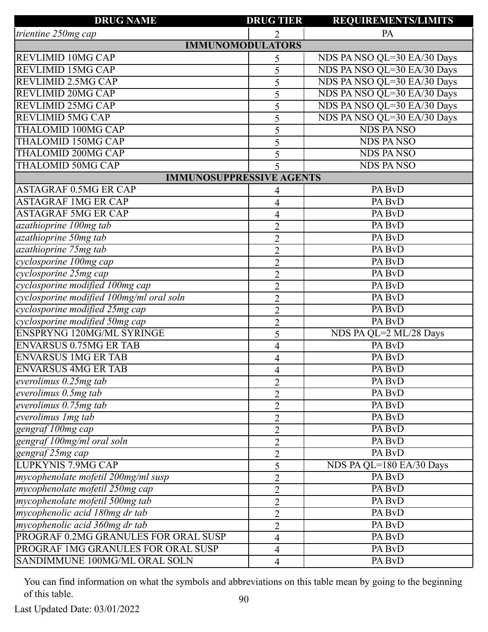| <b>DRUG NAME</b>                         | <b>DRUG TIER</b> | <b>REQUIREMENTS/LIMITS</b>  |
|------------------------------------------|------------------|-----------------------------|
| trientine 250mg cap                      |                  | PA                          |
| <b>IMMUNOMODULATORS</b>                  |                  |                             |
| <b>REVLIMID 10MG CAP</b>                 | 5                | NDS PA NSO QL=30 EA/30 Days |
| <b>REVLIMID 15MG CAP</b>                 | 5                | NDS PA NSO QL=30 EA/30 Days |
| <b>REVLIMID 2.5MG CAP</b>                | 5                | NDS PA NSO QL=30 EA/30 Days |
| <b>REVLIMID 20MG CAP</b>                 | 5                | NDS PA NSO QL=30 EA/30 Days |
| <b>REVLIMID 25MG CAP</b>                 | 5                | NDS PA NSO QL=30 EA/30 Days |
| <b>REVLIMID 5MG CAP</b>                  | 5                | NDS PA NSO QL=30 EA/30 Days |
| <b>THALOMID 100MG CAP</b>                | 5                | <b>NDS PANSO</b>            |
| <b>THALOMID 150MG CAP</b>                | 5                | <b>NDS PANSO</b>            |
| <b>THALOMID 200MG CAP</b>                | 5                | <b>NDS PANSO</b>            |
| <b>THALOMID 50MG CAP</b>                 | 5                | <b>NDS PANSO</b>            |
| <b>IMMUNOSUPPRESSIVE AGENTS</b>          |                  |                             |
| <b>ASTAGRAF 0.5MG ER CAP</b>             | 4                | PA BvD                      |
| <b>ASTAGRAF 1MG ER CAP</b>               | 4                | PA BvD                      |
| <b>ASTAGRAF 5MG ER CAP</b>               | 4                | PA BvD                      |
| azathioprine 100mg tab                   | $\overline{2}$   | PA BvD                      |
| azathioprine 50mg tab                    | $\overline{2}$   | PA BvD                      |
| azathioprine 75mg tab                    | $\overline{2}$   | PA BvD                      |
| cyclosporine 100mg cap                   | $\overline{2}$   | PA BvD                      |
| cyclosporine 25mg cap                    | $\overline{2}$   | PA BvD                      |
| cyclosporine modified 100mg cap          | $\overline{2}$   | PA BvD                      |
| cyclosporine modified 100mg/ml oral soln | $\overline{2}$   | PA BvD                      |
| cyclosporine modified 25mg cap           | $\overline{2}$   | PA BvD                      |
| cyclosporine modified 50mg cap           | $\overline{2}$   | PA BvD                      |
| <b>ENSPRYNG 120MG/ML SYRINGE</b>         | 5                | NDS PA QL=2 ML/28 Days      |
| <b>ENVARSUS 0.75MG ER TAB</b>            | $\overline{4}$   | PA BvD                      |
| <b>ENVARSUS 1MG ER TAB</b>               | 4                | PA BvD                      |
| <b>ENVARSUS 4MG ER TAB</b>               | 4                | PA BvD                      |
| everolimus $0.25mg$ tab                  | $\overline{2}$   | PA BvD                      |
| everolimus $0.5mg$ tab                   | $\overline{2}$   | PA BvD                      |
| everolimus $0.75mg$ tab                  | $\overline{2}$   | PA BvD                      |
| everolimus 1mg tab                       | $\overline{2}$   | PA BvD                      |
| gengraf 100mg cap                        | $\overline{2}$   | PA BvD                      |
| gengraf 100mg/ml oral soln               | $\overline{2}$   | PA BvD                      |
| gengraf 25mg cap                         | $\overline{2}$   | PA BvD                      |
| <b>LUPKYNIS 7.9MG CAP</b>                | 5                | NDS PA QL=180 EA/30 Days    |
| mycophenolate mofetil 200mg/ml susp      | $\overline{2}$   | PA BvD                      |
| mycophenolate mofetil 250mg cap          | $\overline{2}$   | PA BvD                      |
| mycophenolate mofetil 500mg tab          | $\overline{2}$   | PA BvD                      |
| mycophenolic acid 180mg dr tab           | $\overline{2}$   | PA BvD                      |
| mycophenolic acid 360mg dr tab           | $\overline{2}$   | PA BvD                      |
| PROGRAF 0.2MG GRANULES FOR ORAL SUSP     | $\overline{4}$   | PA BvD                      |
| PROGRAF 1MG GRANULES FOR ORAL SUSP       | 4                | PA BvD                      |
| SANDIMMUNE 100MG/ML ORAL SOLN            | $\overline{4}$   | PA BvD                      |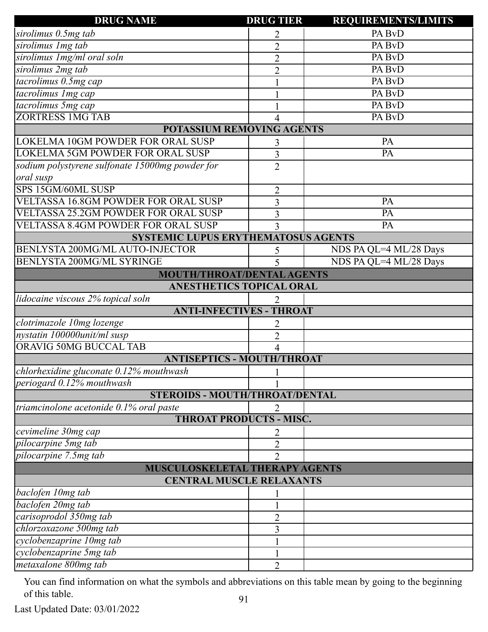| <b>DRUG NAME</b>                                    | <b>DRUG TIER</b> | <b>REQUIREMENTS/LIMITS</b> |  |
|-----------------------------------------------------|------------------|----------------------------|--|
| sirolimus 0.5mg tab                                 |                  | PA BvD                     |  |
| sirolimus Img tab                                   | $\overline{2}$   | PA BvD                     |  |
| sirolimus 1mg/ml oral soln                          | $\overline{2}$   | PA BvD                     |  |
| sirolimus 2mg tab                                   | $\overline{2}$   | PA BvD                     |  |
| tacrolimus 0.5mg cap                                |                  | PA BvD                     |  |
| tacrolimus Img cap                                  |                  | PA BvD                     |  |
| tacrolimus 5mg cap                                  |                  | PA BvD                     |  |
| <b>ZORTRESS 1MG TAB</b>                             |                  | PA BvD                     |  |
| <b>POTASSIUM REMOVING AGENTS</b>                    |                  |                            |  |
| LOKELMA 10GM POWDER FOR ORAL SUSP                   | 3                | PA                         |  |
| LOKELMA 5GM POWDER FOR ORAL SUSP                    | 3                | PA                         |  |
| sodium polystyrene sulfonate 15000mg powder for     | $\overline{2}$   |                            |  |
| oral susp                                           |                  |                            |  |
| SPS 15GM/60ML SUSP                                  | $\overline{2}$   |                            |  |
| <b>VELTASSA 16.8GM POWDER FOR ORAL SUSP</b>         | 3                | PA                         |  |
| <b>VELTASSA 25.2GM POWDER FOR ORAL SUSP</b>         | 3                | PA                         |  |
| <b>VELTASSA 8.4GM POWDER FOR ORAL SUSP</b>          | 3                | PA                         |  |
| <b>SYSTEMIC LUPUS ERYTHEMATOSUS AGENTS</b>          |                  |                            |  |
| BENLYSTA 200MG/ML AUTO-INJECTOR                     | 5                | NDS PA QL=4 ML/28 Days     |  |
| BENLYSTA 200MG/ML SYRINGE                           | 5                | NDS PA QL=4 ML/28 Days     |  |
| <b>MOUTH/THROAT/DENTAL AGENTS</b>                   |                  |                            |  |
| ANESTHETICS TOPICAL ORAL                            |                  |                            |  |
| lidocaine viscous 2% topical soln                   |                  |                            |  |
| <b>ANTI-INFECTIVES - THROAT</b>                     |                  |                            |  |
| clotrimazole 10mg lozenge                           | 2                |                            |  |
| nystatin 100000unit/ml susp                         | $\overline{2}$   |                            |  |
| ORAVIG 50MG BUCCAL TAB                              | 4                |                            |  |
| <b>ANTISEPTICS - MOUTH/THROAT</b>                   |                  |                            |  |
| chlorhexidine gluconate 0.12% mouthwash             |                  |                            |  |
| periogard 0.12% mouthwash                           |                  |                            |  |
| <b>STEROIDS - MOUTH/THROAT/DENTAL</b>               |                  |                            |  |
| triamcinolone acetonide 0.1% oral paste             |                  |                            |  |
| <b>THROAT PRODUCTS - MISC.</b>                      |                  |                            |  |
| cevimeline 30mg cap                                 | 2                |                            |  |
| pilocarpine 5mg tab                                 | $\overline{2}$   |                            |  |
| pilocarpine 7.5mg tab                               | $\mathfrak{D}$   |                            |  |
| <b>MUSCULOSKELETAL THERAPY AGENTS</b>               |                  |                            |  |
| <b>CENTRAL MUSCLE RELAXANTS</b>                     |                  |                            |  |
| baclofen 10mg tab                                   |                  |                            |  |
| baclofen 20mg tab                                   |                  |                            |  |
| carisoprodol 350mg tab                              | $\overline{2}$   |                            |  |
| chlorzoxazone 500mg tab                             | 3                |                            |  |
|                                                     |                  |                            |  |
|                                                     |                  |                            |  |
| cyclobenzaprine 10mg tab<br>cyclobenzaprine 5mg tab |                  |                            |  |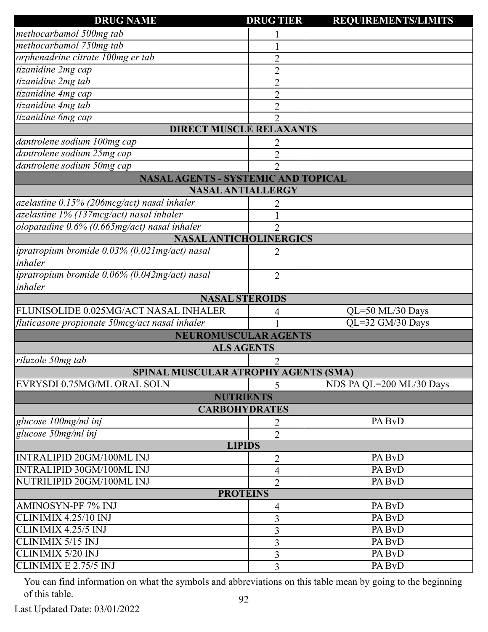| <b>DRUG NAME</b>                               | <b>DRUG TIER</b>            | <b>REQUIREMENTS/LIMITS</b> |
|------------------------------------------------|-----------------------------|----------------------------|
| methocarbamol 500mg tab                        |                             |                            |
| methocarbamol 750mg tab                        |                             |                            |
| orphenadrine citrate 100mg er tab              | $\overline{2}$              |                            |
| tizanidine 2mg cap                             | $\overline{2}$              |                            |
| tizanidine 2mg tab                             | 2                           |                            |
| tizanidine 4mg cap                             | $\overline{2}$              |                            |
| tizanidine 4mg tab                             | 2                           |                            |
| tizanidine 6mg cap                             | $\overline{2}$              |                            |
| <b>DIRECT MUSCLE RELAXANTS</b>                 |                             |                            |
| dantrolene sodium 100mg cap                    |                             |                            |
| dantrolene sodium 25mg cap                     | $\overline{2}$              |                            |
| dantrolene sodium 50mg cap                     | $\mathcal{D}_{\mathcal{L}}$ |                            |
| <b>NASAL AGENTS - SYSTEMIC AND TOPICAL</b>     |                             |                            |
| <b>NASAL ANTIALLERGY</b>                       |                             |                            |
| azelastine 0.15% (206mcg/act) nasal inhaler    |                             |                            |
| azelastine 1% (137mcg/act) nasal inhaler       |                             |                            |
| olopatadine 0.6% (0.665mg/act) nasal inhaler   | $\overline{2}$              |                            |
| <b>NASAL ANTICHOLINERGICS</b>                  |                             |                            |
| ipratropium bromide 0.03% (0.021mg/act) nasal  | 2                           |                            |
| inhaler                                        |                             |                            |
| ipratropium bromide 0.06% (0.042mg/act) nasal  | $\overline{2}$              |                            |
| inhaler                                        |                             |                            |
| <b>NASAL STEROIDS</b>                          |                             |                            |
| FLUNISOLIDE 0.025MG/ACT NASAL INHALER          | 4                           | QL=50 ML/30 Days           |
| fluticasone propionate 50mcg/act nasal inhaler |                             | QL=32 GM/30 Days           |
| <b>NEUROMUSCULAR AGENTS</b>                    |                             |                            |
| <b>ALS AGENTS</b>                              |                             |                            |
| riluzole 50mg tab                              | 2                           |                            |
| SPINAL MUSCULAR ATROPHY AGENTS (SMA)           |                             |                            |
| EVRYSDI 0.75MG/ML ORAL SOLN                    | 5                           | NDS PA QL=200 ML/30 Days   |
| <b>NUTRIENTS</b>                               |                             |                            |
| <b>CARBOHYDRATES</b>                           |                             |                            |
| glucose 100mg/ml inj                           | 2                           | PA BvD                     |
| glucose 50mg/ml inj                            | $\overline{2}$              |                            |
| <b>LIPIDS</b>                                  |                             |                            |
| <b>INTRALIPID 20GM/100ML INJ</b>               | $\overline{2}$              | PA BvD                     |
| <b>INTRALIPID 30GM/100ML INJ</b>               | 4                           | PA BvD                     |
| NUTRILIPID 20GM/100ML INJ                      | $\overline{2}$              | PA BvD                     |
| <b>PROTEINS</b>                                |                             |                            |
| AMINOSYN-PF 7% INJ                             | 4                           | PA BvD                     |
| CLINIMIX 4.25/10 INJ                           | 3                           | PA BvD                     |
| CLINIMIX 4.25/5 INJ                            | 3                           | PA BvD                     |
| CLINIMIX 5/15 INJ                              | 3                           | PA BvD                     |
| <b>CLINIMIX 5/20 INJ</b>                       |                             | PA BvD                     |
| CLINIMIX E 2.75/5 INJ                          | 3                           |                            |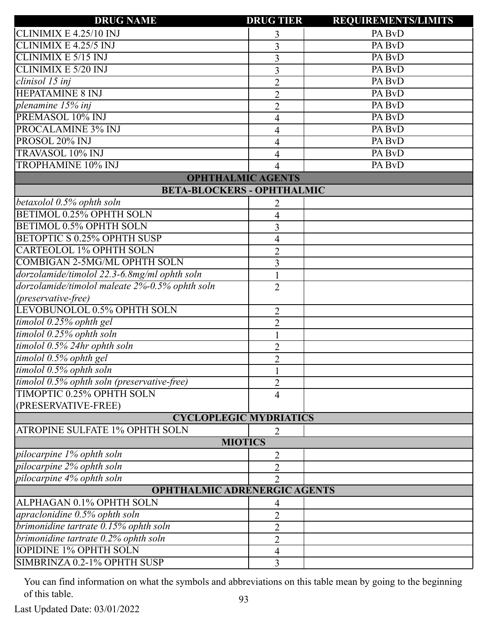| <b>DRUG NAME</b>                               | <b>DRUG TIER</b> | <b>REQUIREMENTS/LIMITS</b> |
|------------------------------------------------|------------------|----------------------------|
| CLINIMIX E 4.25/10 INJ                         | 3                | PA BvD                     |
| CLINIMIX E 4.25/5 INJ                          | 3                | PA BvD                     |
| <b>CLINIMIX E 5/15 INJ</b>                     | 3                | PA BvD                     |
| <b>CLINIMIX E 5/20 INJ</b>                     | 3                | PA BvD                     |
| clinisol 15 inj                                | $\overline{2}$   | PA BvD                     |
| <b>HEPATAMINE 8 INJ</b>                        | $\overline{2}$   | PA BvD                     |
| plenamine 15% inj                              | $\overline{2}$   | PA BvD                     |
| PREMASOL 10% INJ                               | 4                | PA BvD                     |
| PROCALAMINE 3% INJ                             | 4                | PA BvD                     |
| PROSOL 20% INJ                                 | 4                | PA BvD                     |
| TRAVASOL 10% INJ                               | 4                | PA BvD                     |
| <b>TROPHAMINE 10% INJ</b>                      | 4                | PA BvD                     |
| <b>OPHTHALMIC AGENTS</b>                       |                  |                            |
| <b>BETA-BLOCKERS - OPHTHALMIC</b>              |                  |                            |
| betaxolol 0.5% ophth soln                      | 2                |                            |
| <b>BETIMOL 0.25% OPHTH SOLN</b>                | 4                |                            |
| BETIMOL 0.5% OPHTH SOLN                        | 3                |                            |
| <b>BETOPTIC S 0.25% OPHTH SUSP</b>             | 4                |                            |
| <b>CARTEOLOL 1% OPHTH SOLN</b>                 | $\overline{2}$   |                            |
| <b>COMBIGAN 2-5MG/ML OPHTH SOLN</b>            | 3                |                            |
| dorzolamide/timolol 22.3-6.8mg/ml ophth soln   | $\mathbf{1}$     |                            |
| dorzolamide/timolol maleate 2%-0.5% ophth soln | $\overline{2}$   |                            |
| (preservative-free)                            |                  |                            |
| LEVOBUNOLOL 0.5% OPHTH SOLN                    | $\overline{2}$   |                            |
| timolol 0.25% ophth gel                        | $\overline{2}$   |                            |
| timolol 0.25% ophth soln                       | 1                |                            |
| timolol 0.5% 24hr ophth soln                   | $\overline{2}$   |                            |
| timolol 0.5% ophth gel                         | $\overline{2}$   |                            |
| timolol 0.5% ophth soln                        |                  |                            |
| timolol 0.5% ophth soln (preservative-free)    | $\overline{2}$   |                            |
| TIMOPTIC 0.25% OPHTH SOLN                      | $\overline{4}$   |                            |
| (PRESERVATIVE-FREE)                            |                  |                            |
| <b>CYCLOPLEGIC MYDRIATICS</b>                  |                  |                            |
| ATROPINE SULFATE 1% OPHTH SOLN                 | 2                |                            |
| <b>MIOTICS</b>                                 |                  |                            |
| pilocarpine 1% ophth soln                      | 2                |                            |
| pilocarpine 2% ophth soln                      | 2                |                            |
| pilocarpine 4% ophth soln                      | $\overline{2}$   |                            |
| <b>OPHTHALMIC ADRENERGIC AGENTS</b>            |                  |                            |
| ALPHAGAN 0.1% OPHTH SOLN                       | 4                |                            |
| apraclonidine 0.5% ophth soln                  | 2                |                            |
| brimonidine tartrate 0.15% ophth soln          | $\overline{2}$   |                            |
| brimonidine tartrate 0.2% ophth soln           | $\overline{2}$   |                            |
| <b>IOPIDINE 1% OPHTH SOLN</b>                  | 4                |                            |
| SIMBRINZA 0.2-1% OPHTH SUSP                    | 3                |                            |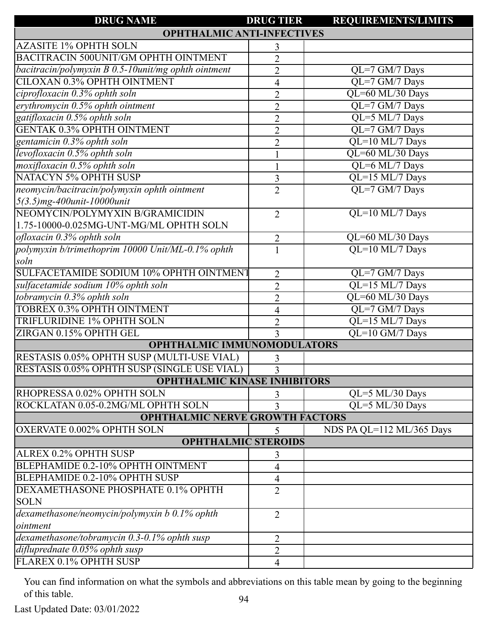| <b>DRUG NAME</b>                                    | <b>DRUG TIER</b> | <b>REQUIREMENTS/LIMITS</b>              |  |
|-----------------------------------------------------|------------------|-----------------------------------------|--|
| <b>OPHTHALMIC ANTI-INFECTIVES</b>                   |                  |                                         |  |
| <b>AZASITE 1% OPHTH SOLN</b>                        | 3                |                                         |  |
| BACITRACIN 500UNIT/GM OPHTH OINTMENT                | $\overline{2}$   |                                         |  |
| bacitracin/polymyxin B 0.5-10unit/mg ophth ointment | $\overline{2}$   | QL=7 GM/7 Days                          |  |
| CILOXAN 0.3% OPHTH OINTMENT                         | $\overline{4}$   | QL=7 GM/7 Days                          |  |
| ciprofloxacin 0.3% ophth soln                       | $\overline{2}$   | QL=60 ML/30 Days                        |  |
| erythromycin 0.5% ophth ointment                    | $\overline{2}$   | QL=7 GM/7 Days                          |  |
| gatifloxacin 0.5% ophth soln                        | $\overline{2}$   | QL=5 ML/7 Days                          |  |
| <b>GENTAK 0.3% OPHTH OINTMENT</b>                   | $\overline{2}$   | QL=7 GM/7 Days                          |  |
| gentamicin 0.3% ophth soln                          | $\overline{2}$   | QL=10 ML/7 Days                         |  |
| levofloxacin 0.5% ophth soln                        |                  | QL=60 ML/30 Days                        |  |
| moxifloxacin 0.5% ophth soln                        |                  | QL=6 ML/7 Days                          |  |
| <b>NATACYN 5% OPHTH SUSP</b>                        | 3                | QL=15 ML/7 Days                         |  |
| neomycin/bacitracin/polymyxin ophth ointment        | $\overline{2}$   | QL=7 GM/7 Days                          |  |
| 5(3.5)mg-400unit-10000unit                          |                  |                                         |  |
| NEOMYCIN/POLYMYXIN B/GRAMICIDIN                     | $\overline{2}$   | QL=10 ML/7 Days                         |  |
| 1.75-10000-0.025MG-UNT-MG/ML OPHTH SOLN             |                  |                                         |  |
| ofloxacin 0.3% ophth soln                           | $\overline{2}$   | QL=60 ML/30 Days                        |  |
| polymyxin b/trimethoprim 10000 Unit/ML-0.1% ophth   |                  | QL=10 ML/7 Days                         |  |
| soln                                                |                  |                                         |  |
| SULFACETAMIDE SODIUM 10% OPHTH OINTMENT             | 2                | $QL=7$ GM/7 Days                        |  |
| sulfacetamide sodium 10% ophth soln                 | $\overline{2}$   | $\overline{QL=}15 \overline{ML/7}$ Days |  |
| tobramycin 0.3% ophth soln                          | $\overline{2}$   | QL=60 ML/30 Days                        |  |
| TOBREX 0.3% OPHTH OINTMENT                          | 4                | QL=7 GM/7 Days                          |  |
| TRIFLURIDINE 1% OPHTH SOLN                          | $\overline{2}$   | QL=15 ML/7 Days                         |  |
| ZIRGAN 0.15% OPHTH GEL                              | 3                | QL=10 GM/7 Days                         |  |
| <b>OPHTHALMIC IMMUNOMODULATORS</b>                  |                  |                                         |  |
| RESTASIS 0.05% OPHTH SUSP (MULTI-USE VIAL)          | 3                |                                         |  |
| RESTASIS 0.05% OPHTH SUSP (SINGLE USE VIAL)         | $\overline{3}$   |                                         |  |
| <b>OPHTHALMIC KINASE INHIBITORS</b>                 |                  |                                         |  |
| RHOPRESSA 0.02% OPHTH SOLN                          | 3                | $QL = 5 ML/30$ Days                     |  |
| ROCKLATAN 0.05-0.2MG/ML OPHTH SOLN                  | 3                | QL=5 ML/30 Days                         |  |
| <b>OPHTHALMIC NERVE GROWTH FACTORS</b>              |                  |                                         |  |
| <b>OXERVATE 0.002% OPHTH SOLN</b>                   | 5                | NDS PA QL=112 ML/365 Days               |  |
| <b>OPHTHALMIC STEROIDS</b>                          |                  |                                         |  |
| <b>ALREX 0.2% OPHTH SUSP</b>                        | 3                |                                         |  |
| BLEPHAMIDE 0.2-10% OPHTH OINTMENT                   | 4                |                                         |  |
| BLEPHAMIDE 0.2-10% OPHTH SUSP                       | $\overline{4}$   |                                         |  |
| DEXAMETHASONE PHOSPHATE 0.1% OPHTH                  | $\overline{2}$   |                                         |  |
| <b>SOLN</b>                                         |                  |                                         |  |
| $de$ xamethasone/neomycin/polymyxin b 0.1% ophth    | $\overline{2}$   |                                         |  |
| ointment                                            |                  |                                         |  |
| dexamethasone/tobramycin 0.3-0.1% ophth susp        | $\overline{2}$   |                                         |  |
| difluprednate 0.05% ophth susp                      | $\overline{2}$   |                                         |  |
| FLAREX 0.1% OPHTH SUSP                              | $\overline{4}$   |                                         |  |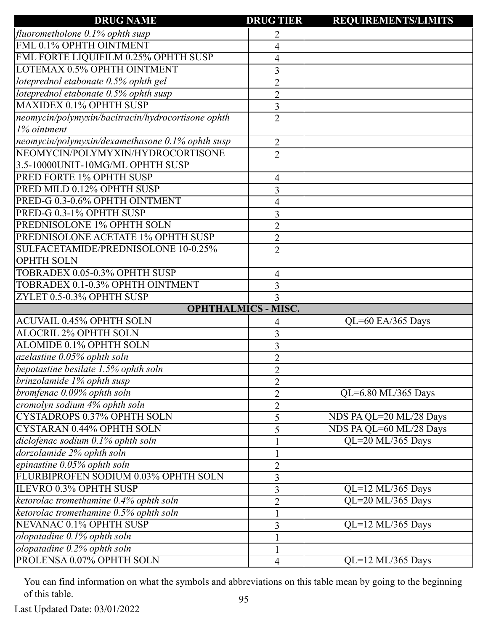| <b>DRUG NAME</b>                                   | <b>DRUG TIER</b>           | <b>REQUIREMENTS/LIMITS</b> |
|----------------------------------------------------|----------------------------|----------------------------|
| fluorometholone 0.1% ophth susp                    | 2                          |                            |
| FML 0.1% OPHTH OINTMENT                            | 4                          |                            |
| FML FORTE LIQUIFILM 0.25% OPHTH SUSP               | 4                          |                            |
| LOTEMAX 0.5% OPHTH OINTMENT                        | 3                          |                            |
| loteprednol etabonate 0.5% ophth gel               | $\overline{2}$             |                            |
| loteprednol etabonate 0.5% ophth susp              | $\overline{2}$             |                            |
| <b>MAXIDEX 0.1% OPHTH SUSP</b>                     | 3                          |                            |
| neomycin/polymyxin/bacitracin/hydrocortisone ophth | $\overline{2}$             |                            |
| 1% ointment                                        |                            |                            |
| neomycin/polymyxin/dexamethasone 0.1% ophth susp   | $\overline{2}$             |                            |
| NEOMYCIN/POLYMYXIN/HYDROCORTISONE                  | $\overline{2}$             |                            |
| 3.5-10000UNIT-10MG/ML OPHTH SUSP                   |                            |                            |
| PRED FORTE 1% OPHTH SUSP                           | 4                          |                            |
| PRED MILD 0.12% OPHTH SUSP                         | 3                          |                            |
| PRED-G 0.3-0.6% OPHTH OINTMENT                     | 4                          |                            |
| PRED-G 0.3-1% OPHTH SUSP                           | 3                          |                            |
| PREDNISOLONE 1% OPHTH SOLN                         | $\overline{2}$             |                            |
| PREDNISOLONE ACETATE 1% OPHTH SUSP                 | $\overline{2}$             |                            |
| SULFACETAMIDE/PREDNISOLONE 10-0.25%                | $\overline{2}$             |                            |
| <b>OPHTH SOLN</b>                                  |                            |                            |
| TOBRADEX 0.05-0.3% OPHTH SUSP                      | 4                          |                            |
| TOBRADEX 0.1-0.3% OPHTH OINTMENT                   | 3                          |                            |
| ZYLET 0.5-0.3% OPHTH SUSP                          | 3                          |                            |
|                                                    | <b>OPHTHALMICS - MISC.</b> |                            |
| <b>ACUVAIL 0.45% OPHTH SOLN</b>                    | 4                          | QL=60 EA/365 Days          |
| <b>ALOCRIL 2% OPHTH SOLN</b>                       | 3                          |                            |
| ALOMIDE 0.1% OPHTH SOLN                            | 3                          |                            |
| azelastine 0.05% ophth soln                        | $\overline{2}$             |                            |
| bepotastine besilate 1.5% ophth soln               | $\overline{2}$             |                            |
| brinzolamide 1% ophth susp                         | $\overline{2}$             |                            |
| bromfenac 0.09% ophth soln                         | $\overline{2}$             | QL=6.80 ML/365 Days        |
| cromolyn sodium 4% ophth soln                      | $\overline{2}$             |                            |
| CYSTADROPS 0.37% OPHTH SOLN                        | 5                          | NDS PA QL=20 ML/28 Days    |
| <b>CYSTARAN 0.44% OPHTH SOLN</b>                   | 5                          | NDS PA QL=60 ML/28 Days    |
| diclofenac sodium 0.1% ophth soln                  |                            | QL=20 ML/365 Days          |
| dorzolamide 2% ophth soln                          |                            |                            |
| epinastine 0.05% ophth soln                        | $\overline{2}$             |                            |
| FLURBIPROFEN SODIUM 0.03% OPHTH SOLN               | 3                          |                            |
| ILEVRO 0.3% OPHTH SUSP                             | 3                          | QL=12 ML/365 Days          |
| ketorolac tromethamine 0.4% ophth soln             | $\overline{2}$             | QL=20 ML/365 Days          |
| ketorolac tromethamine 0.5% ophth soln             |                            |                            |
| NEVANAC 0.1% OPHTH SUSP                            | 3                          | QL=12 ML/365 Days          |
| olopatadine 0.1% ophth soln                        |                            |                            |
| olopatadine 0.2% ophth soln                        |                            |                            |
| PROLENSA 0.07% OPHTH SOLN                          | 4                          | QL=12 ML/365 Days          |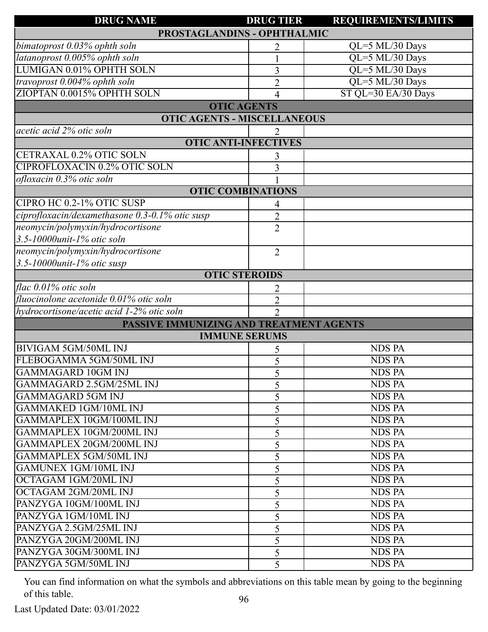| <b>DRUG NAME</b>                               | <b>DRUG TIER</b>            | <b>REQUIREMENTS/LIMITS</b> |
|------------------------------------------------|-----------------------------|----------------------------|
| PROSTAGLANDINS - OPHTHALMIC                    |                             |                            |
| bimatoprost 0.03% ophth soln                   | 2                           | QL=5 ML/30 Days            |
| latanoprost 0.005% ophth soln                  |                             | QL=5 ML/30 Days            |
| LUMIGAN 0.01% OPHTH SOLN                       | 3                           | QL=5 ML/30 Days            |
| travoprost 0.004% ophth soln                   | $\overline{2}$              | QL=5 ML/30 Days            |
| ZIOPTAN 0.0015% OPHTH SOLN                     | 4                           | ST QL=30 EA/30 Days        |
|                                                | <b>OTIC AGENTS</b>          |                            |
| <b>OTIC AGENTS - MISCELLANEOUS</b>             |                             |                            |
| acetic acid 2% otic soln                       |                             |                            |
|                                                | <b>OTIC ANTI-INFECTIVES</b> |                            |
| CETRAXAL 0.2% OTIC SOLN                        | 3                           |                            |
| <b>CIPROFLOXACIN 0.2% OTIC SOLN</b>            | 3                           |                            |
| ofloxacin 0.3% otic soln                       |                             |                            |
|                                                | <b>OTIC COMBINATIONS</b>    |                            |
| CIPRO HC 0.2-1% OTIC SUSP                      | 4                           |                            |
| ciprofloxacin/dexamethasone 0.3-0.1% otic susp | $\overline{2}$              |                            |
| neomycin/polymyxin/hydrocortisone              | $\overline{2}$              |                            |
| $3.5$ -10000unit-1% otic soln                  |                             |                            |
| neomycin/polymyxin/hydrocortisone              | $\overline{2}$              |                            |
| 3.5-10000 $unit-1\%$ otic susp                 |                             |                            |
|                                                | <b>OTIC STEROIDS</b>        |                            |
| flac 0.01% otic soln                           | 2                           |                            |
| fluocinolone acetonide 0.01% otic soln         | $\overline{2}$              |                            |
| hydrocortisone/acetic acid 1-2% otic soln      | $\overline{2}$              |                            |
| PASSIVE IMMUNIZING AND TREATMENT AGENTS        |                             |                            |
|                                                | <b>IMMUNE SERUMS</b>        |                            |
| <b>BIVIGAM 5GM/50ML INJ</b>                    | 5                           | <b>NDS PA</b>              |
| FLEBOGAMMA 5GM/50ML INJ                        | 5                           | <b>NDS PA</b>              |
| GAMMAGARD 10GM INJ                             | 5                           | NDS PA                     |
| GAMMAGARD 2.5GM/25ML INJ                       | 5                           | <b>NDS PA</b>              |
| GAMMAGARD 5GM INJ                              | 5                           | <b>NDS PA</b>              |
| <b>GAMMAKED 1GM/10ML INJ</b>                   | 5                           | <b>NDS PA</b>              |
| GAMMAPLEX 10GM/100ML INJ                       | 5                           | <b>NDS PA</b>              |
| GAMMAPLEX 10GM/200ML INJ                       | 5                           | <b>NDS PA</b>              |
| GAMMAPLEX 20GM/200ML INJ                       | 5                           | <b>NDS PA</b>              |
| <b>GAMMAPLEX 5GM/50ML INJ</b>                  | 5                           | <b>NDS PA</b>              |
| <b>GAMUNEX 1GM/10ML INJ</b>                    | 5                           | <b>NDS PA</b>              |
| OCTAGAM 1GM/20ML INJ                           | 5                           | <b>NDS PA</b>              |
| OCTAGAM 2GM/20ML INJ                           | 5                           | <b>NDS PA</b>              |
| PANZYGA 10GM/100ML INJ                         | 5                           | <b>NDS PA</b>              |
| PANZYGA 1GM/10ML INJ                           | 5                           | <b>NDS PA</b>              |
| PANZYGA 2.5GM/25ML INJ                         | 5                           | <b>NDS PA</b>              |
| PANZYGA 20GM/200ML INJ                         | 5                           | <b>NDS PA</b>              |
| PANZYGA 30GM/300ML INJ                         | 5                           | <b>NDS PA</b>              |
| PANZYGA 5GM/50ML INJ                           | 5                           | <b>NDS PA</b>              |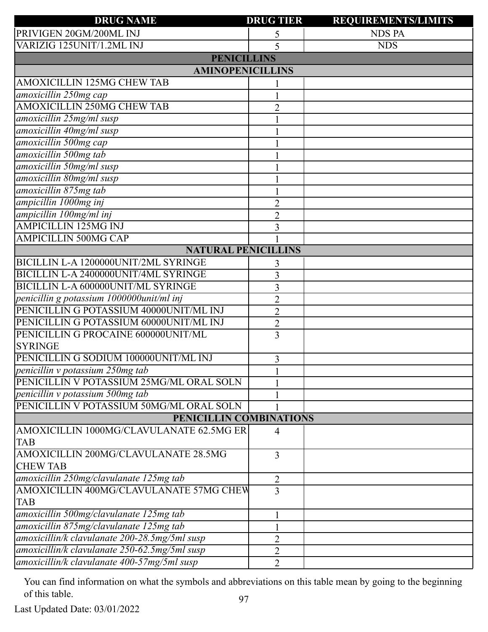| <b>DRUG NAME</b>                              | <b>DRUG TIER</b> | <b>REQUIREMENTS/LIMITS</b> |  |  |
|-----------------------------------------------|------------------|----------------------------|--|--|
| PRIVIGEN 20GM/200ML INJ                       | 5                | <b>NDS PA</b>              |  |  |
| VARIZIG 125UNIT/1.2ML INJ                     | 5                | <b>NDS</b>                 |  |  |
| <b>PENICILLINS</b>                            |                  |                            |  |  |
| <b>AMINOPENICILLINS</b>                       |                  |                            |  |  |
| AMOXICILLIN 125MG CHEW TAB                    |                  |                            |  |  |
| amoxicillin 250mg cap                         |                  |                            |  |  |
| AMOXICILLIN 250MG CHEW TAB                    | $\overline{2}$   |                            |  |  |
| amoxicillin 25mg/ml susp                      |                  |                            |  |  |
| amoxicillin 40mg/ml susp                      |                  |                            |  |  |
| amoxicillin 500mg cap                         |                  |                            |  |  |
| amoxicillin 500mg tab                         |                  |                            |  |  |
| amoxicillin 50mg/ml susp                      |                  |                            |  |  |
| amoxicillin 80mg/ml susp                      |                  |                            |  |  |
| amoxicillin 875mg tab                         |                  |                            |  |  |
| ampicillin 1000mg inj                         | 2                |                            |  |  |
| ampicillin 100mg/ml inj                       | $\overline{c}$   |                            |  |  |
| <b>AMPICILLIN 125MG INJ</b>                   | 3                |                            |  |  |
| <b>AMPICILLIN 500MG CAP</b>                   |                  |                            |  |  |
| <b>NATURAL PENICILLINS</b>                    |                  |                            |  |  |
| BICILLIN L-A 1200000UNIT/2ML SYRINGE          | 3                |                            |  |  |
| BICILLIN L-A 2400000UNIT/4ML SYRINGE          | 3                |                            |  |  |
| <b>BICILLIN L-A 600000UNIT/ML SYRINGE</b>     | 3                |                            |  |  |
| penicillin g potassium 1000000unit/ml inj     | $\overline{2}$   |                            |  |  |
| PENICILLIN G POTASSIUM 40000UNIT/ML INJ       | $\overline{2}$   |                            |  |  |
| PENICILLIN G POTASSIUM 60000UNIT/ML INJ       | $\overline{2}$   |                            |  |  |
| PENICILLIN G PROCAINE 600000UNIT/ML           | 3                |                            |  |  |
| <b>SYRINGE</b>                                |                  |                            |  |  |
| PENICILLIN G SODIUM 100000UNIT/ML INJ         | 3                |                            |  |  |
| penicillin v potassium 250mg tab              | $\mathbf{1}$     |                            |  |  |
| PENICILLIN V POTASSIUM 25MG/ML ORAL SOLN      |                  |                            |  |  |
| penicillin v potassium 500mg tab              |                  |                            |  |  |
| PENICILLIN V POTASSIUM 50MG/ML ORAL SOLN      |                  |                            |  |  |
| PENICILLIN COMBINATIONS                       |                  |                            |  |  |
| AMOXICILLIN 1000MG/CLAVULANATE 62.5MG ER      | $\overline{4}$   |                            |  |  |
| <b>TAB</b>                                    |                  |                            |  |  |
| AMOXICILLIN 200MG/CLAVULANATE 28.5MG          | 3                |                            |  |  |
| <b>CHEW TAB</b>                               |                  |                            |  |  |
| amoxicillin 250mg/clavulanate 125mg tab       | 2                |                            |  |  |
| AMOXICILLIN 400MG/CLAVULANATE 57MG CHEW       | 3                |                            |  |  |
| <b>TAB</b>                                    |                  |                            |  |  |
| amoxicillin 500mg/clavulanate 125mg tab       |                  |                            |  |  |
| amoxicillin 875mg/clavulanate 125mg tab       |                  |                            |  |  |
| amoxicillin/k clavulanate 200-28.5mg/5ml susp | $\overline{2}$   |                            |  |  |
| amoxicillin/k clavulanate 250-62.5mg/5ml susp | $\overline{2}$   |                            |  |  |
| amoxicillin/k clavulanate 400-57mg/5ml susp   | $\overline{2}$   |                            |  |  |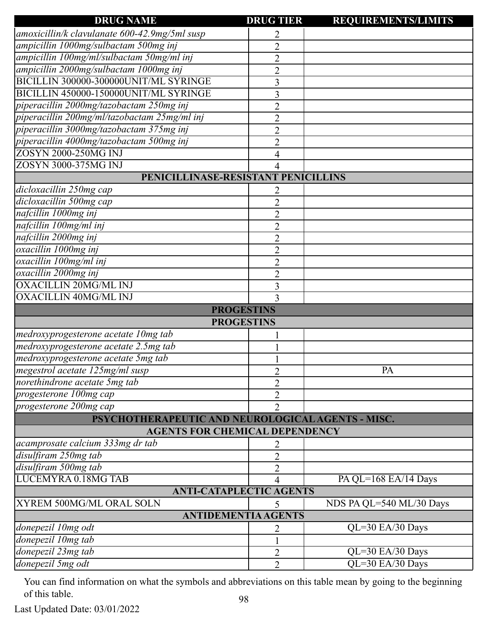| amoxicillin/k clavulanate 600-42.9mg/5ml susp<br>2<br>ampicillin 1000mg/sulbactam 500mg inj<br>$\overline{2}$<br>ampicillin 100mg/ml/sulbactam 50mg/ml inj<br>$\overline{2}$<br>ampicillin 2000mg/sulbactam 1000mg inj<br>$\overline{2}$<br>BICILLIN 300000-300000UNIT/ML SYRINGE<br>3<br>BICILLIN 450000-150000UNIT/ML SYRINGE<br>3<br>piperacillin 2000mg/tazobactam 250mg inj<br>$\overline{2}$<br>piperacillin 200mg/ml/tazobactam 25mg/ml inj<br>$\overline{2}$<br>piperacillin 3000mg/tazobactam 375mg inj<br>$\overline{2}$<br>piperacillin 4000mg/tazobactam 500mg inj<br>$\overline{2}$<br>ZOSYN 2000-250MG INJ<br>4<br>ZOSYN 3000-375MG INJ<br>4<br>PENICILLINASE-RESISTANT PENICILLINS<br>dicloxacillin 250mg cap<br>2<br>dicloxacillin 500mg cap<br>$\overline{2}$<br>nafcillin 1000mg inj<br>$\overline{2}$<br>nafcillin 100mg/ml inj<br>$\overline{2}$<br>nafcillin 2000mg inj<br>$\overline{2}$<br>oxacillin 1000mg inj<br>$\overline{2}$<br>oxacillin 100mg/ml inj<br>$\overline{2}$<br>oxacillin 2000mg inj<br>$\overline{2}$<br><b>OXACILLIN 20MG/ML INJ</b><br>3<br>OXACILLIN 40MG/ML INJ<br>3<br><b>PROGESTINS</b><br><b>PROGESTINS</b><br>medroxyprogesterone acetate 10mg tab<br>medroxyprogesterone acetate 2.5mg tab<br>medroxyprogesterone acetate 5mg tab<br>megestrol acetate 125mg/ml susp<br>PA<br>2<br>norethindrone acetate 5mg tab<br>$\overline{2}$<br>progesterone 100mg cap<br>$\overline{2}$<br>progesterone 200mg cap<br>$\overline{2}$<br>PSYCHOTHERAPEUTIC AND NEUROLOGICAL AGENTS - MISC.<br><b>AGENTS FOR CHEMICAL DEPENDENCY</b><br>acamprosate calcium 333mg dr tab<br>2<br>disulfiram 250mg tab<br>$\overline{2}$<br>disulfiram 500mg tab<br>$\overline{2}$<br><b>LUCEMYRA 0.18MG TAB</b><br>PA QL=168 EA/14 Days<br>4<br><b>ANTI-CATAPLECTIC AGENTS</b><br>XYREM 500MG/ML ORAL SOLN<br>NDS PA QL=540 ML/30 Days<br><b>ANTIDEMENTIA AGENTS</b><br>donepezil 10mg odt<br>$QL=30$ EA/30 Days<br>2<br>donepezil 10mg tab<br>donepezil 23mg tab<br>$QL=30$ EA/30 Days<br>2<br>donepezil 5mg odt<br>QL=30 EA/30 Days<br>$\overline{2}$ | <b>DRUG NAME</b> | <b>DRUG TIER</b> | <b>REQUIREMENTS/LIMITS</b> |
|-------------------------------------------------------------------------------------------------------------------------------------------------------------------------------------------------------------------------------------------------------------------------------------------------------------------------------------------------------------------------------------------------------------------------------------------------------------------------------------------------------------------------------------------------------------------------------------------------------------------------------------------------------------------------------------------------------------------------------------------------------------------------------------------------------------------------------------------------------------------------------------------------------------------------------------------------------------------------------------------------------------------------------------------------------------------------------------------------------------------------------------------------------------------------------------------------------------------------------------------------------------------------------------------------------------------------------------------------------------------------------------------------------------------------------------------------------------------------------------------------------------------------------------------------------------------------------------------------------------------------------------------------------------------------------------------------------------------------------------------------------------------------------------------------------------------------------------------------------------------------------------------------------------------------------------------------------------------------------------------------------------------------------------------------------------------------------|------------------|------------------|----------------------------|
|                                                                                                                                                                                                                                                                                                                                                                                                                                                                                                                                                                                                                                                                                                                                                                                                                                                                                                                                                                                                                                                                                                                                                                                                                                                                                                                                                                                                                                                                                                                                                                                                                                                                                                                                                                                                                                                                                                                                                                                                                                                                               |                  |                  |                            |
|                                                                                                                                                                                                                                                                                                                                                                                                                                                                                                                                                                                                                                                                                                                                                                                                                                                                                                                                                                                                                                                                                                                                                                                                                                                                                                                                                                                                                                                                                                                                                                                                                                                                                                                                                                                                                                                                                                                                                                                                                                                                               |                  |                  |                            |
|                                                                                                                                                                                                                                                                                                                                                                                                                                                                                                                                                                                                                                                                                                                                                                                                                                                                                                                                                                                                                                                                                                                                                                                                                                                                                                                                                                                                                                                                                                                                                                                                                                                                                                                                                                                                                                                                                                                                                                                                                                                                               |                  |                  |                            |
|                                                                                                                                                                                                                                                                                                                                                                                                                                                                                                                                                                                                                                                                                                                                                                                                                                                                                                                                                                                                                                                                                                                                                                                                                                                                                                                                                                                                                                                                                                                                                                                                                                                                                                                                                                                                                                                                                                                                                                                                                                                                               |                  |                  |                            |
|                                                                                                                                                                                                                                                                                                                                                                                                                                                                                                                                                                                                                                                                                                                                                                                                                                                                                                                                                                                                                                                                                                                                                                                                                                                                                                                                                                                                                                                                                                                                                                                                                                                                                                                                                                                                                                                                                                                                                                                                                                                                               |                  |                  |                            |
|                                                                                                                                                                                                                                                                                                                                                                                                                                                                                                                                                                                                                                                                                                                                                                                                                                                                                                                                                                                                                                                                                                                                                                                                                                                                                                                                                                                                                                                                                                                                                                                                                                                                                                                                                                                                                                                                                                                                                                                                                                                                               |                  |                  |                            |
|                                                                                                                                                                                                                                                                                                                                                                                                                                                                                                                                                                                                                                                                                                                                                                                                                                                                                                                                                                                                                                                                                                                                                                                                                                                                                                                                                                                                                                                                                                                                                                                                                                                                                                                                                                                                                                                                                                                                                                                                                                                                               |                  |                  |                            |
|                                                                                                                                                                                                                                                                                                                                                                                                                                                                                                                                                                                                                                                                                                                                                                                                                                                                                                                                                                                                                                                                                                                                                                                                                                                                                                                                                                                                                                                                                                                                                                                                                                                                                                                                                                                                                                                                                                                                                                                                                                                                               |                  |                  |                            |
|                                                                                                                                                                                                                                                                                                                                                                                                                                                                                                                                                                                                                                                                                                                                                                                                                                                                                                                                                                                                                                                                                                                                                                                                                                                                                                                                                                                                                                                                                                                                                                                                                                                                                                                                                                                                                                                                                                                                                                                                                                                                               |                  |                  |                            |
|                                                                                                                                                                                                                                                                                                                                                                                                                                                                                                                                                                                                                                                                                                                                                                                                                                                                                                                                                                                                                                                                                                                                                                                                                                                                                                                                                                                                                                                                                                                                                                                                                                                                                                                                                                                                                                                                                                                                                                                                                                                                               |                  |                  |                            |
|                                                                                                                                                                                                                                                                                                                                                                                                                                                                                                                                                                                                                                                                                                                                                                                                                                                                                                                                                                                                                                                                                                                                                                                                                                                                                                                                                                                                                                                                                                                                                                                                                                                                                                                                                                                                                                                                                                                                                                                                                                                                               |                  |                  |                            |
|                                                                                                                                                                                                                                                                                                                                                                                                                                                                                                                                                                                                                                                                                                                                                                                                                                                                                                                                                                                                                                                                                                                                                                                                                                                                                                                                                                                                                                                                                                                                                                                                                                                                                                                                                                                                                                                                                                                                                                                                                                                                               |                  |                  |                            |
|                                                                                                                                                                                                                                                                                                                                                                                                                                                                                                                                                                                                                                                                                                                                                                                                                                                                                                                                                                                                                                                                                                                                                                                                                                                                                                                                                                                                                                                                                                                                                                                                                                                                                                                                                                                                                                                                                                                                                                                                                                                                               |                  |                  |                            |
|                                                                                                                                                                                                                                                                                                                                                                                                                                                                                                                                                                                                                                                                                                                                                                                                                                                                                                                                                                                                                                                                                                                                                                                                                                                                                                                                                                                                                                                                                                                                                                                                                                                                                                                                                                                                                                                                                                                                                                                                                                                                               |                  |                  |                            |
|                                                                                                                                                                                                                                                                                                                                                                                                                                                                                                                                                                                                                                                                                                                                                                                                                                                                                                                                                                                                                                                                                                                                                                                                                                                                                                                                                                                                                                                                                                                                                                                                                                                                                                                                                                                                                                                                                                                                                                                                                                                                               |                  |                  |                            |
|                                                                                                                                                                                                                                                                                                                                                                                                                                                                                                                                                                                                                                                                                                                                                                                                                                                                                                                                                                                                                                                                                                                                                                                                                                                                                                                                                                                                                                                                                                                                                                                                                                                                                                                                                                                                                                                                                                                                                                                                                                                                               |                  |                  |                            |
|                                                                                                                                                                                                                                                                                                                                                                                                                                                                                                                                                                                                                                                                                                                                                                                                                                                                                                                                                                                                                                                                                                                                                                                                                                                                                                                                                                                                                                                                                                                                                                                                                                                                                                                                                                                                                                                                                                                                                                                                                                                                               |                  |                  |                            |
|                                                                                                                                                                                                                                                                                                                                                                                                                                                                                                                                                                                                                                                                                                                                                                                                                                                                                                                                                                                                                                                                                                                                                                                                                                                                                                                                                                                                                                                                                                                                                                                                                                                                                                                                                                                                                                                                                                                                                                                                                                                                               |                  |                  |                            |
|                                                                                                                                                                                                                                                                                                                                                                                                                                                                                                                                                                                                                                                                                                                                                                                                                                                                                                                                                                                                                                                                                                                                                                                                                                                                                                                                                                                                                                                                                                                                                                                                                                                                                                                                                                                                                                                                                                                                                                                                                                                                               |                  |                  |                            |
|                                                                                                                                                                                                                                                                                                                                                                                                                                                                                                                                                                                                                                                                                                                                                                                                                                                                                                                                                                                                                                                                                                                                                                                                                                                                                                                                                                                                                                                                                                                                                                                                                                                                                                                                                                                                                                                                                                                                                                                                                                                                               |                  |                  |                            |
|                                                                                                                                                                                                                                                                                                                                                                                                                                                                                                                                                                                                                                                                                                                                                                                                                                                                                                                                                                                                                                                                                                                                                                                                                                                                                                                                                                                                                                                                                                                                                                                                                                                                                                                                                                                                                                                                                                                                                                                                                                                                               |                  |                  |                            |
|                                                                                                                                                                                                                                                                                                                                                                                                                                                                                                                                                                                                                                                                                                                                                                                                                                                                                                                                                                                                                                                                                                                                                                                                                                                                                                                                                                                                                                                                                                                                                                                                                                                                                                                                                                                                                                                                                                                                                                                                                                                                               |                  |                  |                            |
|                                                                                                                                                                                                                                                                                                                                                                                                                                                                                                                                                                                                                                                                                                                                                                                                                                                                                                                                                                                                                                                                                                                                                                                                                                                                                                                                                                                                                                                                                                                                                                                                                                                                                                                                                                                                                                                                                                                                                                                                                                                                               |                  |                  |                            |
|                                                                                                                                                                                                                                                                                                                                                                                                                                                                                                                                                                                                                                                                                                                                                                                                                                                                                                                                                                                                                                                                                                                                                                                                                                                                                                                                                                                                                                                                                                                                                                                                                                                                                                                                                                                                                                                                                                                                                                                                                                                                               |                  |                  |                            |
|                                                                                                                                                                                                                                                                                                                                                                                                                                                                                                                                                                                                                                                                                                                                                                                                                                                                                                                                                                                                                                                                                                                                                                                                                                                                                                                                                                                                                                                                                                                                                                                                                                                                                                                                                                                                                                                                                                                                                                                                                                                                               |                  |                  |                            |
|                                                                                                                                                                                                                                                                                                                                                                                                                                                                                                                                                                                                                                                                                                                                                                                                                                                                                                                                                                                                                                                                                                                                                                                                                                                                                                                                                                                                                                                                                                                                                                                                                                                                                                                                                                                                                                                                                                                                                                                                                                                                               |                  |                  |                            |
|                                                                                                                                                                                                                                                                                                                                                                                                                                                                                                                                                                                                                                                                                                                                                                                                                                                                                                                                                                                                                                                                                                                                                                                                                                                                                                                                                                                                                                                                                                                                                                                                                                                                                                                                                                                                                                                                                                                                                                                                                                                                               |                  |                  |                            |
|                                                                                                                                                                                                                                                                                                                                                                                                                                                                                                                                                                                                                                                                                                                                                                                                                                                                                                                                                                                                                                                                                                                                                                                                                                                                                                                                                                                                                                                                                                                                                                                                                                                                                                                                                                                                                                                                                                                                                                                                                                                                               |                  |                  |                            |
|                                                                                                                                                                                                                                                                                                                                                                                                                                                                                                                                                                                                                                                                                                                                                                                                                                                                                                                                                                                                                                                                                                                                                                                                                                                                                                                                                                                                                                                                                                                                                                                                                                                                                                                                                                                                                                                                                                                                                                                                                                                                               |                  |                  |                            |
|                                                                                                                                                                                                                                                                                                                                                                                                                                                                                                                                                                                                                                                                                                                                                                                                                                                                                                                                                                                                                                                                                                                                                                                                                                                                                                                                                                                                                                                                                                                                                                                                                                                                                                                                                                                                                                                                                                                                                                                                                                                                               |                  |                  |                            |
|                                                                                                                                                                                                                                                                                                                                                                                                                                                                                                                                                                                                                                                                                                                                                                                                                                                                                                                                                                                                                                                                                                                                                                                                                                                                                                                                                                                                                                                                                                                                                                                                                                                                                                                                                                                                                                                                                                                                                                                                                                                                               |                  |                  |                            |
|                                                                                                                                                                                                                                                                                                                                                                                                                                                                                                                                                                                                                                                                                                                                                                                                                                                                                                                                                                                                                                                                                                                                                                                                                                                                                                                                                                                                                                                                                                                                                                                                                                                                                                                                                                                                                                                                                                                                                                                                                                                                               |                  |                  |                            |
|                                                                                                                                                                                                                                                                                                                                                                                                                                                                                                                                                                                                                                                                                                                                                                                                                                                                                                                                                                                                                                                                                                                                                                                                                                                                                                                                                                                                                                                                                                                                                                                                                                                                                                                                                                                                                                                                                                                                                                                                                                                                               |                  |                  |                            |
|                                                                                                                                                                                                                                                                                                                                                                                                                                                                                                                                                                                                                                                                                                                                                                                                                                                                                                                                                                                                                                                                                                                                                                                                                                                                                                                                                                                                                                                                                                                                                                                                                                                                                                                                                                                                                                                                                                                                                                                                                                                                               |                  |                  |                            |
|                                                                                                                                                                                                                                                                                                                                                                                                                                                                                                                                                                                                                                                                                                                                                                                                                                                                                                                                                                                                                                                                                                                                                                                                                                                                                                                                                                                                                                                                                                                                                                                                                                                                                                                                                                                                                                                                                                                                                                                                                                                                               |                  |                  |                            |
|                                                                                                                                                                                                                                                                                                                                                                                                                                                                                                                                                                                                                                                                                                                                                                                                                                                                                                                                                                                                                                                                                                                                                                                                                                                                                                                                                                                                                                                                                                                                                                                                                                                                                                                                                                                                                                                                                                                                                                                                                                                                               |                  |                  |                            |
|                                                                                                                                                                                                                                                                                                                                                                                                                                                                                                                                                                                                                                                                                                                                                                                                                                                                                                                                                                                                                                                                                                                                                                                                                                                                                                                                                                                                                                                                                                                                                                                                                                                                                                                                                                                                                                                                                                                                                                                                                                                                               |                  |                  |                            |
|                                                                                                                                                                                                                                                                                                                                                                                                                                                                                                                                                                                                                                                                                                                                                                                                                                                                                                                                                                                                                                                                                                                                                                                                                                                                                                                                                                                                                                                                                                                                                                                                                                                                                                                                                                                                                                                                                                                                                                                                                                                                               |                  |                  |                            |
|                                                                                                                                                                                                                                                                                                                                                                                                                                                                                                                                                                                                                                                                                                                                                                                                                                                                                                                                                                                                                                                                                                                                                                                                                                                                                                                                                                                                                                                                                                                                                                                                                                                                                                                                                                                                                                                                                                                                                                                                                                                                               |                  |                  |                            |
|                                                                                                                                                                                                                                                                                                                                                                                                                                                                                                                                                                                                                                                                                                                                                                                                                                                                                                                                                                                                                                                                                                                                                                                                                                                                                                                                                                                                                                                                                                                                                                                                                                                                                                                                                                                                                                                                                                                                                                                                                                                                               |                  |                  |                            |
|                                                                                                                                                                                                                                                                                                                                                                                                                                                                                                                                                                                                                                                                                                                                                                                                                                                                                                                                                                                                                                                                                                                                                                                                                                                                                                                                                                                                                                                                                                                                                                                                                                                                                                                                                                                                                                                                                                                                                                                                                                                                               |                  |                  |                            |
|                                                                                                                                                                                                                                                                                                                                                                                                                                                                                                                                                                                                                                                                                                                                                                                                                                                                                                                                                                                                                                                                                                                                                                                                                                                                                                                                                                                                                                                                                                                                                                                                                                                                                                                                                                                                                                                                                                                                                                                                                                                                               |                  |                  |                            |
|                                                                                                                                                                                                                                                                                                                                                                                                                                                                                                                                                                                                                                                                                                                                                                                                                                                                                                                                                                                                                                                                                                                                                                                                                                                                                                                                                                                                                                                                                                                                                                                                                                                                                                                                                                                                                                                                                                                                                                                                                                                                               |                  |                  |                            |
|                                                                                                                                                                                                                                                                                                                                                                                                                                                                                                                                                                                                                                                                                                                                                                                                                                                                                                                                                                                                                                                                                                                                                                                                                                                                                                                                                                                                                                                                                                                                                                                                                                                                                                                                                                                                                                                                                                                                                                                                                                                                               |                  |                  |                            |
|                                                                                                                                                                                                                                                                                                                                                                                                                                                                                                                                                                                                                                                                                                                                                                                                                                                                                                                                                                                                                                                                                                                                                                                                                                                                                                                                                                                                                                                                                                                                                                                                                                                                                                                                                                                                                                                                                                                                                                                                                                                                               |                  |                  |                            |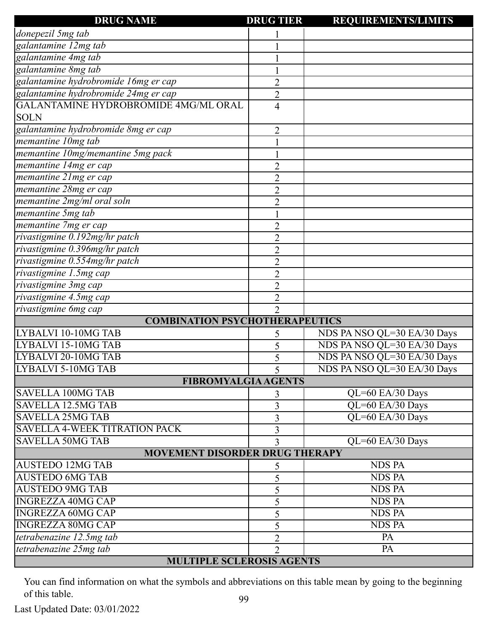| <b>DRUG NAME</b>                            | <b>DRUG TIER</b> | <b>REQUIREMENTS/LIMITS</b>  |  |  |  |
|---------------------------------------------|------------------|-----------------------------|--|--|--|
| donepezil 5mg tab                           |                  |                             |  |  |  |
| galantamine 12mg tab                        |                  |                             |  |  |  |
| galantamine 4mg tab                         |                  |                             |  |  |  |
| galantamine 8mg tab                         |                  |                             |  |  |  |
| galantamine hydrobromide 16mg er cap        | $\overline{c}$   |                             |  |  |  |
| galantamine hydrobromide 24mg er cap        | $\overline{2}$   |                             |  |  |  |
| <b>GALANTAMINE HYDROBROMIDE 4MG/ML ORAL</b> | 4                |                             |  |  |  |
| <b>SOLN</b>                                 |                  |                             |  |  |  |
| galantamine hydrobromide 8mg er cap         | 2                |                             |  |  |  |
| memantine 10mg tab                          |                  |                             |  |  |  |
| memantine 10mg/memantine 5mg pack           |                  |                             |  |  |  |
| memantine 14mg er cap                       | 2                |                             |  |  |  |
| memantine 21mg er cap                       | $\overline{2}$   |                             |  |  |  |
| memantine 28mg er cap                       | $\overline{2}$   |                             |  |  |  |
| memantine 2mg/ml oral soln                  | $\overline{c}$   |                             |  |  |  |
| memantine 5mg tab                           |                  |                             |  |  |  |
| memantine 7mg er cap                        | $\overline{2}$   |                             |  |  |  |
| rivastigmine 0.192mg/hr patch               | 2                |                             |  |  |  |
| rivastigmine 0.396mg/hr patch               | $\overline{c}$   |                             |  |  |  |
| rivastigmine 0.554mg/hr patch               | 2                |                             |  |  |  |
| rivastigmine 1.5mg cap                      | $\overline{2}$   |                             |  |  |  |
| rivastigmine 3mg cap                        | $\overline{2}$   |                             |  |  |  |
| rivastigmine 4.5mg cap                      | 2                |                             |  |  |  |
| rivastigmine 6mg cap                        | $\overline{2}$   |                             |  |  |  |
| <b>COMBINATION PSYCHOTHERAPEUTICS</b>       |                  |                             |  |  |  |
| LYBALVI 10-10MG TAB                         | 5                | NDS PA NSO QL=30 EA/30 Days |  |  |  |
| LYBALVI 15-10MG TAB                         | 5                | NDS PA NSO QL=30 EA/30 Days |  |  |  |
| LYBALVI 20-10MG TAB                         | 5                | NDS PA NSO QL=30 EA/30 Days |  |  |  |
| <b>LYBALVI 5-10MG TAB</b>                   | 5                | NDS PA NSO QL=30 EA/30 Days |  |  |  |
| <b>FIBROMYALGIA AGENTS</b>                  |                  |                             |  |  |  |
| <b>SAVELLA 100MG TAB</b>                    | 3                | QL=60 EA/30 Days            |  |  |  |
| <b>SAVELLA 12.5MG TAB</b>                   | 3                | QL=60 EA/30 Days            |  |  |  |
| <b>SAVELLA 25MG TAB</b>                     | 3                | QL=60 EA/30 Days            |  |  |  |
| <b>SAVELLA 4-WEEK TITRATION PACK</b>        | 3                |                             |  |  |  |
| <b>SAVELLA 50MG TAB</b>                     | 3                | QL=60 EA/30 Days            |  |  |  |
| <b>MOVEMENT DISORDER DRUG THERAPY</b>       |                  |                             |  |  |  |
| <b>AUSTEDO 12MG TAB</b>                     | 5                | <b>NDS PA</b>               |  |  |  |
| <b>AUSTEDO 6MG TAB</b>                      | 5                | <b>NDS PA</b>               |  |  |  |
| <b>AUSTEDO 9MG TAB</b>                      | 5                | <b>NDS PA</b>               |  |  |  |
| <b>INGREZZA 40MG CAP</b>                    | 5                | <b>NDS PA</b>               |  |  |  |
| <b>INGREZZA 60MG CAP</b>                    | 5                | <b>NDS PA</b>               |  |  |  |
| <b>INGREZZA 80MG CAP</b>                    | 5                | <b>NDS PA</b>               |  |  |  |
| tetrabenazine 12.5mg tab                    | $\overline{2}$   | PA                          |  |  |  |
| tetrabenazine 25mg tab                      | $\overline{2}$   | $\overline{PA}$             |  |  |  |
| <b>MULTIPLE SCLEROSIS AGENTS</b>            |                  |                             |  |  |  |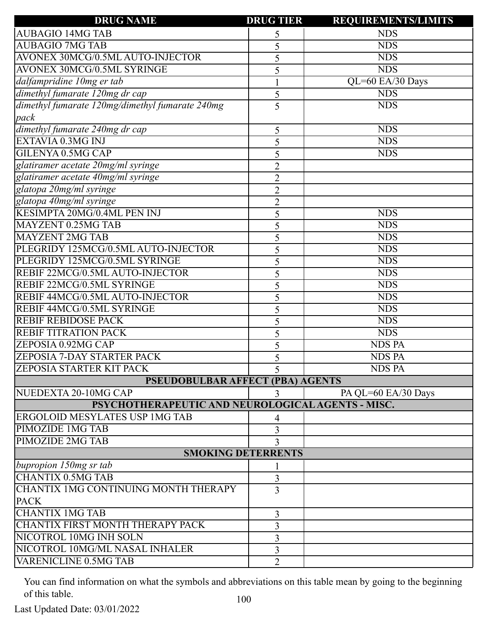| <b>DRUG NAME</b>                                  | <b>DRUG TIER</b> | <b>REQUIREMENTS/LIMITS</b> |  |  |  |
|---------------------------------------------------|------------------|----------------------------|--|--|--|
| <b>AUBAGIO 14MG TAB</b>                           | 5                | <b>NDS</b>                 |  |  |  |
| <b>AUBAGIO 7MG TAB</b>                            | 5                | <b>NDS</b>                 |  |  |  |
| AVONEX 30MCG/0.5ML AUTO-INJECTOR                  | <b>NDS</b><br>5  |                            |  |  |  |
| AVONEX 30MCG/0.5ML SYRINGE                        | <b>NDS</b><br>5  |                            |  |  |  |
| dalfampridine 10mg er tab                         |                  | QL=60 EA/30 Days           |  |  |  |
| dimethyl fumarate 120mg dr cap                    | 5                | <b>NDS</b>                 |  |  |  |
| dimethyl fumarate 120mg/dimethyl fumarate 240mg   | 5                | <b>NDS</b>                 |  |  |  |
| pack                                              |                  |                            |  |  |  |
| dimethyl fumarate 240mg dr cap                    | 5                | <b>NDS</b>                 |  |  |  |
| EXTAVIA 0.3MG INJ                                 | 5                | <b>NDS</b>                 |  |  |  |
| GILENYA 0.5MG CAP                                 | 5                | <b>NDS</b>                 |  |  |  |
| glatiramer acetate 20mg/ml syringe                | $\overline{2}$   |                            |  |  |  |
| glatiramer acetate 40mg/ml syringe                | $\overline{2}$   |                            |  |  |  |
| glatopa 20mg/ml syringe                           | $\overline{2}$   |                            |  |  |  |
| glatopa 40mg/ml syringe                           | $\overline{c}$   |                            |  |  |  |
| <b>KESIMPTA 20MG/0.4ML PEN INJ</b>                | 5                | <b>NDS</b>                 |  |  |  |
| MAYZENT 0.25MG TAB                                | 5                | <b>NDS</b>                 |  |  |  |
| <b>MAYZENT 2MG TAB</b>                            | 5                | <b>NDS</b>                 |  |  |  |
| PLEGRIDY 125MCG/0.5ML AUTO-INJECTOR               | 5                | <b>NDS</b>                 |  |  |  |
| PLEGRIDY 125MCG/0.5ML SYRINGE                     | 5                | <b>NDS</b>                 |  |  |  |
| REBIF 22MCG/0.5ML AUTO-INJECTOR                   | 5                | <b>NDS</b>                 |  |  |  |
| REBIF 22MCG/0.5ML SYRINGE                         | 5                | <b>NDS</b>                 |  |  |  |
| REBIF 44MCG/0.5ML AUTO-INJECTOR                   | 5                | <b>NDS</b>                 |  |  |  |
| REBIF 44MCG/0.5ML SYRINGE                         | 5                | <b>NDS</b>                 |  |  |  |
| <b>REBIF REBIDOSE PACK</b>                        | 5                | <b>NDS</b>                 |  |  |  |
| <b>REBIF TITRATION PACK</b>                       | 5                | <b>NDS</b>                 |  |  |  |
| ZEPOSIA 0.92MG CAP                                | 5                | <b>NDS PA</b>              |  |  |  |
| <b>ZEPOSIA 7-DAY STARTER PACK</b>                 | 5                | <b>NDS PA</b>              |  |  |  |
| <b>ZEPOSIA STARTER KIT PACK</b>                   | 5                | <b>NDS PA</b>              |  |  |  |
| <b>PSEUDOBULBAR AFFECT (PBA) AGENTS</b>           |                  |                            |  |  |  |
| NUEDEXTA 20-10MG CAP                              | 3                | PA QL=60 EA/30 Days        |  |  |  |
| PSYCHOTHERAPEUTIC AND NEUROLOGICAL AGENTS - MISC. |                  |                            |  |  |  |
| <b>ERGOLOID MESYLATES USP 1MG TAB</b>             | 4                |                            |  |  |  |
| PIMOZIDE 1MG TAB                                  | 3                |                            |  |  |  |
| <b>PIMOZIDE 2MG TAB</b>                           | 3                |                            |  |  |  |
| <b>SMOKING DETERRENTS</b>                         |                  |                            |  |  |  |
| bupropion $150mg$ sr tab                          |                  |                            |  |  |  |
| <b>CHANTIX 0.5MG TAB</b>                          | 3                |                            |  |  |  |
| CHANTIX 1MG CONTINUING MONTH THERAPY              | $\overline{3}$   |                            |  |  |  |
| <b>PACK</b>                                       |                  |                            |  |  |  |
| <b>CHANTIX 1MG TAB</b>                            | 3                |                            |  |  |  |
| CHANTIX FIRST MONTH THERAPY PACK                  | 3                |                            |  |  |  |
| NICOTROL 10MG INH SOLN                            | 3                |                            |  |  |  |
| NICOTROL 10MG/ML NASAL INHALER                    | 3                |                            |  |  |  |
| <b>VARENICLINE 0.5MG TAB</b>                      | $\overline{2}$   |                            |  |  |  |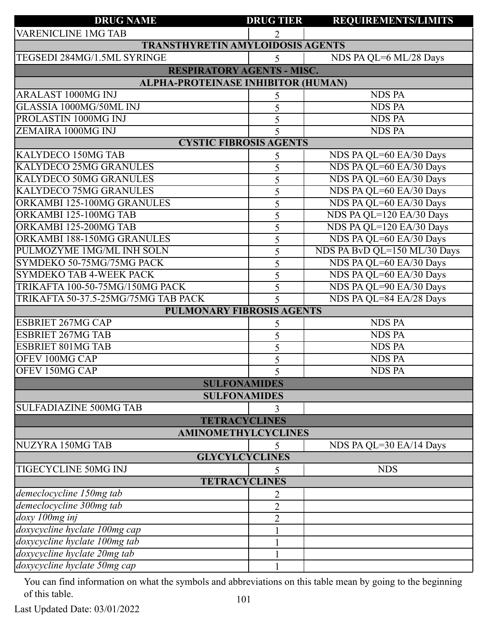| <b>DRUG NAME</b>                                                                                                                                                                                                                                                                                                                                                                                                                                                                                                                                                                                                                                    | <b>DRUG TIER</b>                                                         | <b>REQUIREMENTS/LIMITS</b>                                                                                                                                                       |  |
|-----------------------------------------------------------------------------------------------------------------------------------------------------------------------------------------------------------------------------------------------------------------------------------------------------------------------------------------------------------------------------------------------------------------------------------------------------------------------------------------------------------------------------------------------------------------------------------------------------------------------------------------------------|--------------------------------------------------------------------------|----------------------------------------------------------------------------------------------------------------------------------------------------------------------------------|--|
| <b>VARENICLINE 1MG TAB</b>                                                                                                                                                                                                                                                                                                                                                                                                                                                                                                                                                                                                                          | $\overline{2}$                                                           |                                                                                                                                                                                  |  |
| <b>TRANSTHYRETIN AMYLOIDOSIS AGENTS</b>                                                                                                                                                                                                                                                                                                                                                                                                                                                                                                                                                                                                             |                                                                          |                                                                                                                                                                                  |  |
| TEGSEDI 284MG/1.5ML SYRINGE                                                                                                                                                                                                                                                                                                                                                                                                                                                                                                                                                                                                                         | 5                                                                        | NDS PA QL=6 ML/28 Days                                                                                                                                                           |  |
| <b>RESPIRATORY AGENTS - MISC.</b>                                                                                                                                                                                                                                                                                                                                                                                                                                                                                                                                                                                                                   |                                                                          |                                                                                                                                                                                  |  |
| ALPHA-PROTEINASE INHIBITOR (HUMAN)                                                                                                                                                                                                                                                                                                                                                                                                                                                                                                                                                                                                                  |                                                                          |                                                                                                                                                                                  |  |
| <b>ARALAST 1000MG INJ</b>                                                                                                                                                                                                                                                                                                                                                                                                                                                                                                                                                                                                                           | 5                                                                        | <b>NDS PA</b>                                                                                                                                                                    |  |
| GLASSIA 1000MG/50ML INJ                                                                                                                                                                                                                                                                                                                                                                                                                                                                                                                                                                                                                             | 5                                                                        | <b>NDS PA</b>                                                                                                                                                                    |  |
| PROLASTIN 1000MG INJ                                                                                                                                                                                                                                                                                                                                                                                                                                                                                                                                                                                                                                | 5                                                                        | <b>NDS PA</b>                                                                                                                                                                    |  |
| ZEMAIRA 1000MG INJ                                                                                                                                                                                                                                                                                                                                                                                                                                                                                                                                                                                                                                  | 5                                                                        | <b>NDS PA</b>                                                                                                                                                                    |  |
| <b>CYSTIC FIBROSIS AGENTS</b>                                                                                                                                                                                                                                                                                                                                                                                                                                                                                                                                                                                                                       |                                                                          |                                                                                                                                                                                  |  |
| KALYDECO 150MG TAB                                                                                                                                                                                                                                                                                                                                                                                                                                                                                                                                                                                                                                  | 5                                                                        | NDS PA QL=60 EA/30 Days                                                                                                                                                          |  |
| <b>KALYDECO 25MG GRANULES</b>                                                                                                                                                                                                                                                                                                                                                                                                                                                                                                                                                                                                                       | 5                                                                        | NDS PA QL=60 EA/30 Days                                                                                                                                                          |  |
| <b>KALYDECO 50MG GRANULES</b>                                                                                                                                                                                                                                                                                                                                                                                                                                                                                                                                                                                                                       | 5                                                                        | NDS PA QL=60 EA/30 Days                                                                                                                                                          |  |
| <b>KALYDECO 75MG GRANULES</b>                                                                                                                                                                                                                                                                                                                                                                                                                                                                                                                                                                                                                       | 5                                                                        | NDS PA QL=60 EA/30 Days                                                                                                                                                          |  |
| ORKAMBI 125-100MG GRANULES                                                                                                                                                                                                                                                                                                                                                                                                                                                                                                                                                                                                                          | 5                                                                        | NDS PA QL=60 EA/30 Days                                                                                                                                                          |  |
| ORKAMBI 125-100MG TAB                                                                                                                                                                                                                                                                                                                                                                                                                                                                                                                                                                                                                               | 5                                                                        | NDS PA QL=120 EA/30 Days                                                                                                                                                         |  |
| ORKAMBI 125-200MG TAB                                                                                                                                                                                                                                                                                                                                                                                                                                                                                                                                                                                                                               | 5                                                                        | NDS PA QL=120 EA/30 Days                                                                                                                                                         |  |
| ORKAMBI 188-150MG GRANULES                                                                                                                                                                                                                                                                                                                                                                                                                                                                                                                                                                                                                          | 5                                                                        | NDS PA QL=60 EA/30 Days                                                                                                                                                          |  |
| PULMOZYME 1MG/ML INH SOLN                                                                                                                                                                                                                                                                                                                                                                                                                                                                                                                                                                                                                           | 5                                                                        | NDS PA BvD QL=150 ML/30 Days                                                                                                                                                     |  |
| SYMDEKO 50-75MG/75MG PACK                                                                                                                                                                                                                                                                                                                                                                                                                                                                                                                                                                                                                           | 5                                                                        | NDS PA QL=60 EA/30 Days                                                                                                                                                          |  |
| <b>SYMDEKO TAB 4-WEEK PACK</b>                                                                                                                                                                                                                                                                                                                                                                                                                                                                                                                                                                                                                      | 5                                                                        | NDS PA QL=60 EA/30 Days                                                                                                                                                          |  |
|                                                                                                                                                                                                                                                                                                                                                                                                                                                                                                                                                                                                                                                     |                                                                          |                                                                                                                                                                                  |  |
|                                                                                                                                                                                                                                                                                                                                                                                                                                                                                                                                                                                                                                                     |                                                                          |                                                                                                                                                                                  |  |
| <b>PULMONARY FIBROSIS AGENTS</b>                                                                                                                                                                                                                                                                                                                                                                                                                                                                                                                                                                                                                    |                                                                          |                                                                                                                                                                                  |  |
|                                                                                                                                                                                                                                                                                                                                                                                                                                                                                                                                                                                                                                                     |                                                                          |                                                                                                                                                                                  |  |
|                                                                                                                                                                                                                                                                                                                                                                                                                                                                                                                                                                                                                                                     |                                                                          |                                                                                                                                                                                  |  |
|                                                                                                                                                                                                                                                                                                                                                                                                                                                                                                                                                                                                                                                     |                                                                          |                                                                                                                                                                                  |  |
|                                                                                                                                                                                                                                                                                                                                                                                                                                                                                                                                                                                                                                                     |                                                                          |                                                                                                                                                                                  |  |
|                                                                                                                                                                                                                                                                                                                                                                                                                                                                                                                                                                                                                                                     |                                                                          |                                                                                                                                                                                  |  |
|                                                                                                                                                                                                                                                                                                                                                                                                                                                                                                                                                                                                                                                     |                                                                          |                                                                                                                                                                                  |  |
|                                                                                                                                                                                                                                                                                                                                                                                                                                                                                                                                                                                                                                                     |                                                                          |                                                                                                                                                                                  |  |
|                                                                                                                                                                                                                                                                                                                                                                                                                                                                                                                                                                                                                                                     |                                                                          |                                                                                                                                                                                  |  |
|                                                                                                                                                                                                                                                                                                                                                                                                                                                                                                                                                                                                                                                     |                                                                          |                                                                                                                                                                                  |  |
|                                                                                                                                                                                                                                                                                                                                                                                                                                                                                                                                                                                                                                                     |                                                                          |                                                                                                                                                                                  |  |
|                                                                                                                                                                                                                                                                                                                                                                                                                                                                                                                                                                                                                                                     |                                                                          |                                                                                                                                                                                  |  |
|                                                                                                                                                                                                                                                                                                                                                                                                                                                                                                                                                                                                                                                     |                                                                          |                                                                                                                                                                                  |  |
|                                                                                                                                                                                                                                                                                                                                                                                                                                                                                                                                                                                                                                                     |                                                                          |                                                                                                                                                                                  |  |
|                                                                                                                                                                                                                                                                                                                                                                                                                                                                                                                                                                                                                                                     |                                                                          |                                                                                                                                                                                  |  |
|                                                                                                                                                                                                                                                                                                                                                                                                                                                                                                                                                                                                                                                     |                                                                          |                                                                                                                                                                                  |  |
|                                                                                                                                                                                                                                                                                                                                                                                                                                                                                                                                                                                                                                                     |                                                                          |                                                                                                                                                                                  |  |
|                                                                                                                                                                                                                                                                                                                                                                                                                                                                                                                                                                                                                                                     |                                                                          |                                                                                                                                                                                  |  |
|                                                                                                                                                                                                                                                                                                                                                                                                                                                                                                                                                                                                                                                     |                                                                          |                                                                                                                                                                                  |  |
|                                                                                                                                                                                                                                                                                                                                                                                                                                                                                                                                                                                                                                                     |                                                                          |                                                                                                                                                                                  |  |
|                                                                                                                                                                                                                                                                                                                                                                                                                                                                                                                                                                                                                                                     |                                                                          |                                                                                                                                                                                  |  |
| TRIKAFTA 100-50-75MG/150MG PACK<br>TRIKAFTA 50-37.5-25MG/75MG TAB PACK<br><b>ESBRIET 267MG CAP</b><br><b>ESBRIET 267MG TAB</b><br><b>ESBRIET 801MG TAB</b><br>OFEV 100MG CAP<br>OFEV 150MG CAP<br><b>SULFONAMIDES</b><br><b>SULFONAMIDES</b><br><b>SULFADIAZINE 500MG TAB</b><br><b>TETRACYCLINES</b><br><b>AMINOMETHYLCYCLINES</b><br>NUZYRA 150MG TAB<br><b>GLYCYLCYCLINES</b><br><b>TIGECYCLINE 50MG INJ</b><br><b>TETRACYCLINES</b><br>demeclocycline 150mg tab<br>demeclocycline 300mg tab<br>doxy 100mg inj<br>doxycycline hyclate 100mg cap<br>doxycycline hyclate 100mg tab<br>doxycycline hyclate 20mg tab<br>doxycycline hyclate 50mg cap | 5<br>5<br>5<br>5<br>5<br>5<br>5<br>2<br>$\overline{2}$<br>$\overline{2}$ | NDS PA QL=90 EA/30 Days<br>NDS PA QL=84 EA/28 Days<br><b>NDS PA</b><br><b>NDS PA</b><br><b>NDS PA</b><br><b>NDS PA</b><br><b>NDS PA</b><br>NDS PA QL=30 EA/14 Days<br><b>NDS</b> |  |

Last Updated Date: 03/01/2022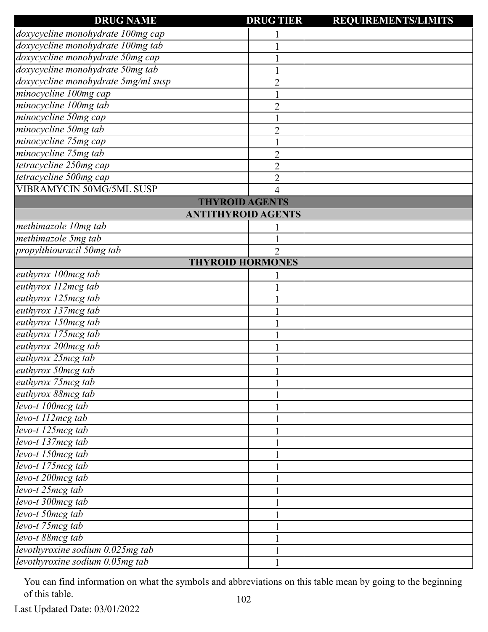| <b>DRUG NAME</b>                             | <b>DRUG TIER</b> | <b>REQUIREMENTS/LIMITS</b> |
|----------------------------------------------|------------------|----------------------------|
| doxycycline monohydrate 100mg cap            |                  |                            |
| doxycycline monohydrate 100mg tab            |                  |                            |
| doxycycline monohydrate 50mg cap             |                  |                            |
| doxycycline monohydrate 50mg tab             |                  |                            |
| doxycycline monohydrate 5mg/ml susp          | $\overline{c}$   |                            |
| minocycline 100mg cap                        |                  |                            |
| minocycline 100mg tab                        | $\overline{c}$   |                            |
| minocycline 50mg cap                         |                  |                            |
| minocycline 50mg tab                         | $\overline{2}$   |                            |
| minocycline 75mg cap                         |                  |                            |
| minocycline 75mg tab                         | $\overline{c}$   |                            |
| tetracycline 250mg cap                       | $\overline{2}$   |                            |
| tetracycline 500mg cap                       | $\overline{c}$   |                            |
| <b>VIBRAMYCIN 50MG/5ML SUSP</b>              | 4                |                            |
| <b>THYROID AGENTS</b>                        |                  |                            |
| <b>ANTITHYROID AGENTS</b>                    |                  |                            |
| methimazole 10mg tab                         |                  |                            |
| methimazole 5mg tab                          |                  |                            |
| propylthiouracil 50mg tab                    | $\overline{2}$   |                            |
| <b>THYROID HORMONES</b>                      |                  |                            |
| euthyrox 100mcg tab                          |                  |                            |
| euthyrox 112mcg tab                          |                  |                            |
| euthyrox 125mcg tab                          |                  |                            |
| euthyrox 137mcg tab                          |                  |                            |
| euthyrox 150mcg tab                          |                  |                            |
| euthyrox 175mcg tab                          |                  |                            |
| euthyrox 200mcg tab                          |                  |                            |
| euthyrox 25mcg tab                           |                  |                            |
| euthyrox 50mcg tab                           |                  |                            |
| euthyrox 75mcg tab                           |                  |                            |
| euthyrox 88mcg tab                           |                  |                            |
| levo-t 100mcg tab                            |                  |                            |
| levo-t 112mcg tab                            |                  |                            |
| levo-t 125mcg tab                            |                  |                            |
| $\overline{levo-t}$ 137 $\overline{mcg}$ tab |                  |                            |
| $\overline{levo-t}$ 150 $mcg$ tab            |                  |                            |
| levo-t 175mcg tab                            |                  |                            |
| levo-t 200mcg tab                            |                  |                            |
| levo-t 25mcg tab                             |                  |                            |
| levo-t 300mcg tab                            |                  |                            |
| levo-t 50mcg tab                             |                  |                            |
| $\overline{levo-t}$ 75 $\overline{mcg}$ tab  |                  |                            |
| levo-t 88mcg tab                             |                  |                            |
| levothyroxine sodium 0.025mg tab             |                  |                            |
| levothyroxine sodium 0.05mg tab              |                  |                            |
|                                              |                  |                            |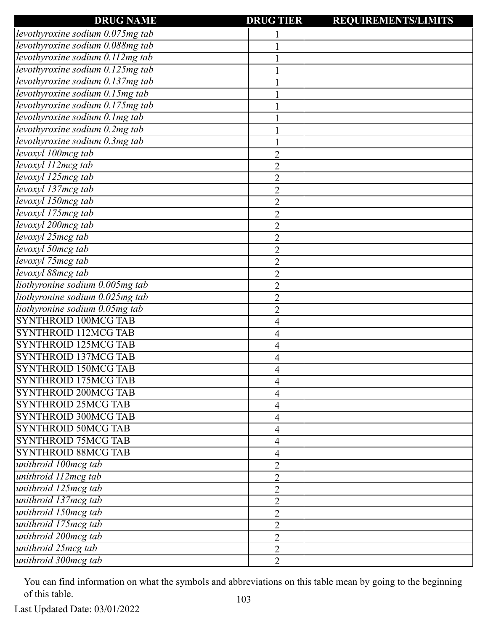| <b>DRUG NAME</b>                 | <b>DRUG TIER</b> | <b>REQUIREMENTS/LIMITS</b> |
|----------------------------------|------------------|----------------------------|
| levothyroxine sodium 0.075mg tab |                  |                            |
| levothyroxine sodium 0.088mg tab |                  |                            |
| levothyroxine sodium 0.112mg tab |                  |                            |
| levothyroxine sodium 0.125mg tab |                  |                            |
| levothyroxine sodium 0.137mg tab |                  |                            |
| levothyroxine sodium 0.15mg tab  |                  |                            |
| levothyroxine sodium 0.175mg tab |                  |                            |
| levothyroxine sodium 0.1 mg tab  |                  |                            |
| levothyroxine sodium 0.2mg tab   |                  |                            |
| levothyroxine sodium 0.3mg tab   |                  |                            |
| levoxyl 100mcg tab               | $\overline{2}$   |                            |
| levoxyl 112mcg tab               | $\overline{2}$   |                            |
| levoxyl 125mcg tab               | $\overline{2}$   |                            |
| levoxyl 137mcg tab               | $\overline{2}$   |                            |
| levoxyl 150mcg tab               | $\overline{2}$   |                            |
| levoxyl 175mcg tab               | $\overline{2}$   |                            |
| levoxyl 200mcg tab               | $\overline{2}$   |                            |
| levoxyl 25mcg tab                | $\overline{2}$   |                            |
| levoxyl 50mcg tab                | $\overline{2}$   |                            |
| levoxyl 75mcg tab                | $\overline{2}$   |                            |
| levoxyl 88mcg tab                | $\overline{2}$   |                            |
| liothyronine sodium 0.005mg tab  | $\overline{2}$   |                            |
| liothyronine sodium 0.025mg tab  | $\overline{2}$   |                            |
| liothyronine sodium 0.05mg tab   | $\overline{2}$   |                            |
| <b>SYNTHROID 100MCG TAB</b>      | 4                |                            |
| <b>SYNTHROID 112MCG TAB</b>      | 4                |                            |
| <b>SYNTHROID 125MCG TAB</b>      | 4                |                            |
| <b>SYNTHROID 137MCG TAB</b>      | 4                |                            |
| <b>SYNTHROID 150MCG TAB</b>      | 4                |                            |
| <b>SYNTHROID 175MCG TAB</b>      | 4                |                            |
| <b>SYNTHROID 200MCG TAB</b>      | 4                |                            |
| <b>SYNTHROID 25MCG TAB</b>       | 4                |                            |
| <b>SYNTHROID 300MCG TAB</b>      | 4                |                            |
| <b>SYNTHROID 50MCG TAB</b>       | 4                |                            |
| <b>SYNTHROID 75MCG TAB</b>       | 4                |                            |
| <b>SYNTHROID 88MCG TAB</b>       | 4                |                            |
| unithroid 100mcg tab             | $\overline{2}$   |                            |
| unithroid 112mcg tab             | $\overline{2}$   |                            |
| unithroid 125mcg tab             | $\overline{2}$   |                            |
| unithroid 137mcg tab             | $\overline{2}$   |                            |
| unithroid 150mcg tab             | $\overline{2}$   |                            |
| unithroid 175mcg tab             | $\overline{2}$   |                            |
| unithroid 200mcg tab             | $\overline{2}$   |                            |
| unithroid 25mcg tab              | $\overline{2}$   |                            |
| unithroid 300mcg tab             | $\overline{2}$   |                            |
|                                  |                  |                            |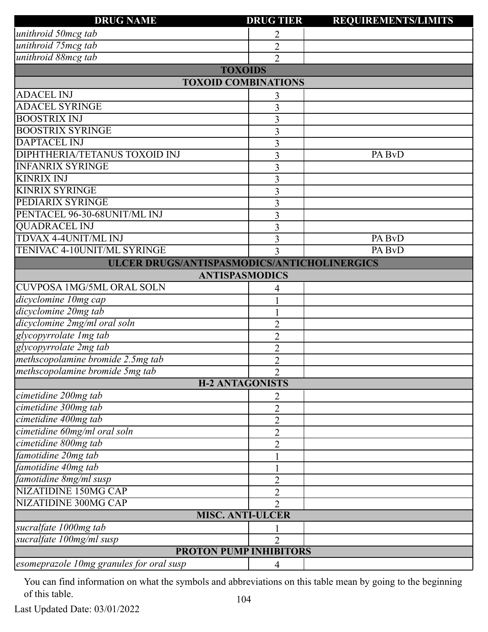| <b>DRUG NAME</b>                            | <b>DRUG TIER</b> | <b>REQUIREMENTS/LIMITS</b> |
|---------------------------------------------|------------------|----------------------------|
| unithroid 50mcg tab                         | 2                |                            |
| unithroid 75mcg tab                         | $\overline{2}$   |                            |
| unithroid 88mcg tab                         | $\overline{2}$   |                            |
| <b>TOXOIDS</b>                              |                  |                            |
| <b>TOXOID COMBINATIONS</b>                  |                  |                            |
| <b>ADACEL INJ</b>                           | 3                |                            |
| <b>ADACEL SYRINGE</b>                       | 3                |                            |
| <b>BOOSTRIX INJ</b>                         | 3                |                            |
| <b>BOOSTRIX SYRINGE</b>                     | 3                |                            |
| <b>DAPTACEL INJ</b>                         | 3                |                            |
| DIPHTHERIA/TETANUS TOXOID INJ               | 3                | PA BvD                     |
| <b>INFANRIX SYRINGE</b>                     | 3                |                            |
| <b>KINRIX INJ</b>                           | 3                |                            |
| <b>KINRIX SYRINGE</b>                       | 3                |                            |
| PEDIARIX SYRINGE                            | 3                |                            |
| PENTACEL 96-30-68UNIT/ML INJ                | 3                |                            |
| <b>QUADRACEL INJ</b>                        | 3                |                            |
| TDVAX 4-4UNIT/ML INJ                        | 3                | PA BvD                     |
| TENIVAC 4-10UNIT/ML SYRINGE                 | 3                | PA BvD                     |
| ULCER DRUGS/ANTISPASMODICS/ANTICHOLINERGICS |                  |                            |
| <b>ANTISPASMODICS</b>                       |                  |                            |
| <b>CUVPOSA 1MG/5ML ORAL SOLN</b>            | 4                |                            |
| dicyclomine 10mg cap                        |                  |                            |
| dicyclomine 20mg tab                        |                  |                            |
| dicyclomine 2mg/ml oral soln                | $\overline{2}$   |                            |
| glycopyrrolate Img tab                      | $\overline{2}$   |                            |
| glycopyrrolate 2mg tab                      | $\overline{2}$   |                            |
| methscopolamine bromide 2.5mg tab           | $\overline{2}$   |                            |
| methscopolamine bromide 5mg tab             | $\overline{2}$   |                            |
| <b>H-2 ANTAGONISTS</b>                      |                  |                            |
| cimetidine 200mg tab                        | 2                |                            |
| cimetidine 300mg tab                        | $\overline{2}$   |                            |
| cimetidine 400mg tab                        | $\overline{2}$   |                            |
| cimetidine 60mg/ml oral soln                | $\overline{2}$   |                            |
| cimetidine 800mg tab                        | $\overline{2}$   |                            |
| famotidine 20mg tab                         |                  |                            |
| famotidine 40mg tab                         |                  |                            |
| famotidine 8mg/ml susp                      | $\overline{2}$   |                            |
| <b>NIZATIDINE 150MG CAP</b>                 | $\overline{2}$   |                            |
| NIZATIDINE 300MG CAP                        | 2                |                            |
| <b>MISC. ANTI-ULCER</b>                     |                  |                            |
| sucralfate 1000mg tab                       |                  |                            |
| sucralfate 100mg/ml susp                    | $\overline{2}$   |                            |
| <b>PROTON PUMP INHIBITORS</b>               |                  |                            |
| esomeprazole 10mg granules for oral susp    | $\overline{4}$   |                            |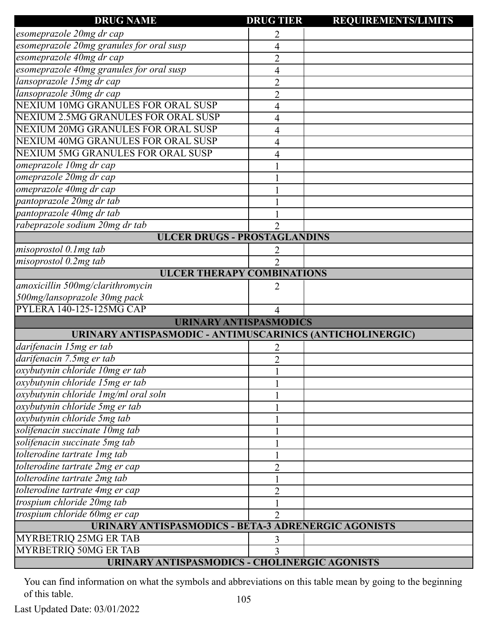| <b>DRUG NAME</b>                                           | <b>DRUG TIER</b>            | <b>REQUIREMENTS/LIMITS</b> |
|------------------------------------------------------------|-----------------------------|----------------------------|
| esomeprazole 20mg dr cap                                   | 2                           |                            |
| esomeprazole 20mg granules for oral susp                   | 4                           |                            |
| esomeprazole 40mg dr cap                                   | $\overline{2}$              |                            |
| esomeprazole 40mg granules for oral susp                   | 4                           |                            |
| lansoprazole 15mg dr cap                                   | $\overline{2}$              |                            |
| lansoprazole 30mg dr cap                                   | $\overline{2}$              |                            |
| NEXIUM 10MG GRANULES FOR ORAL SUSP                         | 4                           |                            |
| NEXIUM 2.5MG GRANULES FOR ORAL SUSP                        | 4                           |                            |
| NEXIUM 20MG GRANULES FOR ORAL SUSP                         | 4                           |                            |
| NEXIUM 40MG GRANULES FOR ORAL SUSP                         | 4                           |                            |
| NEXIUM 5MG GRANULES FOR ORAL SUSP                          | 4                           |                            |
| omeprazole 10mg dr cap                                     |                             |                            |
| omeprazole 20mg dr cap                                     |                             |                            |
| omeprazole 40mg dr cap                                     |                             |                            |
| pantoprazole 20mg dr tab                                   |                             |                            |
| pantoprazole 40mg dr tab                                   |                             |                            |
| rabeprazole sodium 20mg dr tab                             |                             |                            |
| <b>ULCER DRUGS - PROSTAGLANDINS</b>                        |                             |                            |
| misoprostol 0.1mg tab                                      |                             |                            |
| misoprostol 0.2mg tab                                      | $\mathcal{D}_{\mathcal{L}}$ |                            |
| <b>ULCER THERAPY COMBINATIONS</b>                          |                             |                            |
| amoxicillin 500mg/clarithromycin                           | 2                           |                            |
| 500mg/lansoprazole 30mg pack                               |                             |                            |
| PYLERA 140-125-125MG CAP                                   | 4                           |                            |
| <b>URINARY ANTISPASMODICS</b>                              |                             |                            |
| URINARY ANTISPASMODIC - ANTIMUSCARINICS (ANTICHOLINERGIC)  |                             |                            |
| darifenacin 15mg er tab                                    | 2                           |                            |
| darifenacin 7.5mg er tab                                   | $\overline{c}$              |                            |
| oxybutynin chloride 10mg er tab                            |                             |                            |
| oxybutynin chloride 15mg er tab                            |                             |                            |
| oxybutynin chloride 1mg/ml oral soln                       |                             |                            |
| oxybutynin chloride 5mg er tab                             |                             |                            |
| oxybutynin chloride 5mg tab                                |                             |                            |
| solifenacin succinate 10mg tab                             |                             |                            |
| solifenacin succinate 5mg tab                              |                             |                            |
| tolterodine tartrate 1mg tab                               |                             |                            |
| tolterodine tartrate 2mg er cap                            | 2                           |                            |
| tolterodine tartrate 2mg tab                               |                             |                            |
| tolterodine tartrate 4mg er cap                            | 2                           |                            |
| trospium chloride 20mg tab                                 |                             |                            |
| trospium chloride 60mg er cap                              | 2                           |                            |
| <b>URINARY ANTISPASMODICS - BETA-3 ADRENERGIC AGONISTS</b> |                             |                            |
| MYRBETRIQ 25MG ER TAB                                      | 3                           |                            |
| MYRBETRIQ 50MG ER TAB                                      | 3                           |                            |
| <b>URINARY ANTISPASMODICS - CHOLINERGIC AGONISTS</b>       |                             |                            |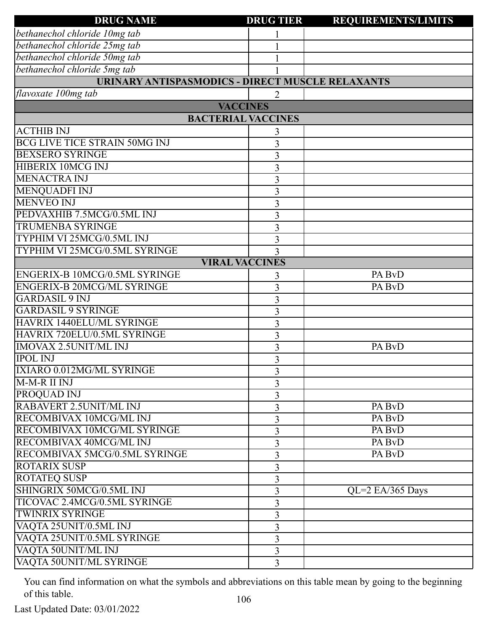| <b>DRUG NAME</b>                                        | <b>DRUG TIER</b> | <b>REQUIREMENTS/LIMITS</b> |
|---------------------------------------------------------|------------------|----------------------------|
| bethanechol chloride 10mg tab                           |                  |                            |
| bethanechol chloride 25mg tab                           |                  |                            |
| bethanechol chloride 50mg tab                           |                  |                            |
| bethanechol chloride 5mg tab                            |                  |                            |
| <b>URINARY ANTISPASMODICS - DIRECT MUSCLE RELAXANTS</b> |                  |                            |
| flavoxate 100mg tab                                     |                  |                            |
| <b>VACCINES</b>                                         |                  |                            |
| <b>BACTERIAL VACCINES</b>                               |                  |                            |
| <b>ACTHIB INJ</b>                                       | 3                |                            |
| <b>BCG LIVE TICE STRAIN 50MG INJ</b>                    | 3                |                            |
| <b>BEXSERO SYRINGE</b>                                  | $\overline{3}$   |                            |
| HIBERIX 10MCG INJ                                       | 3                |                            |
| <b>MENACTRA INJ</b>                                     | $\overline{3}$   |                            |
| <b>MENQUADFI INJ</b>                                    | 3                |                            |
| <b>MENVEO INJ</b>                                       | $\overline{3}$   |                            |
| PEDVAXHIB 7.5MCG/0.5ML INJ                              | 3                |                            |
| <b>TRUMENBA SYRINGE</b>                                 | $\overline{3}$   |                            |
| <b>TYPHIM VI 25MCG/0.5ML INJ</b>                        | 3                |                            |
| TYPHIM VI 25MCG/0.5ML SYRINGE                           | 3                |                            |
| <b>VIRAL VACCINES</b>                                   |                  |                            |
| ENGERIX-B 10MCG/0.5ML SYRINGE                           | 3                | PA BvD                     |
| <b>ENGERIX-B 20MCG/ML SYRINGE</b>                       | 3                | PA BvD                     |
| <b>GARDASIL 9 INJ</b>                                   | $\overline{3}$   |                            |
| <b>GARDASIL 9 SYRINGE</b>                               | 3                |                            |
| HAVRIX 1440ELU/ML SYRINGE                               | 3                |                            |
| HAVRIX 720ELU/0.5ML SYRINGE                             | 3                |                            |
| <b>IMOVAX 2.5UNIT/ML INJ</b>                            | $\overline{3}$   | PA BvD                     |
| <b>IPOL INJ</b>                                         | 3                |                            |
| IXIARO 0.012MG/ML SYRINGE                               | 3                |                            |
| M-M-R II INJ                                            | 3                |                            |
| <b>PROQUAD INJ</b>                                      | 3                |                            |
| <b>RABAVERT 2.5UNIT/ML INJ</b>                          | 3                | PA BvD                     |
| RECOMBIVAX 10MCG/ML INJ                                 | 3                | PA BvD                     |
| RECOMBIVAX 10MCG/ML SYRINGE                             | 3                | PA BvD                     |
| RECOMBIVAX 40MCG/ML INJ                                 | 3                | PA BvD                     |
| RECOMBIVAX 5MCG/0.5ML SYRINGE                           | 3                | PA BvD                     |
| <b>ROTARIX SUSP</b>                                     | 3                |                            |
| <b>ROTATEQ SUSP</b>                                     | 3                |                            |
| SHINGRIX 50MCG/0.5ML INJ                                | 3                | QL=2 EA/365 Days           |
| TICOVAC 2.4MCG/0.5ML SYRINGE                            | 3                |                            |
| <b>TWINRIX SYRINGE</b>                                  | 3                |                            |
| VAQTA 25UNIT/0.5ML INJ                                  | 3                |                            |
| VAQTA 25UNIT/0.5ML SYRINGE                              | 3                |                            |
| VAQTA 50UNIT/ML INJ                                     | $\overline{3}$   |                            |
| VAQTA 50UNIT/ML SYRINGE                                 | $\overline{3}$   |                            |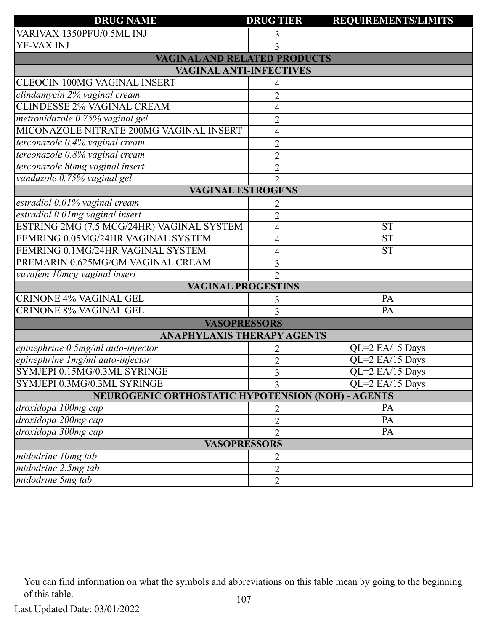| <b>DRUG NAME</b>                                         | <b>DRUG TIER</b> | <b>REQUIREMENTS/LIMITS</b> |
|----------------------------------------------------------|------------------|----------------------------|
| VARIVAX 1350PFU/0.5ML INJ                                | 3                |                            |
| YF-VAX INJ                                               |                  |                            |
| <b>VAGINAL AND RELATED PRODUCTS</b>                      |                  |                            |
| <b>VAGINAL ANTI-INFECTIVES</b>                           |                  |                            |
| <b>CLEOCIN 100MG VAGINAL INSERT</b>                      |                  |                            |
| clindamycin 2% vaginal cream                             | $\overline{2}$   |                            |
| <b>CLINDESSE 2% VAGINAL CREAM</b>                        | 4                |                            |
| metronidazole 0.75% vaginal gel                          | $\overline{2}$   |                            |
| MICONAZOLE NITRATE 200MG VAGINAL INSERT                  | 4                |                            |
| terconazole 0.4% vaginal cream                           | $\overline{2}$   |                            |
| terconazole 0.8% vaginal cream                           | $\overline{2}$   |                            |
| terconazole 80mg vaginal insert                          | $\overline{2}$   |                            |
| vandazole 0.75% vaginal gel                              | $\overline{2}$   |                            |
| <b>VAGINAL ESTROGENS</b>                                 |                  |                            |
| estradiol 0.01% vaginal cream                            | 2                |                            |
| estradiol 0.01mg vaginal insert                          | $\overline{2}$   |                            |
| ESTRING 2MG (7.5 MCG/24HR) VAGINAL SYSTEM                | 4                | <b>ST</b>                  |
| FEMRING 0.05MG/24HR VAGINAL SYSTEM                       | 4                | <b>ST</b>                  |
| FEMRING 0.1MG/24HR VAGINAL SYSTEM                        | 4                | <b>ST</b>                  |
| PREMARIN 0.625MG/GM VAGINAL CREAM                        | 3                |                            |
| yuvafem 10mcg vaginal insert                             | $\overline{2}$   |                            |
| <b>VAGINAL PROGESTINS</b>                                |                  |                            |
| <b>CRINONE 4% VAGINAL GEL</b>                            | 3                | PA                         |
| <b>CRINONE 8% VAGINAL GEL</b>                            | 3                | PA                         |
| <b>VASOPRESSORS</b>                                      |                  |                            |
| <b>ANAPHYLAXIS THERAPY AGENTS</b>                        |                  |                            |
| epinephrine 0.5mg/ml auto-injector                       | 2                | QL=2 EA/15 Days            |
| epinephrine 1 mg/ml auto-injector                        | $\overline{2}$   | QL=2 EA/15 Days            |
| SYMJEPI 0.15MG/0.3ML SYRINGE                             | 3                | QL=2 EA/15 Days            |
| SYMJEPI 0.3MG/0.3ML SYRINGE                              | 3                | QL=2 EA/15 Days            |
| <b>NEUROGENIC ORTHOSTATIC HYPOTENSION (NOH) - AGENTS</b> |                  |                            |
| droxidopa 100mg cap                                      | 2                | PA                         |
| droxidopa 200mg cap                                      | $\overline{2}$   | PA                         |
| droxidopa 300mg cap                                      | $\overline{2}$   | PA                         |
| <b>VASOPRESSORS</b>                                      |                  |                            |
| midodrine 10mg tab                                       | 2                |                            |
| midodrine 2.5mg tab                                      | $\overline{2}$   |                            |
| midodrine 5mg tab                                        | $\overline{2}$   |                            |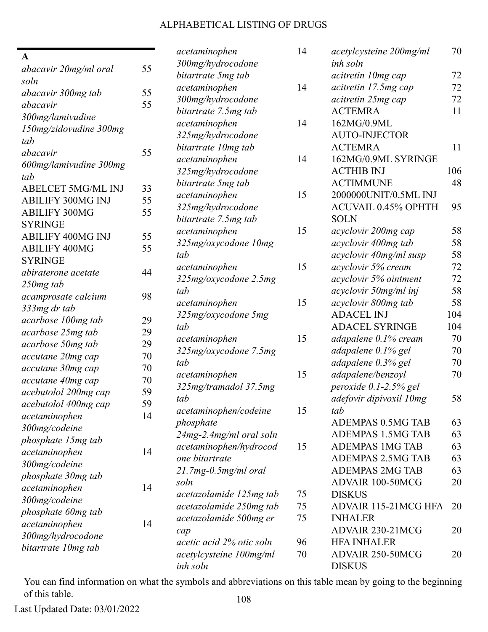## ALPHABETICAL LISTING OF DRUGS

| $\mathbf{A}$                           |        | acetaminophen            | 14 | acetylcysteine 200mg/ml    | 70  |
|----------------------------------------|--------|--------------------------|----|----------------------------|-----|
| abacavir 20mg/ml oral                  | 55     | 300mg/hydrocodone        |    | inh soln                   |     |
| soln                                   |        | bitartrate 5mg tab       |    | acitretin 10mg cap         | 72  |
| abacavir 300mg tab                     | 55     | acetaminophen            | 14 | acitretin 17.5mg cap       | 72  |
| abacavir                               | 55     | 300mg/hydrocodone        |    | acitretin 25mg cap         | 72  |
| 300mg/lamivudine                       |        | bitartrate 7.5mg tab     |    | <b>ACTEMRA</b>             | 11  |
| 150mg/zidovudine 300mg                 |        | acetaminophen            | 14 | 162MG/0.9ML                |     |
| tab                                    |        | 325mg/hydrocodone        |    | <b>AUTO-INJECTOR</b>       |     |
| abacavir                               | 55     | bitartrate 10mg tab      |    | <b>ACTEMRA</b>             | 11  |
| 600mg/lamivudine 300mg                 |        | acetaminophen            | 14 | 162MG/0.9ML SYRINGE        |     |
| tab                                    |        | 325mg/hydrocodone        |    | <b>ACTHIB INJ</b>          | 106 |
| <b>ABELCET 5MG/ML INJ</b>              | 33     | bitartrate 5mg tab       |    | <b>ACTIMMUNE</b>           | 48  |
| <b>ABILIFY 300MG INJ</b>               | 55     | acetaminophen            | 15 | 2000000UNIT/0.5ML INJ      |     |
| <b>ABILIFY 300MG</b>                   | 55     | 325mg/hydrocodone        |    | <b>ACUVAIL 0.45% OPHTH</b> | 95  |
| <b>SYRINGE</b>                         |        | bitartrate 7.5mg tab     |    | <b>SOLN</b>                |     |
| <b>ABILIFY 400MG INJ</b>               | 55     | acetaminophen            | 15 | acyclovir 200mg cap        | 58  |
| <b>ABILIFY 400MG</b>                   | 55     | 325mg/oxycodone 10mg     |    | acyclovir 400mg tab        | 58  |
| <b>SYRINGE</b>                         |        | tab                      |    | acyclovir 40mg/ml susp     | 58  |
| abiraterone acetate                    | 44     | acetaminophen            | 15 | acyclovir 5% cream         | 72  |
|                                        |        | 325mg/oxycodone 2.5mg    |    | acyclovir 5% ointment      | 72  |
| 250mg tab                              | 98     | tab                      |    | acyclovir 50mg/ml inj      | 58  |
| acamprosate calcium                    |        | acetaminophen            | 15 | acyclovir 800mg tab        | 58  |
| 333mg dr tab                           | 29     | 325mg/oxycodone 5mg      |    | <b>ADACEL INJ</b>          | 104 |
| acarbose 100mg tab                     | 29     | tab                      |    | <b>ADACEL SYRINGE</b>      | 104 |
| acarbose 25mg tab                      | 29     | acetaminophen            | 15 | adapalene 0.1% cream       | 70  |
| acarbose 50mg tab<br>accutane 20mg cap | $70\,$ | 325mg/oxycodone 7.5mg    |    | adapalene 0.1% gel         | 70  |
|                                        | 70     | tab                      |    | adapalene 0.3% gel         | 70  |
| accutane 30mg cap                      |        | acetaminophen            | 15 | adapalene/benzoyl          | 70  |
| accutane 40mg cap                      | $70\,$ | 325mg/tramadol 37.5mg    |    | peroxide 0.1-2.5% gel      |     |
| acebutolol 200mg cap                   | 59     | tab                      |    | adefovir dipivoxil 10mg    | 58  |
| acebutolol 400mg cap                   | 59     | acetaminophen/codeine    | 15 | tab                        |     |
| acetaminophen                          | 14     | phosphate                |    | <b>ADEMPAS 0.5MG TAB</b>   | 63  |
| 300mg/codeine                          |        | 24mg-2.4mg/ml oral soln  |    | <b>ADEMPAS 1.5MG TAB</b>   | 63  |
| phosphate 15mg tab                     |        | acetaminophen/hydrocod   | 15 | <b>ADEMPAS 1MG TAB</b>     | 63  |
| acetaminophen                          | 14     | one bitartrate           |    | <b>ADEMPAS 2.5MG TAB</b>   | 63  |
| 300mg/codeine                          |        | $21.7mg-0.5mg/ml$ oral   |    | <b>ADEMPAS 2MG TAB</b>     | 63  |
| phosphate 30mg tab                     |        | soln                     |    | ADVAIR 100-50MCG           | 20  |
| acetaminophen                          | 14     | acetazolamide 125mg tab  | 75 | <b>DISKUS</b>              |     |
| 300mg/codeine                          |        | acetazolamide 250mg tab  | 75 | ADVAIR 115-21MCG HFA       | 20  |
| phosphate 60mg tab                     |        | acetazolamide 500mg er   | 75 | <b>INHALER</b>             |     |
| acetaminophen                          | 14     | cap                      |    | ADVAIR 230-21MCG           | 20  |
| 300mg/hydrocodone                      |        | acetic acid 2% otic soln | 96 | <b>HFA INHALER</b>         |     |
| bitartrate 10mg tab                    |        | acetylcysteine 100mg/ml  | 70 | ADVAIR 250-50MCG           | 20  |
|                                        |        | inh soln                 |    | <b>DISKUS</b>              |     |

You can find information on what the symbols and abbreviations on this table mean by going to the beginning of this table. 108

Last Updated Date: 03/01/2022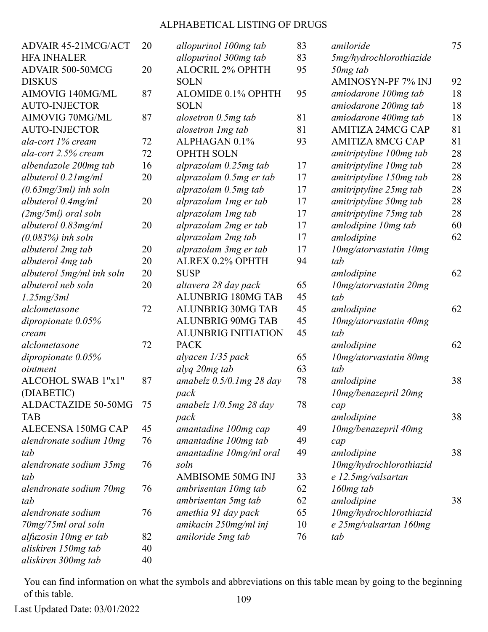| <b>ADVAIR 45-21MCG/ACT</b> | 20 | allopurinol 100mg tab       | 83 | amiloride                | 75 |
|----------------------------|----|-----------------------------|----|--------------------------|----|
| <b>HFA INHALER</b>         |    | allopurinol 300mg tab       | 83 | 5mg/hydrochlorothiazide  |    |
| ADVAIR 500-50MCG           | 20 | <b>ALOCRIL 2% OPHTH</b>     | 95 | 50mg tab                 |    |
| <b>DISKUS</b>              |    | <b>SOLN</b>                 |    | AMINOSYN-PF 7% INJ       | 92 |
| AIMOVIG 140MG/ML           | 87 | ALOMIDE 0.1% OPHTH          | 95 | amiodarone 100mg tab     | 18 |
| <b>AUTO-INJECTOR</b>       |    | <b>SOLN</b>                 |    | amiodarone 200mg tab     | 18 |
| AIMOVIG 70MG/ML            | 87 | alosetron 0.5mg tab         | 81 | amiodarone 400mg tab     | 18 |
| <b>AUTO-INJECTOR</b>       |    | alosetron 1 mg tab          | 81 | <b>AMITIZA 24MCG CAP</b> | 81 |
| ala-cort 1% cream          | 72 | ALPHAGAN 0.1%               | 93 | <b>AMITIZA 8MCG CAP</b>  | 81 |
| ala-cort 2.5% cream        | 72 | <b>OPHTH SOLN</b>           |    | amitriptyline 100mg tab  | 28 |
| albendazole 200mg tab      | 16 | alprazolam 0.25mg tab       | 17 | amitriptyline 10mg tab   | 28 |
| albuterol 0.21 mg/ml       | 20 | alprazolam 0.5mg er tab     | 17 | amitriptyline 150mg tab  | 28 |
| $(0.63mg/3ml)$ inh soln    |    | alprazolam 0.5mg tab        | 17 | amitriptyline 25mg tab   | 28 |
| albuterol 0.4mg/ml         | 20 | alprazolam 1 mg er tab      | 17 | amitriptyline 50mg tab   | 28 |
| $(2mg/5ml)$ oral soln      |    | alprazolam 1mg tab          | 17 | amitriptyline 75mg tab   | 28 |
| albuterol 0.83mg/ml        | 20 | alprazolam 2mg er tab       | 17 | amlodipine 10mg tab      | 60 |
| $(0.083%)$ inh soln        |    | alprazolam 2mg tab          | 17 | amlodipine               | 62 |
| albuterol 2mg tab          | 20 | alprazolam 3mg er tab       | 17 | 10mg/atorvastatin 10mg   |    |
| albuterol 4mg tab          | 20 | ALREX 0.2% OPHTH            | 94 | tab                      |    |
| albuterol 5mg/ml inh soln  | 20 | <b>SUSP</b>                 |    | amlodipine               | 62 |
| albuterol neb soln         | 20 | altavera 28 day pack        | 65 | 10mg/atorvastatin 20mg   |    |
| 1.25mg/3ml                 |    | <b>ALUNBRIG 180MG TAB</b>   | 45 | tab                      |    |
| alclometasone              | 72 | <b>ALUNBRIG 30MG TAB</b>    | 45 | amlodipine               | 62 |
| dipropionate $0.05\%$      |    | <b>ALUNBRIG 90MG TAB</b>    | 45 | 10mg/atorvastatin 40mg   |    |
| cream                      |    | <b>ALUNBRIG INITIATION</b>  | 45 | tab                      |    |
| alclometasone              | 72 | <b>PACK</b>                 |    | amlodipine               | 62 |
| dipropionate $0.05%$       |    | alyacen 1/35 pack           | 65 | 10mg/atorvastatin 80mg   |    |
| ointment                   |    | alyq 20mg tab               | 63 | tab                      |    |
| ALCOHOL SWAB 1"x1"         | 87 | amabelz $0.5/0.1$ mg 28 day | 78 | amlodipine               | 38 |
| (DIABETIC)                 |    | pack                        |    | 10mg/benazepril 20mg     |    |
| ALDACTAZIDE 50-50MG        | 75 | amabelz $1/0.5mg$ 28 day    | 78 | cap                      |    |
| <b>TAB</b>                 |    | pack                        |    | amlodipine               | 38 |
| ALECENSA 150MG CAP         | 45 | amantadine 100mg cap        | 49 | 10mg/benazepril 40mg     |    |
| alendronate sodium 10mg    | 76 | amantadine 100mg tab        | 49 | cap                      |    |
| tab                        |    | amantadine 10mg/ml oral     | 49 | amlodipine               | 38 |
| alendronate sodium 35mg    | 76 | soln                        |    | 10mg/hydrochlorothiazid  |    |
| tab                        |    | <b>AMBISOME 50MG INJ</b>    | 33 | e 12.5mg/valsartan       |    |
| alendronate sodium 70mg    | 76 | ambrisentan 10mg tab        | 62 | $160mg$ tab              |    |
| tab                        |    | ambrisentan 5mg tab         | 62 | amlodipine               | 38 |
| alendronate sodium         | 76 | amethia 91 day pack         | 65 | 10mg/hydrochlorothiazid  |    |
| 70mg/75ml oral soln        |    | amikacin 250mg/ml inj       | 10 | e 25mg/valsartan 160mg   |    |
| alfuzosin 10mg er tab      | 82 | amiloride 5mg tab           | 76 | tab                      |    |
| aliskiren 150mg tab        | 40 |                             |    |                          |    |
| aliskiren 300mg tab        | 40 |                             |    |                          |    |

You can find information on what the symbols and abbreviations on this table mean by going to the beginning of this table. 109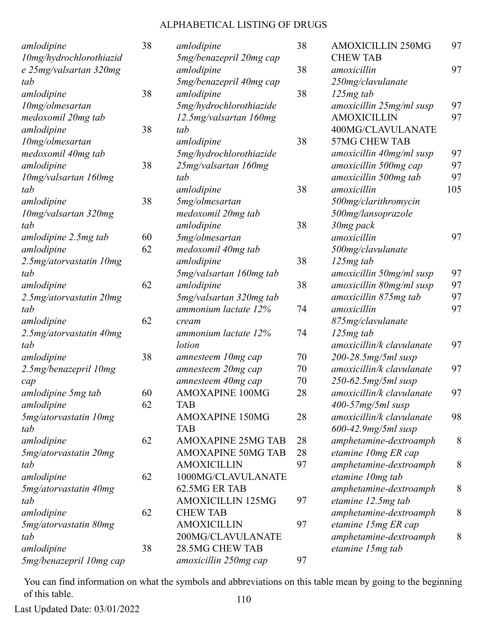| amlodipine                  | 38 | amlodipine                | 38 | <b>AMOXICILLIN 250MG</b>  | 97  |
|-----------------------------|----|---------------------------|----|---------------------------|-----|
| 10mg/hydrochlorothiazid     |    | 5mg/benazepril 20mg cap   |    | <b>CHEW TAB</b>           |     |
| e 25mg/valsartan 320mg      |    | amlodipine                | 38 | amoxicillin               | 97  |
| tab                         |    | 5mg/benazepril 40mg cap   |    | 250mg/clavulanate         |     |
| amlodipine                  | 38 | amlodipine                | 38 | $125mg$ tab               |     |
| 10mg/olmesartan             |    | 5mg/hydrochlorothiazide   |    | amoxicillin 25mg/ml susp  | 97  |
| medoxomil 20mg tab          |    | 12.5mg/valsartan 160mg    |    | <b>AMOXICILLIN</b>        | 97  |
| amlodipine                  | 38 | tab                       |    | 400MG/CLAVULANATE         |     |
| 10mg/olmesartan             |    | amlodipine                | 38 | <b>57MG CHEW TAB</b>      |     |
| medoxomil 40mg tab          |    | 5mg/hydrochlorothiazide   |    | amoxicillin 40mg/ml susp  | 97  |
| amlodipine                  | 38 | 25mg/valsartan 160mg      |    | amoxicillin 500mg cap     | 97  |
| 10mg/valsartan 160mg        |    | tab                       |    | amoxicillin 500mg tab     | 97  |
| tab                         |    | amlodipine                | 38 | amoxicillin               | 105 |
| amlodipine                  | 38 | 5mg/olmesartan            |    | 500mg/clarithromycin      |     |
| 10mg/valsartan 320mg        |    | medoxomil 20mg tab        |    | 500mg/lansoprazole        |     |
| tab                         |    | amlodipine                | 38 | 30mg pack                 |     |
| amlodipine 2.5mg tab        | 60 | 5mg/olmesartan            |    | amoxicillin               | 97  |
| amlodipine                  | 62 | medoxomil 40mg tab        |    | 500mg/clavulanate         |     |
| 2.5mg/atorvastatin 10mg     |    | amlodipine                | 38 | $125mg$ tab               |     |
| tab                         |    | 5mg/valsartan 160mg tab   |    | amoxicillin 50mg/ml susp  | 97  |
| amlodipine                  | 62 | amlodipine                | 38 | amoxicillin 80mg/ml susp  | 97  |
| $2.5mg/atorvastatin$ $20mg$ |    | 5mg/valsartan 320mg tab   |    | amoxicillin 875mg tab     | 97  |
| tab                         |    | ammonium lactate 12%      | 74 | amoxicillin               | 97  |
| amlodipine                  | 62 | cream                     |    | 875mg/clavulanate         |     |
| 2.5mg/atorvastatin 40mg     |    | ammonium lactate 12%      | 74 | $125mg$ tab               |     |
| tab                         |    | lotion                    |    | amoxicillin/k clavulanate | 97  |
| amlodipine                  | 38 | amnesteem 10mg cap        | 70 | 200-28.5mg/5ml susp       |     |
| 2.5mg/benazepril 10mg       |    | amnesteem 20mg cap        | 70 | amoxicillin/k clavulanate | 97  |
| cap                         |    | amnesteem 40mg cap        | 70 | 250-62.5mg/5ml susp       |     |
| amlodipine 5mg tab          | 60 | <b>AMOXAPINE 100MG</b>    | 28 | amoxicillin/k clavulanate | 97  |
| amlodipine                  | 62 | <b>TAB</b>                |    | $400-57mg/5ml$ susp       |     |
| 5mg/atorvastatin 10mg       |    | <b>AMOXAPINE 150MG</b>    | 28 | amoxicillin/k clavulanate | 98  |
| tab                         |    | <b>TAB</b>                |    | $600 - 42.9$ mg/5ml susp  |     |
| amlodipine                  | 62 | <b>AMOXAPINE 25MG TAB</b> | 28 | amphetamine-dextroamph    | 8   |
| 5mg/atorvastatin 20mg       |    | <b>AMOXAPINE 50MG TAB</b> | 28 | etamine 10mg ER cap       |     |
| tab                         |    | <b>AMOXICILLIN</b>        | 97 | amphetamine-dextroamph    | 8   |
| amlodipine                  | 62 | 1000MG/CLAVULANATE        |    | etamine 10mg tab          |     |
| 5mg/atorvastatin 40mg       |    | 62.5MG ER TAB             |    | amphetamine-dextroamph    | 8   |
| tab                         |    | <b>AMOXICILLIN 125MG</b>  | 97 | etamine 12.5mg tab        |     |
| amlodipine                  | 62 | <b>CHEW TAB</b>           |    | amphetamine-dextroamph    | 8   |
| 5mg/atorvastatin 80mg       |    | <b>AMOXICILLIN</b>        | 97 | etamine 15mg ER cap       |     |
| tab                         |    | 200MG/CLAVULANATE         |    | amphetamine-dextroamph    | 8   |
| amlodipine                  | 38 | <b>28.5MG CHEW TAB</b>    |    | etamine 15mg tab          |     |
| 5mg/benazepril 10mg cap     |    | amoxicillin 250mg cap     | 97 |                           |     |
|                             |    |                           |    |                           |     |

You can find information on what the symbols and abbreviations on this table mean by going to the beginning of this table. 110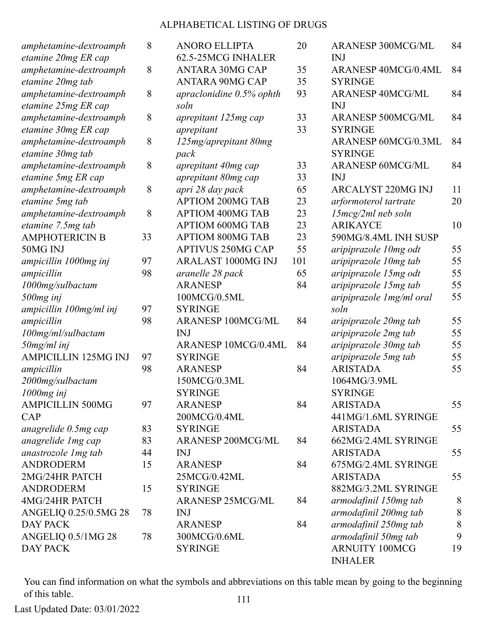| amphetamine-dextroamph                        | 8  | <b>ANORO ELLIPTA</b>                             | 20       | <b>ARANESP 300MCG/ML</b>                | 84    |
|-----------------------------------------------|----|--------------------------------------------------|----------|-----------------------------------------|-------|
| etamine 20mg ER cap                           |    | 62.5-25MCG INHALER                               |          | <b>INJ</b>                              |       |
| amphetamine-dextroamph                        | 8  | <b>ANTARA 30MG CAP</b><br><b>ANTARA 90MG CAP</b> | 35<br>35 | ARANESP 40MCG/0.4ML<br><b>SYRINGE</b>   | 84    |
| etamine 20mg tab                              |    |                                                  |          | <b>ARANESP 40MCG/ML</b>                 | 84    |
| amphetamine-dextroamph<br>etamine 25mg ER cap | 8  | apraclonidine $0.5%$ ophth<br>soln               | 93       | <b>INJ</b>                              |       |
| amphetamine-dextroamph                        | 8  | aprepitant 125mg cap                             | 33       | <b>ARANESP 500MCG/ML</b>                | 84    |
| etamine 30mg ER cap                           |    | aprepitant                                       | 33       | <b>SYRINGE</b>                          |       |
| amphetamine-dextroamph                        | 8  | 125mg/aprepitant 80mg                            |          | ARANESP 60MCG/0.3ML                     | 84    |
| etamine 30mg tab                              |    | pack                                             |          | <b>SYRINGE</b>                          |       |
| amphetamine-dextroamph                        | 8  | aprepitant 40mg cap                              | 33       | <b>ARANESP 60MCG/ML</b>                 | 84    |
| etamine 5mg ER cap                            |    | aprepitant 80mg cap                              | 33       | <b>INJ</b>                              |       |
| amphetamine-dextroamph                        | 8  | apri 28 day pack                                 | 65       | <b>ARCALYST 220MG INJ</b>               | 11    |
| etamine 5mg tab                               |    | <b>APTIOM 200MG TAB</b>                          | 23       | arformoterol tartrate                   | 20    |
| amphetamine-dextroamph                        | 8  | <b>APTIOM 400MG TAB</b>                          | 23       | $15mcg/2ml$ neb soln                    |       |
| etamine 7.5mg tab                             |    | <b>APTIOM 600MG TAB</b>                          | 23       | <b>ARIKAYCE</b>                         | 10    |
| <b>AMPHOTERICIN B</b>                         | 33 | <b>APTIOM 800MG TAB</b>                          | 23       | 590MG/8.4ML INH SUSP                    |       |
| 50MG INJ                                      |    | <b>APTIVUS 250MG CAP</b>                         | 55       | aripiprazole 10mg odt                   | 55    |
| ampicillin 1000mg inj                         | 97 | <b>ARALAST 1000MG INJ</b>                        | 101      | aripiprazole 10mg tab                   | 55    |
| ampicillin                                    | 98 | aranelle 28 pack                                 | 65       | aripiprazole 15mg odt                   | 55    |
| 1000mg/sulbactam                              |    | <b>ARANESP</b>                                   | 84       | aripiprazole 15mg tab                   | 55    |
| 500mg inj                                     |    | 100MCG/0.5ML                                     |          | aripiprazole 1 mg/ml oral               | 55    |
| ampicillin 100mg/ml inj                       | 97 | <b>SYRINGE</b>                                   |          | soln                                    |       |
| ampicillin                                    | 98 | <b>ARANESP 100MCG/ML</b>                         | 84       | aripiprazole 20mg tab                   | 55    |
| 100mg/ml/sulbactam                            |    | <b>INJ</b>                                       |          | aripiprazole 2mg tab                    | 55    |
| 50mg/ml inj                                   |    | ARANESP 10MCG/0.4ML                              | 84       | aripiprazole 30mg tab                   | 55    |
| <b>AMPICILLIN 125MG INJ</b>                   | 97 | <b>SYRINGE</b>                                   |          | aripiprazole 5mg tab                    | 55    |
| ampicillin                                    | 98 | <b>ARANESP</b>                                   | 84       | <b>ARISTADA</b>                         | 55    |
| 2000mg/sulbactam                              |    | 150MCG/0.3ML                                     |          | 1064MG/3.9ML                            |       |
| 1000mg inj                                    |    | <b>SYRINGE</b>                                   |          | <b>SYRINGE</b>                          |       |
| <b>AMPICILLIN 500MG</b>                       | 97 | <b>ARANESP</b>                                   | 84       | <b>ARISTADA</b>                         | 55    |
| CAP                                           |    | 200MCG/0.4ML                                     |          | 441MG/1.6ML SYRINGE                     |       |
| anagrelide 0.5mg cap                          | 83 | <b>SYRINGE</b>                                   |          | <b>ARISTADA</b>                         | 55    |
| anagrelide 1 mg cap                           | 83 | <b>ARANESP 200MCG/ML</b>                         | 84       | 662MG/2.4ML SYRINGE                     |       |
| anastrozole 1 mg tab                          | 44 | <b>INJ</b>                                       |          | <b>ARISTADA</b>                         | 55    |
| <b>ANDRODERM</b>                              | 15 | <b>ARANESP</b>                                   | 84       | 675MG/2.4ML SYRINGE                     |       |
| 2MG/24HR PATCH                                |    | 25MCG/0.42ML                                     |          | <b>ARISTADA</b>                         | 55    |
| <b>ANDRODERM</b>                              | 15 | <b>SYRINGE</b>                                   |          | 882MG/3.2ML SYRINGE                     |       |
| 4MG/24HR PATCH                                |    | <b>ARANESP 25MCG/ML</b>                          | 84       | armodafinil 150mg tab                   | 8     |
| ANGELIQ 0.25/0.5MG 28                         | 78 | <b>INJ</b>                                       |          | armodafinil 200mg tab                   | $8\,$ |
| <b>DAY PACK</b>                               |    | <b>ARANESP</b>                                   | 84       | armodafinil 250mg tab                   | 8     |
| ANGELIQ 0.5/1MG 28                            | 78 | 300MCG/0.6ML                                     |          | armodafinil 50mg tab                    | 9     |
| DAY PACK                                      |    | <b>SYRINGE</b>                                   |          | <b>ARNUITY 100MCG</b><br><b>INHALER</b> | 19    |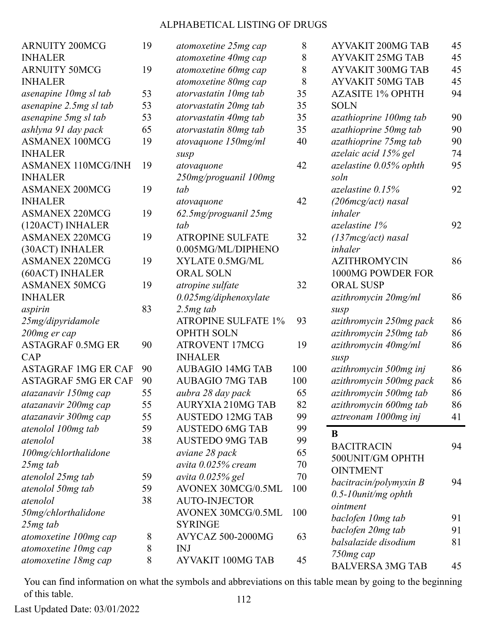| <b>ARNUITY 200MCG</b>      | 19 | atomoxetine 25mg cap       | 8   | <b>AYVAKIT 200MG TAB</b> | 45 |
|----------------------------|----|----------------------------|-----|--------------------------|----|
| <b>INHALER</b>             |    | atomoxetine 40mg cap       | 8   | <b>AYVAKIT 25MG TAB</b>  | 45 |
| <b>ARNUITY 50MCG</b>       | 19 | atomoxetine 60mg cap       | 8   | <b>AYVAKIT 300MG TAB</b> | 45 |
| <b>INHALER</b>             |    | atomoxetine 80mg cap       | 8   | <b>AYVAKIT 50MG TAB</b>  | 45 |
| asenapine 10mg sl tab      | 53 | atorvastatin 10mg tab      | 35  | <b>AZASITE 1% OPHTH</b>  | 94 |
| asenapine 2.5mg sl tab     | 53 | atorvastatin 20mg tab      | 35  | <b>SOLN</b>              |    |
| asenapine 5mg sl tab       | 53 | atorvastatin 40mg tab      | 35  | azathioprine 100mg tab   | 90 |
| ashlyna 91 day pack        | 65 | atorvastatin 80mg tab      | 35  | azathioprine 50mg tab    | 90 |
| <b>ASMANEX 100MCG</b>      | 19 | atovaquone 150mg/ml        | 40  | azathioprine 75mg tab    | 90 |
| <b>INHALER</b>             |    | susp                       |     | azelaic acid 15% gel     | 74 |
| <b>ASMANEX 110MCG/INH</b>  | 19 | atovaquone                 | 42  | azelastine 0.05% ophth   | 95 |
| <b>INHALER</b>             |    | 250mg/proguanil 100mg      |     | soln                     |    |
| <b>ASMANEX 200MCG</b>      | 19 | tab                        |     | azelastine $0.15%$       | 92 |
| <b>INHALER</b>             |    | atovaquone                 | 42  | $(206mcg/act)$ nasal     |    |
| <b>ASMANEX 220MCG</b>      | 19 | 62.5mg/proguanil 25mg      |     | inhaler                  |    |
| (120ACT) INHALER           |    | tab                        |     | azelastine 1%            | 92 |
| <b>ASMANEX 220MCG</b>      | 19 | <b>ATROPINE SULFATE</b>    | 32  | $(137mcg/act)$ nasal     |    |
| (30ACT) INHALER            |    | 0.005MG/ML/DIPHENO         |     | inhaler                  |    |
| <b>ASMANEX 220MCG</b>      | 19 | XYLATE 0.5MG/ML            |     | <b>AZITHROMYCIN</b>      | 86 |
| (60ACT) INHALER            |    | ORAL SOLN                  |     | 1000MG POWDER FOR        |    |
| <b>ASMANEX 50MCG</b>       | 19 | atropine sulfate           | 32  | <b>ORAL SUSP</b>         |    |
| <b>INHALER</b>             |    | $0.025$ mg/diphenoxylate   |     | azithromycin 20mg/ml     | 86 |
| aspirin                    | 83 | $2.5mg$ tab                |     | susp                     |    |
| 25mg/dipyridamole          |    | <b>ATROPINE SULFATE 1%</b> | 93  | azithromycin 250mg pack  | 86 |
| 200mg er cap               |    | <b>OPHTH SOLN</b>          |     | azithromycin 250mg tab   | 86 |
| <b>ASTAGRAF 0.5MG ER</b>   | 90 | <b>ATROVENT 17MCG</b>      | 19  | azithromycin 40mg/ml     | 86 |
| <b>CAP</b>                 |    | <b>INHALER</b>             |     | susp                     |    |
| <b>ASTAGRAF 1MG ER CAP</b> | 90 | <b>AUBAGIO 14MG TAB</b>    | 100 | azithromycin 500mg inj   | 86 |
| <b>ASTAGRAF 5MG ER CAP</b> | 90 | <b>AUBAGIO 7MG TAB</b>     | 100 | azithromycin 500mg pack  | 86 |
| atazanavir 150mg cap       | 55 | aubra 28 day pack          | 65  | azithromycin 500mg tab   | 86 |
| atazanavir 200mg cap       | 55 | <b>AURYXIA 210MG TAB</b>   | 82  | azithromycin 600mg tab   | 86 |
| atazanavir 300mg cap       | 55 | <b>AUSTEDO 12MG TAB</b>    | 99  | aztreonam 1000mg inj     | 41 |
| atenolol 100mg tab         | 59 | <b>AUSTEDO 6MG TAB</b>     | 99  | B                        |    |
| atenolol                   | 38 | <b>AUSTEDO 9MG TAB</b>     | 99  |                          |    |
| 100mg/chlorthalidone       |    | aviane 28 pack             | 65  | <b>BACITRACIN</b>        | 94 |
| 25 <sub>mg</sub> tab       |    | avita 0.025% cream         | 70  | 500UNIT/GM OPHTH         |    |
| atenolol 25mg tab          | 59 | avita 0.025% gel           | 70  | <b>OINTMENT</b>          |    |
| atenolol 50mg tab          | 59 | AVONEX 30MCG/0.5ML         | 100 | bacitracin/polymyxin B   | 94 |
| atenolol                   | 38 | <b>AUTO-INJECTOR</b>       |     | $0.5$ -10unit/mg ophth   |    |
| 50mg/chlorthalidone        |    | AVONEX 30MCG/0.5ML         | 100 | ointment                 |    |
| $25mg$ tab                 |    | <b>SYRINGE</b>             |     | baclofen 10mg tab        | 91 |
| atomoxetine 100mg cap      | 8  | AVYCAZ 500-2000MG          | 63  | baclofen 20mg tab        | 91 |
| atomoxetine 10mg cap       | 8  | <b>INJ</b>                 |     | balsalazide disodium     | 81 |
| atomoxetine 18mg cap       | 8  | AYVAKIT 100MG TAB          | 45  | 750mg cap                |    |
|                            |    |                            |     | <b>BALVERSA 3MG TAB</b>  | 45 |

You can find information on what the symbols and abbreviations on this table mean by going to the beginning of this table. 112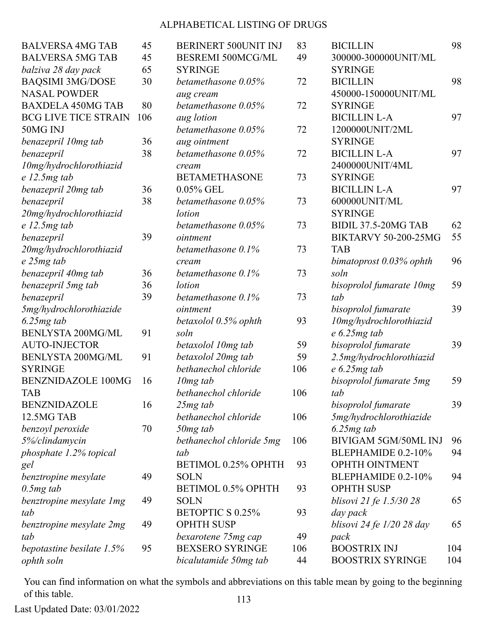| <b>BALVERSA 4MG TAB</b>     | 45  | BERINERT 500UNIT INJ     | 83  | <b>BICILLIN</b>             | 98  |
|-----------------------------|-----|--------------------------|-----|-----------------------------|-----|
| <b>BALVERSA 5MG TAB</b>     | 45  | <b>BESREMI 500MCG/ML</b> | 49  | 300000-300000UNIT/ML        |     |
| balziva 28 day pack         | 65  | <b>SYRINGE</b>           |     | <b>SYRINGE</b>              |     |
| <b>BAQSIMI 3MG/DOSE</b>     | 30  | betamethasone 0.05%      | 72  | <b>BICILLIN</b>             | 98  |
| <b>NASAL POWDER</b>         |     | aug cream                |     | 450000-150000UNIT/ML        |     |
| <b>BAXDELA 450MG TAB</b>    | 80  | betamethasone 0.05%      | 72  | <b>SYRINGE</b>              |     |
| <b>BCG LIVE TICE STRAIN</b> | 106 | aug lotion               |     | <b>BICILLIN L-A</b>         | 97  |
| 50MG INJ                    |     | betamethasone 0.05%      | 72  | 1200000UNIT/2ML             |     |
| benazepril 10mg tab         | 36  | aug ointment             |     | <b>SYRINGE</b>              |     |
| benazepril                  | 38  | betamethasone 0.05%      | 72  | <b>BICILLIN L-A</b>         | 97  |
| 10mg/hydrochlorothiazid     |     | cream                    |     | 2400000UNIT/4ML             |     |
| $e$ 12.5 $mg$ tab           |     | <b>BETAMETHASONE</b>     | 73  | <b>SYRINGE</b>              |     |
| benazepril 20mg tab         | 36  | 0.05% GEL                |     | <b>BICILLIN L-A</b>         | 97  |
| benazepril                  | 38  | betamethasone 0.05%      | 73  | 600000UNIT/ML               |     |
| 20mg/hydrochlorothiazid     |     | lotion                   |     | <b>SYRINGE</b>              |     |
| $e$ 12.5 $mg$ tab           |     | betamethasone 0.05%      | 73  | <b>BIDIL 37.5-20MG TAB</b>  | 62  |
| benazepril                  | 39  | ointment                 |     | <b>BIKTARVY 50-200-25MG</b> | 55  |
| 20mg/hydrochlorothiazid     |     | betamethasone 0.1%       | 73  | <b>TAB</b>                  |     |
| e 25mg tab                  |     | cream                    |     | bimatoprost $0.03\%$ ophth  | 96  |
| benazepril 40mg tab         | 36  | betamethasone 0.1%       | 73  | soln                        |     |
| benazepril 5mg tab          | 36  | lotion                   |     | bisoprolol fumarate 10mg    | 59  |
| benazepril                  | 39  | betamethasone 0.1%       | 73  | tab                         |     |
| 5mg/hydrochlorothiazide     |     | ointment                 |     | bisoprolol fumarate         | 39  |
| $6.25mg$ tab                |     | betaxolol 0.5% ophth     | 93  | 10mg/hydrochlorothiazid     |     |
| <b>BENLYSTA 200MG/ML</b>    | 91  | soln                     |     | $e$ 6.25 $mg$ tab           |     |
| <b>AUTO-INJECTOR</b>        |     | betaxolol 10mg tab       | 59  | bisoprolol fumarate         | 39  |
| <b>BENLYSTA 200MG/ML</b>    | 91  | betaxolol 20mg tab       | 59  | 2.5mg/hydrochlorothiazid    |     |
| <b>SYRINGE</b>              |     | bethanechol chloride     | 106 | $e$ 6.25 $mg$ tab           |     |
| <b>BENZNIDAZOLE 100MG</b>   | 16  | $10mg$ tab               |     | bisoprolol fumarate 5mg     | 59  |
| <b>TAB</b>                  |     | bethanechol chloride     | 106 | tab                         |     |
| <b>BENZNIDAZOLE</b>         | 16  | 25 <sub>mg</sub> tab     |     | bisoprolol fumarate         | 39  |
| 12.5MG TAB                  |     | bethanechol chloride     | 106 | 5mg/hydrochlorothiazide     |     |
| benzoyl peroxide            | 70  | 50mg tab                 |     | $6.25mg$ tab                |     |
| 5%/clindamycin              |     | bethanechol chloride 5mg | 106 | <b>BIVIGAM 5GM/50ML INJ</b> | 96  |
| phosphate 1.2% topical      |     | tab                      |     | BLEPHAMIDE 0.2-10%          | 94  |
| gel                         |     | BETIMOL 0.25% OPHTH      | 93  | OPHTH OINTMENT              |     |
| benztropine mesylate        | 49  | <b>SOLN</b>              |     | BLEPHAMIDE 0.2-10%          | 94  |
| $0.5mg$ tab                 |     | BETIMOL 0.5% OPHTH       | 93  | <b>OPHTH SUSP</b>           |     |
| benztropine mesylate 1 mg   | 49  | <b>SOLN</b>              |     | blisovi 21 fe 1.5/30 28     | 65  |
| tab                         |     | <b>BETOPTIC S 0.25%</b>  | 93  | day pack                    |     |
| benztropine mesylate 2mg    | 49  | <b>OPHTH SUSP</b>        |     | blisovi 24 fe $1/20$ 28 day | 65  |
| tab                         |     | bexarotene 75mg cap      | 49  | pack                        |     |
| bepotastine besilate 1.5%   | 95  | <b>BEXSERO SYRINGE</b>   | 106 | <b>BOOSTRIX INJ</b>         | 104 |
| ophth soln                  |     | bicalutamide 50mg tab    | 44  | <b>BOOSTRIX SYRINGE</b>     | 104 |

You can find information on what the symbols and abbreviations on this table mean by going to the beginning of this table. 113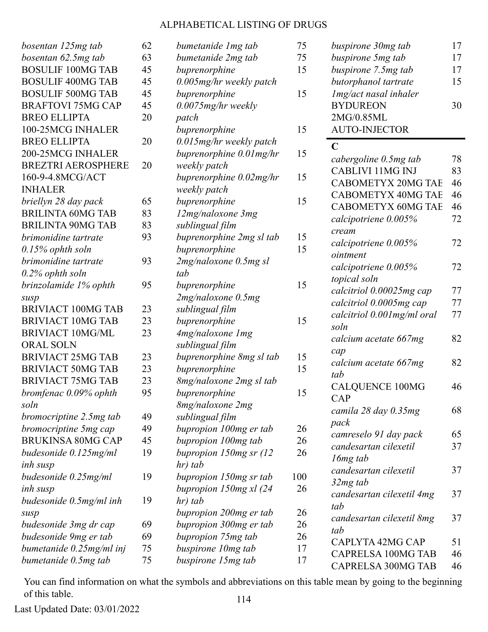| bosentan 125mg tab        | 62 | bumetanide 1 mg tab       | 75  | buspirone 30mg tab                            | 17 |
|---------------------------|----|---------------------------|-----|-----------------------------------------------|----|
| bosentan 62.5mg tab       | 63 | bumetanide 2mg tab        | 75  | buspirone 5mg tab                             | 17 |
| <b>BOSULIF 100MG TAB</b>  | 45 | buprenorphine             | 15  | buspirone 7.5mg tab                           | 17 |
| <b>BOSULIF 400MG TAB</b>  | 45 | 0.005mg/hr weekly patch   |     | butorphanol tartrate                          | 15 |
| <b>BOSULIF 500MG TAB</b>  | 45 | buprenorphine             | 15  | Img/act nasal inhaler                         |    |
| <b>BRAFTOVI 75MG CAP</b>  | 45 | 0.0075mg/hr weekly        |     | <b>BYDUREON</b>                               | 30 |
| <b>BREO ELLIPTA</b>       | 20 | patch                     |     | 2MG/0.85ML                                    |    |
| 100-25MCG INHALER         |    | buprenorphine             | 15  | <b>AUTO-INJECTOR</b>                          |    |
| <b>BREO ELLIPTA</b>       | 20 | 0.015mg/hr weekly patch   |     | $\mathbf C$                                   |    |
| 200-25MCG INHALER         |    | buprenorphine 0.01 mg/hr  | 15  | cabergoline 0.5mg tab                         | 78 |
| <b>BREZTRI AEROSPHERE</b> | 20 | weekly patch              |     | <b>CABLIVI 11MG INJ</b>                       | 83 |
| 160-9-4.8MCG/ACT          |    | buprenorphine 0.02mg/hr   | 15  | <b>CABOMETYX 20MG TAE</b>                     | 46 |
| <b>INHALER</b>            |    | weekly patch              |     | <b>CABOMETYX 40MG TAE</b>                     | 46 |
| briellyn 28 day pack      | 65 | buprenorphine             | 15  | <b>CABOMETYX 60MG TAE</b>                     | 46 |
| <b>BRILINTA 60MG TAB</b>  | 83 | 12mg/naloxone 3mg         |     |                                               | 72 |
| <b>BRILINTA 90MG TAB</b>  | 83 | sublingual film           |     | calcipotriene 0.005%                          |    |
| brimonidine tartrate      | 93 | buprenorphine 2mg sl tab  | 15  | cream                                         | 72 |
| $0.15\%$ ophth soln       |    | buprenorphine             | 15  | calcipotriene 0.005%<br>ointment              |    |
| brimonidine tartrate      | 93 | 2mg/naloxone 0.5mg sl     |     |                                               | 72 |
| $0.2\%$ ophth soln        |    | tab                       |     | calcipotriene 0.005%<br>topical soln          |    |
| brinzolamide 1% ophth     | 95 | buprenorphine             | 15  | calcitriol 0.00025mg cap                      | 77 |
| susp                      |    | 2mg/naloxone 0.5mg        |     | calcitriol 0.0005mg cap                       | 77 |
| <b>BRIVIACT 100MG TAB</b> | 23 | sublingual film           |     |                                               | 77 |
| <b>BRIVIACT 10MG TAB</b>  | 23 | buprenorphine             | 15  | calcitriol 0.001mg/ml oral<br>soln            |    |
| <b>BRIVIACT 10MG/ML</b>   | 23 | 4mg/naloxone 1mg          |     |                                               | 82 |
| <b>ORAL SOLN</b>          |    | sublingual film           |     | calcium acetate 667mg                         |    |
| <b>BRIVIACT 25MG TAB</b>  | 23 | buprenorphine 8mg sl tab  | 15  | cap                                           | 82 |
| <b>BRIVIACT 50MG TAB</b>  | 23 | buprenorphine             | 15  | calcium acetate 667mg<br>tab                  |    |
| <b>BRIVIACT 75MG TAB</b>  | 23 | 8mg/naloxone 2mg sl tab   |     | <b>CALQUENCE 100MG</b>                        | 46 |
| bromfenac 0.09% ophth     | 95 | buprenorphine             | 15  | CAP                                           |    |
| soln                      |    | 8mg/naloxone 2mg          |     |                                               | 68 |
| bromocriptine 2.5mg tab   | 49 | sublingual film           |     | camila 28 day 0.35mg<br>pack                  |    |
| bromocriptine 5mg cap     | 49 | bupropion 100mg er tab    | 26  | camreselo 91 day pack                         | 65 |
| <b>BRUKINSA 80MG CAP</b>  | 45 | bupropion 100mg tab       | 26  | candesartan cilexetil                         | 37 |
| budesonide 0.125mg/ml     | 19 | bupropion $150mg$ sr (12) | 26  |                                               |    |
| inh susp                  |    | hr) tab                   |     | 16 <sub>mg</sub> tab<br>candesartan cilexetil | 37 |
| budesonide 0.25mg/ml      | 19 | bupropion 150mg sr tab    | 100 | 32mg tab                                      |    |
| inh susp                  |    | bupropion 150mg xl (24    | 26  |                                               | 37 |
| budesonide 0.5mg/ml inh   | 19 | hr) tab                   |     | candesartan cilexetil 4mg<br>tab              |    |
| susp                      |    | bupropion 200mg er tab    | 26  |                                               | 37 |
| budesonide 3mg dr cap     | 69 | bupropion 300mg er tab    | 26  | candesartan cilexetil 8mg<br>tab              |    |
| budesonide 9mg er tab     | 69 | bupropion 75mg tab        | 26  | CAPLYTA 42MG CAP                              | 51 |
| bumetanide 0.25mg/ml inj  | 75 | buspirone 10mg tab        | 17  | <b>CAPRELSA 100MG TAB</b>                     | 46 |
| bumetanide 0.5mg tab      | 75 | buspirone 15mg tab        | 17  | <b>CAPRELSA 300MG TAB</b>                     | 46 |
|                           |    |                           |     |                                               |    |

You can find information on what the symbols and abbreviations on this table mean by going to the beginning of this table. 114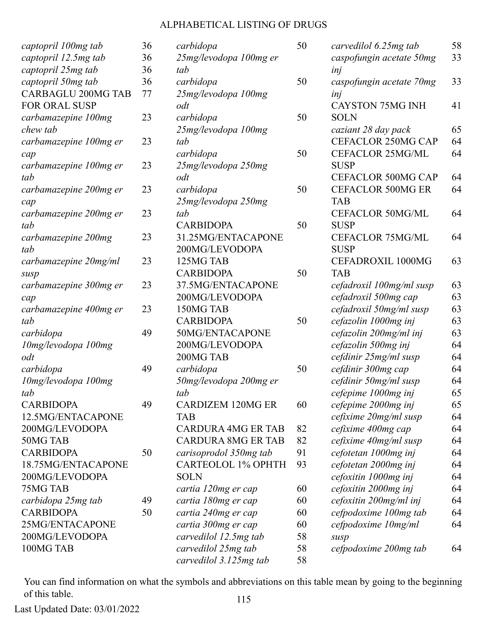|                           | 36 |                       |
|---------------------------|----|-----------------------|
| captopril 100mg tab       |    | $\mathcal{C}$         |
| captopril 12.5mg tab      | 36 | $\mathfrak{2}$        |
| captopril 25mg tab        | 36 | $t\epsilon$           |
| captopril 50mg tab        | 36 | $\mathcal{C}$         |
| <b>CARBAGLU 200MG TAB</b> | 77 | $\overline{2}$        |
| <b>FOR ORAL SUSP</b>      |    | $\bm{o}$              |
| carbamazepine 100mg       | 23 | $\mathcal{C}$         |
| chew tab                  |    | 2.                    |
| carbamazepine 100mg er    | 23 | $t\epsilon$           |
| cap                       |    | $\mathcal{C}$         |
| carbamazepine 100mg er    | 23 | 2.                    |
| tab                       |    | $\bm{o}$              |
| carbamazepine 200mg er    | 23 | $\mathcal{C}$         |
| cap                       |    | $\mathcal{Z}_{\cdot}$ |
| carbamazepine 200mg er    | 23 | tc                    |
| tab                       |    | $\mathcal{C}$         |
| carbamazepine 200mg       | 23 | 3                     |
| tab                       |    | $\overline{2}$        |
| carbamazepine 20mg/ml     | 23 | 1                     |
| susp                      |    | C                     |
| carbamazepine 300mg er    | 23 | $3^{\circ}$           |
| cap                       |    | $\overline{2}$        |
| carbamazepine 400mg er    | 23 | $\mathbf{1}$          |
| tab                       |    | $\overline{C}$        |
| carbidopa                 | 49 | $\overline{5}$        |
| 10mg/levodopa 100mg       |    | $\overline{2}$        |
| odt                       |    | $\overline{2}$        |
| carbidopa                 | 49 |                       |
|                           |    | $\mathcal{C}$<br>5    |
| 10mg/levodopa 100mg       |    |                       |
| tab                       |    | $\iota$               |
| <b>CARBIDOPA</b>          | 49 | $\mathsf{C}$          |
| 12.5MG/ENTACAPONE         |    | T                     |
| 200MG/LEVODOPA            |    | $\mathsf{C}$          |
| 50MG TAB                  |    | $\overline{C}$        |
| <b>CARBIDOPA</b>          | 50 | $\mathcal{C}$         |
| 18.75MG/ENTACAPONE        |    | $\mathsf{C}$          |
| 200MG/LEVODOPA            |    | S                     |
| 75MG TAB                  |    | $\mathcal{C}$         |
| carbidopa 25mg tab        | 49 | $\mathcal{C}$         |
| <b>CARBIDOPA</b>          | 50 | $\mathcal{C}$         |
| 25MG/ENTACAPONE           |    | $\mathcal{C}$         |
| 200MG/LEVODOPA            |    | $\mathcal{C}$         |
| 100MG TAB                 |    | $\mathcal{C}$         |
|                           |    |                       |

| carbidopa                 | 50 |
|---------------------------|----|
| 25mg/levodopa 100mg er    |    |
| tah                       |    |
| carbidopa                 | 50 |
| 25mg/levodopa 100mg       |    |
| odt                       |    |
| carbidopa                 | 50 |
| 25mg/levodopa 100mg       |    |
| tab                       |    |
| carbidopa                 | 50 |
| 25mg/levodopa 250mg       |    |
| odt                       |    |
| carbidopa                 | 50 |
| 25mg/levodopa 250mg       |    |
| tab                       |    |
| <b>CARBIDOPA</b>          | 50 |
| 31.25MG/ENTACAPONE        |    |
| 200MG/LEVODOPA            |    |
| 125MG TAB                 |    |
| <b>CARBIDOPA</b>          | 50 |
| 37.5MG/ENTACAPONE         |    |
| 200MG/LEVODOPA            |    |
| 150MG TAB                 |    |
| <b>CARBIDOPA</b>          | 50 |
| 50MG/ENTACAPONE           |    |
| 200MG/LEVODOPA            |    |
| 200MG TAB                 |    |
| carbidopa                 | 50 |
| 50mg/levodopa 200mg er    |    |
| tab                       |    |
| <b>CARDIZEM 120MG ER</b>  | 60 |
| TAB                       |    |
| <b>CARDURA 4MG ER TAB</b> | 82 |
| <b>CARDURA 8MG ER TAB</b> | 82 |
| carisoprodol 350mg tab    | 91 |
| <b>CARTEOLOL 1% OPHTH</b> | 93 |
| SOLN                      |    |
| cartia 120mg er cap       | 60 |
| cartia 180mg er cap       | 60 |
| cartia 240mg er cap       | 60 |
| cartia 300mg er cap       | 60 |
| carvedilol 12.5mg tab     | 58 |
| carvedilol 25mg tab       | 58 |
| carvedilol 3.125mg tab    | 58 |

| carvedilol 6.25mg tab     | 58 |
|---------------------------|----|
| caspofungin acetate 50mg  | 33 |
| inj                       |    |
| caspofungin acetate 70mg  | 33 |
| inj                       |    |
| <b>CAYSTON 75MG INH</b>   | 41 |
| <b>SOLN</b>               |    |
| caziant 28 day pack       | 65 |
| CEFACLOR 250MG CAP        | 64 |
| <b>CEFACLOR 25MG/ML</b>   | 64 |
| <b>SUSP</b>               |    |
| <b>CEFACLOR 500MG CAP</b> | 64 |
| <b>CEFACLOR 500MG ER</b>  | 64 |
| <b>TAB</b>                |    |
| <b>CEFACLOR 50MG/ML</b>   | 64 |
| <b>SUSP</b>               |    |
| <b>CEFACLOR 75MG/ML</b>   | 64 |
| <b>SUSP</b>               |    |
| CEFADROXIL 1000MG         | 63 |
| <b>TAB</b>                |    |
| cefadroxil 100mg/ml susp  | 63 |
| cefadroxil 500mg cap      | 63 |
| cefadroxil 50mg/ml susp   | 63 |
| cefazolin 1000mg inj      | 63 |
| cefazolin 200mg/ml inj    | 63 |
| cefazolin 500mg inj       | 64 |
| cefdinir 25mg/ml susp     | 64 |
| cefdinir 300mg cap        | 64 |
| cefdinir 50mg/ml susp     | 64 |
| cefepime 1000mg inj       | 65 |
| cefepime 2000mg inj       | 65 |
| cefixime 20mg/ml susp     | 64 |
| cefixime 400mg cap        | 64 |
| cefixime 40mg/ml susp     | 64 |
| cefotetan 1000mg inj      | 64 |
| cefotetan 2000mg inj      | 64 |
| cefoxitin 1000mg inj      | 64 |
| cefoxitin 2000mg inj      | 64 |
| cefoxitin 200mg/ml inj    | 64 |
| cefpodoxime 100mg tab     | 64 |
| cefpodoxime 10mg/ml       | 64 |
| susp                      |    |
| cefpodoxime 200mg tab     | 64 |

You can find information on what the symbols and abbreviations on this table mean by going to the beginning of this table. 115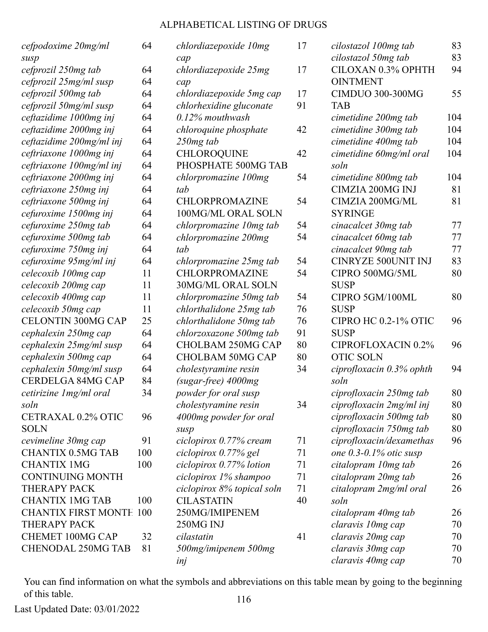| cefpodoxime 20mg/ml            | 64  | chlordiazepoxide 10mg      | 17 | cilostazol 100mg tab          | 83  |
|--------------------------------|-----|----------------------------|----|-------------------------------|-----|
| susp                           |     | cap                        |    | cilostazol 50mg tab           | 83  |
| cefprozil 250mg tab            | 64  | chlordiazepoxide 25mg      | 17 | CILOXAN 0.3% OPHTH            | 94  |
| cefprozil 25mg/ml susp         | 64  | cap                        |    | <b>OINTMENT</b>               |     |
| cefprozil 500mg tab            | 64  | chlordiazepoxide 5mg cap   | 17 | <b>CIMDUO 300-300MG</b>       | 55  |
| cefprozil 50mg/ml susp         | 64  | chlorhexidine gluconate    | 91 | <b>TAB</b>                    |     |
| ceftazidime 1000mg inj         | 64  | $0.12\%$ mouthwash         |    | cimetidine 200mg tab          | 104 |
| ceftazidime 2000mg inj         | 64  | chloroquine phosphate      | 42 | cimetidine 300mg tab          | 104 |
| ceftazidime 200mg/ml inj       | 64  | $250mg$ tab                |    | cimetidine 400mg tab          | 104 |
| ceftriaxone 1000mg inj         | 64  | <b>CHLOROQUINE</b>         | 42 | cimetidine 60mg/ml oral       | 104 |
| ceftriaxone 100mg/ml inj       | 64  | PHOSPHATE 500MG TAB        |    | soln                          |     |
| ceftriaxone 2000mg inj         | 64  | chlorpromazine 100mg       | 54 | cimetidine 800mg tab          | 104 |
| ceftriaxone 250mg inj          | 64  | tab                        |    | <b>CIMZIA 200MG INJ</b>       | 81  |
| ceftriaxone 500mg inj          | 64  | CHLORPROMAZINE             | 54 | CIMZIA 200MG/ML               | 81  |
| cefuroxime 1500mg inj          | 64  | 100MG/ML ORAL SOLN         |    | <b>SYRINGE</b>                |     |
| cefuroxime 250mg tab           | 64  | chlorpromazine 10mg tab    | 54 | cinacalcet 30mg tab           | 77  |
| cefuroxime 500mg tab           | 64  | chlorpromazine 200mg       | 54 | cinacalcet 60mg tab           | 77  |
| cefuroxime 750mg inj           | 64  | tab                        |    | cinacalcet 90mg tab           | 77  |
| cefuroxime 95mg/ml inj         | 64  | chlorpromazine 25mg tab    | 54 | <b>CINRYZE 500UNIT INJ</b>    | 83  |
| celecoxib 100mg cap            | 11  | CHLORPROMAZINE             | 54 | CIPRO 500MG/5ML               | 80  |
| celecoxib 200mg cap            | 11  | 30MG/ML ORAL SOLN          |    | <b>SUSP</b>                   |     |
| celecoxib 400mg cap            | 11  | chlorpromazine 50mg tab    | 54 | CIPRO 5GM/100ML               | 80  |
| celecoxib 50mg cap             | 11  | chlorthalidone 25mg tab    | 76 | <b>SUSP</b>                   |     |
| <b>CELONTIN 300MG CAP</b>      | 25  | chlorthalidone 50mg tab    | 76 | CIPRO HC 0.2-1% OTIC          | 96  |
| cephalexin 250mg cap           | 64  | chlorzoxazone 500mg tab    | 91 | <b>SUSP</b>                   |     |
| cephalexin 25mg/ml susp        | 64  | CHOLBAM 250MG CAP          | 80 | CIPROFLOXACIN 0.2%            | 96  |
| cephalexin 500mg cap           | 64  | <b>CHOLBAM 50MG CAP</b>    | 80 | <b>OTIC SOLN</b>              |     |
| cephalexin 50mg/ml susp        | 64  | cholestyramine resin       | 34 | ciprofloxacin 0.3% ophth      | 94  |
| <b>CERDELGA 84MG CAP</b>       | 84  | (sugar-free) 4000mg        |    | soln                          |     |
| cetirizine 1 mg/ml oral        | 34  | powder for oral susp       |    | ciprofloxacin 250mg tab       | 80  |
| soln                           |     | cholestyramine resin       | 34 | ciprofloxacin 2mg/ml inj      | 80  |
| CETRAXAL 0.2% OTIC             | 96  | 4000mg powder for oral     |    | ciprofloxacin 500mg tab       | 80  |
| <b>SOLN</b>                    |     | susp                       |    | ciprofloxacin 750mg tab       | 80  |
| cevimeline 30mg cap            | 91  | ciclopirox 0.77% cream     | 71 | ciprofloxacin/dexamethas      | 96  |
| <b>CHANTIX 0.5MG TAB</b>       | 100 | ciclopirox 0.77% gel       | 71 | one $0.3$ - $0.1\%$ otic susp |     |
| <b>CHANTIX 1MG</b>             | 100 | ciclopirox 0.77% lotion    | 71 | citalopram 10mg tab           | 26  |
| <b>CONTINUING MONTH</b>        |     | ciclopirox 1% shampoo      | 71 | citalopram 20mg tab           | 26  |
| <b>THERAPY PACK</b>            |     | ciclopirox 8% topical soln | 71 | citalopram 2mg/ml oral        | 26  |
| <b>CHANTIX 1MG TAB</b>         | 100 | <b>CILASTATIN</b>          | 40 | soln                          |     |
| <b>CHANTIX FIRST MONTE 100</b> |     | 250MG/IMIPENEM             |    | citalopram 40mg tab           | 26  |
| THERAPY PACK                   |     | 250MG INJ                  |    | claravis 10mg cap             | 70  |
| <b>CHEMET 100MG CAP</b>        | 32  | cilastatin                 | 41 | claravis 20mg cap             | 70  |
| <b>CHENODAL 250MG TAB</b>      | 81  | 500mg/imipenem 500mg       |    | claravis 30mg cap             | 70  |
|                                |     | inj                        |    | claravis 40mg cap             | 70  |
|                                |     |                            |    |                               |     |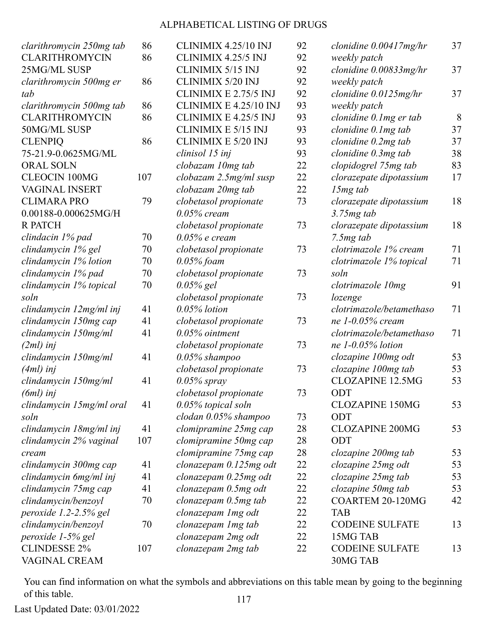| clarithromycin 250mg tab | 86  | CLINIMIX 4.25/10 INJ          | 92 | clonidine $0.00417mg/hr$  | 37 |
|--------------------------|-----|-------------------------------|----|---------------------------|----|
| <b>CLARITHROMYCIN</b>    | 86  | CLINIMIX 4.25/5 INJ           | 92 | weekly patch              |    |
| 25MG/ML SUSP             |     | CLINIMIX 5/15 INJ             | 92 | clonidine $0.00833mg/hr$  | 37 |
| clarithromycin 500mg er  | 86  | <b>CLINIMIX 5/20 INJ</b>      | 92 | weekly patch              |    |
| tab                      |     | CLINIMIX E 2.75/5 INJ         | 92 | clonidine $0.0125$ mg/hr  | 37 |
| clarithromycin 500mg tab | 86  | CLINIMIX E 4.25/10 INJ        | 93 | weekly patch              |    |
| <b>CLARITHROMYCIN</b>    | 86  | CLINIMIX E 4.25/5 INJ         | 93 | clonidine $0.1$ mg er tab | 8  |
| 50MG/ML SUSP             |     | CLINIMIX E 5/15 INJ           | 93 | clonidine 0.1mg tab       | 37 |
| <b>CLENPIQ</b>           | 86  | <b>CLINIMIX E 5/20 INJ</b>    | 93 | clonidine $0.2mg$ tab     | 37 |
| 75-21.9-0.0625MG/ML      |     | clinisol 15 inj               | 93 | clonidine $0.3mg$ tab     | 38 |
| <b>ORAL SOLN</b>         |     | clobazam 10mg tab             | 22 | clopidogrel 75mg tab      | 83 |
| <b>CLEOCIN 100MG</b>     | 107 | clobazam 2.5mg/ml susp        | 22 | clorazepate dipotassium   | 17 |
| <b>VAGINAL INSERT</b>    |     | clobazam 20mg tab             | 22 | $15mg$ tab                |    |
| <b>CLIMARA PRO</b>       | 79  | clobetasol propionate         | 73 | clorazepate dipotassium   | 18 |
| 0.00188-0.000625MG/H     |     | $0.05\%$ cream                |    | $3.75mg$ tab              |    |
| <b>R PATCH</b>           |     | clobetasol propionate         | 73 | clorazepate dipotassium   | 18 |
| clindacin 1% pad         | 70  | $0.05\%$ e cream              |    | 7.5mg tab                 |    |
| clindamycin 1% gel       | 70  | clobetasol propionate         | 73 | clotrimazole 1% cream     | 71 |
| clindamycin 1% lotion    | 70  | $0.05\%$ foam                 |    | clotrimazole 1% topical   | 71 |
| clindamycin 1% pad       | 70  | clobetasol propionate         | 73 | soln                      |    |
| clindamycin 1% topical   | 70  | $0.05\%$ gel                  |    | clotrimazole 10mg         | 91 |
| soln                     |     | clobetasol propionate         | 73 | lozenge                   |    |
| clindamycin 12mg/ml inj  | 41  | $0.05\%$ lotion               |    | clotrimazole/betamethaso  | 71 |
| clindamycin 150mg cap    | 41  | clobetasol propionate         | 73 | ne $1-0.05\%$ cream       |    |
| clindamycin 150mg/ml     | 41  | $0.05\%$ ointment             |    | clotrimazole/betamethaso  | 71 |
| $(2ml)$ inj              |     | clobetasol propionate         | 73 | ne $1-0.05\%$ lotion      |    |
| clindamycin 150mg/ml     | 41  | $0.05\%$ shampoo              |    | clozapine 100mg odt       | 53 |
| $(4ml)$ inj              |     | clobetasol propionate         | 73 | clozapine 100mg tab       | 53 |
| clindamycin 150mg/ml     | 41  | $0.05\%$ spray                |    | <b>CLOZAPINE 12.5MG</b>   | 53 |
| $(6ml)$ inj              |     | clobetasol propionate         | 73 | ODT                       |    |
| clindamycin 15mg/ml oral | 41  | $0.05\%$ topical soln         |    | <b>CLOZAPINE 150MG</b>    | 53 |
| soln                     |     | $\it{clodan}\,0.05\%$ shampoo | 73 | ODT                       |    |
| clindamycin 18mg/ml inj  | 41  | clomipramine 25mg cap         | 28 | <b>CLOZAPINE 200MG</b>    | 53 |
| clindamycin 2% vaginal   | 107 | clomipramine 50mg cap         | 28 | ODT                       |    |
| cream                    |     | clomipramine 75mg cap         | 28 | clozapine 200mg tab       | 53 |
| clindamycin 300mg cap    | 41  | clonazepam 0.125mg odt        | 22 | clozapine 25mg odt        | 53 |
| clindamycin 6mg/ml inj   | 41  | clonazepam 0.25mg odt         | 22 | clozapine 25mg tab        | 53 |
| clindamycin 75mg cap     | 41  | clonazepam 0.5mg odt          | 22 | clozapine 50mg tab        | 53 |
| clindamycin/benzoyl      | 70  | clonazepam 0.5mg tab          | 22 | COARTEM 20-120MG          | 42 |
| peroxide 1.2-2.5% gel    |     | clonazepam 1 mg odt           | 22 | <b>TAB</b>                |    |
| clindamycin/benzoyl      | 70  | clonazepam 1 mg tab           | 22 | <b>CODEINE SULFATE</b>    | 13 |
| peroxide 1-5% gel        |     | clonazepam 2mg odt            | 22 | 15MG TAB                  |    |
| <b>CLINDESSE 2%</b>      | 107 | clonazepam 2mg tab            | 22 | <b>CODEINE SULFATE</b>    | 13 |
| VAGINAL CREAM            |     |                               |    | 30MG TAB                  |    |

You can find information on what the symbols and abbreviations on this table mean by going to the beginning of this table. 117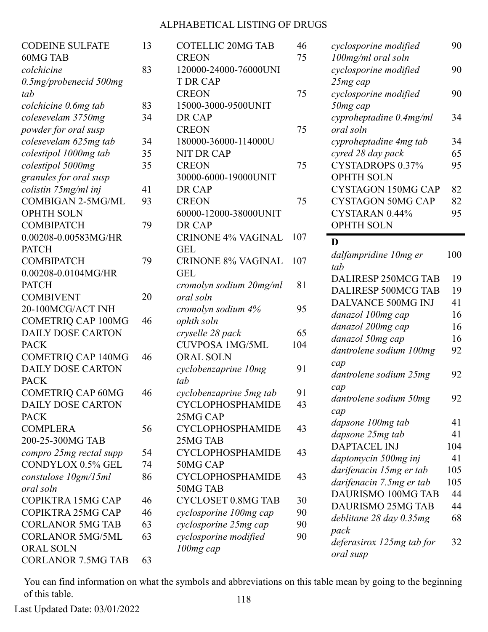| <b>CODEINE SULFATE</b>    | 13 | CO <sup>2</sup> |
|---------------------------|----|-----------------|
| <b>60MG TAB</b>           |    | <b>CRI</b>      |
| colchicine                | 83 | 120             |
| $0.5$ mg/probenecid 500mg |    | T <sub>D</sub>  |
| tab                       |    | <b>CRI</b>      |
| colchicine 0.6mg tab      | 83 | 150             |
| colesevelam 3750mg        | 34 | DR              |
| powder for oral susp      |    | <b>CRI</b>      |
| colesevelam 625mg tab     | 34 | 180             |
| colestipol 1000mg tab     | 35 | <b>NIT</b>      |
| colestipol 5000mg         | 35 | <b>CRI</b>      |
| granules for oral susp    |    | 300             |
| colistin 75mg/ml inj      | 41 | DR              |
| <b>COMBIGAN 2-5MG/ML</b>  | 93 | <b>CRI</b>      |
| <b>OPHTH SOLN</b>         |    | 600             |
| <b>COMBIPATCH</b>         | 79 | <b>DR</b>       |
| 0.00208-0.00583MG/HR      |    | <b>CRI</b>      |
| <b>PATCH</b>              |    | <b>GEI</b>      |
| <b>COMBIPATCH</b>         | 79 | <b>CRI</b>      |
| 0.00208-0.0104MG/HR       |    | <b>GEI</b>      |
| <b>PATCH</b>              |    | cron            |
| <b>COMBIVENT</b>          | 20 | ora             |
| 20-100MCG/ACT INH         |    | cron            |
| <b>COMETRIQ CAP 100MG</b> | 46 | oph             |
| <b>DAILY DOSE CARTON</b>  |    | crys            |
| <b>PACK</b>               |    | <b>CU</b>       |
| <b>COMETRIQ CAP 140MG</b> | 46 | OR.             |
| <b>DAILY DOSE CARTON</b>  |    | cycl            |
| <b>PACK</b>               |    | tab             |
| COMETRIQ CAP 60MG         | 46 | cycl            |
| <b>DAILY DOSE CARTON</b>  |    | <b>CY</b>       |
| <b>PACK</b>               |    | 25 <sub>N</sub> |
| <b>COMPLERA</b>           | 56 | CY <sup></sup>  |
| 200-25-300MG TAB          |    | 25 <sub>N</sub> |
| compro 25mg rectal supp   | 54 | <b>CY</b>       |
| CONDYLOX 0.5% GEL         | 74 | 50 <sub>N</sub> |
| constulose 10gm/15ml      | 86 | <b>CY</b>       |
| oral soln                 |    | 50 <sub>N</sub> |
| COPIKTRA 15MG CAP         | 46 | <b>CY</b>       |
| COPIKTRA 25MG CAP         | 46 | cycl            |
| <b>CORLANOR 5MG TAB</b>   | 63 | cyci            |
| <b>CORLANOR 5MG/5ML</b>   | 63 | cycl            |
| <b>ORAL SOLN</b>          |    | <i>100</i>      |
| <b>CORLANOR 7.5MG TAB</b> | 63 |                 |

| <b>COTELLIC 20MG TAB</b>  | 46  |
|---------------------------|-----|
| <b>CREON</b>              | 75  |
| 120000-24000-76000UNI     |     |
| <b>T DR CAP</b>           |     |
| <b>CREON</b>              | 75  |
| 15000-3000-9500UNIT       |     |
| DR CAP                    |     |
| <b>CREON</b>              | 75  |
| 180000-36000-114000U      |     |
| <b>NIT DR CAP</b>         |     |
| <b>CREON</b>              | 75  |
| 30000-6000-19000UNIT      |     |
| DR CAP                    |     |
| <b>CREON</b>              | 75  |
| 60000-12000-38000UNIT     |     |
| DR CAP                    |     |
| CRINONE 4% VAGINAL        | 107 |
| <b>GEL</b>                |     |
| <b>CRINONE 8% VAGINAL</b> | 107 |
| <b>GEL</b>                |     |
| cromolyn sodium 20mg/ml   | 81  |
| oral soln                 |     |
| cromolyn sodium 4%        | 95  |
| ophth soln                |     |
| cryselle 28 pack          | 65  |
| <b>CUVPOSA 1MG/5ML</b>    | 104 |
| <b>ORAL SOLN</b>          |     |
| cyclobenzaprine 10mg      | 91  |
| tab                       |     |
| cyclobenzaprine 5mg tab   | 91  |
| <b>CYCLOPHOSPHAMIDE</b>   | 43  |
| 25MG CAP                  |     |
| <b>CYCLOPHOSPHAMIDE</b>   | 43  |
| 25MG TAB                  |     |
| <b>CYCLOPHOSPHAMIDE</b>   | 43  |
| 50MG CAP                  |     |
| <b>CYCLOPHOSPHAMIDE</b>   | 43  |
| 50MG TAB                  |     |
| <b>CYCLOSET 0.8MG TAB</b> | 30  |
| cyclosporine 100mg cap    | 90  |
| cyclosporine 25mg cap     | 90  |
| cyclosporine modified     | 90  |
| 100mg cap                 |     |

| cyclosporine modified                       | 90  |
|---------------------------------------------|-----|
| 100mg/ml oral soln<br>cyclosporine modified | 90  |
| 25mg cap                                    |     |
| cyclosporine modified                       | 90  |
| 50mg cap                                    |     |
| cyproheptadine 0.4mg/ml                     | 34  |
| oral soln                                   |     |
| cyproheptadine 4mg tab                      | 34  |
| cyred 28 day pack                           | 65  |
| <b>CYSTADROPS 0.37%</b>                     | 95  |
| <b>OPHTH SOLN</b>                           |     |
| <b>CYSTAGON 150MG CAP</b>                   | 82  |
| <b>CYSTAGON 50MG CAP</b>                    | 82  |
| CYSTARAN 0.44%                              | 95  |
| <b>OPHTH SOLN</b>                           |     |
| D                                           |     |
| dalfampridine 10mg er                       | 100 |
| tab                                         |     |
| DALIRESP 250MCG TAB                         | 19  |
| <b>DALIRESP 500MCG TAB</b>                  | 19  |
| DALVANCE 500MG INJ                          | 41  |
| danazol 100mg cap                           | 16  |
| danazol 200mg cap                           | 16  |
| danazol 50mg cap                            | 16  |
| dantrolene sodium 100mg                     | 92  |
| cap                                         |     |
| dantrolene sodium 25mg                      | 92  |
| cap                                         |     |
| dantrolene sodium 50mg<br>cap               | 92  |
| dapsone 100mg tab                           | 41  |
| dapsone 25mg tab                            | 41  |
| <b>DAPTACEL INJ</b>                         | 104 |
| daptomycin 500mg inj                        | 41  |
| darifenacin 15mg er tab                     | 105 |
| darifenacin 7.5mg er tab                    | 105 |
| <b>DAURISMO 100MG TAB</b>                   | 44  |
| <b>DAURISMO 25MG TAB</b>                    | 44  |
| deblitane 28 day 0.35mg                     | 68  |
| pack                                        |     |
| deferasirox 125mg tab for                   | 32  |
| oral susp                                   |     |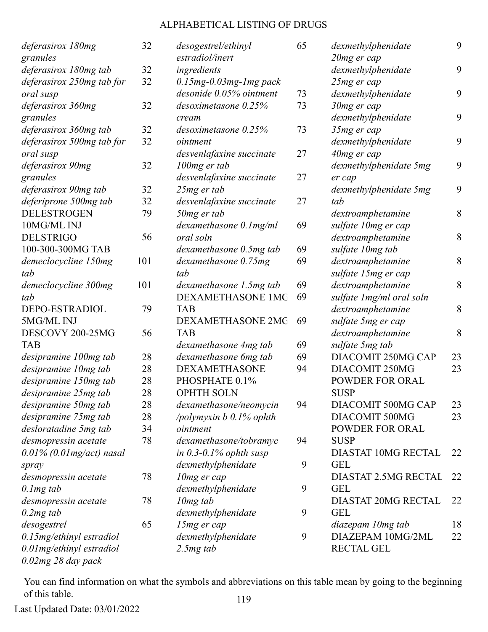| deferasirox 180mg            | 32  | desogestrel/ethinyl          | 65 | dexmethylphenidate          | 9  |
|------------------------------|-----|------------------------------|----|-----------------------------|----|
| granules                     |     | estradiol/inert              |    | 20mg er cap                 |    |
| deferasirox 180mg tab        | 32  | ingredients                  |    | dexmethylphenidate          | 9  |
| deferasirox 250mg tab for    | 32  | $0.15mg - 0.03mg - 1mg$ pack |    | 25mg er cap                 |    |
| oral susp                    |     | desonide 0.05% ointment      | 73 | dexmethylphenidate          | 9  |
| deferasirox 360mg            | 32  | desoximetasone 0.25%         | 73 | 30mg er cap                 |    |
| granules                     |     | cream                        |    | dexmethylphenidate          | 9  |
| deferasirox 360mg tab        | 32  | $desoximetasone$ $0.25%$     | 73 | 35mg er cap                 |    |
| deferasirox 500mg tab for    | 32  | ointment                     |    | dexmethylphenidate          | 9  |
| oral susp                    |     | desvenlafaxine succinate     | 27 | 40mg er cap                 |    |
| deferasirox 90mg             | 32  | 100mg er tab                 |    | dexmethylphenidate 5mg      | 9  |
| granules                     |     | desvenlafaxine succinate     | 27 | er cap                      |    |
| deferasirox 90mg tab         | 32  | $25mg$ er tab                |    | dexmethylphenidate 5mg      | 9  |
| deferiprone 500mg tab        | 32  | desvenlafaxine succinate     | 27 | tab                         |    |
| <b>DELESTROGEN</b>           | 79  | 50mg er tab                  |    | dextroamphetamine           | 8  |
| 10MG/ML INJ                  |     | $d$ examethasone $0.1$ mg/ml | 69 | sulfate 10mg er cap         |    |
| <b>DELSTRIGO</b>             | 56  | oral soln                    |    | dextroamphetamine           | 8  |
| 100-300-300MG TAB            |     | dexamethasone 0.5mg tab      | 69 | sulfate 10mg tab            |    |
| demeclocycline 150mg         | 101 | dexamethasone 0.75mg         | 69 | dextroamphetamine           | 8  |
| tab                          |     | tab                          |    | sulfate 15mg er cap         |    |
| demeclocycline 300mg         | 101 | dexamethasone 1.5mg tab      | 69 | dextroamphetamine           | 8  |
| tab                          |     | DEXAMETHASONE 1MG            | 69 | sulfate 1mg/ml oral soln    |    |
| DEPO-ESTRADIOL               | 79  | <b>TAB</b>                   |    | dextroamphetamine           | 8  |
| 5MG/ML INJ                   |     | DEXAMETHASONE 2MG            | 69 | sulfate 5mg er cap          |    |
| DESCOVY 200-25MG             | 56  | <b>TAB</b>                   |    | dextroamphetamine           | 8  |
| <b>TAB</b>                   |     | dexamethasone 4mg tab        | 69 | sulfate 5mg tab             |    |
| desipramine 100mg tab        | 28  | dexamethasone 6mg tab        | 69 | DIACOMIT 250MG CAP          | 23 |
| desipramine 10mg tab         | 28  | <b>DEXAMETHASONE</b>         | 94 | DIACOMIT 250MG              | 23 |
| desipramine 150mg tab        | 28  | PHOSPHATE 0.1%               |    | <b>POWDER FOR ORAL</b>      |    |
| desipramine 25mg tab         | 28  | <b>OPHTH SOLN</b>            |    | <b>SUSP</b>                 |    |
| desipramine 50mg tab         | 28  | dexamethasone/neomycin       | 94 | DIACOMIT 500MG CAP          | 23 |
| desipramine 75mg tab         | 28  | /polymyxin b 0.1% ophth      |    | DIACOMIT 500MG              | 23 |
| desloratadine 5mg tab        | 34  | ointment                     |    | <b>POWDER FOR ORAL</b>      |    |
| desmopressin acetate         | 78  | dexamethasone/tobramyc       | 94 | <b>SUSP</b>                 |    |
| $0.01\%$ (0.01 mg/act) nasal |     | in $0.3$ -0.1% ophth susp    |    | <b>DIASTAT 10MG RECTAL</b>  | 22 |
| spray                        |     | dexmethylphenidate           | 9  | <b>GEL</b>                  |    |
| desmopressin acetate         | 78  | 10mg er cap                  |    | <b>DIASTAT 2.5MG RECTAL</b> | 22 |
| $0.1$ mg tab                 |     | dexmethylphenidate           | 9  | <b>GEL</b>                  |    |
| desmopressin acetate         | 78  | $10mg$ tab                   |    | <b>DIASTAT 20MG RECTAL</b>  | 22 |
| $0.2mg$ tab                  |     | dexmethylphenidate           | 9  | <b>GEL</b>                  |    |
| desogestrel                  | 65  | 15mg er cap                  |    | diazepam 10mg tab           | 18 |
| 0.15mg/ethinyl estradiol     |     | dexmethylphenidate           | 9  | DIAZEPAM 10MG/2ML           | 22 |
| 0.01mg/ethinyl estradiol     |     | $2.5mg$ tab                  |    | <b>RECTAL GEL</b>           |    |
| $0.02mg$ $28$ day pack       |     |                              |    |                             |    |

You can find information on what the symbols and abbreviations on this table mean by going to the beginning of this table. 119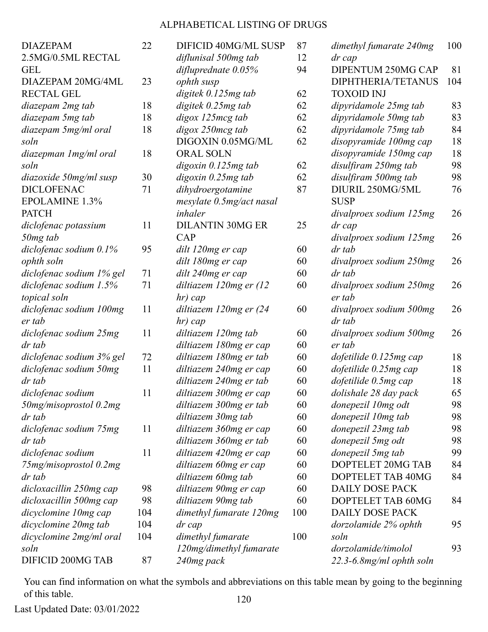| <b>DIAZEPAM</b>           | 22  | DIFICID 40MG/ML SUSP     | 87  | dimethyl fumarate 240mg  | 100 |
|---------------------------|-----|--------------------------|-----|--------------------------|-----|
| 2.5MG/0.5ML RECTAL        |     | diflunisal 500mg tab     | 12  | dr cap                   |     |
| <b>GEL</b>                |     | difluprednate $0.05\%$   | 94  | DIPENTUM 250MG CAP       | 81  |
| DIAZEPAM 20MG/4ML         | 23  | ophth susp               |     | DIPHTHERIA/TETANUS       | 104 |
| <b>RECTAL GEL</b>         |     | digitek 0.125mg tab      | 62  | <b>TOXOID INJ</b>        |     |
| diazepam 2mg tab          | 18  | digitek 0.25mg tab       | 62  | dipyridamole 25mg tab    | 83  |
| diazepam 5mg tab          | 18  | digox 125mcg tab         | 62  | dipyridamole 50mg tab    | 83  |
| diazepam 5mg/ml oral      | 18  | digox 250mcg tab         | 62  | dipyridamole 75mg tab    | 84  |
| soln                      |     | DIGOXIN 0.05MG/ML        | 62  | disopyramide 100mg cap   | 18  |
| diazepman 1 mg/ml oral    | 18  | <b>ORAL SOLN</b>         |     | disopyramide 150mg cap   | 18  |
| soln                      |     | digoxin 0.125mg tab      | 62  | disulfiram 250mg tab     | 98  |
| diazoxide 50mg/ml susp    | 30  | digoxin 0.25mg tab       | 62  | disulfiram 500mg tab     | 98  |
| <b>DICLOFENAC</b>         | 71  | dihydroergotamine        | 87  | DIURIL 250MG/5ML         | 76  |
| <b>EPOLAMINE 1.3%</b>     |     | mesylate 0.5mg/act nasal |     | <b>SUSP</b>              |     |
| <b>PATCH</b>              |     | inhaler                  |     | divalproex sodium 125mg  | 26  |
| diclofenac potassium      | 11  | <b>DILANTIN 30MG ER</b>  | 25  | dr cap                   |     |
| 50mg tab                  |     | CAP                      |     | divalproex sodium 125mg  | 26  |
| diclofenac sodium $0.1\%$ | 95  | dilt 120mg er cap        | 60  | dr tab                   |     |
| ophth soln                |     | dilt 180mg er cap        | 60  | divalproex sodium 250mg  | 26  |
| diclofenac sodium 1% gel  | 71  | dilt 240mg er cap        | 60  | dr tab                   |     |
| diclofenac sodium 1.5%    | 71  | diltiazem 120mg er (12   | 60  | divalproex sodium 250mg  | 26  |
| topical soln              |     | hr) cap                  |     | er tab                   |     |
| diclofenac sodium 100mg   | 11  | diltiazem 120mg er (24   | 60  | divalproex sodium 500mg  | 26  |
| er tab                    |     | hr) cap                  |     | dr tab                   |     |
| diclofenac sodium 25mg    | 11  | diltiazem 120mg tab      | 60  | divalproex sodium 500mg  | 26  |
| dr tab                    |     | diltiazem 180mg er cap   | 60  | er tab                   |     |
| diclofenac sodium 3% gel  | 72  | diltiazem 180mg er tab   | 60  | dofetilide 0.125mg cap   | 18  |
| diclofenac sodium 50mg    | 11  | diltiazem 240mg er cap   | 60  | dofetilide 0.25mg cap    | 18  |
| dr tab                    |     | diltiazem 240mg er tab   | 60  | dofetilide 0.5mg cap     | 18  |
| diclofenac sodium         | 11  | diltiazem 300mg er cap   | 60  | dolishale 28 day pack    | 65  |
| 50mg/misoprostol 0.2mg    |     | diltiazem 300mg er tab   | 60  | donepezil 10mg odt       | 98  |
| dr tab                    |     | diltiazem 30mg tab       | 60  | donepezil 10mg tab       | 98  |
| diclofenac sodium 75mg    | 11  | diltiazem 360mg er cap   | 60  | donepezil 23mg tab       | 98  |
| dr tab                    |     | diltiazem 360mg er tab   | 60  | donepezil 5mg odt        | 98  |
| diclofenac sodium         | 11  | diltiazem 420mg er cap   | 60  | donepezil 5mg tab        | 99  |
| 75mg/misoprostol 0.2mg    |     | diltiazem 60mg er cap    | 60  | DOPTELET 20MG TAB        | 84  |
| dr tab                    |     | diltiazem 60mg tab       | 60  | DOPTELET TAB 40MG        | 84  |
| dicloxacillin 250mg cap   | 98  | diltiazem 90mg er cap    | 60  | <b>DAILY DOSE PACK</b>   |     |
| dicloxacillin 500mg cap   | 98  | diltiazem 90mg tab       | 60  | DOPTELET TAB 60MG        | 84  |
| dicyclomine 10mg cap      | 104 | dimethyl fumarate 120mg  | 100 | <b>DAILY DOSE PACK</b>   |     |
| dicyclomine 20mg tab      | 104 | dr cap                   |     | dorzolamide 2% ophth     | 95  |
| dicyclomine 2mg/ml oral   | 104 | dimethyl fumarate        | 100 | soln                     |     |
| soln                      |     | 120mg/dimethyl fumarate  |     | dorzolamide/timolol      | 93  |
| DIFICID 200MG TAB         | 87  | 240mg pack               |     | 22.3-6.8mg/ml ophth soln |     |

You can find information on what the symbols and abbreviations on this table mean by going to the beginning of this table. 120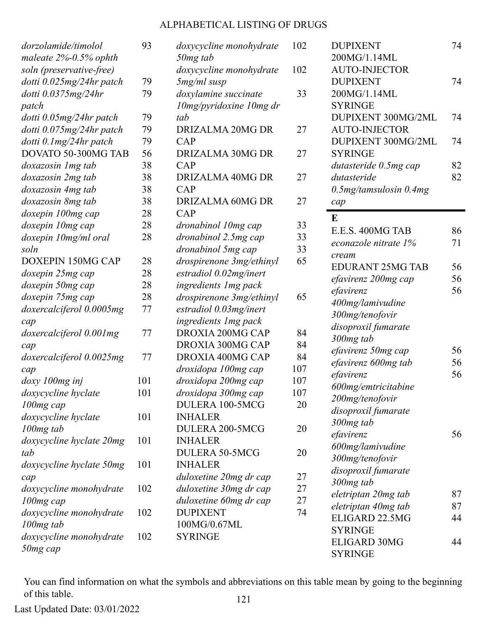| dorzolamide/timolol       | 93  |
|---------------------------|-----|
| maleate $2\%$ -0.5% ophth |     |
| soln (preservative-free)  |     |
| dotti 0.025mg/24hr patch  | 79  |
| dotti 0.0375mg/24hr       | 79  |
| patch                     |     |
| dotti 0.05mg/24hr patch   | 79  |
| dotti 0.075mg/24hr patch  | 79  |
| dotti 0.1mg/24hr patch    | 79  |
| DOVATO 50-300MG TAB       | 56  |
| doxazosin 1 mg tab        | 38  |
| doxazosin 2mg tab         | 38  |
| doxazosin 4mg tab         | 38  |
| doxazosin 8mg tab         | 38  |
| doxepin 100mg cap         | 28  |
| doxepin 10mg cap          | 28  |
| doxepin 10mg/ml oral      | 28  |
| soln                      |     |
| DOXEPIN 150MG CAP         | 28  |
| doxepin 25mg cap          | 28  |
| doxepin 50mg cap          | 28  |
| doxepin 75mg cap          | 28  |
| doxercalciferol 0.0005mg  | 77  |
| cap                       |     |
| doxercalciferol 0.001mg   | 77  |
| cap                       |     |
| doxercalciferol 0.0025mg  | 77  |
| cap                       |     |
| doxy 100mg inj            | 101 |
| doxycycline hyclate       | 101 |
| 100mg cap                 |     |
| doxycycline hyclate       | 101 |
| $100mg$ tab               |     |
| doxycycline hyclate 20mg  | 101 |
| tab                       |     |
| doxycycline hyclate 50mg  | 101 |
| cap                       |     |
| doxycycline monohydrate   | 102 |
| 100mg cap                 |     |
| doxycycline monohydrate   | 102 |
| 100mg tab                 |     |
| doxycycline monohydrate   | 102 |
| 50mg cap                  |     |

| doxycycline monohydrate        | 102 |
|--------------------------------|-----|
| 50mg tab                       |     |
| doxycycline monohydrate        | 102 |
| 5mg/ml susp                    | 33  |
| doxylamine succinate           |     |
| 10mg/pyridoxine 10mg dr<br>tab |     |
| DRIZALMA 20MG DR               |     |
| CAP                            | 27  |
| <b>DRIZALMA 30MG DR</b>        | 27  |
| CAP                            |     |
| DRIZALMA 40MG DR               | 27  |
| CAP                            |     |
| DRIZALMA 60MG DR               | 27  |
| CAP                            |     |
| dronabinol 10mg cap            | 33  |
| dronabinol 2.5mg cap           | 33  |
| dronabinol 5mg cap             | 33  |
| drospirenone 3mg/ethinyl       | 65  |
| estradiol 0.02mg/inert         |     |
| ingredients 1mg pack           |     |
| drospirenone 3mg/ethinyl       | 65  |
| estradiol 0.03mg/inert         |     |
| ingredients 1mg pack           |     |
| DROXIA 200MG CAP               | 84  |
| DROXIA 300MG CAP               | 84  |
| DROXIA 400MG CAP               | 84  |
| droxidopa 100mg cap            | 107 |
| droxidopa 200mg cap            | 107 |
| droxidopa 300mg cap            | 107 |
| DULERA 100-5MCG                | 20  |
| <b>INHALER</b>                 |     |
| DULERA 200-5MCG                | 20  |
| <b>INHALER</b>                 |     |
| <b>DULERA 50-5MCG</b>          | 20  |
| <b>INHALER</b>                 |     |
| duloxetine 20mg dr cap         | 27  |
| duloxetine 30mg dr cap         | 27  |
| duloxetine 60mg dr cap         | 27  |
| <b>DUPIXENT</b>                | 74  |
| 100MG/0.67ML                   |     |
| <b>SYRINGE</b>                 |     |
|                                |     |

| <b>DUPIXENT</b>         | 74 |
|-------------------------|----|
| 200MG/1.14ML            |    |
| <b>AUTO-INJECTOR</b>    |    |
| <b>DUPIXENT</b>         | 74 |
| 200MG/1.14ML            |    |
| <b>SYRINGE</b>          |    |
| DUPIXENT 300MG/2ML      | 74 |
| <b>AUTO-INJECTOR</b>    |    |
| DUPIXENT 300MG/2ML      | 74 |
| <b>SYRINGE</b>          |    |
| dutasteride 0.5mg cap   | 82 |
| dutasteride             | 82 |
| 0.5mg/tamsulosin 0.4mg  |    |
| cap                     |    |
| E                       |    |
| E.E.S. 400MG TAB        | 86 |
| econazole nitrate 1%    | 71 |
| cream                   |    |
| <b>EDURANT 25MG TAB</b> | 56 |
| efavirenz 200mg cap     | 56 |
| efavirenz               | 56 |
| 400mg/lamivudine        |    |
| 300mg/tenofovir         |    |
| disoproxil fumarate     |    |
| 300mg tab               |    |
| efavirenz 50mg cap      | 56 |
| efavirenz 600mg tab     | 56 |
| efavirenz               | 56 |
| 600mg/emtricitabine     |    |
| 200mg/tenofovir         |    |
| disoproxil fumarate     |    |
| 300mg tab               |    |
| efavirenz               | 56 |
| 600mg/lamivudine        |    |
| 300mg/tenofovir         |    |
| disoproxil fumarate     |    |
| 300mg tab               |    |
| eletriptan 20mg tab     | 87 |
| eletriptan 40mg tab     | 87 |
| ELIGARD 22.5MG          | 44 |
| SYRINGE                 |    |
| <b>ELIGARD 30MG</b>     | 44 |
| <b>SYRINGE</b>          |    |

You can find information on what the symbols and abbreviations on this table mean by going to the beginning of this table. 121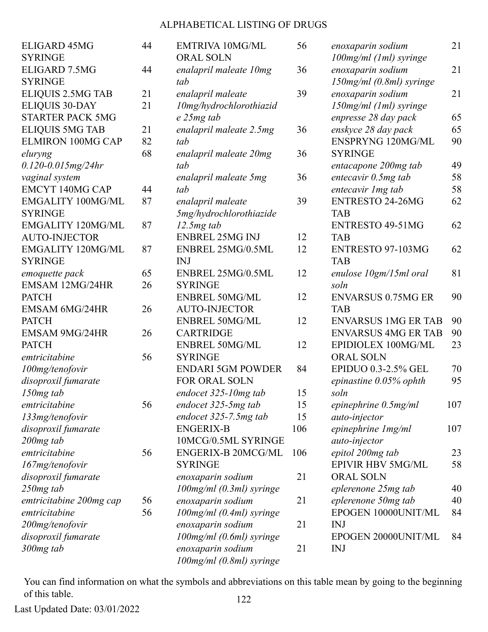| ELIGARD 45MG<br><b>SYRINGE</b> | 44 | <b>EMTRIVA 10MG/ML</b><br><b>ORAL SOLN</b> | 56              |
|--------------------------------|----|--------------------------------------------|-----------------|
| ELIGARD 7.5MG                  | 44 | enalapril maleate 10mg                     | 36              |
| <b>SYRINGE</b>                 |    | tab                                        |                 |
| ELIQUIS 2.5MG TAB              | 21 | enalapril maleate                          | 39              |
| <b>ELIQUIS 30-DAY</b>          | 21 | 10mg/hydrochlorothiazid                    |                 |
| <b>STARTER PACK 5MG</b>        |    | e 25mg tab                                 |                 |
| <b>ELIQUIS 5MG TAB</b>         | 21 | enalapril maleate 2.5mg                    | 36              |
| <b>ELMIRON 100MG CAP</b>       | 82 | tab                                        |                 |
| eluryng                        | 68 | enalapril maleate 20mg                     | 36              |
| $0.120 - 0.015$ mg/24hr        |    | tab                                        |                 |
| vaginal system                 |    | enalapril maleate 5mg                      | 36              |
| <b>EMCYT 140MG CAP</b>         | 44 | tab                                        |                 |
| <b>EMGALITY 100MG/ML</b>       | 87 | enalapril maleate                          | 39              |
| <b>SYRINGE</b>                 |    | 5mg/hydrochlorothiazide                    |                 |
| <b>EMGALITY 120MG/ML</b>       | 87 | $12.5mg$ tab                               |                 |
| <b>AUTO-INJECTOR</b>           |    | <b>ENBREL 25MG INJ</b>                     | 12              |
| <b>EMGALITY 120MG/ML</b>       | 87 | ENBREL 25MG/0.5ML                          | 12              |
| <b>SYRINGE</b>                 |    | <b>INJ</b>                                 |                 |
| emoquette pack                 | 65 | ENBREL 25MG/0.5ML                          | 12              |
| <b>EMSAM 12MG/24HR</b>         | 26 | <b>SYRINGE</b>                             |                 |
| <b>PATCH</b>                   |    | <b>ENBREL 50MG/ML</b>                      | 12              |
| <b>EMSAM 6MG/24HR</b>          | 26 | <b>AUTO-INJECTOR</b>                       |                 |
| <b>PATCH</b>                   |    | <b>ENBREL 50MG/ML</b>                      | 12              |
| <b>EMSAM 9MG/24HR</b>          | 26 | <b>CARTRIDGE</b>                           |                 |
| <b>PATCH</b>                   |    | <b>ENBREL 50MG/ML</b>                      | 12              |
| emtricitabine                  | 56 | <b>SYRINGE</b>                             |                 |
| 100mg/tenofovir                |    | <b>ENDARI 5GM POWDER</b>                   | 84              |
| disoproxil fumarate            |    | <b>FOR ORAL SOLN</b>                       |                 |
| 150mg tab                      |    | endocet 325-10mg tab                       | 15              |
| emtricitabine                  | 56 | endocet 325-5mg tab                        | 1 <sup>2</sup>  |
| 133mg/tenofovir                |    | endocet $325$ -7.5 $mg$ tab                | 1 <sup>2</sup>  |
| disoproxil fumarate            |    | <b>ENGERIX-B</b>                           | 10 <sub>6</sub> |
| 200 <sub>mg</sub> tab          |    | 10MCG/0.5ML SYRINGE                        |                 |
| emtricitabine                  | 56 | <b>ENGERIX-B 20MCG/ML</b>                  | 10 <sub>6</sub> |
| 167mg/tenofovir                |    | <b>SYRINGE</b>                             |                 |
| disoproxil fumarate            |    | enoxaparin sodium                          | 21              |
| 250mg tab                      |    | 100mg/ml (0.3ml) syringe                   |                 |
| emtricitabine 200mg cap        | 56 | enoxaparin sodium                          | 21              |
| emtricitabine                  | 56 | $100$ mg/ml $(0.4ml)$ syringe              |                 |
| 200mg/tenofovir                |    | enoxaparin sodium                          | 21              |
| disoproxil fumarate            |    | $100$ mg/ml $(0.6$ ml $)$ syringe          |                 |
| 300mg tab                      |    | enoxaparin sodium                          | 21              |
|                                |    | 100mg/ml (0.8ml) syringe                   |                 |

| <b>RIVA 10MG/ML</b>   | 56  | enoxaparin sodium          | 21  |
|-----------------------|-----|----------------------------|-----|
| L SOLN                |     | 100mg/ml (1ml) syringe     |     |
| april maleate 10mg    | 36  | enoxaparin sodium          | 21  |
|                       |     | 150mg/ml (0.8ml) syringe   |     |
| ipril maleate         | 39  | enoxaparin sodium          | 21  |
| g/hydrochlorothiazid  |     | 150mg/ml (1ml) syringe     |     |
| ng tab                |     | enpresse 28 day pack       | 65  |
| april maleate 2.5mg   | 36  | enskyce 28 day pack        | 65  |
|                       |     | <b>ENSPRYNG 120MG/ML</b>   | 90  |
| april maleate 20mg    | 36  | <b>SYRINGE</b>             |     |
|                       |     | entacapone 200mg tab       | 49  |
| april maleate 5mg     | 36  | entecavir 0.5mg tab        | 58  |
|                       |     | entecavir 1mg tab          | 58  |
| ipril maleate         | 39  | <b>ENTRESTO 24-26MG</b>    | 62  |
| hydrochlorothiazide   |     | <b>TAB</b>                 |     |
| ng tab                |     | <b>ENTRESTO 49-51MG</b>    | 62  |
| REL 25MG INJ          | 12  | <b>TAB</b>                 |     |
| REL 25MG/0.5ML        | 12  | ENTRESTO 97-103MG          | 62  |
|                       |     | <b>TAB</b>                 |     |
| REL 25MG/0.5ML        | 12  | enulose 10gm/15ml oral     | 81  |
| INGE                  |     | soln                       |     |
| <b>REL 50MG/ML</b>    | 12  | <b>ENVARSUS 0.75MG ER</b>  | 90  |
| O-INJECTOR            |     | <b>TAB</b>                 |     |
| <b>REL 50MG/ML</b>    | 12  | <b>ENVARSUS 1MG ER TAB</b> | 90  |
| TRIDGE                |     | <b>ENVARSUS 4MG ER TAB</b> | 90  |
| <b>REL 50MG/ML</b>    | 12  | EPIDIOLEX 100MG/ML         | 23  |
| INGE                  |     | <b>ORAL SOLN</b>           |     |
| <b>ARI 5GM POWDER</b> | 84  | EPIDUO 0.3-2.5% GEL        | 70  |
| <b>ORAL SOLN</b>      |     | epinastine 0.05% ophth     | 95  |
| cet 325-10mg tab      | 15  | soln                       |     |
| cet 325-5mg tab       | 15  | epinephrine $0.5mg/ml$     | 107 |
| cet 325-7.5mg tab     | 15  | auto-injector              |     |
| <b>ERIX-B</b>         | 106 | epinephrine 1mg/ml         | 107 |
| CG/0.5ML SYRINGE      |     | auto-injector              |     |
| ERIX-B 20MCG/ML       | 106 | epitol 200mg tab           | 23  |
| INGE                  |     | <b>EPIVIR HBV 5MG/ML</b>   | 58  |
| aparin sodium         | 21  | <b>ORAL SOLN</b>           |     |
| ig/ml (0.3ml) syringe |     | eplerenone 25mg tab        | 40  |
| aparin sodium         | 21  | eplerenone 50mg tab        | 40  |
|                       |     | EPOGEN 10000UNIT/ML        | 84  |
| ig/ml (0.4ml) syringe | 21  | <b>INJ</b>                 |     |
| aparin sodium         |     | EPOGEN 20000UNIT/ML        | 84  |
| ig/ml (0.6ml) syringe |     |                            |     |
| aparin sodium         | 21  | <b>INJ</b>                 |     |

You can find information on what the symbols and abbreviations on this table mean by going to the beginning of this table. 122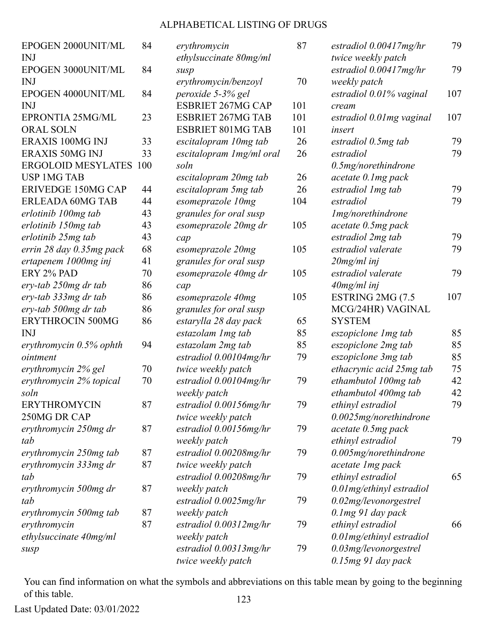| EPOGEN 2000UNIT/ML            | 84 | erythromycin              | 87  | estradiol $0.00417mg/hr$  | 79  |
|-------------------------------|----|---------------------------|-----|---------------------------|-----|
| <b>INJ</b>                    |    | ethylsuccinate 80mg/ml    |     | twice weekly patch        |     |
| EPOGEN 3000UNIT/ML            | 84 | susp                      |     | estradiol $0.00417mg/hr$  | 79  |
| <b>INJ</b>                    |    | erythromycin/benzoyl      | 70  | weekly patch              |     |
| EPOGEN 4000UNIT/ML            | 84 | peroxide 5-3% gel         |     | estradiol 0.01% vaginal   | 107 |
| <b>INJ</b>                    |    | <b>ESBRIET 267MG CAP</b>  | 101 | cream                     |     |
| EPRONTIA 25MG/ML              | 23 | <b>ESBRIET 267MG TAB</b>  | 101 | estradiol 0.01 mg vaginal | 107 |
| <b>ORAL SOLN</b>              |    | <b>ESBRIET 801MG TAB</b>  | 101 | insert                    |     |
| <b>ERAXIS 100MG INJ</b>       | 33 | escitalopram 10mg tab     | 26  | estradiol 0.5mg tab       | 79  |
| <b>ERAXIS 50MG INJ</b>        | 33 | escitalopram 1 mg/ml oral | 26  | estradiol                 | 79  |
| <b>ERGOLOID MESYLATES 100</b> |    | soln                      |     | $0.5$ mg/norethindrone    |     |
| <b>USP 1MG TAB</b>            |    | escitalopram 20mg tab     | 26  | acetate 0.1mg pack        |     |
| <b>ERIVEDGE 150MG CAP</b>     | 44 | escitalopram 5mg tab      | 26  | estradiol 1 mg tab        | 79  |
| <b>ERLEADA 60MG TAB</b>       | 44 | esomeprazole 10mg         | 104 | estradiol                 | 79  |
| erlotinib 100mg tab           | 43 | granules for oral susp    |     | 1mg/norethindrone         |     |
| erlotinib 150mg tab           | 43 | esomeprazole 20mg dr      | 105 | acetate 0.5mg pack        |     |
| erlotinib 25mg tab            | 43 | cap                       |     | estradiol 2mg tab         | 79  |
| errin 28 day 0.35mg pack      | 68 | esomeprazole 20mg         | 105 | estradiol valerate        | 79  |
| ertapenem 1000mg inj          | 41 | granules for oral susp    |     | $20$ mg/ml inj            |     |
| ERY 2% PAD                    | 70 | esomeprazole 40mg dr      | 105 | estradiol valerate        | 79  |
| ery-tab 250mg dr tab          | 86 | cap                       |     | $40mg/ml$ inj             |     |
| ery-tab 333mg dr tab          | 86 | esomeprazole 40mg         | 105 | ESTRING 2MG (7.5          | 107 |
| ery-tab 500mg dr tab          | 86 | granules for oral susp    |     | MCG/24HR) VAGINAL         |     |
| <b>ERYTHROCIN 500MG</b>       | 86 | estarylla 28 day pack     | 65  | <b>SYSTEM</b>             |     |
| <b>INJ</b>                    |    | estazolam 1 mg tab        | 85  | eszopiclone 1 mg tab      | 85  |
| erythromycin 0.5% ophth       | 94 | estazolam 2mg tab         | 85  | eszopiclone 2mg tab       | 85  |
| ointment                      |    | estradiol $0.00104$ mg/hr | 79  | eszopiclone 3mg tab       | 85  |
| erythromycin 2% gel           | 70 | twice weekly patch        |     | ethacrynic acid 25mg tab  | 75  |
| erythromycin 2% topical       | 70 | estradiol 0.00104mg/hr    | 79  | ethambutol 100mg tab      | 42  |
| soln                          |    | weekly patch              |     | ethambutol 400mg tab      | 42  |
| <b>ERYTHROMYCIN</b>           | 87 | estradiol $0.00156$ mg/hr | 79  | ethinyl estradiol         | 79  |
| 250MG DR CAP                  |    | twice weekly patch        |     | 0.0025mg/norethindrone    |     |
| erythromycin 250mg dr         | 87 | estradiol 0.00156mg/hr    | 79  | acetate 0.5mg pack        |     |
| tab                           |    | weekly patch              |     | ethinyl estradiol         | 79  |
| erythromycin 250mg tab        | 87 | estradiol $0.00208$ mg/hr | 79  | $0.005$ mg/norethindrone  |     |
| erythromycin 333mg dr         | 87 | twice weekly patch        |     | acetate 1mg pack          |     |
| tab                           |    | estradiol $0.00208$ mg/hr | 79  | ethinyl estradiol         | 65  |
| erythromycin 500mg dr         | 87 | weekly patch              |     | 0.01mg/ethinyl estradiol  |     |
| tab                           |    | estradiol $0.0025$ mg/hr  | 79  | 0.02mg/levonorgestrel     |     |
| erythromycin 500mg tab        | 87 | weekly patch              |     | 0.1 mg 91 day pack        |     |
| erythromycin                  | 87 | estradiol $0.00312mg/hr$  | 79  | ethinyl estradiol         | 66  |
| ethylsuccinate 40mg/ml        |    | weekly patch              |     | 0.01mg/ethinyl estradiol  |     |
| susp                          |    | estradiol $0.00313mg/hr$  | 79  | 0.03mg/levonorgestrel     |     |
|                               |    | twice weekly patch        |     | 0.15mg 91 day pack        |     |

You can find information on what the symbols and abbreviations on this table mean by going to the beginning of this table. 123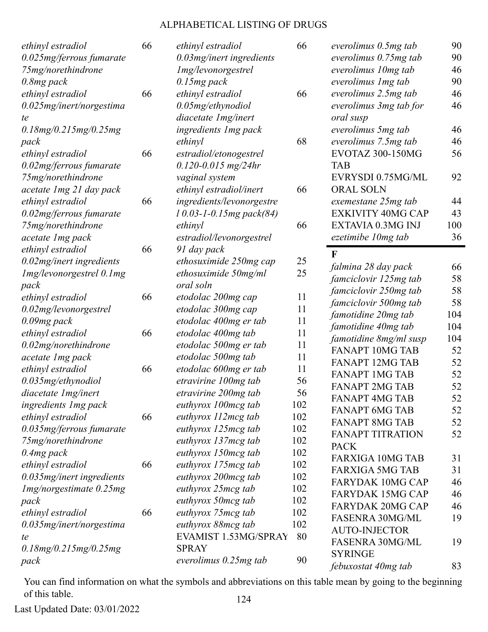| ethinyl estradiol           | 66 | ethinyl estradiol             | 66  | everolimus 0.5mg tab     | 90  |
|-----------------------------|----|-------------------------------|-----|--------------------------|-----|
| 0.025mg/ferrous fumarate    |    | 0.03mg/inert ingredients      |     | everolimus 0.75mg tab    | 90  |
| 75mg/norethindrone          |    | 1mg/levonorgestrel            |     | everolimus 10mg tab      | 46  |
| $0.8mg$ pack                |    | $0.15mg$ pack                 |     | everolimus 1 mg tab      | 90  |
| ethinyl estradiol           | 66 | ethinyl estradiol             | 66  | everolimus 2.5mg tab     | 46  |
| 0.025mg/inert/norgestima    |    | 0.05mg/ethynodiol             |     | everolimus 3mg tab for   | 46  |
| te                          |    | diacetate 1mg/inert           |     | oral susp                |     |
| 0.18mg/0.215mg/0.25mg       |    | ingredients 1mg pack          |     | everolimus 5mg tab       | 46  |
| pack                        |    | ethinyl                       | 68  | everolimus 7.5mg tab     | 46  |
| ethinyl estradiol           | 66 | estradiol/etonogestrel        |     | <b>EVOTAZ 300-150MG</b>  | 56  |
| 0.02mg/ferrous fumarate     |    | $0.120 - 0.015$ mg/24hr       |     | <b>TAB</b>               |     |
| 75mg/norethindrone          |    | vaginal system                |     | EVRYSDI 0.75MG/ML        | 92  |
| acetate 1mg 21 day pack     |    | ethinyl estradiol/inert       | 66  | <b>ORAL SOLN</b>         |     |
| ethinyl estradiol           | 66 | ingredients/levonorgestre     |     | exemestane 25mg tab      | 44  |
| 0.02mg/ferrous fumarate     |    | $10.03 - 1 - 0.15mg$ pack(84) |     | <b>EXKIVITY 40MG CAP</b> | 43  |
| 75mg/norethindrone          |    | ethinyl                       | 66  | EXTAVIA 0.3MG INJ        | 100 |
| acetate 1mg pack            |    | estradiol/levonorgestrel      |     | ezetimibe 10mg tab       | 36  |
| ethinyl estradiol           | 66 | 91 day pack                   |     |                          |     |
| 0.02mg/inert ingredients    |    | ethosuximide 250mg cap        | 25  | $\mathbf F$              |     |
| 1mg/levonorgestrel 0.1mg    |    | ethosuximide 50mg/ml          | 25  | falmina 28 day pack      | 66  |
| pack                        |    | oral soln                     |     | famciclovir 125mg tab    | 58  |
| ethinyl estradiol           | 66 | etodolac 200mg cap            | 11  | famciclovir 250mg tab    | 58  |
| 0.02mg/levonorgestrel       |    | etodolac 300mg cap            | 11  | famciclovir 500mg tab    | 58  |
| $0.09mg$ pack               |    | etodolac 400mg er tab         | 11  | famotidine 20mg tab      | 104 |
| ethinyl estradiol           | 66 | etodolac 400mg tab            | 11  | famotidine 40mg tab      | 104 |
| $0.02$ mg/norethindrone     |    | etodolac 500mg er tab         | 11  | famotidine 8mg/ml susp   | 104 |
| acetate 1mg pack            |    | etodolac 500mg tab            | 11  | <b>FANAPT 10MG TAB</b>   | 52  |
| ethinyl estradiol           | 66 | etodolac 600mg er tab         | 11  | <b>FANAPT 12MG TAB</b>   | 52  |
| $0.035$ mg/ethynodiol       |    |                               | 56  | <b>FANAPT 1MG TAB</b>    | 52  |
|                             |    | etravirine 100mg tab          | 56  | <b>FANAPT 2MG TAB</b>    | 52  |
| diacetate 1mg/inert         |    | etravirine 200mg tab          |     | <b>FANAPT 4MG TAB</b>    | 52  |
| <i>ingredients 1mg pack</i> |    | euthyrox 100 mcg tab          | 102 | <b>FANAPT 6MG TAB</b>    | 52  |
| ethinyl estradiol           | 66 | euthyrox 112mcg tab           | 102 | <b>FANAPT 8MG TAB</b>    | 52  |
| 0.035mg/ferrous fumarate    |    | euthyrox 125mcg tab           | 102 | <b>FANAPT TITRATION</b>  | 52  |
| 75mg/norethindrone          |    | euthyrox 137mcg tab           | 102 | <b>PACK</b>              |     |
| $0.4mg$ pack                |    | euthyrox 150mcg tab           | 102 | <b>FARXIGA 10MG TAB</b>  | 31  |
| ethinyl estradiol           | 66 | euthyrox 175mcg tab           | 102 | <b>FARXIGA 5MG TAB</b>   | 31  |
| 0.035mg/inert ingredients   |    | euthyrox 200mcg tab           | 102 | <b>FARYDAK 10MG CAP</b>  | 46  |
| 1mg/norgestimate 0.25mg     |    | euthyrox 25mcg tab            | 102 | <b>FARYDAK 15MG CAP</b>  | 46  |
| pack                        |    | euthyrox 50mcg tab            | 102 | <b>FARYDAK 20MG CAP</b>  | 46  |
| ethinyl estradiol           | 66 | euthyrox 75mcg tab            | 102 | FASENRA 30MG/ML          | 19  |
| $0.035$ mg/inert/norgestima |    | euthyrox 88mcg tab            | 102 | <b>AUTO-INJECTOR</b>     |     |
| te                          |    | EVAMIST 1.53MG/SPRAY          | 80  | FASENRA 30MG/ML          | 19  |
| 0.18mg/0.215mg/0.25mg       |    | <b>SPRAY</b>                  |     | <b>SYRINGE</b>           |     |
| pack                        |    | everolimus 0.25mg tab         | 90  | febuxostat 40mg tab      | 83  |

You can find information on what the symbols and abbreviations on this table mean by going to the beginning of this table. 124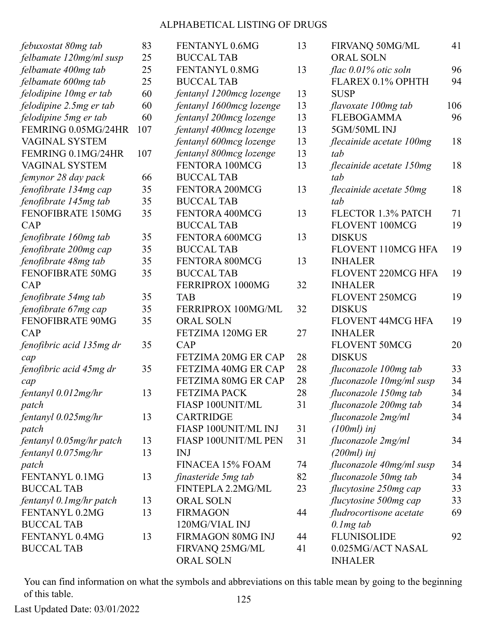| febuxostat 80mg tab      | 83  | FENTANYL 0.6MG             | 13 | FIRVANQ 50MG/ML           | 41  |
|--------------------------|-----|----------------------------|----|---------------------------|-----|
| felbamate 120mg/ml susp  | 25  | <b>BUCCAL TAB</b>          |    | <b>ORAL SOLN</b>          |     |
| felbamate 400mg tab      | 25  | FENTANYL 0.8MG             | 13 | flac 0.01% otic soln      | 96  |
| felbamate 600mg tab      | 25  | <b>BUCCAL TAB</b>          |    | FLAREX 0.1% OPHTH         | 94  |
| felodipine 10mg er tab   | 60  | fentanyl 1200mcg lozenge   | 13 | <b>SUSP</b>               |     |
| felodipine 2.5mg er tab  | 60  | fentanyl 1600mcg lozenge   | 13 | flavoxate 100mg tab       | 106 |
| felodipine 5mg er tab    | 60  | fentanyl 200mcg lozenge    | 13 | <b>FLEBOGAMMA</b>         | 96  |
| FEMRING 0.05MG/24HR      | 107 | fentanyl 400mcg lozenge    | 13 | 5GM/50ML INJ              |     |
| VAGINAL SYSTEM           |     | fentanyl 600mcg lozenge    | 13 | flecainide acetate 100mg  | 18  |
| FEMRING 0.1MG/24HR       | 107 | fentanyl 800mcg lozenge    | 13 | tab                       |     |
| VAGINAL SYSTEM           |     | FENTORA 100MCG             | 13 | flecainide acetate 150mg  | 18  |
| femynor 28 day pack      | 66  | <b>BUCCAL TAB</b>          |    | tab                       |     |
| fenofibrate 134mg cap    | 35  | FENTORA 200MCG             | 13 | flecainide acetate 50mg   | 18  |
| fenofibrate 145mg tab    | 35  | <b>BUCCAL TAB</b>          |    | tab                       |     |
| FENOFIBRATE 150MG        | 35  | FENTORA 400MCG             | 13 | FLECTOR 1.3% PATCH        | 71  |
| CAP                      |     | <b>BUCCAL TAB</b>          |    | FLOVENT 100MCG            | 19  |
| fenofibrate 160mg tab    | 35  | FENTORA 600MCG             | 13 | <b>DISKUS</b>             |     |
| fenofibrate 200mg cap    | 35  | <b>BUCCAL TAB</b>          |    | <b>FLOVENT 110MCG HFA</b> | 19  |
| fenofibrate 48mg tab     | 35  | FENTORA 800MCG             | 13 | <b>INHALER</b>            |     |
| FENOFIBRATE 50MG         | 35  | <b>BUCCAL TAB</b>          |    | FLOVENT 220MCG HFA        | 19  |
| <b>CAP</b>               |     | FERRIPROX 1000MG           | 32 | <b>INHALER</b>            |     |
| fenofibrate 54mg tab     | 35  | <b>TAB</b>                 |    | FLOVENT 250MCG            | 19  |
| fenofibrate 67mg cap     | 35  | FERRIPROX 100MG/ML         | 32 | <b>DISKUS</b>             |     |
| FENOFIBRATE 90MG         | 35  | <b>ORAL SOLN</b>           |    | FLOVENT 44MCG HFA         | 19  |
| <b>CAP</b>               |     | FETZIMA 120MG ER           | 27 | <b>INHALER</b>            |     |
| fenofibric acid 135mg dr | 35  | CAP                        |    | <b>FLOVENT 50MCG</b>      | 20  |
| cap                      |     | <b>FETZIMA 20MG ER CAP</b> | 28 | <b>DISKUS</b>             |     |
| fenofibric acid 45mg dr  | 35  | FETZIMA 40MG ER CAP        | 28 | fluconazole 100mg tab     | 33  |
| cap                      |     | FETZIMA 80MG ER CAP        | 28 | fluconazole 10mg/ml susp  | 34  |
| fentanyl 0.012mg/hr      | 13  | <b>FETZIMA PACK</b>        | 28 | fluconazole 150mg tab     | 34  |
| patch                    |     | FIASP 100UNIT/ML           | 31 | fluconazole 200mg tab     | 34  |
| fentanyl $0.025$ mg/hr   | 13  | <b>CARTRIDGE</b>           |    | fluconazole 2mg/ml        | 34  |
| patch                    |     | FIASP 100UNIT/ML INJ       | 31 | $(100ml)$ inj             |     |
| fentanyl 0.05mg/hr patch | 13  | FIASP 100UNIT/ML PEN       | 31 | fluconazole 2mg/ml        | 34  |
| fentanyl $0.075$ mg/hr   | 13  | <b>INJ</b>                 |    | $(200ml)$ inj             |     |
| patch                    |     | FINACEA 15% FOAM           | 74 | fluconazole 40mg/ml susp  | 34  |
| FENTANYL 0.1MG           | 13  | finasteride 5mg tab        | 82 | fluconazole 50mg tab      | 34  |
| <b>BUCCAL TAB</b>        |     | FINTEPLA 2.2MG/ML          | 23 | flucytosine 250mg cap     | 33  |
| fentanyl 0.1 mg/hr patch | 13  | ORAL SOLN                  |    | flucytosine 500mg cap     | 33  |
| FENTANYL 0.2MG           | 13  | <b>FIRMAGON</b>            | 44 | fludrocortisone acetate   | 69  |
| <b>BUCCAL TAB</b>        |     | 120MG/VIAL INJ             |    | $0.1$ mg tab              |     |
| FENTANYL 0.4MG           | 13  | FIRMAGON 80MG INJ          | 44 | <b>FLUNISOLIDE</b>        | 92  |
| <b>BUCCAL TAB</b>        |     | FIRVANQ 25MG/ML            | 41 | 0.025MG/ACT NASAL         |     |
|                          |     | <b>ORAL SOLN</b>           |    | <b>INHALER</b>            |     |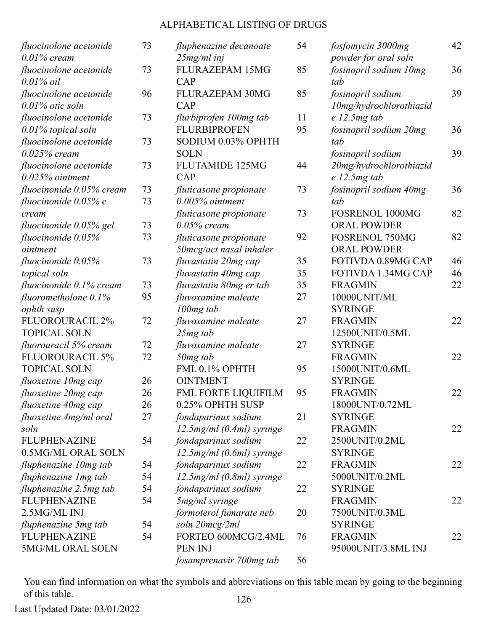| fluocinolone acetonide<br>$0.01\%$ cream     | 73 | fluphenazine decanoate<br>$25mg/ml$ inj | 54 | fosfomycin 3000mg<br>powder for oral soln    | 42 |
|----------------------------------------------|----|-----------------------------------------|----|----------------------------------------------|----|
| fluocinolone acetonide<br>$0.01\%$ oil       | 73 | <b>FLURAZEPAM 15MG</b><br>CAP           | 85 | fosinopril sodium 10mg<br>tab                | 36 |
| fluocinolone acetonide<br>$0.01\%$ otic soln | 96 | FLURAZEPAM 30MG<br>CAP                  | 85 | fosinopril sodium<br>10mg/hydrochlorothiazid | 39 |
| fluocinolone acetonide                       | 73 | flurbiprofen 100mg tab                  | 11 | $e$ 12.5 $mg$ tab                            |    |
| 0.01% topical soln                           |    | <b>FLURBIPROFEN</b>                     | 95 | fosinopril sodium 20mg                       | 36 |
| fluocinolone acetonide                       | 73 | SODIUM 0.03% OPHTH                      |    | tab                                          |    |
| $0.025\%$ cream                              |    | <b>SOLN</b>                             |    | fosinopril sodium                            | 39 |
| fluocinolone acetonide                       | 73 | <b>FLUTAMIDE 125MG</b>                  | 44 | 20mg/hydrochlorothiazid                      |    |
| $0.025%$ ointment                            |    | CAP                                     |    | $e$ 12.5 $mg$ tab                            |    |
| fluocinonide 0.05% cream                     | 73 | fluticasone propionate                  | 73 | fosinopril sodium 40mg                       | 36 |
| fluocinonide 0.05% e                         | 73 | $0.005\%$ ointment                      |    | tab                                          |    |
| cream                                        |    | fluticasone propionate                  | 73 | FOSRENOL 1000MG                              | 82 |
| fluocinonide 0.05% gel                       | 73 | $0.05\%$ cream                          |    | <b>ORAL POWDER</b>                           |    |
| fluocinonide $0.05\%$                        | 73 | fluticasone propionate                  | 92 | <b>FOSRENOL 750MG</b>                        | 82 |
| ointment                                     |    | 50mcg/act nasal inhaler                 |    | <b>ORAL POWDER</b>                           |    |
| fluocinonide $0.05\%$                        | 73 | fluvastatin 20mg cap                    | 35 | FOTIVDA 0.89MG CAP                           | 46 |
| topical soln                                 |    | fluvastatin 40mg cap                    | 35 | FOTIVDA 1.34MG CAP                           | 46 |
| fluocinonide 0.1% cream                      | 73 | fluvastatin 80mg er tab                 | 35 | <b>FRAGMIN</b>                               | 22 |
| fluorometholone $0.1\%$                      | 95 | fluvoxamine maleate                     | 27 | 10000UNIT/ML                                 |    |
| ophth susp                                   |    | $100mg$ tab                             |    | <b>SYRINGE</b>                               |    |
| <b>FLUOROURACIL 2%</b>                       | 72 | fluvoxamine maleate                     | 27 | <b>FRAGMIN</b>                               | 22 |
| <b>TOPICAL SOLN</b>                          |    | $25mg$ tab                              |    | 12500UNIT/0.5ML                              |    |
| fluorouracil 5% cream                        | 72 | fluvoxamine maleate                     | 27 | <b>SYRINGE</b>                               |    |
| <b>FLUOROURACIL 5%</b>                       | 72 | 50 <sub>mg</sub> tab                    |    | <b>FRAGMIN</b>                               | 22 |
| <b>TOPICAL SOLN</b>                          |    | FML 0.1% OPHTH                          | 95 | 15000UNIT/0.6ML                              |    |
| fluoxetine 10mg cap                          | 26 | <b>OINTMENT</b>                         |    | <b>SYRINGE</b>                               |    |
| fluoxetine 20mg cap                          | 26 | FML FORTE LIQUIFILM                     | 95 | <b>FRAGMIN</b>                               | 22 |
| fluoxetine 40mg cap                          | 26 | 0.25% OPHTH SUSP                        |    | 18000UNT/0.72ML                              |    |
| fluoxetine 4mg/ml oral                       | 27 | fondaparinux sodium                     | 21 | <b>SYRINGE</b>                               |    |
| soln                                         |    | $12.5$ mg/ml (0.4ml) syringe            |    | <b>FRAGMIN</b>                               | 22 |
| <b>FLUPHENAZINE</b>                          | 54 | fondaparinux sodium                     | 22 | 2500UNIT/0.2ML                               |    |
| 0.5MG/ML ORAL SOLN                           |    | $12.5$ mg/ml (0.6ml) syringe            |    | <b>SYRINGE</b>                               |    |
| fluphenazine 10mg tab                        | 54 | fondaparinux sodium                     | 22 | <b>FRAGMIN</b>                               | 22 |
| fluphenazine 1 mg tab                        | 54 | 12.5mg/ml (0.8ml) syringe               |    | 5000UNIT/0.2ML                               |    |
| fluphenazine 2.5mg tab                       | 54 | fondaparinux sodium                     | 22 | <b>SYRINGE</b>                               |    |
| <b>FLUPHENAZINE</b>                          | 54 | 5mg/ml syringe                          |    | <b>FRAGMIN</b>                               | 22 |
| 2.5MG/ML INJ                                 |    | formoterol fumarate neb                 | 20 | 7500UNIT/0.3ML                               |    |
| fluphenazine 5mg tab                         | 54 | soln 20mcg/2ml                          |    | <b>SYRINGE</b>                               |    |
| <b>FLUPHENAZINE</b>                          | 54 | FORTEO 600MCG/2.4ML                     | 76 | <b>FRAGMIN</b>                               | 22 |
| 5MG/ML ORAL SOLN                             |    | PEN INJ                                 |    | 95000UNIT/3.8ML INJ                          |    |
|                                              |    | fosamprenavir 700mg tab                 | 56 |                                              |    |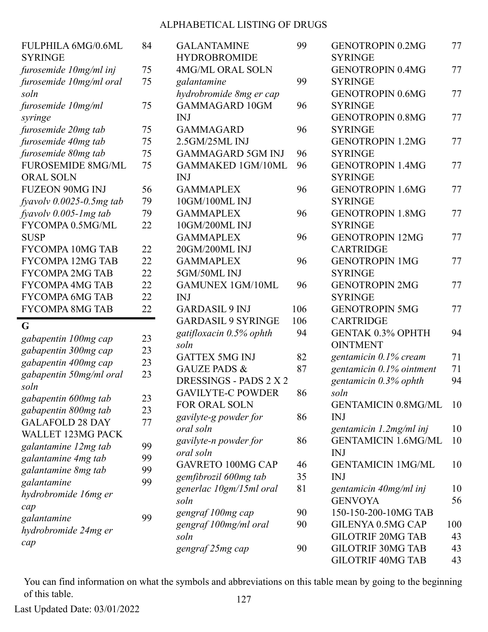| <b>FULPHILA 6MG/0.6ML</b><br><b>SYRINGE</b> | 84 | <b>GALANTAMINE</b><br><b>HYDROBROMIDE</b> | 99  | <b>GENOTROPIN 0.2MG</b><br><b>SYRINGE</b> | 77  |
|---------------------------------------------|----|-------------------------------------------|-----|-------------------------------------------|-----|
| furosemide 10mg/ml inj                      | 75 | <b>4MG/ML ORAL SOLN</b>                   |     | <b>GENOTROPIN 0.4MG</b>                   | 77  |
| furosemide 10mg/ml oral                     | 75 | galantamine                               | 99  | <b>SYRINGE</b>                            |     |
| soln                                        |    | hydrobromide 8mg er cap                   |     | <b>GENOTROPIN 0.6MG</b>                   | 77  |
| furosemide 10mg/ml                          | 75 | <b>GAMMAGARD 10GM</b>                     | 96  | <b>SYRINGE</b>                            |     |
|                                             |    | <b>INJ</b>                                |     | <b>GENOTROPIN 0.8MG</b>                   | 77  |
| syringe                                     | 75 | <b>GAMMAGARD</b>                          | 96  | <b>SYRINGE</b>                            |     |
| furosemide 20mg tab                         |    |                                           |     |                                           | 77  |
| furosemide 40mg tab                         | 75 | 2.5GM/25ML INJ                            |     | <b>GENOTROPIN 1.2MG</b>                   |     |
| furosemide 80mg tab                         | 75 | <b>GAMMAGARD 5GM INJ</b>                  | 96  | <b>SYRINGE</b>                            |     |
| <b>FUROSEMIDE 8MG/ML</b>                    | 75 | <b>GAMMAKED 1GM/10ML</b>                  | 96  | <b>GENOTROPIN 1.4MG</b>                   | 77  |
| <b>ORAL SOLN</b>                            |    | <b>INJ</b>                                |     | <b>SYRINGE</b>                            |     |
| <b>FUZEON 90MG INJ</b>                      | 56 | <b>GAMMAPLEX</b>                          | 96  | <b>GENOTROPIN 1.6MG</b>                   | 77  |
| fyavolv $0.0025$ -0.5mg tab                 | 79 | 10GM/100ML INJ                            |     | <b>SYRINGE</b>                            |     |
| fyavolv $0.005$ -1 mg tab                   | 79 | <b>GAMMAPLEX</b>                          | 96  | <b>GENOTROPIN 1.8MG</b>                   | 77  |
| FYCOMPA 0.5MG/ML                            | 22 | 10GM/200ML INJ                            |     | <b>SYRINGE</b>                            |     |
| <b>SUSP</b>                                 |    | <b>GAMMAPLEX</b>                          | 96  | <b>GENOTROPIN 12MG</b>                    | 77  |
| <b>FYCOMPA 10MG TAB</b>                     | 22 | 20GM/200ML INJ                            |     | <b>CARTRIDGE</b>                          |     |
| <b>FYCOMPA 12MG TAB</b>                     | 22 | <b>GAMMAPLEX</b>                          | 96  | <b>GENOTROPIN 1MG</b>                     | 77  |
| <b>FYCOMPA 2MG TAB</b>                      | 22 | 5GM/50ML INJ                              |     | <b>SYRINGE</b>                            |     |
| <b>FYCOMPA 4MG TAB</b>                      | 22 | <b>GAMUNEX 1GM/10ML</b>                   | 96  | <b>GENOTROPIN 2MG</b>                     | 77  |
| <b>FYCOMPA 6MG TAB</b>                      | 22 | <b>INJ</b>                                |     | <b>SYRINGE</b>                            |     |
| <b>FYCOMPA 8MG TAB</b>                      | 22 | <b>GARDASIL 9 INJ</b>                     | 106 | <b>GENOTROPIN 5MG</b>                     | 77  |
|                                             |    | <b>GARDASIL 9 SYRINGE</b>                 | 106 | <b>CARTRIDGE</b>                          |     |
| G                                           |    | gatifloxacin 0.5% ophth                   | 94  | <b>GENTAK 0.3% OPHTH</b>                  | 94  |
| gabapentin 100mg cap                        | 23 | soln                                      |     | <b>OINTMENT</b>                           |     |
| gabapentin 300mg cap                        | 23 | <b>GATTEX 5MG INJ</b>                     | 82  | gentamicin 0.1% cream                     | 71  |
| gabapentin 400mg cap                        | 23 | <b>GAUZE PADS &amp;</b>                   | 87  | gentamicin 0.1% ointment                  | 71  |
| gabapentin 50mg/ml oral                     | 23 | DRESSINGS - PADS 2 X 2                    |     | gentamicin $0.3\%$ ophth                  | 94  |
| soln                                        |    | <b>GAVILYTE-C POWDER</b>                  | 86  | soln                                      |     |
| gabapentin 600mg tab                        | 23 | <b>FOR ORAL SOLN</b>                      |     | <b>GENTAMICIN 0.8MG/ML</b>                | 10  |
| gabapentin 800mg tab                        | 23 |                                           | 86  | <b>INJ</b>                                |     |
| <b>GALAFOLD 28 DAY</b>                      | 77 | gavilyte-g powder for                     |     |                                           |     |
| <b>WALLET 123MG PACK</b>                    |    | oral soln                                 |     | gentamicin 1.2mg/ml inj                   | 10  |
| galantamine 12mg tab                        | 99 | gavilyte-n powder for                     | 86  | <b>GENTAMICIN 1.6MG/ML</b>                | 10  |
| galantamine 4mg tab                         | 99 | oral soln                                 |     | <b>INJ</b>                                |     |
| galantamine 8mg tab                         | 99 | <b>GAVRETO 100MG CAP</b>                  | 46  | <b>GENTAMICIN 1MG/ML</b>                  | 10  |
| galantamine                                 | 99 | gemfibrozil 600mg tab                     | 35  | <b>INJ</b>                                |     |
| hydrobromide 16mg er                        |    | generlac 10gm/15ml oral                   | 81  | gentamicin 40mg/ml inj                    | 10  |
| cap                                         |    | soln                                      |     | <b>GENVOYA</b>                            | 56  |
| galantamine                                 | 99 | gengraf 100mg cap                         | 90  | 150-150-200-10MG TAB                      |     |
| hydrobromide 24mg er                        |    | gengraf 100mg/ml oral                     | 90  | GILENYA 0.5MG CAP                         | 100 |
|                                             |    | soln                                      |     | <b>GILOTRIF 20MG TAB</b>                  | 43  |
| cap                                         |    | gengraf 25mg cap                          | 90  | <b>GILOTRIF 30MG TAB</b>                  | 43  |
|                                             |    |                                           |     | <b>GILOTRIF 40MG TAB</b>                  | 43  |

You can find information on what the symbols and abbreviations on this table mean by going to the beginning of this table. 127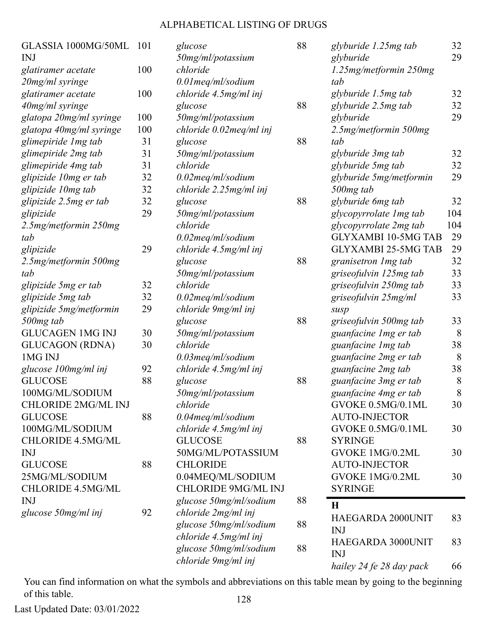| GLASSIA 1000MG/50ML        | 101 | glucose                     | 88 | glyburide 1.25 mg tab      | 32  |
|----------------------------|-----|-----------------------------|----|----------------------------|-----|
| INJ                        |     | 50mg/ml/potassium           |    | glyburide                  | 29  |
| glatiramer acetate         | 100 | chloride                    |    | 1.25mg/metformin 250mg     |     |
| 20mg/ml syringe            |     | 0.01meq/ml/sodium           |    | tab                        |     |
| glatiramer acetate         | 100 | chloride 4.5mg/ml inj       |    | glyburide 1.5mg tab        | 32  |
| 40mg/ml syringe            |     | glucose                     | 88 | glyburide 2.5mg tab        | 32  |
| glatopa 20mg/ml syringe    | 100 | 50mg/ml/potassium           |    | glyburide                  | 29  |
| glatopa 40mg/ml syringe    | 100 | chloride 0.02meq/ml inj     |    | 2.5mg/metformin 500mg      |     |
| glimepiride 1 mg tab       | 31  | glucose                     | 88 | tab                        |     |
| glimepiride 2mg tab        | 31  | 50mg/ml/potassium           |    | glyburide 3mg tab          | 32  |
| glimepiride 4mg tab        | 31  | chloride                    |    | glyburide 5mg tab          | 32  |
| glipizide 10mg er tab      | 32  | 0.02meq/ml/sodium           |    | glyburide 5mg/metformin    | 29  |
| glipizide 10mg tab         | 32  | $chloride$ 2.25 $mg/ml$ inj |    | 500mg tab                  |     |
| glipizide 2.5mg er tab     | 32  | glucose                     | 88 | glyburide 6mg tab          | 32  |
| glipizide                  | 29  | 50mg/ml/potassium           |    | glycopyrrolate 1mg tab     | 104 |
| 2.5mg/metformin 250mg      |     | chloride                    |    | glycopyrrolate 2mg tab     | 104 |
| tab                        |     | $0.02$ meg/ml/sodium        |    | <b>GLYXAMBI 10-5MG TAB</b> | 29  |
| glipizide                  | 29  | chloride 4.5mg/ml inj       |    | <b>GLYXAMBI 25-5MG TAB</b> | 29  |
| 2.5mg/metformin 500mg      |     | glucose                     | 88 | granisetron 1 mg tab       | 32  |
| tab                        |     | 50mg/ml/potassium           |    | griseofulvin 125mg tab     | 33  |
| glipizide 5mg er tab       | 32  | chloride                    |    | griseofulvin 250mg tab     | 33  |
| glipizide 5mg tab          | 32  | 0.02meq/ml/sodium           |    | griseofulvin 25mg/ml       | 33  |
| glipizide 5mg/metformin    | 29  | chloride 9mg/ml inj         |    | susp                       |     |
| 500mg tab                  |     | glucose                     | 88 | griseofulvin 500mg tab     | 33  |
| <b>GLUCAGEN 1MG INJ</b>    | 30  | 50mg/ml/potassium           |    | guanfacine 1 mg er tab     | 8   |
| <b>GLUCAGON (RDNA)</b>     | 30  | chloride                    |    | guanfacine 1 mg tab        | 38  |
| 1MG INJ                    |     | $0.03$ meg/ml/sodium        |    | guanfacine 2mg er tab      | 8   |
| glucose 100mg/ml inj       | 92  | chloride 4.5mg/ml inj       |    | guanfacine 2mg tab         | 38  |
| <b>GLUCOSE</b>             | 88  | glucose                     | 88 | guanfacine 3mg er tab      | 8   |
| 100MG/ML/SODIUM            |     | 50mg/ml/potassium           |    | guanfacine 4mg er tab      | 8   |
| <b>CHLORIDE 2MG/ML INJ</b> |     | chloride                    |    | GVOKE 0.5MG/0.1ML          | 30  |
| <b>GLUCOSE</b>             | 88  | $0.04$ meg/ml/sodium        |    | <b>AUTO-INJECTOR</b>       |     |
| 100MG/ML/SODIUM            |     | chloride 4.5mg/ml inj       |    | GVOKE 0.5MG/0.1ML          | 30  |
| <b>CHLORIDE 4.5MG/ML</b>   |     | <b>GLUCOSE</b>              | 88 | <b>SYRINGE</b>             |     |
| <b>INJ</b>                 |     | 50MG/ML/POTASSIUM           |    | GVOKE 1MG/0.2ML            | 30  |
| <b>GLUCOSE</b>             | 88  | <b>CHLORIDE</b>             |    | <b>AUTO-INJECTOR</b>       |     |
| 25MG/ML/SODIUM             |     | 0.04MEQ/ML/SODIUM           |    | GVOKE 1MG/0.2ML            | 30  |
| CHLORIDE 4.5MG/ML          |     | <b>CHLORIDE 9MG/ML INJ</b>  |    | <b>SYRINGE</b>             |     |
| <b>INJ</b>                 |     | glucose 50mg/ml/sodium      | 88 | H                          |     |
| glucose 50mg/ml inj        | 92  | chloride 2mg/ml inj         |    | HAEGARDA 2000UNIT          | 83  |
|                            |     | glucose 50mg/ml/sodium      | 88 | <b>INJ</b>                 |     |
|                            |     | chloride 4.5mg/ml inj       |    | HAEGARDA 3000UNIT          | 83  |
|                            |     | glucose 50mg/ml/sodium      | 88 | <b>INJ</b>                 |     |
|                            |     | chloride 9mg/ml inj         |    | hailey 24 fe 28 day pack   | 66  |
|                            |     |                             |    |                            |     |

You can find information on what the symbols and abbreviations on this table mean by going to the beginning of this table. 128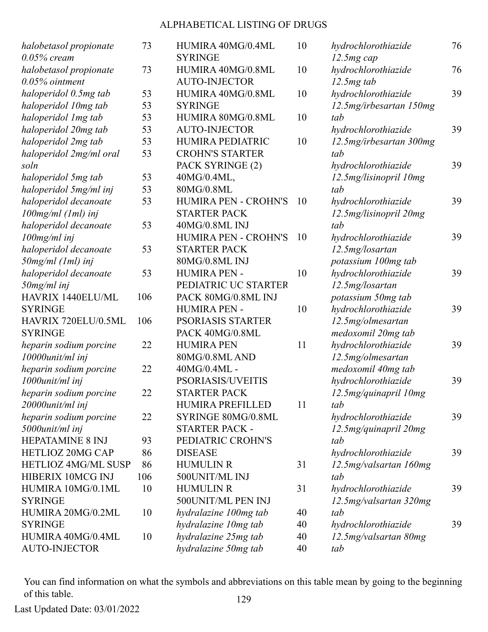| halobetasol propionate     | 73  | HUMIRA 40MG/0.4ML           | 10 |
|----------------------------|-----|-----------------------------|----|
| $0.05\%$ cream             |     | <b>SYRINGE</b>              |    |
| halobetasol propionate     | 73  | HUMIRA 40MG/0.8ML           | 10 |
| $0.05\%$ ointment          |     | <b>AUTO-INJECTOR</b>        |    |
| haloperidol 0.5mg tab      | 53  | HUMIRA 40MG/0.8ML           | 10 |
| haloperidol 10mg tab       | 53  | <b>SYRINGE</b>              |    |
| haloperidol 1mg tab        | 53  | HUMIRA 80MG/0.8ML           | 10 |
| haloperidol 20mg tab       | 53  | <b>AUTO-INJECTOR</b>        |    |
| haloperidol 2mg tab        | 53  | <b>HUMIRA PEDIATRIC</b>     | 10 |
| haloperidol 2mg/ml oral    | 53  | <b>CROHN'S STARTER</b>      |    |
| soln                       |     | PACK SYRINGE (2)            |    |
| haloperidol 5mg tab        | 53  | 40MG/0.4ML,                 |    |
| haloperidol 5mg/ml inj     | 53  | 80MG/0.8ML                  |    |
| haloperidol decanoate      | 53  | <b>HUMIRA PEN - CROHN'S</b> | 10 |
| $100$ mg/ml $(1ml)$ inj    |     | <b>STARTER PACK</b>         |    |
| haloperidol decanoate      | 53  | 40MG/0.8ML INJ              |    |
| 100mg/ml inj               |     | <b>HUMIRA PEN - CROHN'S</b> | 10 |
| haloperidol decanoate      | 53  | <b>STARTER PACK</b>         |    |
| 50mg/ml (1ml) inj          |     | 80MG/0.8ML INJ              |    |
| haloperidol decanoate      | 53  | <b>HUMIRA PEN -</b>         | 10 |
| $50$ mg/ml inj             |     | PEDIATRIC UC STARTER        |    |
| <b>HAVRIX 1440ELU/ML</b>   | 106 | PACK 80MG/0.8ML INJ         |    |
| <b>SYRINGE</b>             |     | <b>HUMIRA PEN -</b>         | 10 |
| HAVRIX 720ELU/0.5ML        | 106 | <b>PSORIASIS STARTER</b>    |    |
| <b>SYRINGE</b>             |     | PACK 40MG/0.8ML             |    |
| heparin sodium porcine     | 22  | <b>HUMIRA PEN</b>           | 11 |
| 10000unit/ml inj           |     | 80MG/0.8ML AND              |    |
| heparin sodium porcine     | 22  | 40MG/0.4ML -                |    |
| 1000unit/ml inj            |     | <b>PSORIASIS/UVEITIS</b>    |    |
| heparin sodium porcine     | 22  | <b>STARTER PACK</b>         |    |
| 20000unit/ml inj           |     | <b>HUMIRA PREFILLED</b>     | 11 |
| heparin sodium porcine     | 22  | SYRINGE 80MG/0.8ML          |    |
| 5000unit/ml inj            |     | <b>STARTER PACK -</b>       |    |
| <b>HEPATAMINE 8 INJ</b>    | 93  | PEDIATRIC CROHN'S           |    |
| <b>HETLIOZ 20MG CAP</b>    | 86  | <b>DISEASE</b>              |    |
| <b>HETLIOZ 4MG/ML SUSP</b> | 86  | <b>HUMULIN R</b>            | 31 |
| HIBERIX 10MCG INJ          | 106 | 500UNIT/ML INJ              |    |
| HUMIRA 10MG/0.1ML          | 10  | <b>HUMULIN R</b>            | 31 |
| <b>SYRINGE</b>             |     | 500UNIT/ML PEN INJ          |    |
| HUMIRA 20MG/0.2ML          | 10  | hydralazine 100mg tab       | 40 |
| <b>SYRINGE</b>             |     | hydralazine 10mg tab        | 40 |
| HUMIRA 40MG/0.4ML          | 10  | hydralazine 25mg tab        | 40 |
| <b>AUTO-INJECTOR</b>       |     | hydralazine 50mg tab        | 40 |
|                            |     |                             |    |

*hydrochlorothiazide 12.5mg cap* 76 *hydrochlorothiazide 12.5mg tab* 76 *hydrochlorothiazide 12.5mg/irbesartan 150mg tab* 39 *hydrochlorothiazide 12.5mg/irbesartan 300mg tab* 39 *hydrochlorothiazide 12.5mg/lisinopril 10mg tab* 39 *hydrochlorothiazide 12.5mg/lisinopril 20mg tab* 39 *hydrochlorothiazide 12.5mg/losartan potassium 100mg tab* 39 *hydrochlorothiazide 12.5mg/losartan potassium 50mg tab* 39 *hydrochlorothiazide 12.5mg/olmesartan medoxomil 20mg tab* 39 *hydrochlorothiazide 12.5mg/olmesartan medoxomil 40mg tab* 39 *hydrochlorothiazide 12.5mg/quinapril 10mg tab* 39 *hydrochlorothiazide 12.5mg/quinapril 20mg tab* 39 *hydrochlorothiazide 12.5mg/valsartan 160mg tab* 39 *hydrochlorothiazide 12.5mg/valsartan 320mg tab* 39 *hydrochlorothiazide 12.5mg/valsartan 80mg tab* 39

You can find information on what the symbols and abbreviations on this table mean by going to the beginning of this table. 129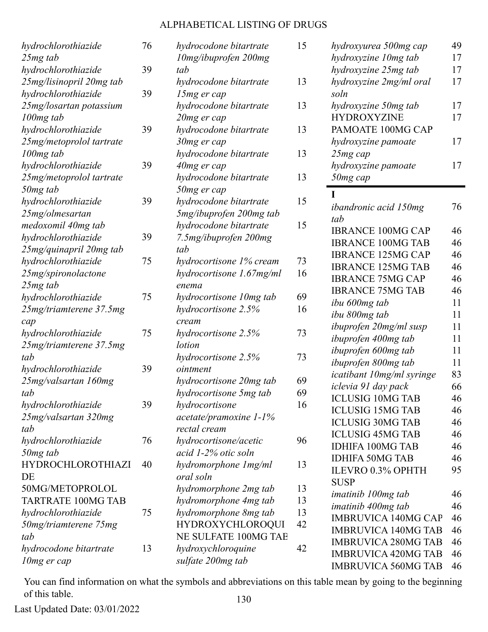| hydrochlorothiazide<br>25mg tab | 76 | hydrocodone bitartrate<br>10mg/ibuprofen 200mg |
|---------------------------------|----|------------------------------------------------|
| hydrochlorothiazide             | 39 | tab                                            |
| 25mg/lisinopril 20mg tab        |    | hydrocodone bitartrate                         |
| hydrochlorothiazide             | 39 | 15mg er cap                                    |
| 25mg/losartan potassium         |    | hydrocodone bitartrate                         |
|                                 |    |                                                |
| 100 <sub>mg</sub> tab           |    | 20mg er cap                                    |
| hydrochlorothiazide             | 39 | hydrocodone bitartrate                         |
| 25mg/metoprolol tartrate        |    | 30mg er cap                                    |
| 100 <sub>mg</sub> tab           |    | hydrocodone bitartrate                         |
| hydrochlorothiazide             | 39 | 40mg er cap                                    |
| 25mg/metoprolol tartrate        |    | hydrocodone bitartrate                         |
| 50mg tab                        |    | 50mg er cap                                    |
| hydrochlorothiazide             | 39 | hydrocodone bitartrate                         |
| 25mg/olmesartan                 |    | 5mg/ibuprofen 200mg tab                        |
| medoxomil 40mg tab              |    | hydrocodone bitartrate                         |
| hydrochlorothiazide             | 39 | 7.5mg/ibuprofen 200mg                          |
| 25mg/quinapril 20mg tab         |    | tab                                            |
| hydrochlorothiazide             | 75 | hydrocortisone 1% cream                        |
| 25mg/spironolactone             |    | hydrocortisone 1.67mg/ml                       |
| 25mg tab                        |    | enema                                          |
| hydrochlorothiazide             | 75 | hydrocortisone 10mg tab                        |
| 25mg/triamterene 37.5mg         |    | hydrocortisone 2.5%                            |
| cap                             |    | cream                                          |
| hydrochlorothiazide             | 75 | hydrocortisone 2.5%                            |
| 25mg/triamterene 37.5mg         |    | lotion                                         |
| tab                             |    | hydrocortisone 2.5%                            |
| hydrochlorothiazide             | 39 | ointment                                       |
| 25mg/valsartan 160mg            |    | hydrocortisone 20mg tab                        |
| tab                             |    | hydrocortisone 5mg tab                         |
| hydrochlorothiazide             | 39 | hydrocortisone                                 |
| 25mg/valsartan 320mg            |    | acetate/pramoxine 1-1%                         |
| tab                             |    | rectal cream                                   |
| hydrochlorothiazide             | 76 | hydrocortisone/acetic                          |
| 50mg tab                        |    | acid 1-2% otic soln                            |
| <b>HYDROCHLOROTHIAZI</b>        | 40 | hydromorphone 1 mg/ml                          |
| DE                              |    | oral soln                                      |
| 50MG/METOPROLOL                 |    | hydromorphone 2mg tab                          |
| <b>TARTRATE 100MG TAB</b>       |    | hydromorphone 4mg tab                          |
| hydrochlorothiazide             | 75 | hydromorphone 8mg tab                          |
| 50mg/triamterene 75mg           |    | HYDROXYCHLOROQUI                               |
| tab                             |    | <b>NE SULFATE 100MG TAE</b>                    |
|                                 | 13 | hydroxychloroquine                             |
| hydrocodone bitartrate          |    |                                                |
| 10mg er cap                     |    | sulfate 200mg tab                              |

| 15 | hydroxyurea 500mg cap        | 49 |
|----|------------------------------|----|
|    | hydroxyzine 10mg tab         | 17 |
|    | hydroxyzine 25mg tab         | 17 |
| 13 | hydroxyzine 2mg/ml oral      | 17 |
|    | soln                         |    |
| 13 | hydroxyzine 50mg tab         | 17 |
|    | <b>HYDROXYZINE</b>           | 17 |
| 13 | PAMOATE 100MG CAP            |    |
|    | hydroxyzine pamoate          | 17 |
| 13 | 25mg cap                     |    |
|    | hydroxyzine pamoate          | 17 |
| 13 | 50mg cap                     |    |
| 15 | L                            |    |
|    | <i>ibandronic acid 150mg</i> | 76 |
| 15 | tab                          |    |
|    | <b>IBRANCE 100MG CAP</b>     | 46 |
|    | <b>IBRANCE 100MG TAB</b>     | 46 |
| 73 | <b>IBRANCE 125MG CAP</b>     | 46 |
| 16 | <b>IBRANCE 125MG TAB</b>     | 46 |
|    | <b>IBRANCE 75MG CAP</b>      | 46 |
| 69 | <b>IBRANCE 75MG TAB</b>      | 46 |
| 16 | ibu 600mg tab                | 11 |
|    | ibu 800mg tab                | 11 |
| 73 | ibuprofen 20mg/ml susp       | 11 |
|    | ibuprofen 400mg tab          | 11 |
| 73 | ibuprofen 600mg tab          | 11 |
|    | ibuprofen 800mg tab          | 11 |
| 69 | icatibant 10mg/ml syringe    | 83 |
| 69 | iclevia 91 day pack          | 66 |
| 16 | <b>ICLUSIG 10MG TAB</b>      | 46 |
|    | <b>ICLUSIG 15MG TAB</b>      | 46 |
|    | <b>ICLUSIG 30MG TAB</b>      | 46 |
| 96 | <b>ICLUSIG 45MG TAB</b>      | 46 |
|    | <b>IDHIFA 100MG TAB</b>      | 46 |
| 13 | <b>IDHIFA 50MG TAB</b>       | 46 |
|    | ILEVRO 0.3% OPHTH            | 95 |
| 13 | <b>SUSP</b>                  |    |
| 13 | <i>imatinib</i> 100mg tab    | 46 |
| 13 | imatinib 400mg tab           | 46 |
| 42 | <b>IMBRUVICA 140MG CAP</b>   | 46 |
|    | <b>IMBRUVICA 140MG TAB</b>   | 46 |
| 42 | <b>IMBRUVICA 280MG TAB</b>   | 46 |
|    | <b>IMBRUVICA 420MG TAB</b>   | 46 |
|    | <b>IMBRUVICA 560MG TAB</b>   | 46 |

You can find information on what the symbols and abbreviations on this table mean by going to the beginning of this table. 130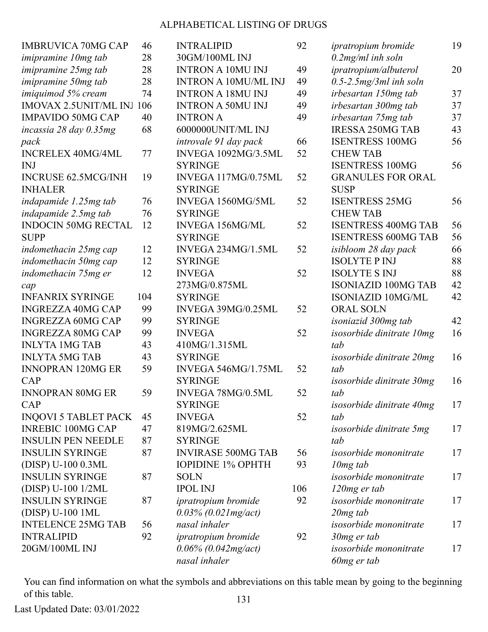| <b>IMBRUVICA 70MG CAP</b>    | 46  | <b>INTRALIPID</b>           | 92  | <i>ipratropium bromide</i>      | 19 |
|------------------------------|-----|-----------------------------|-----|---------------------------------|----|
| <i>imipramine 10mg tab</i>   | 28  | 30GM/100ML INJ              |     | $0.2$ mg/ml inh soln            |    |
| <i>imipramine 25mg tab</i>   | 28  | <b>INTRON A 10MU INJ</b>    | 49  | ipratropium/albuterol           | 20 |
| imipramine 50mg tab          | 28  | <b>INTRON A 10MU/ML INJ</b> | 49  | $0.5$ -2.5 $mg/3ml$ inh soln    |    |
| imiquimod 5% cream           | 74  | <b>INTRON A 18MU INJ</b>    | 49  | irbesartan 150mg tab            | 37 |
| <b>IMOVAX 2.5UNIT/ML INJ</b> | 106 | <b>INTRON A 50MU INJ</b>    | 49  | irbesartan 300mg tab            | 37 |
| <b>IMPAVIDO 50MG CAP</b>     | 40  | <b>INTRON A</b>             | 49  | irbesartan 75mg tab             | 37 |
| incassia 28 day 0.35mg       | 68  | 6000000UNIT/ML INJ          |     | <b>IRESSA 250MG TAB</b>         | 43 |
| pack                         |     | introvale 91 day pack       | 66  | <b>ISENTRESS 100MG</b>          | 56 |
| <b>INCRELEX 40MG/4ML</b>     | 77  | INVEGA 1092MG/3.5ML         | 52  | <b>CHEW TAB</b>                 |    |
| <b>INJ</b>                   |     | <b>SYRINGE</b>              |     | <b>ISENTRESS 100MG</b>          | 56 |
| <b>INCRUSE 62.5MCG/INH</b>   | 19  | INVEGA 117MG/0.75ML         | 52  | <b>GRANULES FOR ORAL</b>        |    |
| <b>INHALER</b>               |     | <b>SYRINGE</b>              |     | <b>SUSP</b>                     |    |
| indapamide 1.25mg tab        | 76  | INVEGA 1560MG/5ML           | 52  | <b>ISENTRESS 25MG</b>           | 56 |
| indapamide 2.5mg tab         | 76  | <b>SYRINGE</b>              |     | <b>CHEW TAB</b>                 |    |
| <b>INDOCIN 50MG RECTAL</b>   | 12  | <b>INVEGA 156MG/ML</b>      | 52  | <b>ISENTRESS 400MG TAB</b>      | 56 |
| <b>SUPP</b>                  |     | <b>SYRINGE</b>              |     | <b>ISENTRESS 600MG TAB</b>      | 56 |
| indomethacin 25mg cap        | 12  | INVEGA 234MG/1.5ML          | 52  | isibloom 28 day pack            | 66 |
| indomethacin 50mg cap        | 12  | <b>SYRINGE</b>              |     | <b>ISOLYTE P INJ</b>            | 88 |
| indomethacin 75mg er         | 12  | <b>INVEGA</b>               | 52  | <b>ISOLYTE S INJ</b>            | 88 |
| cap                          |     | 273MG/0.875ML               |     | <b>ISONIAZID 100MG TAB</b>      | 42 |
| <b>INFANRIX SYRINGE</b>      | 104 | <b>SYRINGE</b>              |     | <b>ISONIAZID 10MG/ML</b>        | 42 |
| <b>INGREZZA 40MG CAP</b>     | 99  | INVEGA 39MG/0.25ML          | 52  | <b>ORAL SOLN</b>                |    |
| <b>INGREZZA 60MG CAP</b>     | 99  | <b>SYRINGE</b>              |     | isoniazid 300mg tab             | 42 |
| <b>INGREZZA 80MG CAP</b>     | 99  | <b>INVEGA</b>               | 52  | isosorbide dinitrate 10mg       | 16 |
| <b>INLYTA 1MG TAB</b>        | 43  | 410MG/1.315ML               |     | tab                             |    |
| <b>INLYTA 5MG TAB</b>        | 43  | <b>SYRINGE</b>              |     | isosorbide dinitrate 20mg       | 16 |
| <b>INNOPRAN 120MG ER</b>     | 59  | INVEGA 546MG/1.75ML         | 52  | tab                             |    |
| CAP                          |     | <b>SYRINGE</b>              |     | isosorbide dinitrate 30mg       | 16 |
| <b>INNOPRAN 80MG ER</b>      | 59  | INVEGA 78MG/0.5ML           | 52  | tab                             |    |
| CAP                          |     | <b>SYRINGE</b>              |     | isosorbide dinitrate 40mg       | 17 |
| <b>INQOVI 5 TABLET PACK</b>  | 45  | <b>INVEGA</b>               | 52  | tab                             |    |
| <b>INREBIC 100MG CAP</b>     | 47  | 819MG/2.625ML               |     | <i>isosorbide dinitrate 5mg</i> | 17 |
| <b>INSULIN PEN NEEDLE</b>    | 87  | <b>SYRINGE</b>              |     | tab                             |    |
| <b>INSULIN SYRINGE</b>       | 87  | <b>INVIRASE 500MG TAB</b>   | 56  | <i>isosorbide mononitrate</i>   | 17 |
| (DISP) U-100 0.3ML           |     | <b>IOPIDINE 1% OPHTH</b>    | 93  | $10mg$ tab                      |    |
| <b>INSULIN SYRINGE</b>       | 87  | <b>SOLN</b>                 |     | isosorbide mononitrate          | 17 |
| (DISP) U-100 1/2ML           |     | <b>IPOL INJ</b>             | 106 | 120mg er tab                    |    |
| <b>INSULIN SYRINGE</b>       | 87  | <i>ipratropium bromide</i>  | 92  | isosorbide mononitrate          | 17 |
| (DISP) U-100 1ML             |     | $0.03\%$ (0.021mg/act)      |     | $20mg$ tab                      |    |
| <b>INTELENCE 25MG TAB</b>    | 56  | nasal inhaler               |     | <i>isosorbide mononitrate</i>   | 17 |
| <b>INTRALIPID</b>            | 92  | ipratropium bromide         | 92  | 30mg er tab                     |    |
| 20GM/100ML INJ               |     | $0.06\%$ (0.042mg/act)      |     | isosorbide mononitrate          | 17 |
|                              |     | nasal inhaler               |     | 60mg er tab                     |    |

You can find information on what the symbols and abbreviations on this table mean by going to the beginning of this table. 131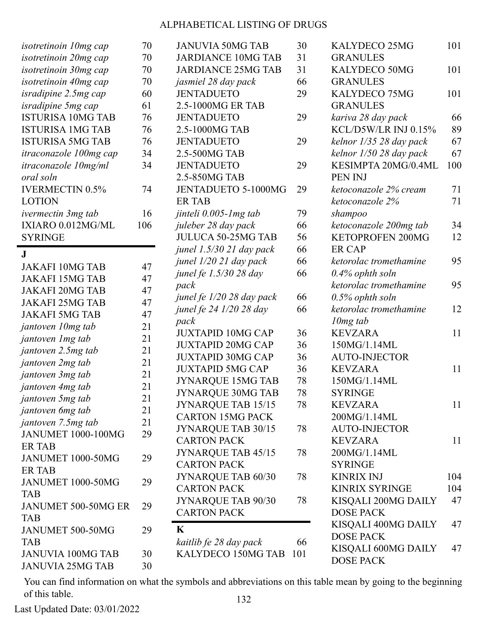| <i>isotretinoin 10mg cap</i> | 70  | <b>JANUVIA 50MG TAB</b>    | 30  | KALYDECO 25MG           | 101 |
|------------------------------|-----|----------------------------|-----|-------------------------|-----|
| isotretinoin 20mg cap        | 70  | <b>JARDIANCE 10MG TAB</b>  | 31  | <b>GRANULES</b>         |     |
| isotretinoin 30mg cap        | 70  | <b>JARDIANCE 25MG TAB</b>  | 31  | KALYDECO 50MG           | 101 |
| isotretinoin 40mg cap        | 70  | jasmiel 28 day pack        | 66  | <b>GRANULES</b>         |     |
| isradipine 2.5mg cap         | 60  | <b>JENTADUETO</b>          | 29  | KALYDECO 75MG           | 101 |
| isradipine 5mg cap           | 61  | 2.5-1000MG ER TAB          |     | <b>GRANULES</b>         |     |
| <b>ISTURISA 10MG TAB</b>     | 76  | <b>JENTADUETO</b>          | 29  | kariva 28 day pack      | 66  |
| <b>ISTURISA 1MG TAB</b>      | 76  | 2.5-1000MG TAB             |     | KCL/D5W/LR INJ 0.15%    | 89  |
| <b>ISTURISA 5MG TAB</b>      | 76  | <b>JENTADUETO</b>          | 29  | kelnor 1/35 28 day pack | 67  |
| itraconazole 100mg cap       | 34  | 2.5-500MG TAB              |     | kelnor 1/50 28 day pack | 67  |
| <i>itraconazole 10mg/ml</i>  | 34  | <b>JENTADUETO</b>          | 29  | KESIMPTA 20MG/0.4ML     | 100 |
| oral soln                    |     | 2.5-850MG TAB              |     | <b>PEN INJ</b>          |     |
| <b>IVERMECTIN 0.5%</b>       | 74  | <b>JENTADUETO 5-1000MG</b> | 29  | ketoconazole 2% cream   | 71  |
| <b>LOTION</b>                |     | <b>ER TAB</b>              |     | ketoconazole 2%         | 71  |
| ivermectin 3mg tab           | 16  | jinteli 0.005-1 mg tab     | 79  | shampoo                 |     |
| IXIARO 0.012MG/ML            | 106 | juleber 28 day pack        | 66  | ketoconazole 200mg tab  | 34  |
| <b>SYRINGE</b>               |     | <b>JULUCA 50-25MG TAB</b>  | 56  | <b>KETOPROFEN 200MG</b> | 12  |
|                              |     | junel 1.5/30 21 day pack   | 66  | <b>ER CAP</b>           |     |
| J.                           |     | junel 1/20 21 day pack     | 66  | ketorolac tromethamine  | 95  |
| <b>JAKAFI 10MG TAB</b>       | 47  | junel fe 1.5/30 28 day     | 66  | $0.4\%$ ophth soln      |     |
| <b>JAKAFI 15MG TAB</b>       | 47  | pack                       |     | ketorolac tromethamine  | 95  |
| <b>JAKAFI 20MG TAB</b>       | 47  | junel fe 1/20 28 day pack  | 66  | $0.5\%$ ophth soln      |     |
| <b>JAKAFI 25MG TAB</b>       | 47  | junel fe 24 1/20 28 day    | 66  | ketorolac tromethamine  | 12  |
| <b>JAKAFI 5MG TAB</b>        | 47  | pack                       |     | $10mg$ tab              |     |
| jantoven 10mg tab            | 21  | <b>JUXTAPID 10MG CAP</b>   | 36  | <b>KEVZARA</b>          | 11  |
| jantoven 1 mg tab            | 21  | <b>JUXTAPID 20MG CAP</b>   | 36  | 150MG/1.14ML            |     |
| jantoven 2.5mg tab           | 21  | <b>JUXTAPID 30MG CAP</b>   | 36  | <b>AUTO-INJECTOR</b>    |     |
| jantoven 2mg tab             | 21  | <b>JUXTAPID 5MG CAP</b>    | 36  | <b>KEVZARA</b>          | 11  |
| jantoven 3mg tab             | 21  | <b>JYNARQUE 15MG TAB</b>   | 78  | 150MG/1.14ML            |     |
| jantoven 4mg tab             | 21  | <b>JYNARQUE 30MG TAB</b>   | 78  | <b>SYRINGE</b>          |     |
| jantoven 5mg tab             | 21  | <b>JYNARQUE TAB 15/15</b>  | 78  | <b>KEVZARA</b>          | 11  |
| jantoven 6mg tab             | 21  | <b>CARTON 15MG PACK</b>    |     | 200MG/1.14ML            |     |
| jantoven 7.5mg tab           | 21  | JYNARQUE TAB 30/15         | 78  | <b>AUTO-INJECTOR</b>    |     |
| <b>JANUMET 1000-100MG</b>    | 29  | <b>CARTON PACK</b>         |     | <b>KEVZARA</b>          | 11  |
| <b>ER TAB</b>                |     | JYNARQUE TAB 45/15         | 78  | 200MG/1.14ML            |     |
| JANUMET 1000-50MG            | 29  | <b>CARTON PACK</b>         |     | <b>SYRINGE</b>          |     |
| <b>ER TAB</b>                |     | JYNARQUE TAB 60/30         | 78  | <b>KINRIX INJ</b>       | 104 |
| JANUMET 1000-50MG            | 29  | <b>CARTON PACK</b>         |     | <b>KINRIX SYRINGE</b>   | 104 |
| <b>TAB</b>                   |     | JYNARQUE TAB 90/30         | 78  | KISQALI 200MG DAILY     | 47  |
| JANUMET 500-50MG ER          | 29  | <b>CARTON PACK</b>         |     | <b>DOSE PACK</b>        |     |
| <b>TAB</b>                   |     |                            |     | KISQALI 400MG DAILY     | 47  |
| JANUMET 500-50MG             | 29  | K                          |     | <b>DOSE PACK</b>        |     |
| <b>TAB</b>                   |     | kaitlib fe 28 day pack     | 66  | KISQALI 600MG DAILY     | 47  |
| <b>JANUVIA 100MG TAB</b>     | 30  | KALYDECO 150MG TAB         | 101 | <b>DOSE PACK</b>        |     |
| <b>JANUVIA 25MG TAB</b>      | 30  |                            |     |                         |     |

You can find information on what the symbols and abbreviations on this table mean by going to the beginning of this table. 132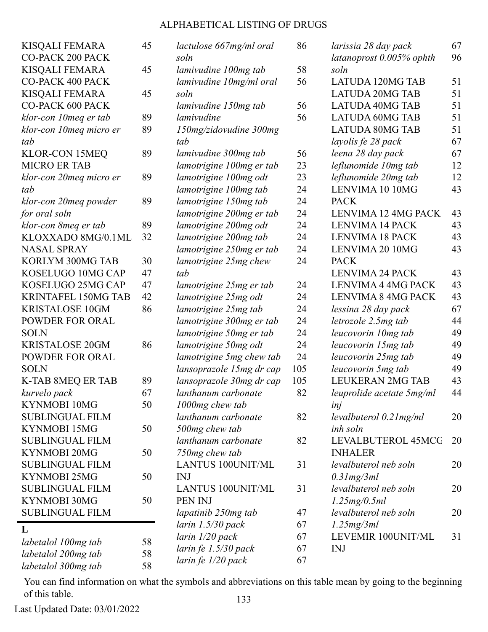| <b>KISQALI FEMARA</b><br><b>CO-PACK 200 PACK</b> | 45 | lactulose 667mg/ml oral<br>soln                 | 86         | larissia 28 day pack<br>latanoprost 0.005% ophth | 67<br>96 |
|--------------------------------------------------|----|-------------------------------------------------|------------|--------------------------------------------------|----------|
| <b>KISQALI FEMARA</b>                            | 45 | lamivudine 100mg tab                            | 58         | soln                                             |          |
| <b>CO-PACK 400 PACK</b>                          |    | lamivudine 10mg/ml oral                         | 56         | <b>LATUDA 120MG TAB</b>                          | 51       |
| <b>KISQALI FEMARA</b>                            | 45 | soln                                            |            | <b>LATUDA 20MG TAB</b>                           | 51       |
| <b>CO-PACK 600 PACK</b>                          |    | lamivudine 150mg tab                            | 56         | <b>LATUDA 40MG TAB</b>                           | 51       |
| klor-con 10 meg er tab                           | 89 | lamivudine                                      | 56         | <b>LATUDA 60MG TAB</b>                           | 51       |
| klor-con 10meq micro er                          | 89 | 150mg/zidovudine 300mg                          |            | <b>LATUDA 80MG TAB</b>                           | 51       |
| tab                                              |    | tab                                             |            | layolis fe 28 pack                               | 67       |
| <b>KLOR-CON 15MEQ</b>                            | 89 | lamivudine 300mg tab                            | 56         | leena 28 day pack                                | 67       |
| <b>MICRO ER TAB</b>                              |    | lamotrigine 100mg er tab                        | 23         | leflunomide 10mg tab                             | 12       |
| klor-con 20meq micro er                          | 89 | lamotrigine 100mg odt                           | 23         | leflunomide 20mg tab                             | 12       |
| tab                                              |    | lamotrigine 100mg tab                           | 24         | LENVIMA 10 10MG                                  | 43       |
| klor-con 20meq powder                            | 89 | lamotrigine 150mg tab                           | 24         | <b>PACK</b>                                      |          |
| for oral soln                                    |    | lamotrigine 200mg er tab                        | 24         | LENVIMA 12 4MG PACK                              | 43       |
| klor-con 8meq er tab                             | 89 | lamotrigine 200mg odt                           | 24         | <b>LENVIMA 14 PACK</b>                           | 43       |
| KLOXXADO 8MG/0.1ML                               | 32 | lamotrigine 200mg tab                           | 24         | <b>LENVIMA 18 PACK</b>                           | 43       |
| <b>NASAL SPRAY</b>                               |    | lamotrigine 250mg er tab                        | 24         | LENVIMA 20 10MG                                  | 43       |
| KORLYM 300MG TAB                                 | 30 | lamotrigine 25mg chew                           | 24         | <b>PACK</b>                                      |          |
| KOSELUGO 10MG CAP                                | 47 | tab                                             |            | <b>LENVIMA 24 PACK</b>                           | 43       |
| KOSELUGO 25MG CAP                                | 47 | lamotrigine 25mg er tab                         | 24         | LENVIMA 4 4MG PACK                               | 43       |
| <b>KRINTAFEL 150MG TAB</b>                       | 42 | lamotrigine 25mg odt                            | 24         | LENVIMA 8 4MG PACK                               | 43       |
| <b>KRISTALOSE 10GM</b>                           | 86 |                                                 | 24         | lessina 28 day pack                              | 67       |
| POWDER FOR ORAL                                  |    | lamotrigine 25mg tab                            | 24         |                                                  | 44       |
| <b>SOLN</b>                                      |    | lamotrigine 300mg er tab                        | 24         | letrozole 2.5mg tab                              | 49       |
| <b>KRISTALOSE 20GM</b>                           | 86 | lamotrigine 50mg er tab                         | 24         | leucovorin 10mg tab                              | 49       |
| POWDER FOR ORAL                                  |    | lamotrigine 50mg odt                            | 24         | leucovorin 15mg tab                              | 49       |
| <b>SOLN</b>                                      |    | lamotrigine 5mg chew tab                        |            | leucovorin 25mg tab                              | 49       |
|                                                  | 89 | lansoprazole 15mg dr cap                        | 105<br>105 | leucovorin 5mg tab<br><b>LEUKERAN 2MG TAB</b>    | 43       |
| K-TAB 8MEQ ER TAB                                | 67 | lansoprazole 30mg dr cap<br>lanthanum carbonate | 82         |                                                  |          |
| kurvelo pack                                     | 50 |                                                 |            | leuprolide acetate 5mg/ml                        | 44       |
| KYNMOBI 10MG                                     |    | 1000mg chew tab<br>lanthanum carbonate          |            | inj                                              |          |
| <b>SUBLINGUAL FILM</b>                           |    |                                                 | 82         | $levalbuterol$ 0.21 $mg/ml$                      | 20       |
| KYNMOBI 15MG<br><b>SUBLINGUAL FILM</b>           | 50 | 500mg chew tab                                  |            | inh soln                                         |          |
| KYNMOBI 20MG                                     |    | lanthanum carbonate                             | 82         | LEVALBUTEROL 45MCG                               | 20       |
| <b>SUBLINGUAL FILM</b>                           | 50 | 750mg chew tab                                  | 31         | <b>INHALER</b>                                   |          |
| <b>KYNMOBI 25MG</b>                              | 50 | <b>LANTUS 100UNIT/ML</b><br><b>INJ</b>          |            | levalbuterol neb soln                            | 20       |
| <b>SUBLINGUAL FILM</b>                           |    |                                                 | 31         | 0.31mg/3ml<br>levalbuterol neb soln              |          |
| KYNMOBI 30MG                                     | 50 | <b>LANTUS 100UNIT/ML</b><br>PEN INJ             |            |                                                  | 20       |
| <b>SUBLINGUAL FILM</b>                           |    |                                                 |            | 1.25mg/0.5ml<br>levalbuterol neb soln            |          |
|                                                  |    | lapatinib 250mg tab                             | 47         |                                                  | 20       |
| L                                                |    | larin $1.5/30$ pack                             | 67<br>67   | 1.25mg/3ml<br>LEVEMIR 100UNIT/ML                 | 31       |
| labetalol 100mg tab                              | 58 | larin 1/20 pack                                 |            |                                                  |          |
| labetalol 200mg tab                              | 58 | larin fe 1.5/30 pack                            | 67         | <b>INJ</b>                                       |          |
| labetalol 300mg tab                              | 58 | larin fe 1/20 pack                              | 67         |                                                  |          |

You can find information on what the symbols and abbreviations on this table mean by going to the beginning of this table. 133

Last Updated Date: 03/01/2022

j.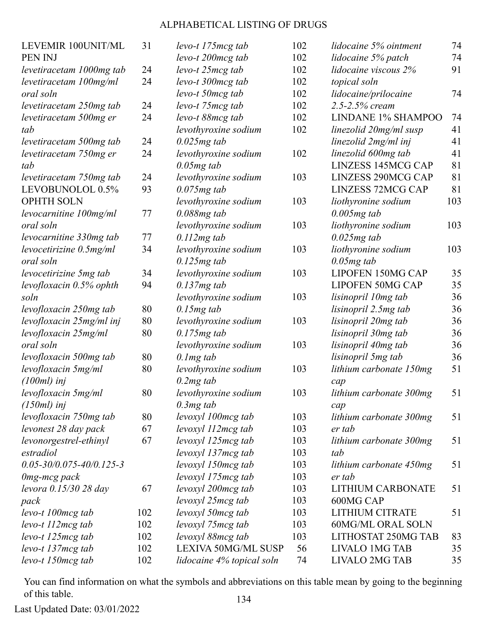| LEVEMIR 100UNIT/ML               | 31  | levo-t 175 mcg tab         | 102 |
|----------------------------------|-----|----------------------------|-----|
| PEN INJ                          |     | levo-t 200 mcg tab         | 102 |
| levetiracetam 1000mg tab         | 24  | levo-t 25mcg tab           | 102 |
| levetiracetam 100mg/ml           | 24  | levo-t 300mcg tab          | 102 |
| oral soln                        |     | levo-t 50mcg tab           | 102 |
| levetiracetam 250mg tab          | 24  | levo-t 75mcg tab           | 102 |
| levetiracetam 500mg er           | 24  | levo-t 88mcg tab           | 102 |
| tab                              |     | levothyroxine sodium       | 102 |
| levetiracetam 500mg tab          | 24  | $0.025mg$ tab              |     |
| levetiracetam 750mg er           | 24  | levothyroxine sodium       | 102 |
| tab                              |     | $0.05mg$ tab               |     |
| levetiracetam 750mg tab          | 24  | levothyroxine sodium       | 103 |
| LEVOBUNOLOL 0.5%                 | 93  | $0.075mg$ tab              |     |
| <b>OPHTH SOLN</b>                |     | levothyroxine sodium       | 103 |
| levocarnitine 100mg/ml           | 77  | $0.088mg$ tab              |     |
| oral soln                        |     | levothyroxine sodium       | 103 |
| levocarnitine 330mg tab          | 77  | $0.112mg$ tab              |     |
| levocetirizine 0.5mg/ml          | 34  | levothyroxine sodium       | 103 |
| oral soln                        |     | $0.125mg$ tab              |     |
| levocetirizine 5mg tab           | 34  | levothyroxine sodium       | 103 |
| levofloxacin 0.5% ophth          | 94  | $0.137mg$ tab              |     |
| soln                             |     | levothyroxine sodium       | 103 |
| levofloxacin 250mg tab           | 80  | $0.15mg$ tab               |     |
| levofloxacin 25mg/ml inj         | 80  | levothyroxine sodium       | 103 |
| levofloxacin 25mg/ml             | 80  | $0.175mg$ tab              |     |
| oral soln                        |     | levothyroxine sodium       | 103 |
| levofloxacin 500mg tab           | 80  | $0.1$ mg tab               |     |
| levofloxacin 5mg/ml              | 80  | levothyroxine sodium       | 103 |
| $(100ml)$ inj                    |     | $0.2mg$ tab                |     |
| levofloxacin 5mg/ml              | 80  | levothyroxine sodium       | 103 |
| $(150ml)$ inj                    |     | $0.3mg$ tab                |     |
| levofloxacin 750mg tab           | 80  | levoxyl 100mcg tab         | 103 |
| levonest 28 day pack             | 67  | levoxyl 112mcg tab         | 103 |
| levonorgestrel-ethinyl           | 67  | levoxyl 125mcg tab         | 103 |
| estradiol                        |     | levoxyl 137 mcg tab        | 103 |
| $0.05 - 30/0.075 - 40/0.125 - 3$ |     | levoxyl 150 mcg tab        | 103 |
| 0mg-mcg pack                     |     | levoxyl 175 mcg tab        | 103 |
| levora 0.15/30 28 day            | 67  | levoxyl 200mcg tab         | 103 |
| pack                             |     | levoxyl 25mcg tab          | 103 |
| levo-t 100mcg tab                | 102 | levoxyl 50mcg tab          | 103 |
| levo-t 112mcg tab                | 102 | levoxyl 75mcg tab          | 103 |
| levo-t 125mcg tab                | 102 | levoxyl 88mcg tab          | 103 |
| levo-t 137 mcg tab               | 102 | <b>LEXIVA 50MG/ML SUSP</b> | 56  |
| levo-t 150mcg tab                | 102 | lidocaine 4% topical soln  | 74  |

|     | 102 | lidocaine 5% ointment     | 74  |
|-----|-----|---------------------------|-----|
|     | 102 | lidocaine 5% patch        | 74  |
|     | 102 | lidocaine viscous 2%      | 91  |
|     | 102 | topical soln              |     |
|     | 102 | lidocaine/prilocaine      | 74  |
|     | 102 | 2.5-2.5% cream            |     |
|     | 102 | <b>LINDANE 1% SHAMPOO</b> | 74  |
|     | 102 | linezolid 20mg/ml susp    | 41  |
|     |     | linezolid 2mg/ml inj      | 41  |
|     | 102 | linezolid 600mg tab       | 41  |
|     |     | <b>LINZESS 145MCG CAP</b> | 81  |
|     | 103 | <b>LINZESS 290MCG CAP</b> | 81  |
|     |     | <b>LINZESS 72MCG CAP</b>  | 81  |
|     | 103 | liothyronine sodium       | 103 |
|     |     | $0.005mg$ tab             |     |
|     | 103 | liothyronine sodium       | 103 |
|     |     | $0.025mg$ tab             |     |
|     | 103 | liothyronine sodium       | 103 |
|     |     | $0.05mg$ tab              |     |
|     | 103 | <b>LIPOFEN 150MG CAP</b>  | 35  |
|     |     | <b>LIPOFEN 50MG CAP</b>   | 35  |
|     | 103 | lisinopril 10mg tab       | 36  |
|     |     | lisinopril 2.5mg tab      | 36  |
|     | 103 | lisinopril 20mg tab       | 36  |
|     |     | lisinopril 30mg tab       | 36  |
|     | 103 | lisinopril 40mg tab       | 36  |
|     |     | lisinopril 5mg tab        | 36  |
|     | 103 | lithium carbonate 150mg   | 51  |
|     |     | cap                       |     |
|     | 103 | lithium carbonate 300mg   | 51  |
|     |     | cap                       |     |
|     | 103 | lithium carbonate 300mg   | 51  |
|     | 103 | er tab                    |     |
|     | 103 | lithium carbonate 300mg   | 51  |
|     | 103 | tab                       |     |
|     | 103 | lithium carbonate 450mg   | 51  |
|     | 103 | er tab                    |     |
|     | 103 | <b>LITHIUM CARBONATE</b>  | 51  |
|     | 103 | 600MG CAP                 |     |
|     | 103 | <b>LITHIUM CITRATE</b>    | 51  |
|     | 103 | <b>60MG/ML ORAL SOLN</b>  |     |
|     | 103 | LITHOSTAT 250MG TAB       | 83  |
|     | 56  | <b>LIVALO 1MG TAB</b>     |     |
| JSP |     |                           | 35  |
| әlп | 74  | <b>LIVALO 2MG TAB</b>     | 35  |

You can find information on what the symbols and abbreviations on this table mean by going to the beginning of this table. 134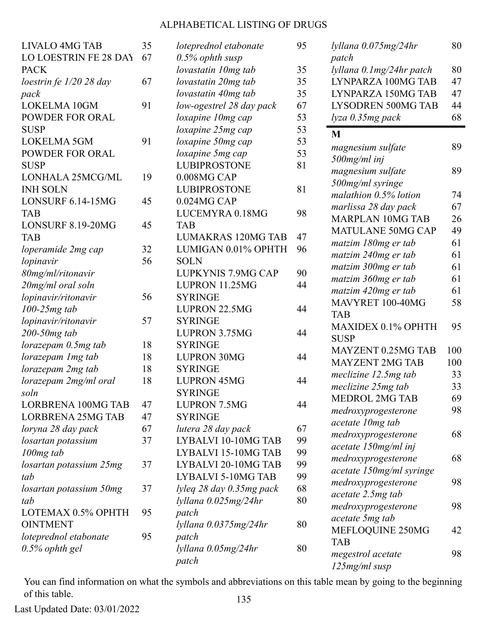| <b>LIVALO 4MG TAB</b>     | 35 | loteprednol etabonate     | 95 |
|---------------------------|----|---------------------------|----|
| LO LOESTRIN FE 28 DAY     | 67 | $0.5\%$ ophth susp        |    |
| <b>PACK</b>               |    | lovastatin 10mg tab       | 35 |
| loestrin fe $1/20$ 28 day | 67 | lovastatin 20mg tab       | 35 |
| pack                      |    | lovastatin 40mg tab       | 35 |
| <b>LOKELMA 10GM</b>       | 91 | low-ogestrel 28 day pack  | 67 |
| <b>POWDER FOR ORAL</b>    |    | loxapine 10mg cap         | 53 |
| <b>SUSP</b>               |    | loxapine 25mg cap         | 53 |
| LOKELMA 5GM               | 91 | loxapine 50mg cap         | 53 |
| <b>POWDER FOR ORAL</b>    |    | loxapine 5mg cap          | 53 |
| <b>SUSP</b>               |    | <b>LUBIPROSTONE</b>       | 81 |
| LONHALA 25MCG/ML          | 19 | 0.008MG CAP               |    |
| <b>INH SOLN</b>           |    | <b>LUBIPROSTONE</b>       | 81 |
| LONSURF 6.14-15MG         | 45 | 0.024MG CAP               |    |
| <b>TAB</b>                |    | LUCEMYRA 0.18MG           | 98 |
| LONSURF 8.19-20MG         | 45 | <b>TAB</b>                |    |
| <b>TAB</b>                |    | <b>LUMAKRAS 120MG TAB</b> | 47 |
| loperamide 2mg cap        | 32 | LUMIGAN 0.01% OPHTH       | 96 |
| lopinavir                 | 56 | <b>SOLN</b>               |    |
| 80mg/ml/ritonavir         |    | LUPKYNIS 7.9MG CAP        | 90 |
| 20mg/ml oral soln         |    | LUPRON 11.25MG            | 44 |
| lopinavir/ritonavir       | 56 | <b>SYRINGE</b>            |    |
| $100-25mg$ tab            |    | <b>LUPRON 22.5MG</b>      | 44 |
| lopinavir/ritonavir       | 57 | <b>SYRINGE</b>            |    |
| 200-50mg tab              |    | <b>LUPRON 3.75MG</b>      | 44 |
| lorazepam 0.5mg tab       | 18 | <b>SYRINGE</b>            |    |
| lorazepam 1 mg tab        | 18 | <b>LUPRON 30MG</b>        | 44 |
| lorazepam 2mg tab         | 18 | <b>SYRINGE</b>            |    |
| lorazepam 2mg/ml oral     | 18 | <b>LUPRON 45MG</b>        | 44 |
| soln                      |    | <b>SYRINGE</b>            |    |
| <b>LORBRENA 100MG TAB</b> | 47 | <b>LUPRON 7.5MG</b>       | 44 |
| <b>LORBRENA 25MG TAB</b>  | 47 | <b>SYRINGE</b>            |    |
| loryna 28 day pack        | 67 | lutera 28 day pack        | 67 |
| losartan potassium        | 37 | LYBALVI 10-10MG TAB       | 99 |
| 100 <sub>mg</sub> tab     |    | LYBALVI 15-10MG TAB       | 99 |
| losartan potassium 25mg   | 37 | LYBALVI 20-10MG TAB       | 99 |
| tab                       |    | LYBALVI 5-10MG TAB        | 99 |
| losartan potassium 50mg   | 37 | lyleg 28 day 0.35mg pack  | 68 |
| tab                       |    | lyllana 0.025mg/24hr      | 80 |
| LOTEMAX 0.5% OPHTH        | 95 | patch                     |    |
| <b>OINTMENT</b>           |    | lyllana 0.0375mg/24hr     | 80 |
| loteprednol etabonate     | 95 | patch                     |    |
| $0.5\%$ ophth gel         |    | lyllana 0.05mg/24hr       | 80 |
|                           |    | patch                     |    |
|                           |    |                           |    |

| lyllana 0.075mg/24hr                            | 80  |
|-------------------------------------------------|-----|
| patch                                           |     |
| lyllana 0.1mg/24hr patch                        | 80  |
| LYNPARZA 100MG TAB                              | 47  |
| LYNPARZA 150MG TAB                              | 47  |
| <b>LYSODREN 500MG TAB</b>                       | 44  |
| lyza 0.35mg pack                                | 68  |
| M                                               |     |
| magnesium sulfate                               | 89  |
| 500mg/ml inj                                    |     |
| magnesium sulfate                               | 89  |
| 500mg/ml syringe                                |     |
| malathion 0.5% lotion                           | 74  |
| marlissa 28 day pack                            | 67  |
| <b>MARPLAN 10MG TAB</b>                         | 26  |
| <b>MATULANE 50MG CAP</b>                        | 49  |
| matzim 180mg er tab                             | 61  |
| matzim 240mg er tab                             | 61  |
| matzim 300mg er tab                             | 61  |
| matzim 360mg er tab                             | 61  |
| matzim 420mg er tab                             | 61  |
| MAVYRET 100-40MG                                | 58  |
| <b>TAB</b>                                      |     |
| MAXIDEX 0.1% OPHTH                              | 95  |
| <b>SUSP</b>                                     |     |
| MAYZENT 0.25MG TAB                              | 100 |
| <b>MAYZENT 2MG TAB</b>                          | 100 |
| meclizine 12.5mg tab                            | 33  |
| meclizine 25mg tab                              | 33  |
| <b>MEDROL 2MG TAB</b>                           | 69  |
| medroxyprogesterone                             | 98  |
| acetate 10mg tab                                |     |
|                                                 | 68  |
| medroxyprogesterone<br>acetate 150mg/ml inj     |     |
|                                                 | 68  |
| medroxyprogesterone<br>acetate 150mg/ml syringe |     |
|                                                 |     |
| medroxyprogesterone                             | 98  |
| acetate 2.5mg tab                               |     |
| medroxyprogesterone                             | 98  |
| acetate 5mg tab                                 |     |
| MEFLOQUINE 250MG                                | 42  |
| <b>TAB</b>                                      |     |
| megestrol acetate                               | 98  |
| 125mg/ml susp                                   |     |

You can find information on what the symbols and abbreviations on this table mean by going to the beginning of this table. 135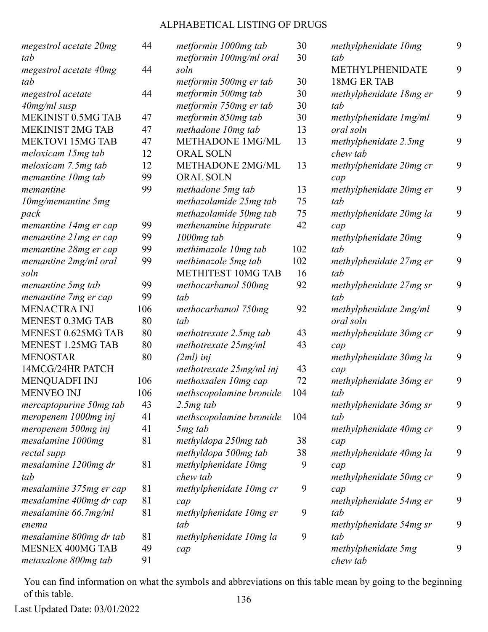| megestrol acetate 20mg<br>tab         | 44  | metformin 1000mg tab<br>metformin 100mg/ml oral | 30<br>30 | methylphenidate 10mg<br>tab           | 9 |
|---------------------------------------|-----|-------------------------------------------------|----------|---------------------------------------|---|
| megestrol acetate 40mg<br>tab         | 44  | soln                                            | 30       | METHYLPHENIDATE<br><b>18MG ER TAB</b> | 9 |
|                                       |     | metformin 500mg er tab                          |          |                                       | 9 |
| megestrol acetate                     | 44  | metformin 500mg tab                             | 30<br>30 | methylphenidate 18mg er<br>tab        |   |
| $40$ mg/ml susp<br>MEKINIST 0.5MG TAB | 47  | metformin 750mg er tab                          | 30       |                                       | 9 |
| <b>MEKINIST 2MG TAB</b>               |     | metformin 850mg tab                             |          | methylphenidate 1mg/ml                |   |
|                                       | 47  | methadone 10mg tab                              | 13       | oral soln                             |   |
| <b>MEKTOVI 15MG TAB</b>               | 47  | <b>METHADONE 1MG/ML</b>                         | 13       | methylphenidate 2.5mg                 | 9 |
| meloxicam 15mg tab                    | 12  | <b>ORAL SOLN</b>                                |          | chew tab                              |   |
| meloxicam 7.5mg tab                   | 12  | <b>METHADONE 2MG/ML</b>                         | 13       | methylphenidate 20mg cr               | 9 |
| memantine 10mg tab                    | 99  | <b>ORAL SOLN</b>                                |          | cap                                   |   |
| memantine                             | 99  | methadone 5mg tab                               | 13       | methylphenidate 20mg er               | 9 |
| $10$ mg/memantine 5mg                 |     | methazolamide 25mg tab                          | 75       | tab                                   |   |
| pack                                  |     | methazolamide 50mg tab                          | 75       | methylphenidate 20mg la               | 9 |
| memantine 14mg er cap                 | 99  | methenamine hippurate                           | 42       | cap                                   |   |
| memantine 21mg er cap                 | 99  | $1000mg$ tab                                    |          | methylphenidate 20mg                  | 9 |
| memantine 28mg er cap                 | 99  | methimazole 10mg tab                            | 102      | tab                                   |   |
| memantine 2mg/ml oral                 | 99  | methimazole 5mg tab                             | 102      | methylphenidate 27mg er               | 9 |
| soln                                  |     | <b>METHITEST 10MG TAB</b>                       | 16       | tab                                   |   |
| memantine 5mg tab                     | 99  | methocarbamol 500mg                             | 92       | methylphenidate 27mg sr               | 9 |
| memantine 7mg er cap                  | 99  | tab                                             |          | tab                                   |   |
| <b>MENACTRA INJ</b>                   | 106 | methocarbamol 750mg                             | 92       | methylphenidate 2mg/ml                | 9 |
| <b>MENEST 0.3MG TAB</b>               | 80  | tab                                             |          | oral soln                             |   |
| MENEST 0.625MG TAB                    | 80  | methotrexate 2.5mg tab                          | 43       | methylphenidate 30mg cr               | 9 |
| <b>MENEST 1.25MG TAB</b>              | 80  | methotrexate 25mg/ml                            | 43       | cap                                   |   |
| <b>MENOSTAR</b>                       | 80  | $(2ml)$ inj                                     |          | methylphenidate 30mg la               | 9 |
| 14MCG/24HR PATCH                      |     | methotrexate 25mg/ml inj                        | 43       | cap                                   |   |
| <b>MENQUADFI INJ</b>                  | 106 | methoxsalen 10mg cap                            | 72       | methylphenidate 36mg er               | 9 |
| <b>MENVEO INJ</b>                     | 106 | methscopolamine bromide                         | 104      | tab                                   |   |
| mercaptopurine 50mg tab               | 43  | $2.5mg$ tab                                     |          | methylphenidate 36mg sr               | 9 |
| meropenem 1000mg inj                  | 41  | methscopolamine bromide                         | 104      | tab                                   |   |
| meropenem 500mg inj                   | 41  | 5 <sub>mg</sub> tab                             |          | methylphenidate 40mg cr               | 9 |
| mesalamine 1000mg                     | 81  | methyldopa 250mg tab                            | 38       | cap                                   |   |
| rectal supp                           |     | methyldopa 500mg tab                            | 38       | methylphenidate 40mg la               | 9 |
| mesalamine 1200mg dr                  | 81  | methylphenidate 10mg                            | 9        | cap                                   |   |
| tab                                   |     | chew tab                                        |          | methylphenidate 50mg cr               | 9 |
| mesalamine 375mg er cap               | 81  | methylphenidate 10mg cr                         | 9        | cap                                   |   |
| mesalamine 400mg dr cap               | 81  | cap                                             |          | methylphenidate 54mg er               | 9 |
| mesalamine 66.7mg/ml                  | 81  | methylphenidate 10mg er                         | 9        | tab                                   |   |
| enema                                 |     | tab                                             |          | methylphenidate 54mg sr               | 9 |
| mesalamine 800mg dr tab               | 81  | methylphenidate 10mg la                         | 9        | tab                                   |   |
| MESNEX 400MG TAB                      | 49  | cap                                             |          | methylphenidate 5mg                   | 9 |
| metaxalone 800mg tab                  | 91  |                                                 |          | chew tab                              |   |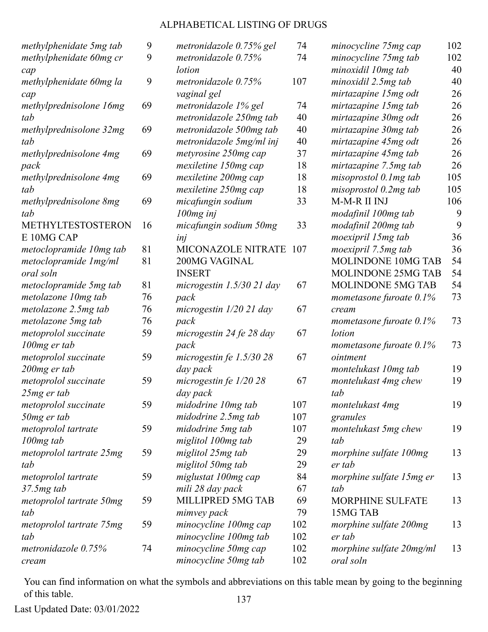| methylphenidate 5mg tab  | 9  | metronidazole 0.75% gel     | 74  | minocycline 75mg cap       | 102 |
|--------------------------|----|-----------------------------|-----|----------------------------|-----|
| methylphenidate 60mg cr  | 9  | metronidazole 0.75%         | 74  | minocycline 75mg tab       | 102 |
| cap                      |    | lotion                      |     | minoxidil 10mg tab         | 40  |
| methylphenidate 60mg la  | 9  | metronidazole $0.75%$       | 107 | minoxidil 2.5mg tab        | 40  |
| cap                      |    | vaginal gel                 |     | mirtazapine 15mg odt       | 26  |
| methylprednisolone 16mg  | 69 | metronidazole 1% gel        | 74  | mirtazapine 15mg tab       | 26  |
| tab                      |    | metronidazole 250mg tab     | 40  | mirtazapine 30mg odt       | 26  |
| methylprednisolone 32mg  | 69 | metronidazole 500mg tab     | 40  | mirtazapine 30mg tab       | 26  |
| tab                      |    | metronidazole 5mg/ml inj    | 40  | mirtazapine 45mg odt       | 26  |
| methylprednisolone 4mg   | 69 | metyrosine 250mg cap        | 37  | mirtazapine 45mg tab       | 26  |
| pack                     |    | mexiletine 150mg cap        | 18  | mirtazapine 7.5mg tab      | 26  |
| methylprednisolone 4mg   | 69 | mexiletine 200mg cap        | 18  | $misoprostol$ 0.1 $mg$ tab | 105 |
| tab                      |    | mexiletine 250mg cap        | 18  | $misoprostol$ 0.2 $mg$ tab | 105 |
| methylprednisolone 8mg   | 69 | micafungin sodium           | 33  | M-M-R II INJ               | 106 |
| tab                      |    | $100mg$ inj                 |     | modafinil 100mg tab        | 9   |
| <b>METHYLTESTOSTERON</b> | 16 | micafungin sodium 50mg      | 33  | modafinil 200mg tab        | 9   |
| E 10MG CAP               |    | inj                         |     | moexipril 15mg tab         | 36  |
| metoclopramide 10mg tab  | 81 | MICONAZOLE NITRATE          | 107 | moexipril 7.5mg tab        | 36  |
| metoclopramide 1mg/ml    | 81 | 200MG VAGINAL               |     | MOLINDONE 10MG TAB         | 54  |
| oral soln                |    | <b>INSERT</b>               |     | <b>MOLINDONE 25MG TAB</b>  | 54  |
| metoclopramide 5mg tab   | 81 | microgestin $1.5/30$ 21 day | 67  | MOLINDONE 5MG TAB          | 54  |
| metolazone 10mg tab      | 76 | pack                        |     | mometasone furoate $0.1\%$ | 73  |
| metolazone 2.5mg tab     | 76 | microgestin $1/20$ 21 day   | 67  | cream                      |     |
| metolazone 5mg tab       | 76 | pack                        |     | mometasone furoate $0.1\%$ | 73  |
| metoprolol succinate     | 59 | microgestin 24 fe 28 day    | 67  | lotion                     |     |
| 100mg er tab             |    | pack                        |     | mometasone furoate $0.1\%$ | 73  |
| metoprolol succinate     | 59 | microgestin fe $1.5/30$ 28  | 67  | ointment                   |     |
| 200mg er tab             |    | day pack                    |     | montelukast 10mg tab       | 19  |
| metoprolol succinate     | 59 | microgestin fe $1/20$ 28    | 67  | montelukast 4mg chew       | 19  |
| $25mg$ er tab            |    | day pack                    |     | tab                        |     |
| metoprolol succinate     | 59 | midodrine 10mg tab          | 107 | montelukast 4mg            | 19  |
| 50mg er tab              |    | midodrine 2.5mg tab         | 107 | granules                   |     |
| metoprolol tartrate      | 59 | midodrine 5mg tab           | 107 | montelukast 5mg chew       | 19  |
| $100mg$ tab              |    | miglitol 100mg tab          | 29  | tab                        |     |
| metoprolol tartrate 25mg | 59 | miglitol 25mg tab           | 29  | morphine sulfate 100mg     | 13  |
| tab                      |    | miglitol 50mg tab           | 29  | er tab                     |     |
| metoprolol tartrate      | 59 | miglustat 100mg cap         | 84  | morphine sulfate 15mg er   | 13  |
| $37.5mg$ tab             |    | mili 28 day pack            | 67  | tab                        |     |
| metoprolol tartrate 50mg | 59 | MILLIPRED 5MG TAB           | 69  | MORPHINE SULFATE           | 13  |
| tab                      |    | mimvey pack                 | 79  | 15MG TAB                   |     |
| metoprolol tartrate 75mg | 59 | minocycline 100mg cap       | 102 | morphine sulfate 200mg     | 13  |
| tab                      |    | minocycline 100mg tab       | 102 | er tab                     |     |
| metronidazole 0.75%      | 74 | minocycline 50mg cap        | 102 | morphine sulfate 20mg/ml   | 13  |
| cream                    |    | minocycline 50mg tab        | 102 | oral soln                  |     |

You can find information on what the symbols and abbreviations on this table mean by going to the beginning of this table. 137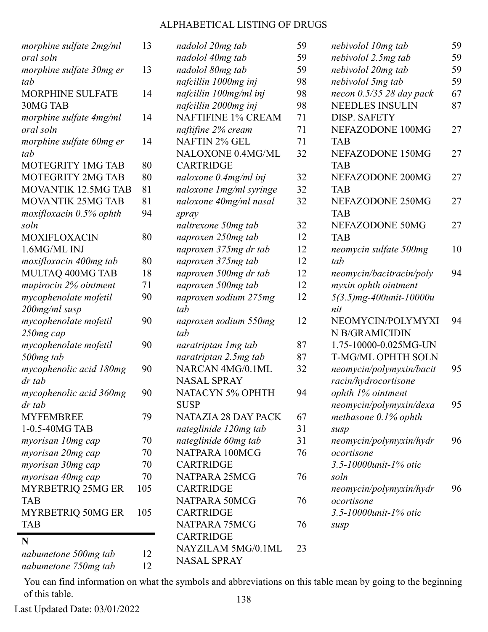| morphine sulfate 2mg/ml             | 13  | nadolol 20mg tab           | 59 | nebivolol 10mg tab         | 59 |
|-------------------------------------|-----|----------------------------|----|----------------------------|----|
| oral soln                           |     | nadolol 40mg tab           | 59 | nebivolol 2.5mg tab        | 59 |
| morphine sulfate 30mg er            | 13  | nadolol 80mg tab           | 59 | nebivolol 20mg tab         | 59 |
| tab                                 |     | nafcillin 1000mg inj       | 98 | nebivolol 5mg tab          | 59 |
| <b>MORPHINE SULFATE</b>             | 14  | nafcillin 100mg/ml inj     | 98 | necon $0.5/35$ 28 day pack | 67 |
| 30MG TAB                            |     | nafcillin 2000mg inj       | 98 | <b>NEEDLES INSULIN</b>     | 87 |
| morphine sulfate 4mg/ml             | 14  | <b>NAFTIFINE 1% CREAM</b>  | 71 | <b>DISP. SAFETY</b>        |    |
| oral soln                           |     | naftifine 2% cream         | 71 | NEFAZODONE 100MG           | 27 |
| morphine sulfate 60mg er            | 14  | <b>NAFTIN 2% GEL</b>       | 71 | <b>TAB</b>                 |    |
| tab                                 |     | NALOXONE 0.4MG/ML          | 32 | NEFAZODONE 150MG           | 27 |
| MOTEGRITY 1MG TAB                   | 80  | <b>CARTRIDGE</b>           |    | <b>TAB</b>                 |    |
| <b>MOTEGRITY 2MG TAB</b>            | 80  | naloxone $0.4mg/ml$ inj    | 32 | NEFAZODONE 200MG           | 27 |
| <b>MOVANTIK 12.5MG TAB</b>          | 81  | naloxone 1mg/ml syringe    | 32 | <b>TAB</b>                 |    |
| <b>MOVANTIK 25MG TAB</b>            | 81  | naloxone 40mg/ml nasal     | 32 | NEFAZODONE 250MG           | 27 |
| $\textit{maxiflox}$ acin 0.5% ophth | 94  | spray                      |    | <b>TAB</b>                 |    |
| soln                                |     | naltrexone 50mg tab        | 32 | NEFAZODONE 50MG            | 27 |
| <b>MOXIFLOXACIN</b>                 | 80  | naproxen 250mg tab         | 12 | <b>TAB</b>                 |    |
| 1.6MG/ML INJ                        |     | naproxen 375mg dr tab      | 12 | neomycin sulfate 500mg     | 10 |
| moxifloxacin 400mg tab              | 80  | naproxen 375mg tab         | 12 | tab                        |    |
| MULTAQ 400MG TAB                    | 18  | naproxen 500mg dr tab      | 12 | neomycin/bacitracin/poly   | 94 |
| mupirocin 2% ointment               | 71  | naproxen 500mg tab         | 12 | myxin ophth ointment       |    |
| mycophenolate mofetil               | 90  | naproxen sodium 275mg      | 12 | $5(3.5)$ mg-400unit-10000u |    |
| 200mg/ml susp                       |     | tab                        |    | nit                        |    |
| mycophenolate mofetil               | 90  | naproxen sodium 550mg      | 12 | NEOMYCIN/POLYMYXI          | 94 |
| 250mg cap                           |     | tab                        |    | N B/GRAMICIDIN             |    |
| mycophenolate mofetil               | 90  | naratriptan 1 mg tab       | 87 | 1.75-10000-0.025MG-UN      |    |
| 500mg tab                           |     | naratriptan 2.5mg tab      | 87 | T-MG/ML OPHTH SOLN         |    |
| mycophenolic acid 180mg             | 90  | NARCAN 4MG/0.1ML           | 32 | neomycin/polymyxin/bacit   | 95 |
| dr tab                              |     | <b>NASAL SPRAY</b>         |    | racin/hydrocortisone       |    |
| mycophenolic acid 360mg             | 90  | NATACYN 5% OPHTH           | 94 | ophth 1% ointment          |    |
| dr tab                              |     | <b>SUSP</b>                |    | neomycin/polymyxin/dexa    | 95 |
| <b>MYFEMBREE</b>                    | 79  | <b>NATAZIA 28 DAY PACK</b> | 67 | methasone $0.1\%$ ophth    |    |
| 1-0.5-40MG TAB                      |     | nateglinide 120mg tab      | 31 | susp                       |    |
| myorisan 10mg cap                   | 70  | nateglinide 60mg tab       | 31 | neomycin/polymyxin/hydr    | 96 |
| myorisan 20mg cap                   | 70  | NATPARA 100MCG             | 76 | ocortisone                 |    |
| myorisan 30mg cap                   | 70  | <b>CARTRIDGE</b>           |    | 3.5-10000unit-1% otic      |    |
| myorisan 40mg cap                   | 70  | NATPARA 25MCG              | 76 | soln                       |    |
| MYRBETRIQ 25MG ER                   | 105 | <b>CARTRIDGE</b>           |    | neomycin/polymyxin/hydr    | 96 |
| <b>TAB</b>                          |     | NATPARA 50MCG              | 76 | ocortisone                 |    |
| MYRBETRIQ 50MG ER                   | 105 | <b>CARTRIDGE</b>           |    | 3.5-10000unit-1% otic      |    |
| <b>TAB</b>                          |     | NATPARA 75MCG              | 76 | susp                       |    |
| N                                   |     | <b>CARTRIDGE</b>           |    |                            |    |
|                                     |     | NAYZILAM 5MG/0.1ML         | 23 |                            |    |
| nabumetone 500mg tab                | 12  | <b>NASAL SPRAY</b>         |    |                            |    |
| nabumetone 750mg tab                | 12  |                            |    |                            |    |

You can find information on what the symbols and abbreviations on this table mean by going to the beginning of this table. 138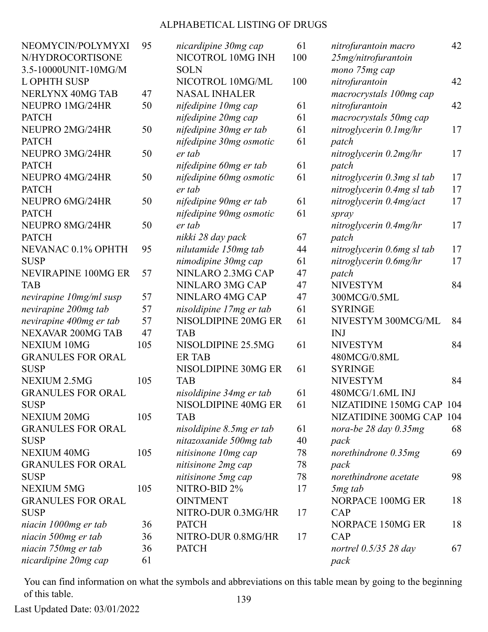| NEOMYCIN/POLYMYXI        | 95  | nicardipine 30mg cap     | 61  | nitrofurantoin macro       | 42  |
|--------------------------|-----|--------------------------|-----|----------------------------|-----|
| N/HYDROCORTISONE         |     | NICOTROL 10MG INH        | 100 | 25mg/nitrofurantoin        |     |
| 3.5-10000UNIT-10MG/M     |     | <b>SOLN</b>              |     | mono 75mg cap              |     |
| <b>L OPHTH SUSP</b>      |     | NICOTROL 10MG/ML         | 100 | nitrofurantoin             | 42  |
| NERLYNX 40MG TAB         | 47  | <b>NASAL INHALER</b>     |     | macrocrystals 100mg cap    |     |
| NEUPRO 1MG/24HR          | 50  | nifedipine 10mg cap      | 61  | nitrofurantoin             | 42  |
| <b>PATCH</b>             |     | nifedipine 20mg cap      | 61  | macrocrystals 50mg cap     |     |
| NEUPRO 2MG/24HR          | 50  | nifedipine 30mg er tab   | 61  | nitroglycerin 0.1mg/hr     | 17  |
| <b>PATCH</b>             |     | nifedipine 30mg osmotic  | 61  | patch                      |     |
| NEUPRO 3MG/24HR          | 50  | er tab                   |     | nitroglycerin 0.2mg/hr     | 17  |
| <b>PATCH</b>             |     | nifedipine 60mg er tab   | 61  | patch                      |     |
| NEUPRO 4MG/24HR          | 50  | nifedipine 60mg osmotic  | 61  | nitroglycerin 0.3mg sl tab | 17  |
| <b>PATCH</b>             |     | er tab                   |     | nitroglycerin 0.4mg sl tab | 17  |
| NEUPRO 6MG/24HR          | 50  | nifedipine 90mg er tab   | 61  | nitroglycerin 0.4mg/act    | 17  |
| <b>PATCH</b>             |     | nifedipine 90mg osmotic  | 61  | spray                      |     |
| NEUPRO 8MG/24HR          | 50  | er tab                   |     | nitroglycerin 0.4mg/hr     | 17  |
| <b>PATCH</b>             |     | nikki 28 day pack        | 67  | patch                      |     |
| NEVANAC 0.1% OPHTH       | 95  | nilutamide 150mg tab     | 44  | nitroglycerin 0.6mg sl tab | 17  |
| <b>SUSP</b>              |     | nimodipine 30mg cap      | 61  | nitroglycerin 0.6mg/hr     | 17  |
| NEVIRAPINE 100MG ER      | 57  | NINLARO 2.3MG CAP        | 47  | patch                      |     |
| <b>TAB</b>               |     | NINLARO 3MG CAP          | 47  | <b>NIVESTYM</b>            | 84  |
| nevirapine 10mg/ml susp  | 57  | NINLARO 4MG CAP          | 47  | 300MCG/0.5ML               |     |
| nevirapine 200mg tab     | 57  | nisoldipine 17mg er tab  | 61  | <b>SYRINGE</b>             |     |
| nevirapine 400mg er tab  | 57  | NISOLDIPINE 20MG ER      | 61  | NIVESTYM 300MCG/ML         | 84  |
| NEXAVAR 200MG TAB        | 47  | <b>TAB</b>               |     | <b>INJ</b>                 |     |
| <b>NEXIUM 10MG</b>       | 105 | NISOLDIPINE 25.5MG       | 61  | <b>NIVESTYM</b>            | 84  |
| <b>GRANULES FOR ORAL</b> |     | <b>ER TAB</b>            |     | 480MCG/0.8ML               |     |
| <b>SUSP</b>              |     | NISOLDIPINE 30MG ER      | 61  | <b>SYRINGE</b>             |     |
| NEXIUM 2.5MG             | 105 | <b>TAB</b>               |     | <b>NIVESTYM</b>            | 84  |
| <b>GRANULES FOR ORAL</b> |     | nisoldipine 34mg er tab  | 61  | 480MCG/1.6ML INJ           |     |
| <b>SUSP</b>              |     | NISOLDIPINE 40MG ER      | 61  | NIZATIDINE 150MG CAP 104   |     |
| <b>NEXIUM 20MG</b>       | 105 | <b>TAB</b>               |     | NIZATIDINE 300MG CAP       | 104 |
| <b>GRANULES FOR ORAL</b> |     | nisoldipine 8.5mg er tab | 61  | nora-be $28$ day $0.35$ mg | 68  |
| <b>SUSP</b>              |     | nitazoxanide 500mg tab   | 40  | pack                       |     |
| <b>NEXIUM 40MG</b>       | 105 | nitisinone 10mg cap      | 78  | norethindrone $0.35mg$     | 69  |
| <b>GRANULES FOR ORAL</b> |     | nitisinone 2mg cap       | 78  | pack                       |     |
| <b>SUSP</b>              |     | nitisinone 5mg cap       | 78  | norethindrone acetate      | 98  |
| <b>NEXIUM 5MG</b>        | 105 | NITRO-BID 2%             | 17  | 5 <sub>mg</sub> tab        |     |
| <b>GRANULES FOR ORAL</b> |     | <b>OINTMENT</b>          |     | NORPACE 100MG ER           | 18  |
| <b>SUSP</b>              |     | NITRO-DUR 0.3MG/HR       | 17  | CAP                        |     |
| niacin 1000mg er tab     | 36  | <b>PATCH</b>             |     | NORPACE 150MG ER           | 18  |
| niacin 500mg er tab      | 36  | NITRO-DUR 0.8MG/HR       | 17  | CAP                        |     |
| niacin 750mg er tab      | 36  | <b>PATCH</b>             |     | nortrel $0.5/35$ 28 day    | 67  |
|                          | 61  |                          |     |                            |     |
| nicardipine 20mg cap     |     |                          |     | pack                       |     |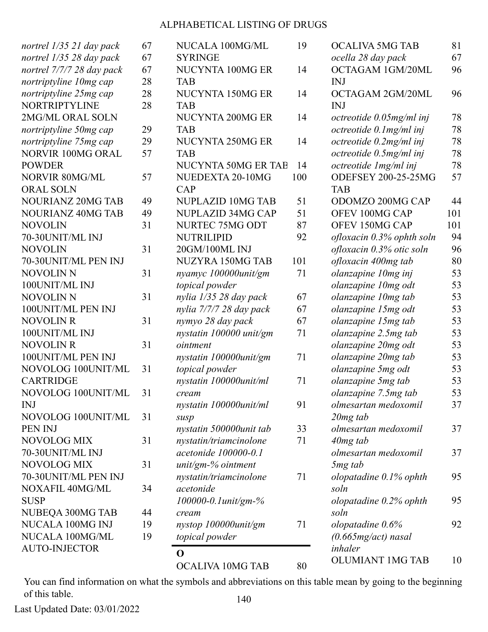|                           |    | OCALIVA 10MG TAB        | 80  | <b>OLUMIANT 1MG TAB</b>    | 10  |
|---------------------------|----|-------------------------|-----|----------------------------|-----|
| <b>AUTO-INJECTOR</b>      |    | $\mathbf 0$             |     | inhaler                    |     |
| NUCALA 100MG/ML           | 19 | topical powder          |     | $(0.665mg/act)$ nasal      |     |
| NUCALA 100MG INJ          | 19 | nystop 100000unit/gm    | 71  | olopatadine $0.6\%$        | 92  |
| NUBEQA 300MG TAB          | 44 | cream                   |     | soln                       |     |
| <b>SUSP</b>               |    | 100000-0.1unit/gm-%     |     | olopatadine $0.2\%$ ophth  | 95  |
| NOXAFIL 40MG/ML           | 34 | acetonide               |     | soln                       |     |
| 70-30UNIT/ML PEN INJ      |    | nystatin/triamcinolone  | 71  | olopatadine $0.1\%$ ophth  | 95  |
| NOVOLOG MIX               | 31 | unit/gm-% ointment      |     | 5 <sub>mg</sub> tab        |     |
| 70-30UNIT/ML INJ          |    | acetonide 100000-0.1    |     | olmesartan medoxomil       | 37  |
| NOVOLOG MIX               | 31 | nystatin/triamcinolone  | 71  | $40mg$ tab                 |     |
| PEN INJ                   |    | nystatin 500000unit tab | 33  | olmesartan medoxomil       | 37  |
| NOVOLOG 100UNIT/ML        | 31 | susp                    |     | $20mg$ tab                 |     |
| <b>INJ</b>                |    | nystatin 100000unit/ml  | 91  | olmesartan medoxomil       | 37  |
| NOVOLOG 100UNIT/ML        | 31 | cream                   |     | olanzapine 7.5mg tab       | 53  |
| <b>CARTRIDGE</b>          |    | nystatin 100000unit/ml  | 71  | olanzapine 5mg tab         | 53  |
| NOVOLOG 100UNIT/ML        | 31 | topical powder          |     | olanzapine 5mg odt         | 53  |
| 100UNIT/ML PEN INJ        |    | nystatin 100000unit/gm  | 71  | olanzapine 20mg tab        | 53  |
| <b>NOVOLIN R</b>          | 31 | ointment                |     | olanzapine 20mg odt        | 53  |
| 100UNIT/ML INJ            |    | nystatin 100000 unit/gm | 71  | olanzapine 2.5mg tab       | 53  |
| <b>NOVOLIN R</b>          | 31 | nymyo 28 day pack       | 67  | olanzapine 15mg tab        | 53  |
| 100UNIT/ML PEN INJ        |    | nylia 7/7/7 28 day pack | 67  | olanzapine 15mg odt        | 53  |
| <b>NOVOLIN N</b>          | 31 | nylia 1/35 28 day pack  | 67  | olanzapine 10mg tab        | 53  |
| 100UNIT/ML INJ            |    | topical powder          |     | olanzapine 10mg odt        | 53  |
| <b>NOVOLIN N</b>          | 31 | nyamyc 100000unit/gm    | 71  | olanzapine 10mg inj        | 53  |
| 70-30UNIT/ML PEN INJ      |    | NUZYRA 150MG TAB        | 101 | ofloxacin 400mg tab        | 80  |
| <b>NOVOLIN</b>            | 31 | 20GM/100ML INJ          |     | ofloxacin 0.3% otic soln   | 96  |
| 70-30UNIT/ML INJ          |    | <b>NUTRILIPID</b>       | 92  | ofloxacin 0.3% ophth soln  | 94  |
| <b>NOVOLIN</b>            | 31 | NURTEC 75MG ODT         | 87  | OFEV 150MG CAP             | 101 |
| <b>NOURIANZ 40MG TAB</b>  | 49 | NUPLAZID 34MG CAP       | 51  | OFEV 100MG CAP             | 101 |
| <b>NOURIANZ 20MG TAB</b>  | 49 | NUPLAZID 10MG TAB       | 51  | ODOMZO 200MG CAP           | 44  |
| <b>ORAL SOLN</b>          |    | CAP                     |     | <b>TAB</b>                 |     |
| NORVIR 80MG/ML            | 57 | NUEDEXTA 20-10MG        | 100 | <b>ODEFSEY 200-25-25MG</b> | 57  |
| <b>POWDER</b>             |    | NUCYNTA 50MG ER TAE     | 14  | octreotide 1mg/ml inj      | 78  |
| NORVIR 100MG ORAL         | 57 | <b>TAB</b>              |     | octreotide 0.5mg/ml inj    | 78  |
| nortriptyline 75mg cap    | 29 | NUCYNTA 250MG ER        | 14  | octreotide $0.2$ mg/ml inj | 78  |
| nortriptyline 50mg cap    | 29 | <b>TAB</b>              |     | octreotide 0.1mg/ml inj    | 78  |
| 2MG/ML ORAL SOLN          |    | NUCYNTA 200MG ER        | 14  | octreotide 0.05mg/ml inj   | 78  |
| NORTRIPTYLINE             | 28 | <b>TAB</b>              |     | <b>INJ</b>                 |     |
| nortriptyline 25mg cap    | 28 | NUCYNTA 150MG ER        | 14  | OCTAGAM 2GM/20ML           | 96  |
| nortriptyline 10mg cap    | 28 | <b>TAB</b>              |     | <b>INJ</b>                 |     |
| nortrel 7/7/7 28 day pack | 67 | NUCYNTA 100MG ER        | 14  | OCTAGAM 1GM/20ML           | 96  |
| nortrel 1/35 28 day pack  | 67 | <b>SYRINGE</b>          |     | ocella 28 day pack         | 67  |
| nortrel 1/35 21 day pack  | 67 | NUCALA 100MG/ML         | 19  | <b>OCALIVA 5MG TAB</b>     | 81  |

You can find information on what the symbols and abbreviations on this table mean by going to the beginning of this table. 140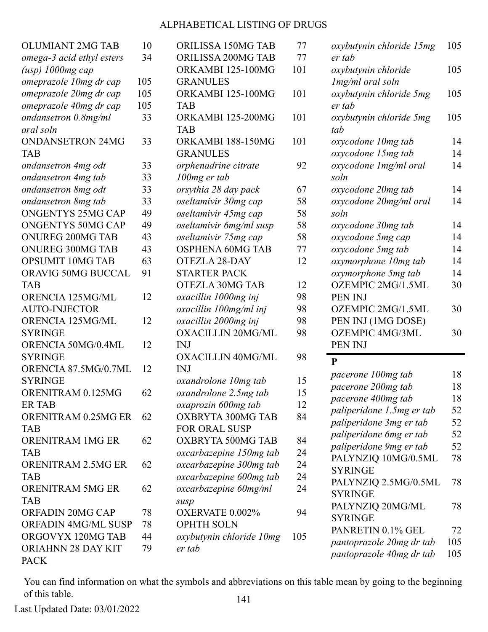| <b>OLUMIANT 2MG TAB</b><br>10<br>ORILISSA 150MG TAB<br>77<br>oxybutynin chloride 15mg<br>34<br>ORILISSA 200MG TAB<br>77<br>omega-3 acid ethyl esters<br>er tab<br>101<br>ORKAMBI 125-100MG<br>$(usp)$ 1000 $mg$ cap<br>oxybutynin chloride<br>omeprazole 10mg dr cap<br>105<br><b>GRANULES</b><br>Img/ml oral soln<br>105<br>ORKAMBI 125-100MG<br>101<br>oxybutynin chloride 5mg<br>omeprazole 20mg dr cap<br>omeprazole 40mg dr cap<br>105<br>er tab<br><b>TAB</b> | 105<br>105<br>105 |
|---------------------------------------------------------------------------------------------------------------------------------------------------------------------------------------------------------------------------------------------------------------------------------------------------------------------------------------------------------------------------------------------------------------------------------------------------------------------|-------------------|
|                                                                                                                                                                                                                                                                                                                                                                                                                                                                     |                   |
|                                                                                                                                                                                                                                                                                                                                                                                                                                                                     |                   |
|                                                                                                                                                                                                                                                                                                                                                                                                                                                                     |                   |
|                                                                                                                                                                                                                                                                                                                                                                                                                                                                     |                   |
|                                                                                                                                                                                                                                                                                                                                                                                                                                                                     |                   |
|                                                                                                                                                                                                                                                                                                                                                                                                                                                                     |                   |
| 33<br>101<br>ondansetron 0.8mg/ml<br>ORKAMBI 125-200MG<br>oxybutynin chloride 5mg                                                                                                                                                                                                                                                                                                                                                                                   | 105               |
| oral soln<br><b>TAB</b><br>tab                                                                                                                                                                                                                                                                                                                                                                                                                                      |                   |
| 33<br><b>ONDANSETRON 24MG</b><br>101<br>ORKAMBI 188-150MG<br>oxycodone 10mg tab                                                                                                                                                                                                                                                                                                                                                                                     | 14                |
| <b>GRANULES</b><br><b>TAB</b><br>oxycodone 15mg tab                                                                                                                                                                                                                                                                                                                                                                                                                 | 14                |
| 33<br>92<br>oxycodone 1mg/ml oral<br>orphenadrine citrate<br>ondansetron 4mg odt                                                                                                                                                                                                                                                                                                                                                                                    | 14                |
| 33<br>ondansetron 4mg tab<br>$100mg$ er tab<br>soln                                                                                                                                                                                                                                                                                                                                                                                                                 |                   |
| 33<br>ondansetron 8mg odt<br>67<br>orsythia 28 day pack<br>oxycodone 20mg tab                                                                                                                                                                                                                                                                                                                                                                                       | 14                |
| ondansetron 8mg tab<br>33<br>oseltamivir 30mg cap<br>58<br>oxycodone 20mg/ml oral                                                                                                                                                                                                                                                                                                                                                                                   | 14                |
| <b>ONGENTYS 25MG CAP</b><br>49<br>58<br>oseltamivir 45mg cap<br>soln                                                                                                                                                                                                                                                                                                                                                                                                |                   |
| <b>ONGENTYS 50MG CAP</b><br>49<br>oseltamivir 6mg/ml susp<br>58<br>oxycodone 30mg tab                                                                                                                                                                                                                                                                                                                                                                               | 14                |
| 43<br>58<br>ONUREG 200MG TAB<br>oseltamivir 75mg cap<br>oxycodone 5mg cap                                                                                                                                                                                                                                                                                                                                                                                           | 14                |
| <b>ONUREG 300MG TAB</b><br>43<br><b>OSPHENA 60MG TAB</b><br>77<br>oxycodone 5mg tab                                                                                                                                                                                                                                                                                                                                                                                 | 14                |
| <b>OPSUMIT 10MG TAB</b><br>63<br>12<br>OTEZLA 28-DAY<br>oxymorphone 10mg tab                                                                                                                                                                                                                                                                                                                                                                                        | 14                |
| ORAVIG 50MG BUCCAL<br>91<br><b>STARTER PACK</b><br>oxymorphone 5mg tab                                                                                                                                                                                                                                                                                                                                                                                              | 14                |
| OZEMPIC 2MG/1.5ML<br><b>OTEZLA 30MG TAB</b><br>12<br><b>TAB</b>                                                                                                                                                                                                                                                                                                                                                                                                     | 30                |
| ORENCIA 125MG/ML<br>12<br>oxacillin 1000mg inj<br>98<br>PEN INJ                                                                                                                                                                                                                                                                                                                                                                                                     |                   |
| <b>AUTO-INJECTOR</b><br>oxacillin 100mg/ml inj<br>98<br>OZEMPIC 2MG/1.5ML                                                                                                                                                                                                                                                                                                                                                                                           | 30                |
| ORENCIA 125MG/ML<br>12<br>oxacillin 2000mg inj<br>98<br>PEN INJ (1MG DOSE)                                                                                                                                                                                                                                                                                                                                                                                          |                   |
| <b>OXACILLIN 20MG/ML</b><br><b>SYRINGE</b><br>98<br><b>OZEMPIC 4MG/3ML</b>                                                                                                                                                                                                                                                                                                                                                                                          | 30                |
| ORENCIA 50MG/0.4ML<br>12<br>PEN INJ<br><b>INJ</b>                                                                                                                                                                                                                                                                                                                                                                                                                   |                   |
| <b>SYRINGE</b><br><b>OXACILLIN 40MG/ML</b><br>98<br>$\mathbf{P}$                                                                                                                                                                                                                                                                                                                                                                                                    |                   |
| ORENCIA 87.5MG/0.7ML<br>12<br><b>INJ</b>                                                                                                                                                                                                                                                                                                                                                                                                                            |                   |
| pacerone 100mg tab<br><b>SYRINGE</b><br>15<br>oxandrolone 10mg tab                                                                                                                                                                                                                                                                                                                                                                                                  | 18                |
| pacerone 200mg tab<br>15<br>ORENITRAM 0.125MG<br>62<br>oxandrolone 2.5mg tab                                                                                                                                                                                                                                                                                                                                                                                        | 18                |
| pacerone 400mg tab<br>oxaprozin 600mg tab<br>12<br>ER TAB                                                                                                                                                                                                                                                                                                                                                                                                           | 18                |
| paliperidone 1.5mg er tab<br><b>OXBRYTA 300MG TAB</b><br><b>ORENITRAM 0.25MG ER</b><br>62<br>84                                                                                                                                                                                                                                                                                                                                                                     | 52                |
| paliperidone 3mg er tab<br><b>FOR ORAL SUSP</b><br><b>TAB</b>                                                                                                                                                                                                                                                                                                                                                                                                       | 52                |
| paliperidone 6mg er tab<br><b>OXBRYTA 500MG TAB</b><br>ORENITRAM 1MG ER<br>62<br>84                                                                                                                                                                                                                                                                                                                                                                                 | 52                |
| paliperidone 9mg er tab<br>24<br><b>TAB</b><br>oxcarbazepine 150mg tab                                                                                                                                                                                                                                                                                                                                                                                              | 52                |
| PALYNZIQ 10MG/0.5ML<br>62<br><b>ORENITRAM 2.5MG ER</b><br>oxcarbazepine 300mg tab<br>24                                                                                                                                                                                                                                                                                                                                                                             | 78                |
| <b>SYRINGE</b><br><b>TAB</b><br>oxcarbazepine 600mg tab<br>24                                                                                                                                                                                                                                                                                                                                                                                                       |                   |
| PALYNZIQ 2.5MG/0.5ML<br>ORENITRAM 5MG ER<br>62<br>oxcarbazepine 60mg/ml<br>24                                                                                                                                                                                                                                                                                                                                                                                       | 78                |
| <b>SYRINGE</b><br><b>TAB</b><br>susp                                                                                                                                                                                                                                                                                                                                                                                                                                |                   |
| PALYNZIQ 20MG/ML                                                                                                                                                                                                                                                                                                                                                                                                                                                    | 78                |
|                                                                                                                                                                                                                                                                                                                                                                                                                                                                     |                   |
| 78<br>ORFADIN 20MG CAP<br><b>OXERVATE 0.002%</b><br>94<br><b>SYRINGE</b>                                                                                                                                                                                                                                                                                                                                                                                            |                   |
| ORFADIN 4MG/ML SUSP<br>78<br><b>OPHTH SOLN</b><br>PANRETIN 0.1% GEL                                                                                                                                                                                                                                                                                                                                                                                                 | 72                |
| ORGOVYX 120MG TAB<br>44<br>oxybutynin chloride 10mg<br>105<br>pantoprazole 20mg dr tab<br>ORIAHNN 28 DAY KIT<br>79<br>er tab<br>pantoprazole 40mg dr tab                                                                                                                                                                                                                                                                                                            | 105<br>105        |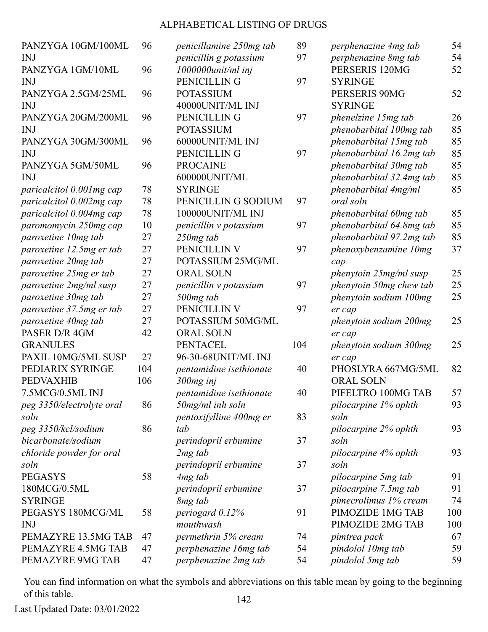| PANZYGA 10GM/100ML        | 96  | penicillamine 250mg tab | 89  | perphenazine 4mg tab        | 54  |
|---------------------------|-----|-------------------------|-----|-----------------------------|-----|
| <b>INJ</b>                |     | penicillin g potassium  | 97  | perphenazine 8mg tab        | 54  |
| PANZYGA 1GM/10ML          | 96  | $1000000$ unit/ml inj   |     | PERSERIS 120MG              | 52  |
| <b>INJ</b>                |     | PENICILLIN G            | 97  | <b>SYRINGE</b>              |     |
| PANZYGA 2.5GM/25ML        | 96  | <b>POTASSIUM</b>        |     | PERSERIS 90MG               | 52  |
| <b>INJ</b>                |     | 40000UNIT/ML INJ        |     | <b>SYRINGE</b>              |     |
| PANZYGA 20GM/200ML        | 96  | PENICILLIN G            | 97  | phenelzine 15mg tab         | 26  |
| <b>INJ</b>                |     | <b>POTASSIUM</b>        |     | phenobarbital 100mg tab     | 85  |
| PANZYGA 30GM/300ML        | 96  | 60000UNIT/ML INJ        |     | phenobarbital 15mg tab      | 85  |
| <b>INJ</b>                |     | PENICILLIN G            | 97  | phenobarbital 16.2mg tab    | 85  |
| PANZYGA 5GM/50ML          | 96  | <b>PROCAINE</b>         |     | phenobarbital 30mg tab      | 85  |
| <b>INJ</b>                |     | 600000UNIT/ML           |     | phenobarbital 32.4mg tab    | 85  |
| paricalcitol 0.001 mg cap | 78  | <b>SYRINGE</b>          |     | phenobarbital 4mg/ml        | 85  |
| paricalcitol 0.002mg cap  | 78  | PENICILLING SODIUM      | 97  | oral soln                   |     |
| paricalcitol 0.004mg cap  | 78  | 100000UNIT/ML INJ       |     | phenobarbital 60mg tab      | 85  |
| paromomycin 250mg cap     | 10  | penicillin v potassium  | 97  | phenobarbital 64.8mg tab    | 85  |
| paroxetine 10mg tab       | 27  | 250mg tab               |     | phenobarbital 97.2mg tab    | 85  |
| paroxetine 12.5mg er tab  | 27  | PENICILLIN V            | 97  | phenoxybenzamine 10mg       | 37  |
| paroxetine 20mg tab       | 27  | POTASSIUM 25MG/ML       |     | cap                         |     |
| paroxetine 25mg er tab    | 27  | <b>ORAL SOLN</b>        |     | phenytoin 25mg/ml susp      | 25  |
| paroxetine 2mg/ml susp    | 27  | penicillin v potassium  | 97  | phenytoin 50mg chew tab     | 25  |
| paroxetine 30mg tab       | 27  | 500mg tab               |     | phenytoin sodium 100mg      | 25  |
| paroxetine 37.5mg er tab  | 27  | PENICILLIN V            | 97  | er cap                      |     |
| paroxetine 40mg tab       | 27  | POTASSIUM 50MG/ML       |     | phenytoin sodium 200mg      | 25  |
| PASER D/R 4GM             | 42  | <b>ORAL SOLN</b>        |     | er cap                      |     |
| <b>GRANULES</b>           |     | <b>PENTACEL</b>         | 104 | phenytoin sodium 300mg      | 25  |
| PAXIL 10MG/5ML SUSP       | 27  | 96-30-68UNIT/ML INJ     |     | er cap                      |     |
| PEDIARIX SYRINGE          | 104 | pentamidine isethionate | 40  | PHOSLYRA 667MG/5ML          | 82  |
| <b>PEDVAXHIB</b>          | 106 | 300mg inj               |     | <b>ORAL SOLN</b>            |     |
| 7.5MCG/0.5ML INJ          |     | pentamidine isethionate | 40  | PIFELTRO 100MG TAB          | 57  |
| peg 3350/electrolyte oral | 86  | $50$ mg/ml inh soln     |     | <i>pilocarpine 1% ophth</i> | 93  |
| soln                      |     | pentoxifylline 400mg er | 83  | soln                        |     |
| peg 3350/kcl/sodium       | 86  | tab                     |     | pilocarpine 2% ophth        | 93  |
| bicarbonate/sodium        |     | perindopril erbumine    | 37  | soln                        |     |
| chloride powder for oral  |     | 2 <sub>mg</sub> tab     |     | pilocarpine 4% ophth        | 93  |
| soln                      |     | perindopril erbumine    | 37  | soln                        |     |
| <b>PEGASYS</b>            | 58  | 4 <sub>mg</sub> tab     |     | pilocarpine 5mg tab         | 91  |
| 180MCG/0.5ML              |     | perindopril erbumine    | 37  | pilocarpine 7.5mg tab       | 91  |
| <b>SYRINGE</b>            |     | 8 <sub>mg</sub> tab     |     | pimecrolimus 1% cream       | 74  |
| PEGASYS 180MCG/ML         | 58  | periogard $0.12%$       | 91  | PIMOZIDE 1MG TAB            | 100 |
| <b>INJ</b>                |     | mouthwash               |     | PIMOZIDE 2MG TAB            | 100 |
| PEMAZYRE 13.5MG TAB       | 47  | permethrin 5% cream     | 74  | pimtrea pack                | 67  |
| PEMAZYRE 4.5MG TAB        | 47  | perphenazine 16mg tab   | 54  | pindolol 10mg tab           | 59  |
| PEMAZYRE 9MG TAB          | 47  | perphenazine 2mg tab    | 54  | pindolol 5mg tab            | 59  |
|                           |     |                         |     |                             |     |

You can find information on what the symbols and abbreviations on this table mean by going to the beginning of this table. 142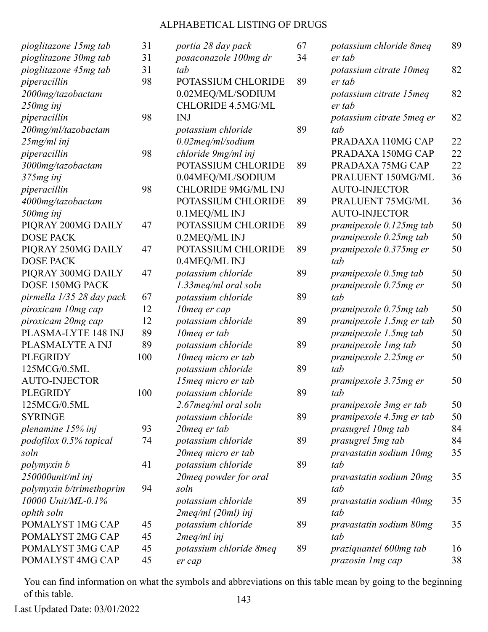| pioglitazone 15mg tab     | 31  |  |
|---------------------------|-----|--|
| pioglitazone 30mg tab     | 31  |  |
| pioglitazone 45mg tab     | 31  |  |
| piperacillin              | 98  |  |
| 2000mg/tazobactam         |     |  |
| $250mg$ inj               |     |  |
| piperacillin              | 98  |  |
| 200mg/ml/tazobactam       |     |  |
| $25mg/ml$ inj             |     |  |
| piperacillin              | 98  |  |
| 3000mg/tazobactam         |     |  |
| 375mg inj                 |     |  |
| piperacillin              | 98  |  |
| 4000mg/tazobactam         |     |  |
| 500mg inj                 |     |  |
| PIQRAY 200MG DAILY        | 47  |  |
| <b>DOSE PACK</b>          |     |  |
| PIORAY 250MG DAILY        | 47  |  |
| <b>DOSE PACK</b>          |     |  |
| PIQRAY 300MG DAILY        | 47  |  |
| DOSE 150MG PACK           |     |  |
| pirmella 1/35 28 day pack | 67  |  |
| piroxicam 10mg cap        | 12  |  |
| piroxicam 20mg cap        | 12  |  |
| PLASMA-LYTE 148 INJ       | 89  |  |
| PLASMALYTE A INJ          | 89  |  |
| <b>PLEGRIDY</b>           | 100 |  |
| 125MCG/0.5ML              |     |  |
| <b>AUTO-INJECTOR</b>      |     |  |
| <b>PLEGRIDY</b>           | 100 |  |
| 125MCG/0.5ML              |     |  |
| <b>SYRINGE</b>            |     |  |
| plenamine $15\%$ inj      | 93  |  |
| podofilox 0.5% topical    | 74  |  |
| soln                      |     |  |
| polymyxin b               | 41  |  |
| $250000$ unit/ml inj      |     |  |
| polymyxin b/trimethoprim  | 94  |  |
| 10000 Unit/ML-0.1%        |     |  |
| ophth soln                |     |  |
| POMALYST 1MG CAP          | 45  |  |
| POMALYST 2MG CAP          | 45  |  |
| POMALYST 3MG CAP          | 45  |  |
| POMALYST 4MG CAP          | 45  |  |

| portia 28 day pack         | 67 |
|----------------------------|----|
| posaconazole 100mg dr      | 34 |
| tab                        |    |
| POTASSIUM CHLORIDE         | 89 |
| 0.02MEQ/ML/SODIUM          |    |
| <b>CHLORIDE 4.5MG/ML</b>   |    |
| <b>INJ</b>                 |    |
| potassium chloride         | 89 |
| 0.02meq/ml/sodium          |    |
| chloride 9mg/ml inj        |    |
| <b>POTASSIUM CHLORIDE</b>  | 89 |
| 0.04MEQ/ML/SODIUM          |    |
| <b>CHLORIDE 9MG/ML INJ</b> |    |
| <b>POTASSIUM CHLORIDE</b>  | 89 |
| 0.1MEQ/ML INJ              |    |
| <b>POTASSIUM CHLORIDE</b>  | 89 |
| 0.2MEQ/ML INJ              |    |
| POTASSIUM CHLORIDE         | 89 |
| 0.4MEQ/ML INJ              |    |
| potassium chloride         | 89 |
| 1.33 meq/ml oral soln      |    |
| potassium chloride         | 89 |
| 10meq er cap               |    |
| potassium chloride         | 89 |
| 10meg er tab               |    |
| potassium chloride         | 89 |
| 10 meg micro er tab        |    |
| potassium chloride         | 89 |
| 15 meg micro er tab        |    |
| potassium chloride         | 89 |
| 2.67 meg/ml oral soln      |    |
| potassium chloride         | 89 |
| 20 meg er tab              |    |
| potassium chloride         | 89 |
| 20 meg micro er tab        |    |
| potassium chloride         | 89 |
| 20 meg powder for oral     |    |
| soln                       |    |
| potassium chloride         | 89 |
| $2$ meq/ml ( $20$ ml) inj  |    |
| potassium chloride         | 89 |
| 2meq/ml inj                |    |
| potassium chloride 8meq    | 89 |
| er cap                     |    |
|                            |    |

| potassium chloride 8meq            | 89 |
|------------------------------------|----|
| er tab                             |    |
| potassium citrate 10 meq<br>er tab | 82 |
|                                    |    |
| potassium citrate 15 meq           | 82 |
| er tab                             |    |
| potassium citrate 5meq er          | 82 |
| tab                                |    |
| PRADAXA 110MG CAP                  | 22 |
| PRADAXA 150MG CAP                  | 22 |
| PRADAXA 75MG CAP                   | 22 |
| PRALUENT 150MG/ML                  | 36 |
| <b>AUTO-INJECTOR</b>               |    |
| PRALUENT 75MG/ML                   | 36 |
| <b>AUTO-INJECTOR</b>               |    |
| pramipexole 0.125mg tab            | 50 |
| pramipexole 0.25mg tab             | 50 |
| pramipexole 0.375mg er             | 50 |
| tab                                |    |
| pramipexole 0.5mg tab              | 50 |
| pramipexole 0.75mg er              | 50 |
| tab                                |    |
| pramipexole 0.75mg tab             | 50 |
| pramipexole 1.5mg er tab           | 50 |
| pramipexole 1.5mg tab              | 50 |
| pramipexole 1mg tab                | 50 |
| pramipexole 2.25mg er              | 50 |
| tah                                |    |
| pramipexole 3.75mg er              | 50 |
| tab                                |    |
| pramipexole 3mg er tab             | 50 |
| pramipexole 4.5mg er tab           | 50 |
| prasugrel 10mg tab                 | 84 |
| prasugrel 5mg tab                  | 84 |
| pravastatin sodium 10mg            | 35 |
| tab                                |    |
|                                    |    |
| pravastatin sodium 20mg            | 35 |
| tab                                |    |
| pravastatin sodium 40mg            | 35 |
| tab                                |    |
| pravastatin sodium 80mg            | 35 |
| tab                                |    |
| praziquantel 600mg tab             | 16 |
| prazosin 1 mg cap                  | 38 |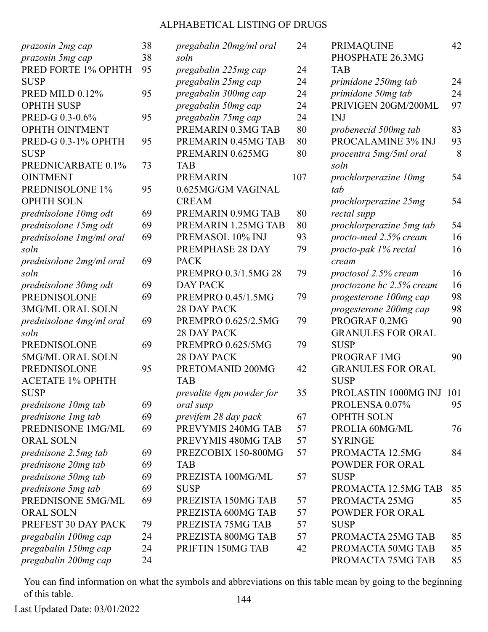| prazosin 2mg cap          | 38 | pregabalin 20mg/ml oral  | 24  |
|---------------------------|----|--------------------------|-----|
| prazosin 5mg cap          | 38 | soln                     |     |
| PRED FORTE 1% OPHTH       | 95 | pregabalin 225mg cap     | 24  |
| <b>SUSP</b>               |    | pregabalin 25mg cap      | 24  |
| PRED MILD 0.12%           | 95 | pregabalin 300mg cap     | 24  |
| <b>OPHTH SUSP</b>         |    | pregabalin 50mg cap      | 24  |
| PRED-G 0.3-0.6%           | 95 | pregabalin 75mg cap      | 24  |
| OPHTH OINTMENT            |    | PREMARIN 0.3MG TAB       | 80  |
| PRED-G 0.3-1% OPHTH       | 95 | PREMARIN 0.45MG TAB      | 80  |
| <b>SUSP</b>               |    | PREMARIN 0.625MG         | 80  |
| PREDNICARBATE 0.1%        | 73 | <b>TAB</b>               |     |
| <b>OINTMENT</b>           |    | <b>PREMARIN</b>          | 107 |
| PREDNISOLONE 1%           | 95 | 0.625MG/GM VAGINAL       |     |
| <b>OPHTH SOLN</b>         |    | <b>CREAM</b>             |     |
| prednisolone 10mg odt     | 69 | PREMARIN 0.9MG TAB       | 80  |
| prednisolone 15mg odt     | 69 | PREMARIN 1.25MG TAB      | 80  |
| prednisolone 1 mg/ml oral | 69 | PREMASOL 10% INJ         | 93  |
| soln                      |    | PREMPHASE 28 DAY         | 79  |
| prednisolone 2mg/ml oral  | 69 | <b>PACK</b>              |     |
| soln                      |    | PREMPRO 0.3/1.5MG 28     | 79  |
| prednisolone 30mg odt     | 69 | <b>DAY PACK</b>          |     |
| <b>PREDNISOLONE</b>       | 69 | PREMPRO 0.45/1.5MG       | 79  |
| 3MG/ML ORAL SOLN          |    | <b>28 DAY PACK</b>       |     |
| prednisolone 4mg/ml oral  | 69 | PREMPRO 0.625/2.5MG      | 79  |
| soln                      |    | <b>28 DAY PACK</b>       |     |
| PREDNISOLONE              | 69 | PREMPRO 0.625/5MG        | 79  |
| 5MG/ML ORAL SOLN          |    | <b>28 DAY PACK</b>       |     |
| <b>PREDNISOLONE</b>       | 95 | PRETOMANID 200MG         | 42  |
| <b>ACETATE 1% OPHTH</b>   |    | <b>TAB</b>               |     |
| <b>SUSP</b>               |    | prevalite 4gm powder for | 35  |
| prednisone 10mg tab       | 69 | oral susp                |     |
| prednisone 1 mg tab       | 69 | previfem 28 day pack     | 67  |
| PREDNISONE 1MG/ML         | 69 | PREVYMIS 240MG TAB       | 57  |
| <b>ORAL SOLN</b>          |    | PREVYMIS 480MG TAB       | 57  |
| prednisone 2.5mg tab      | 69 | PREZCOBIX 150-800MG      | 57  |
| prednisone 20mg tab       | 69 | <b>TAB</b>               |     |
| prednisone 50mg tab       | 69 | PREZISTA 100MG/ML        | 57  |
| prednisone 5mg tab        | 69 | <b>SUSP</b>              |     |
| PREDNISONE 5MG/ML         | 69 | PREZISTA 150MG TAB       | 57  |
| <b>ORAL SOLN</b>          |    | PREZISTA 600MG TAB       | 57  |
| PREFEST 30 DAY PACK       | 79 | PREZISTA 75MG TAB        | 57  |
| pregabalin 100mg cap      | 24 | PREZISTA 800MG TAB       | 57  |
| pregabalin 150mg cap      | 24 | PRIFTIN 150MG TAB        | 42  |
| pregabalin 200mg cap      | 24 |                          |     |
|                           |    |                          |     |

| <b>PRIMAQUINE</b>        | 42  |
|--------------------------|-----|
| PHOSPHATE 26.3MG         |     |
| TAB                      |     |
| primidone 250mg tab      | 24  |
| primidone 50mg tab       | 24  |
| PRIVIGEN 20GM/200ML      | 97  |
| <b>INJ</b>               |     |
| probenecid 500mg tab     | 83  |
| PROCALAMINE 3% INJ       | 93  |
| procentra 5mg/5ml oral   | 8   |
| soln                     |     |
| prochlorperazine 10mg    | 54  |
| tab                      |     |
| prochlorperazine 25mg    | 54  |
| rectal supp              |     |
| prochlorperazine 5mg tab | 54  |
| procto-med 2.5% cream    | 16  |
| procto-pak 1% rectal     | 16  |
| cream                    |     |
| proctosol 2.5% cream     | 16  |
| proctozone hc 2.5% cream | 16  |
| progesterone 100mg cap   | 98  |
| progesterone 200mg cap   | 98  |
| PROGRAF 0.2MG            | 90  |
| <b>GRANULES FOR ORAL</b> |     |
| <b>SUSP</b>              |     |
| PROGRAF 1MG              | 90  |
| <b>GRANULES FOR ORAL</b> |     |
| <b>SUSP</b>              |     |
| PROLASTIN 1000MG INJ     | 101 |
| PROLENSA 0.07%           | 95  |
| <b>OPHTH SOLN</b>        |     |
| PROLIA 60MG/ML           | 76  |
| <b>SYRINGE</b>           |     |
| PROMACTA 12.5MG          | 84  |
| <b>POWDER FOR ORAL</b>   |     |
| <b>SUSP</b>              |     |
| PROMACTA 12.5MG TAB      | 85  |
| PROMACTA 25MG            | 85  |
| <b>POWDER FOR ORAL</b>   |     |
| <b>SUSP</b>              |     |
| PROMACTA 25MG TAB        | 85  |
| PROMACTA 50MG TAB        | 85  |
| PROMACTA 75MG TAB        | 85  |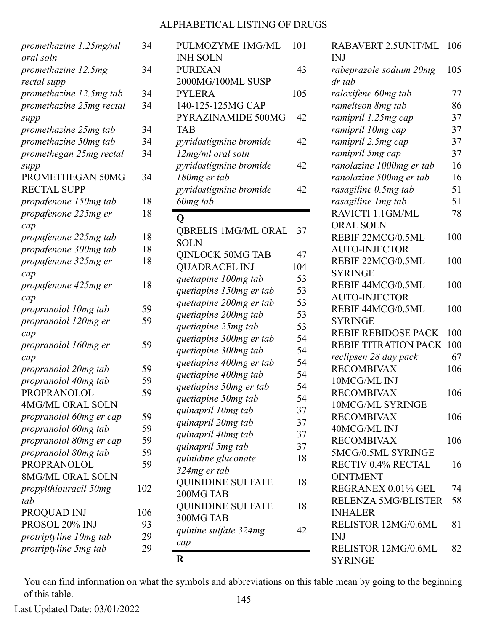| promethazine 1.25mg/ml   | 34  | PULMOZYME 1MG/ML           | 101 | RABAVERT 2.5UNIT/ML         | 106 |
|--------------------------|-----|----------------------------|-----|-----------------------------|-----|
| oral soln                |     | <b>INH SOLN</b>            |     | <b>INJ</b>                  |     |
| promethazine 12.5mg      | 34  | <b>PURIXAN</b>             | 43  | rabeprazole sodium 20mg     | 105 |
| rectal supp              |     | 2000MG/100ML SUSP          |     | dr tab                      |     |
| promethazine 12.5mg tab  | 34  | <b>PYLERA</b>              | 105 | raloxifene 60mg tab         | 77  |
| promethazine 25mg rectal | 34  | 140-125-125MG CAP          |     | ramelteon 8mg tab           | 86  |
| supp                     |     | PYRAZINAMIDE 500MG         | 42  | ramipril 1.25mg cap         | 37  |
| promethazine 25mg tab    | 34  | <b>TAB</b>                 |     | ramipril 10mg cap           | 37  |
| promethazine 50mg tab    | 34  | pyridostigmine bromide     | 42  | ramipril 2.5mg cap          | 37  |
| promethegan 25mg rectal  | 34  | 12mg/ml oral soln          |     | ramipril 5mg cap            | 37  |
| supp                     |     | pyridostigmine bromide     | 42  | ranolazine 1000mg er tab    | 16  |
| PROMETHEGAN 50MG         | 34  | 180mg er tab               |     | ranolazine 500mg er tab     | 16  |
| <b>RECTAL SUPP</b>       |     | pyridostigmine bromide     | 42  | rasagiline 0.5mg tab        | 51  |
| propafenone 150mg tab    | 18  | 60mg tab                   |     | rasagiline 1mg tab          | 51  |
| propafenone 225mg er     | 18  |                            |     | RAVICTI 1.1GM/ML            | 78  |
| cap                      |     | $\mathbf Q$                |     | ORAL SOLN                   |     |
| propafenone 225mg tab    | 18  | <b>QBRELIS 1MG/ML ORAL</b> | 37  | REBIF 22MCG/0.5ML           | 100 |
| propafenone 300mg tab    | 18  | <b>SOLN</b>                |     | <b>AUTO-INJECTOR</b>        |     |
|                          |     | <b>QINLOCK 50MG TAB</b>    | 47  | REBIF 22MCG/0.5ML           | 100 |
| propafenone 325mg er     | 18  | <b>QUADRACEL INJ</b>       | 104 |                             |     |
| cap                      |     | quetiapine 100mg tab       | 53  | <b>SYRINGE</b>              |     |
| propafenone 425mg er     | 18  | quetiapine 150mg er tab    | 53  | REBIF 44MCG/0.5ML           | 100 |
| cap                      |     | quetiapine 200mg er tab    | 53  | <b>AUTO-INJECTOR</b>        |     |
| propranolol 10mg tab     | 59  | quetiapine 200mg tab       | 53  | REBIF 44MCG/0.5ML           | 100 |
| propranolol 120mg er     | 59  | quetiapine 25mg tab        | 53  | <b>SYRINGE</b>              |     |
| cap                      |     | quetiapine 300mg er tab    | 54  | <b>REBIF REBIDOSE PACK</b>  | 100 |
| propranolol 160mg er     | 59  | quetiapine 300mg tab       | 54  | <b>REBIF TITRATION PACK</b> | 100 |
| cap                      |     |                            |     | reclipsen 28 day pack       | 67  |
| propranolol 20mg tab     | 59  | quetiapine 400mg er tab    | 54  | <b>RECOMBIVAX</b>           | 106 |
| propranolol 40mg tab     | 59  | quetiapine 400mg tab       | 54  | 10MCG/ML INJ                |     |
| PROPRANOLOL              | 59  | quetiapine 50mg er tab     | 54  | <b>RECOMBIVAX</b>           | 106 |
| <b>4MG/ML ORAL SOLN</b>  |     | quetiapine 50mg tab        | 54  | 10MCG/ML SYRINGE            |     |
| propranolol 60mg er cap  | 59  | quinapril 10mg tab         | 37  | <b>RECOMBIVAX</b>           | 106 |
| propranolol 60mg tab     | 59  | quinapril 20mg tab         | 37  | 40MCG/ML INJ                |     |
| propranolol 80mg er cap  | 59  | quinapril 40mg tab         | 37  | <b>RECOMBIVAX</b>           | 106 |
|                          | 59  | quinapril 5mg tab          | 37  |                             |     |
| propranolol 80mg tab     |     | quinidine gluconate        | 18  | 5MCG/0.5ML SYRINGE          |     |
| <b>PROPRANOLOL</b>       | 59  | 324mg er tab               |     | RECTIV 0.4% RECTAL          | 16  |
| 8MG/ML ORAL SOLN         |     | <b>QUINIDINE SULFATE</b>   | 18  | <b>OINTMENT</b>             |     |
| propylthiouracil 50mg    | 102 | 200MG TAB                  |     | REGRANEX 0.01% GEL          | 74  |
| tab                      |     | <b>QUINIDINE SULFATE</b>   | 18  | <b>RELENZA 5MG/BLISTER</b>  | 58  |
| PROQUAD INJ              | 106 | 300MG TAB                  |     | <b>INHALER</b>              |     |
| PROSOL 20% INJ           | 93  | quinine sulfate 324mg      | 42  | RELISTOR 12MG/0.6ML         | 81  |
| protriptyline 10mg tab   | 29  |                            |     | <b>INJ</b>                  |     |
| protriptyline 5mg tab    | 29  | cap                        |     | RELISTOR 12MG/0.6ML         | 82  |
|                          |     | $\bf R$                    |     | <b>SYRINGE</b>              |     |

You can find information on what the symbols and abbreviations on this table mean by going to the beginning of this table. 145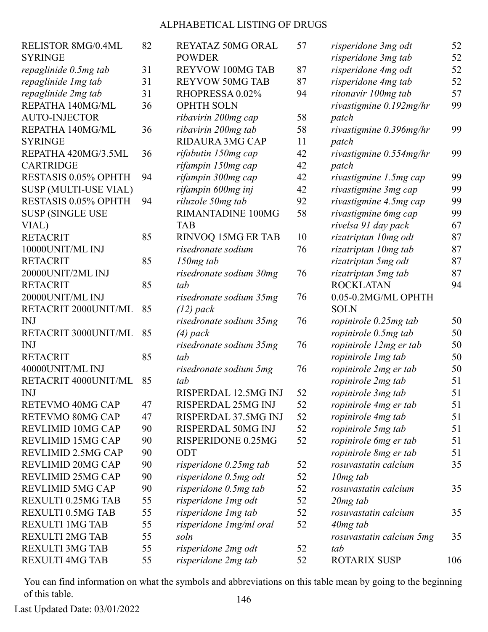| RELISTOR 8MG/0.4ML       | 82 | REYATAZ 50MG ORAL        | 57 | risperidone 3mg odt      | 52  |
|--------------------------|----|--------------------------|----|--------------------------|-----|
| <b>SYRINGE</b>           |    | <b>POWDER</b>            |    | risperidone 3mg tab      | 52  |
| repaglinide 0.5mg tab    | 31 | <b>REYVOW 100MG TAB</b>  | 87 | risperidone 4mg odt      | 52  |
| repaglinide 1 mg tab     | 31 | <b>REYVOW 50MG TAB</b>   | 87 | risperidone 4mg tab      | 52  |
| repaglinide 2mg tab      | 31 | RHOPRESSA 0.02%          | 94 | ritonavir 100mg tab      | 57  |
| REPATHA 140MG/ML         | 36 | <b>OPHTH SOLN</b>        |    | rivastigmine 0.192mg/hr  | 99  |
| <b>AUTO-INJECTOR</b>     |    | ribavirin 200mg cap      | 58 | patch                    |     |
| REPATHA 140MG/ML         | 36 | ribavirin 200mg tab      | 58 | rivastigmine 0.396mg/hr  | 99  |
| <b>SYRINGE</b>           |    | RIDAURA 3MG CAP          | 11 | patch                    |     |
| REPATHA 420MG/3.5ML      | 36 | rifabutin 150mg cap      | 42 | rivastigmine 0.554mg/hr  | 99  |
| <b>CARTRIDGE</b>         |    | rifampin 150mg cap       | 42 | patch                    |     |
| RESTASIS 0.05% OPHTH     | 94 | rifampin 300mg cap       | 42 | rivastigmine 1.5mg cap   | 99  |
| SUSP (MULTI-USE VIAL)    |    | rifampin 600mg inj       | 42 | rivastigmine 3mg cap     | 99  |
| RESTASIS 0.05% OPHTH     | 94 | riluzole 50mg tab        | 92 | rivastigmine 4.5mg cap   | 99  |
| <b>SUSP (SINGLE USE</b>  |    | RIMANTADINE 100MG        | 58 | rivastigmine 6mg cap     | 99  |
| VIAL)                    |    | <b>TAB</b>               |    | rivelsa 91 day pack      | 67  |
| <b>RETACRIT</b>          | 85 | RINVOQ 15MG ER TAB       | 10 | rizatriptan 10mg odt     | 87  |
| 10000UNIT/ML INJ         |    | risedronate sodium       | 76 | rizatriptan 10mg tab     | 87  |
| <b>RETACRIT</b>          | 85 | $150mg$ tab              |    | rizatriptan 5mg odt      | 87  |
| 20000UNIT/2ML INJ        |    | risedronate sodium 30mg  | 76 | rizatriptan 5mg tab      | 87  |
| <b>RETACRIT</b>          | 85 | tab                      |    | <b>ROCKLATAN</b>         | 94  |
| 20000UNIT/ML INJ         |    | risedronate sodium 35mg  | 76 | 0.05-0.2MG/ML OPHTH      |     |
| RETACRIT 2000UNIT/ML     | 85 | $(12)$ pack              |    | <b>SOLN</b>              |     |
| <b>INJ</b>               |    | risedronate sodium 35mg  | 76 | ropinirole 0.25mg tab    | 50  |
| RETACRIT 3000UNIT/ML     | 85 | $(4)$ pack               |    | ropinirole 0.5mg tab     | 50  |
| <b>INJ</b>               |    | risedronate sodium 35mg  | 76 | ropinirole 12mg er tab   | 50  |
| <b>RETACRIT</b>          | 85 | tab                      |    | ropinirole 1mg tab       | 50  |
| 40000UNIT/ML INJ         |    | risedronate sodium 5mg   | 76 | ropinirole 2mg er tab    | 50  |
| RETACRIT 4000UNIT/ML     | 85 | tab                      |    | ropinirole 2mg tab       | 51  |
| <b>INJ</b>               |    | RISPERDAL 12.5MG INJ     | 52 | ropinirole 3mg tab       | 51  |
| RETEVMO 40MG CAP         | 47 | RISPERDAL 25MG INJ       | 52 | ropinirole 4mg er tab    | 51  |
| RETEVMO 80MG CAP         | 47 | RISPERDAL 37.5MG INJ     | 52 | ropinirole 4mg tab       | 51  |
| <b>REVLIMID 10MG CAP</b> | 90 | RISPERDAL 50MG INJ       | 52 | ropinirole 5mg tab       | 51  |
| <b>REVLIMID 15MG CAP</b> | 90 | RISPERIDONE 0.25MG       | 52 | ropinirole 6mg er tab    | 51  |
| REVLIMID 2.5MG CAP       | 90 | ODT                      |    | ropinirole 8mg er tab    | 51  |
| REVLIMID 20MG CAP        | 90 | risperidone 0.25mg tab   | 52 | rosuvastatin calcium     | 35  |
| <b>REVLIMID 25MG CAP</b> | 90 | risperidone 0.5mg odt    | 52 | $10mg$ tab               |     |
| <b>REVLIMID 5MG CAP</b>  | 90 | risperidone 0.5mg tab    | 52 | rosuvastatin calcium     | 35  |
| REXULTI 0.25MG TAB       | 55 | risperidone 1 mg odt     | 52 | $20mg$ tab               |     |
| <b>REXULTI 0.5MG TAB</b> | 55 | risperidone 1mg tab      | 52 | rosuvastatin calcium     | 35  |
| <b>REXULTI 1MG TAB</b>   | 55 | risperidone 1 mg/ml oral | 52 | $40mg$ tab               |     |
| <b>REXULTI 2MG TAB</b>   | 55 | soln                     |    | rosuvastatin calcium 5mg | 35  |
| <b>REXULTI 3MG TAB</b>   | 55 | risperidone 2mg odt      | 52 | tab                      |     |
| <b>REXULTI 4MG TAB</b>   | 55 | risperidone 2mg tab      | 52 | <b>ROTARIX SUSP</b>      | 106 |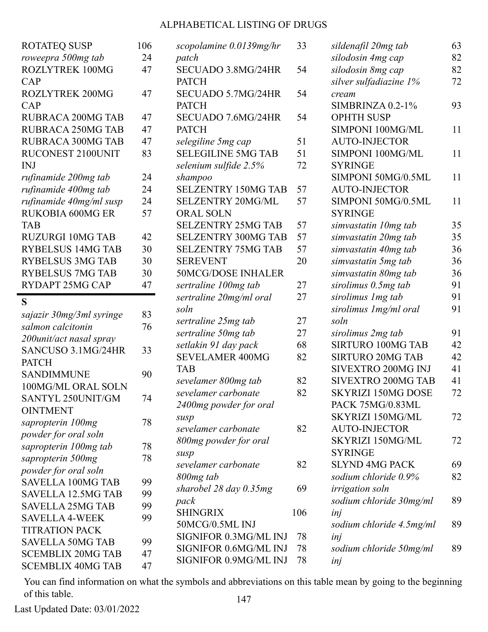| <b>ROTATEQ SUSP</b>       | 106 |
|---------------------------|-----|
| roweepra 500mg tab        | 24  |
| <b>ROZLYTREK 100MG</b>    | 47  |
| CAP                       |     |
| <b>ROZLYTREK 200MG</b>    | 47  |
| CAP                       |     |
| <b>RUBRACA 200MG TAB</b>  | 47  |
| <b>RUBRACA 250MG TAB</b>  | 47  |
| <b>RUBRACA 300MG TAB</b>  | 47  |
| RUCONEST 2100UNIT         | 83  |
| <b>INJ</b>                |     |
| rufinamide 200mg tab      | 24  |
| rufinamide 400mg tab      | 24  |
| rufinamide 40mg/ml susp   | 24  |
| <b>RUKOBIA 600MG ER</b>   | 57  |
| <b>TAB</b>                |     |
| <b>RUZURGI 10MG TAB</b>   | 42  |
| <b>RYBELSUS 14MG TAB</b>  | 30  |
| <b>RYBELSUS 3MG TAB</b>   | 30  |
| <b>RYBELSUS 7MG TAB</b>   | 30  |
| <b>RYDAPT 25MG CAP</b>    | 47  |
| S                         |     |
| sajazir 30mg/3ml syringe  | 83  |
| salmon calcitonin         | 76  |
| 200unit/act nasal spray   |     |
| SANCUSO 3.1MG/24HR        | 33  |
| <b>PATCH</b>              |     |
| <b>SANDIMMUNE</b>         | 90  |
| 100MG/ML ORAL SOLN        |     |
| SANTYL 250UNIT/GM         | 74  |
| <b>OINTMENT</b>           |     |
| sapropterin 100mg         | 78  |
| powder for oral soln      |     |
| sapropterin 100mg tab     | 78  |
| sapropterin 500mg         | 78  |
| powder for oral soln      |     |
| <b>SAVELLA 100MG TAB</b>  | 99  |
| <b>SAVELLA 12.5MG TAB</b> | 99  |
| <b>SAVELLA 25MG TAB</b>   | 99  |
| <b>SAVELLA 4-WEEK</b>     | 99  |
| <b>TITRATION PACK</b>     |     |
| <b>SAVELLA 50MG TAB</b>   | 99  |
| <b>SCEMBLIX 20MG TAB</b>  | 47  |
| <b>SCEMBLIX 40MG TAB</b>  | 47  |

| scopolamine 0.0139mg/hr                   | 33  |
|-------------------------------------------|-----|
| patch                                     |     |
| <b>SECUADO 3.8MG/24HR</b><br><b>PATCH</b> | 54  |
| <b>SECUADO 5.7MG/24HR</b>                 | 54  |
| <b>PATCH</b>                              |     |
| SECUADO 7.6MG/24HR                        | 54  |
| <b>PATCH</b>                              |     |
| selegiline 5mg cap                        | 51  |
| <b>SELEGILINE 5MG TAB</b>                 | 51  |
| selenium sulfide 2.5%                     | 72  |
| shampoo                                   |     |
| <b>SELZENTRY 150MG TAB</b>                | 57  |
| <b>SELZENTRY 20MG/ML</b>                  | 57  |
| <b>ORAL SOLN</b>                          |     |
| <b>SELZENTRY 25MG TAB</b>                 | 57  |
| <b>SELZENTRY 300MG TAB</b>                | 57  |
| <b>SELZENTRY 75MG TAB</b>                 | 57  |
| <b>SEREVENT</b>                           | 20  |
| <b>50MCG/DOSE INHALER</b>                 |     |
| sertraline 100mg tab                      | 27  |
| sertraline 20mg/ml oral                   | 27  |
| soln                                      |     |
| sertraline 25mg tab                       | 27  |
| sertraline 50mg tab                       | 27  |
| setlakin 91 day pack                      | 68  |
| <b>SEVELAMER 400MG</b>                    | 82  |
| <b>TAB</b>                                |     |
| sevelamer 800mg tab                       | 82  |
| sevelamer carbonate                       | 82  |
| 2400mg powder for oral                    |     |
| susp                                      |     |
| sevelamer carbonate                       | 82  |
| 800mg powder for oral                     |     |
| susp                                      |     |
| sevelamer carbonate                       | 82  |
| 800mg tab                                 |     |
| sharobel 28 day 0.35mg                    | 69  |
| pack                                      |     |
| <b>SHINGRIX</b>                           | 106 |
| 50MCG/0.5ML INJ                           |     |
| SIGNIFOR 0.3MG/ML INJ                     | 78  |
| SIGNIFOR 0.6MG/ML INJ                     | 78  |
| SIGNIFOR 0.9MG/ML INJ                     | 78  |

| sildenafil 20mg tab            | 63 |
|--------------------------------|----|
| silodosin 4mg cap              | 82 |
| silodosin 8mg cap              | 82 |
| silver sulfadiazine 1%         | 72 |
| cream                          |    |
| SIMBRINZA 0.2-1%               | 93 |
| <b>OPHTH SUSP</b>              |    |
| <b>SIMPONI 100MG/ML</b>        | 11 |
| <b>AUTO-INJECTOR</b>           |    |
| SIMPONI 100MG/ML               | 11 |
| <b>SYRINGE</b>                 |    |
| SIMPONI 50MG/0.5ML             | 11 |
| <b>AUTO-INJECTOR</b>           |    |
| SIMPONI 50MG/0.5ML             | 11 |
| <b>SYRINGE</b>                 |    |
| simvastatin 10mg tab           | 35 |
| simvastatin 20mg tab           | 35 |
| simvastatin 40mg tab           | 36 |
| simvastatin 5mg tab            | 36 |
| simvastatin 80mg tab           | 36 |
| sirolimus 0.5mg tab            | 91 |
| sirolimus 1 mg tab             | 91 |
| sirolimus 1 mg/ml oral         | 91 |
| soln                           |    |
| sirolimus 2mg tab              | 91 |
| <b>SIRTURO 100MG TAB</b>       | 42 |
| <b>SIRTURO 20MG TAB</b>        | 42 |
| <b>SIVEXTRO 200MG INJ</b>      | 41 |
| <b>SIVEXTRO 200MG TAB</b>      | 41 |
| <b>SKYRIZI 150MG DOSE</b>      | 72 |
| PACK 75MG/0.83ML               |    |
| <b>SKYRIZI 150MG/ML</b>        | 72 |
| <b>AUTO-INJECTOR</b>           |    |
| SKYRIZI 150MG/ML               | 72 |
| <b>SYRINGE</b>                 |    |
| <b>SLYND 4MG PACK</b>          | 69 |
| sodium chloride 0.9%           | 82 |
| <i>irrigation soln</i>         |    |
| sodium chloride 30mg/ml        | 89 |
| inj                            |    |
| sodium chloride 4.5mg/ml       | 89 |
|                                |    |
| inj<br>sodium chloride 50mg/ml | 89 |
|                                |    |
| inj                            |    |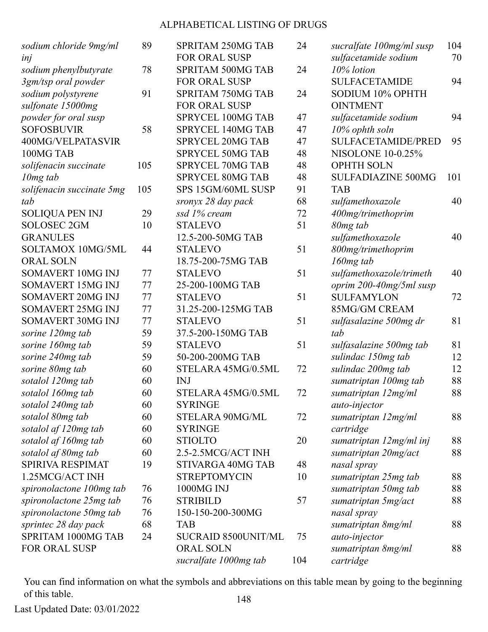| sodium chloride 9mg/ml                       | 89  | <b>SPRITAM 250MG TAB</b>                  | 24  | sucralfate 100mg/ml susp           | 104 |
|----------------------------------------------|-----|-------------------------------------------|-----|------------------------------------|-----|
| inj                                          |     | <b>FOR ORAL SUSP</b>                      |     | sulfacetamide sodium<br>10% lotion | 70  |
| sodium phenylbutyrate<br>3gm/tsp oral powder | 78  | SPRITAM 500MG TAB<br><b>FOR ORAL SUSP</b> | 24  | <b>SULFACETAMIDE</b>               | 94  |
| sodium polystyrene                           | 91  | <b>SPRITAM 750MG TAB</b>                  | 24  | SODIUM 10% OPHTH                   |     |
| sulfonate 15000mg                            |     | <b>FOR ORAL SUSP</b>                      |     | <b>OINTMENT</b>                    |     |
| powder for oral susp                         |     | SPRYCEL 100MG TAB                         | 47  | sulfacetamide sodium               | 94  |
| <b>SOFOSBUVIR</b>                            | 58  | <b>SPRYCEL 140MG TAB</b>                  | 47  | 10% ophth soln                     |     |
| 400MG/VELPATASVIR                            |     | <b>SPRYCEL 20MG TAB</b>                   | 47  | <b>SULFACETAMIDE/PRED</b>          | 95  |
| 100MG TAB                                    |     | <b>SPRYCEL 50MG TAB</b>                   | 48  | <b>NISOLONE 10-0.25%</b>           |     |
| solifenacin succinate                        | 105 | <b>SPRYCEL 70MG TAB</b>                   | 48  | <b>OPHTH SOLN</b>                  |     |
| $10mg$ tab                                   |     | <b>SPRYCEL 80MG TAB</b>                   | 48  | <b>SULFADIAZINE 500MG</b>          | 101 |
| solifenacin succinate 5mg                    | 105 | SPS 15GM/60ML SUSP                        | 91  | <b>TAB</b>                         |     |
| tab                                          |     | sronyx 28 day pack                        | 68  | sulfamethoxazole                   | 40  |
| <b>SOLIQUA PEN INJ</b>                       | 29  | ssd 1% cream                              | 72  | 400mg/trimethoprim                 |     |
| <b>SOLOSEC 2GM</b>                           | 10  | <b>STALEVO</b>                            | 51  | 80mg tab                           |     |
| <b>GRANULES</b>                              |     | 12.5-200-50MG TAB                         |     | sulfamethoxazole                   | 40  |
| SOLTAMOX 10MG/5ML                            | 44  | <b>STALEVO</b>                            | 51  | 800mg/trimethoprim                 |     |
| <b>ORAL SOLN</b>                             |     | 18.75-200-75MG TAB                        |     | $160mg$ tab                        |     |
| SOMAVERT 10MG INJ                            | 77  | <b>STALEVO</b>                            | 51  | sulfamethoxazole/trimeth           | 40  |
| SOMAVERT 15MG INJ                            | 77  | 25-200-100MG TAB                          |     | oprim 200-40mg/5ml susp            |     |
| <b>SOMAVERT 20MG INJ</b>                     | 77  | <b>STALEVO</b>                            | 51  | <b>SULFAMYLON</b>                  | 72  |
| SOMAVERT 25MG INJ                            | 77  | 31.25-200-125MG TAB                       |     | 85MG/GM CREAM                      |     |
| <b>SOMAVERT 30MG INJ</b>                     | 77  | <b>STALEVO</b>                            | 51  | sulfasalazine 500mg dr             | 81  |
| sorine 120mg tab                             | 59  | 37.5-200-150MG TAB                        |     | tab                                |     |
| sorine 160mg tab                             | 59  | <b>STALEVO</b>                            | 51  | sulfasalazine 500mg tab            | 81  |
| sorine 240mg tab                             | 59  | 50-200-200MG TAB                          |     | sulindac 150mg tab                 | 12  |
| sorine 80mg tab                              | 60  | STELARA 45MG/0.5ML                        | 72  | sulindac 200mg tab                 | 12  |
| sotalol 120mg tab                            | 60  | <b>INJ</b>                                |     | sumatriptan 100mg tab              | 88  |
| sotalol 160mg tab                            | 60  | STELARA 45MG/0.5ML                        | 72  | sumatriptan 12mg/ml                | 88  |
| sotalol 240mg tab                            | 60  | <b>SYRINGE</b>                            |     | auto-injector                      |     |
| sotalol 80mg tab                             | 60  | STELARA 90MG/ML                           | 72  | sumatriptan 12mg/ml                | 88  |
| sotalol af 120mg tab                         | 60  | <b>SYRINGE</b>                            |     | cartridge                          |     |
| sotalol af 160mg tab                         | 60  | <b>STIOLTO</b>                            | 20  | sumatriptan 12mg/ml inj            | 88  |
| sotalol af 80mg tab                          | 60  | 2.5-2.5MCG/ACT INH                        |     | sumatriptan 20mg/act               | 88  |
| SPIRIVA RESPIMAT                             | 19  | STIVARGA 40MG TAB                         | 48  | nasal spray                        |     |
| 1.25MCG/ACT INH                              |     | <b>STREPTOMYCIN</b>                       | 10  | sumatriptan 25mg tab               | 88  |
| spironolactone 100mg tab                     | 76  | 1000MG INJ                                |     | sumatriptan 50mg tab               | 88  |
| spironolactone 25mg tab                      | 76  | <b>STRIBILD</b>                           | 57  | sumatriptan 5mg/act                | 88  |
| spironolactone 50mg tab                      | 76  | 150-150-200-300MG                         |     | nasal spray                        |     |
| sprintec 28 day pack                         | 68  | TAB                                       |     | sumatriptan 8mg/ml                 | 88  |
| SPRITAM 1000MG TAB                           | 24  | <b>SUCRAID 8500UNIT/ML</b>                | 75  | auto-injector                      |     |
| FOR ORAL SUSP                                |     | <b>ORAL SOLN</b>                          |     | sumatriptan 8mg/ml                 | 88  |
|                                              |     | sucralfate 1000mg tab                     | 104 | cartridge                          |     |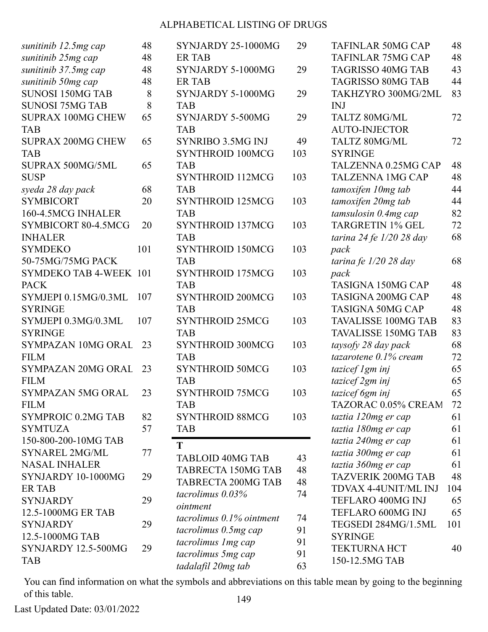|                                            |          | SYNJARDY 25-1000MG        |     |
|--------------------------------------------|----------|---------------------------|-----|
| sunitinib 12.5mg cap<br>sunitinib 25mg cap | 48<br>48 | <b>ER TAB</b>             | 29  |
| sunitinib 37.5mg cap                       | 48       | SYNJARDY 5-1000MG         | 29  |
| sunitinib 50mg cap                         | 48       | <b>ER TAB</b>             |     |
| <b>SUNOSI 150MG TAB</b>                    | 8        | SYNJARDY 5-1000MG         | 29  |
| <b>SUNOSI 75MG TAB</b>                     | 8        | <b>TAB</b>                |     |
| <b>SUPRAX 100MG CHEW</b>                   | 65       | SYNJARDY 5-500MG          | 29  |
| <b>TAB</b>                                 |          | <b>TAB</b>                |     |
|                                            |          |                           |     |
| <b>SUPRAX 200MG CHEW</b>                   | 65       | <b>SYNRIBO 3.5MG INJ</b>  | 49  |
| <b>TAB</b>                                 |          | <b>SYNTHROID 100MCG</b>   | 103 |
| SUPRAX 500MG/5ML                           | 65       | <b>TAB</b>                |     |
| <b>SUSP</b>                                |          | SYNTHROID 112MCG          | 103 |
| syeda 28 day pack                          | 68       | <b>TAB</b>                |     |
| <b>SYMBICORT</b>                           | 20       | <b>SYNTHROID 125MCG</b>   | 103 |
| 160-4.5MCG INHALER                         |          | <b>TAB</b>                |     |
| SYMBICORT 80-4.5MCG                        | 20       | <b>SYNTHROID 137MCG</b>   | 103 |
| <b>INHALER</b>                             |          | <b>TAB</b>                |     |
| <b>SYMDEKO</b>                             | 101      | <b>SYNTHROID 150MCG</b>   | 103 |
| 50-75MG/75MG PACK                          |          | <b>TAB</b>                |     |
| SYMDEKO TAB 4-WEEK 101                     |          | <b>SYNTHROID 175MCG</b>   | 103 |
| <b>PACK</b>                                |          | <b>TAB</b>                |     |
| SYMJEPI 0.15MG/0.3ML                       | 107      | <b>SYNTHROID 200MCG</b>   | 103 |
| <b>SYRINGE</b>                             |          | <b>TAB</b>                |     |
| SYMJEPI 0.3MG/0.3ML                        | 107      | <b>SYNTHROID 25MCG</b>    | 103 |
| <b>SYRINGE</b>                             |          | <b>TAB</b>                |     |
| SYMPAZAN 10MG ORAL                         | 23       | <b>SYNTHROID 300MCG</b>   | 103 |
| <b>FILM</b>                                |          | <b>TAB</b>                |     |
| <b>SYMPAZAN 20MG ORAL</b>                  | 23       | <b>SYNTHROID 50MCG</b>    | 103 |
| <b>FILM</b>                                |          | <b>TAB</b>                |     |
| SYMPAZAN 5MG ORAL                          | 23       | SYNTHROID 75MCG           | 103 |
| <b>FILM</b>                                |          | <b>TAB</b>                |     |
| <b>SYMPROIC 0.2MG TAB</b>                  | 82       | <b>SYNTHROID 88MCG</b>    | 103 |
| <b>SYMTUZA</b>                             | 57       | <b>TAB</b>                |     |
| 150-800-200-10MG TAB                       |          | T                         |     |
| <b>SYNAREL 2MG/ML</b>                      | 77       | <b>TABLOID 40MG TAB</b>   | 43  |
| <b>NASAL INHALER</b>                       |          | <b>TABRECTA 150MG TAB</b> | 48  |
| SYNJARDY 10-1000MG                         | 29       | <b>TABRECTA 200MG TAB</b> | 48  |
| <b>ERTAB</b>                               |          |                           |     |
| <b>SYNJARDY</b>                            | 29       | tacrolimus $0.03\%$       | 74  |
| 12.5-1000MG ER TAB                         |          | ointment                  |     |
| <b>SYNJARDY</b>                            | 29       | tacrolimus 0.1% ointment  | 74  |
| 12.5-1000MG TAB                            |          | tacrolimus 0.5mg cap      | 91  |
| SYNJARDY 12.5-500MG                        | 29       | tacrolimus 1 mg cap       | 91  |
| <b>TAB</b>                                 |          | tacrolimus 5mg cap        | 91  |
|                                            |          | tadalafil 20mg tab        | 63  |

| <b>TAFINLAR 50MG CAP</b>   | 48       |
|----------------------------|----------|
| TAFINLAR 75MG CAP          | 48       |
| <b>TAGRISSO 40MG TAB</b>   | 43       |
| <b>TAGRISSO 80MG TAB</b>   | 44       |
| TAKHZYRO 300MG/2ML         | 83       |
| INJ                        |          |
| TALTZ 80MG/ML              | 72       |
| <b>AUTO-INJECTOR</b>       |          |
| TALTZ 80MG/ML              | 72       |
| <b>SYRINGE</b>             |          |
| TALZENNA 0.25MG CAP        | 48       |
| <b>TALZENNA 1MG CAP</b>    | 48       |
| tamoxifen 10mg tab         | 44       |
| tamoxifen 20mg tab         | 44       |
| tamsulosin 0.4mg cap       | 82       |
| <b>TARGRETIN 1% GEL</b>    | 72       |
| tarina 24 fe 1/20 28 day   | 68       |
| pack                       |          |
| tarina fe 1/20 28 day      | 68       |
| pack                       |          |
| <b>TASIGNA 150MG CAP</b>   | 48       |
| <b>TASIGNA 200MG CAP</b>   | 48       |
| <b>TASIGNA 50MG CAP</b>    | 48       |
| <b>TAVALISSE 100MG TAB</b> | 83       |
| <b>TAVALISSE 150MG TAB</b> | 83       |
| taysofy 28 day pack        | 68       |
| tazarotene 0.1% cream      | 72       |
| tazicef 1gm inj            | 65       |
| tazicef 2gm inj            | 65       |
| tazicef 6gm inj            | 65       |
| TAZORAC 0.05% CREAM        | 72       |
| taztia 120mg er cap        | 61       |
| taztia 180mg er cap        | 61       |
| taztia 240mg er cap        | 61       |
| taztia 300mg er cap        | 61       |
| taztia 360mg er cap        | 61       |
| <b>TAZVERIK 200MG TAB</b>  | 48       |
| TDVAX 4-4UNIT/ML INJ       | 104      |
| TEFLARO 400MG INJ          |          |
|                            | 65<br>65 |
| TEFLARO 600MG INJ          |          |
| TEGSEDI 284MG/1.5ML        | 101      |
| <b>SYRINGE</b>             |          |
| <b>TEKTURNA HCT</b>        | 40       |
| 150-12.5MG TAB             |          |

You can find information on what the symbols and abbreviations on this table mean by going to the beginning of this table. 149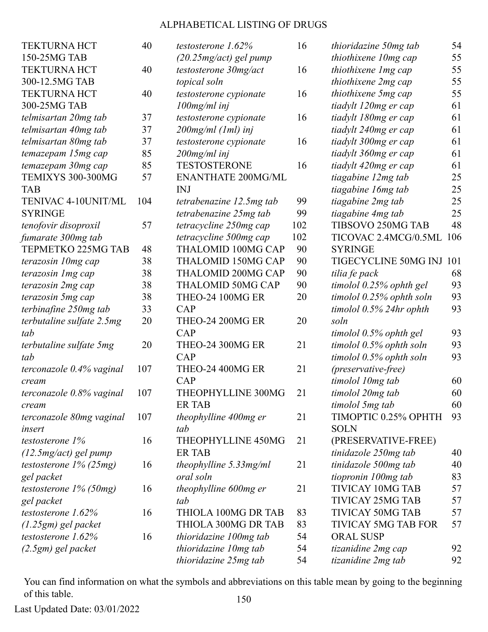| <b>TEKTURNA HCT</b>       | 40  | testostero    |
|---------------------------|-----|---------------|
| 150-25MG TAB              |     | (20.25)       |
| <b>TEKTURNA HCT</b>       | 40  | testostero    |
| 300-12.5MG TAB            |     | topical se    |
| <b>TEKTURNA HCT</b>       | 40  | testostero    |
| 300-25MG TAB              |     | $100$ mg/m    |
| telmisartan 20mg tab      | 37  | testostero    |
| telmisartan 40mg tab      | 37  | $200$ mg/m    |
| telmisartan 80mg tab      | 37  | testostero    |
| temazepam 15mg cap        | 85  | $200$ mg/m    |
| temazepam 30mg cap        | 85  | <b>TESTOS</b> |
| TEMIXYS 300-300MG         | 57  | <b>ENANT</b>  |
| TAB                       |     | <b>INJ</b>    |
| TENIVAC 4-10UNIT/ML       | 104 | tetrabenc     |
| <b>SYRINGE</b>            |     | tetrabend     |
| tenofovir disoproxil      | 57  | tetracycl     |
| fumarate 300mg tab        |     | tetracycl     |
| TEPMETKO 225MG TAB        | 48  | <b>THALO</b>  |
| terazosin 10mg cap        | 38  | <b>THALO</b>  |
| terazosin 1 mg cap        | 38  | <b>THALO</b>  |
| terazosin 2mg cap         | 38  | <b>THALO</b>  |
| terazosin 5mg cap         | 38  | THEO-2        |
| terbinafine 250mg tab     | 33  | CAP           |
| terbutaline sulfate 2.5mg | 20  | THEO-2        |
| tab                       |     | CAP           |
| terbutaline sulfate 5mg   | 20  | THEO-2        |
| tab                       |     | CAP           |
| terconazole 0.4% vaginal  | 107 | THEO-2        |
| cream                     |     | CAP           |
| terconazole 0.8% vaginal  | 107 | <b>THEOPI</b> |
| cream                     |     | ER TAB        |
| terconazole 80mg vaginal  | 107 | theophyl      |
| insert                    |     | tab           |
| testosterone 1%           | 16  | <b>THEOPI</b> |
| $(12.5mg/act)$ gel pump   |     | ER TAB        |
| testosterone 1% (25mg)    | 16  | theophyl      |
| gel packet                |     | oral soln     |
| testosterone 1% (50mg)    | 16  | theophyl      |
| gel packet                |     | tab           |
| testosterone 1.62%        | 16  | <b>THIOLA</b> |
| $(1.25gm)$ gel packet     |     | <b>THIOLA</b> |
| testosterone 1.62%        | 16  | thioridaz     |
| (2.5gm) gel packet        |     | thioridaz     |
|                           |     |               |

| testosterone 1.62%        | 16  | thior       |
|---------------------------|-----|-------------|
| (20.25mg/act) gel pump    |     | thiot       |
| testosterone 30mg/act     | 16  | thiot       |
| topical soln              |     | thiot       |
| testosterone cypionate    | 16  | thiot       |
| 100mg/ml inj              |     | tiady       |
| testosterone cypionate    | 16  | tiady       |
| 200mg/ml (1ml) inj        |     | tiady       |
| testosterone cypionate    | 16  | tiady       |
| 200mg/ml inj              |     | tiady       |
| <b>TESTOSTERONE</b>       | 16  | tiady       |
| <b>ENANTHATE 200MG/ML</b> |     | tiago       |
| INJ                       |     | tiago       |
| tetrabenazine 12.5mg tab  | 99  | tiago       |
| tetrabenazine 25mg tab    | 99  | tiago       |
| tetracycline 250mg cap    | 102 | <b>TIBS</b> |
| tetracycline 500mg cap    | 102 | <b>TIC</b>  |
| THALOMID 100MG CAP        | 90  | SYR         |
| THALOMID 150MG CAP        | 90  | <b>TIGI</b> |
| THALOMID 200MG CAP        | 90  | tilia       |
| THALOMID 50MG CAP         | 90  | timo        |
| THEO-24 100MG ER          | 20  | timo        |
| CAP                       |     | timo        |
| <b>THEO-24 200MG ER</b>   | 20  | soln        |
| CAP                       |     | timo.       |
| <b>THEO-24 300MG ER</b>   | 21  | timo        |
| CAP                       |     | timo.       |
| <b>THEO-24 400MG ER</b>   | 21  | (pres       |
| CAP                       |     | timo        |
| THEOPHYLLINE 300MG        | 21  | timo        |
| ER TAB                    |     | timo        |
| theophylline 400mg er     | 21  | TIM         |
| tab                       |     | SOL         |
| <b>THEOPHYLLINE 450MG</b> | 21  | (PRI        |
| ER TAB                    |     | tinid       |
| theophylline 5.33mg/ml    | 21  | tinid       |
| oral soln                 |     | tiopr       |
| theophylline 600mg er     | 21  | TIVI        |
| tab                       |     | <b>TIVI</b> |
| THIOLA 100MG DR TAB       | 83  | <b>TIVI</b> |
| THIOLA 300MG DR TAB       | 83  | <b>TIVI</b> |
| thioridazine 100mg tab    | 54  | ORA         |
| thioridazine 10mg tab     | 54  | tizan       |
| thioridazine 25mg tab     | 54  | tizan       |
|                           |     |             |

| thioridazine 50mg tab      | 54  |
|----------------------------|-----|
| thiothixene 10mg cap       | 55  |
| thiothixene 1 mg cap       | 55  |
| thiothixene 2mg cap        | 55  |
| thiothixene 5mg cap        | 55  |
| tiadylt 120mg er cap       | 61  |
| tiadylt 180mg er cap       | 61  |
| tiadylt 240mg er cap       | 61  |
| tiadylt 300mg er cap       | 61  |
| tiadylt 360mg er cap       | 61  |
| tiadylt 420mg er cap       | 61  |
| tiagabine 12mg tab         | 25  |
| tiagabine 16mg tab         | 25  |
| tiagabine 2mg tab          | 25  |
| tiagabine 4mg tab          | 25  |
| TIBSOVO 250MG TAB          | 48  |
| TICOVAC 2.4MCG/0.5ML       | 106 |
| <b>SYRINGE</b>             |     |
| TIGECYCLINE 50MG INJ       | 101 |
| tilia fe pack              | 68  |
| timolol 0.25% ophth gel    | 93  |
| timolol 0.25% ophth soln   | 93  |
| timolol 0.5% 24hr ophth    | 93  |
| soln                       |     |
| timolol 0.5% ophth gel     | 93  |
| timolol 0.5% ophth soln    | 93  |
| timolol 0.5% ophth soln    | 93  |
| (preservative-free)        |     |
| timolol 10mg tab           | 60  |
| timolol 20mg tab           | 60  |
| timolol 5mg tab            | 60  |
| TIMOPTIC 0.25% OPHTH       | 93  |
| <b>SOLN</b>                |     |
| (PRESERVATIVE-FREE)        |     |
| tinidazole 250mg tab       | 40  |
| tinidazole 500mg tab       | 40  |
| tiopronin 100mg tab        | 83  |
| <b>TIVICAY 10MG TAB</b>    | 57  |
| <b>TIVICAY 25MG TAB</b>    | 57  |
| <b>TIVICAY 50MG TAB</b>    | 57  |
| <b>TIVICAY 5MG TAB FOR</b> | 57  |
| <b>ORAL SUSP</b>           |     |
| tizanidine 2mg cap         | 92  |
| tizanidine 2mg tab         | 92  |

You can find information on what the symbols and abbreviations on this table mean by going to the beginning of this table. 150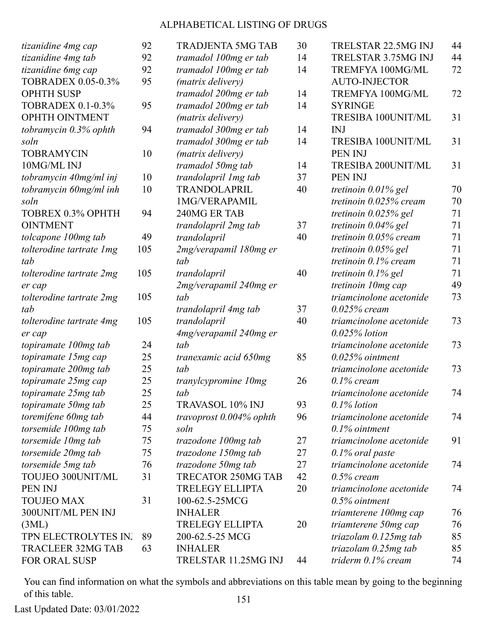| tizanidine 4mg cap        | 92  | <b>TRADJENTA 5MG TAB</b>   | 30 | TRELSTAR 22.5MG INJ      | 44 |
|---------------------------|-----|----------------------------|----|--------------------------|----|
| tizanidine 4mg tab        | 92  | tramadol 100mg er tab      | 14 | TRELSTAR 3.75MG INJ      | 44 |
| tizanidine 6mg cap        | 92  | tramadol 100mg er tab      | 14 | TREMFYA 100MG/ML         | 72 |
| <b>TOBRADEX 0.05-0.3%</b> | 95  | ( <i>matrix delivery</i> ) |    | <b>AUTO-INJECTOR</b>     |    |
| <b>OPHTH SUSP</b>         |     | tramadol 200mg er tab      | 14 | TREMFYA 100MG/ML         | 72 |
| <b>TOBRADEX 0.1-0.3%</b>  | 95  | tramadol 200mg er tab      | 14 | <b>SYRINGE</b>           |    |
| OPHTH OINTMENT            |     | (matrix delivery)          |    | TRESIBA 100UNIT/ML       | 31 |
| tobramycin 0.3% ophth     | 94  | tramadol 300mg er tab      | 14 | <b>INJ</b>               |    |
| soln                      |     | tramadol 300mg er tab      | 14 | TRESIBA 100UNIT/ML       | 31 |
| <b>TOBRAMYCIN</b>         | 10  | (matrix delivery)          |    | PEN INJ                  |    |
| 10MG/ML INJ               |     | tramadol 50mg tab          | 14 | TRESIBA 200UNIT/ML       | 31 |
| tobramycin 40mg/ml inj    | 10  | trandolapril 1 mg tab      | 37 | PEN INJ                  |    |
| tobramycin 60mg/ml inh    | 10  | TRANDOLAPRIL               | 40 | tretinoin $0.01\%$ gel   | 70 |
| soln                      |     | 1MG/VERAPAMIL              |    | tretinoin $0.025%$ cream | 70 |
| <b>TOBREX 0.3% OPHTH</b>  | 94  | 240MG ER TAB               |    | tretinoin $0.025\%$ gel  | 71 |
| <b>OINTMENT</b>           |     | trandolapril 2mg tab       | 37 | tretinoin $0.04\%$ gel   | 71 |
| tolcapone 100mg tab       | 49  | trandolapril               | 40 | tretinoin $0.05\%$ cream | 71 |
| tolterodine tartrate 1mg  | 105 | 2mg/verapamil 180mg er     |    | tretinoin $0.05\%$ gel   | 71 |
| tab                       |     | tab                        |    | tretinoin $0.1\%$ cream  | 71 |
| tolterodine tartrate 2mg  | 105 | trandolapril               | 40 | tretinoin $0.1\%$ gel    | 71 |
| er cap                    |     | 2mg/verapamil 240mg er     |    | tretinoin 10mg cap       | 49 |
| tolterodine tartrate 2mg  | 105 | tab                        |    | triamcinolone acetonide  | 73 |
| tab                       |     | trandolapril 4mg tab       | 37 | $0.025\%$ cream          |    |
| tolterodine tartrate 4mg  | 105 | trandolapril               | 40 | triamcinolone acetonide  | 73 |
| er cap                    |     | 4mg/verapamil 240mg er     |    | $0.025\%$ lotion         |    |
| topiramate 100mg tab      | 24  | tab                        |    | triamcinolone acetonide  | 73 |
| topiramate 15mg cap       | 25  | tranexamic acid 650mg      | 85 | $0.025%$ ointment        |    |
| topiramate 200mg tab      | 25  | tab                        |    | triamcinolone acetonide  | 73 |
| topiramate 25mg cap       | 25  | tranylcypromine 10mg       | 26 | $0.1\%$ cream            |    |
| topiramate 25mg tab       | 25  | tab                        |    | triamcinolone acetonide  | 74 |
| topiramate 50mg tab       | 25  | <b>TRAVASOL 10% INJ</b>    | 93 | $0.1\%$ lotion           |    |
| toremifene 60mg tab       | 44  | travoprost $0.004\%$ ophth | 96 | triamcinolone acetonide  | 74 |
| torsemide 100mg tab       | 75  | soln                       |    | $0.1\%$ ointment         |    |
| torsemide 10mg tab        | 75  | trazodone 100mg tab        | 27 | triamcinolone acetonide  | 91 |
| torsemide 20mg tab        | 75  | trazodone 150mg tab        | 27 | $0.1\%$ oral paste       |    |
| torsemide 5mg tab         | 76  | trazodone 50mg tab         | 27 | triamcinolone acetonide  | 74 |
| TOUJEO 300UNIT/ML         | 31  | <b>TRECATOR 250MG TAB</b>  | 42 | $0.5\%$ cream            |    |
| PEN INJ                   |     | <b>TRELEGY ELLIPTA</b>     | 20 | triamcinolone acetonide  | 74 |
| <b>TOUJEO MAX</b>         | 31  | 100-62.5-25MCG             |    | $0.5\%$ ointment         |    |
| 300UNIT/ML PEN INJ        |     | <b>INHALER</b>             |    | triamterene 100mg cap    | 76 |
| (3ML)                     |     | <b>TRELEGY ELLIPTA</b>     | 20 | triamterene 50mg cap     | 76 |
| TPN ELECTROLYTES IN.      | 89  | 200-62.5-25 MCG            |    | triazolam $0.125mg$ tab  | 85 |
| <b>TRACLEER 32MG TAB</b>  | 63  | <b>INHALER</b>             |    | triazolam $0.25mg$ tab   | 85 |
| FOR ORAL SUSP             |     | TRELSTAR 11.25MG INJ       | 44 | triderm $0.1\%$ cream    | 74 |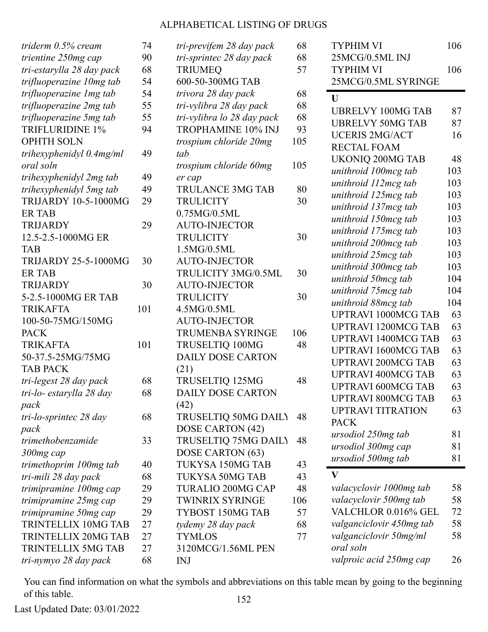| triderm 0.5% cream          | 74  | tri-previfem 28 day pack   | 68  |
|-----------------------------|-----|----------------------------|-----|
| trientine 250mg cap         | 90  | tri-sprintec 28 day pack   | 68  |
| tri-estarylla 28 day pack   | 68  | <b>TRIUMEQ</b>             | 57  |
| trifluoperazine 10mg tab    | 54  | 600-50-300MG TAB           |     |
| trifluoperazine 1 mg tab    | 54  | trivora 28 day pack        | 68  |
| trifluoperazine 2mg tab     | 55  | tri-vylibra 28 day pack    | 68  |
| trifluoperazine 5mg tab     | 55  | tri-vylibra lo 28 day pack | 68  |
| <b>TRIFLURIDINE 1%</b>      | 94  | TROPHAMINE 10% INJ         | 93  |
| <b>OPHTH SOLN</b>           |     | trospium chloride 20mg     | 105 |
| trihexyphenidyl $0.4mg/ml$  | 49  | tab                        |     |
| oral soln                   |     | trospium chloride 60mg     | 105 |
| trihexyphenidyl 2mg tab     | 49  | er cap                     |     |
| trihexyphenidyl 5mg tab     | 49  | <b>TRULANCE 3MG TAB</b>    | 80  |
| <b>TRIJARDY 10-5-1000MG</b> | 29  | <b>TRULICITY</b>           | 30  |
| <b>ER TAB</b>               |     | 0.75MG/0.5ML               |     |
| <b>TRIJARDY</b>             | 29  | <b>AUTO-INJECTOR</b>       |     |
| 12.5-2.5-1000MG ER          |     | <b>TRULICITY</b>           | 30  |
| <b>TAB</b>                  |     | 1.5MG/0.5ML                |     |
| <b>TRIJARDY 25-5-1000MG</b> | 30  | <b>AUTO-INJECTOR</b>       |     |
| <b>ER TAB</b>               |     | TRULICITY 3MG/0.5ML        | 30  |
| <b>TRIJARDY</b>             | 30  | <b>AUTO-INJECTOR</b>       |     |
| 5-2.5-1000MG ER TAB         |     | <b>TRULICITY</b>           | 30  |
| <b>TRIKAFTA</b>             | 101 | 4.5MG/0.5ML                |     |
| 100-50-75MG/150MG           |     | <b>AUTO-INJECTOR</b>       |     |
| <b>PACK</b>                 |     | <b>TRUMENBA SYRINGE</b>    | 106 |
| <b>TRIKAFTA</b>             | 101 | TRUSELTIQ 100MG            | 48  |
| 50-37.5-25MG/75MG           |     | <b>DAILY DOSE CARTON</b>   |     |
| <b>TAB PACK</b>             |     | (21)                       |     |
| tri-legest 28 day pack      | 68  | TRUSELTIQ 125MG            | 48  |
| tri-lo- estarylla 28 day    | 68  | <b>DAILY DOSE CARTON</b>   |     |
| pack                        |     | (42)                       |     |
| tri-lo-sprintec 28 day      | 68  | TRUSELTIQ 50MG DAILY       | 48  |
| pack                        |     | DOSE CARTON (42)           |     |
| trimethobenzamide           | 33  | TRUSELTIQ 75MG DAILY       | 48  |
| 300mg cap                   |     | DOSE CARTON (63)           |     |
| trimethoprim 100mg tab      | 40  | TUKYSA 150MG TAB           | 43  |
| tri-mili 28 day pack        | 68  | <b>TUKYSA 50MG TAB</b>     | 43  |
| trimipramine 100mg cap      | 29  | <b>TURALIO 200MG CAP</b>   | 48  |
| trimipramine 25mg cap       | 29  | <b>TWINRIX SYRINGE</b>     | 106 |
| trimipramine 50mg cap       | 29  | TYBOST 150MG TAB           | 57  |
| TRINTELLIX 10MG TAB         | 27  | tydemy 28 day pack         | 68  |
| TRINTELLIX 20MG TAB         | 27  | <b>TYMLOS</b>              | 77  |
| TRINTELLIX 5MG TAB          | 27  | 3120MCG/1.56ML PEN         |     |
| tri-nymyo 28 day pack       | 68  | <b>INJ</b>                 |     |

| <b>TYPHIM VI</b>           | 106 |
|----------------------------|-----|
| 25MCG/0.5ML INJ            |     |
| <b>TYPHIM VI</b>           | 106 |
| 25MCG/0.5ML SYRINGE        |     |
| U                          |     |
| <b>UBRELVY 100MG TAB</b>   | 87  |
| <b>UBRELVY 50MG TAB</b>    | 87  |
| <b>UCERIS 2MG/ACT</b>      | 16  |
| <b>RECTAL FOAM</b>         |     |
| <b>UKONIQ 200MG TAB</b>    | 48  |
| unithroid 100mcg tab       | 103 |
| unithroid 112mcg tab       | 103 |
| unithroid 125mcg tab       | 103 |
| unithroid 137mcg tab       | 103 |
| unithroid 150mcg tab       | 103 |
| unithroid 175mcg tab       | 103 |
| unithroid 200mcg tab       | 103 |
| unithroid 25mcg tab        | 103 |
| unithroid 300mcg tab       | 103 |
| unithroid 50mcg tab        | 104 |
| unithroid 75mcg tab        | 104 |
| unithroid 88mcg tab        | 104 |
| <b>UPTRAVI 1000MCG TAB</b> | 63  |
| <b>UPTRAVI 1200MCG TAB</b> | 63  |
| <b>UPTRAVI 1400MCG TAB</b> | 63  |
| <b>UPTRAVI 1600MCG TAB</b> | 63  |
| <b>UPTRAVI 200MCG TAB</b>  | 63  |
| <b>UPTRAVI 400MCG TAB</b>  | 63  |
| <b>UPTRAVI 600MCG TAB</b>  | 63  |
| <b>UPTRAVI 800MCG TAB</b>  | 63  |
| <b>UPTRAVI TITRATION</b>   | 63  |
| <b>PACK</b>                |     |
| ursodiol 250mg tab         | 81  |
| ursodiol 300mg cap         | 81  |
| ursodiol 500mg tab         | 81  |
| $\mathbf{V}$               |     |
| valacyclovir 1000mg tab    | 58  |
| valacyclovir 500mg tab     | 58  |
| VALCHLOR 0.016% GEL        | 72  |
| valganciclovir 450mg tab   | 58  |
| valganciclovir 50mg/ml     | 58  |
| oral soln                  |     |
| valproic acid 250mg cap    | 26  |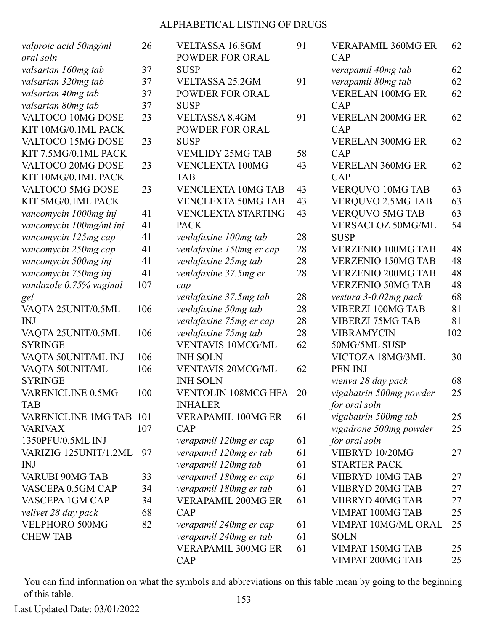| valproic acid 50mg/ml<br>oral soln | 26  | <b>VELTASSA 16.8GM</b><br><b>POWDER FOR ORAL</b> | 91 | <b>VERAPAMIL 360MG ER</b><br>CAP | 62  |
|------------------------------------|-----|--------------------------------------------------|----|----------------------------------|-----|
| valsartan 160mg tab                | 37  | <b>SUSP</b>                                      |    | verapamil 40mg tab               | 62  |
| valsartan 320mg tab                | 37  | <b>VELTASSA 25.2GM</b>                           | 91 | verapamil 80mg tab               | 62  |
| valsartan 40mg tab                 | 37  | <b>POWDER FOR ORAL</b>                           |    | <b>VERELAN 100MG ER</b>          | 62  |
| valsartan 80mg tab                 | 37  | <b>SUSP</b>                                      |    | CAP                              |     |
| VALTOCO 10MG DOSE                  | 23  | <b>VELTASSA 8.4GM</b>                            | 91 | <b>VERELAN 200MG ER</b>          | 62  |
| KIT 10MG/0.1ML PACK                |     | <b>POWDER FOR ORAL</b>                           |    | CAP                              |     |
| VALTOCO 15MG DOSE                  | 23  | <b>SUSP</b>                                      |    | <b>VERELAN 300MG ER</b>          | 62  |
| KIT 7.5MG/0.1ML PACK               |     | <b>VEMLIDY 25MG TAB</b>                          | 58 | CAP                              |     |
| VALTOCO 20MG DOSE                  | 23  | <b>VENCLEXTA 100MG</b>                           | 43 | <b>VERELAN 360MG ER</b>          | 62  |
| KIT 10MG/0.1ML PACK                |     | <b>TAB</b>                                       |    | CAP                              |     |
| VALTOCO 5MG DOSE                   | 23  | <b>VENCLEXTA 10MG TAB</b>                        | 43 | VERQUVO 10MG TAB                 | 63  |
| KIT 5MG/0.1ML PACK                 |     | <b>VENCLEXTA 50MG TAB</b>                        | 43 | VERQUVO 2.5MG TAB                | 63  |
| vancomycin 1000mg inj              | 41  | <b>VENCLEXTA STARTING</b>                        | 43 | <b>VERQUVO 5MG TAB</b>           | 63  |
| vancomycin 100mg/ml inj            | 41  | <b>PACK</b>                                      |    | VERSACLOZ 50MG/ML                | 54  |
| vancomycin 125mg cap               | 41  | venlafaxine 100mg tab                            | 28 | <b>SUSP</b>                      |     |
| vancomycin 250mg cap               | 41  | venlafaxine 150mg er cap                         | 28 | <b>VERZENIO 100MG TAB</b>        | 48  |
| vancomycin 500mg inj               | 41  | venlafaxine 25mg tab                             | 28 | <b>VERZENIO 150MG TAB</b>        | 48  |
| vancomycin 750mg inj               | 41  | venlafaxine 37.5mg er                            | 28 | <b>VERZENIO 200MG TAB</b>        | 48  |
| vandazole 0.75% vaginal            | 107 | cap                                              |    | <b>VERZENIO 50MG TAB</b>         | 48  |
| gel                                |     | venlafaxine 37.5mg tab                           | 28 | vestura 3-0.02mg pack            | 68  |
| VAQTA 25UNIT/0.5ML                 | 106 | venlafaxine 50mg tab                             | 28 | VIBERZI 100MG TAB                | 81  |
| <b>INJ</b>                         |     | venlafaxine 75mg er cap                          | 28 | <b>VIBERZI 75MG TAB</b>          | 81  |
| VAQTA 25UNIT/0.5ML                 | 106 | venlafaxine 75mg tab                             | 28 | <b>VIBRAMYCIN</b>                | 102 |
| <b>SYRINGE</b>                     |     | <b>VENTAVIS 10MCG/ML</b>                         | 62 | 50MG/5ML SUSP                    |     |
| VAQTA 50UNIT/ML INJ                | 106 | <b>INH SOLN</b>                                  |    | VICTOZA 18MG/3ML                 | 30  |
| VAQTA 50UNIT/ML                    | 106 | <b>VENTAVIS 20MCG/ML</b>                         | 62 | PEN INJ                          |     |
| <b>SYRINGE</b>                     |     | <b>INH SOLN</b>                                  |    | vienva 28 day pack               | 68  |
| VARENICLINE 0.5MG                  | 100 | <b>VENTOLIN 108MCG HFA</b>                       | 20 | vigabatrin 500mg powder          | 25  |
| <b>TAB</b>                         |     | <b>INHALER</b>                                   |    | for oral soln                    |     |
| VARENICLINE 1MG TAB 101            |     | <b>VERAPAMIL 100MG ER</b>                        | 61 | vigabatrin 500mg tab             | 25  |
| <b>VARIVAX</b>                     | 107 | CAP                                              |    | vigadrone 500mg powder           | 25  |
| 1350PFU/0.5ML INJ                  |     | verapamil 120mg er cap                           | 61 | for oral soln                    |     |
| VARIZIG 125UNIT/1.2ML              | 97  | verapamil 120mg er tab                           | 61 | VIIBRYD 10/20MG                  | 27  |
| <b>INJ</b>                         |     | verapamil 120mg tab                              | 61 | <b>STARTER PACK</b>              |     |
| VARUBI 90MG TAB                    | 33  | verapamil 180mg er cap                           | 61 | VIIBRYD 10MG TAB                 | 27  |
| VASCEPA 0.5GM CAP                  | 34  | verapamil 180mg er tab                           | 61 | VIIBRYD 20MG TAB                 | 27  |
| VASCEPA 1GM CAP                    | 34  | <b>VERAPAMIL 200MG ER</b>                        | 61 | VIIBRYD 40MG TAB                 | 27  |
| velivet 28 day pack                | 68  | CAP                                              |    | VIMPAT 100MG TAB                 | 25  |
| VELPHORO 500MG                     | 82  | verapamil 240mg er cap                           | 61 | VIMPAT 10MG/ML ORAL              | 25  |
| <b>CHEW TAB</b>                    |     | verapamil 240mg er tab                           | 61 | <b>SOLN</b>                      |     |
|                                    |     | <b>VERAPAMIL 300MG ER</b>                        | 61 | VIMPAT 150MG TAB                 | 25  |
|                                    |     | CAP                                              |    | VIMPAT 200MG TAB                 | 25  |
|                                    |     |                                                  |    |                                  |     |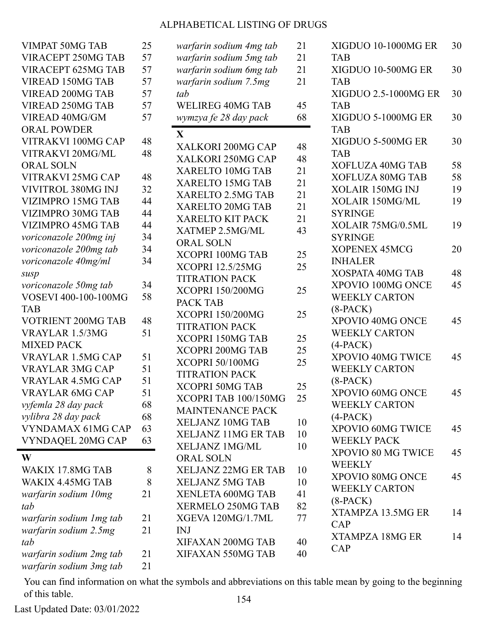| <b>VIMPAT 50MG TAB</b>   | 25 | warfarin sodium 4mg tab    | 21 | XIGDUO 10-1000MG ER     | 30 |
|--------------------------|----|----------------------------|----|-------------------------|----|
| VIRACEPT 250MG TAB       | 57 | warfarin sodium 5mg tab    | 21 | <b>TAB</b>              |    |
| VIRACEPT 625MG TAB       | 57 | warfarin sodium 6mg tab    | 21 | XIGDUO 10-500MG ER      | 30 |
| <b>VIREAD 150MG TAB</b>  | 57 | warfarin sodium 7.5mg      | 21 | <b>TAB</b>              |    |
| VIREAD 200MG TAB         | 57 | tab                        |    | XIGDUO 2.5-1000MG ER    | 30 |
| VIREAD 250MG TAB         | 57 | <b>WELIREG 40MG TAB</b>    | 45 | <b>TAB</b>              |    |
| VIREAD 40MG/GM           | 57 | wymzya fe 28 day pack      | 68 | XIGDUO 5-1000MG ER      | 30 |
| <b>ORAL POWDER</b>       |    |                            |    | <b>TAB</b>              |    |
| VITRAKVI 100MG CAP       | 48 | X                          |    | XIGDUO 5-500MG ER       | 30 |
| VITRAKVI 20MG/ML         | 48 | XALKORI 200MG CAP          | 48 | <b>TAB</b>              |    |
| <b>ORAL SOLN</b>         |    | XALKORI 250MG CAP          | 48 | XOFLUZA 40MG TAB        | 58 |
| VITRAKVI 25MG CAP        | 48 | XARELTO 10MG TAB           | 21 | XOFLUZA 80MG TAB        | 58 |
| VIVITROL 380MG INJ       | 32 | <b>XARELTO 15MG TAB</b>    | 21 | XOLAIR 150MG INJ        | 19 |
| <b>VIZIMPRO 15MG TAB</b> | 44 | XARELTO 2.5MG TAB          | 21 | XOLAIR 150MG/ML         | 19 |
| VIZIMPRO 30MG TAB        | 44 | XARELTO 20MG TAB           | 21 | <b>SYRINGE</b>          |    |
| VIZIMPRO 45MG TAB        | 44 | <b>XARELTO KIT PACK</b>    | 21 | XOLAIR 75MG/0.5ML       | 19 |
| voriconazole 200mg inj   | 34 | XATMEP 2.5MG/ML            | 43 | <b>SYRINGE</b>          |    |
| voriconazole 200mg tab   | 34 | <b>ORAL SOLN</b>           |    | <b>XOPENEX 45MCG</b>    | 20 |
| voriconazole 40mg/ml     | 34 | XCOPRI 100MG TAB           | 25 | <b>INHALER</b>          |    |
| susp                     |    | <b>XCOPRI 12.5/25MG</b>    | 25 | <b>XOSPATA 40MG TAB</b> | 48 |
| voriconazole 50mg tab    | 34 | <b>TITRATION PACK</b>      |    | XPOVIO 100MG ONCE       | 45 |
| VOSEVI 400-100-100MG     | 58 | <b>XCOPRI 150/200MG</b>    | 25 | <b>WEEKLY CARTON</b>    |    |
| <b>TAB</b>               |    | PACK TAB                   |    | $(8-PACK)$              |    |
| VOTRIENT 200MG TAB       | 48 | <b>XCOPRI 150/200MG</b>    | 25 | XPOVIO 40MG ONCE        | 45 |
| VRAYLAR 1.5/3MG          | 51 | <b>TITRATION PACK</b>      |    | <b>WEEKLY CARTON</b>    |    |
| <b>MIXED PACK</b>        |    | <b>XCOPRI 150MG TAB</b>    | 25 | $(4-PACK)$              |    |
| <b>VRAYLAR 1.5MG CAP</b> | 51 | <b>XCOPRI 200MG TAB</b>    | 25 | XPOVIO 40MG TWICE       | 45 |
| <b>VRAYLAR 3MG CAP</b>   | 51 | XCOPRI 50/100MG            | 25 | <b>WEEKLY CARTON</b>    |    |
| <b>VRAYLAR 4.5MG CAP</b> | 51 | <b>TITRATION PACK</b>      |    | $(8-PACK)$              |    |
| <b>VRAYLAR 6MG CAP</b>   | 51 | <b>XCOPRI 50MG TAB</b>     | 25 | XPOVIO 60MG ONCE        | 45 |
| vyfemla 28 day pack      | 68 | XCOPRI TAB 100/150MG       | 25 | <b>WEEKLY CARTON</b>    |    |
| vylibra 28 day pack      | 68 | <b>MAINTENANCE PACK</b>    |    | $(4-PACK)$              |    |
| VYNDAMAX 61MG CAP        | 63 | <b>XELJANZ 10MG TAB</b>    | 10 | XPOVIO 60MG TWICE       | 45 |
| VYNDAQEL 20MG CAP        | 63 | XELJANZ 11MG ER TAB        | 10 | <b>WEEKLY PACK</b>      |    |
|                          |    | <b>XELJANZ 1MG/ML</b>      | 10 | XPOVIO 80 MG TWICE      | 45 |
| W                        |    | <b>ORAL SOLN</b>           |    | <b>WEEKLY</b>           |    |
| WAKIX 17.8MG TAB         | 8  | <b>XELJANZ 22MG ER TAB</b> | 10 | XPOVIO 80MG ONCE        | 45 |
| WAKIX 4.45MG TAB         | 8  | <b>XELJANZ 5MG TAB</b>     | 10 | <b>WEEKLY CARTON</b>    |    |
| warfarin sodium 10mg     | 21 | XENLETA 600MG TAB          | 41 | $(8-PACK)$              |    |
| tab                      |    | XERMELO 250MG TAB          | 82 | XTAMPZA 13.5MG ER       | 14 |
| warfarin sodium 1 mg tab | 21 | XGEVA 120MG/1.7ML          | 77 | CAP                     |    |
| warfarin sodium 2.5mg    | 21 | <b>INJ</b>                 |    | <b>XTAMPZA 18MG ER</b>  | 14 |
| tab                      |    | XIFAXAN 200MG TAB          | 40 | CAP                     |    |
| warfarin sodium 2mg tab  | 21 | XIFAXAN 550MG TAB          | 40 |                         |    |
| warfarin sodium 3mg tab  | 21 |                            |    |                         |    |

You can find information on what the symbols and abbreviations on this table mean by going to the beginning of this table. 154